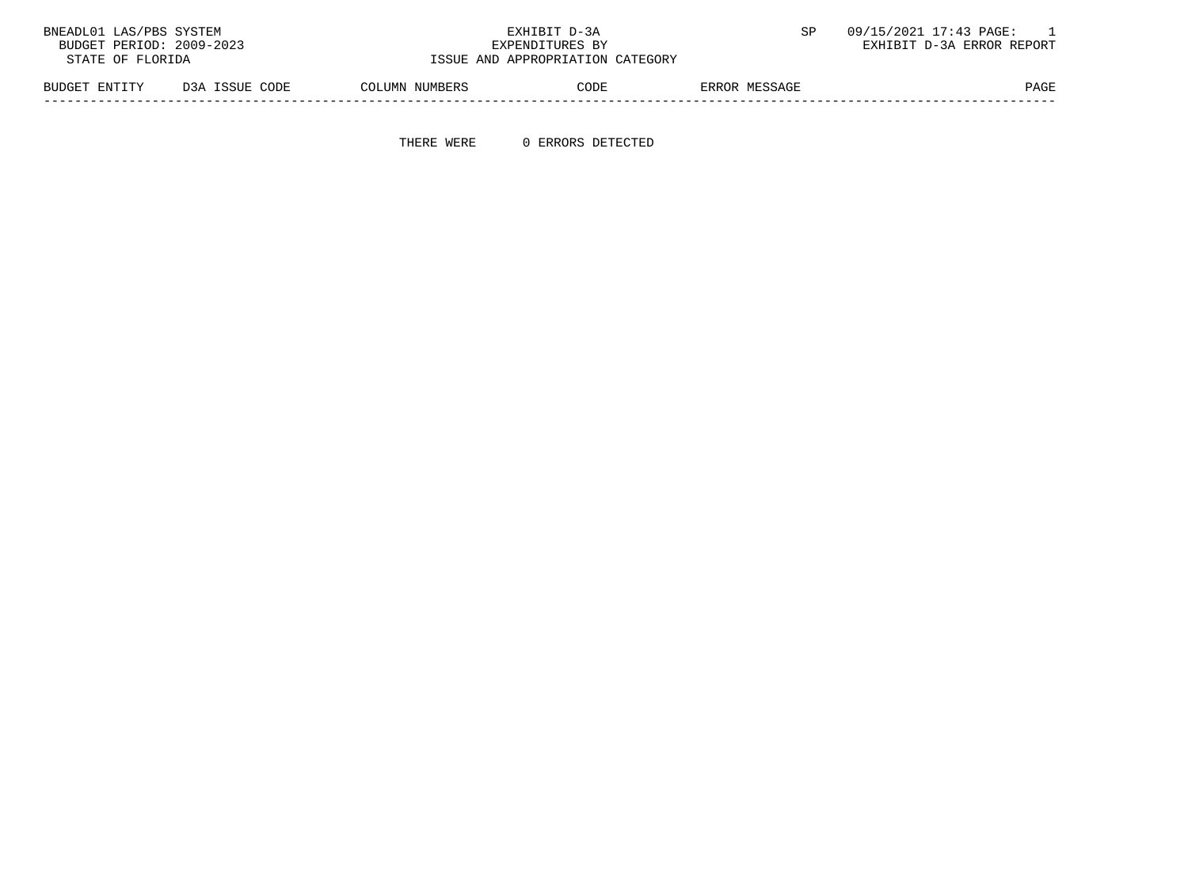| BNEADL01 LAS/PBS SYSTEM<br>BUDGET PERIOD: 2009-2023<br>STATE OF FLORIDA |                |                | EXHIBIT D-3A<br>EXPENDITURES BY<br>ISSUE AND APPROPRIATION CATEGORY |               | 09/15/2021 17:43 PAGE:<br>EXHIBIT D-3A ERROR REPORT |
|-------------------------------------------------------------------------|----------------|----------------|---------------------------------------------------------------------|---------------|-----------------------------------------------------|
| BUDGET ENTITY                                                           | D3A ISSUE CODE | COLUMN NUMBERS | CODE                                                                | ERROR MESSAGE | <b>PAGE</b>                                         |

THERE WERE 0 ERRORS DETECTED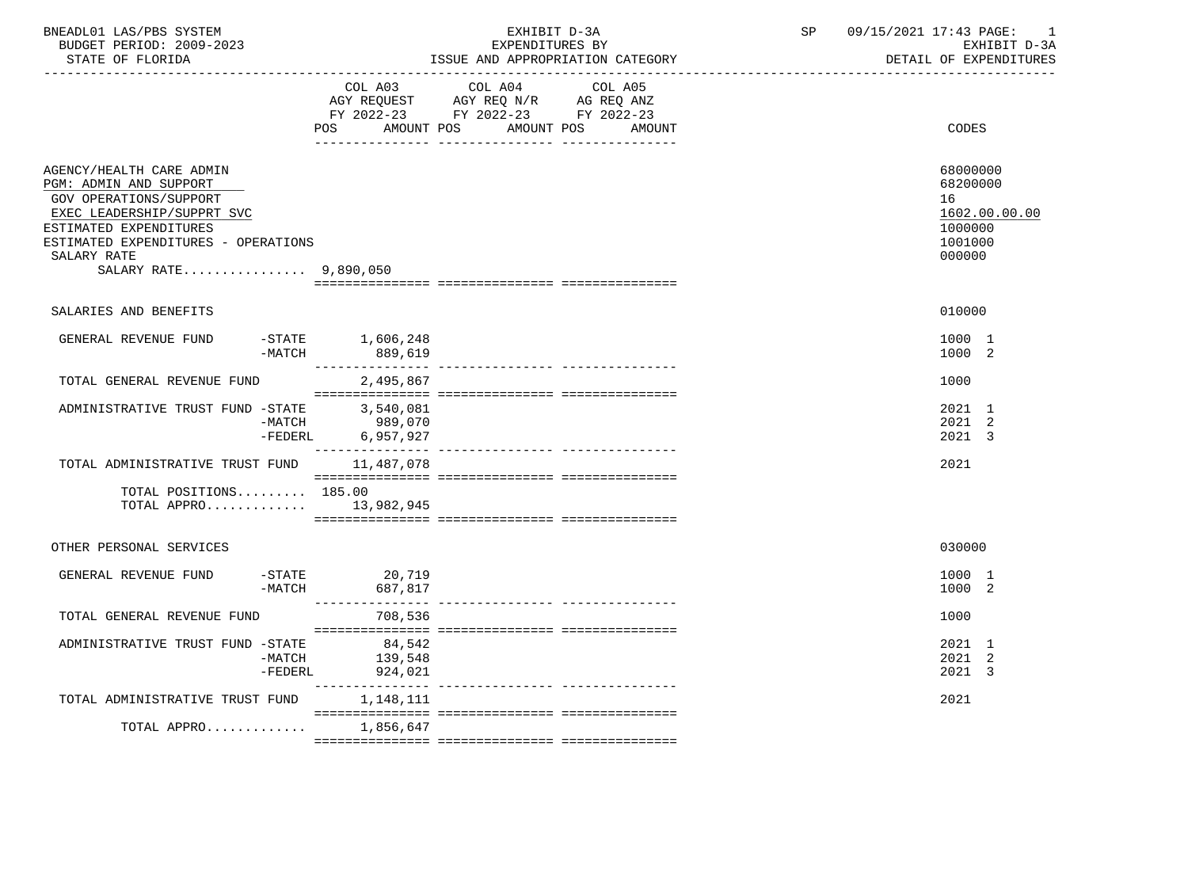| BNEADL01 LAS/PBS SYSTEM<br>BUDGET PERIOD: 2009-2023<br>STATE OF FLORIDA                                                                                                                                             |                     |                                  | EXPENDITURES BY                                                                                   | EXHIBIT D-3A<br>ISSUE AND APPROPRIATION CATEGORY | SP | 09/15/2021 17:43 PAGE: |                                                            | -1<br>EXHIBIT D-3A<br>DETAIL OF EXPENDITURES |
|---------------------------------------------------------------------------------------------------------------------------------------------------------------------------------------------------------------------|---------------------|----------------------------------|---------------------------------------------------------------------------------------------------|--------------------------------------------------|----|------------------------|------------------------------------------------------------|----------------------------------------------|
|                                                                                                                                                                                                                     |                     | POS<br>AMOUNT POS                | COL A03 COL A04 COL A05<br>AGY REQUEST AGY REQ N/R AG REQ ANZ<br>FY 2022-23 FY 2022-23 FY 2022-23 | AMOUNT POS<br>AMOUNT                             |    |                        | CODES                                                      |                                              |
| AGENCY/HEALTH CARE ADMIN<br>PGM: ADMIN AND SUPPORT<br>GOV OPERATIONS/SUPPORT<br>EXEC LEADERSHIP/SUPPRT SVC<br>ESTIMATED EXPENDITURES<br>ESTIMATED EXPENDITURES - OPERATIONS<br>SALARY RATE<br>SALARY RATE 9,890,050 |                     |                                  |                                                                                                   |                                                  |    |                        | 68000000<br>68200000<br>16<br>1000000<br>1001000<br>000000 | 1602.00.00.00                                |
| SALARIES AND BENEFITS                                                                                                                                                                                               |                     |                                  |                                                                                                   |                                                  |    |                        | 010000                                                     |                                              |
| GENERAL REVENUE FUND                                                                                                                                                                                                | -MATCH              | $-$ STATE $1,606,248$<br>889,619 |                                                                                                   |                                                  |    |                        | 1000 1<br>1000 2                                           |                                              |
| TOTAL GENERAL REVENUE FUND                                                                                                                                                                                          |                     | 2,495,867                        |                                                                                                   |                                                  |    |                        | 1000                                                       |                                              |
| ADMINISTRATIVE TRUST FUND -STATE 3,540,081                                                                                                                                                                          | -MATCH              | 989,070<br>-FEDERL 6,957,927     |                                                                                                   |                                                  |    |                        | 2021 1<br>2021 2<br>2021 3                                 |                                              |
| TOTAL ADMINISTRATIVE TRUST FUND 11,487,078                                                                                                                                                                          |                     |                                  |                                                                                                   |                                                  |    |                        | 2021                                                       |                                              |
| TOTAL POSITIONS 185.00                                                                                                                                                                                              |                     | TOTAL APPRO $13,982,945$         |                                                                                                   |                                                  |    |                        |                                                            |                                              |
| OTHER PERSONAL SERVICES                                                                                                                                                                                             |                     |                                  |                                                                                                   |                                                  |    |                        | 030000                                                     |                                              |
| GENERAL REVENUE FUND                                                                                                                                                                                                | -MATCH              | -STATE 20,719<br>687,817         |                                                                                                   |                                                  |    |                        | 1000 1<br>1000 2                                           |                                              |
| TOTAL GENERAL REVENUE FUND                                                                                                                                                                                          |                     | 708,536                          |                                                                                                   |                                                  |    |                        | 1000                                                       |                                              |
| ADMINISTRATIVE TRUST FUND -STATE                                                                                                                                                                                    | -MATCH<br>$-FEDERL$ | 84,542<br>139,548<br>924,021     |                                                                                                   |                                                  |    |                        | 2021 1<br>2021 2<br>2021 3                                 |                                              |
| TOTAL ADMINISTRATIVE TRUST FUND                                                                                                                                                                                     |                     | 1,148,111                        |                                                                                                   |                                                  |    |                        | 2021                                                       |                                              |
| TOTAL APPRO                                                                                                                                                                                                         |                     | 1,856,647                        |                                                                                                   |                                                  |    |                        |                                                            |                                              |
|                                                                                                                                                                                                                     |                     |                                  |                                                                                                   |                                                  |    |                        |                                                            |                                              |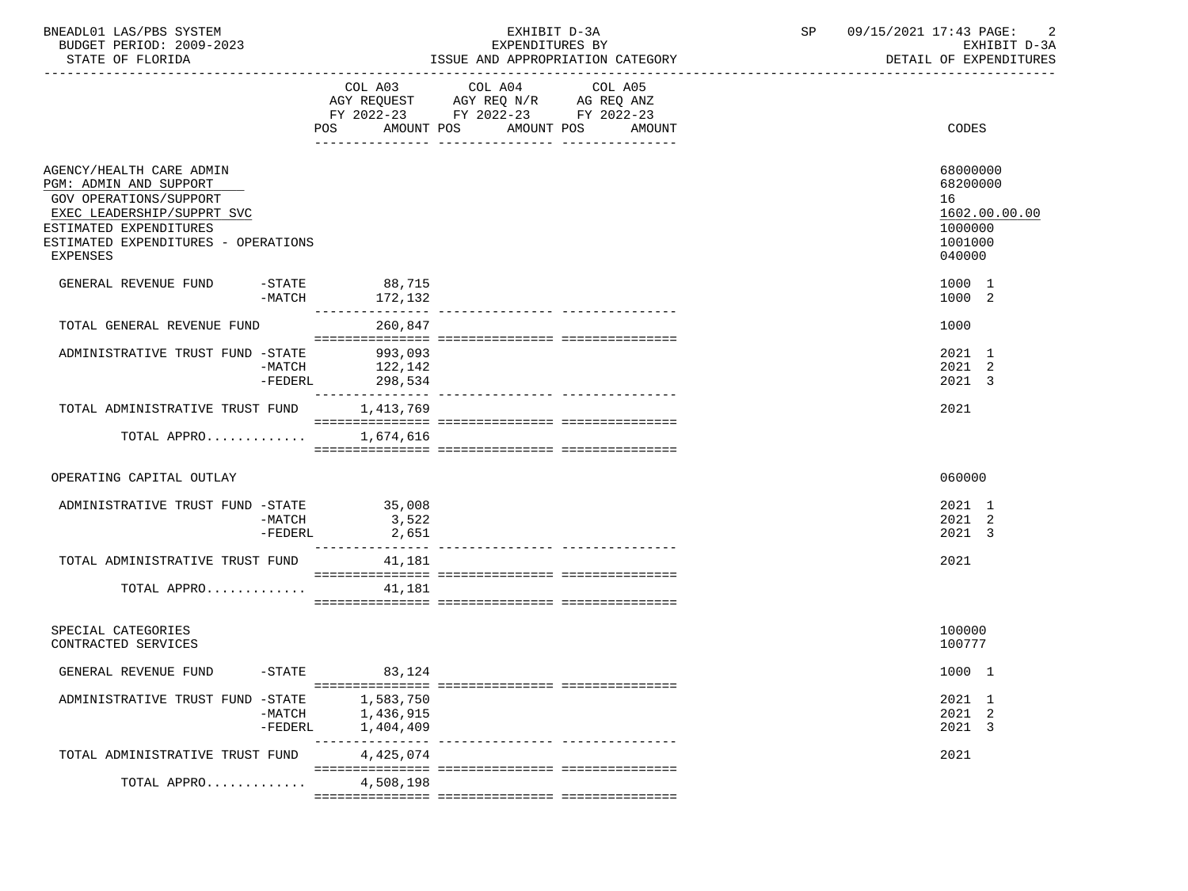| BNEADL01 LAS/PBS SYSTEM<br>BUDGET PERIOD: 2009-2023<br>STATE OF FLORIDA                                                                                                                               |                                     | EXHIBIT D-3A<br>EXPENDITURES BY<br>ISSUE AND APPROPRIATION CATEGORY                                                       | SP | 09/15/2021 17:43 PAGE:<br>EXHIBIT D-3A<br>DETAIL OF EXPENDITURES            |
|-------------------------------------------------------------------------------------------------------------------------------------------------------------------------------------------------------|-------------------------------------|---------------------------------------------------------------------------------------------------------------------------|----|-----------------------------------------------------------------------------|
|                                                                                                                                                                                                       | POS<br>AMOUNT POS                   | COL A03 COL A04 COL A05<br>AGY REQUEST AGY REQ N/R AG REQ ANZ<br>FY 2022-23 FY 2022-23 FY 2022-23<br>AMOUNT POS<br>AMOUNT |    | CODES                                                                       |
| AGENCY/HEALTH CARE ADMIN<br>PGM: ADMIN AND SUPPORT<br><b>GOV OPERATIONS/SUPPORT</b><br>EXEC LEADERSHIP/SUPPRT SVC<br>ESTIMATED EXPENDITURES<br>ESTIMATED EXPENDITURES - OPERATIONS<br><b>EXPENSES</b> |                                     |                                                                                                                           |    | 68000000<br>68200000<br>16<br>1602.00.00.00<br>1000000<br>1001000<br>040000 |
| GENERAL REVENUE FUND<br>$-MATCH$                                                                                                                                                                      | -STATE 88,715<br>172,132            |                                                                                                                           |    | 1000 1<br>1000 2                                                            |
| TOTAL GENERAL REVENUE FUND                                                                                                                                                                            | 260,847                             |                                                                                                                           |    | 1000                                                                        |
| ADMINISTRATIVE TRUST FUND -STATE 993,093<br>$-MATCH$<br>$-FEDERL$                                                                                                                                     | 122,142<br>298,534                  |                                                                                                                           |    | 2021 1<br>2021 2<br>2021 3                                                  |
| TOTAL ADMINISTRATIVE TRUST FUND                                                                                                                                                                       | 1,413,769                           |                                                                                                                           |    | 2021                                                                        |
| TOTAL APPRO 1,674,616                                                                                                                                                                                 |                                     |                                                                                                                           |    |                                                                             |
| OPERATING CAPITAL OUTLAY                                                                                                                                                                              |                                     |                                                                                                                           |    | 060000                                                                      |
| ADMINISTRATIVE TRUST FUND -STATE 35,008<br>-MATCH<br>$-FEDERL$                                                                                                                                        | 3,522<br>2,651                      |                                                                                                                           |    | 2021 1<br>2021 2<br>2021 3                                                  |
| TOTAL ADMINISTRATIVE TRUST FUND 41,181                                                                                                                                                                |                                     |                                                                                                                           |    | 2021                                                                        |
| TOTAL APPRO $41,181$                                                                                                                                                                                  |                                     |                                                                                                                           |    |                                                                             |
| SPECIAL CATEGORIES<br>CONTRACTED SERVICES                                                                                                                                                             |                                     |                                                                                                                           |    | 100000<br>100777                                                            |
| GENERAL REVENUE FUND<br>$-STATE$                                                                                                                                                                      | 83,124                              |                                                                                                                           |    | 1000 1                                                                      |
| ADMINISTRATIVE TRUST FUND -STATE<br>$-MATCH$<br>$-FEDERL$                                                                                                                                             | 1,583,750<br>1,436,915<br>1,404,409 |                                                                                                                           |    | 2021 1<br>2021 2<br>2021 3                                                  |
| TOTAL ADMINISTRATIVE TRUST FUND                                                                                                                                                                       | 4,425,074                           |                                                                                                                           |    | 2021                                                                        |
| TOTAL APPRO                                                                                                                                                                                           | 4,508,198                           |                                                                                                                           |    |                                                                             |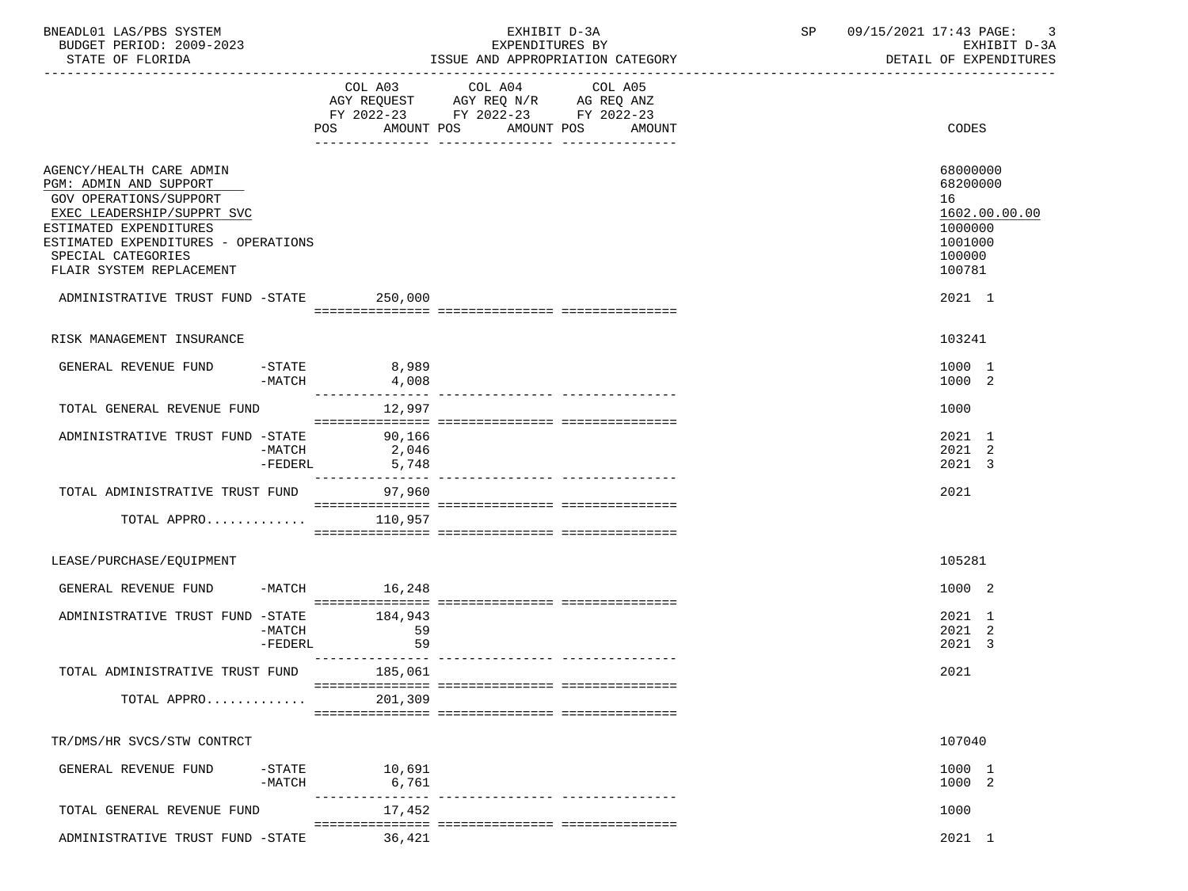| BNEADL01 LAS/PBS SYSTEM<br>EXHIBIT D-3A<br>BUDGET PERIOD: 2009-2023<br>EXPENDITURES BY                                                                                                                                               |                                                                                                                |                                                                                                                                                                                                                 | SP and the set of the set of the set of the set of the set of the set of the set of the set of the set of the set of the set of the set of the set of the set of the set of the set of the set of the set of the set of the se<br>09/15/2021 17:43 PAGE:<br>EXHIBIT D-3A |  |                                                                                       |
|--------------------------------------------------------------------------------------------------------------------------------------------------------------------------------------------------------------------------------------|----------------------------------------------------------------------------------------------------------------|-----------------------------------------------------------------------------------------------------------------------------------------------------------------------------------------------------------------|--------------------------------------------------------------------------------------------------------------------------------------------------------------------------------------------------------------------------------------------------------------------------|--|---------------------------------------------------------------------------------------|
| STATE OF FLORIDA                                                                                                                                                                                                                     |                                                                                                                |                                                                                                                                                                                                                 | ISSUE AND APPROPRIATION CATEGORY                                                                                                                                                                                                                                         |  | DETAIL OF EXPENDITURES                                                                |
|                                                                                                                                                                                                                                      | POS FOR THE POST OF THE STATE STATE STATE STATE STATE STATE STATE STATE STATE STATE STATE STATE STATE STATE ST | COL A03 COL A04 COL A05<br>$\begin{tabular}{lllllll} AGY & \texttt{REQUEST} & \texttt{AGY REQ} & \texttt{N/R} & \texttt{AG REQ} & \texttt{ANZ} \end{tabular}$<br>FY 2022-23 FY 2022-23 FY 2022-23<br>AMOUNT POS | AMOUNT POS<br>AMOUNT                                                                                                                                                                                                                                                     |  | CODES                                                                                 |
| AGENCY/HEALTH CARE ADMIN<br>PGM: ADMIN AND SUPPORT<br><b>GOV OPERATIONS/SUPPORT</b><br>EXEC LEADERSHIP/SUPPRT SVC<br>ESTIMATED EXPENDITURES<br>ESTIMATED EXPENDITURES - OPERATIONS<br>SPECIAL CATEGORIES<br>FLAIR SYSTEM REPLACEMENT |                                                                                                                |                                                                                                                                                                                                                 |                                                                                                                                                                                                                                                                          |  | 68000000<br>68200000<br>16<br>1602.00.00.00<br>1000000<br>1001000<br>100000<br>100781 |
| ADMINISTRATIVE TRUST FUND -STATE 250,000                                                                                                                                                                                             |                                                                                                                |                                                                                                                                                                                                                 |                                                                                                                                                                                                                                                                          |  | 2021 1                                                                                |
| RISK MANAGEMENT INSURANCE                                                                                                                                                                                                            |                                                                                                                |                                                                                                                                                                                                                 |                                                                                                                                                                                                                                                                          |  | 103241                                                                                |
| GENERAL REVENUE FUND -STATE 8,989<br>$-MATCH$                                                                                                                                                                                        | 4,008<br>_________________                                                                                     |                                                                                                                                                                                                                 |                                                                                                                                                                                                                                                                          |  | 1000 1<br>1000 2                                                                      |
| TOTAL GENERAL REVENUE FUND                                                                                                                                                                                                           | 12,997                                                                                                         |                                                                                                                                                                                                                 |                                                                                                                                                                                                                                                                          |  | 1000                                                                                  |
| ADMINISTRATIVE TRUST FUND -STATE 90,166<br>-MATCH<br>-FEDERL                                                                                                                                                                         | س16ء ر<br>2,046<br>5                                                                                           |                                                                                                                                                                                                                 |                                                                                                                                                                                                                                                                          |  | 2021 1<br>2021 2<br>2021 3                                                            |
| TOTAL ADMINISTRATIVE TRUST FUND<br>TOTAL APPRO $110,957$                                                                                                                                                                             | ---------------<br>97,960                                                                                      |                                                                                                                                                                                                                 | ________________________________                                                                                                                                                                                                                                         |  | 2021                                                                                  |
|                                                                                                                                                                                                                                      |                                                                                                                |                                                                                                                                                                                                                 |                                                                                                                                                                                                                                                                          |  |                                                                                       |
| LEASE/PURCHASE/EQUIPMENT                                                                                                                                                                                                             |                                                                                                                |                                                                                                                                                                                                                 |                                                                                                                                                                                                                                                                          |  | 105281                                                                                |
| GENERAL REVENUE FUND                                                                                                                                                                                                                 | $-MATCH$ 16,248                                                                                                |                                                                                                                                                                                                                 |                                                                                                                                                                                                                                                                          |  | 1000 2                                                                                |
| ADMINISTRATIVE TRUST FUND -STATE 184,943<br>$-MATCH$<br>$-FEDERL$                                                                                                                                                                    | 59<br>59                                                                                                       |                                                                                                                                                                                                                 |                                                                                                                                                                                                                                                                          |  | 2021 1<br>2021 2<br>2021 3                                                            |
| TOTAL ADMINISTRATIVE TRUST FUND                                                                                                                                                                                                      | 185,061                                                                                                        |                                                                                                                                                                                                                 |                                                                                                                                                                                                                                                                          |  | 2021                                                                                  |
| TOTAL APPRO                                                                                                                                                                                                                          | 201,309                                                                                                        |                                                                                                                                                                                                                 |                                                                                                                                                                                                                                                                          |  |                                                                                       |
| TR/DMS/HR SVCS/STW CONTRCT                                                                                                                                                                                                           |                                                                                                                |                                                                                                                                                                                                                 |                                                                                                                                                                                                                                                                          |  | 107040                                                                                |
| GENERAL REVENUE FUND<br>$-$ STATE<br>$-MATCH$                                                                                                                                                                                        | 10,691<br>6,761                                                                                                |                                                                                                                                                                                                                 |                                                                                                                                                                                                                                                                          |  | 1000 1<br>1000 2                                                                      |
| TOTAL GENERAL REVENUE FUND                                                                                                                                                                                                           | 17,452                                                                                                         |                                                                                                                                                                                                                 | --------------- -----------------                                                                                                                                                                                                                                        |  | 1000                                                                                  |
| ADMINISTRATIVE TRUST FUND -STATE                                                                                                                                                                                                     | 36,421                                                                                                         |                                                                                                                                                                                                                 |                                                                                                                                                                                                                                                                          |  | 2021 1                                                                                |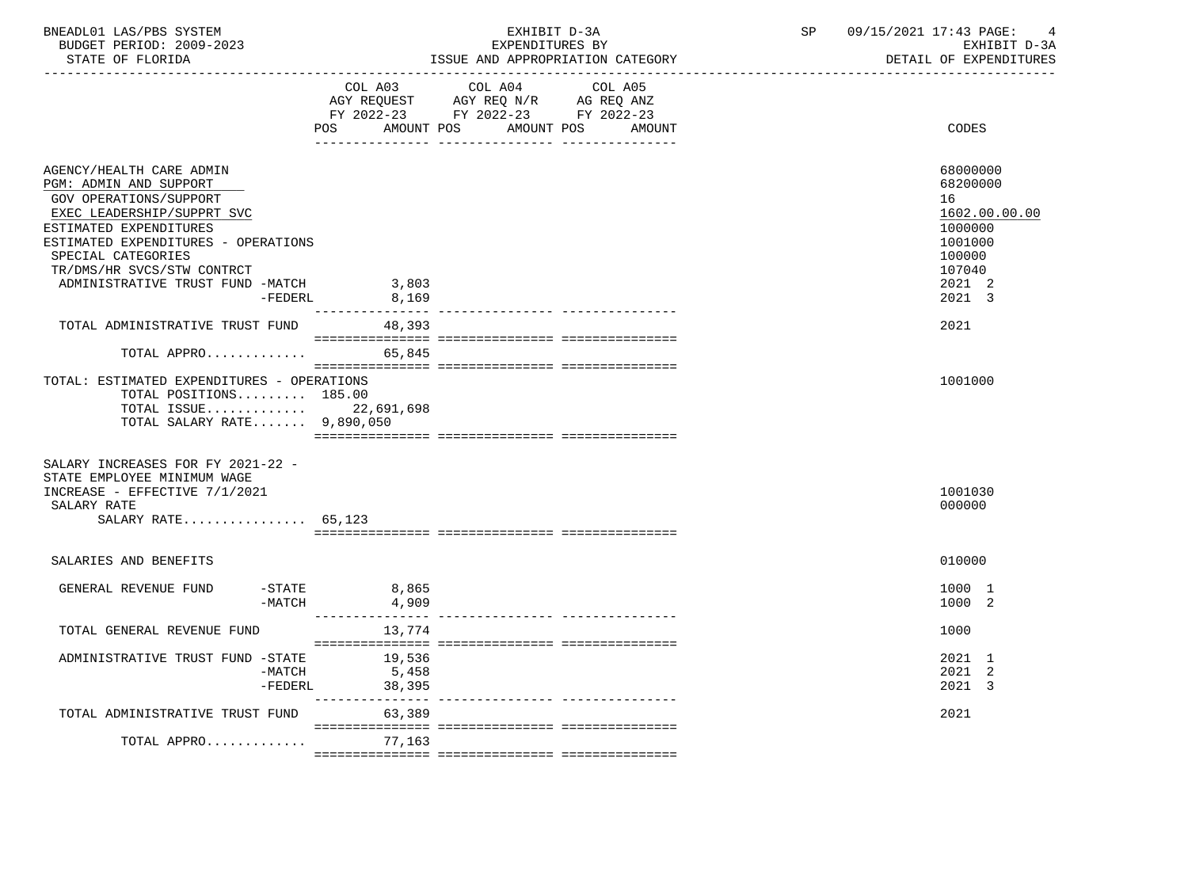| LAS/PBS<br>BNEADL01<br>SYSTEM |                           | 12021<br>$\blacksquare$<br>PAGE.<br>7 Q<br>. 4.4 |        |
|-------------------------------|---------------------------|--------------------------------------------------|--------|
| 2009-2023<br>BUDGET PERIOD:   | <b>RV</b><br>EXPENDITURES | - ⊷                                              | $\sim$ |
|                               |                           |                                                  |        |

STATE OF FLORIDA **ISSUE AND APPROPRIATION CATEGORY ISSUE AND APPROPRIATION CATEGORY** 

|                                                                                                                                                                                                                                                                                | COL A03                            | COL A04<br>AGY REQUEST AGY REQ N/R AG REQ ANZ<br>FY 2022-23 FY 2022-23 FY 2022-23 | COL A05 |                                                                                                           |
|--------------------------------------------------------------------------------------------------------------------------------------------------------------------------------------------------------------------------------------------------------------------------------|------------------------------------|-----------------------------------------------------------------------------------|---------|-----------------------------------------------------------------------------------------------------------|
|                                                                                                                                                                                                                                                                                | POS<br>AMOUNT POS                  | AMOUNT POS                                                                        | AMOUNT  | CODES                                                                                                     |
| AGENCY/HEALTH CARE ADMIN<br>PGM: ADMIN AND SUPPORT<br>GOV OPERATIONS/SUPPORT<br>EXEC LEADERSHIP/SUPPRT SVC<br>ESTIMATED EXPENDITURES<br>ESTIMATED EXPENDITURES - OPERATIONS<br>SPECIAL CATEGORIES<br>TR/DMS/HR SVCS/STW CONTRCT<br>ADMINISTRATIVE TRUST FUND -MATCH<br>-FEDERL | 3,803<br>8,169                     |                                                                                   |         | 68000000<br>68200000<br>16<br>1602.00.00.00<br>1000000<br>1001000<br>100000<br>107040<br>2021 2<br>2021 3 |
| TOTAL ADMINISTRATIVE TRUST FUND                                                                                                                                                                                                                                                | 48,393                             |                                                                                   |         | 2021                                                                                                      |
| TOTAL APPRO                                                                                                                                                                                                                                                                    | 65,845                             |                                                                                   |         |                                                                                                           |
| TOTAL: ESTIMATED EXPENDITURES - OPERATIONS<br>TOTAL POSITIONS 185.00<br>TOTAL ISSUE 22,691,698<br>TOTAL SALARY RATE 9,890,050                                                                                                                                                  |                                    |                                                                                   |         | 1001000                                                                                                   |
| SALARY INCREASES FOR FY 2021-22 -<br>STATE EMPLOYEE MINIMUM WAGE<br>INCREASE - EFFECTIVE 7/1/2021<br>SALARY RATE<br>SALARY RATE $65.123$                                                                                                                                       |                                    |                                                                                   |         | 1001030<br>000000                                                                                         |
| SALARIES AND BENEFITS                                                                                                                                                                                                                                                          |                                    |                                                                                   |         | 010000                                                                                                    |
| GENERAL REVENUE FUND<br>$-STATE$<br>$-MATCH$                                                                                                                                                                                                                                   | 8,865<br>4,909<br>________________ |                                                                                   |         | 1000 1<br>1000 2                                                                                          |
| TOTAL GENERAL REVENUE FUND                                                                                                                                                                                                                                                     | 13,774                             |                                                                                   |         | 1000                                                                                                      |
| ADMINISTRATIVE TRUST FUND -STATE<br>$-MATCH$<br>$-FEDERL$                                                                                                                                                                                                                      | 19,536<br>5,458<br>38,395          |                                                                                   |         | 2021 1<br>2021 2<br>2021 3                                                                                |
| TOTAL ADMINISTRATIVE TRUST FUND                                                                                                                                                                                                                                                | 63,389                             |                                                                                   |         | 2021                                                                                                      |
| TOTAL APPRO                                                                                                                                                                                                                                                                    | 77,163                             |                                                                                   |         |                                                                                                           |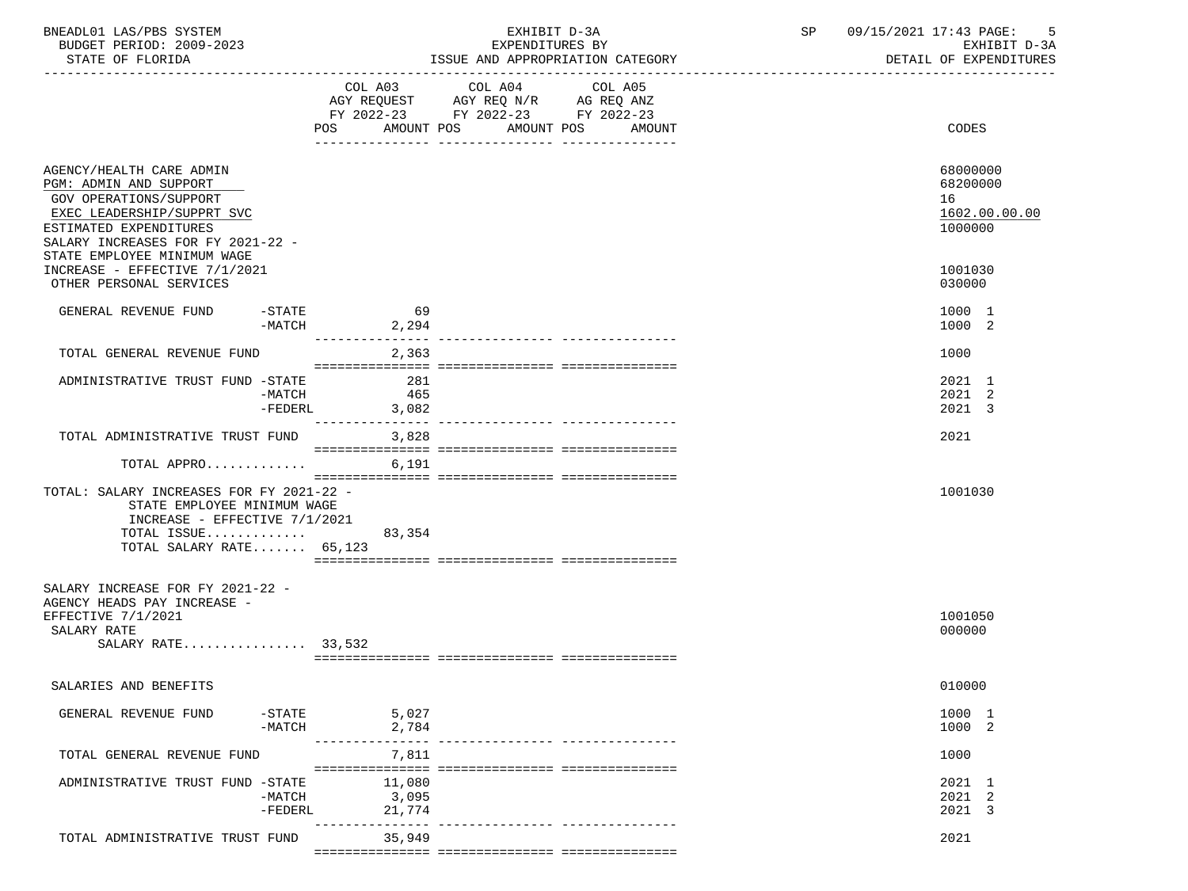| BNEADL01 LAS/PBS SYSTEM<br>BUDGET PERIOD: 2009-2023<br>STATE OF FLORIDA                                                                                                                                                                                              |                       |                                | EXPENDITURES BY<br>ISSUE AND APPROPRIATION CATEGORY<br>------------------------------------ | EXHIBIT D-3A                 |  | SP 09/15/2021 17:43 PAGE:<br>-5<br>EXHIBIT D-3A<br>DETAIL OF EXPENDITURES   |
|----------------------------------------------------------------------------------------------------------------------------------------------------------------------------------------------------------------------------------------------------------------------|-----------------------|--------------------------------|---------------------------------------------------------------------------------------------|------------------------------|--|-----------------------------------------------------------------------------|
|                                                                                                                                                                                                                                                                      |                       | AMOUNT POS<br>POS              | COL A03 COL A04<br>AGY REQUEST AGY REQ N/R AG REQ ANZ<br>FY 2022-23 FY 2022-23 FY 2022-23   | COL A05<br>AMOUNT POS AMOUNT |  | CODES                                                                       |
| AGENCY/HEALTH CARE ADMIN<br>PGM: ADMIN AND SUPPORT<br>GOV OPERATIONS/SUPPORT<br>EXEC LEADERSHIP/SUPPRT SVC<br>ESTIMATED EXPENDITURES<br>SALARY INCREASES FOR FY 2021-22 -<br>STATE EMPLOYEE MINIMUM WAGE<br>INCREASE - EFFECTIVE 7/1/2021<br>OTHER PERSONAL SERVICES |                       |                                |                                                                                             |                              |  | 68000000<br>68200000<br>16<br>1602.00.00.00<br>1000000<br>1001030<br>030000 |
| GENERAL REVENUE FUND                                                                                                                                                                                                                                                 | $-$ STATE             | 69<br>2,294<br>$-MATCH$        |                                                                                             |                              |  | 1000 1<br>1000 2                                                            |
| TOTAL GENERAL REVENUE FUND                                                                                                                                                                                                                                           |                       | --------------- --<br>2,363    |                                                                                             |                              |  | 1000                                                                        |
| ADMINISTRATIVE TRUST FUND -STATE                                                                                                                                                                                                                                     | -MATCH<br>$-FEDERL$   | 281<br>465<br>3,082            |                                                                                             |                              |  | 2021 1<br>2021 2<br>2021 3                                                  |
| TOTAL ADMINISTRATIVE TRUST FUND 3,828                                                                                                                                                                                                                                |                       |                                |                                                                                             |                              |  | 2021                                                                        |
| TOTAL APPRO                                                                                                                                                                                                                                                          |                       | 6,191                          |                                                                                             |                              |  |                                                                             |
| TOTAL: SALARY INCREASES FOR FY 2021-22 -<br>STATE EMPLOYEE MINIMUM WAGE<br>INCREASE - EFFECTIVE 7/1/2021<br>TOTAL ISSUE<br>TOTAL SALARY RATE $65,123$                                                                                                                |                       | 83,354                         |                                                                                             |                              |  | 1001030                                                                     |
| SALARY INCREASE FOR FY 2021-22 -<br>AGENCY HEADS PAY INCREASE -<br>EFFECTIVE 7/1/2021<br>SALARY RATE<br>SALARY RATE $33,532$                                                                                                                                         |                       |                                |                                                                                             |                              |  | 1001050<br>000000                                                           |
| SALARIES AND BENEFITS                                                                                                                                                                                                                                                |                       |                                |                                                                                             |                              |  | 010000                                                                      |
| GENERAL REVENUE FUND                                                                                                                                                                                                                                                 | $-$ STATE<br>$-MATCH$ | 5,027<br>2,784<br>---------- - |                                                                                             |                              |  | 1000 1<br>1000 2                                                            |
| TOTAL GENERAL REVENUE FUND                                                                                                                                                                                                                                           |                       | 7,811                          |                                                                                             |                              |  | 1000                                                                        |
| ADMINISTRATIVE TRUST FUND -STATE                                                                                                                                                                                                                                     | $-MATCH$<br>$-FEDERL$ | 11,080<br>3,095<br>21,774      |                                                                                             |                              |  | 2021 1<br>2021 2<br>2021 3                                                  |
| TOTAL ADMINISTRATIVE TRUST FUND                                                                                                                                                                                                                                      |                       | ---------<br>35,949            |                                                                                             |                              |  | 2021                                                                        |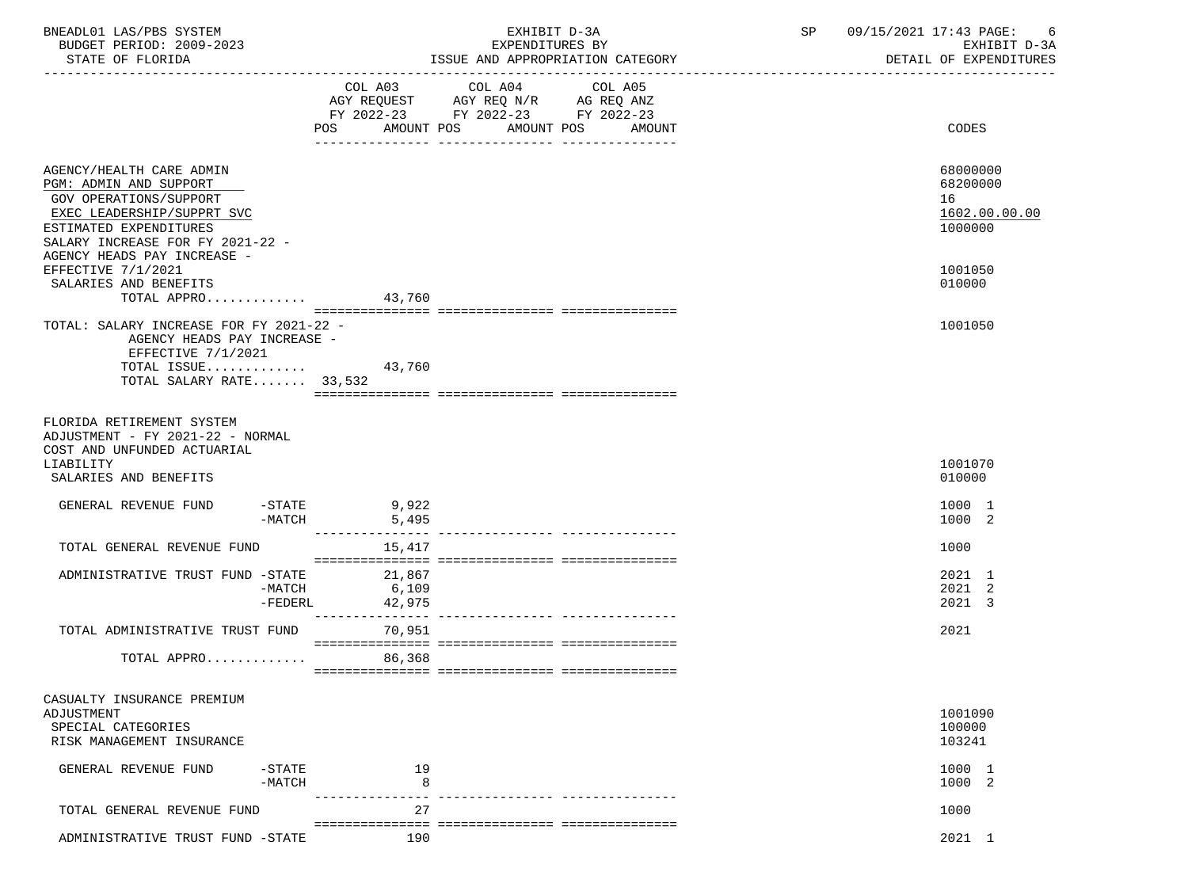| BNEADL01 LAS/PBS SYSTEM<br>BUDGET PERIOD: 2009-2023                                          |                | EXHIBIT D-3A<br>EXPENDITURES BY                                                                                                         | 09/15/2021 17:43 PAGE:<br>SP<br>-6<br>EXHIBIT D-3A |
|----------------------------------------------------------------------------------------------|----------------|-----------------------------------------------------------------------------------------------------------------------------------------|----------------------------------------------------|
| STATE OF FLORIDA                                                                             |                | ISSUE AND APPROPRIATION CATEGORY                                                                                                        | DETAIL OF EXPENDITURES                             |
|                                                                                              | POS            | COL A03 COL A04<br>COL A05<br>AGY REQUEST AGY REQ N/R AG REQ ANZ<br>FY 2022-23 FY 2022-23 FY 2022-23<br>AMOUNT POS AMOUNT POS<br>AMOUNT | CODES                                              |
|                                                                                              |                |                                                                                                                                         |                                                    |
| AGENCY/HEALTH CARE ADMIN<br>PGM: ADMIN AND SUPPORT                                           |                |                                                                                                                                         | 68000000<br>68200000                               |
| GOV OPERATIONS/SUPPORT                                                                       |                |                                                                                                                                         | 16                                                 |
| EXEC LEADERSHIP/SUPPRT SVC                                                                   |                |                                                                                                                                         | 1602.00.00.00                                      |
| ESTIMATED EXPENDITURES                                                                       |                |                                                                                                                                         | 1000000                                            |
| SALARY INCREASE FOR FY 2021-22 -                                                             |                |                                                                                                                                         |                                                    |
| AGENCY HEADS PAY INCREASE -                                                                  |                |                                                                                                                                         |                                                    |
| EFFECTIVE 7/1/2021                                                                           |                |                                                                                                                                         | 1001050                                            |
| SALARIES AND BENEFITS<br>TOTAL APPRO 43,760                                                  |                |                                                                                                                                         | 010000                                             |
|                                                                                              |                |                                                                                                                                         |                                                    |
| TOTAL: SALARY INCREASE FOR FY 2021-22 -                                                      |                |                                                                                                                                         | 1001050                                            |
| AGENCY HEADS PAY INCREASE -                                                                  |                |                                                                                                                                         |                                                    |
| EFFECTIVE 7/1/2021                                                                           |                |                                                                                                                                         |                                                    |
| TOTAL ISSUE                                                                                  | 43,760         |                                                                                                                                         |                                                    |
| TOTAL SALARY RATE 33,532                                                                     |                |                                                                                                                                         |                                                    |
| FLORIDA RETIREMENT SYSTEM<br>ADJUSTMENT - FY 2021-22 - NORMAL<br>COST AND UNFUNDED ACTUARIAL |                |                                                                                                                                         |                                                    |
| LIABILITY<br>SALARIES AND BENEFITS                                                           |                |                                                                                                                                         | 1001070<br>010000                                  |
| GENERAL REVENUE FUND                                                                         | $-STATE$ 9,922 |                                                                                                                                         | 1000 1                                             |
|                                                                                              | $-MATCH$ 5,495 |                                                                                                                                         | 1000 2                                             |
|                                                                                              |                |                                                                                                                                         |                                                    |
| TOTAL GENERAL REVENUE FUND                                                                   | 15,417         |                                                                                                                                         | 1000                                               |
|                                                                                              |                |                                                                                                                                         | 2021 1                                             |
| ADMINISTRATIVE TRUST FUND -STATE 21,867<br>-MATCH                                            | 6,109          |                                                                                                                                         | 2021 2                                             |
| -FEDERL                                                                                      | 42,975         |                                                                                                                                         | 2021 3                                             |
|                                                                                              |                |                                                                                                                                         |                                                    |
| TOTAL ADMINISTRATIVE TRUST FUND                                                              | 70,951         |                                                                                                                                         | 2021                                               |
| TOTAL APPRO 86,368                                                                           |                |                                                                                                                                         |                                                    |
| CASUALTY INSURANCE PREMIUM                                                                   |                |                                                                                                                                         |                                                    |
| ADJUSTMENT                                                                                   |                |                                                                                                                                         | 1001090                                            |
| SPECIAL CATEGORIES                                                                           |                |                                                                                                                                         | 100000                                             |
| RISK MANAGEMENT INSURANCE                                                                    |                |                                                                                                                                         | 103241                                             |
| GENERAL REVENUE FUND<br>$-$ STATE                                                            | 19             |                                                                                                                                         | 1000 1                                             |
| $-MATCH$                                                                                     | 8              |                                                                                                                                         | 1000 2                                             |
| TOTAL GENERAL REVENUE FUND                                                                   | 27             |                                                                                                                                         | 1000                                               |
|                                                                                              |                |                                                                                                                                         |                                                    |
| ADMINISTRATIVE TRUST FUND -STATE                                                             | 190            |                                                                                                                                         | 2021 1                                             |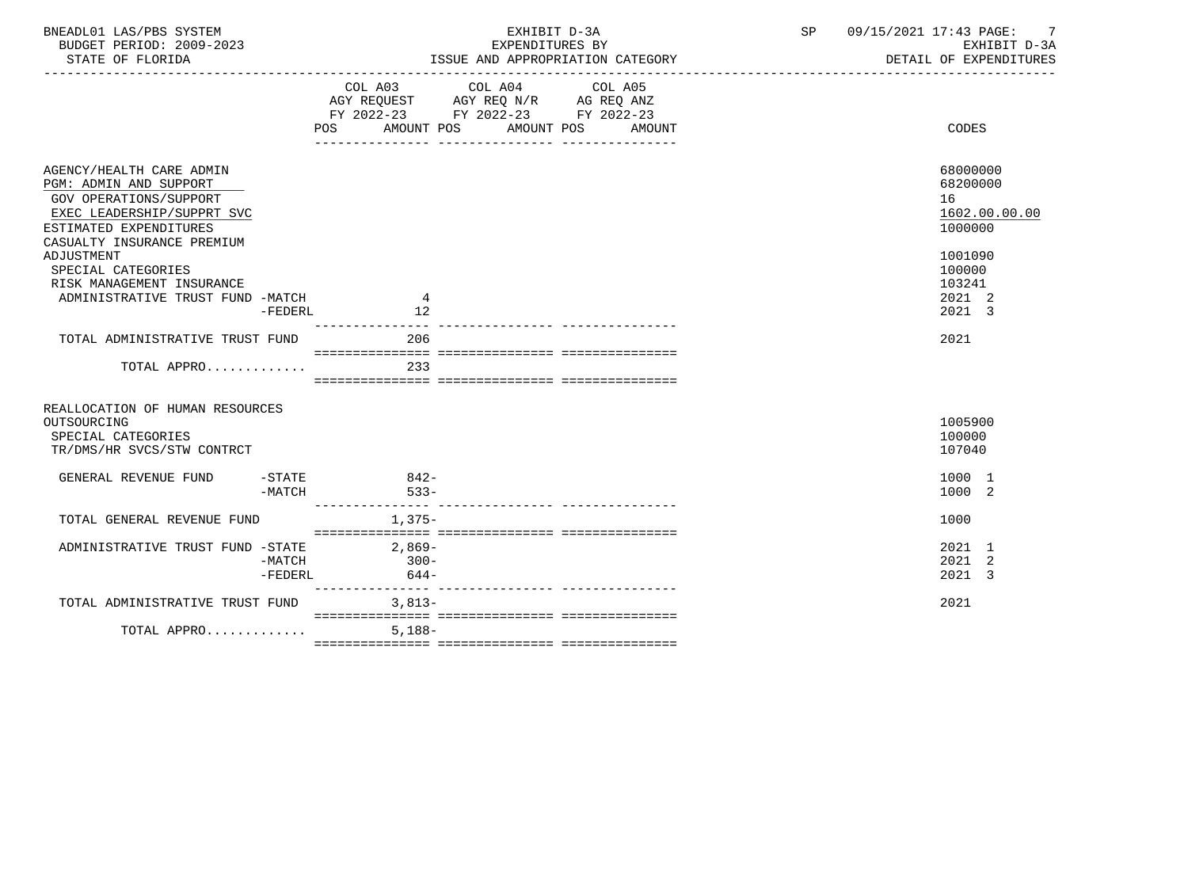| COL A03 COL A04 COL A05<br>AGY REQUEST AGY REQ N/R AG REQ ANZ<br>FY 2022-23 FY 2022-23 FY 2022-23<br>AMOUNT POS AMOUNT POS<br><b>CODES</b><br>POS<br>AMOUNT<br>68000000<br>AGENCY/HEALTH CARE ADMIN<br>PGM: ADMIN AND SUPPORT<br>68200000<br><b>GOV OPERATIONS/SUPPORT</b><br>16<br>EXEC LEADERSHIP/SUPPRT SVC<br>1000000<br>ESTIMATED EXPENDITURES<br>CASUALTY INSURANCE PREMIUM<br>ADJUSTMENT<br>1001090<br>100000<br>SPECIAL CATEGORIES<br>103241<br>RISK MANAGEMENT INSURANCE<br>2021 2<br>ADMINISTRATIVE TRUST FUND -MATCH<br>4<br>2021 3<br>12<br>$-FEDERL$<br>206<br>2021<br>TOTAL ADMINISTRATIVE TRUST FUND<br>233<br>TOTAL APPRO<br>REALLOCATION OF HUMAN RESOURCES<br>1005900<br>OUTSOURCING<br>100000<br>SPECIAL CATEGORIES<br>TR/DMS/HR SVCS/STW CONTRCT<br>107040<br>1000 1<br>GENERAL REVENUE FUND<br>$-STATE$ 842-<br>$533 -$<br>1000 2<br>$-MATCH$<br>TOTAL GENERAL REVENUE FUND<br>1,375-<br>1000<br>$2,869-$<br>2021 1<br>ADMINISTRATIVE TRUST FUND -STATE<br>$300 -$<br>2021 2<br>-MATCH<br>2021 3<br>644-<br>-FEDERL<br>$3.813-$<br>2021<br>TOTAL ADMINISTRATIVE TRUST FUND<br>TOTAL APPRO<br>$5.188 -$ | BNEADL01 LAS/PBS SYSTEM<br>BUDGET PERIOD: 2009-2023 |  | EXPENDITURES BY | EXHIBIT D-3A | SP | 09/15/2021 17:43 PAGE: 7<br>EXHIBIT D-3A |
|-----------------------------------------------------------------------------------------------------------------------------------------------------------------------------------------------------------------------------------------------------------------------------------------------------------------------------------------------------------------------------------------------------------------------------------------------------------------------------------------------------------------------------------------------------------------------------------------------------------------------------------------------------------------------------------------------------------------------------------------------------------------------------------------------------------------------------------------------------------------------------------------------------------------------------------------------------------------------------------------------------------------------------------------------------------------------------------------------------------------------------|-----------------------------------------------------|--|-----------------|--------------|----|------------------------------------------|
|                                                                                                                                                                                                                                                                                                                                                                                                                                                                                                                                                                                                                                                                                                                                                                                                                                                                                                                                                                                                                                                                                                                             |                                                     |  |                 |              |    |                                          |
|                                                                                                                                                                                                                                                                                                                                                                                                                                                                                                                                                                                                                                                                                                                                                                                                                                                                                                                                                                                                                                                                                                                             |                                                     |  |                 |              |    | 1602.00.00.00                            |
|                                                                                                                                                                                                                                                                                                                                                                                                                                                                                                                                                                                                                                                                                                                                                                                                                                                                                                                                                                                                                                                                                                                             |                                                     |  |                 |              |    |                                          |
|                                                                                                                                                                                                                                                                                                                                                                                                                                                                                                                                                                                                                                                                                                                                                                                                                                                                                                                                                                                                                                                                                                                             |                                                     |  |                 |              |    |                                          |
|                                                                                                                                                                                                                                                                                                                                                                                                                                                                                                                                                                                                                                                                                                                                                                                                                                                                                                                                                                                                                                                                                                                             |                                                     |  |                 |              |    |                                          |
|                                                                                                                                                                                                                                                                                                                                                                                                                                                                                                                                                                                                                                                                                                                                                                                                                                                                                                                                                                                                                                                                                                                             |                                                     |  |                 |              |    |                                          |
|                                                                                                                                                                                                                                                                                                                                                                                                                                                                                                                                                                                                                                                                                                                                                                                                                                                                                                                                                                                                                                                                                                                             |                                                     |  |                 |              |    |                                          |
|                                                                                                                                                                                                                                                                                                                                                                                                                                                                                                                                                                                                                                                                                                                                                                                                                                                                                                                                                                                                                                                                                                                             |                                                     |  |                 |              |    |                                          |
|                                                                                                                                                                                                                                                                                                                                                                                                                                                                                                                                                                                                                                                                                                                                                                                                                                                                                                                                                                                                                                                                                                                             |                                                     |  |                 |              |    |                                          |
|                                                                                                                                                                                                                                                                                                                                                                                                                                                                                                                                                                                                                                                                                                                                                                                                                                                                                                                                                                                                                                                                                                                             |                                                     |  |                 |              |    |                                          |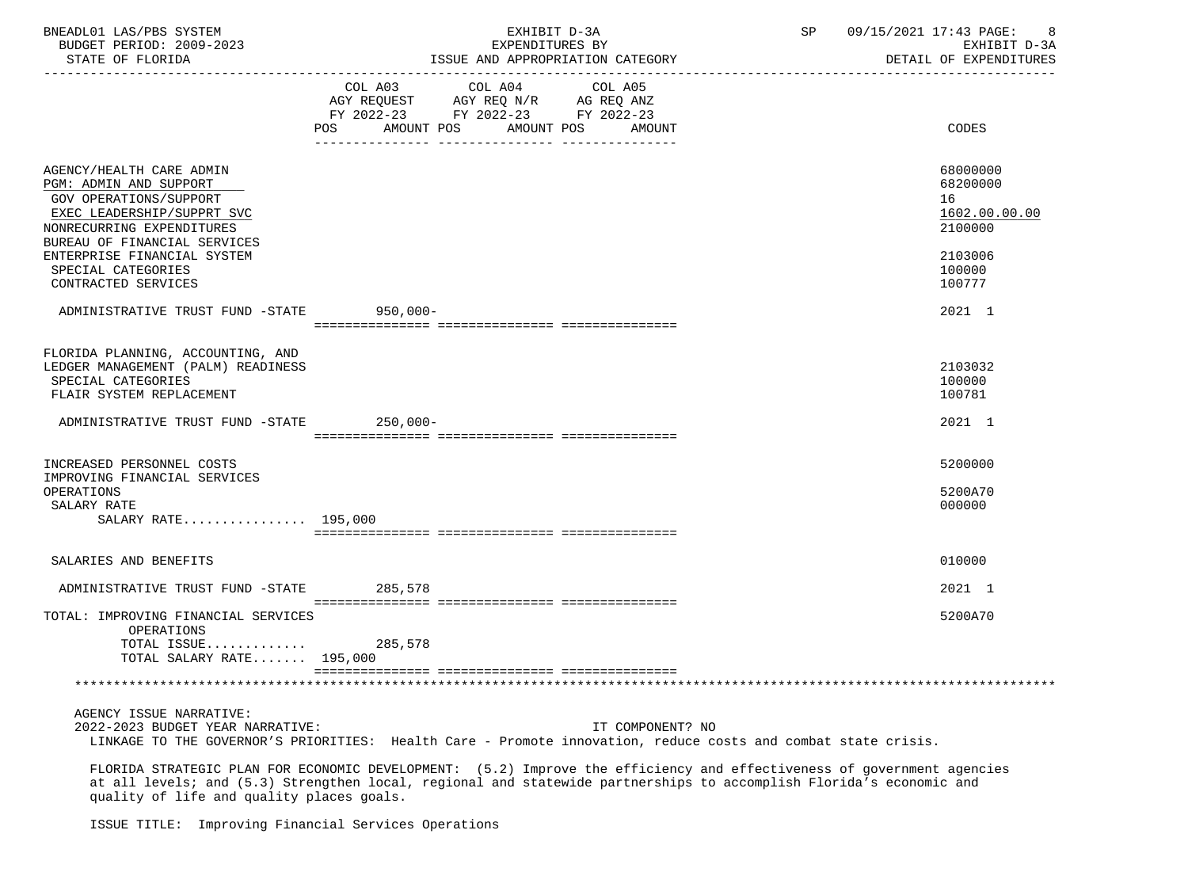| BNEADL01 LAS/PBS SYSTEM<br>BUDGET PERIOD: 2009-2023<br>STATE OF FLORIDA                                                                                                 | EXHIBIT D-3A<br>EXPENDITURES BY<br>ISSUE AND APPROPRIATION CATEGORY                                                                            | 09/15/2021 17:43 PAGE:<br>SP<br>8<br>EXHIBIT D-3A<br>DETAIL OF EXPENDITURES |
|-------------------------------------------------------------------------------------------------------------------------------------------------------------------------|------------------------------------------------------------------------------------------------------------------------------------------------|-----------------------------------------------------------------------------|
|                                                                                                                                                                         | COL A03 COL A04 COL A05<br>AGY REQUEST AGY REQ N/R AG REQ ANZ<br>FY 2022-23 FY 2022-23 FY 2022-23<br>AMOUNT POS<br>AMOUNT POS<br>POS<br>AMOUNT | CODES                                                                       |
| AGENCY/HEALTH CARE ADMIN<br>PGM: ADMIN AND SUPPORT<br>GOV OPERATIONS/SUPPORT<br>EXEC LEADERSHIP/SUPPRT SVC<br>NONRECURRING EXPENDITURES<br>BUREAU OF FINANCIAL SERVICES |                                                                                                                                                | 68000000<br>68200000<br>16<br>1602.00.00.00<br>2100000                      |
| ENTERPRISE FINANCIAL SYSTEM<br>SPECIAL CATEGORIES<br>CONTRACTED SERVICES                                                                                                |                                                                                                                                                | 2103006<br>100000<br>100777                                                 |
| ADMINISTRATIVE TRUST FUND -STATE                                                                                                                                        | 950,000-                                                                                                                                       | 2021 1                                                                      |
| FLORIDA PLANNING, ACCOUNTING, AND<br>LEDGER MANAGEMENT (PALM) READINESS<br>SPECIAL CATEGORIES<br>FLAIR SYSTEM REPLACEMENT                                               |                                                                                                                                                | 2103032<br>100000<br>100781                                                 |
| ADMINISTRATIVE TRUST FUND -STATE 250,000-                                                                                                                               |                                                                                                                                                | 2021 1                                                                      |
| INCREASED PERSONNEL COSTS<br>IMPROVING FINANCIAL SERVICES                                                                                                               |                                                                                                                                                | 5200000                                                                     |
| OPERATIONS<br>SALARY RATE<br>SALARY RATE 195,000                                                                                                                        |                                                                                                                                                | 5200A70<br>000000                                                           |
| SALARIES AND BENEFITS                                                                                                                                                   |                                                                                                                                                | 010000                                                                      |
| ADMINISTRATIVE TRUST FUND -STATE 285,578                                                                                                                                |                                                                                                                                                | 2021 1                                                                      |
| TOTAL: IMPROVING FINANCIAL SERVICES<br>OPERATIONS<br>TOTAL ISSUE 285,578<br>TOTAL SALARY RATE 195,000                                                                   |                                                                                                                                                | 5200A70                                                                     |
|                                                                                                                                                                         |                                                                                                                                                |                                                                             |
| AGENCY ISSUE NARRATIVE:<br>2022-2023 BUDGET YEAR NARRATIVE:                                                                                                             | IT COMPONENT? NO<br>LINKAGE TO THE GOVERNOR'S PRIORITIES: Health Care - Promote innovation, reduce costs and combat state crisis.              |                                                                             |

 FLORIDA STRATEGIC PLAN FOR ECONOMIC DEVELOPMENT: (5.2) Improve the efficiency and effectiveness of government agencies at all levels; and (5.3) Strengthen local, regional and statewide partnerships to accomplish Florida's economic and quality of life and quality places goals.

ISSUE TITLE: Improving Financial Services Operations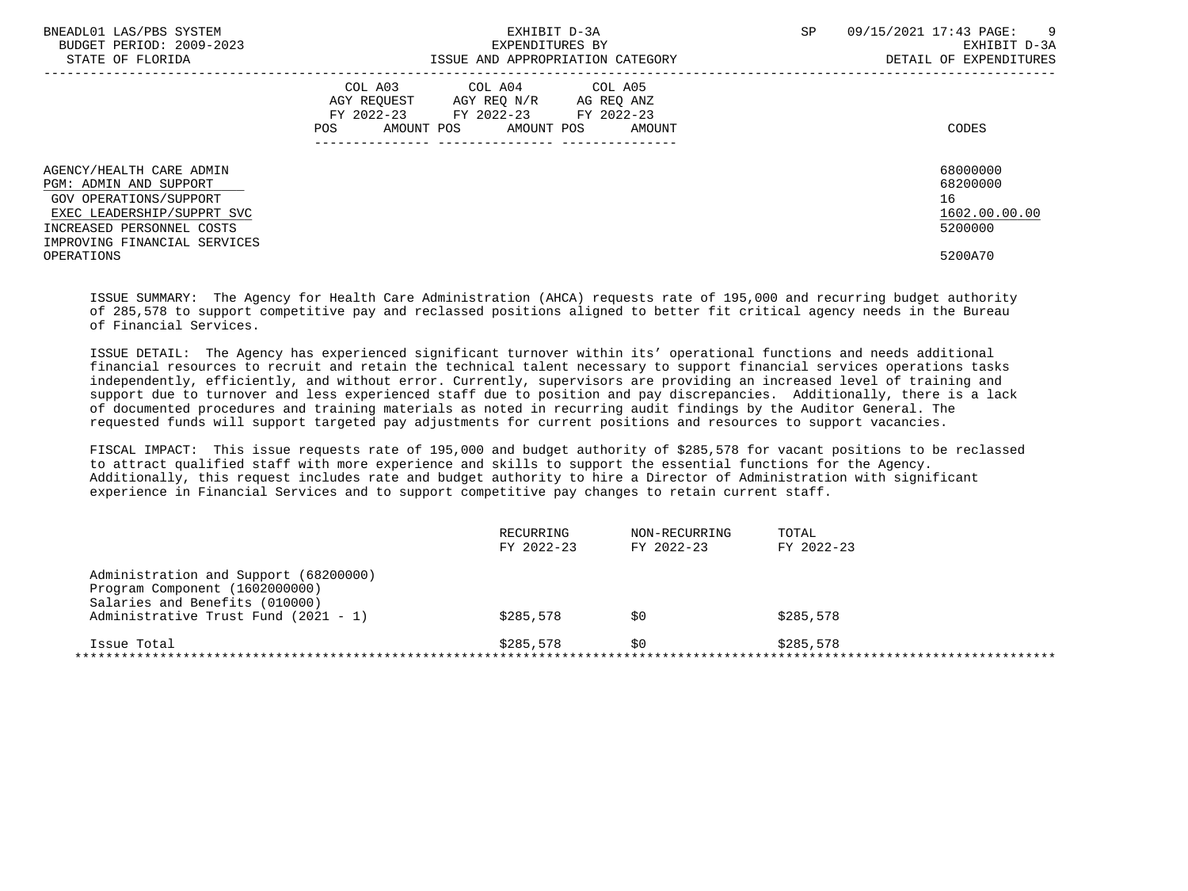| BNEADL01 LAS/PBS SYSTEM<br>BUDGET PERIOD: 2009-2023<br>STATE OF FLORIDA                               | EXHIBIT D-3A<br>EXPENDITURES BY<br>ISSUE AND APPROPRIATION CATEGORY                                                                               | <b>SP</b><br>09/15/2021 17:43 PAGE:<br>$\overline{9}$<br>EXHIBIT D-3A<br>DETAIL OF EXPENDITURES |
|-------------------------------------------------------------------------------------------------------|---------------------------------------------------------------------------------------------------------------------------------------------------|-------------------------------------------------------------------------------------------------|
|                                                                                                       | COL A03<br>COL A04 COL A05<br>AGY REO N/R AG REO ANZ<br>AGY REOUEST<br>FY 2022-23 FY 2022-23 FY 2022-23<br>POS<br>AMOUNT POS AMOUNT POS<br>AMOUNT | CODES                                                                                           |
| AGENCY/HEALTH CARE ADMIN<br>PGM: ADMIN AND SUPPORT<br>GOV OPERATIONS/SUPPORT                          |                                                                                                                                                   | 68000000<br>68200000<br>16<br>1602.00.00.00                                                     |
| EXEC LEADERSHIP/SUPPRT SVC<br>INCREASED PERSONNEL COSTS<br>IMPROVING FINANCIAL SERVICES<br>OPERATIONS |                                                                                                                                                   | 5200000<br>5200A70                                                                              |

 ISSUE SUMMARY: The Agency for Health Care Administration (AHCA) requests rate of 195,000 and recurring budget authority of 285,578 to support competitive pay and reclassed positions aligned to better fit critical agency needs in the Bureau of Financial Services.

 ISSUE DETAIL: The Agency has experienced significant turnover within its' operational functions and needs additional financial resources to recruit and retain the technical talent necessary to support financial services operations tasks independently, efficiently, and without error. Currently, supervisors are providing an increased level of training and support due to turnover and less experienced staff due to position and pay discrepancies. Additionally, there is a lack of documented procedures and training materials as noted in recurring audit findings by the Auditor General. The requested funds will support targeted pay adjustments for current positions and resources to support vacancies.

 FISCAL IMPACT: This issue requests rate of 195,000 and budget authority of \$285,578 for vacant positions to be reclassed to attract qualified staff with more experience and skills to support the essential functions for the Agency. Additionally, this request includes rate and budget authority to hire a Director of Administration with significant experience in Financial Services and to support competitive pay changes to retain current staff.

| RECURRING<br>FY 2022-23 | NON-RECURRING<br>FY 2022-23 | TOTAL<br>FY 2022-23 |
|-------------------------|-----------------------------|---------------------|
|                         |                             |                     |
|                         |                             |                     |
|                         |                             |                     |
| \$285,578               | SO.                         | \$285,578           |
| \$285,578               | S0                          | \$285,578           |
|                         |                             |                     |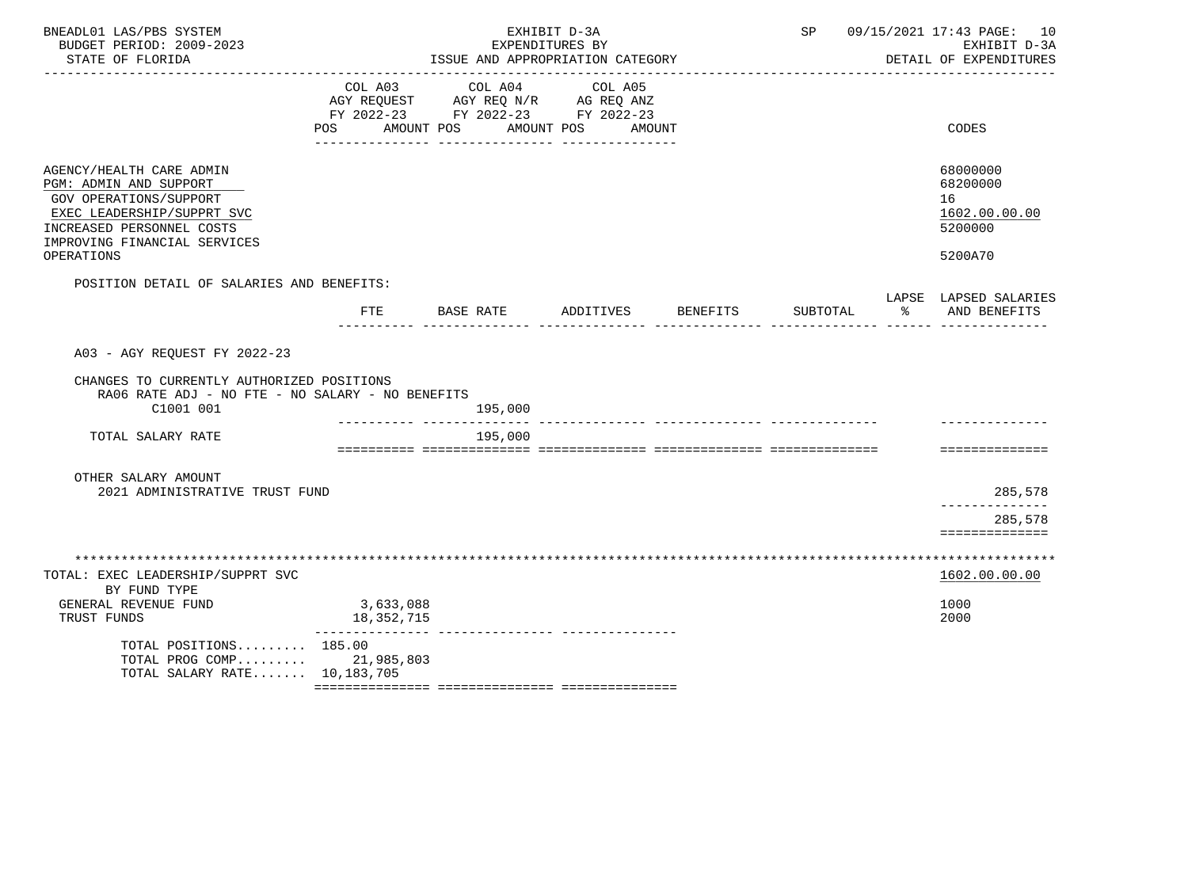| BNEADL01 LAS/PBS SYSTEM<br>BUDGET PERIOD: 2009-2023<br>STATE OF FLORIDA                                                                                                               |                               | ISSUE AND APPROPRIATION CATEGORY                                                  | EXHIBIT D-3A<br>EXPENDITURES BY |          |            | SP 09/15/2021 17:43 PAGE: 10<br>EXHIBIT D-3A<br>DETAIL OF EXPENDITURES |
|---------------------------------------------------------------------------------------------------------------------------------------------------------------------------------------|-------------------------------|-----------------------------------------------------------------------------------|---------------------------------|----------|------------|------------------------------------------------------------------------|
|                                                                                                                                                                                       | COL A03<br>POS AMOUNT POS     | COL A04<br>AGY REQUEST AGY REQ N/R AG REQ ANZ<br>FY 2022-23 FY 2022-23 FY 2022-23 | COL A05<br>AMOUNT POS AMOUNT    |          |            | CODES                                                                  |
| AGENCY/HEALTH CARE ADMIN<br>PGM: ADMIN AND SUPPORT<br>GOV OPERATIONS/SUPPORT<br>EXEC LEADERSHIP/SUPPRT SVC<br>INCREASED PERSONNEL COSTS<br>IMPROVING FINANCIAL SERVICES<br>OPERATIONS |                               |                                                                                   |                                 |          |            | 68000000<br>68200000<br>16<br>1602.00.00.00<br>5200000<br>5200A70      |
| POSITION DETAIL OF SALARIES AND BENEFITS:                                                                                                                                             | FTE                           | BASE RATE ADDITIVES                                                               |                                 | BENEFITS | SUBTOTAL % | LAPSE LAPSED SALARIES<br>AND BENEFITS                                  |
| A03 - AGY REQUEST FY 2022-23<br>CHANGES TO CURRENTLY AUTHORIZED POSITIONS<br>RA06 RATE ADJ - NO FTE - NO SALARY - NO BENEFITS<br>C1001 001                                            |                               | 195,000                                                                           |                                 |          |            |                                                                        |
| TOTAL SALARY RATE                                                                                                                                                                     |                               | 195,000                                                                           |                                 |          |            | ==============                                                         |
| OTHER SALARY AMOUNT<br>2021 ADMINISTRATIVE TRUST FUND                                                                                                                                 |                               |                                                                                   |                                 |          |            | 285,578<br>______________<br>285,578<br>==============                 |
| TOTAL: EXEC LEADERSHIP/SUPPRT SVC<br>BY FUND TYPE<br>GENERAL REVENUE FUND                                                                                                             | 3,633,088                     |                                                                                   |                                 |          |            | 1602.00.00.00<br>1000                                                  |
| TRUST FUNDS<br>TOTAL POSITIONS 185.00<br>TOTAL PROG COMP 21,985,803<br>TOTAL SALARY RATE 10,183,705                                                                                   | 18,352,715<br>_______________ |                                                                                   |                                 |          |            | 2000                                                                   |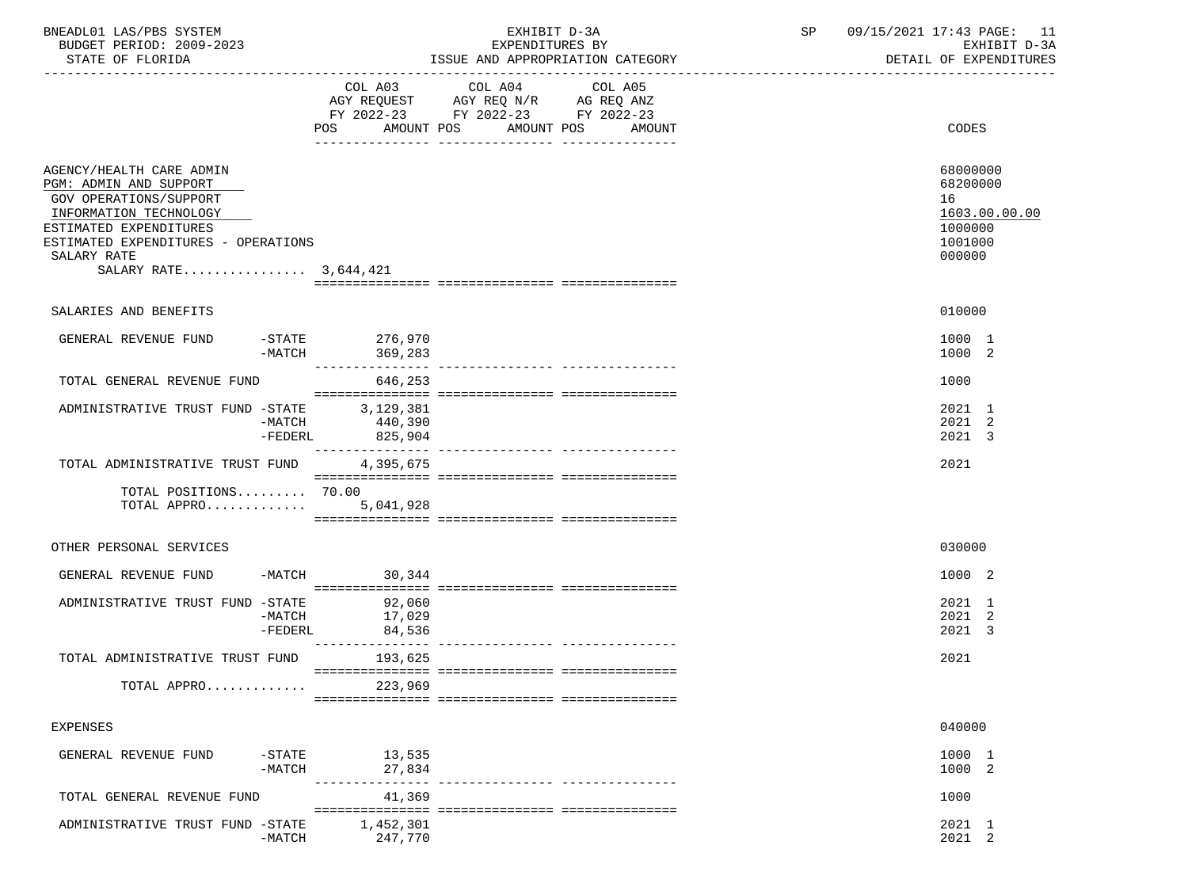| BNEADL01 LAS/PBS SYSTEM<br>BUDGET PERIOD: 2009-2023<br>STATE OF FLORIDA                                                                                                                                         |                                           | EXHIBIT D-3A<br>EXPENDITURES BY<br>ISSUE AND APPROPRIATION CATEGORY                                                                  | SP and the set of the set of the set of the set of the set of the set of the set of the set of the set of the s | 09/15/2021 17:43 PAGE: 11<br>EXHIBIT D-3A<br>DETAIL OF EXPENDITURES         |
|-----------------------------------------------------------------------------------------------------------------------------------------------------------------------------------------------------------------|-------------------------------------------|--------------------------------------------------------------------------------------------------------------------------------------|-----------------------------------------------------------------------------------------------------------------|-----------------------------------------------------------------------------|
|                                                                                                                                                                                                                 | POS                                       | COL A03 COL A04 COL A05<br>AGY REQUEST AGY REQ N/R AG REQ ANZ<br>FY 2022-23 FY 2022-23 FY 2022-23<br>AMOUNT POS AMOUNT POS<br>AMOUNT |                                                                                                                 | CODES                                                                       |
| AGENCY/HEALTH CARE ADMIN<br>PGM: ADMIN AND SUPPORT<br>GOV OPERATIONS/SUPPORT<br>INFORMATION TECHNOLOGY<br>ESTIMATED EXPENDITURES<br>ESTIMATED EXPENDITURES - OPERATIONS<br>SALARY RATE<br>SALARY RATE 3,644,421 |                                           |                                                                                                                                      |                                                                                                                 | 68000000<br>68200000<br>16<br>1603.00.00.00<br>1000000<br>1001000<br>000000 |
|                                                                                                                                                                                                                 |                                           |                                                                                                                                      |                                                                                                                 |                                                                             |
| SALARIES AND BENEFITS                                                                                                                                                                                           |                                           |                                                                                                                                      |                                                                                                                 | 010000                                                                      |
| GENERAL REVENUE FUND -STATE 276,970                                                                                                                                                                             | -MATCH                                    |                                                                                                                                      |                                                                                                                 | 1000 1<br>1000 2                                                            |
| TOTAL GENERAL REVENUE FUND                                                                                                                                                                                      | 646,253                                   |                                                                                                                                      |                                                                                                                 | 1000                                                                        |
| ADMINISTRATIVE TRUST FUND -STATE 3, 129, 381                                                                                                                                                                    | -MATCH<br>440,390<br>825,904<br>$-FEDERL$ |                                                                                                                                      |                                                                                                                 | 2021 1<br>2021 2<br>2021 3                                                  |
| TOTAL ADMINISTRATIVE TRUST FUND                                                                                                                                                                                 | 4,395,675                                 |                                                                                                                                      |                                                                                                                 | 2021                                                                        |
| TOTAL POSITIONS 70.00<br>TOTAL APPRO 5,041,928                                                                                                                                                                  |                                           |                                                                                                                                      |                                                                                                                 |                                                                             |
| OTHER PERSONAL SERVICES                                                                                                                                                                                         |                                           |                                                                                                                                      |                                                                                                                 | 030000                                                                      |
| GENERAL REVENUE FUND                                                                                                                                                                                            | $-MATCH$ 30,344                           |                                                                                                                                      |                                                                                                                 | 1000 2                                                                      |
| ADMINISTRATIVE TRUST FUND -STATE $-$ 92,060<br>-MATCH 17,029                                                                                                                                                    | -FEDERL<br>84,536                         |                                                                                                                                      |                                                                                                                 | 2021 1<br>2021 2<br>2021 3                                                  |
| TOTAL ADMINISTRATIVE TRUST FUND 193,625                                                                                                                                                                         |                                           |                                                                                                                                      |                                                                                                                 | 2021                                                                        |
| TOTAL APPRO                                                                                                                                                                                                     | 223,969                                   |                                                                                                                                      |                                                                                                                 |                                                                             |
| EXPENSES                                                                                                                                                                                                        |                                           |                                                                                                                                      |                                                                                                                 | 040000                                                                      |
| $-$ STATE<br>GENERAL REVENUE FUND<br>$-MATCH$                                                                                                                                                                   | 13,535<br>27,834                          |                                                                                                                                      |                                                                                                                 | 1000 1<br>1000 2                                                            |
| TOTAL GENERAL REVENUE FUND                                                                                                                                                                                      | --------------<br>41,369                  |                                                                                                                                      |                                                                                                                 | 1000                                                                        |
| ADMINISTRATIVE TRUST FUND -STATE<br>$-MATCH$                                                                                                                                                                    | 1,452,301<br>247,770                      |                                                                                                                                      |                                                                                                                 | 2021 1<br>2021 2                                                            |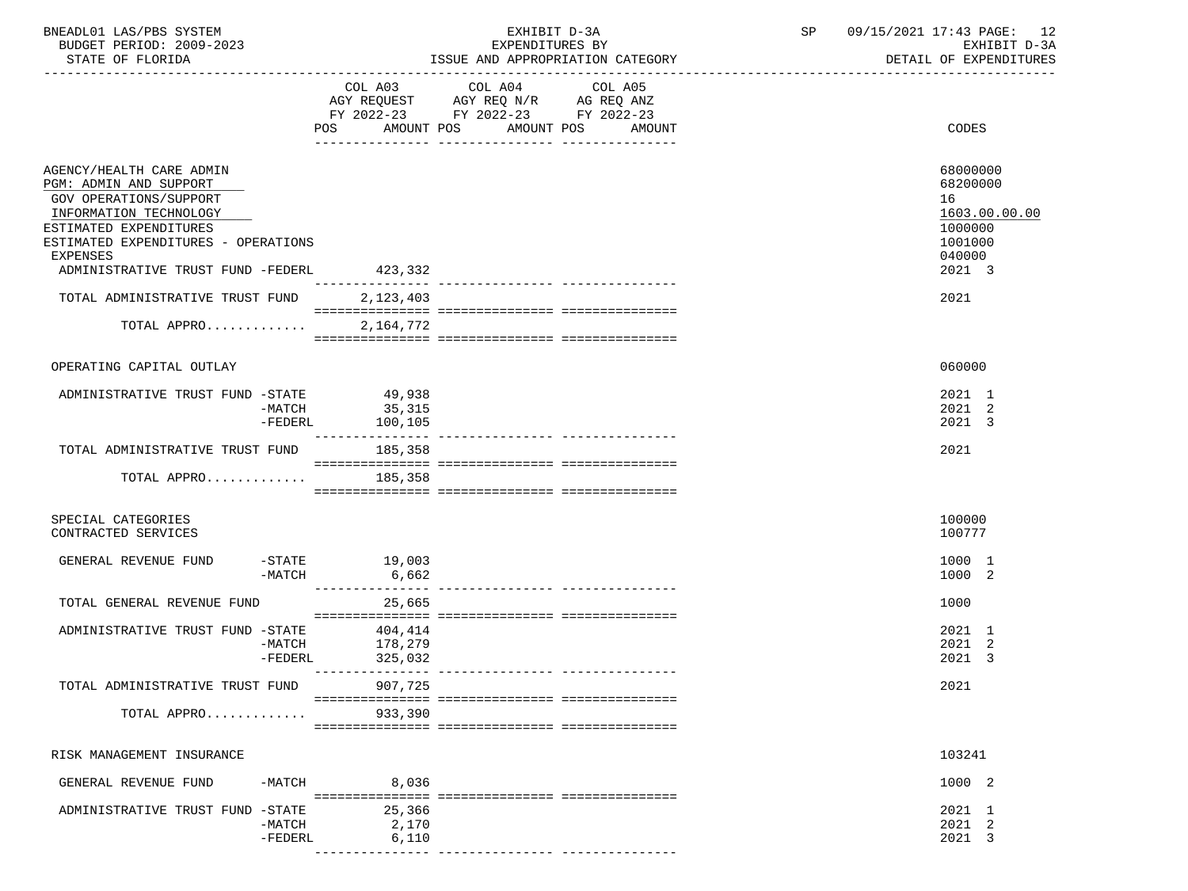| BNEADL01 LAS/PBS SYSTEM<br>BUDGET PERIOD: 2009-2023    |                             | EXHIBIT D-3A<br>EXPENDITURES BY                                                           |                                             | SP | 09/15/2021 17:43 PAGE: 12<br>EXHIBIT D-3A |
|--------------------------------------------------------|-----------------------------|-------------------------------------------------------------------------------------------|---------------------------------------------|----|-------------------------------------------|
| STATE OF FLORIDA                                       |                             |                                                                                           | ISSUE AND APPROPRIATION CATEGORY            |    | DETAIL OF EXPENDITURES                    |
|                                                        |                             | COL A03 COL A04<br>AGY REQUEST AGY REQ N/R AG REQ ANZ<br>FY 2022-23 FY 2022-23 FY 2022-23 | COL A05<br>POS AMOUNT POS AMOUNT POS AMOUNT |    | CODES                                     |
| AGENCY/HEALTH CARE ADMIN                               |                             |                                                                                           |                                             |    | 68000000                                  |
| PGM: ADMIN AND SUPPORT                                 |                             |                                                                                           |                                             |    | 68200000                                  |
| GOV OPERATIONS/SUPPORT<br>INFORMATION TECHNOLOGY       |                             |                                                                                           |                                             |    | 16<br>1603.00.00.00                       |
| ESTIMATED EXPENDITURES                                 |                             |                                                                                           |                                             |    | 1000000                                   |
| ESTIMATED EXPENDITURES - OPERATIONS<br><b>EXPENSES</b> |                             |                                                                                           |                                             |    | 1001000<br>040000                         |
| ADMINISTRATIVE TRUST FUND -FEDERL                      | 423,332                     |                                                                                           |                                             |    | 2021 3                                    |
| TOTAL ADMINISTRATIVE TRUST FUND 2,123,403              |                             |                                                                                           |                                             |    | 2021                                      |
| TOTAL APPRO 2,164,772                                  |                             |                                                                                           |                                             |    |                                           |
|                                                        |                             |                                                                                           |                                             |    |                                           |
| OPERATING CAPITAL OUTLAY                               |                             |                                                                                           |                                             |    | 060000                                    |
| ADMINISTRATIVE TRUST FUND -STATE 49,938                |                             |                                                                                           |                                             |    | 2021 1                                    |
|                                                        | -MATCH 35,315               |                                                                                           |                                             |    | 2021 2                                    |
|                                                        | -FEDERL 100,105             |                                                                                           |                                             |    | 2021 3                                    |
| TOTAL ADMINISTRATIVE TRUST FUND 185,358                |                             |                                                                                           |                                             |    | 2021                                      |
| TOTAL APPRO                                            | 185,358                     |                                                                                           |                                             |    |                                           |
|                                                        |                             |                                                                                           |                                             |    |                                           |
| SPECIAL CATEGORIES                                     |                             |                                                                                           |                                             |    | 100000                                    |
| CONTRACTED SERVICES                                    |                             |                                                                                           |                                             |    | 100777                                    |
| GENERAL REVENUE FUND -STATE 19,003                     |                             |                                                                                           |                                             |    | 1000 1                                    |
| $-MATCH$                                               | 6,662                       |                                                                                           |                                             |    | 1000 2                                    |
| TOTAL GENERAL REVENUE FUND                             | _________________<br>25,665 |                                                                                           | ---------------- ----------------           |    | 1000                                      |
|                                                        |                             |                                                                                           |                                             |    |                                           |
| ADMINISTRATIVE TRUST FUND -STATE 404,414<br>$-MATCH$   | 178,279                     |                                                                                           |                                             |    | 2021 1<br>2021 2                          |
|                                                        | -FEDERL 325,032             |                                                                                           |                                             |    | 2021 3                                    |
| TOTAL ADMINISTRATIVE TRUST FUND                        | 907,725                     |                                                                                           |                                             |    | 2021                                      |
|                                                        |                             |                                                                                           |                                             |    |                                           |
| TOTAL APPRO                                            | 933,390                     |                                                                                           |                                             |    |                                           |
|                                                        |                             |                                                                                           |                                             |    |                                           |
| RISK MANAGEMENT INSURANCE                              |                             |                                                                                           |                                             |    | 103241                                    |
| -MATCH<br>GENERAL REVENUE FUND                         | 8,036                       |                                                                                           |                                             |    | 1000 2                                    |
|                                                        |                             |                                                                                           |                                             |    |                                           |
| ADMINISTRATIVE TRUST FUND -STATE<br>$-MATCH$           | 25,366<br>2,170             |                                                                                           |                                             |    | 2021 1<br>2021 2                          |
| $-FEDERL$                                              | 6,110                       |                                                                                           |                                             |    | 2021 3                                    |
|                                                        | ---------------             | ---------------- ------------                                                             |                                             |    |                                           |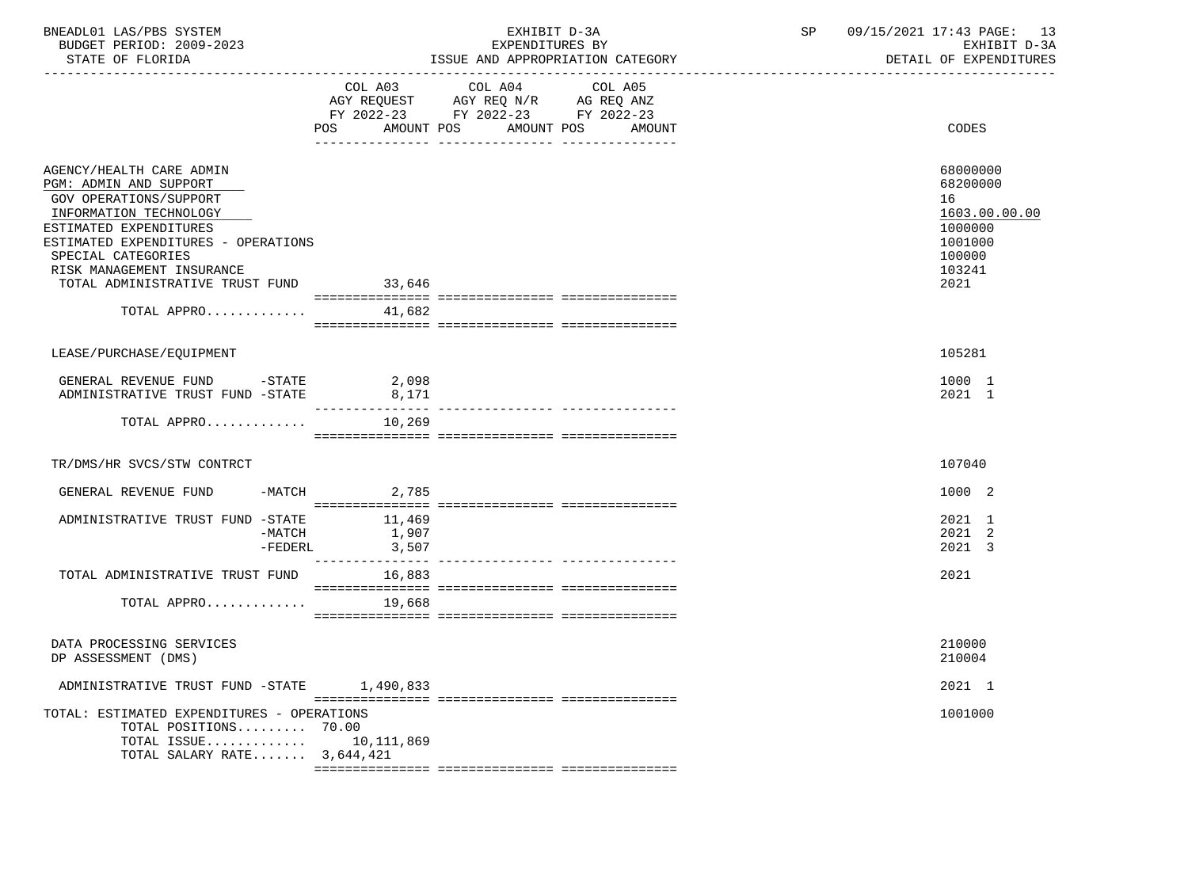| BNEADL01 LAS/PBS SYSTEM<br>BUDGET PERIOD: 2009-2023<br>STATE OF FLORIDA                                                                                                                                                                                                                      |                    | EXHIBIT D-3A<br>EXPENDITURES BY<br>ISSUE AND APPROPRIATION CATEGORY                                                                                                                                                        | SP | 09/15/2021 17:43 PAGE: 13<br>EXHIBIT D-3A<br>DETAIL OF EXPENDITURES                           |
|----------------------------------------------------------------------------------------------------------------------------------------------------------------------------------------------------------------------------------------------------------------------------------------------|--------------------|----------------------------------------------------------------------------------------------------------------------------------------------------------------------------------------------------------------------------|----|-----------------------------------------------------------------------------------------------|
|                                                                                                                                                                                                                                                                                              | COL A03            | COL A04<br>COL A05<br>$\begin{tabular}{lllllll} \bf AGY & \bf REQUEST & \bf AGY & \bf REQ & \bf N/R & \bf AG & \bf REQ & \bf ANZ \\ \end{tabular}$<br>FY 2022-23 FY 2022-23 FY 2022-23<br>POS AMOUNT POS AMOUNT POS AMOUNT |    | CODES                                                                                         |
| AGENCY/HEALTH CARE ADMIN<br>PGM: ADMIN AND SUPPORT<br>GOV OPERATIONS/SUPPORT<br>INFORMATION TECHNOLOGY<br>ESTIMATED EXPENDITURES<br>ESTIMATED EXPENDITURES - OPERATIONS<br>SPECIAL CATEGORIES<br>RISK MANAGEMENT INSURANCE<br>TOTAL ADMINISTRATIVE TRUST FUND 33,646<br>TOTAL APPRO $41,682$ |                    |                                                                                                                                                                                                                            |    | 68000000<br>68200000<br>16<br>1603.00.00.00<br>1000000<br>1001000<br>100000<br>103241<br>2021 |
| LEASE/PURCHASE/EQUIPMENT                                                                                                                                                                                                                                                                     |                    |                                                                                                                                                                                                                            |    | 105281                                                                                        |
| GENERAL REVENUE FUND -STATE<br>ADMINISTRATIVE TRUST FUND -STATE                                                                                                                                                                                                                              | 2,098<br>8,171     |                                                                                                                                                                                                                            |    | 1000 1<br>2021 1                                                                              |
| TOTAL APPRO $10,269$                                                                                                                                                                                                                                                                         |                    |                                                                                                                                                                                                                            |    |                                                                                               |
| TR/DMS/HR SVCS/STW CONTRCT                                                                                                                                                                                                                                                                   |                    |                                                                                                                                                                                                                            |    | 107040                                                                                        |
| GENERAL REVENUE FUND -MATCH 2,785                                                                                                                                                                                                                                                            |                    |                                                                                                                                                                                                                            |    | 1000 2                                                                                        |
| ADMINISTRATIVE TRUST FUND -STATE $-$ MATCH $-$ MATCH $1,907$                                                                                                                                                                                                                                 | $-FEDERL$<br>3,507 |                                                                                                                                                                                                                            |    | 2021 1<br>2021 2<br>2021 3                                                                    |
| TOTAL ADMINISTRATIVE TRUST FUND 16,883                                                                                                                                                                                                                                                       |                    |                                                                                                                                                                                                                            |    | 2021                                                                                          |
| TOTAL APPRO $19,668$                                                                                                                                                                                                                                                                         |                    |                                                                                                                                                                                                                            |    |                                                                                               |
| DATA PROCESSING SERVICES<br>DP ASSESSMENT (DMS)                                                                                                                                                                                                                                              |                    |                                                                                                                                                                                                                            |    | 210000<br>210004                                                                              |
| ADMINISTRATIVE TRUST FUND -STATE 1,490,833                                                                                                                                                                                                                                                   |                    |                                                                                                                                                                                                                            |    | 2021 1                                                                                        |
| TOTAL: ESTIMATED EXPENDITURES - OPERATIONS<br>TOTAL POSITIONS 70.00<br>TOTAL ISSUE 10,111,869<br>TOTAL SALARY RATE $3,644,421$                                                                                                                                                               |                    |                                                                                                                                                                                                                            |    | 1001000                                                                                       |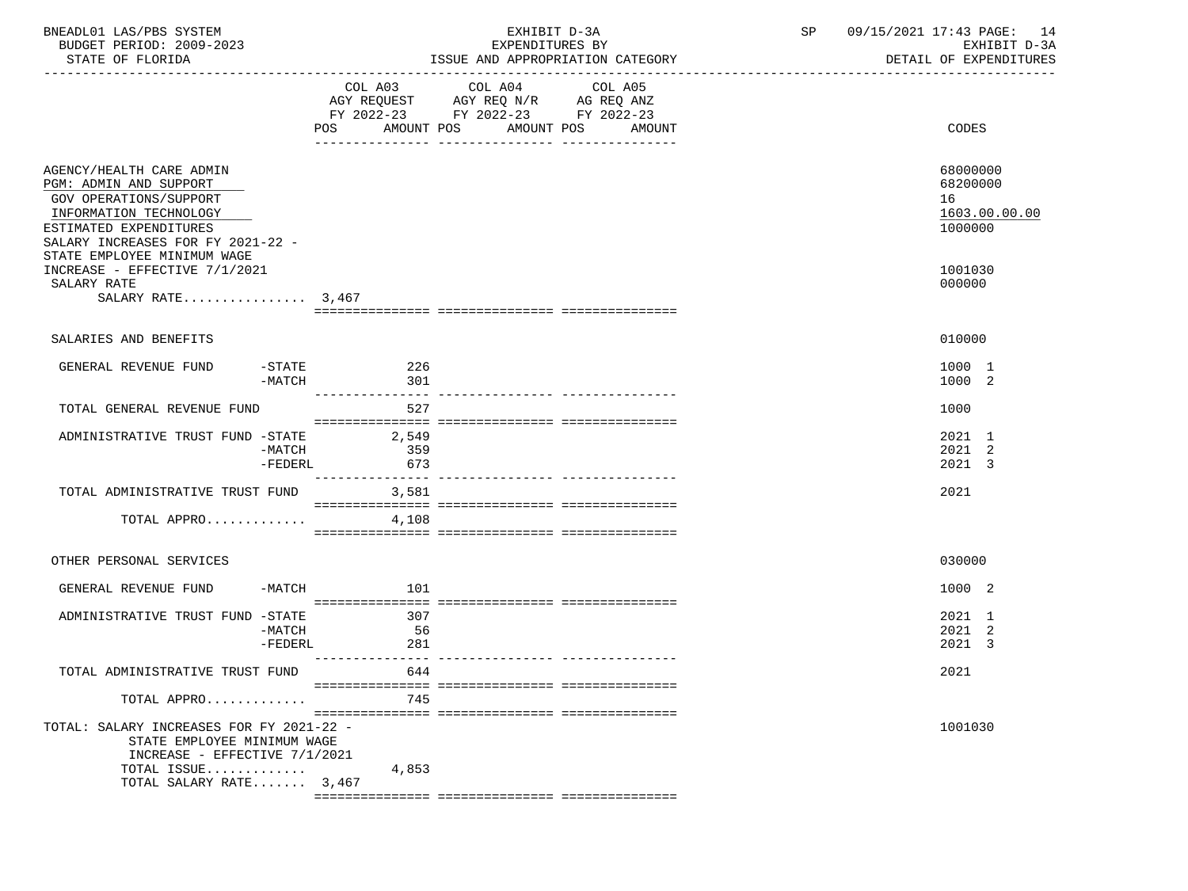| BNEADL01 LAS/PBS SYSTEM<br>BUDGET PERIOD: 2009-2023<br>STATE OF FLORIDA                                                                                                                              |                      | EXHIBIT D-3A<br>EXPENDITURES BY<br>ISSUE AND APPROPRIATION CATEGORY                                                                      | 09/15/2021 17:43 PAGE: 14<br>SP<br>EXHIBIT D-3A<br>DETAIL OF EXPENDITURES |                                                  |
|------------------------------------------------------------------------------------------------------------------------------------------------------------------------------------------------------|----------------------|------------------------------------------------------------------------------------------------------------------------------------------|---------------------------------------------------------------------------|--------------------------------------------------|
|                                                                                                                                                                                                      |                      | COL A03 COL A04<br>COL A05<br>AGY REQUEST AGY REQ N/R AG REQ ANZ<br>FY 2022-23 FY 2022-23 FY 2022-23<br>POS AMOUNT POS AMOUNT POS AMOUNT |                                                                           | CODES                                            |
| AGENCY/HEALTH CARE ADMIN<br>PGM: ADMIN AND SUPPORT<br>GOV OPERATIONS/SUPPORT<br>INFORMATION TECHNOLOGY<br>ESTIMATED EXPENDITURES<br>SALARY INCREASES FOR FY 2021-22 -<br>STATE EMPLOYEE MINIMUM WAGE |                      |                                                                                                                                          | 16                                                                        | 68000000<br>68200000<br>1603.00.00.00<br>1000000 |
| INCREASE - EFFECTIVE 7/1/2021<br>SALARY RATE<br>SALARY RATE $3,467$                                                                                                                                  |                      |                                                                                                                                          |                                                                           | 1001030<br>000000                                |
| SALARIES AND BENEFITS                                                                                                                                                                                |                      |                                                                                                                                          |                                                                           | 010000                                           |
| GENERAL REVENUE FUND<br>-MATCH                                                                                                                                                                       | $-$ STATE 226<br>301 |                                                                                                                                          |                                                                           | 1000 1<br>1000 2                                 |
| TOTAL GENERAL REVENUE FUND                                                                                                                                                                           | 527                  |                                                                                                                                          | 1000                                                                      |                                                  |
| ADMINISTRATIVE TRUST FUND -STATE 2,549<br>-MATCH<br>$-FEDERL$                                                                                                                                        | 359<br>673           |                                                                                                                                          |                                                                           | 2021 1<br>2021 2<br>2021 3                       |
| TOTAL ADMINISTRATIVE TRUST FUND 3,581                                                                                                                                                                |                      |                                                                                                                                          | 2021                                                                      |                                                  |
| TOTAL APPRO                                                                                                                                                                                          | 4,108                |                                                                                                                                          |                                                                           |                                                  |
| OTHER PERSONAL SERVICES                                                                                                                                                                              |                      |                                                                                                                                          |                                                                           | 030000                                           |
| GENERAL REVENUE FUND<br>$-MATCH$                                                                                                                                                                     | 101                  |                                                                                                                                          |                                                                           | 1000 2                                           |
| ADMINISTRATIVE TRUST FUND -STATE<br>-MATCH<br>$-FEDERL$                                                                                                                                              | 307<br>- 56<br>281   |                                                                                                                                          |                                                                           | 2021 1<br>2021 2<br>2021 3                       |
| TOTAL ADMINISTRATIVE TRUST FUND                                                                                                                                                                      | 644                  |                                                                                                                                          | 2021                                                                      |                                                  |
| TOTAL APPRO                                                                                                                                                                                          | 745                  |                                                                                                                                          |                                                                           |                                                  |
| TOTAL: SALARY INCREASES FOR FY 2021-22 -<br>STATE EMPLOYEE MINIMUM WAGE<br>INCREASE - EFFECTIVE 7/1/2021<br>TOTAL ISSUE<br>TOTAL SALARY RATE 3,467                                                   | 4,853                |                                                                                                                                          |                                                                           | 1001030                                          |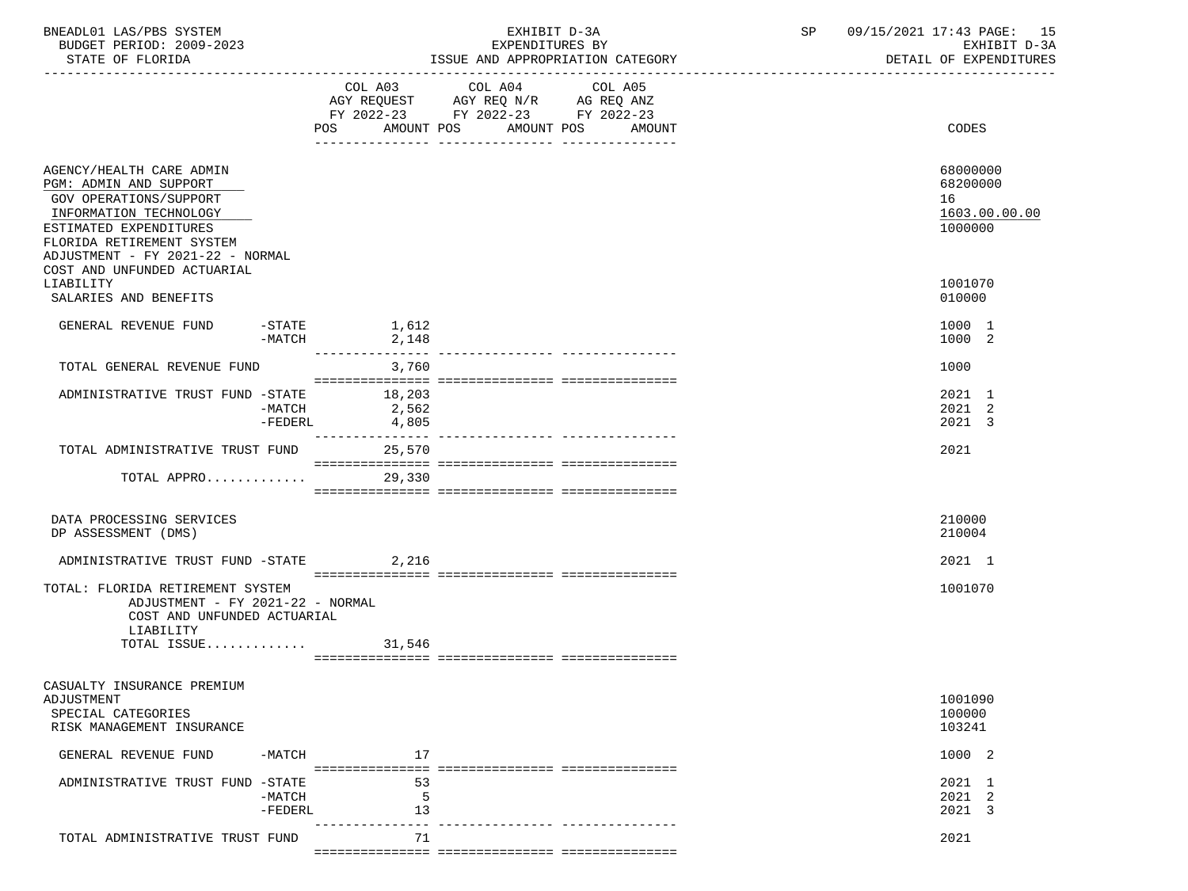| BNEADL01 LAS/PBS SYSTEM<br>BUDGET PERIOD: 2009-2023<br>STATE OF FLORIDA                                                                                                                                                          |                       |                            | EXHIBIT D-3A<br>EXPENDITURES BY<br>ISSUE AND APPROPRIATION CATEGORY               | SP 09/15/2021 17:43 PAGE: 15<br>EXHIBIT D-3A<br>DETAIL OF EXPENDITURES |
|----------------------------------------------------------------------------------------------------------------------------------------------------------------------------------------------------------------------------------|-----------------------|----------------------------|-----------------------------------------------------------------------------------|------------------------------------------------------------------------|
|                                                                                                                                                                                                                                  |                       | POS                        | FY 2022-23 FY 2022-23 FY 2022-23<br>AMOUNT POS AMOUNT POS AMOUNT<br>_____________ | CODES                                                                  |
| AGENCY/HEALTH CARE ADMIN<br>PGM: ADMIN AND SUPPORT<br>GOV OPERATIONS/SUPPORT<br>INFORMATION TECHNOLOGY<br>ESTIMATED EXPENDITURES<br>FLORIDA RETIREMENT SYSTEM<br>ADJUSTMENT - FY 2021-22 - NORMAL<br>COST AND UNFUNDED ACTUARIAL |                       |                            |                                                                                   | 68000000<br>68200000<br>16<br>1603.00.00.00<br>1000000                 |
| LIABILITY<br>SALARIES AND BENEFITS                                                                                                                                                                                               |                       |                            |                                                                                   | 1001070<br>010000                                                      |
| GENERAL REVENUE FUND                                                                                                                                                                                                             | $-MATCH$              | $-$ STATE $1,612$<br>2,148 |                                                                                   | 1000 1<br>1000 2                                                       |
| TOTAL GENERAL REVENUE FUND                                                                                                                                                                                                       |                       | 3,760                      |                                                                                   | 1000                                                                   |
| ADMINISTRATIVE TRUST FUND -STATE 18,203                                                                                                                                                                                          | $-MATCH$<br>$-FEDERL$ | 2,562<br>4,805             |                                                                                   | 2021 1<br>2021 2<br>2021 3                                             |
| TOTAL ADMINISTRATIVE TRUST FUND 25,570                                                                                                                                                                                           |                       | ---------------            |                                                                                   | 2021                                                                   |
| TOTAL APPRO 29,330                                                                                                                                                                                                               |                       |                            |                                                                                   |                                                                        |
| DATA PROCESSING SERVICES<br>DP ASSESSMENT (DMS)                                                                                                                                                                                  |                       |                            |                                                                                   | 210000<br>210004                                                       |
| ADMINISTRATIVE TRUST FUND -STATE                                                                                                                                                                                                 |                       | 2,216                      |                                                                                   | 2021 1                                                                 |
| TOTAL: FLORIDA RETIREMENT SYSTEM<br>ADJUSTMENT - FY 2021-22 - NORMAL<br>COST AND UNFUNDED ACTUARIAL<br>LIABILITY<br>TOTAL ISSUE $31,546$                                                                                         |                       |                            |                                                                                   | 1001070                                                                |
| CASUALTY INSURANCE PREMIUM<br><b>ADJUSTMENT</b><br>SPECIAL CATEGORIES<br>RISK MANAGEMENT INSURANCE                                                                                                                               |                       |                            |                                                                                   | 1001090<br>100000<br>103241                                            |
| GENERAL REVENUE FUND                                                                                                                                                                                                             | $-MATCH$              | 17                         |                                                                                   | 1000 2                                                                 |
| ADMINISTRATIVE TRUST FUND -STATE                                                                                                                                                                                                 | $-MATCH$<br>$-FEDERL$ | 53<br>5<br>13              |                                                                                   | 2021 1<br>2021 2<br>2021 3                                             |
| TOTAL ADMINISTRATIVE TRUST FUND                                                                                                                                                                                                  |                       | 71                         |                                                                                   | 2021                                                                   |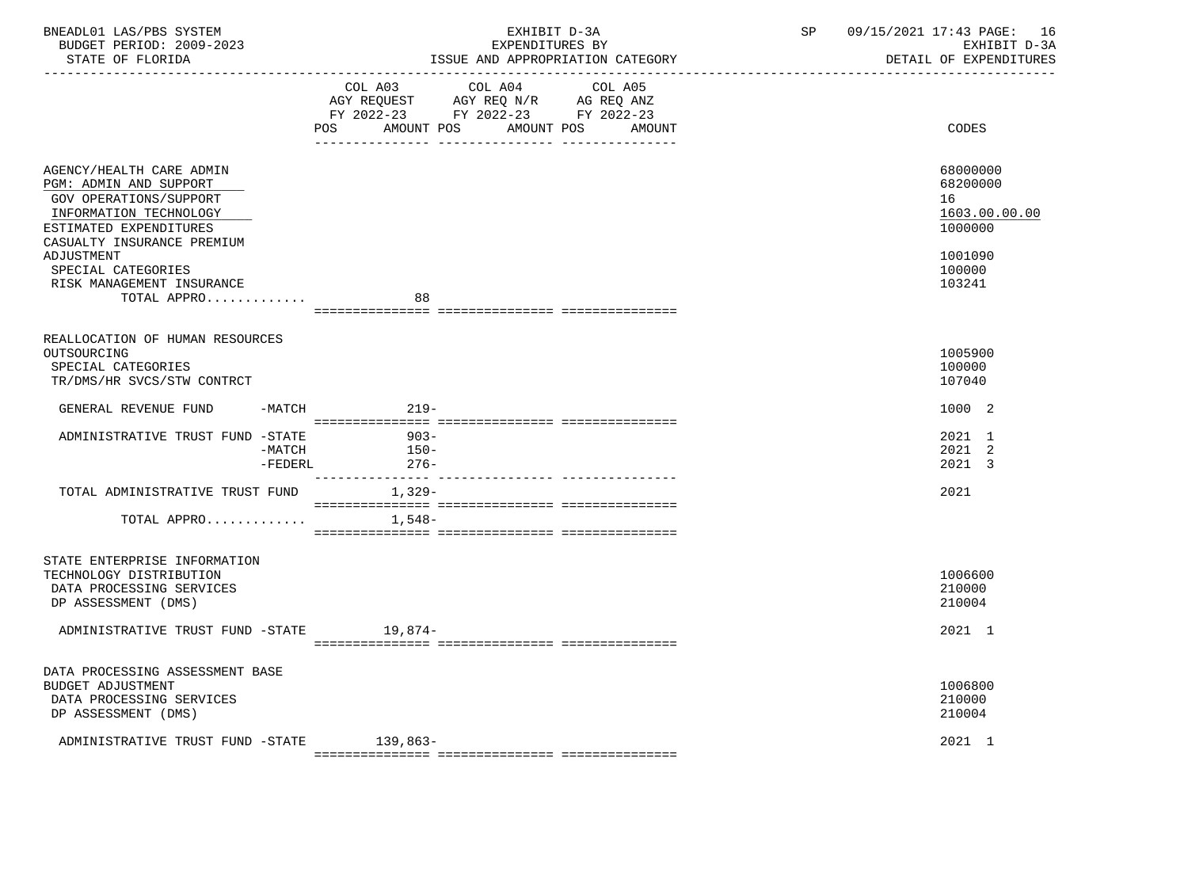| BNEADL01 LAS/PBS SYSTEM<br>BUDGET PERIOD: 2009-2023<br>STATE OF FLORIDA<br>----------------                                                                           | EXHIBIT D-3A<br>EXPENDITURES BY<br>ISSUE AND APPROPRIATION CATEGORY                                                                                      | 09/15/2021 17:43 PAGE: 16<br>SP<br>EXHIBIT D-3A<br>DETAIL OF EXPENDITURES |
|-----------------------------------------------------------------------------------------------------------------------------------------------------------------------|----------------------------------------------------------------------------------------------------------------------------------------------------------|---------------------------------------------------------------------------|
|                                                                                                                                                                       | COL A03 COL A04<br>COL A05<br>AGY REQUEST AGY REQ N/R AG REQ ANZ<br>FY 2022-23 FY 2022-23 FY 2022-23<br><b>POS</b><br>AMOUNT POS<br>AMOUNT POS<br>AMOUNT | CODES                                                                     |
| AGENCY/HEALTH CARE ADMIN<br>PGM: ADMIN AND SUPPORT<br><b>GOV OPERATIONS/SUPPORT</b><br>INFORMATION TECHNOLOGY<br>ESTIMATED EXPENDITURES<br>CASUALTY INSURANCE PREMIUM |                                                                                                                                                          | 68000000<br>68200000<br>16<br>1603.00.00.00<br>1000000                    |
| ADJUSTMENT<br>SPECIAL CATEGORIES<br>RISK MANAGEMENT INSURANCE<br>TOTAL APPRO                                                                                          | 88                                                                                                                                                       | 1001090<br>100000<br>103241                                               |
| REALLOCATION OF HUMAN RESOURCES<br>OUTSOURCING<br>SPECIAL CATEGORIES<br>TR/DMS/HR SVCS/STW CONTRCT                                                                    |                                                                                                                                                          | 1005900<br>100000<br>107040                                               |
| GENERAL REVENUE FUND<br>-MATCH                                                                                                                                        | $219-$                                                                                                                                                   | 1000 2                                                                    |
| ADMINISTRATIVE TRUST FUND -STATE<br>-MATCH<br>-FEDERL                                                                                                                 | $903 -$<br>$150-$<br>$276-$                                                                                                                              | 2021 1<br>2021 2<br>2021 3                                                |
| TOTAL ADMINISTRATIVE TRUST FUND 1,329-                                                                                                                                |                                                                                                                                                          | 2021                                                                      |
| TOTAL APPRO                                                                                                                                                           | 1,548–                                                                                                                                                   |                                                                           |
| STATE ENTERPRISE INFORMATION<br>TECHNOLOGY DISTRIBUTION<br>DATA PROCESSING SERVICES<br>DP ASSESSMENT (DMS)                                                            |                                                                                                                                                          | 1006600<br>210000<br>210004                                               |
| ADMINISTRATIVE TRUST FUND -STATE 19,874-                                                                                                                              |                                                                                                                                                          | 2021 1                                                                    |
| DATA PROCESSING ASSESSMENT BASE<br><b>BUDGET ADJUSTMENT</b><br>DATA PROCESSING SERVICES<br>DP ASSESSMENT (DMS)                                                        |                                                                                                                                                          | 1006800<br>210000<br>210004                                               |
| ADMINISTRATIVE TRUST FUND -STATE 139,863-                                                                                                                             |                                                                                                                                                          | 2021 1                                                                    |

=============== =============== ===============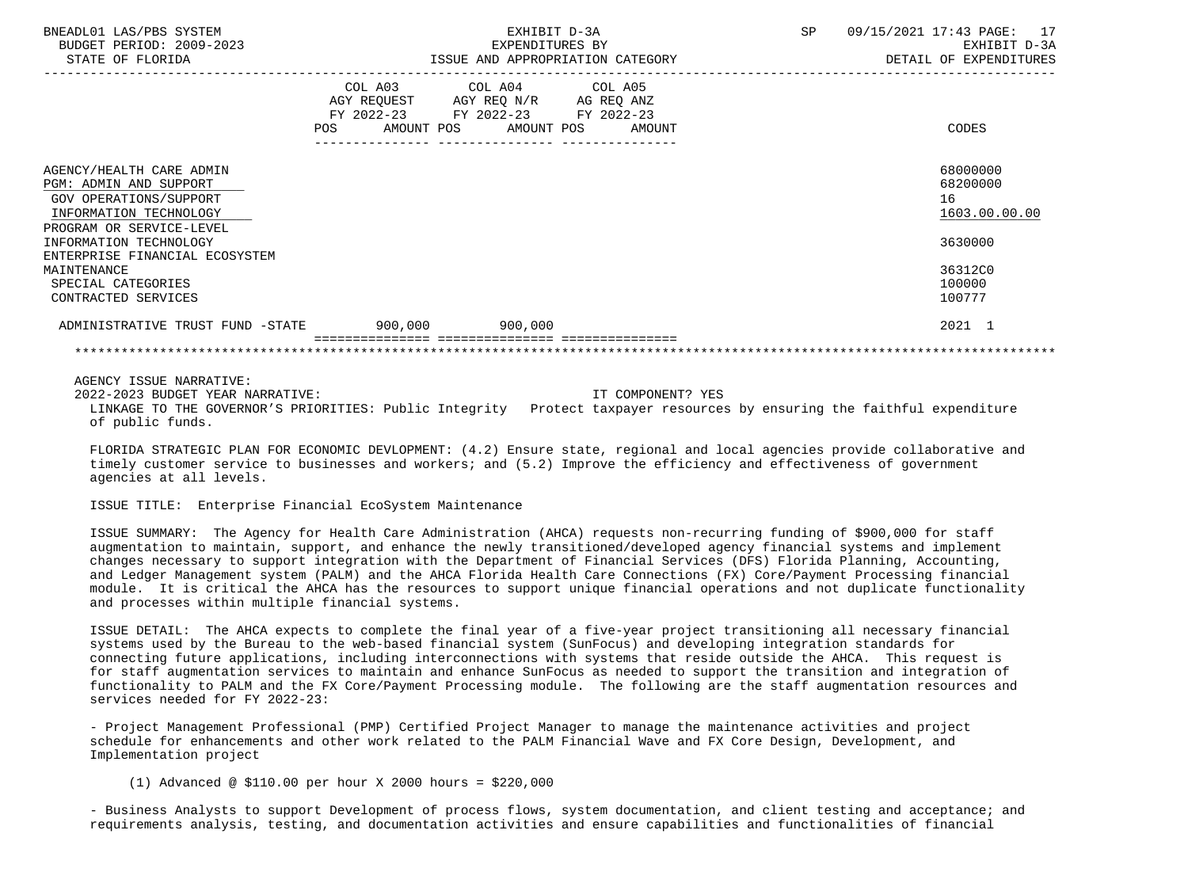| BNEADL01 LAS/PBS SYSTEM<br>BUDGET PERIOD: 2009-2023<br>STATE OF FLORIDA                                                            |         | EXHIBIT D-3A<br>EXPENDITURES BY<br>ISSUE AND APPROPRIATION CATEGORY                                                                   | SP | 09/15/2021 17:43 PAGE: 17<br>EXHIBIT D-3A<br>DETAIL OF EXPENDITURES |
|------------------------------------------------------------------------------------------------------------------------------------|---------|---------------------------------------------------------------------------------------------------------------------------------------|----|---------------------------------------------------------------------|
|                                                                                                                                    |         | COL A03 COL A04 COL A05<br>AGY REQUEST AGY REQ N/R AG REQ ANZ<br>FY 2022-23 FY 2022-23 FY 2022-23<br>POS AMOUNT POS AMOUNT POS AMOUNT |    | CODES                                                               |
| AGENCY/HEALTH CARE ADMIN<br>PGM: ADMIN AND SUPPORT<br>GOV OPERATIONS/SUPPORT<br>INFORMATION TECHNOLOGY<br>PROGRAM OR SERVICE-LEVEL |         |                                                                                                                                       |    | 68000000<br>68200000<br>16<br>1603.00.00.00                         |
| INFORMATION TECHNOLOGY<br>ENTERPRISE FINANCIAL ECOSYSTEM                                                                           |         |                                                                                                                                       |    | 3630000                                                             |
| MAINTENANCE<br>SPECIAL CATEGORIES<br>CONTRACTED SERVICES                                                                           |         |                                                                                                                                       |    | 36312C0<br>100000<br>100777                                         |
| ADMINISTRATIVE TRUST FUND -STATE                                                                                                   | 900,000 | 900,000                                                                                                                               |    | 2021 1                                                              |
|                                                                                                                                    |         |                                                                                                                                       |    |                                                                     |

 AGENCY ISSUE NARRATIVE: 2022-2023 BUDGET YEAR NARRATIVE: IT COMPONENT? YES LINKAGE TO THE GOVERNOR'S PRIORITIES: Public Integrity Protect taxpayer resources by ensuring the faithful expenditure of public funds.

 FLORIDA STRATEGIC PLAN FOR ECONOMIC DEVLOPMENT: (4.2) Ensure state, regional and local agencies provide collaborative and timely customer service to businesses and workers; and (5.2) Improve the efficiency and effectiveness of government agencies at all levels.

ISSUE TITLE: Enterprise Financial EcoSystem Maintenance

 ISSUE SUMMARY: The Agency for Health Care Administration (AHCA) requests non-recurring funding of \$900,000 for staff augmentation to maintain, support, and enhance the newly transitioned/developed agency financial systems and implement changes necessary to support integration with the Department of Financial Services (DFS) Florida Planning, Accounting, and Ledger Management system (PALM) and the AHCA Florida Health Care Connections (FX) Core/Payment Processing financial module. It is critical the AHCA has the resources to support unique financial operations and not duplicate functionality and processes within multiple financial systems.

 ISSUE DETAIL: The AHCA expects to complete the final year of a five-year project transitioning all necessary financial systems used by the Bureau to the web-based financial system (SunFocus) and developing integration standards for connecting future applications, including interconnections with systems that reside outside the AHCA. This request is for staff augmentation services to maintain and enhance SunFocus as needed to support the transition and integration of functionality to PALM and the FX Core/Payment Processing module. The following are the staff augmentation resources and services needed for FY 2022-23:

 - Project Management Professional (PMP) Certified Project Manager to manage the maintenance activities and project schedule for enhancements and other work related to the PALM Financial Wave and FX Core Design, Development, and Implementation project

(1) Advanced @ \$110.00 per hour X 2000 hours = \$220,000

 - Business Analysts to support Development of process flows, system documentation, and client testing and acceptance; and requirements analysis, testing, and documentation activities and ensure capabilities and functionalities of financial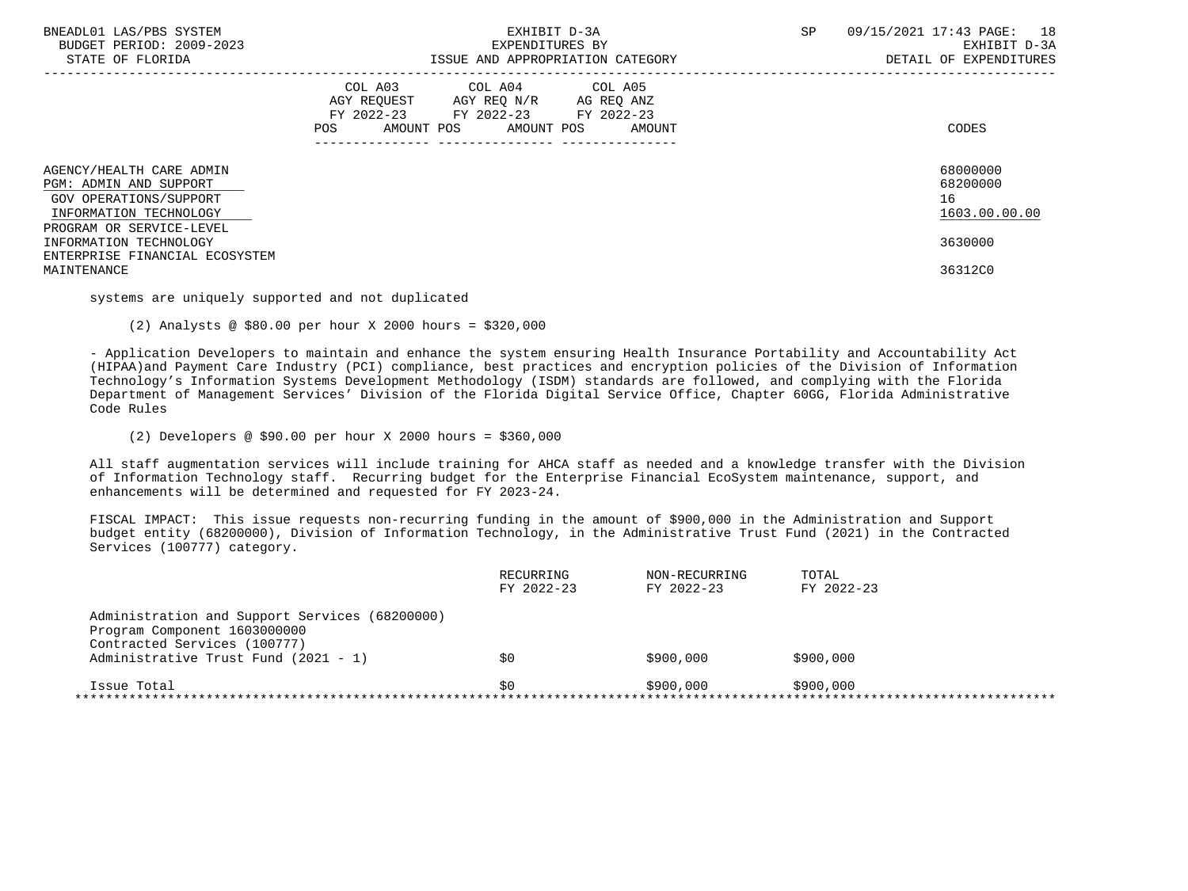| BNEADL01 LAS/PBS SYSTEM<br>BUDGET PERIOD: 2009-2023<br>STATE OF FLORIDA                                                            | EXHIBIT D-3A<br>EXPENDITURES BY<br>ISSUE AND APPROPRIATION CATEGORY                                                                         | 09/15/2021 17:43 PAGE: 18<br>SP<br>EXHIBIT D-3A<br>DETAIL OF EXPENDITURES |
|------------------------------------------------------------------------------------------------------------------------------------|---------------------------------------------------------------------------------------------------------------------------------------------|---------------------------------------------------------------------------|
|                                                                                                                                    | COL A03 COL A04 COL A05<br>AGY REQUEST AGY REQ N/R AG REQ ANZ<br>FY 2022-23 FY 2022-23 FY 2022-23<br>AMOUNT POS AMOUNT POS<br>POS<br>AMOUNT | CODES                                                                     |
| AGENCY/HEALTH CARE ADMIN<br>PGM: ADMIN AND SUPPORT<br>GOV OPERATIONS/SUPPORT<br>INFORMATION TECHNOLOGY<br>PROGRAM OR SERVICE-LEVEL |                                                                                                                                             | 68000000<br>68200000<br>16<br>1603.00.00.00                               |
| INFORMATION TECHNOLOGY<br>ENTERPRISE FINANCIAL ECOSYSTEM<br>MAINTENANCE                                                            |                                                                                                                                             | 3630000<br>36312C0                                                        |

systems are uniquely supported and not duplicated

(2) Analysts @ \$80.00 per hour X 2000 hours = \$320,000

 - Application Developers to maintain and enhance the system ensuring Health Insurance Portability and Accountability Act (HIPAA)and Payment Care Industry (PCI) compliance, best practices and encryption policies of the Division of Information Technology's Information Systems Development Methodology (ISDM) standards are followed, and complying with the Florida Department of Management Services' Division of the Florida Digital Service Office, Chapter 60GG, Florida Administrative Code Rules

(2) Developers @ \$90.00 per hour X 2000 hours = \$360,000

 All staff augmentation services will include training for AHCA staff as needed and a knowledge transfer with the Division of Information Technology staff. Recurring budget for the Enterprise Financial EcoSystem maintenance, support, and enhancements will be determined and requested for FY 2023-24.

 FISCAL IMPACT: This issue requests non-recurring funding in the amount of \$900,000 in the Administration and Support budget entity (68200000), Division of Information Technology, in the Administrative Trust Fund (2021) in the Contracted Services (100777) category.

|                                                | RECURRING  | NON-RECURRING | TOTAL      |
|------------------------------------------------|------------|---------------|------------|
|                                                | FY 2022-23 | FY 2022-23    | FY 2022-23 |
| Administration and Support Services (68200000) |            |               |            |
| Program Component 1603000000                   |            |               |            |
| Contracted Services (100777)                   |            |               |            |
| Administrative Trust Fund (2021 - 1)           | \$0        | \$900,000     | \$900,000  |
| Issue Total                                    | SO.        | \$900,000     | \$900,000  |
|                                                |            |               |            |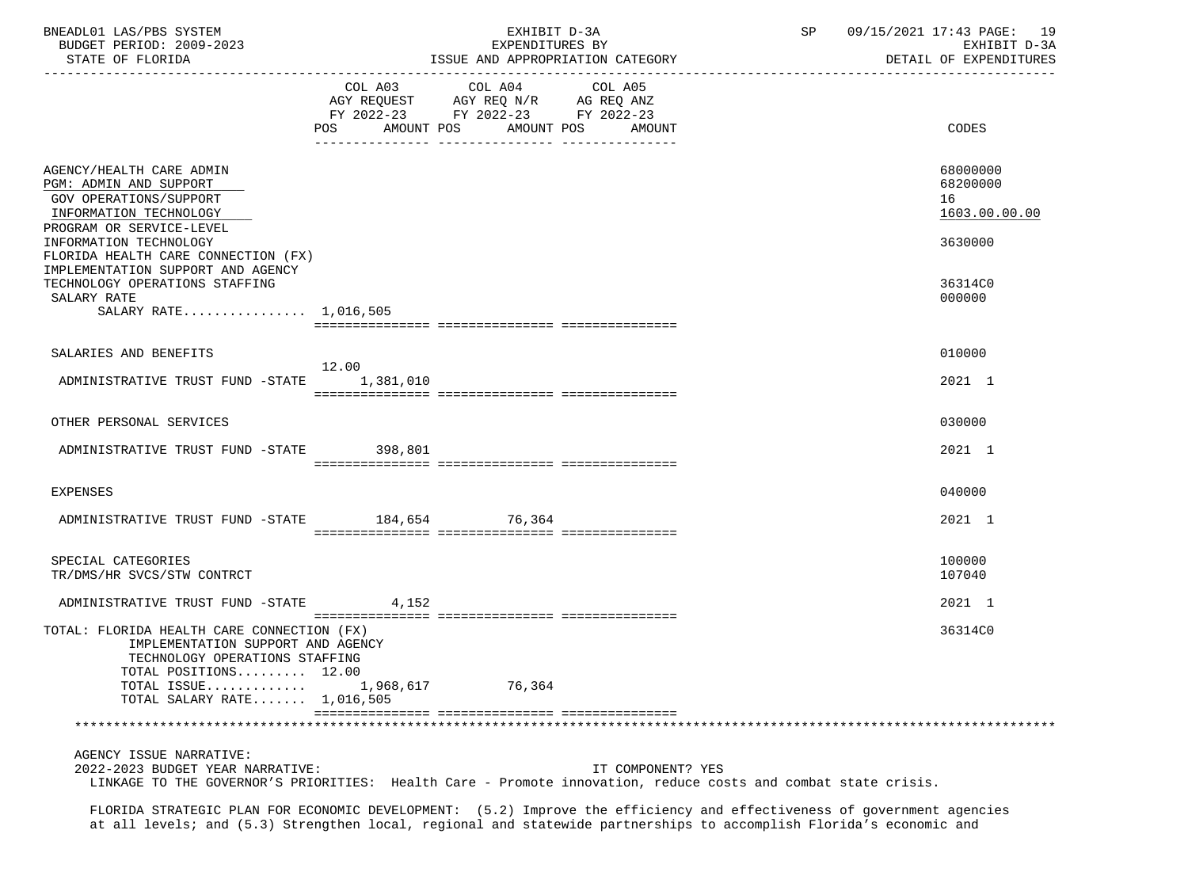| BNEADL01 LAS/PBS SYSTEM<br>BUDGET PERIOD: 2009-2023                                                                                                                          | EXHIBIT D-3A<br>EXPENDITURES BY                                                                                               |  |                                  | SP | 09/15/2021 17:43 PAGE: 19<br>EXHIBIT D-3A   |
|------------------------------------------------------------------------------------------------------------------------------------------------------------------------------|-------------------------------------------------------------------------------------------------------------------------------|--|----------------------------------|----|---------------------------------------------|
| STATE OF FLORIDA                                                                                                                                                             |                                                                                                                               |  | ISSUE AND APPROPRIATION CATEGORY |    | DETAIL OF EXPENDITURES                      |
|                                                                                                                                                                              | COL A03 COL A04<br>AGY REQUEST AGY REQ N/R AG REQ ANZ<br>FY 2022-23 FY 2022-23 FY 2022-23<br>POS AMOUNT POS AMOUNT POS AMOUNT |  | COL A05                          |    | CODES                                       |
| AGENCY/HEALTH CARE ADMIN<br>PGM: ADMIN AND SUPPORT<br>GOV OPERATIONS/SUPPORT<br>INFORMATION TECHNOLOGY<br>PROGRAM OR SERVICE-LEVEL                                           |                                                                                                                               |  |                                  |    | 68000000<br>68200000<br>16<br>1603.00.00.00 |
| INFORMATION TECHNOLOGY<br>FLORIDA HEALTH CARE CONNECTION (FX)<br>IMPLEMENTATION SUPPORT AND AGENCY                                                                           |                                                                                                                               |  |                                  |    | 3630000                                     |
| TECHNOLOGY OPERATIONS STAFFING<br>SALARY RATE<br>SALARY RATE 1,016,505                                                                                                       |                                                                                                                               |  |                                  |    | 36314C0<br>000000                           |
|                                                                                                                                                                              |                                                                                                                               |  |                                  |    |                                             |
| SALARIES AND BENEFITS                                                                                                                                                        |                                                                                                                               |  |                                  |    | 010000                                      |
| ADMINISTRATIVE TRUST FUND -STATE 1,381,010                                                                                                                                   | 12.00                                                                                                                         |  |                                  |    | 2021 1                                      |
| OTHER PERSONAL SERVICES                                                                                                                                                      |                                                                                                                               |  |                                  |    | 030000                                      |
| ADMINISTRATIVE TRUST FUND -STATE 398,801                                                                                                                                     |                                                                                                                               |  |                                  |    | 2021 1                                      |
| EXPENSES                                                                                                                                                                     |                                                                                                                               |  |                                  |    | 040000                                      |
| ADMINISTRATIVE TRUST FUND -STATE 184,654 76,364                                                                                                                              |                                                                                                                               |  |                                  |    | 2021 1                                      |
| SPECIAL CATEGORIES<br>TR/DMS/HR SVCS/STW CONTRCT                                                                                                                             |                                                                                                                               |  |                                  |    | 100000<br>107040                            |
| ADMINISTRATIVE TRUST FUND -STATE 4,152                                                                                                                                       |                                                                                                                               |  |                                  |    | 2021 1                                      |
| TOTAL: FLORIDA HEALTH CARE CONNECTION (FX)<br>IMPLEMENTATION SUPPORT AND AGENCY<br>TECHNOLOGY OPERATIONS STAFFING<br>TOTAL POSITIONS 12.00                                   |                                                                                                                               |  |                                  |    | 36314C0                                     |
| TOTAL ISSUE<br>TOTAL SALARY RATE 1,016,505                                                                                                                                   | 1,968,617 76,364                                                                                                              |  |                                  |    |                                             |
|                                                                                                                                                                              |                                                                                                                               |  |                                  |    |                                             |
| AGENCY ISSUE NARRATIVE:<br>2022-2023 BUDGET YEAR NARRATIVE:<br>LINKAGE TO THE GOVERNOR'S PRIORITIES: Health Care - Promote innovation, reduce costs and combat state crisis. |                                                                                                                               |  | IT COMPONENT? YES                |    |                                             |
| FLORIDA STRATEGIC PLAN FOR ECONOMIC DEVELOPMENT: (5.2) Improve the efficiency and effectiveness of government agencies                                                       |                                                                                                                               |  |                                  |    |                                             |

at all levels; and (5.3) Strengthen local, regional and statewide partnerships to accomplish Florida's economic and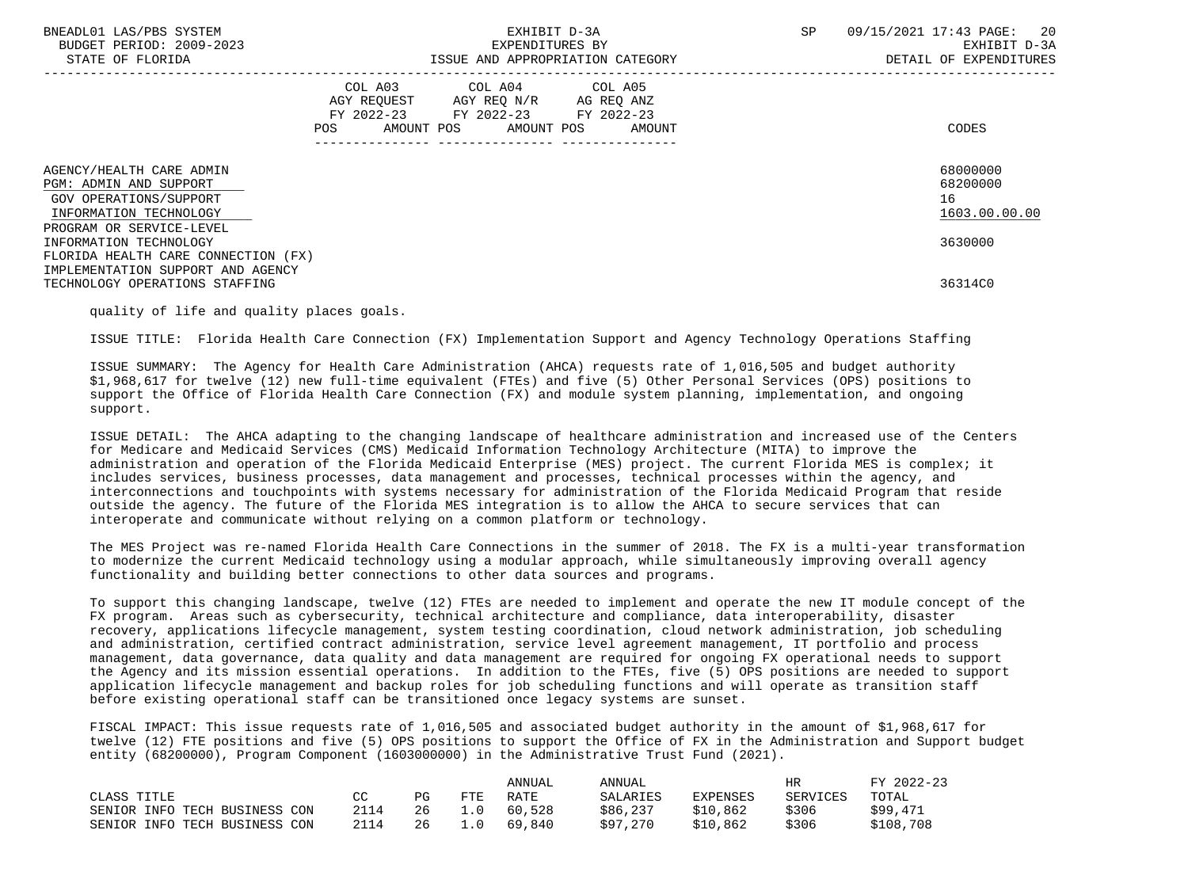| BNEADL01 LAS/PBS SYSTEM<br>BUDGET PERIOD: 2009-2023<br>STATE OF FLORIDA                                                              | EXHIBIT D-3A<br>EXPENDITURES BY<br>ISSUE AND APPROPRIATION CATEGORY                                                                      | SP<br>09/15/2021 17:43 PAGE: 20<br>EXHIBIT D-3A<br>DETAIL OF EXPENDITURES |
|--------------------------------------------------------------------------------------------------------------------------------------|------------------------------------------------------------------------------------------------------------------------------------------|---------------------------------------------------------------------------|
|                                                                                                                                      | COL A03 COL A04 COL A05<br>AGY REQUEST AGY REQ N/R AG REQ ANZ<br>FY 2022-23 FY 2022-23 FY 2022-23<br>POS<br>AMOUNT POS AMOUNT POS AMOUNT | CODES                                                                     |
| AGENCY/HEALTH CARE ADMIN<br>PGM: ADMIN AND SUPPORT<br>GOV OPERATIONS/SUPPORT<br>INFORMATION TECHNOLOGY<br>PROGRAM OR SERVICE-LEVEL   |                                                                                                                                          | 68000000<br>68200000<br>16<br>1603.00.00.00                               |
| INFORMATION TECHNOLOGY<br>FLORIDA HEALTH CARE CONNECTION (FX)<br>IMPLEMENTATION SUPPORT AND AGENCY<br>TECHNOLOGY OPERATIONS STAFFING |                                                                                                                                          | 3630000<br>36314C0                                                        |

quality of life and quality places goals.

ISSUE TITLE: Florida Health Care Connection (FX) Implementation Support and Agency Technology Operations Staffing

 ISSUE SUMMARY: The Agency for Health Care Administration (AHCA) requests rate of 1,016,505 and budget authority \$1,968,617 for twelve (12) new full-time equivalent (FTEs) and five (5) Other Personal Services (OPS) positions to support the Office of Florida Health Care Connection (FX) and module system planning, implementation, and ongoing support.

 ISSUE DETAIL: The AHCA adapting to the changing landscape of healthcare administration and increased use of the Centers for Medicare and Medicaid Services (CMS) Medicaid Information Technology Architecture (MITA) to improve the administration and operation of the Florida Medicaid Enterprise (MES) project. The current Florida MES is complex; it includes services, business processes, data management and processes, technical processes within the agency, and interconnections and touchpoints with systems necessary for administration of the Florida Medicaid Program that reside outside the agency. The future of the Florida MES integration is to allow the AHCA to secure services that can interoperate and communicate without relying on a common platform or technology.

 The MES Project was re-named Florida Health Care Connections in the summer of 2018. The FX is a multi-year transformation to modernize the current Medicaid technology using a modular approach, while simultaneously improving overall agency functionality and building better connections to other data sources and programs.

 To support this changing landscape, twelve (12) FTEs are needed to implement and operate the new IT module concept of the FX program. Areas such as cybersecurity, technical architecture and compliance, data interoperability, disaster recovery, applications lifecycle management, system testing coordination, cloud network administration, job scheduling and administration, certified contract administration, service level agreement management, IT portfolio and process management, data governance, data quality and data management are required for ongoing FX operational needs to support the Agency and its mission essential operations. In addition to the FTEs, five (5) OPS positions are needed to support application lifecycle management and backup roles for job scheduling functions and will operate as transition staff before existing operational staff can be transitioned once legacy systems are sunset.

 FISCAL IMPACT: This issue requests rate of 1,016,505 and associated budget authority in the amount of \$1,968,617 for twelve (12) FTE positions and five (5) OPS positions to support the Office of FX in the Administration and Support budget entity (68200000), Program Component (1603000000) in the Administrative Trust Fund (2021).

|                               |      |    |      | ANNUAL | ANNUAL   |                 | HR       | FY 2022-23 |
|-------------------------------|------|----|------|--------|----------|-----------------|----------|------------|
| CLASS TITLE                   | CC.  | PG | FTE  | RATE   | SALARIES | <b>EXPENSES</b> | SERVICES | TOTAL      |
| SENIOR INFO TECH BUSINESS CON | 2114 | 26 | ⊥.0  | 60,528 | \$86,237 | \$10,862        | \$306    | \$99,471   |
| SENIOR INFO TECH BUSINESS CON | 2114 | 26 | ⊥. 0 | 69,840 | \$97,270 | \$10.862        | \$306    | \$108,708  |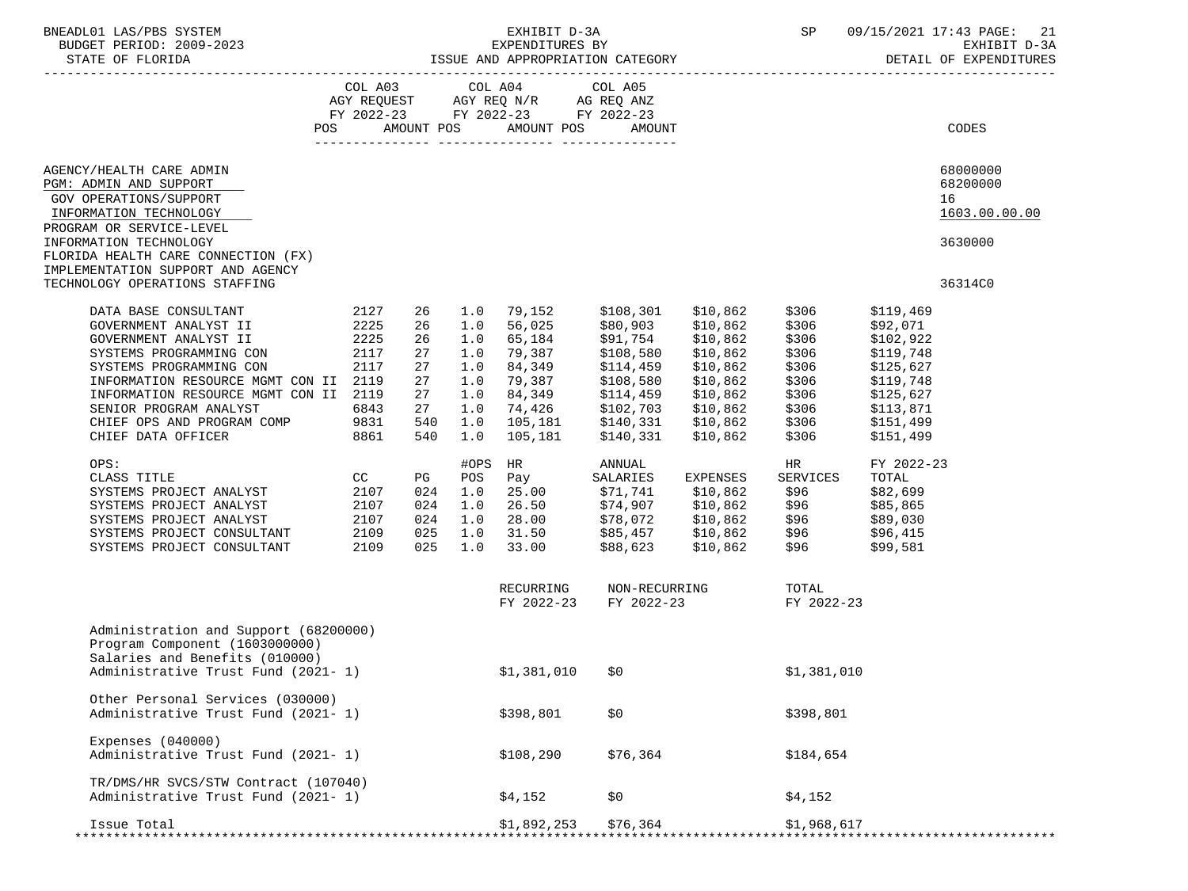| 12 :NEADL01 LAS/PBS SYSTEM FXHIBIT D-3A SP 09/15/2021<br>EXPENDITURES BY EXPENDITURES BY EXEMPLE D-3A EXPENDITURES BY EXHIBIT D-3A<br>STATE OF FLORIDA ISSUE AND APPROPRIATION CATEGORY DETAIL OF EXPENDITURES<br>---------------------<br>COL A03 COL A04 COL A05<br>AGY REQUEST AGY REQ N/R AG REQ ANZ<br>FY 2022-23 FY 2022-23 FY 2022-23<br>POS AMOUNT POS AMOUNT POS<br>CODES<br>AMOUNT<br>68000000<br>AGENCY/HEALTH CARE ADMIN<br>68200000<br>PGM: ADMIN AND SUPPORT<br>GOV OPERATIONS/SUPPORT<br>16<br>1603.00.00.00<br>INFORMATION TECHNOLOGY<br>PROGRAM OR SERVICE-LEVEL<br>INFORMATION TECHNOLOGY<br>3630000<br>FLORIDA HEALTH CARE CONNECTION (FX)<br>IMPLEMENTATION SUPPORT AND AGENCY<br>TECHNOLOGY OPERATIONS STAFFING<br>36314C0<br>DATA BASE CONSULTANT (2127)<br>GOVERNMENT ANALYST II (2225)<br>26 1.0 79,152<br>\$10,862 \$306<br>\$108,301<br>\$119,469<br>\$10,862<br>56,025<br>\$306<br>26 1.0<br>\$80,903<br>\$92,071<br>GOVERNMENT ANALYST II 2225<br>26 1.0<br>65,184<br>\$91,754<br>\$108,580<br>\$114,459<br>\$10,862<br>\$306<br>\$102,922<br>2117<br>\$10,862<br>\$306<br>27<br>1.0<br>79,387<br>\$119,748<br>SYSTEMS PROGRAMMING CON<br>2117<br>84,349<br>\$10,862<br>SYSTEMS PROGRAMMING CON<br>27<br>1.0<br>\$306<br>\$125,627<br>INFORMATION RESOURCE MGMT CON II 2119<br>27<br>1.0<br>79,387<br>84.349<br>\$10,862<br>\$306<br>\$108,580<br>\$119,748<br>1.0<br>84,349<br>\$114,459<br>\$10,862<br>\$306<br>INFORMATION RESOURCE MGMT CON II 2119<br>27<br>\$125,627<br>74,426 \$102,703<br>SENIOR PROGRAM ANALYST<br>6843<br>27<br>1.0<br>\$10,862<br>\$306<br>\$113,871<br>CHIEF OPS AND PROGRAM COMP 9831<br>CHIEF DATA OFFICER 8861<br>540 1.0<br>$105,181$ \$140,331<br>105.181 \$140,331<br>\$10,862<br>\$306<br>\$151,499<br>\$306<br>540<br>1.0<br>\$10,862<br>\$151,499<br>OPS:<br>#OPS HR<br>ANNUAL<br>HR<br>FY 2022-23<br><b>CC</b><br>Pay<br>PG<br>TOTAL<br>CLASS TITLE<br>POS<br>SALARIES<br>EXPENSES<br>SERVICES<br>2107<br>2107<br>SYSTEMS PROJECT ANALYST<br>SYSTEMS PROJECT ANALYST<br>1.0     25.00             \$71,741         \$10,862        \$96<br>1.0     26.50            \$74,907        \$10,862       \$96<br>024<br>\$82,699<br>024<br>\$85,865<br>2107<br>28.00 \$78,072 \$10,862 \$96 \$89,030<br>31.50 \$85,457 \$10,862 \$96 \$96,415<br>33.00 \$88,623 \$10,862 \$96 \$99,581<br>SYSTEMS PROJECT ANALYST<br>024<br>1.0<br>2109<br>$025$ 1.0<br>\$10,862       \$96<br>\$10,862     \$96<br>SYSTEMS PROJECT CONSULTANT<br>\$88,623<br>2109<br>025<br>33.00<br>\$99,581<br>SYSTEMS PROJECT CONSULTANT<br>1.0 |  |
|---------------------------------------------------------------------------------------------------------------------------------------------------------------------------------------------------------------------------------------------------------------------------------------------------------------------------------------------------------------------------------------------------------------------------------------------------------------------------------------------------------------------------------------------------------------------------------------------------------------------------------------------------------------------------------------------------------------------------------------------------------------------------------------------------------------------------------------------------------------------------------------------------------------------------------------------------------------------------------------------------------------------------------------------------------------------------------------------------------------------------------------------------------------------------------------------------------------------------------------------------------------------------------------------------------------------------------------------------------------------------------------------------------------------------------------------------------------------------------------------------------------------------------------------------------------------------------------------------------------------------------------------------------------------------------------------------------------------------------------------------------------------------------------------------------------------------------------------------------------------------------------------------------------------------------------------------------------------------------------------------------------------------------------------------------------------------------------------------------------------------------------------------------------------------------------------------------------------------------------------------------------------------------------------------------------------------------------------------------------------------------------------------------------------------------------------------------------------------------------------------------------------------------------------------------------------------------|--|
|                                                                                                                                                                                                                                                                                                                                                                                                                                                                                                                                                                                                                                                                                                                                                                                                                                                                                                                                                                                                                                                                                                                                                                                                                                                                                                                                                                                                                                                                                                                                                                                                                                                                                                                                                                                                                                                                                                                                                                                                                                                                                                                                                                                                                                                                                                                                                                                                                                                                                                                                                                                 |  |
|                                                                                                                                                                                                                                                                                                                                                                                                                                                                                                                                                                                                                                                                                                                                                                                                                                                                                                                                                                                                                                                                                                                                                                                                                                                                                                                                                                                                                                                                                                                                                                                                                                                                                                                                                                                                                                                                                                                                                                                                                                                                                                                                                                                                                                                                                                                                                                                                                                                                                                                                                                                 |  |
|                                                                                                                                                                                                                                                                                                                                                                                                                                                                                                                                                                                                                                                                                                                                                                                                                                                                                                                                                                                                                                                                                                                                                                                                                                                                                                                                                                                                                                                                                                                                                                                                                                                                                                                                                                                                                                                                                                                                                                                                                                                                                                                                                                                                                                                                                                                                                                                                                                                                                                                                                                                 |  |
|                                                                                                                                                                                                                                                                                                                                                                                                                                                                                                                                                                                                                                                                                                                                                                                                                                                                                                                                                                                                                                                                                                                                                                                                                                                                                                                                                                                                                                                                                                                                                                                                                                                                                                                                                                                                                                                                                                                                                                                                                                                                                                                                                                                                                                                                                                                                                                                                                                                                                                                                                                                 |  |
| RECURRING<br>NON-RECURRING<br>TOTAL                                                                                                                                                                                                                                                                                                                                                                                                                                                                                                                                                                                                                                                                                                                                                                                                                                                                                                                                                                                                                                                                                                                                                                                                                                                                                                                                                                                                                                                                                                                                                                                                                                                                                                                                                                                                                                                                                                                                                                                                                                                                                                                                                                                                                                                                                                                                                                                                                                                                                                                                             |  |
| FY 2022-23 FY 2022-23 FY 2022-23                                                                                                                                                                                                                                                                                                                                                                                                                                                                                                                                                                                                                                                                                                                                                                                                                                                                                                                                                                                                                                                                                                                                                                                                                                                                                                                                                                                                                                                                                                                                                                                                                                                                                                                                                                                                                                                                                                                                                                                                                                                                                                                                                                                                                                                                                                                                                                                                                                                                                                                                                |  |
| Administration and Support (68200000)<br>Program Component (1603000000)<br>Salaries and Benefits (010000)                                                                                                                                                                                                                                                                                                                                                                                                                                                                                                                                                                                                                                                                                                                                                                                                                                                                                                                                                                                                                                                                                                                                                                                                                                                                                                                                                                                                                                                                                                                                                                                                                                                                                                                                                                                                                                                                                                                                                                                                                                                                                                                                                                                                                                                                                                                                                                                                                                                                       |  |
| Administrative Trust Fund (2021- 1)<br>$$1,381,010$ \$0<br>\$1,381,010                                                                                                                                                                                                                                                                                                                                                                                                                                                                                                                                                                                                                                                                                                                                                                                                                                                                                                                                                                                                                                                                                                                                                                                                                                                                                                                                                                                                                                                                                                                                                                                                                                                                                                                                                                                                                                                                                                                                                                                                                                                                                                                                                                                                                                                                                                                                                                                                                                                                                                          |  |
| Other Personal Services (030000)<br>\$0<br>Administrative Trust Fund (2021-1)<br>\$398,801<br>\$398,801                                                                                                                                                                                                                                                                                                                                                                                                                                                                                                                                                                                                                                                                                                                                                                                                                                                                                                                                                                                                                                                                                                                                                                                                                                                                                                                                                                                                                                                                                                                                                                                                                                                                                                                                                                                                                                                                                                                                                                                                                                                                                                                                                                                                                                                                                                                                                                                                                                                                         |  |
| Expenses $(040000)$<br>Administrative Trust Fund (2021-1)<br>\$76,364<br>\$108,290<br>\$184,654                                                                                                                                                                                                                                                                                                                                                                                                                                                                                                                                                                                                                                                                                                                                                                                                                                                                                                                                                                                                                                                                                                                                                                                                                                                                                                                                                                                                                                                                                                                                                                                                                                                                                                                                                                                                                                                                                                                                                                                                                                                                                                                                                                                                                                                                                                                                                                                                                                                                                 |  |
| TR/DMS/HR SVCS/STW Contract (107040)<br>Administrative Trust Fund (2021-1)<br>\$0\$<br>\$4,152<br>\$4,152                                                                                                                                                                                                                                                                                                                                                                                                                                                                                                                                                                                                                                                                                                                                                                                                                                                                                                                                                                                                                                                                                                                                                                                                                                                                                                                                                                                                                                                                                                                                                                                                                                                                                                                                                                                                                                                                                                                                                                                                                                                                                                                                                                                                                                                                                                                                                                                                                                                                       |  |
| \$1,892,253<br>\$76,364<br>\$1,968,617<br>Issue Total<br>*********************************                                                                                                                                                                                                                                                                                                                                                                                                                                                                                                                                                                                                                                                                                                                                                                                                                                                                                                                                                                                                                                                                                                                                                                                                                                                                                                                                                                                                                                                                                                                                                                                                                                                                                                                                                                                                                                                                                                                                                                                                                                                                                                                                                                                                                                                                                                                                                                                                                                                                                      |  |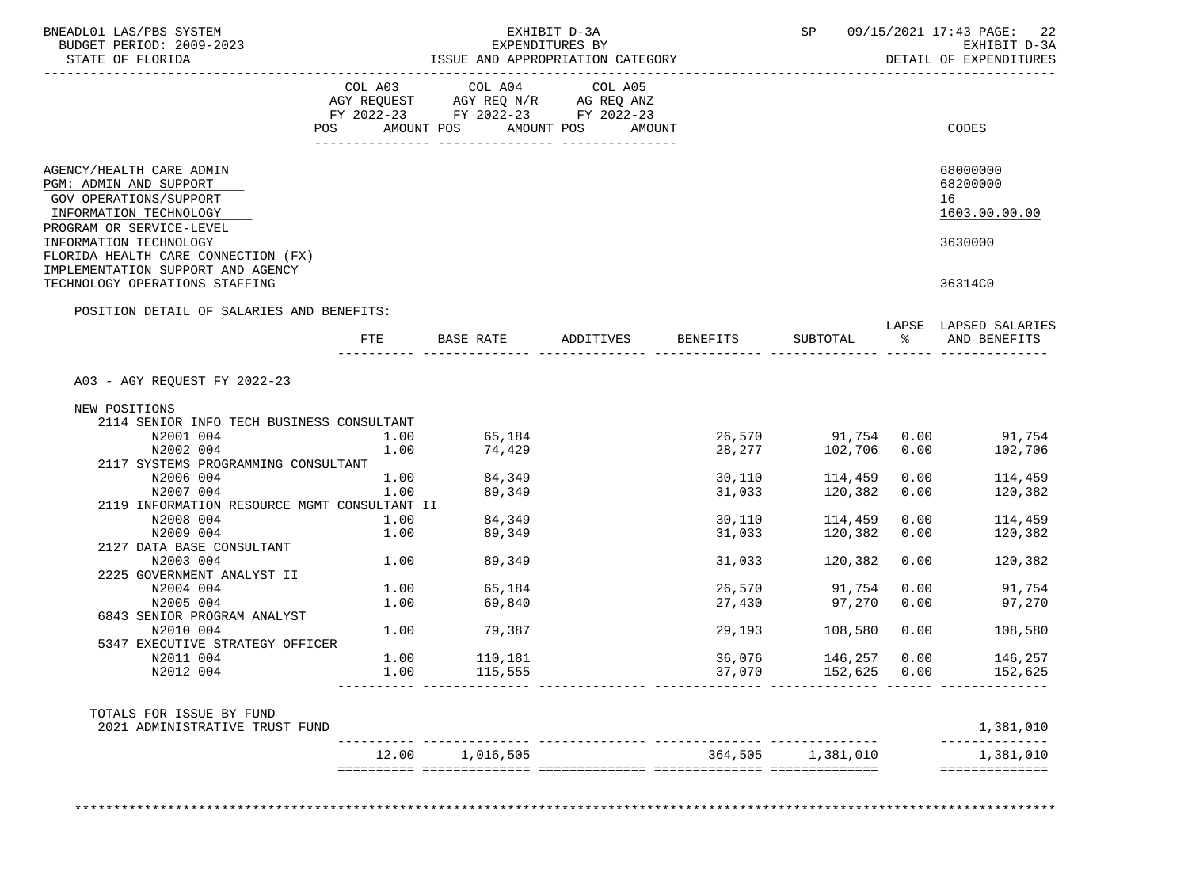| BNEADL01 LAS/PBS SYSTEM<br>BUDGET PERIOD: 2009-2023<br>STATE OF FLORIDA                                                        | ISSUE AND APPROPRIATION CATEGORY | SP                                                                                                      | 09/15/2021 17:43 PAGE:<br>EXHIBIT D-3A<br>DETAIL OF EXPENDITURES |          |                    |      |                                             |
|--------------------------------------------------------------------------------------------------------------------------------|----------------------------------|---------------------------------------------------------------------------------------------------------|------------------------------------------------------------------|----------|--------------------|------|---------------------------------------------|
|                                                                                                                                | COL A03<br>POS                   | COL A04 COL A05<br>AGY REQUEST AGY REQ N/R AG REQ ANZ<br>FY 2022-23 FY 2022-23 FY 2022-23<br>AMOUNT POS | AMOUNT POS<br>AMOUNT                                             |          |                    |      | CODES                                       |
|                                                                                                                                |                                  |                                                                                                         |                                                                  |          |                    |      |                                             |
| AGENCY/HEALTH CARE ADMIN<br>PGM: ADMIN AND SUPPORT<br>GOV OPERATIONS/SUPPORT<br>INFORMATION TECHNOLOGY                         |                                  |                                                                                                         |                                                                  |          |                    |      | 68000000<br>68200000<br>16<br>1603.00.00.00 |
| PROGRAM OR SERVICE-LEVEL<br>INFORMATION TECHNOLOGY<br>FLORIDA HEALTH CARE CONNECTION (FX)<br>IMPLEMENTATION SUPPORT AND AGENCY |                                  |                                                                                                         |                                                                  |          |                    |      | 3630000                                     |
| TECHNOLOGY OPERATIONS STAFFING                                                                                                 |                                  |                                                                                                         |                                                                  |          |                    |      | 36314C0                                     |
| POSITION DETAIL OF SALARIES AND BENEFITS:                                                                                      |                                  |                                                                                                         |                                                                  |          |                    |      |                                             |
|                                                                                                                                |                                  | FTE BASE RATE                                                                                           | ADDITIVES                                                        | BENEFITS | SUBTOTAL           | ွေ   | LAPSE LAPSED SALARIES<br>AND BENEFITS       |
| A03 - AGY REQUEST FY 2022-23                                                                                                   |                                  |                                                                                                         |                                                                  |          |                    |      |                                             |
| NEW POSITIONS                                                                                                                  |                                  |                                                                                                         |                                                                  |          |                    |      |                                             |
| 2114 SENIOR INFO TECH BUSINESS CONSULTANT                                                                                      |                                  |                                                                                                         |                                                                  |          |                    |      |                                             |
| N2001 004                                                                                                                      | 1.00                             | 65,184                                                                                                  |                                                                  |          | 26,570 91,754 0.00 |      | 91,754                                      |
| N2002 004                                                                                                                      | 1.00                             | 74,429                                                                                                  |                                                                  |          | 28, 277 102, 706   | 0.00 | 102,706                                     |
| 2117 SYSTEMS PROGRAMMING CONSULTANT                                                                                            |                                  |                                                                                                         |                                                                  |          |                    |      |                                             |
| N2006 004                                                                                                                      | 1.00                             | 84,349                                                                                                  |                                                                  | 30,110   | 114,459            | 0.00 | 114,459                                     |
| N2007 004<br>2119 INFORMATION RESOURCE MGMT CONSULTANT II                                                                      | 1.00                             | 89,349                                                                                                  |                                                                  | 31,033   | 120,382            | 0.00 | 120,382                                     |
| N2008 004                                                                                                                      | 1.00                             | 84,349                                                                                                  |                                                                  | 30,110   | 114,459            | 0.00 | 114,459                                     |
| N2009 004                                                                                                                      | 1.00                             | 89,349                                                                                                  |                                                                  | 31,033   | 120,382            | 0.00 | 120,382                                     |
| 2127 DATA BASE CONSULTANT                                                                                                      |                                  |                                                                                                         |                                                                  |          |                    |      |                                             |
| N2003 004                                                                                                                      | 1.00                             | 89,349                                                                                                  |                                                                  | 31,033   | 120,382            | 0.00 | 120,382                                     |
| 2225 GOVERNMENT ANALYST II                                                                                                     |                                  |                                                                                                         |                                                                  |          |                    |      |                                             |
| N2004 004                                                                                                                      | 1.00                             | 65,184                                                                                                  |                                                                  | 26,570   | 91,754             | 0.00 | 91,754                                      |
| N2005 004                                                                                                                      | 1.00                             | 69,840                                                                                                  |                                                                  | 27,430   | 97,270             | 0.00 | 97,270                                      |
| 6843 SENIOR PROGRAM ANALYST                                                                                                    |                                  |                                                                                                         |                                                                  |          |                    |      |                                             |
| N2010 004                                                                                                                      | 1.00                             | 79,387                                                                                                  |                                                                  | 29,193   | 108,580            | 0.00 | 108,580                                     |
| 5347 EXECUTIVE STRATEGY OFFICER<br>N2011 004                                                                                   | 1.00                             | 110,181                                                                                                 |                                                                  | 36,076   | 146,257            | 0.00 | 146,257                                     |
| N2012 004                                                                                                                      | 1.00                             |                                                                                                         |                                                                  | 37,070   |                    | 0.00 |                                             |
|                                                                                                                                |                                  |                                                                                                         |                                                                  |          |                    |      |                                             |
| TOTALS FOR ISSUE BY FUND<br>2021 ADMINISTRATIVE TRUST FUND                                                                     |                                  |                                                                                                         |                                                                  |          |                    |      | 1,381,010                                   |
|                                                                                                                                |                                  | 12.00 1,016,505                                                                                         |                                                                  |          | 364,505 1,381,010  |      | 1,381,010                                   |
|                                                                                                                                |                                  |                                                                                                         |                                                                  |          |                    |      | ==============                              |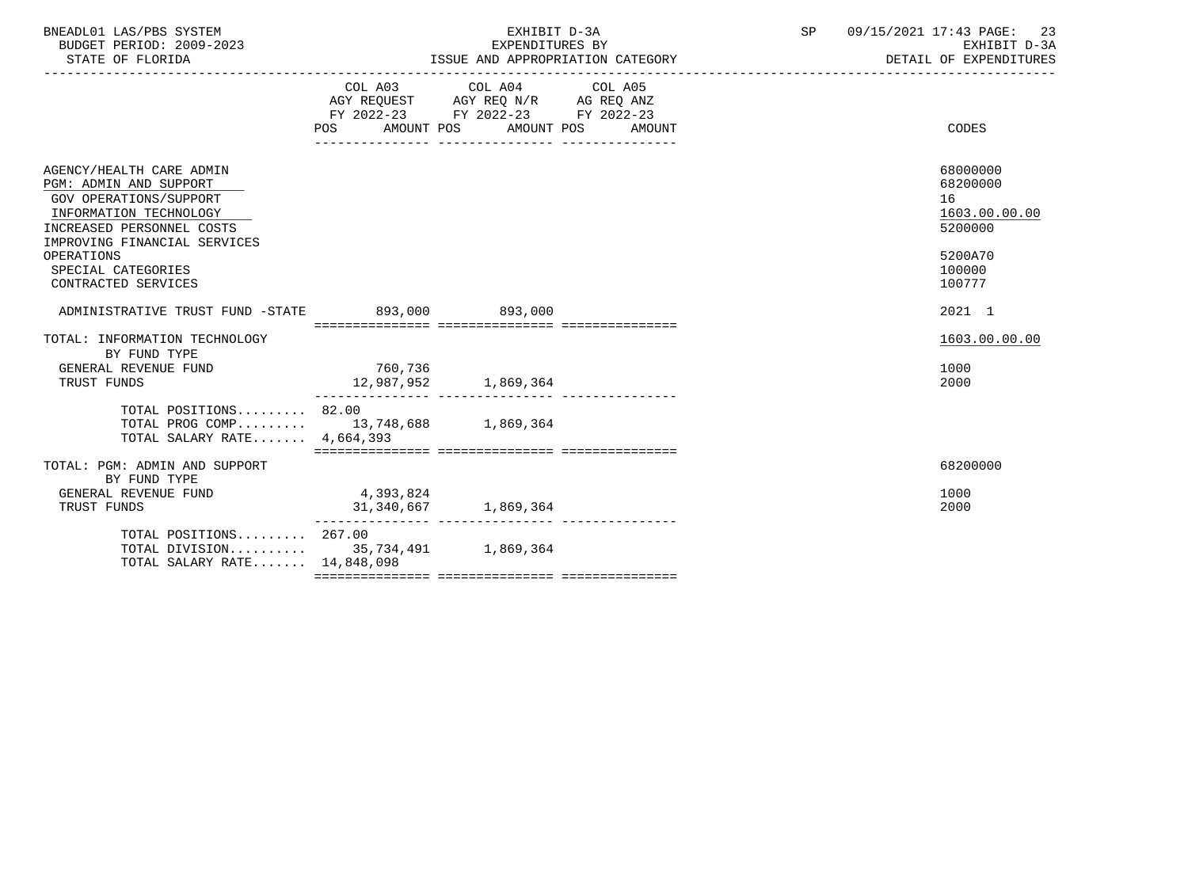| BNEADL01 LAS/PBS SYSTEM<br>BUDGET PERIOD: 2009-2023<br>STATE OF FLORIDA                                                                                                                                                        |                                                                                                            | EXHIBIT D-3A<br>EXPENDITURES BY | ISSUE AND APPROPRIATION CATEGORY | SP 09/15/2021 17:43 PAGE: 23<br>EXHIBIT D-3A<br>DETAIL OF EXPENDITURES                |  |
|--------------------------------------------------------------------------------------------------------------------------------------------------------------------------------------------------------------------------------|------------------------------------------------------------------------------------------------------------|---------------------------------|----------------------------------|---------------------------------------------------------------------------------------|--|
|                                                                                                                                                                                                                                | AGY REQUEST AGY REQ N/R AG REQ ANZ<br>FY 2022-23 FY 2022-23 FY 2022-23<br>POS AMOUNT POS AMOUNT POS AMOUNT | COL A03 COL A04 COL A05         |                                  | CODES                                                                                 |  |
| AGENCY/HEALTH CARE ADMIN<br>PGM: ADMIN AND SUPPORT<br>GOV OPERATIONS/SUPPORT<br>INFORMATION TECHNOLOGY<br>INCREASED PERSONNEL COSTS<br>IMPROVING FINANCIAL SERVICES<br>OPERATIONS<br>SPECIAL CATEGORIES<br>CONTRACTED SERVICES |                                                                                                            |                                 |                                  | 68000000<br>68200000<br>16<br>1603.00.00.00<br>5200000<br>5200A70<br>100000<br>100777 |  |
| ADMINISTRATIVE TRUST FUND -STATE 893,000 893,000                                                                                                                                                                               |                                                                                                            |                                 |                                  | 2021 1                                                                                |  |
| TOTAL: INFORMATION TECHNOLOGY<br>BY FUND TYPE<br>GENERAL REVENUE FUND<br>TRUST FUNDS<br>TOTAL POSITIONS 82.00                                                                                                                  | 760.736<br>12,987,952                                                                                      | 1,869,364                       |                                  | 1603.00.00.00<br>1000<br>2000                                                         |  |
| TOTAL PROG COMP 13,748,688 1,869,364<br>TOTAL SALARY RATE 4,664,393                                                                                                                                                            |                                                                                                            |                                 |                                  |                                                                                       |  |
| TOTAL: PGM: ADMIN AND SUPPORT<br>BY FUND TYPE<br>GENERAL REVENUE FUND<br>TRUST FUNDS                                                                                                                                           | 4,393,824<br>31, 340, 667 1, 869, 364                                                                      |                                 |                                  | 68200000<br>1000<br>2000                                                              |  |
| TOTAL POSITIONS 267.00<br>TOTAL DIVISION 35,734,491 1,869,364<br>TOTAL SALARY RATE 14,848,098                                                                                                                                  |                                                                                                            |                                 |                                  |                                                                                       |  |
|                                                                                                                                                                                                                                |                                                                                                            |                                 |                                  |                                                                                       |  |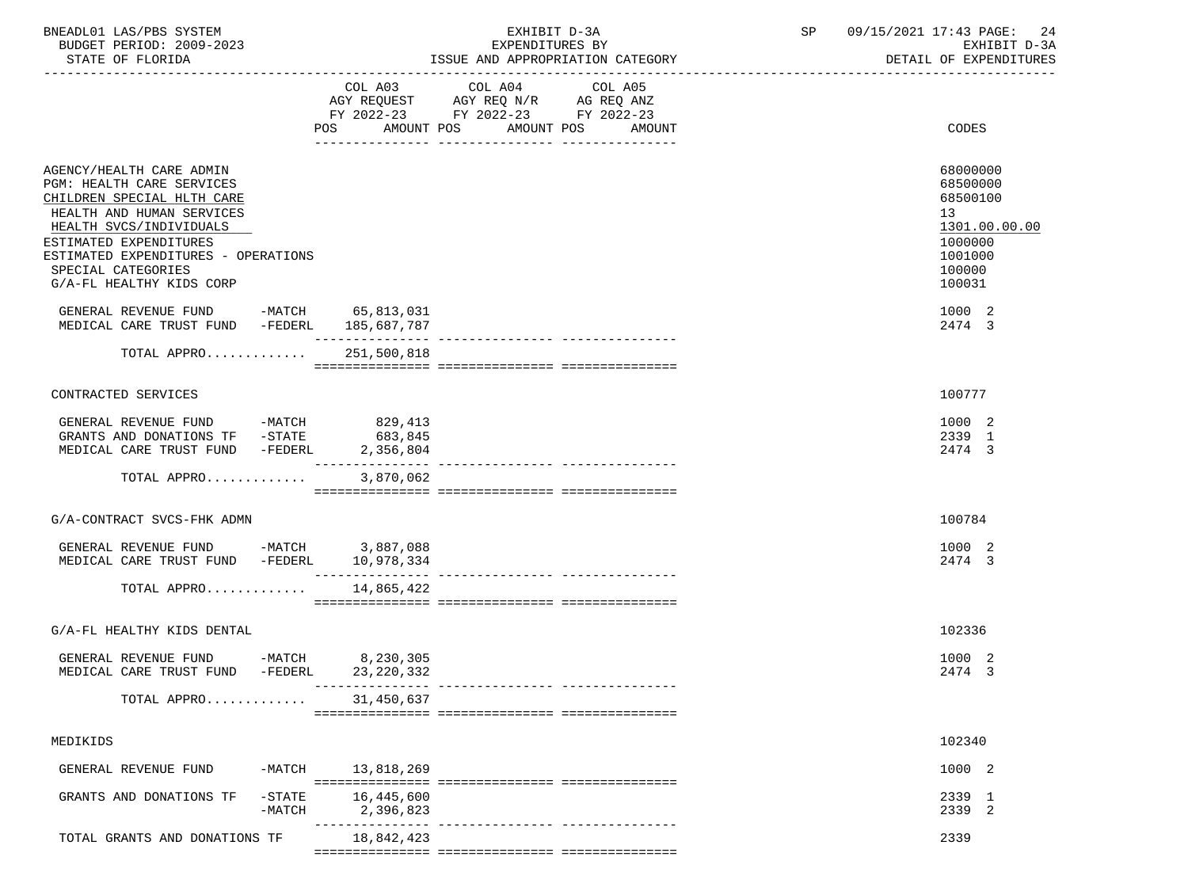| BNEADL01 LAS/PBS SYSTEM  | EXHIBIT D-3A                     | 09/15/2021 17:43 PAGE: 24 |
|--------------------------|----------------------------------|---------------------------|
| BUDGET PERIOD: 2009-2023 | EXPENDITURES BY                  | EXHIBIT D-3A              |
| STATE OF FLORIDA         | ISSUE AND APPROPRIATION CATEGORY | DETAIL OF EXPENDITURES    |

 ----------------------------------------------------------------------------------------------------------------------------------- COL A03 COL A04 COL A05 AGY REQUEST AGY REQ N/R AG REQ ANZ FY 2022-23 FY 2022-23 FY 2022-23 POS AMOUNT POS AMOUNT POS AMOUNT CODES --------------- --------------- --------------- AGENCY/HEALTH CARE ADMIN 68000000 AGENCY/HEALTH CARE ADMIN PGM: HEALTH CARE SERVICES 68500000 (1999) 968-10000 (1999) 97-10000 (1999) 97-10000 (1999) 97-10000 (1999) 98-1<br>CHILDREN SPECIAL HLTH CARE CHILDREN SPECIAL HLTH CARE HEALTH AND HUMAN SERVICES 13 (1999) 13 (1999) 13 (1999) 13 (1999) 13 (1999) 13 (1999) 13 (1999) 13 (1999) 13 (1999) 13 (1999) 13 (1999) 13 (1999) 13 (1999) 13 (1999) 13 (1999) 13 (1999) 13 (1999) 13 (1999) 13 (1999) 13 (19 HEALTH SVCS/INDIVIDUALS 1301.00 and the state of the state of the state of the state of the state of the state of the state of the state of the state of the state of the state of the state of the state of the state of the ESTIMATED EXPENDITURES ESTIMATED EXPENDITURES - OPERATIONS<br>SPECIAL CATEGORIES 100000 SPECIAL CATEGORIES 100000 PHOTOS SOFIE AND SERVICE SUPERINT AND SERVICE SUPERINT OF THE SERVICE SUPERINT SUPERINT SUPERINT SUPERINT SUPERINT SUPERINT SUPERINT SUPERINT SUPERINT SUPERINT SUPERINT SUPERINT SUPERINT SUPERINT G/A-FL HEALTHY KIDS CORP GENERAL REVENUE FUND -MATCH 65,813,031<br>MEDICAL CARE TRUST FUND -FEDERL 185.687.787 MEDICAL CARE TRUST FUND -FEDERL 185,687,787 --------------- --------------- --------------- TOTAL APPRO............. 251,500,818 =============== =============== =============== CONTRACTED SERVICES 100777 GENERAL REVENUE FUND -MATCH 829,413<br>GRANTS AND DONATIONS TF -STATE 683.845 1000 2 GRANTS AND DONATIONS TF  $-$  -STATE 683,845 2339 1  $2474$  3 MEDICAL CARE TRUST FUND  $-$  FEDERL  $2.356.804$  --------------- --------------- --------------- TOTAL APPRO............. 3,870,062 =============== =============== =============== G/A-CONTRACT SVCS-FHK ADMN 100784 GENERAL REVENUE FUND -MATCH 3,887,088 1000 2 MEDICAL CARE TRUST FUND -FEDERL 10,978,334 2474 3 --------------- --------------- --------------- TOTAL APPRO............. 14,865,422 =============== =============== =============== G/A-FL HEALTHY KIDS DENTAL 102336 GENERAL REVENUE FUND -MATCH 8,230,305<br>MEDICAL CARE TRUST FUND -FEDERL 23.220.332 MEDICAL CARE TRUST FUND -FEDERL 23,220,332 --------------- --------------- --------------- TOTAL APPRO............. 31,450,637 =============== =============== =============== MEDIKIDS 102340 GENERAL REVENUE FUND -MATCH 13.818.269 1000 2 =============== =============== =============== GRANTS AND DONATIONS TF -STATE 16,445,600<br>-MATCH 2.396.823 2239 2239 2 -MATCH 2,396,823 --------------- --------------- ---------------

TOTAL GRANTS AND DONATIONS TF 38,842,423 2339 =============== =============== ===============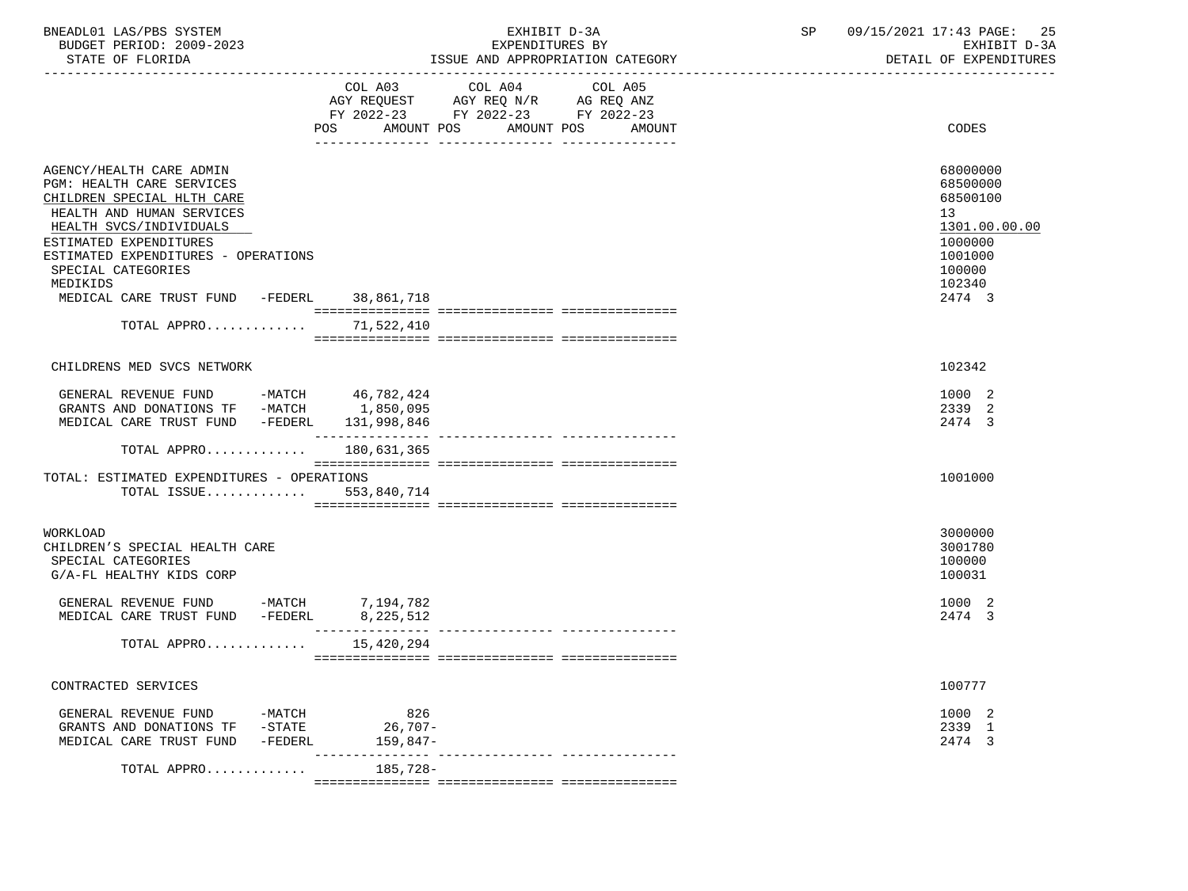| BNEADL01 LAS/PBS SYSTEM<br>BUDGET PERIOD: 2009-2023<br>STATE OF FLORIDA                                                                                                                                                                                                                                                |                              | EXHIBIT D-3A<br>EXPENDITURES BY<br>ISSUE AND APPROPRIATION CATEGORY                                                                         | SP | 09/15/2021 17:43 PAGE:<br>-25<br>EXHIBIT D-3A<br>DETAIL OF EXPENDITURES                                     |
|------------------------------------------------------------------------------------------------------------------------------------------------------------------------------------------------------------------------------------------------------------------------------------------------------------------------|------------------------------|---------------------------------------------------------------------------------------------------------------------------------------------|----|-------------------------------------------------------------------------------------------------------------|
|                                                                                                                                                                                                                                                                                                                        |                              | COL A03 COL A04<br>COL A05<br>AGY REQUEST AGY REQ N/R AG REQ ANZ<br>FY 2022-23 FY 2022-23 FY 2022-23<br>POS AMOUNT POS AMOUNT POS<br>AMOUNT |    | CODES                                                                                                       |
| AGENCY/HEALTH CARE ADMIN<br>PGM: HEALTH CARE SERVICES<br>CHILDREN SPECIAL HLTH CARE<br>HEALTH AND HUMAN SERVICES<br>HEALTH SVCS/INDIVIDUALS<br>ESTIMATED EXPENDITURES<br>ESTIMATED EXPENDITURES - OPERATIONS<br>SPECIAL CATEGORIES<br>MEDIKIDS<br>MEDICAL CARE TRUST FUND -FEDERL 38,861,718<br>TOTAL APPRO 71,522,410 |                              |                                                                                                                                             |    | 68000000<br>68500000<br>68500100<br>13<br>1301.00.00.00<br>1000000<br>1001000<br>100000<br>102340<br>2474 3 |
| CHILDRENS MED SVCS NETWORK                                                                                                                                                                                                                                                                                             |                              |                                                                                                                                             |    | 102342                                                                                                      |
| GENERAL REVENUE FUND -MATCH 46,782,424<br>GRANTS AND DONATIONS TF -MATCH 1,850,095<br>MEDICAL CARE TRUST FUND -FEDERL<br>TOTAL APPRO                                                                                                                                                                                   | 131,998,846<br>180,631,365   |                                                                                                                                             |    | 1000 2<br>2339 2<br>2474 3                                                                                  |
| TOTAL: ESTIMATED EXPENDITURES - OPERATIONS<br>TOTAL ISSUE $553,840,714$                                                                                                                                                                                                                                                |                              |                                                                                                                                             |    | 1001000                                                                                                     |
| WORKLOAD<br>CHILDREN'S SPECIAL HEALTH CARE<br>SPECIAL CATEGORIES<br>G/A-FL HEALTHY KIDS CORP                                                                                                                                                                                                                           |                              |                                                                                                                                             |    | 3000000<br>3001780<br>100000<br>100031                                                                      |
| GENERAL REVENUE FUND -MATCH $7,194,782$<br>MEDICAL CARE TRUST FUND -FEDERL $8,225,512$                                                                                                                                                                                                                                 |                              |                                                                                                                                             |    | 1000 2<br>2474 3                                                                                            |
| TOTAL APPRO                                                                                                                                                                                                                                                                                                            | 15,420,294                   |                                                                                                                                             |    |                                                                                                             |
| CONTRACTED SERVICES                                                                                                                                                                                                                                                                                                    |                              |                                                                                                                                             |    | 100777                                                                                                      |
| GENERAL REVENUE FUND<br>-MATCH<br>GRANTS AND DONATIONS TF<br>-STATE<br>-FEDERL<br>MEDICAL CARE TRUST FUND                                                                                                                                                                                                              | 826<br>26,707-<br>$159,847-$ |                                                                                                                                             |    | 1000 2<br>2339 1<br>2474 3                                                                                  |
| TOTAL APPRO                                                                                                                                                                                                                                                                                                            | 185,728-                     |                                                                                                                                             |    |                                                                                                             |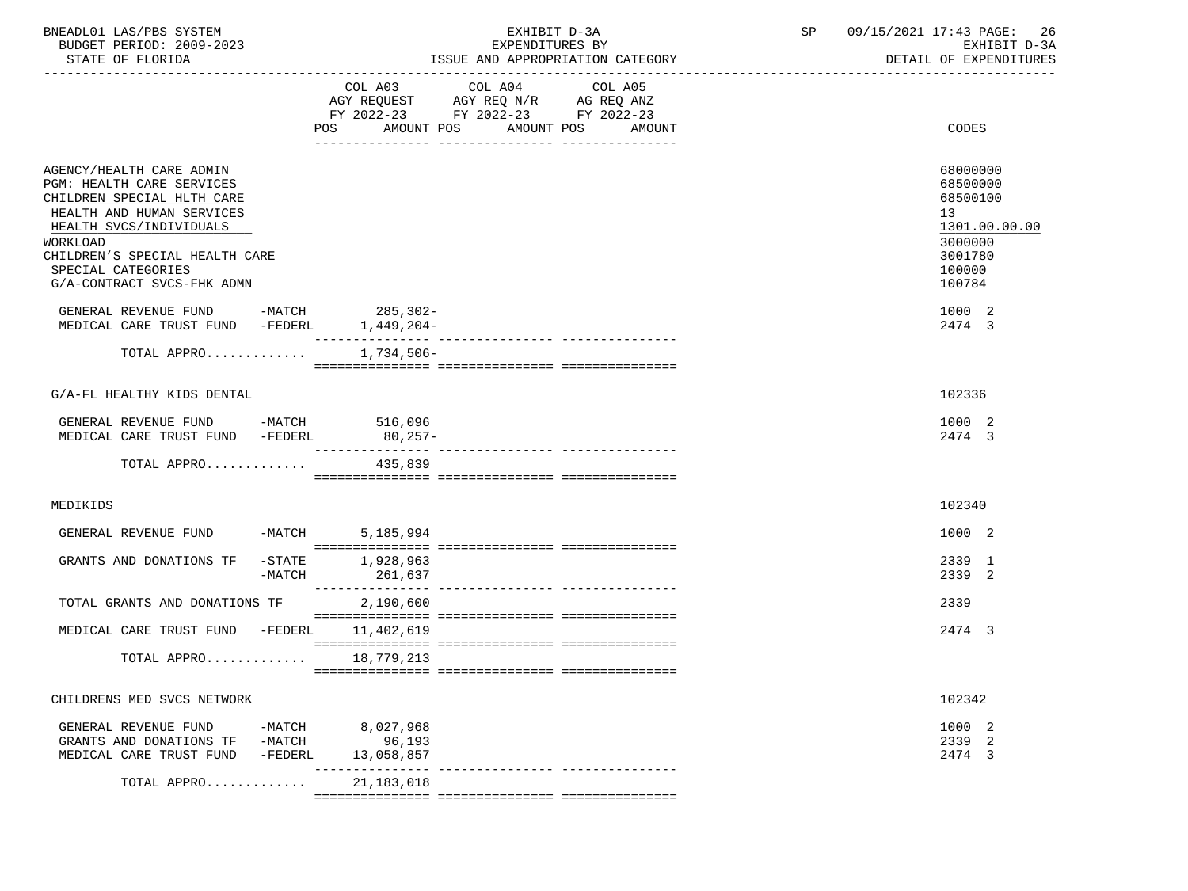| BNEADL01 LAS/PBS SYSTEM<br>BUDGET PERIOD: 2009-2023<br>STATE OF FLORIDA                                                                                                                                                                       |                             |                                                                                                                       | EXHIBIT D-3A<br>EXPENDITURES BY<br>ISSUE AND APPROPRIATION CATEGORY | SP      | 09/15/2021 17:43 PAGE:<br>-26<br>EXHIBIT D-3A<br>DETAIL OF EXPENDITURES |                                                                                                                |
|-----------------------------------------------------------------------------------------------------------------------------------------------------------------------------------------------------------------------------------------------|-----------------------------|-----------------------------------------------------------------------------------------------------------------------|---------------------------------------------------------------------|---------|-------------------------------------------------------------------------|----------------------------------------------------------------------------------------------------------------|
|                                                                                                                                                                                                                                               |                             | COL A03<br>AGY REQUEST AGY REQ N/R AG REQ ANZ<br>FY 2022-23 FY 2022-23 FY 2022-23<br>POS AMOUNT POS AMOUNT POS AMOUNT | COL A04                                                             | COL A05 |                                                                         | CODES                                                                                                          |
| AGENCY/HEALTH CARE ADMIN<br>PGM: HEALTH CARE SERVICES<br>CHILDREN SPECIAL HLTH CARE<br>HEALTH AND HUMAN SERVICES<br>HEALTH SVCS/INDIVIDUALS<br>WORKLOAD<br>CHILDREN'S SPECIAL HEALTH CARE<br>SPECIAL CATEGORIES<br>G/A-CONTRACT SVCS-FHK ADMN |                             |                                                                                                                       |                                                                     |         |                                                                         | 68000000<br>68500000<br>68500100<br>13 <sup>°</sup><br>1301.00.00.00<br>3000000<br>3001780<br>100000<br>100784 |
| GENERAL REVENUE FUND -MATCH 285,302-<br>MEDICAL CARE TRUST FUND -FEDERL                                                                                                                                                                       |                             | 1,449,204-                                                                                                            |                                                                     |         |                                                                         | 1000 2<br>2474 3                                                                                               |
| TOTAL APPRO                                                                                                                                                                                                                                   |                             | 1,734,506-                                                                                                            |                                                                     |         |                                                                         |                                                                                                                |
| G/A-FL HEALTHY KIDS DENTAL                                                                                                                                                                                                                    |                             |                                                                                                                       |                                                                     |         |                                                                         | 102336                                                                                                         |
| GENERAL REVENUE FUND -MATCH 516,096<br>MEDICAL CARE TRUST FUND -FEDERL 80,257-                                                                                                                                                                |                             |                                                                                                                       |                                                                     |         |                                                                         | 1000 2<br>2474 3                                                                                               |
| TOTAL APPRO                                                                                                                                                                                                                                   |                             | 435,839                                                                                                               |                                                                     |         |                                                                         |                                                                                                                |
| MEDIKIDS                                                                                                                                                                                                                                      |                             |                                                                                                                       |                                                                     |         |                                                                         | 102340                                                                                                         |
| GENERAL REVENUE FUND -MATCH 5,185,994                                                                                                                                                                                                         |                             |                                                                                                                       |                                                                     |         |                                                                         | 1000 2                                                                                                         |
| GRANTS AND DONATIONS TF                                                                                                                                                                                                                       | -MATCH                      | -STATE 1,928,963<br>261,637                                                                                           |                                                                     |         |                                                                         | 2339 1<br>2339 2                                                                                               |
| TOTAL GRANTS AND DONATIONS TF                                                                                                                                                                                                                 |                             | 2,190,600                                                                                                             |                                                                     |         |                                                                         | 2339                                                                                                           |
| MEDICAL CARE TRUST FUND -FEDERL 11,402,619                                                                                                                                                                                                    |                             |                                                                                                                       |                                                                     |         |                                                                         | 2474 3                                                                                                         |
| TOTAL APPRO 18,779,213                                                                                                                                                                                                                        |                             |                                                                                                                       |                                                                     |         |                                                                         |                                                                                                                |
| CHILDRENS MED SVCS NETWORK                                                                                                                                                                                                                    |                             |                                                                                                                       |                                                                     |         |                                                                         | 102342                                                                                                         |
| GENERAL REVENUE FUND<br>GRANTS AND DONATIONS TF<br>MEDICAL CARE TRUST FUND                                                                                                                                                                    | -MATCH<br>-MATCH<br>-FEDERL | 8,027,968<br>96,193<br>13,058,857                                                                                     |                                                                     |         |                                                                         | 1000 2<br>2339 2<br>2474 3                                                                                     |
| TOTAL APPRO                                                                                                                                                                                                                                   |                             | 21, 183, 018                                                                                                          |                                                                     |         |                                                                         |                                                                                                                |
|                                                                                                                                                                                                                                               |                             |                                                                                                                       |                                                                     |         |                                                                         |                                                                                                                |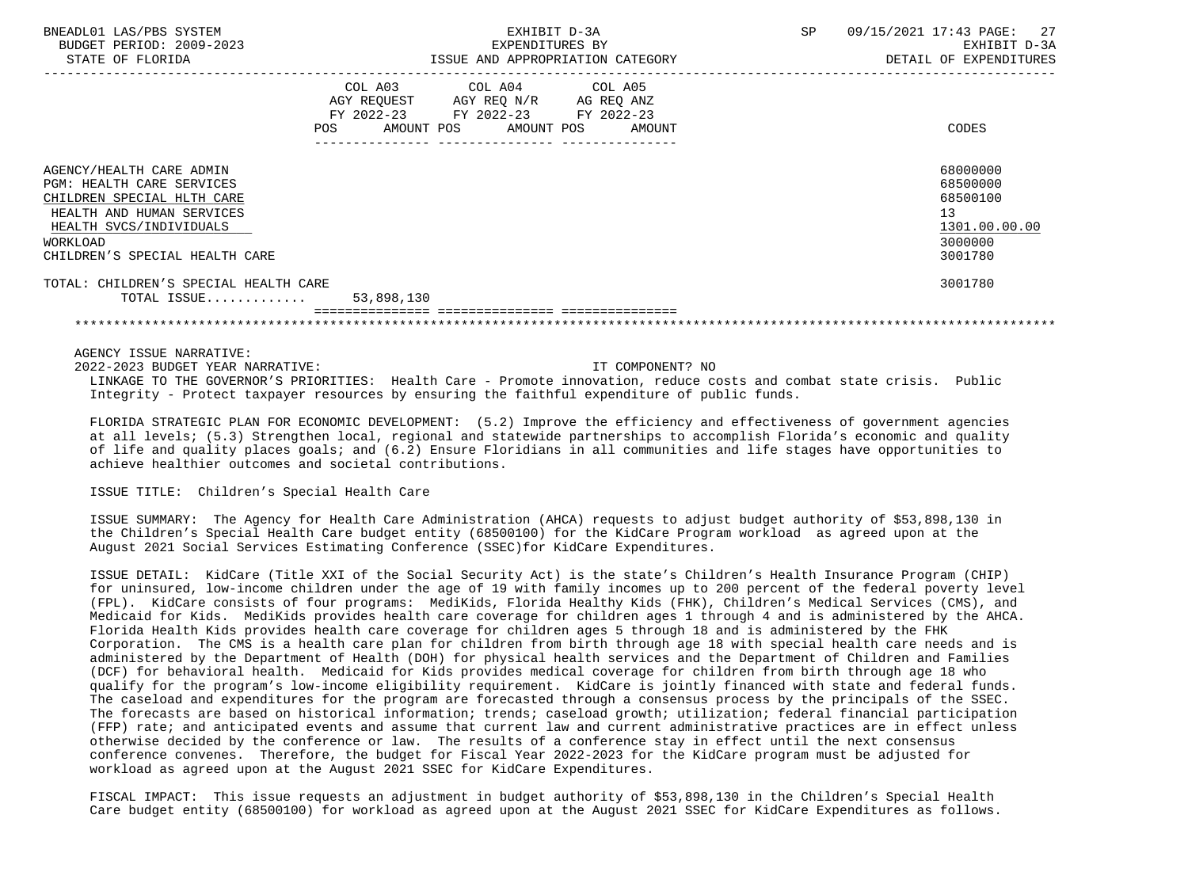| BNEADL01 LAS/PBS SYSTEM<br>BUDGET PERIOD: 2009-2023<br>STATE OF FLORIDA                                                                                                                          | EXHIBIT D-3A<br>EXPENDITURES BY<br>ISSUE AND APPROPRIATION CATEGORY                                            |                                                                                                                                   |  | SP | 09/15/2021 17:43 PAGE: 27<br>EXHIBIT D-3A<br>DETAIL OF EXPENDITURES           |
|--------------------------------------------------------------------------------------------------------------------------------------------------------------------------------------------------|----------------------------------------------------------------------------------------------------------------|-----------------------------------------------------------------------------------------------------------------------------------|--|----|-------------------------------------------------------------------------------|
|                                                                                                                                                                                                  | POS FOR THE POST OF THE STATE STATE STATE STATE STATE STATE STATE STATE STATE STATE STATE STATE STATE STATE ST | COL A03 COL A04 COL A05<br>AGY REQUEST AGY REQ N/R AG REQ ANZ<br>FY 2022-23 FY 2022-23 FY 2022-23<br>AMOUNT POS AMOUNT POS AMOUNT |  |    | CODES                                                                         |
| AGENCY/HEALTH CARE ADMIN<br><b>PGM: HEALTH CARE SERVICES</b><br>CHILDREN SPECIAL HLTH CARE<br>HEALTH AND HUMAN SERVICES<br>HEALTH SVCS/INDIVIDUALS<br>WORKLOAD<br>CHILDREN'S SPECIAL HEALTH CARE |                                                                                                                |                                                                                                                                   |  |    | 68000000<br>68500000<br>68500100<br>13<br>1301.00.00.00<br>3000000<br>3001780 |
| TOTAL: CHILDREN'S SPECIAL HEALTH CARE<br>TOTAL ISSUE $53,898,130$                                                                                                                                |                                                                                                                |                                                                                                                                   |  |    | 3001780                                                                       |
|                                                                                                                                                                                                  |                                                                                                                |                                                                                                                                   |  |    |                                                                               |

AGENCY ISSUE NARRATIVE:

 2022-2023 BUDGET YEAR NARRATIVE: IT COMPONENT? NO LINKAGE TO THE GOVERNOR'S PRIORITIES: Health Care - Promote innovation, reduce costs and combat state crisis. Public Integrity - Protect taxpayer resources by ensuring the faithful expenditure of public funds.

 FLORIDA STRATEGIC PLAN FOR ECONOMIC DEVELOPMENT: (5.2) Improve the efficiency and effectiveness of government agencies at all levels; (5.3) Strengthen local, regional and statewide partnerships to accomplish Florida's economic and quality of life and quality places goals; and (6.2) Ensure Floridians in all communities and life stages have opportunities to achieve healthier outcomes and societal contributions.

ISSUE TITLE: Children's Special Health Care

 ISSUE SUMMARY: The Agency for Health Care Administration (AHCA) requests to adjust budget authority of \$53,898,130 in the Children's Special Health Care budget entity (68500100) for the KidCare Program workload as agreed upon at the August 2021 Social Services Estimating Conference (SSEC)for KidCare Expenditures.

 ISSUE DETAIL: KidCare (Title XXI of the Social Security Act) is the state's Children's Health Insurance Program (CHIP) for uninsured, low-income children under the age of 19 with family incomes up to 200 percent of the federal poverty level (FPL). KidCare consists of four programs: MediKids, Florida Healthy Kids (FHK), Children's Medical Services (CMS), and Medicaid for Kids. MediKids provides health care coverage for children ages 1 through 4 and is administered by the AHCA. Florida Health Kids provides health care coverage for children ages 5 through 18 and is administered by the FHK Corporation. The CMS is a health care plan for children from birth through age 18 with special health care needs and is administered by the Department of Health (DOH) for physical health services and the Department of Children and Families (DCF) for behavioral health. Medicaid for Kids provides medical coverage for children from birth through age 18 who qualify for the program's low-income eligibility requirement. KidCare is jointly financed with state and federal funds. The caseload and expenditures for the program are forecasted through a consensus process by the principals of the SSEC. The forecasts are based on historical information; trends; caseload growth; utilization; federal financial participation (FFP) rate; and anticipated events and assume that current law and current administrative practices are in effect unless otherwise decided by the conference or law. The results of a conference stay in effect until the next consensus conference convenes. Therefore, the budget for Fiscal Year 2022-2023 for the KidCare program must be adjusted for workload as agreed upon at the August 2021 SSEC for KidCare Expenditures.

 FISCAL IMPACT: This issue requests an adjustment in budget authority of \$53,898,130 in the Children's Special Health Care budget entity (68500100) for workload as agreed upon at the August 2021 SSEC for KidCare Expenditures as follows.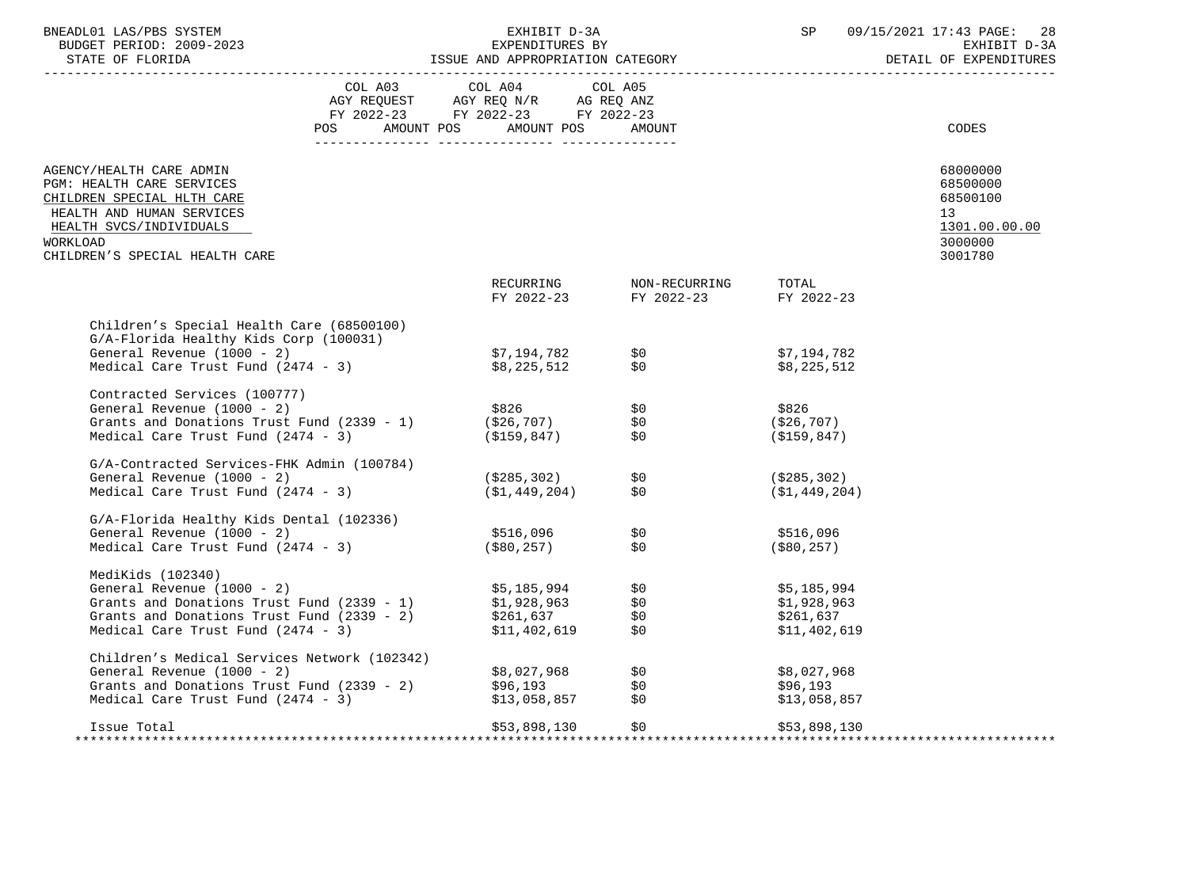| BNEADL01 LAS/PBS SYSTEM<br>BUDGET PERIOD: 2009-2023<br>STATE OF FLORIDA                                                                            | EXHIBIT D-3A<br>EXPENDITURES BY<br>EXILLET D'OR<br>EXPENDITURES BY<br>ISSUE AND APPROPRIATION CATEGORY |                                                          |                                                  |                | 09/15/2021 17:43 PAGE: 28<br>EXHIBIT D-3A<br>DETAIL OF EXPENDITURES |
|----------------------------------------------------------------------------------------------------------------------------------------------------|--------------------------------------------------------------------------------------------------------|----------------------------------------------------------|--------------------------------------------------|----------------|---------------------------------------------------------------------|
|                                                                                                                                                    | COL A03 COL A04                                                                                        | COL A05                                                  |                                                  |                |                                                                     |
|                                                                                                                                                    | AGY REQUEST AGY REQ N/R AG REQ ANZ<br>FY 2022-23 FY 2022-23 FY 2022-23                                 |                                                          |                                                  |                |                                                                     |
|                                                                                                                                                    | POS AMOUNT POS AMOUNT POS AMOUNT                                                                       |                                                          |                                                  |                | CODES                                                               |
|                                                                                                                                                    |                                                                                                        |                                                          |                                                  |                |                                                                     |
|                                                                                                                                                    |                                                                                                        |                                                          |                                                  |                |                                                                     |
| AGENCY/HEALTH CARE ADMIN<br>PGM: HEALTH CARE SERVICES                                                                                              |                                                                                                        |                                                          |                                                  |                | 68000000<br>68500000                                                |
| CHILDREN SPECIAL HLTH CARE                                                                                                                         |                                                                                                        |                                                          |                                                  |                | 68500100                                                            |
| HEALTH AND HUMAN SERVICES                                                                                                                          |                                                                                                        |                                                          |                                                  |                | 13                                                                  |
| HEALTH SVCS/INDIVIDUALS                                                                                                                            |                                                                                                        |                                                          |                                                  |                | 1301.00.00.00                                                       |
| WORKLOAD                                                                                                                                           |                                                                                                        |                                                          |                                                  |                | 3000000                                                             |
| CHILDREN'S SPECIAL HEALTH CARE                                                                                                                     |                                                                                                        |                                                          |                                                  |                | 3001780                                                             |
|                                                                                                                                                    |                                                                                                        |                                                          |                                                  | TOTAL          |                                                                     |
|                                                                                                                                                    |                                                                                                        |                                                          | RECURRING NON-RECURRING<br>FY 2022-23 FY 2022-23 | FY 2022-23     |                                                                     |
| Children's Special Health Care (68500100)                                                                                                          |                                                                                                        |                                                          |                                                  |                |                                                                     |
| G/A-Florida Healthy Kids Corp (100031)                                                                                                             |                                                                                                        |                                                          |                                                  |                |                                                                     |
| General Revenue (1000 - 2)                                                                                                                         |                                                                                                        |                                                          |                                                  | \$7,194,782    |                                                                     |
| Medical Care Trust Fund (2474 - 3)                                                                                                                 |                                                                                                        | \$7,194,782            \$0<br>\$8,225,512            \$0 |                                                  | \$8,225,512    |                                                                     |
| Contracted Services (100777)                                                                                                                       |                                                                                                        |                                                          |                                                  |                |                                                                     |
|                                                                                                                                                    |                                                                                                        |                                                          |                                                  | \$826          |                                                                     |
| General Revenue (1000 - 2)<br>Grants and Donations Trust Fund (2339 - 1) (\$26,707) \$0<br>\$0<br>\$0<br>\$0<br>\$0<br>\$0<br>\$0<br>\$16,707) \$0 |                                                                                                        |                                                          |                                                  | (\$26,707)     |                                                                     |
| Medical Care Trust Fund (2474 - 3)                                                                                                                 | (\$159,847)                                                                                            | \$0                                                      |                                                  | (S159, 847)    |                                                                     |
| G/A-Contracted Services-FHK Admin (100784)                                                                                                         |                                                                                                        |                                                          |                                                  |                |                                                                     |
| General Revenue (1000 - 2)                                                                                                                         | (\$285,302)             \$0<br>(\$1,449,204)        \$0                                                |                                                          |                                                  | (\$285,302)    |                                                                     |
| Medical Care Trust Fund (2474 - 3)                                                                                                                 |                                                                                                        |                                                          |                                                  | ( \$1,449,204) |                                                                     |
| G/A-Florida Healthy Kids Dental (102336)                                                                                                           |                                                                                                        |                                                          |                                                  |                |                                                                     |
| General Revenue (1000 - 2)                                                                                                                         | \$516,096                                                                                              | \$0                                                      |                                                  | \$516,096      |                                                                     |
| Medical Care Trust Fund (2474 - 3)                                                                                                                 | $($ \$80,257)                                                                                          |                                                          | \$0 1                                            | ( \$80, 257)   |                                                                     |
| MediKids (102340)                                                                                                                                  |                                                                                                        |                                                          |                                                  |                |                                                                     |
| General Revenue (1000 - 2)                                                                                                                         | \$5,185,994             \$0<br>\$1,928,963         \$0                                                 |                                                          |                                                  | \$5,185,994    |                                                                     |
| Grants and Donations Trust Fund $(2339 - 1)$<br>$\begin{array}{ccc} 51,928,963 & 50 \\ 5261,637 & 50 \\ 5261,637 & 50 \end{array}$                 |                                                                                                        |                                                          | \$0                                              | \$1,928,963    |                                                                     |
|                                                                                                                                                    |                                                                                                        |                                                          |                                                  | \$261,637      |                                                                     |
| Medical Care Trust Fund (2474 - 3)                                                                                                                 | \$11,402,619                                                                                           | \$0                                                      |                                                  | \$11,402,619   |                                                                     |
| Children's Medical Services Network (102342)                                                                                                       |                                                                                                        |                                                          |                                                  |                |                                                                     |
| General Revenue (1000 - 2)<br>Grants and Donations Trust Fund (2339 - 2) $$8,027,968$<br>$$96,193$                                                 |                                                                                                        |                                                          | \$0<br>\$0                                       | \$8,027,968    |                                                                     |
|                                                                                                                                                    |                                                                                                        |                                                          |                                                  | \$96,193       |                                                                     |
| Medical Care Trust Fund (2474 - 3)                                                                                                                 |                                                                                                        | \$13,058,857    \$0                                      |                                                  | \$13,058,857   |                                                                     |
| Issue Total                                                                                                                                        |                                                                                                        | \$53,898,130 \$0                                         |                                                  | \$53,898,130   |                                                                     |
|                                                                                                                                                    |                                                                                                        |                                                          |                                                  |                |                                                                     |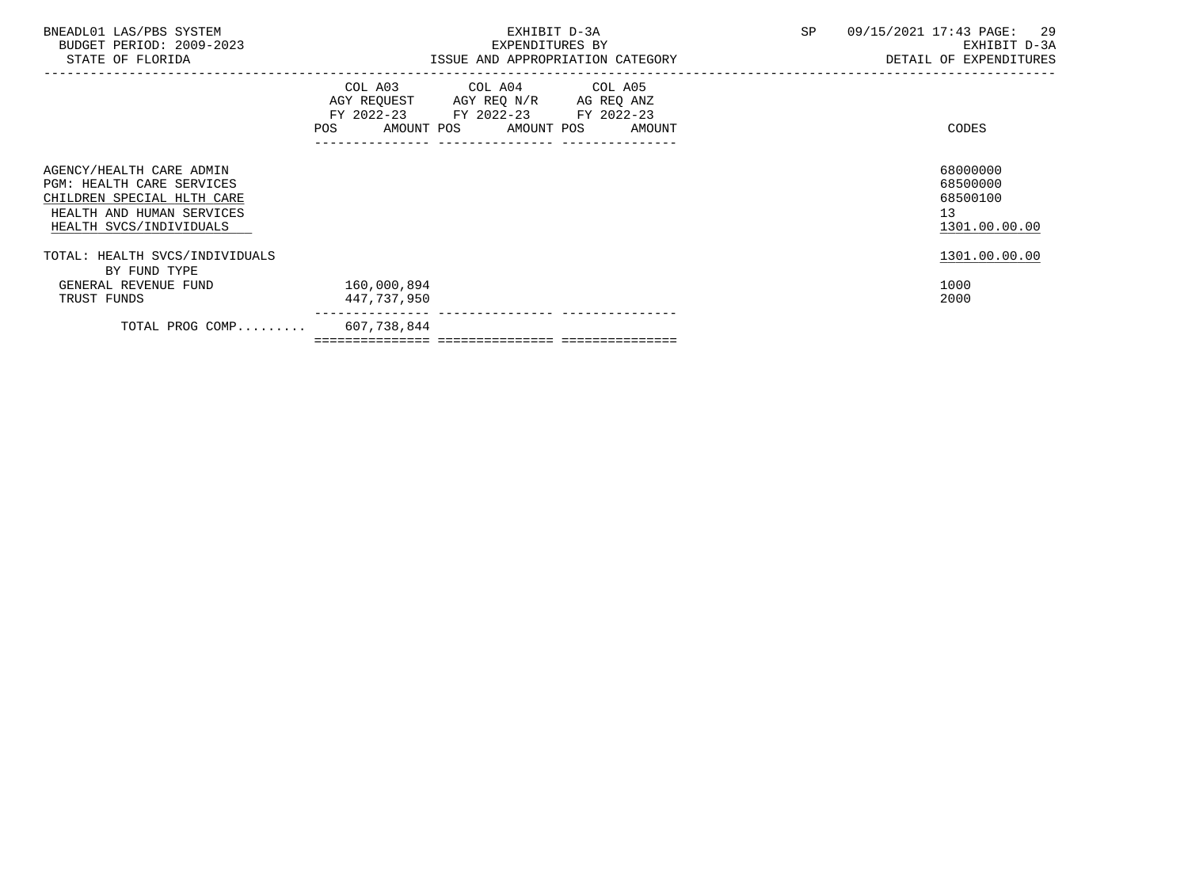| BNEADL01 LAS/PBS SYSTEM<br>BUDGET PERIOD: 2009-2023<br>STATE OF FLORIDA                                                                            | EXHIBIT D-3A<br>EXPENDITURES BY<br>ISSUE AND APPROPRIATION CATEGORY                                                                   | 09/15/2021 17:43 PAGE: 29<br>SP<br>EXHIBIT D-3A<br>DETAIL OF EXPENDITURES |
|----------------------------------------------------------------------------------------------------------------------------------------------------|---------------------------------------------------------------------------------------------------------------------------------------|---------------------------------------------------------------------------|
|                                                                                                                                                    | COL A03 COL A04 COL A05<br>AGY REQUEST AGY REQ N/R AG REQ ANZ<br>FY 2022-23 FY 2022-23 FY 2022-23<br>POS AMOUNT POS AMOUNT POS AMOUNT | CODES                                                                     |
| AGENCY/HEALTH CARE ADMIN<br><b>PGM: HEALTH CARE SERVICES</b><br>CHILDREN SPECIAL HLTH CARE<br>HEALTH AND HUMAN SERVICES<br>HEALTH SVCS/INDIVIDUALS |                                                                                                                                       | 68000000<br>68500000<br>68500100<br>13 <sup>°</sup><br>1301.00.00.00      |
| TOTAL: HEALTH SVCS/INDIVIDUALS                                                                                                                     |                                                                                                                                       | 1301.00.00.00                                                             |
| BY FUND TYPE<br>GENERAL REVENUE FUND<br>TRUST FUNDS                                                                                                | 160,000,894<br>447,737,950                                                                                                            | 1000<br>2000                                                              |
| TOTAL PROG COMP 607,738,844                                                                                                                        |                                                                                                                                       |                                                                           |

=============== =============== ===============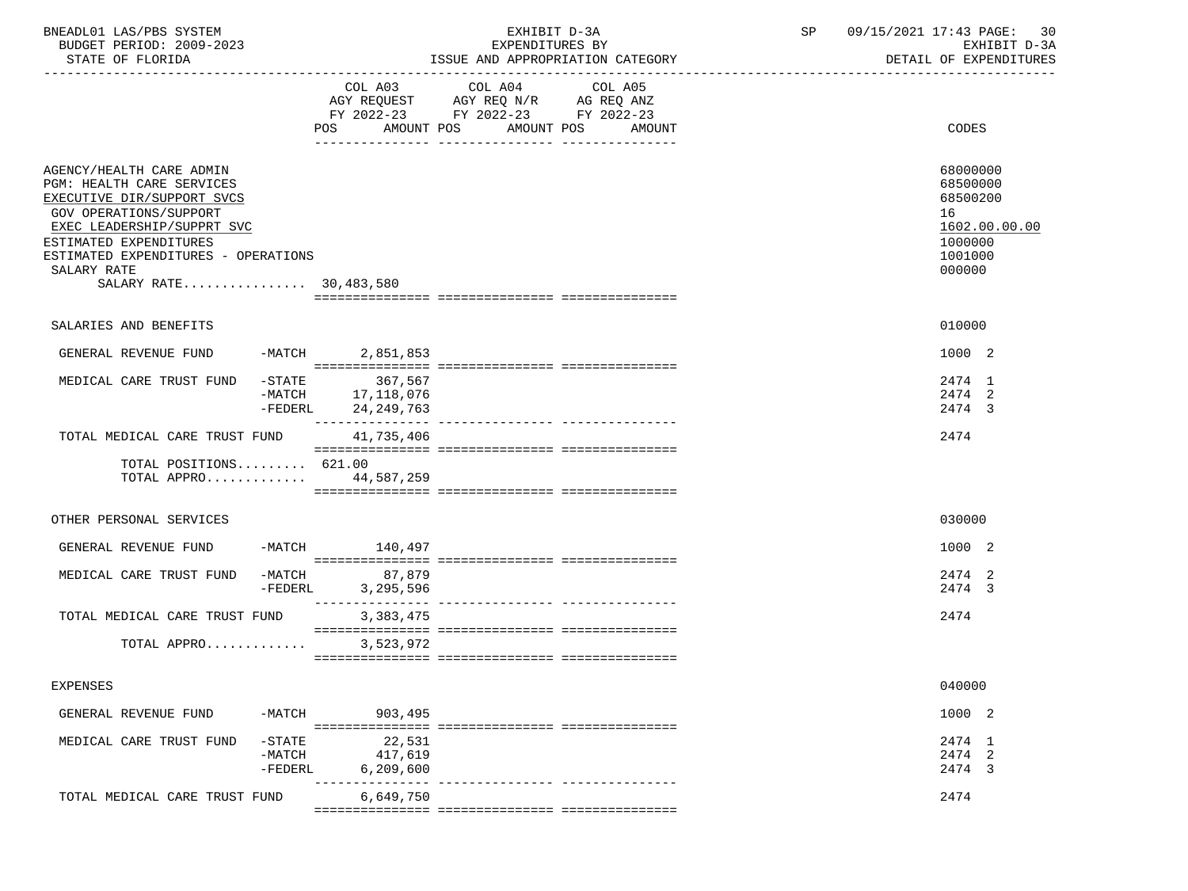| BNEADL01 LAS/PBS SYSTEM<br>BUDGET PERIOD: 2009-2023                                                                                                                                                                                                          |                                                             | EXHIBIT D-3A<br>EXPENDITURES BY                                                           | SP                                          | 09/15/2021 17:43 PAGE:<br>-30<br>EXHIBIT D-3A |                                                                                         |
|--------------------------------------------------------------------------------------------------------------------------------------------------------------------------------------------------------------------------------------------------------------|-------------------------------------------------------------|-------------------------------------------------------------------------------------------|---------------------------------------------|-----------------------------------------------|-----------------------------------------------------------------------------------------|
| STATE OF FLORIDA                                                                                                                                                                                                                                             |                                                             |                                                                                           | ISSUE AND APPROPRIATION CATEGORY            |                                               | DETAIL OF EXPENDITURES                                                                  |
|                                                                                                                                                                                                                                                              |                                                             | COL A03 COL A04<br>AGY REQUEST AGY REQ N/R AG REQ ANZ<br>FY 2022-23 FY 2022-23 FY 2022-23 | COL A05<br>POS AMOUNT POS AMOUNT POS AMOUNT |                                               | CODES                                                                                   |
| AGENCY/HEALTH CARE ADMIN<br><b>PGM: HEALTH CARE SERVICES</b><br>EXECUTIVE DIR/SUPPORT SVCS<br>GOV OPERATIONS/SUPPORT<br>EXEC LEADERSHIP/SUPPRT SVC<br>ESTIMATED EXPENDITURES<br>ESTIMATED EXPENDITURES - OPERATIONS<br>SALARY RATE<br>SALARY RATE 30,483,580 |                                                             |                                                                                           |                                             |                                               | 68000000<br>68500000<br>68500200<br>16<br>1602.00.00.00<br>1000000<br>1001000<br>000000 |
| SALARIES AND BENEFITS                                                                                                                                                                                                                                        |                                                             |                                                                                           |                                             |                                               | 010000                                                                                  |
| GENERAL REVENUE FUND -MATCH 2,851,853                                                                                                                                                                                                                        |                                                             |                                                                                           |                                             |                                               | 1000 2                                                                                  |
| MEDICAL CARE TRUST FUND                                                                                                                                                                                                                                      | STATE 367,567 -<br>MATCH 17,118,076<br>-FEDERL 24, 249, 763 |                                                                                           |                                             |                                               | 2474 1<br>2474 2<br>2474 3                                                              |
| TOTAL MEDICAL CARE TRUST FUND 41,735,406                                                                                                                                                                                                                     |                                                             |                                                                                           |                                             |                                               | 2474                                                                                    |
| TOTAL POSITIONS $621.00$<br>TOTAL APPRO 44,587,259                                                                                                                                                                                                           |                                                             |                                                                                           |                                             |                                               |                                                                                         |
| OTHER PERSONAL SERVICES                                                                                                                                                                                                                                      |                                                             |                                                                                           |                                             |                                               | 030000                                                                                  |
| GENERAL REVENUE FUND -MATCH 140,497                                                                                                                                                                                                                          |                                                             |                                                                                           |                                             |                                               | 1000 2                                                                                  |
| MEDICAL CARE TRUST FUND -MATCH 87,879                                                                                                                                                                                                                        | $-FEDERL$<br>3,295,596                                      |                                                                                           |                                             |                                               | 2474 2<br>2474 3                                                                        |
| TOTAL MEDICAL CARE TRUST FUND                                                                                                                                                                                                                                | 3,383,475                                                   |                                                                                           |                                             |                                               | 2474                                                                                    |
| TOTAL APPRO 3,523,972                                                                                                                                                                                                                                        |                                                             |                                                                                           |                                             |                                               |                                                                                         |
| EXPENSES                                                                                                                                                                                                                                                     |                                                             |                                                                                           |                                             |                                               | 040000                                                                                  |
| GENERAL REVENUE FUND<br>-MATCH                                                                                                                                                                                                                               | 903,495                                                     |                                                                                           |                                             |                                               | 1000 2                                                                                  |
| MEDICAL CARE TRUST FUND<br>$-STATE$<br>$-MATCH$<br>$-FEDERL$                                                                                                                                                                                                 | 22,531<br>417,619<br>6, 209, 600                            |                                                                                           |                                             |                                               | 2474 1<br>2474 2<br>2474 3                                                              |
| TOTAL MEDICAL CARE TRUST FUND                                                                                                                                                                                                                                | 6,649,750                                                   |                                                                                           |                                             |                                               | 2474                                                                                    |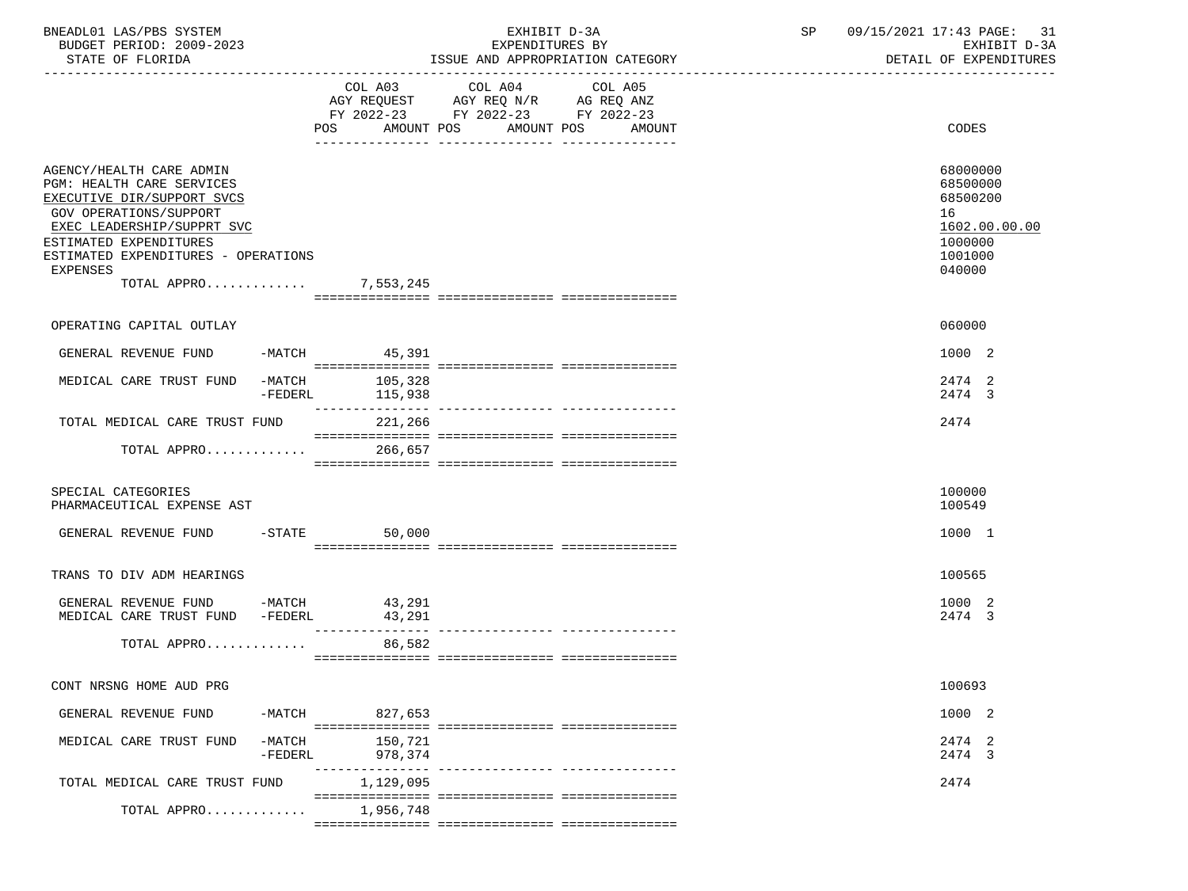| BNEADL01 LAS/PBS SYSTEM<br>BUDGET PERIOD: 2009-2023                                                                                                                                                                                                             |                    | EXHIBIT D-3A<br>EXPENDITURES BY                                                                                                          | 09/15/2021 17:43 PAGE: 31<br>SP<br>EXHIBIT D-3A                                         |
|-----------------------------------------------------------------------------------------------------------------------------------------------------------------------------------------------------------------------------------------------------------------|--------------------|------------------------------------------------------------------------------------------------------------------------------------------|-----------------------------------------------------------------------------------------|
| STATE OF FLORIDA                                                                                                                                                                                                                                                |                    | ISSUE AND APPROPRIATION CATEGORY                                                                                                         | DETAIL OF EXPENDITURES                                                                  |
|                                                                                                                                                                                                                                                                 |                    | COL A03 COL A04<br>COL A05<br>AGY REQUEST AGY REQ N/R AG REQ ANZ<br>FY 2022-23 FY 2022-23 FY 2022-23<br>POS AMOUNT POS AMOUNT POS AMOUNT | CODES                                                                                   |
|                                                                                                                                                                                                                                                                 |                    |                                                                                                                                          |                                                                                         |
| AGENCY/HEALTH CARE ADMIN<br>PGM: HEALTH CARE SERVICES<br>EXECUTIVE DIR/SUPPORT SVCS<br><b>GOV OPERATIONS/SUPPORT</b><br>EXEC LEADERSHIP/SUPPRT SVC<br>ESTIMATED EXPENDITURES<br>ESTIMATED EXPENDITURES - OPERATIONS<br><b>EXPENSES</b><br>TOTAL APPRO 7,553,245 |                    |                                                                                                                                          | 68000000<br>68500000<br>68500200<br>16<br>1602.00.00.00<br>1000000<br>1001000<br>040000 |
|                                                                                                                                                                                                                                                                 |                    |                                                                                                                                          |                                                                                         |
| OPERATING CAPITAL OUTLAY                                                                                                                                                                                                                                        |                    |                                                                                                                                          | 060000                                                                                  |
| GENERAL REVENUE FUND -MATCH 45,391                                                                                                                                                                                                                              |                    |                                                                                                                                          | 1000 2                                                                                  |
| MEDICAL CARE TRUST FUND -MATCH<br>-FEDERL                                                                                                                                                                                                                       | 105,328<br>115,938 |                                                                                                                                          | 2474 2<br>2474 3                                                                        |
| TOTAL MEDICAL CARE TRUST FUND                                                                                                                                                                                                                                   | 221,266            |                                                                                                                                          | 2474                                                                                    |
| TOTAL APPRO 266,657                                                                                                                                                                                                                                             |                    |                                                                                                                                          |                                                                                         |
| SPECIAL CATEGORIES<br>PHARMACEUTICAL EXPENSE AST                                                                                                                                                                                                                |                    |                                                                                                                                          | 100000<br>100549                                                                        |
| GENERAL REVENUE FUND -STATE                                                                                                                                                                                                                                     | 50,000             |                                                                                                                                          | 1000 1                                                                                  |
| TRANS TO DIV ADM HEARINGS                                                                                                                                                                                                                                       |                    |                                                                                                                                          | 100565                                                                                  |
| GENERAL REVENUE FUND -MATCH 43,291<br>MEDICAL CARE TRUST FUND -FEDERL 43,291<br>MEDICAL CARE TRUST FUND -FEDERL                                                                                                                                                 | 43,291             |                                                                                                                                          | 1000 2<br>2474 3                                                                        |
| TOTAL APPRO                                                                                                                                                                                                                                                     | 86,582             |                                                                                                                                          |                                                                                         |
| CONT NRSNG HOME AUD PRG                                                                                                                                                                                                                                         |                    |                                                                                                                                          | 100693                                                                                  |
| GENERAL REVENUE FUND                                                                                                                                                                                                                                            | 827,653<br>-MATCH  |                                                                                                                                          | 1000 2                                                                                  |
| MEDICAL CARE TRUST FUND<br>$-MATCH$<br>$-FEDERL$                                                                                                                                                                                                                | 150,721<br>978,374 |                                                                                                                                          | 2474 2<br>2474 3                                                                        |
| TOTAL MEDICAL CARE TRUST FUND                                                                                                                                                                                                                                   | 1,129,095          |                                                                                                                                          | 2474                                                                                    |
| TOTAL APPRO                                                                                                                                                                                                                                                     | 1,956,748          |                                                                                                                                          |                                                                                         |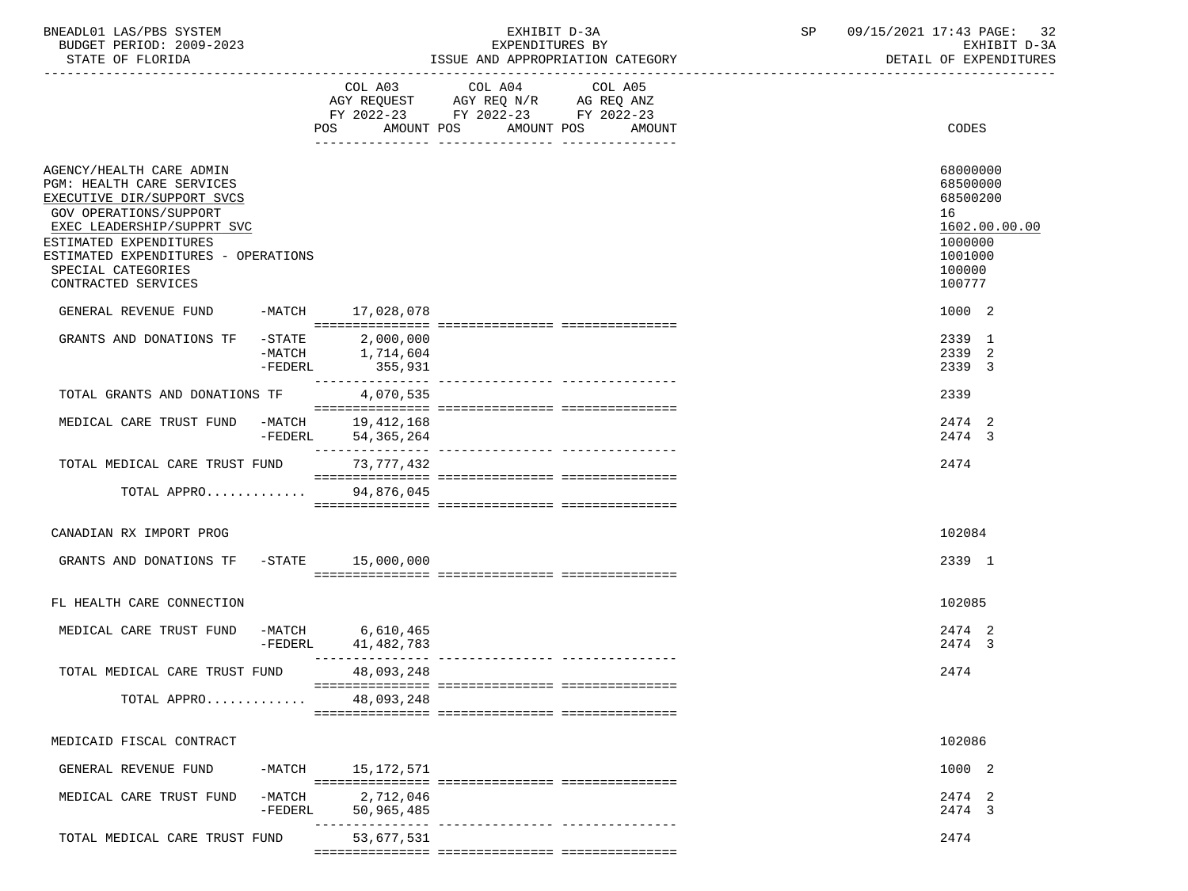| BNEADL01 LAS/PBS SYSTEM |                  |                          | EXHIBIT D-3A |  |                                  |  |  |
|-------------------------|------------------|--------------------------|--------------|--|----------------------------------|--|--|
|                         |                  | BUDGET PERIOD: 2009-2023 |              |  | EXPENDITURES BY                  |  |  |
|                         | STATE OF FLORIDA |                          |              |  | ISSUE AND APPROPRIATION CATEGORY |  |  |

BUDGET PERIOD: 2009-2023 EXPENDITURES BY EXHIBIT D-3A

|                                                               |                       |                          | FY 2022-23 FY 2022-23 FY 2022-23 |                                   |                      |
|---------------------------------------------------------------|-----------------------|--------------------------|----------------------------------|-----------------------------------|----------------------|
|                                                               |                       | POS AMOUNT POS           |                                  | AMOUNT POS<br>AMOUNT              | CODES                |
|                                                               |                       |                          |                                  |                                   |                      |
| AGENCY/HEALTH CARE ADMIN<br>PGM: HEALTH CARE SERVICES         |                       |                          |                                  |                                   | 68000000<br>68500000 |
| EXECUTIVE DIR/SUPPORT SVCS                                    |                       |                          |                                  |                                   | 68500200             |
| GOV OPERATIONS/SUPPORT                                        |                       |                          |                                  |                                   | 16                   |
| EXEC LEADERSHIP/SUPPRT SVC                                    |                       |                          |                                  |                                   | 1602.00.00.00        |
| ESTIMATED EXPENDITURES<br>ESTIMATED EXPENDITURES - OPERATIONS |                       |                          |                                  |                                   | 1000000<br>1001000   |
| SPECIAL CATEGORIES                                            |                       |                          |                                  |                                   | 100000               |
| CONTRACTED SERVICES                                           |                       |                          |                                  |                                   | 100777               |
| GENERAL REVENUE FUND                                          |                       | -MATCH 17,028,078        |                                  |                                   | 1000 2               |
|                                                               |                       |                          |                                  |                                   |                      |
| GRANTS AND DONATIONS TF                                       | $-$ STATE             | 2,000,000                |                                  |                                   | 2339 1               |
|                                                               | -MATCH                | 1,714,604                |                                  |                                   | 2339 2               |
|                                                               | $-FEDERL$             | 355,931                  |                                  |                                   | 2339 3               |
| TOTAL GRANTS AND DONATIONS TF                                 |                       | 4,070,535                |                                  |                                   | 2339                 |
|                                                               |                       |                          |                                  |                                   |                      |
| MEDICAL CARE TRUST FUND -MATCH                                | -FEDERL               | 19,412,168<br>54,365,264 |                                  |                                   | 2474 2<br>2474 3     |
|                                                               |                       |                          |                                  |                                   |                      |
| TOTAL MEDICAL CARE TRUST FUND                                 |                       | 73,777,432               |                                  |                                   | 2474                 |
| TOTAL APPRO                                                   |                       | 94,876,045               |                                  |                                   |                      |
|                                                               |                       |                          |                                  |                                   |                      |
| CANADIAN RX IMPORT PROG                                       |                       |                          |                                  |                                   | 102084               |
|                                                               |                       |                          |                                  |                                   |                      |
| GRANTS AND DONATIONS TF                                       |                       | -STATE 15,000,000        |                                  |                                   | 2339 1               |
|                                                               |                       |                          |                                  |                                   |                      |
| FL HEALTH CARE CONNECTION                                     |                       |                          |                                  |                                   | 102085               |
|                                                               |                       |                          |                                  |                                   |                      |
| MEDICAL CARE TRUST FUND -MATCH 6,610,465                      | -FEDERL               | 41,482,783               |                                  |                                   | 2474 2<br>2474 3     |
|                                                               |                       |                          |                                  |                                   |                      |
| TOTAL MEDICAL CARE TRUST FUND                                 |                       | 48,093,248               |                                  |                                   | 2474                 |
| TOTAL APPRO 48,093,248                                        |                       |                          |                                  |                                   |                      |
|                                                               |                       |                          |                                  |                                   |                      |
|                                                               |                       |                          |                                  |                                   |                      |
| MEDICAID FISCAL CONTRACT                                      |                       |                          |                                  |                                   | 102086               |
| GENERAL REVENUE FUND                                          | -MATCH                | 15,172,571               |                                  |                                   | 1000 2               |
|                                                               |                       |                          |                                  |                                   |                      |
| MEDICAL CARE TRUST FUND                                       | $-MATCH$<br>$-FEDERL$ | 2,712,046<br>50,965,485  |                                  |                                   | 2474 2<br>2474 3     |
|                                                               |                       | ----------               |                                  | ---------------- ---------------- |                      |
| TOTAL MEDICAL CARE TRUST FUND                                 |                       | 53,677,531               |                                  |                                   | 2474                 |
|                                                               |                       |                          |                                  |                                   |                      |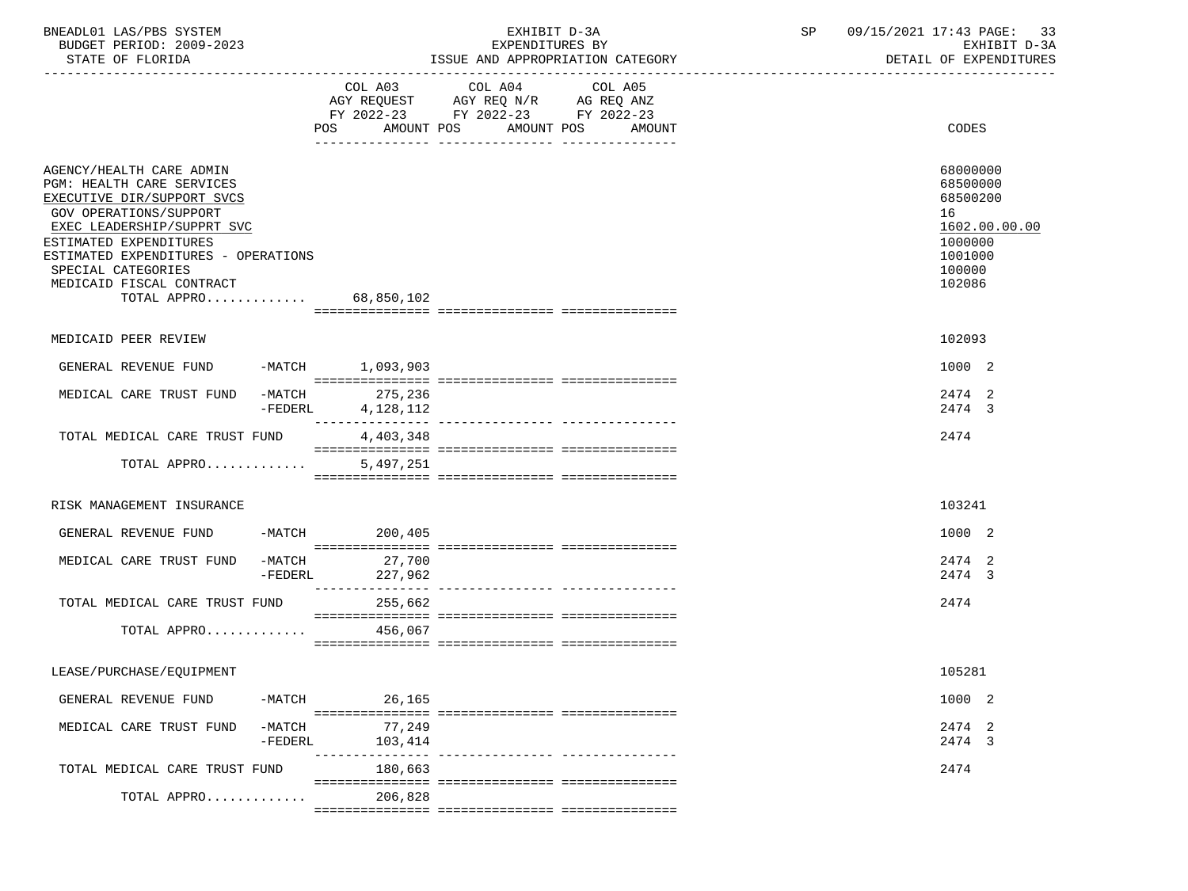| BNEADL01 LAS/PBS SYSTEM |                  |                          | EXHIBIT D-3A |  |                                  |  |  |  |
|-------------------------|------------------|--------------------------|--------------|--|----------------------------------|--|--|--|
|                         |                  | BUDGET PERIOD: 2009-2023 |              |  | EXPENDITURES BY                  |  |  |  |
|                         | STATE OF FLORIDA |                          |              |  | ISSUE AND APPROPRIATION CATEGORY |  |  |  |

BUDGET PERIOD: 2009-2023 EXPENDITURES BY EXHIBIT D-3A

|                                                                                                                                                                                                                                                                               |                       | COL A03<br>AMOUNT POS<br>POS | COL A04<br>AGY REQUEST AGY REQ N/R AG REQ ANZ<br>FY 2022-23 FY 2022-23 FY 2022-23 | COL A05<br>AMOUNT POS<br>AMOUNT | CODES                                                                                             |
|-------------------------------------------------------------------------------------------------------------------------------------------------------------------------------------------------------------------------------------------------------------------------------|-----------------------|------------------------------|-----------------------------------------------------------------------------------|---------------------------------|---------------------------------------------------------------------------------------------------|
| AGENCY/HEALTH CARE ADMIN<br>PGM: HEALTH CARE SERVICES<br>EXECUTIVE DIR/SUPPORT SVCS<br>GOV OPERATIONS/SUPPORT<br>EXEC LEADERSHIP/SUPPRT SVC<br>ESTIMATED EXPENDITURES<br>ESTIMATED EXPENDITURES - OPERATIONS<br>SPECIAL CATEGORIES<br>MEDICAID FISCAL CONTRACT<br>TOTAL APPRO |                       | 68,850,102                   |                                                                                   |                                 | 68000000<br>68500000<br>68500200<br>16<br>1602.00.00.00<br>1000000<br>1001000<br>100000<br>102086 |
|                                                                                                                                                                                                                                                                               |                       |                              |                                                                                   |                                 |                                                                                                   |
| MEDICAID PEER REVIEW                                                                                                                                                                                                                                                          |                       |                              |                                                                                   |                                 | 102093                                                                                            |
| GENERAL REVENUE FUND                                                                                                                                                                                                                                                          |                       | -MATCH 1,093,903             |                                                                                   |                                 | 1000 2                                                                                            |
|                                                                                                                                                                                                                                                                               |                       |                              |                                                                                   |                                 |                                                                                                   |
| MEDICAL CARE TRUST FUND                                                                                                                                                                                                                                                       | $-MATCH$<br>-FEDERL   | 275,236<br>4,128,112         |                                                                                   |                                 | 2474 2<br>2474 3                                                                                  |
| TOTAL MEDICAL CARE TRUST FUND                                                                                                                                                                                                                                                 |                       | 4,403,348                    |                                                                                   |                                 | 2474                                                                                              |
| TOTAL APPRO                                                                                                                                                                                                                                                                   |                       | 5,497,251                    |                                                                                   |                                 |                                                                                                   |
| RISK MANAGEMENT INSURANCE                                                                                                                                                                                                                                                     |                       |                              |                                                                                   |                                 | 103241                                                                                            |
|                                                                                                                                                                                                                                                                               |                       |                              |                                                                                   |                                 |                                                                                                   |
| GENERAL REVENUE FUND -MATCH 200,405                                                                                                                                                                                                                                           |                       |                              |                                                                                   |                                 | 1000 2                                                                                            |
| MEDICAL CARE TRUST FUND                                                                                                                                                                                                                                                       | $-MATCH$<br>$-FEDERL$ | 27,700<br>227,962            |                                                                                   |                                 | 2474 2<br>2474 3                                                                                  |
| TOTAL MEDICAL CARE TRUST FUND                                                                                                                                                                                                                                                 |                       | 255,662                      |                                                                                   |                                 | 2474                                                                                              |
| TOTAL APPRO                                                                                                                                                                                                                                                                   |                       | 456,067                      |                                                                                   |                                 |                                                                                                   |
|                                                                                                                                                                                                                                                                               |                       |                              |                                                                                   |                                 |                                                                                                   |
| LEASE/PURCHASE/EQUIPMENT                                                                                                                                                                                                                                                      |                       |                              |                                                                                   |                                 | 105281                                                                                            |
| GENERAL REVENUE FUND                                                                                                                                                                                                                                                          | $-MATCH$              | 26,165                       |                                                                                   |                                 | 1000 2                                                                                            |
| MEDICAL CARE TRUST FUND                                                                                                                                                                                                                                                       | -MATCH                | 77,249                       |                                                                                   |                                 | 2474 2                                                                                            |
|                                                                                                                                                                                                                                                                               | $-FEDERL$             | 103,414                      |                                                                                   |                                 | 2474 3                                                                                            |
| TOTAL MEDICAL CARE TRUST FUND                                                                                                                                                                                                                                                 |                       | 180,663                      |                                                                                   |                                 | 2474                                                                                              |
| TOTAL APPRO                                                                                                                                                                                                                                                                   |                       | 206,828                      |                                                                                   |                                 |                                                                                                   |
|                                                                                                                                                                                                                                                                               |                       |                              |                                                                                   |                                 |                                                                                                   |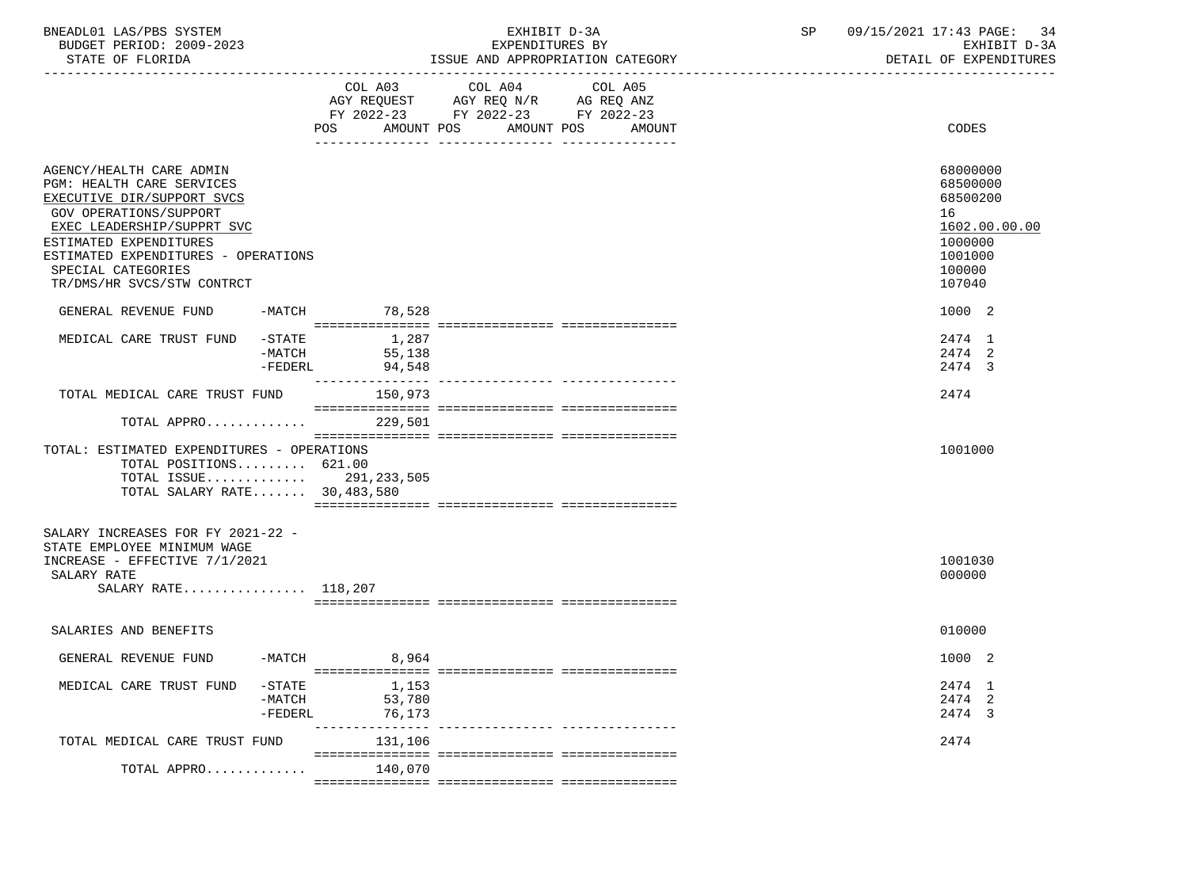| BNEADL01 LAS/PBS SYSTEM |                  |                          | EXHIBIT D-3A                     |  |  |  |  |
|-------------------------|------------------|--------------------------|----------------------------------|--|--|--|--|
|                         |                  | BUDGET PERIOD: 2009-2023 | EXPENDITURES BY                  |  |  |  |  |
|                         | STATE OF FLORIDA |                          | ISSUE AND APPROPRIATION CATEGORY |  |  |  |  |

BUDGET PERIOD: 2009-2023 EXPENDITURES BY EXHIBIT D-3A

|                                                                                                                                                                                                                                                                  |                                    | COL A03                   | COL A04<br>AGY REQUEST AGY REQ N/R AG REQ ANZ<br>FY 2022-23 FY 2022-23 FY 2022-23 | COL A05              |                                                                                                   |
|------------------------------------------------------------------------------------------------------------------------------------------------------------------------------------------------------------------------------------------------------------------|------------------------------------|---------------------------|-----------------------------------------------------------------------------------|----------------------|---------------------------------------------------------------------------------------------------|
|                                                                                                                                                                                                                                                                  |                                    | AMOUNT POS<br>POS         |                                                                                   | AMOUNT POS<br>AMOUNT | CODES                                                                                             |
| AGENCY/HEALTH CARE ADMIN<br>PGM: HEALTH CARE SERVICES<br>EXECUTIVE DIR/SUPPORT SVCS<br>GOV OPERATIONS/SUPPORT<br>EXEC LEADERSHIP/SUPPRT SVC<br>ESTIMATED EXPENDITURES<br>ESTIMATED EXPENDITURES - OPERATIONS<br>SPECIAL CATEGORIES<br>TR/DMS/HR SVCS/STW CONTRCT |                                    |                           |                                                                                   |                      | 68000000<br>68500000<br>68500200<br>16<br>1602.00.00.00<br>1000000<br>1001000<br>100000<br>107040 |
| GENERAL REVENUE FUND                                                                                                                                                                                                                                             | -MATCH                             | 78,528                    |                                                                                   |                      | 1000 2                                                                                            |
| MEDICAL CARE TRUST FUND                                                                                                                                                                                                                                          | -STATE<br>-MATCH<br>$-FEDERL$      | 1,287<br>55,138<br>94,548 |                                                                                   |                      | 2474 1<br>2474 2<br>2474 3                                                                        |
| TOTAL MEDICAL CARE TRUST FUND                                                                                                                                                                                                                                    |                                    | 150,973                   |                                                                                   |                      | 2474                                                                                              |
| TOTAL APPRO                                                                                                                                                                                                                                                      |                                    | 229,501                   |                                                                                   |                      |                                                                                                   |
| TOTAL: ESTIMATED EXPENDITURES - OPERATIONS<br>TOTAL POSITIONS 621.00<br>TOTAL ISSUE 291,233,505<br>TOTAL SALARY RATE 30,483,580                                                                                                                                  |                                    |                           |                                                                                   |                      | 1001000                                                                                           |
| SALARY INCREASES FOR FY 2021-22 -<br>STATE EMPLOYEE MINIMUM WAGE<br>INCREASE - EFFECTIVE 7/1/2021<br>SALARY RATE<br>SALARY RATE 118,207                                                                                                                          |                                    |                           |                                                                                   |                      | 1001030<br>000000                                                                                 |
| SALARIES AND BENEFITS                                                                                                                                                                                                                                            |                                    |                           |                                                                                   |                      | 010000                                                                                            |
| GENERAL REVENUE FUND                                                                                                                                                                                                                                             | $-MATCH$                           | 8,964                     |                                                                                   |                      | 1000 2                                                                                            |
| MEDICAL CARE TRUST FUND                                                                                                                                                                                                                                          | $-$ STATE<br>$-MATCH$<br>$-FEDERL$ | 1,153<br>53,780<br>76,173 |                                                                                   |                      | 2474 1<br>2474 2<br>2474 3                                                                        |
| TOTAL MEDICAL CARE TRUST FUND                                                                                                                                                                                                                                    |                                    | 131,106                   |                                                                                   |                      | 2474                                                                                              |
| TOTAL APPRO                                                                                                                                                                                                                                                      |                                    | 140,070                   |                                                                                   |                      |                                                                                                   |
|                                                                                                                                                                                                                                                                  |                                    |                           |                                                                                   |                      |                                                                                                   |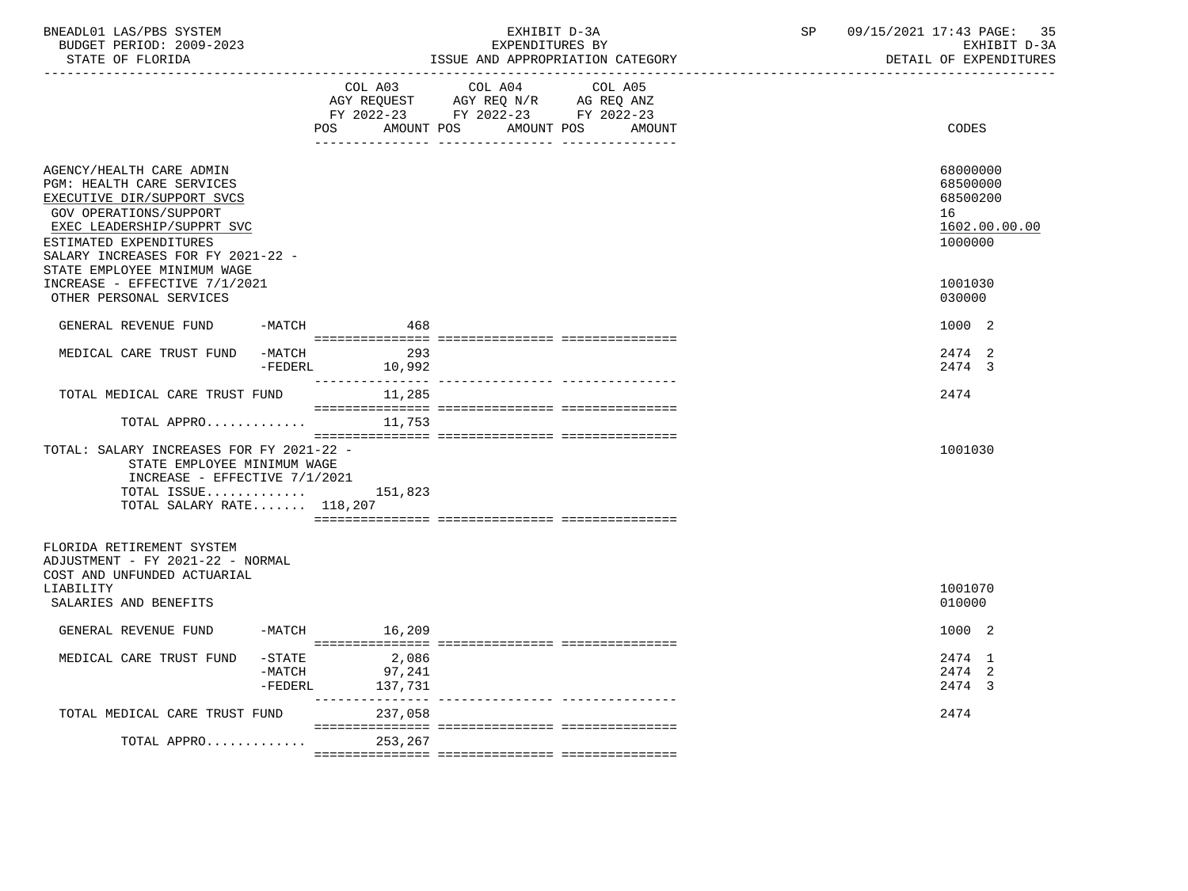| STATE OF FLORIDA                                                                                                                                                                                                                          | __________________________________ | EXPENDITURES BY<br>ISSUE AND APPROPRIATION CATEGORY                                                                                | 09/15/2021 17:43 PAGE:<br>35<br>SP<br>EXHIBIT D-3A<br>DETAIL OF EXPENDITURES |  |
|-------------------------------------------------------------------------------------------------------------------------------------------------------------------------------------------------------------------------------------------|------------------------------------|------------------------------------------------------------------------------------------------------------------------------------|------------------------------------------------------------------------------|--|
|                                                                                                                                                                                                                                           | COL A03<br>POS                     | COL A04<br>COL A05<br>AGY REQUEST AGY REQ N/R AG REQ ANZ<br>FY 2022-23 FY 2022-23 FY 2022-23<br>AMOUNT POS<br>AMOUNT POS<br>AMOUNT | CODES                                                                        |  |
| AGENCY/HEALTH CARE ADMIN<br>PGM: HEALTH CARE SERVICES<br>EXECUTIVE DIR/SUPPORT SVCS<br>GOV OPERATIONS/SUPPORT<br>EXEC LEADERSHIP/SUPPRT SVC<br>ESTIMATED EXPENDITURES<br>SALARY INCREASES FOR FY 2021-22 -<br>STATE EMPLOYEE MINIMUM WAGE |                                    |                                                                                                                                    | 68000000<br>68500000<br>68500200<br>16<br>1602.00.00.00<br>1000000           |  |
| INCREASE - EFFECTIVE 7/1/2021<br>OTHER PERSONAL SERVICES                                                                                                                                                                                  |                                    |                                                                                                                                    | 1001030<br>030000                                                            |  |
| GENERAL REVENUE FUND<br>-MATCH                                                                                                                                                                                                            | 468                                |                                                                                                                                    | 1000 2                                                                       |  |
| MEDICAL CARE TRUST FUND<br>-MATCH                                                                                                                                                                                                         | 293<br>-FEDERL 10,992              |                                                                                                                                    | 2474 2<br>2474 3                                                             |  |
| TOTAL MEDICAL CARE TRUST FUND                                                                                                                                                                                                             | 11,285                             |                                                                                                                                    | 2474                                                                         |  |
| TOTAL APPRO                                                                                                                                                                                                                               | 11,753                             |                                                                                                                                    |                                                                              |  |
| TOTAL: SALARY INCREASES FOR FY 2021-22 -<br>STATE EMPLOYEE MINIMUM WAGE<br>INCREASE - EFFECTIVE 7/1/2021                                                                                                                                  |                                    |                                                                                                                                    | 1001030                                                                      |  |
| TOTAL ISSUE $151,823$<br>TOTAL SALARY RATE $118,207$                                                                                                                                                                                      |                                    |                                                                                                                                    |                                                                              |  |
| FLORIDA RETIREMENT SYSTEM<br>ADJUSTMENT - FY 2021-22 - NORMAL<br>COST AND UNFUNDED ACTUARIAL<br>LIABILITY<br>SALARIES AND BENEFITS                                                                                                        |                                    |                                                                                                                                    | 1001070<br>010000                                                            |  |
| GENERAL REVENUE FUND                                                                                                                                                                                                                      | $-MATCH$ 16,209                    |                                                                                                                                    | 1000 2                                                                       |  |
| MEDICAL CARE TRUST FUND<br>$-$ STATE<br>$-MATCH$<br>$-FEDERL$                                                                                                                                                                             | 2,086<br>97,241<br>137,731         |                                                                                                                                    | 2474 1<br>2474 2<br>2474 3                                                   |  |
| TOTAL MEDICAL CARE TRUST FUND                                                                                                                                                                                                             | 237,058                            |                                                                                                                                    | 2474                                                                         |  |
| TOTAL APPRO                                                                                                                                                                                                                               | 253,267                            |                                                                                                                                    |                                                                              |  |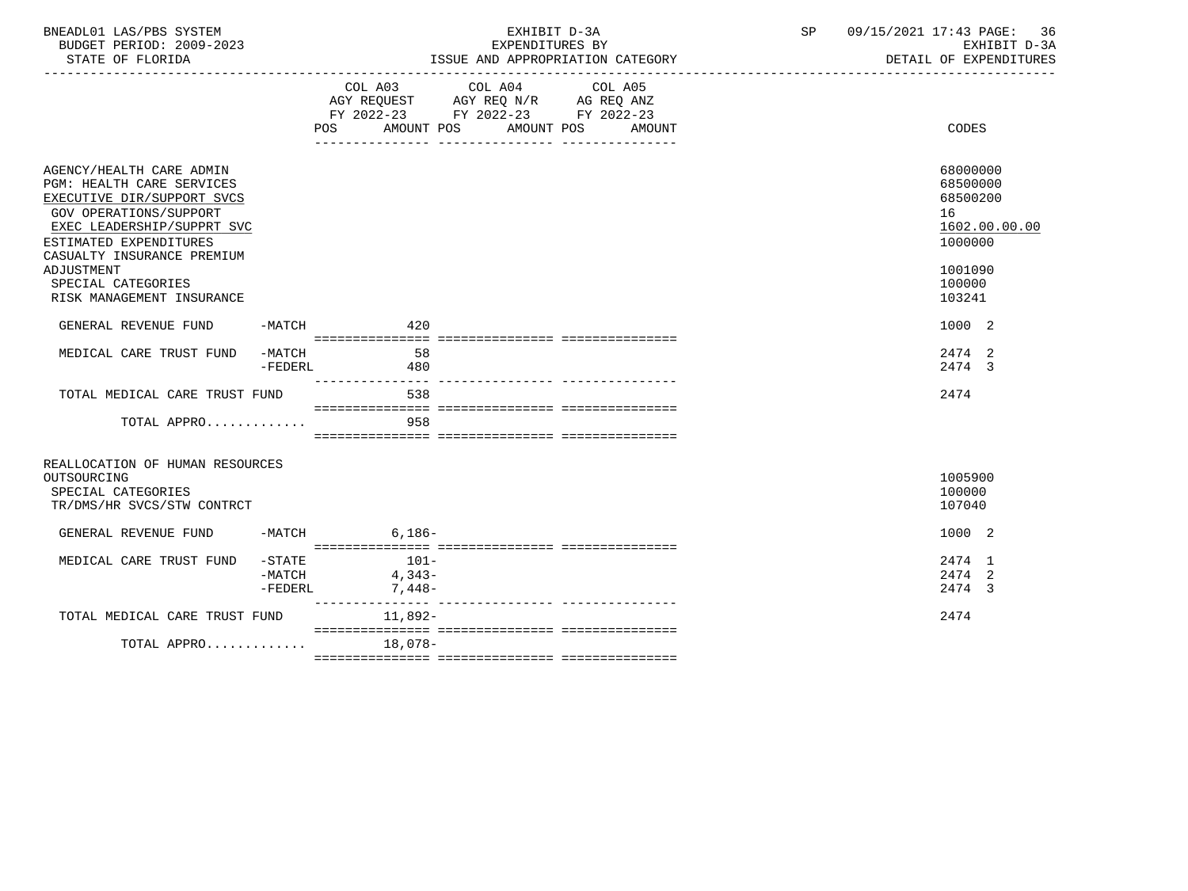| BNEADL01 LAS/PBS SYSTEM<br>BUDGET PERIOD: 2009-2023<br>STATE OF FLORIDA                                                                                                             |                                |                                                                                                   | EXPENDITURES BY | EXHIBIT D-3A<br>ISSUE AND APPROPRIATION CATEGORY | SP | 09/15/2021 17:43 PAGE: 36<br>EXHIBIT D-3A<br>DETAIL OF EXPENDITURES |
|-------------------------------------------------------------------------------------------------------------------------------------------------------------------------------------|--------------------------------|---------------------------------------------------------------------------------------------------|-----------------|--------------------------------------------------|----|---------------------------------------------------------------------|
|                                                                                                                                                                                     |                                | COL A03 COL A04 COL A05<br>AGY REQUEST AGY REQ N/R AG REQ ANZ<br>FY 2022-23 FY 2022-23 FY 2022-23 |                 | POS AMOUNT POS AMOUNT POS AMOUNT                 |    | CODES                                                               |
|                                                                                                                                                                                     |                                |                                                                                                   |                 |                                                  |    |                                                                     |
| AGENCY/HEALTH CARE ADMIN<br><b>PGM: HEALTH CARE SERVICES</b><br>EXECUTIVE DIR/SUPPORT SVCS<br><b>GOV OPERATIONS/SUPPORT</b><br>EXEC LEADERSHIP/SUPPRT SVC<br>ESTIMATED EXPENDITURES |                                |                                                                                                   |                 |                                                  |    | 68000000<br>68500000<br>68500200<br>16<br>1602.00.00.00<br>1000000  |
| CASUALTY INSURANCE PREMIUM<br>ADJUSTMENT                                                                                                                                            |                                |                                                                                                   |                 |                                                  |    | 1001090                                                             |
| SPECIAL CATEGORIES<br>RISK MANAGEMENT INSURANCE                                                                                                                                     |                                |                                                                                                   |                 |                                                  |    | 100000<br>103241                                                    |
| GENERAL REVENUE FUND                                                                                                                                                                |                                | $-MATCH$ 420                                                                                      |                 |                                                  |    | 1000 2                                                              |
| MEDICAL CARE TRUST FUND                                                                                                                                                             | -FEDERL                        | -MATCH 58<br>480                                                                                  |                 |                                                  |    | 2474 2<br>2474 3                                                    |
| TOTAL MEDICAL CARE TRUST FUND                                                                                                                                                       |                                | 538                                                                                               |                 |                                                  |    | 2474                                                                |
| TOTAL APPRO                                                                                                                                                                         |                                | 958                                                                                               |                 |                                                  |    |                                                                     |
| REALLOCATION OF HUMAN RESOURCES<br>OUTSOURCING                                                                                                                                      |                                |                                                                                                   |                 |                                                  |    | 1005900                                                             |
| SPECIAL CATEGORIES<br>TR/DMS/HR SVCS/STW CONTRCT                                                                                                                                    |                                |                                                                                                   |                 |                                                  |    | 100000<br>107040                                                    |
| GENERAL REVENUE FUND                                                                                                                                                                |                                | $-MATCH$ 6,186-                                                                                   |                 |                                                  |    | 1000 2                                                              |
| MEDICAL CARE TRUST FUND                                                                                                                                                             | $-$ STATE<br>-MATCH<br>-FEDERL | $101-$<br>$4,343-$<br>7,448-                                                                      |                 |                                                  |    | 2474 1<br>2474 2<br>2474 3                                          |
| TOTAL MEDICAL CARE TRUST FUND                                                                                                                                                       |                                | 11,892-                                                                                           |                 |                                                  |    | 2474                                                                |
| TOTAL APPRO                                                                                                                                                                         |                                | 18,078-                                                                                           |                 |                                                  |    |                                                                     |
|                                                                                                                                                                                     |                                |                                                                                                   |                 |                                                  |    |                                                                     |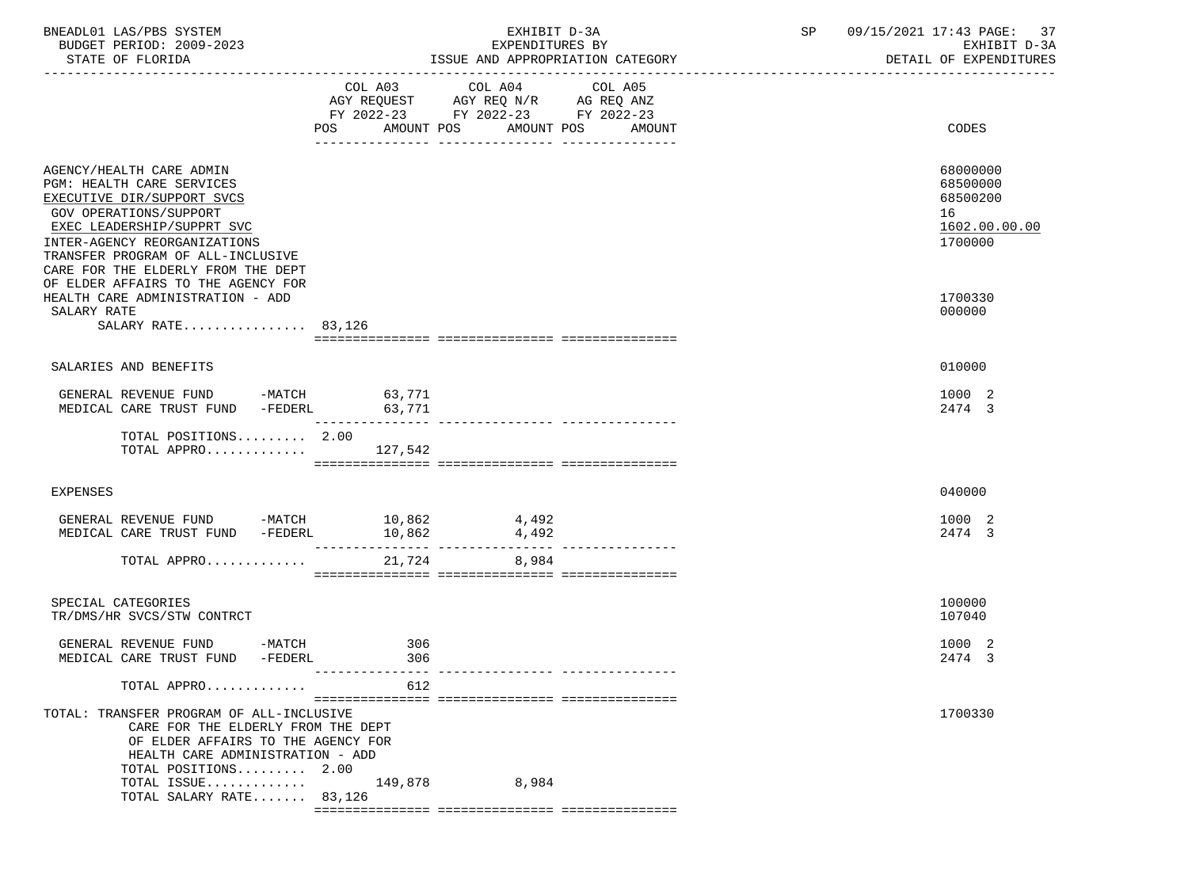| BNEADL01 LAS/PBS SYSTEM<br>BUDGET PERIOD: 2009-2023<br>STATE OF FLORIDA                                                                                                                                                                                |                           | EXHIBIT D-3A<br>EXPENDITURES BY                                                           | ISSUE AND APPROPRIATION CATEGORY | SP | 09/15/2021 17:43 PAGE: 37<br>EXHIBIT D-3A<br>DETAIL OF EXPENDITURES |
|--------------------------------------------------------------------------------------------------------------------------------------------------------------------------------------------------------------------------------------------------------|---------------------------|-------------------------------------------------------------------------------------------|----------------------------------|----|---------------------------------------------------------------------|
|                                                                                                                                                                                                                                                        | POS AMOUNT POS AMOUNT POS | COL A03 COL A04<br>AGY REQUEST AGY REQ N/R AG REQ ANZ<br>FY 2022-23 FY 2022-23 FY 2022-23 | COL A05<br>AMOUNT                |    | <b>CODES</b>                                                        |
| AGENCY/HEALTH CARE ADMIN<br>PGM: HEALTH CARE SERVICES<br>EXECUTIVE DIR/SUPPORT SVCS<br>GOV OPERATIONS/SUPPORT<br>EXEC LEADERSHIP/SUPPRT SVC<br>INTER-AGENCY REORGANIZATIONS<br>TRANSFER PROGRAM OF ALL-INCLUSIVE<br>CARE FOR THE ELDERLY FROM THE DEPT |                           |                                                                                           |                                  |    | 68000000<br>68500000<br>68500200<br>16<br>1602.00.00.00<br>1700000  |
| OF ELDER AFFAIRS TO THE AGENCY FOR<br>HEALTH CARE ADMINISTRATION - ADD<br>SALARY RATE<br>SALARY RATE 83,126                                                                                                                                            |                           |                                                                                           |                                  |    | 1700330<br>000000                                                   |
| SALARIES AND BENEFITS                                                                                                                                                                                                                                  |                           |                                                                                           |                                  |    | 010000                                                              |
| GENERAL REVENUE FUND -MATCH 63,771<br>MEDICAL CARE TRUST FUND -FEDERL 63,771                                                                                                                                                                           |                           |                                                                                           |                                  |    | 1000 2<br>2474 3                                                    |
| TOTAL POSITIONS 2.00<br>TOTAL APPRO $127,542$                                                                                                                                                                                                          |                           |                                                                                           |                                  |    |                                                                     |
| <b>EXPENSES</b>                                                                                                                                                                                                                                        |                           |                                                                                           |                                  |    | 040000                                                              |
| GENERAL REVENUE FUND -MATCH 10,862<br>MEDICAL CARE TRUST FUND -FEDERL                                                                                                                                                                                  | 10,862                    | 4,492<br>4,492                                                                            |                                  |    | 1000 2<br>2474 3                                                    |
| TOTAL APPRO                                                                                                                                                                                                                                            |                           | 21,724 8,984                                                                              |                                  |    |                                                                     |
| SPECIAL CATEGORIES<br>TR/DMS/HR SVCS/STW CONTRCT                                                                                                                                                                                                       |                           |                                                                                           |                                  |    | 100000<br>107040                                                    |
| GENERAL REVENUE FUND<br>$-MATCH$<br>MEDICAL CARE TRUST FUND -FEDERL                                                                                                                                                                                    | 306<br>306                |                                                                                           |                                  |    | 1000 2<br>2474 3                                                    |
| TOTAL APPRO                                                                                                                                                                                                                                            | 612                       |                                                                                           |                                  |    |                                                                     |
| TOTAL: TRANSFER PROGRAM OF ALL-INCLUSIVE<br>CARE FOR THE ELDERLY FROM THE DEPT<br>OF ELDER AFFAIRS TO THE AGENCY FOR<br>HEALTH CARE ADMINISTRATION - ADD<br>TOTAL POSITIONS 2.00<br>TOTAL ISSUE $149,878$<br>TOTAL SALARY RATE 83,126                  |                           | 8,984                                                                                     |                                  |    | 1700330                                                             |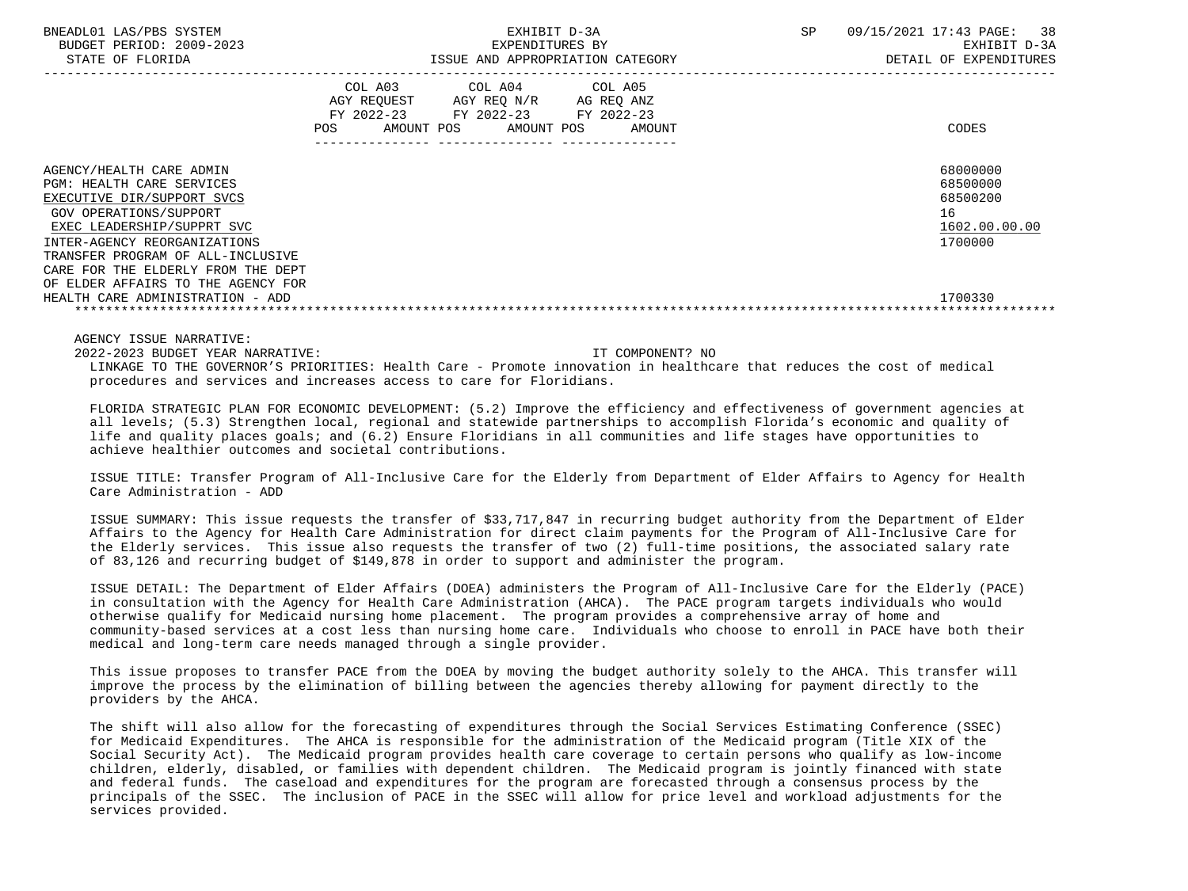| BNEADL01 LAS/PBS SYSTEM<br>BUDGET PERIOD: 2009-2023<br>STATE OF FLORIDA                                                                                                                                                                                                                             |     | EXPENDITURES BY                                                                                   | EXHIBIT D-3A<br>ISSUE AND APPROPRIATION CATEGORY | SP<br>09/15/2021 17:43 PAGE:                                       | 38<br>EXHIBIT D-3A<br>DETAIL OF EXPENDITURES |
|-----------------------------------------------------------------------------------------------------------------------------------------------------------------------------------------------------------------------------------------------------------------------------------------------------|-----|---------------------------------------------------------------------------------------------------|--------------------------------------------------|--------------------------------------------------------------------|----------------------------------------------|
|                                                                                                                                                                                                                                                                                                     | POS | COL A03 COL A04 COL A05<br>AGY REQUEST AGY REQ N/R AG REQ ANZ<br>FY 2022-23 FY 2022-23 FY 2022-23 | AMOUNT POS AMOUNT POS AMOUNT                     | CODES                                                              |                                              |
| AGENCY/HEALTH CARE ADMIN<br><b>PGM: HEALTH CARE SERVICES</b><br>EXECUTIVE DIR/SUPPORT SVCS<br>GOV OPERATIONS/SUPPORT<br>EXEC LEADERSHIP/SUPPRT SVC<br>INTER-AGENCY REORGANIZATIONS<br>TRANSFER PROGRAM OF ALL-INCLUSIVE<br>CARE FOR THE ELDERLY FROM THE DEPT<br>OF ELDER AFFAIRS TO THE AGENCY FOR |     |                                                                                                   |                                                  | 68000000<br>68500000<br>68500200<br>16<br>1602.00.00.00<br>1700000 |                                              |
| HEALTH CARE ADMINISTRATION - ADD                                                                                                                                                                                                                                                                    |     |                                                                                                   |                                                  | 1700330                                                            |                                              |

 2022-2023 BUDGET YEAR NARRATIVE: IT COMPONENT? NO LINKAGE TO THE GOVERNOR'S PRIORITIES: Health Care - Promote innovation in healthcare that reduces the cost of medical procedures and services and increases access to care for Floridians.

 FLORIDA STRATEGIC PLAN FOR ECONOMIC DEVELOPMENT: (5.2) Improve the efficiency and effectiveness of government agencies at all levels; (5.3) Strengthen local, regional and statewide partnerships to accomplish Florida's economic and quality of life and quality places goals; and (6.2) Ensure Floridians in all communities and life stages have opportunities to achieve healthier outcomes and societal contributions.

 ISSUE TITLE: Transfer Program of All-Inclusive Care for the Elderly from Department of Elder Affairs to Agency for Health Care Administration - ADD

 ISSUE SUMMARY: This issue requests the transfer of \$33,717,847 in recurring budget authority from the Department of Elder Affairs to the Agency for Health Care Administration for direct claim payments for the Program of All-Inclusive Care for the Elderly services. This issue also requests the transfer of two (2) full-time positions, the associated salary rate of 83,126 and recurring budget of \$149,878 in order to support and administer the program.

 ISSUE DETAIL: The Department of Elder Affairs (DOEA) administers the Program of All-Inclusive Care for the Elderly (PACE) in consultation with the Agency for Health Care Administration (AHCA). The PACE program targets individuals who would otherwise qualify for Medicaid nursing home placement. The program provides a comprehensive array of home and community-based services at a cost less than nursing home care. Individuals who choose to enroll in PACE have both their medical and long-term care needs managed through a single provider.

 This issue proposes to transfer PACE from the DOEA by moving the budget authority solely to the AHCA. This transfer will improve the process by the elimination of billing between the agencies thereby allowing for payment directly to the providers by the AHCA.

 The shift will also allow for the forecasting of expenditures through the Social Services Estimating Conference (SSEC) for Medicaid Expenditures. The AHCA is responsible for the administration of the Medicaid program (Title XIX of the Social Security Act). The Medicaid program provides health care coverage to certain persons who qualify as low-income children, elderly, disabled, or families with dependent children. The Medicaid program is jointly financed with state and federal funds. The caseload and expenditures for the program are forecasted through a consensus process by the principals of the SSEC. The inclusion of PACE in the SSEC will allow for price level and workload adjustments for the services provided.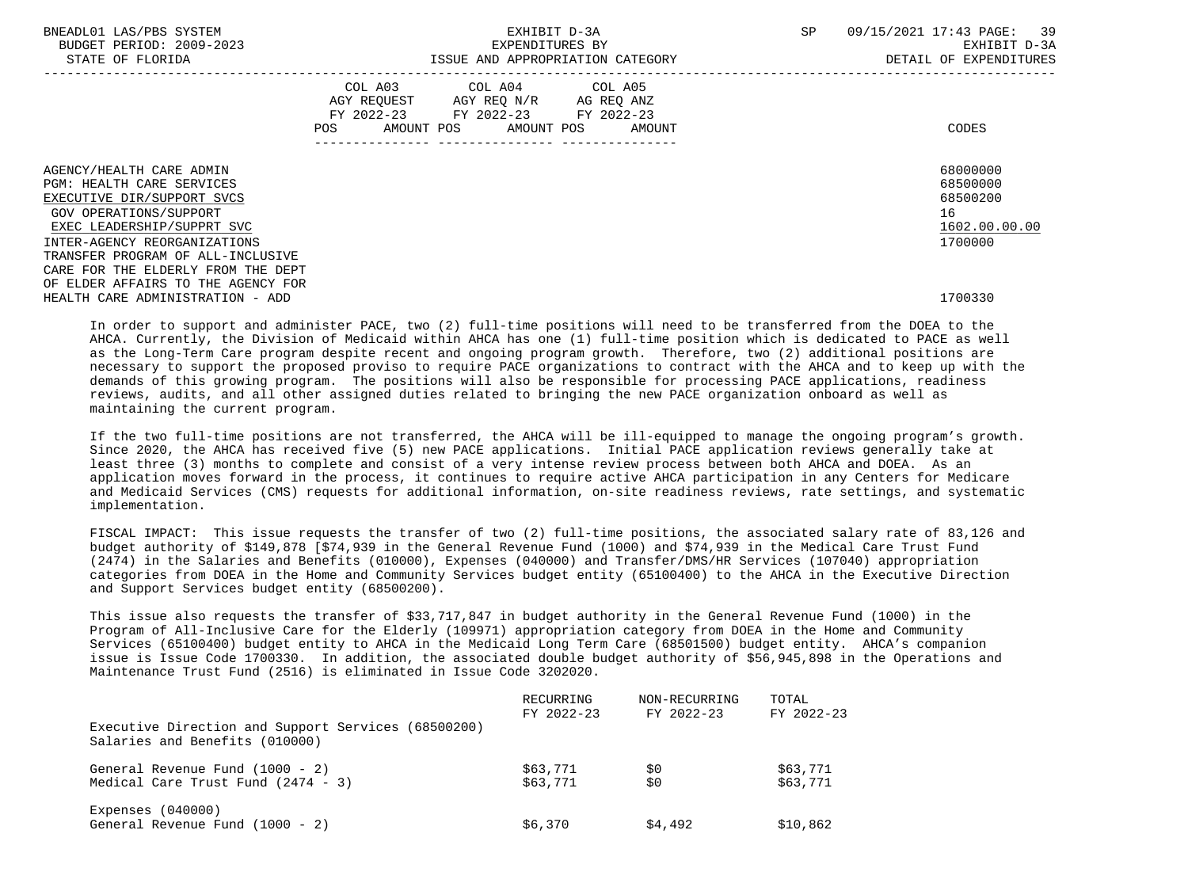| BNEADL01 LAS/PBS SYSTEM<br>BUDGET PERIOD: 2009-2023<br>STATE OF FLORIDA                                                                                                            | EXHIBIT D-3A<br>EXPENDITURES BY<br>ISSUE AND APPROPRIATION CATEGORY                                                                         | 09/15/2021 17:43 PAGE: 39<br>SP<br>EXHIBIT D-3A<br>DETAIL OF EXPENDITURES |
|------------------------------------------------------------------------------------------------------------------------------------------------------------------------------------|---------------------------------------------------------------------------------------------------------------------------------------------|---------------------------------------------------------------------------|
|                                                                                                                                                                                    | COL A03 COL A04 COL A05<br>AGY REQUEST AGY REQ N/R AG REQ ANZ<br>FY 2022-23 FY 2022-23 FY 2022-23<br>AMOUNT POS AMOUNT POS<br>POS<br>AMOUNT | CODES                                                                     |
| AGENCY/HEALTH CARE ADMIN<br><b>PGM: HEALTH CARE SERVICES</b><br>EXECUTIVE DIR/SUPPORT SVCS<br>GOV OPERATIONS/SUPPORT<br>EXEC LEADERSHIP/SUPPRT SVC<br>INTER-AGENCY REORGANIZATIONS |                                                                                                                                             | 68000000<br>68500000<br>68500200<br>16<br>1602.00.00.00<br>1700000        |
| TRANSFER PROGRAM OF ALL-INCLUSIVE<br>CARE FOR THE ELDERLY FROM THE DEPT<br>OF ELDER AFFAIRS TO THE AGENCY FOR<br>HEALTH CARE ADMINISTRATION - ADD                                  |                                                                                                                                             | 1700330                                                                   |

 In order to support and administer PACE, two (2) full-time positions will need to be transferred from the DOEA to the AHCA. Currently, the Division of Medicaid within AHCA has one (1) full-time position which is dedicated to PACE as well as the Long-Term Care program despite recent and ongoing program growth. Therefore, two (2) additional positions are necessary to support the proposed proviso to require PACE organizations to contract with the AHCA and to keep up with the demands of this growing program. The positions will also be responsible for processing PACE applications, readiness reviews, audits, and all other assigned duties related to bringing the new PACE organization onboard as well as maintaining the current program.

 If the two full-time positions are not transferred, the AHCA will be ill-equipped to manage the ongoing program's growth. Since 2020, the AHCA has received five (5) new PACE applications. Initial PACE application reviews generally take at least three (3) months to complete and consist of a very intense review process between both AHCA and DOEA. As an application moves forward in the process, it continues to require active AHCA participation in any Centers for Medicare and Medicaid Services (CMS) requests for additional information, on-site readiness reviews, rate settings, and systematic implementation.

 FISCAL IMPACT: This issue requests the transfer of two (2) full-time positions, the associated salary rate of 83,126 and budget authority of \$149,878 [\$74,939 in the General Revenue Fund (1000) and \$74,939 in the Medical Care Trust Fund (2474) in the Salaries and Benefits (010000), Expenses (040000) and Transfer/DMS/HR Services (107040) appropriation categories from DOEA in the Home and Community Services budget entity (65100400) to the AHCA in the Executive Direction and Support Services budget entity (68500200).

 This issue also requests the transfer of \$33,717,847 in budget authority in the General Revenue Fund (1000) in the Program of All-Inclusive Care for the Elderly (109971) appropriation category from DOEA in the Home and Community Services (65100400) budget entity to AHCA in the Medicaid Long Term Care (68501500) budget entity. AHCA's companion issue is Issue Code 1700330. In addition, the associated double budget authority of \$56,945,898 in the Operations and Maintenance Trust Fund (2516) is eliminated in Issue Code 3202020.

|                                                                                       | RECURRING<br>FY 2022-23 | NON-RECURRING<br>FY 2022-23 | TOTAL<br>FY 2022-23 |
|---------------------------------------------------------------------------------------|-------------------------|-----------------------------|---------------------|
| Executive Direction and Support Services (68500200)<br>Salaries and Benefits (010000) |                         |                             |                     |
| General Revenue Fund (1000 - 2)                                                       | \$63,771                | \$0                         | \$63,771            |
| Medical Care Trust Fund $(2474 - 3)$                                                  | \$63,771                | \$0                         | \$63,771            |
| Expenses $(040000)$                                                                   |                         |                             |                     |
| General Revenue Fund (1000 - 2)                                                       | \$6,370                 | \$4,492                     | \$10,862            |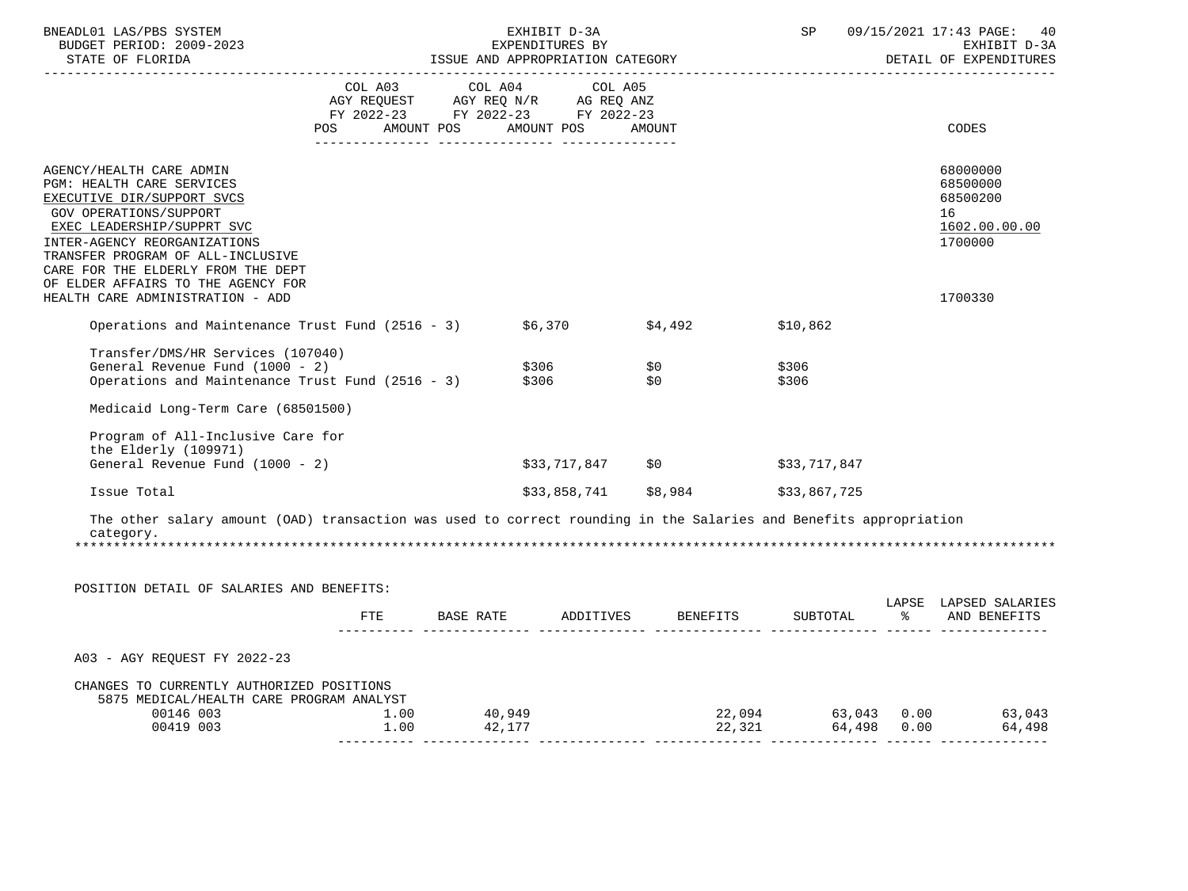| BNEADL01 LAS/PBS SYSTEM<br>BUDGET PERIOD: 2009-2023<br>STATE OF FLORIDA                                                                                                                                                                                                                                                          |                                                                                                            |                  | EXHIBIT D-3A<br>EXPENDITURES BY<br>ISSUE AND APPROPRIATION CATEGORY |                                                          |                | SP 09/15/2021 17:43 PAGE:<br>40<br>EXHIBIT D-3A<br>DETAIL OF EXPENDITURES     |
|----------------------------------------------------------------------------------------------------------------------------------------------------------------------------------------------------------------------------------------------------------------------------------------------------------------------------------|------------------------------------------------------------------------------------------------------------|------------------|---------------------------------------------------------------------|----------------------------------------------------------|----------------|-------------------------------------------------------------------------------|
|                                                                                                                                                                                                                                                                                                                                  | AGY REQUEST AGY REQ N/R AG REQ ANZ<br>FY 2022-23 FY 2022-23 FY 2022-23<br>POS AMOUNT POS AMOUNT POS AMOUNT |                  | COL A03 COL A04 COL A05                                             |                                                          |                | CODES                                                                         |
| AGENCY/HEALTH CARE ADMIN<br>PGM: HEALTH CARE SERVICES<br>EXECUTIVE DIR/SUPPORT SVCS<br>GOV OPERATIONS/SUPPORT<br>EXEC LEADERSHIP/SUPPRT SVC<br>INTER-AGENCY REORGANIZATIONS<br>TRANSFER PROGRAM OF ALL-INCLUSIVE<br>CARE FOR THE ELDERLY FROM THE DEPT<br>OF ELDER AFFAIRS TO THE AGENCY FOR<br>HEALTH CARE ADMINISTRATION - ADD |                                                                                                            |                  |                                                                     |                                                          |                | 68000000<br>68500000<br>68500200<br>16<br>1602.00.00.00<br>1700000<br>1700330 |
| Operations and Maintenance Trust Fund (2516 - 3) $$6,370$ $$4,492$                                                                                                                                                                                                                                                               |                                                                                                            |                  |                                                                     |                                                          |                |                                                                               |
|                                                                                                                                                                                                                                                                                                                                  |                                                                                                            |                  |                                                                     |                                                          | \$10,862       |                                                                               |
| Transfer/DMS/HR Services (107040)<br>General Revenue Fund (1000 - 2) \$306 \$0<br>Operations and Maintenance Trust Fund (2516 - 3) \$306 \$0                                                                                                                                                                                     |                                                                                                            |                  |                                                                     |                                                          | \$306<br>\$306 |                                                                               |
| Medicaid Long-Term Care (68501500)                                                                                                                                                                                                                                                                                               |                                                                                                            |                  |                                                                     |                                                          |                |                                                                               |
| Program of All-Inclusive Care for<br>the Elderly (109971)<br>General Revenue Fund (1000 - 2)                                                                                                                                                                                                                                     |                                                                                                            |                  |                                                                     | $$33,717,847$ \$0                                        | \$33,717,847   |                                                                               |
| Issue Total                                                                                                                                                                                                                                                                                                                      |                                                                                                            |                  |                                                                     | \$33,858,741 \$8,984                                     | \$33,867,725   |                                                                               |
| The other salary amount (OAD) transaction was used to correct rounding in the Salaries and Benefits appropriation<br>category.                                                                                                                                                                                                   |                                                                                                            |                  |                                                                     |                                                          |                |                                                                               |
| POSITION DETAIL OF SALARIES AND BENEFITS:                                                                                                                                                                                                                                                                                        |                                                                                                            |                  |                                                                     |                                                          |                |                                                                               |
|                                                                                                                                                                                                                                                                                                                                  |                                                                                                            |                  |                                                                     | FTE BASE RATE ADDITIVES BENEFITS SUBTOTAL % AND BENEFITS |                | LAPSE LAPSED SALARIES                                                         |
| A03 - AGY REQUEST FY 2022-23                                                                                                                                                                                                                                                                                                     |                                                                                                            |                  |                                                                     |                                                          |                |                                                                               |
| CHANGES TO CURRENTLY AUTHORIZED POSITIONS<br>5875 MEDICAL/HEALTH CARE PROGRAM ANALYST<br>$00146\ 003$<br>00419 003<br>1.00<br>1.00                                                                                                                                                                                               |                                                                                                            | 40,949<br>42,177 |                                                                     |                                                          |                | 22,094 63,043 0.00 63,043<br>22,321 64,498 0.00 64,498                        |
|                                                                                                                                                                                                                                                                                                                                  |                                                                                                            |                  |                                                                     |                                                          |                |                                                                               |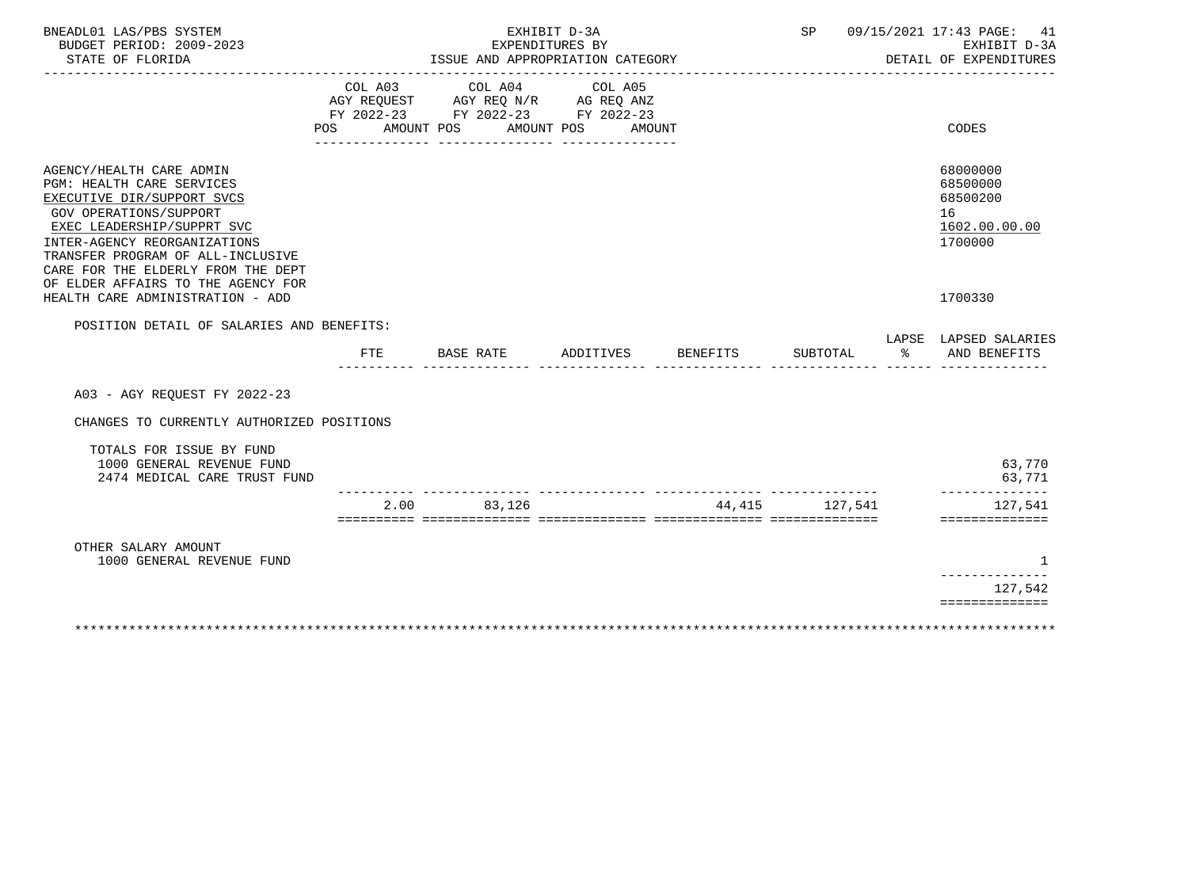| BNEADL01 LAS/PBS SYSTEM<br>BUDGET PERIOD: 2009-2023<br>STATE OF FLORIDA                                                                                                                                                                                                                             |                |            | EXPENDITURES BY | EXHIBIT D-3A<br>ISSUE AND APPROPRIATION CATEGORY                                                       |          | SP       |    | 09/15/2021 17:43 PAGE:<br>41<br>EXHIBIT D-3A<br>DETAIL OF EXPENDITURES |
|-----------------------------------------------------------------------------------------------------------------------------------------------------------------------------------------------------------------------------------------------------------------------------------------------------|----------------|------------|-----------------|--------------------------------------------------------------------------------------------------------|----------|----------|----|------------------------------------------------------------------------|
|                                                                                                                                                                                                                                                                                                     | COL A03<br>POS | AMOUNT POS | COL A04         | COL A05<br>AGY REQUEST AGY REQ N/R AG REQ ANZ<br>FY 2022-23 FY 2022-23 FY 2022-23<br>AMOUNT POS AMOUNT |          |          |    | CODES                                                                  |
| AGENCY/HEALTH CARE ADMIN<br>PGM: HEALTH CARE SERVICES<br>EXECUTIVE DIR/SUPPORT SVCS<br><b>GOV OPERATIONS/SUPPORT</b><br>EXEC LEADERSHIP/SUPPRT SVC<br>INTER-AGENCY REORGANIZATIONS<br>TRANSFER PROGRAM OF ALL-INCLUSIVE<br>CARE FOR THE ELDERLY FROM THE DEPT<br>OF ELDER AFFAIRS TO THE AGENCY FOR |                |            |                 |                                                                                                        |          |          |    | 68000000<br>68500000<br>68500200<br>16<br>1602.00.00.00<br>1700000     |
| HEALTH CARE ADMINISTRATION - ADD                                                                                                                                                                                                                                                                    |                |            |                 |                                                                                                        |          |          |    | 1700330                                                                |
| POSITION DETAIL OF SALARIES AND BENEFITS:                                                                                                                                                                                                                                                           | FTE            | BASE RATE  |                 | ADDITIVES                                                                                              | BENEFITS | SUBTOTAL | ႜೢ | LAPSE LAPSED SALARIES<br>AND BENEFITS                                  |
| A03 - AGY REOUEST FY 2022-23                                                                                                                                                                                                                                                                        |                |            |                 |                                                                                                        |          |          |    |                                                                        |
| CHANGES TO CURRENTLY AUTHORIZED POSITIONS                                                                                                                                                                                                                                                           |                |            |                 |                                                                                                        |          |          |    |                                                                        |
| TOTALS FOR ISSUE BY FUND<br>1000 GENERAL REVENUE FUND<br>2474 MEDICAL CARE TRUST FUND                                                                                                                                                                                                               |                |            |                 |                                                                                                        |          |          |    | 63,770<br>63,771                                                       |
|                                                                                                                                                                                                                                                                                                     |                | 2.00       | 83,126          |                                                                                                        | 44,415   | 127.541  |    | 127,541<br>==============                                              |
| OTHER SALARY AMOUNT<br>1000 GENERAL REVENUE FUND                                                                                                                                                                                                                                                    |                |            |                 |                                                                                                        |          |          |    | 1<br>------------                                                      |
|                                                                                                                                                                                                                                                                                                     |                |            |                 |                                                                                                        |          |          |    | 127,542<br>==============                                              |
|                                                                                                                                                                                                                                                                                                     |                |            |                 |                                                                                                        |          |          |    |                                                                        |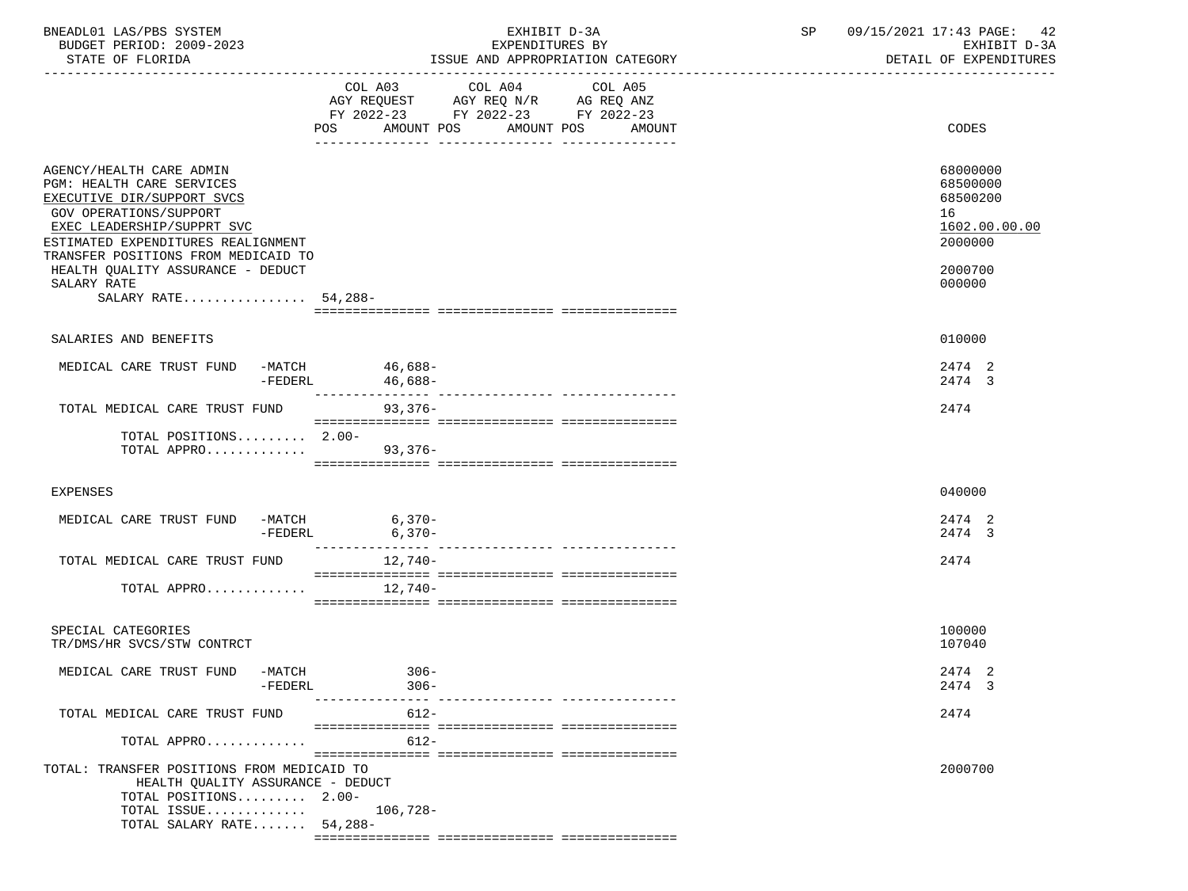| BNEADL01 LAS/PBS SYSTEM<br>BUDGET PERIOD: 2009-2023<br>STATE OF FLORIDA                                                                                                                                                                                                                             | EXHIBIT D-3A<br>EXPENDITURES BY<br>ISSUE AND APPROPRIATION CATEGORY                                                                                   | SP<br>09/15/2021 17:43 PAGE:<br>42<br>EXHIBIT D-3A<br>DETAIL OF EXPENDITURES            |
|-----------------------------------------------------------------------------------------------------------------------------------------------------------------------------------------------------------------------------------------------------------------------------------------------------|-------------------------------------------------------------------------------------------------------------------------------------------------------|-----------------------------------------------------------------------------------------|
|                                                                                                                                                                                                                                                                                                     | COL A03 COL A04 COL A05<br>AGY REQUEST AGY REQ N/R AG REQ ANZ<br>FY 2022-23 FY 2022-23 FY 2022-23<br><b>POS</b><br>AMOUNT POS<br>AMOUNT POS<br>AMOUNT | CODES                                                                                   |
| AGENCY/HEALTH CARE ADMIN<br>PGM: HEALTH CARE SERVICES<br>EXECUTIVE DIR/SUPPORT SVCS<br>GOV OPERATIONS/SUPPORT<br>EXEC LEADERSHIP/SUPPRT SVC<br>ESTIMATED EXPENDITURES REALIGNMENT<br>TRANSFER POSITIONS FROM MEDICAID TO<br>HEALTH QUALITY ASSURANCE - DEDUCT<br>SALARY RATE<br>SALARY RATE 54,288- |                                                                                                                                                       | 68000000<br>68500000<br>68500200<br>16<br>1602.00.00.00<br>2000000<br>2000700<br>000000 |
| SALARIES AND BENEFITS                                                                                                                                                                                                                                                                               |                                                                                                                                                       | 010000                                                                                  |
| MEDICAL CARE TRUST FUND -MATCH 46,688-<br>$-FEDERL$                                                                                                                                                                                                                                                 | 46,688-                                                                                                                                               | 2474 2<br>2474 3                                                                        |
| TOTAL MEDICAL CARE TRUST FUND                                                                                                                                                                                                                                                                       | 93,376-                                                                                                                                               | 2474                                                                                    |
| TOTAL POSITIONS 2.00-<br>TOTAL APPRO 93,376-                                                                                                                                                                                                                                                        |                                                                                                                                                       |                                                                                         |
| <b>EXPENSES</b>                                                                                                                                                                                                                                                                                     |                                                                                                                                                       | 040000                                                                                  |
| MEDICAL CARE TRUST FUND<br>$-FEDERL$                                                                                                                                                                                                                                                                | $-MATCH$ 6, 370-<br>$TPTPTT$ 6, 370-<br>$6,370-$<br>__________________________________<br>_________________                                           | 2474 2<br>2474 3                                                                        |
| TOTAL MEDICAL CARE TRUST FUND                                                                                                                                                                                                                                                                       | 12,740-                                                                                                                                               | 2474                                                                                    |
| TOTAL APPRO $12,740-$                                                                                                                                                                                                                                                                               |                                                                                                                                                       |                                                                                         |
| SPECIAL CATEGORIES<br>TR/DMS/HR SVCS/STW CONTRCT                                                                                                                                                                                                                                                    |                                                                                                                                                       | 100000<br>107040                                                                        |
| MEDICAL CARE TRUST FUND<br>-MATCH<br>$-FEDERL$                                                                                                                                                                                                                                                      | $306 -$<br>$306 -$                                                                                                                                    | 2474 2<br>2474 3                                                                        |
| TOTAL MEDICAL CARE TRUST FUND                                                                                                                                                                                                                                                                       | ------------- ---------------<br>$612 -$                                                                                                              | 2474                                                                                    |
| TOTAL APPRO                                                                                                                                                                                                                                                                                         | $612 -$                                                                                                                                               |                                                                                         |
| TOTAL: TRANSFER POSITIONS FROM MEDICAID TO<br>HEALTH QUALITY ASSURANCE - DEDUCT<br>TOTAL POSITIONS 2.00-<br>TOTAL ISSUE<br>TOTAL SALARY RATE 54,288-                                                                                                                                                | $106,728-$                                                                                                                                            | 2000700                                                                                 |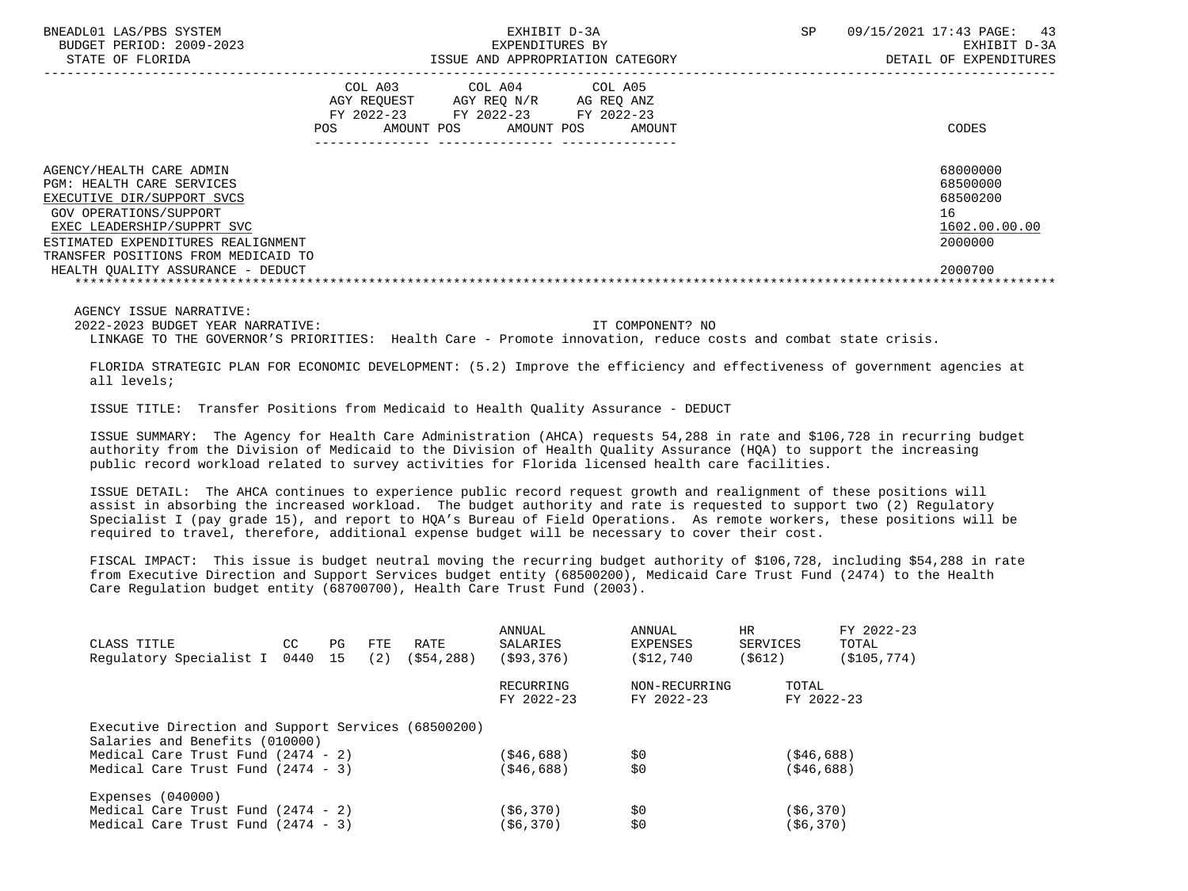| COL A03<br>COL A04 COL A05<br>AGY REQUEST AGY REO N/R AG REO ANZ<br>FY 2022-23 FY 2022-23 FY 2022-23<br>CODES<br>POS<br>AMOUNT POS AMOUNT POS<br>AMOUNT<br>68000000<br>AGENCY/HEALTH CARE ADMIN<br>68500000<br><b>PGM: HEALTH CARE SERVICES</b><br>68500200<br>EXECUTIVE DIR/SUPPORT SVCS<br>16<br>GOV OPERATIONS/SUPPORT<br>1602.00.00.00<br>EXEC LEADERSHIP/SUPPRT SVC<br>2000000<br>ESTIMATED EXPENDITURES REALIGNMENT<br>TRANSFER POSITIONS FROM MEDICAID TO<br>2000700<br>HEALTH OUALITY ASSURANCE - DEDUCT | BNEADL01 LAS/PBS SYSTEM<br>BUDGET PERIOD: 2009-2023<br>STATE OF FLORIDA | EXHIBIT D-3A<br>EXPENDITURES BY | ISSUE AND APPROPRIATION CATEGORY | <b>SP</b> | 43<br>09/15/2021 17:43 PAGE:<br>EXHIBIT D-3A<br>DETAIL OF EXPENDITURES |
|------------------------------------------------------------------------------------------------------------------------------------------------------------------------------------------------------------------------------------------------------------------------------------------------------------------------------------------------------------------------------------------------------------------------------------------------------------------------------------------------------------------|-------------------------------------------------------------------------|---------------------------------|----------------------------------|-----------|------------------------------------------------------------------------|
|                                                                                                                                                                                                                                                                                                                                                                                                                                                                                                                  |                                                                         |                                 |                                  |           |                                                                        |
|                                                                                                                                                                                                                                                                                                                                                                                                                                                                                                                  |                                                                         |                                 |                                  |           |                                                                        |
|                                                                                                                                                                                                                                                                                                                                                                                                                                                                                                                  |                                                                         |                                 |                                  |           |                                                                        |

2022-2023 BUDGET YEAR NARRATIVE: IT COMPONENT? NO

LINKAGE TO THE GOVERNOR'S PRIORITIES: Health Care - Promote innovation, reduce costs and combat state crisis.

 FLORIDA STRATEGIC PLAN FOR ECONOMIC DEVELOPMENT: (5.2) Improve the efficiency and effectiveness of government agencies at all levels;

ISSUE TITLE: Transfer Positions from Medicaid to Health Quality Assurance - DEDUCT

 ISSUE SUMMARY: The Agency for Health Care Administration (AHCA) requests 54,288 in rate and \$106,728 in recurring budget authority from the Division of Medicaid to the Division of Health Quality Assurance (HQA) to support the increasing public record workload related to survey activities for Florida licensed health care facilities.

 ISSUE DETAIL: The AHCA continues to experience public record request growth and realignment of these positions will assist in absorbing the increased workload. The budget authority and rate is requested to support two (2) Regulatory Specialist I (pay grade 15), and report to HQA's Bureau of Field Operations. As remote workers, these positions will be required to travel, therefore, additional expense budget will be necessary to cover their cost.

 FISCAL IMPACT: This issue is budget neutral moving the recurring budget authority of \$106,728, including \$54,288 in rate from Executive Direction and Support Services budget entity (68500200), Medicaid Care Trust Fund (2474) to the Health Care Regulation budget entity (68700700), Health Care Trust Fund (2003).

| CLASS TITLE                                         | CC. | PG | FTE | RATE       | ANNUAL<br>SALARIES | <b>ANNUAL</b><br>EXPENSES | <b>HR</b><br>SERVICES | FY 2022-23<br>TOTAL |
|-----------------------------------------------------|-----|----|-----|------------|--------------------|---------------------------|-----------------------|---------------------|
| Regulatory Specialist I 0440                        |     | 15 | (2) | (\$54,288) | ( \$93, 376)       | (S12, 740)                | ( \$612)              | ( \$105, 774)       |
|                                                     |     |    |     |            | RECURRING          | NON-RECURRING             | TOTAL                 |                     |
|                                                     |     |    |     |            | FY 2022-23         | FY 2022-23                | FY 2022-23            |                     |
| Executive Direction and Support Services (68500200) |     |    |     |            |                    |                           |                       |                     |
| Salaries and Benefits (010000)                      |     |    |     |            |                    |                           |                       |                     |
| Medical Care Trust Fund $(2474 - 2)$                |     |    |     |            | (\$46,688)         | \$0                       | ( \$46, 688)          |                     |
| Medical Care Trust Fund $(2474 - 3)$                |     |    |     |            | ( \$46, 688)       | \$0                       | ( \$46, 688)          |                     |
| Expenses $(040000)$                                 |     |    |     |            |                    |                           |                       |                     |
| Medical Care Trust Fund $(2474 - 2)$                |     |    |     |            | ( \$6, 370)        | \$0                       | ( \$6, 370)           |                     |
| Medical Care Trust Fund $(2474 - 3)$                |     |    |     |            | (\$6,370)          | \$0                       | ( \$6, 370)           |                     |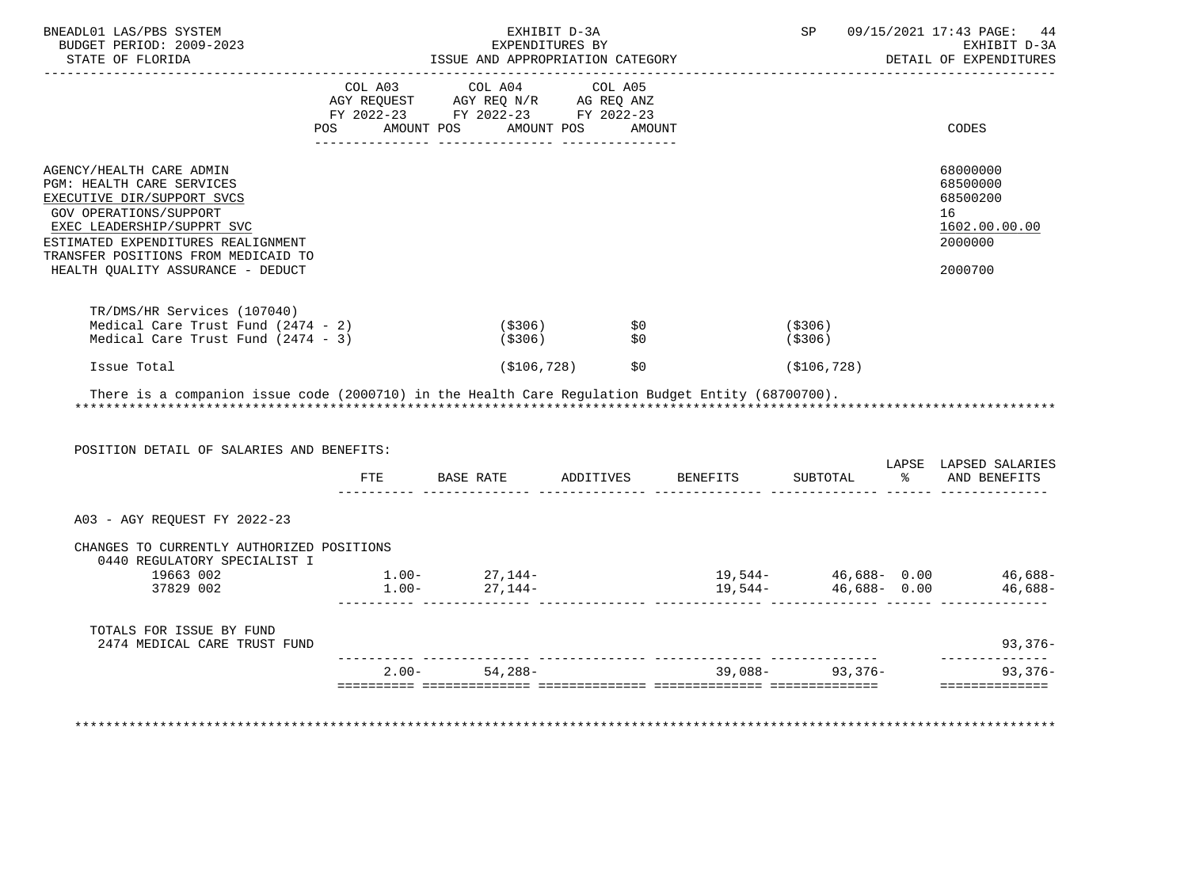| BNEADL01 LAS/PBS SYSTEM<br>BUDGET PERIOD: 2009-2023<br>STATE OF FLORIDA                                                                                                           |          | ISSUE AND APPROPRIATION CATEGORY | EXHIBIT D-3A<br>EXPENDITURES BY                                    |                                            |                     | SP 09/15/2021 17:43 PAGE: 44<br>EXHIBIT D-3A<br>DETAIL OF EXPENDITURES |
|-----------------------------------------------------------------------------------------------------------------------------------------------------------------------------------|----------|----------------------------------|--------------------------------------------------------------------|--------------------------------------------|---------------------|------------------------------------------------------------------------|
|                                                                                                                                                                                   |          | COL A03 COL A04                  | COL A05                                                            |                                            |                     |                                                                        |
|                                                                                                                                                                                   |          |                                  |                                                                    |                                            |                     |                                                                        |
|                                                                                                                                                                                   |          |                                  |                                                                    |                                            |                     |                                                                        |
|                                                                                                                                                                                   |          | POS AMOUNT POS AMOUNT POS AMOUNT |                                                                    |                                            |                     | CODES                                                                  |
| AGENCY/HEALTH CARE ADMIN<br>PGM: HEALTH CARE SERVICES<br>EXECUTIVE DIR/SUPPORT SVCS<br>GOV OPERATIONS/SUPPORT<br>EXEC LEADERSHIP/SUPPRT SVC<br>ESTIMATED EXPENDITURES REALIGNMENT |          |                                  |                                                                    |                                            |                     | 68000000<br>68500000<br>68500200<br>16<br>1602.00.00.00<br>2000000     |
| TRANSFER POSITIONS FROM MEDICAID TO<br>HEALTH QUALITY ASSURANCE - DEDUCT                                                                                                          |          |                                  |                                                                    |                                            |                     | 2000700                                                                |
|                                                                                                                                                                                   |          |                                  |                                                                    |                                            |                     |                                                                        |
| TR/DMS/HR Services (107040)                                                                                                                                                       |          |                                  |                                                                    |                                            | (\$306)             |                                                                        |
| Medical Care Trust Fund (2474 - 2)<br>Medical Care Trust Fund $(2474 - 3)$                                                                                                        |          |                                  | (\$306)                     \$0<br>(\$306)                     \$0 |                                            | (\$306)             |                                                                        |
| Issue Total<br>There is a companion issue code (2000710) in the Health Care Requlation Budget Entity (68700700).                                                                  |          |                                  | ( \$106, 728 )<br>\$0                                              |                                            | ( \$106, 728)       |                                                                        |
| POSITION DETAIL OF SALARIES AND BENEFITS:                                                                                                                                         |          | FTE BASE RATE ADDITIVES          |                                                                    |                                            |                     | BENEFITS SUBTOTAL % AND BENEFITS                                       |
|                                                                                                                                                                                   |          |                                  |                                                                    |                                            |                     |                                                                        |
| A03 - AGY REQUEST FY 2022-23                                                                                                                                                      |          |                                  |                                                                    |                                            |                     | LAPSE LAPSED SALARIES                                                  |
| CHANGES TO CURRENTLY AUTHORIZED POSITIONS                                                                                                                                         |          |                                  |                                                                    |                                            |                     |                                                                        |
| 0440 REGULATORY SPECIALIST I<br>19663 002                                                                                                                                         |          |                                  |                                                                    |                                            |                     |                                                                        |
| 37829 002                                                                                                                                                                         | $1.00 -$ | $1.00 - 27,144 -$<br>27,144-     |                                                                    | $19,544 46,688-$ 0.00 $46,688-$<br>19,544- | $46,688 - 0.00$     |                                                                        |
| TOTALS FOR ISSUE BY FUND<br>2474 MEDICAL CARE TRUST FUND                                                                                                                          |          |                                  |                                                                    |                                            |                     |                                                                        |
|                                                                                                                                                                                   |          | $2.00 - 54,288 -$                |                                                                    |                                            | $39.088 - 93.376 -$ | 46,688-<br>$93,376-$<br>93,376-                                        |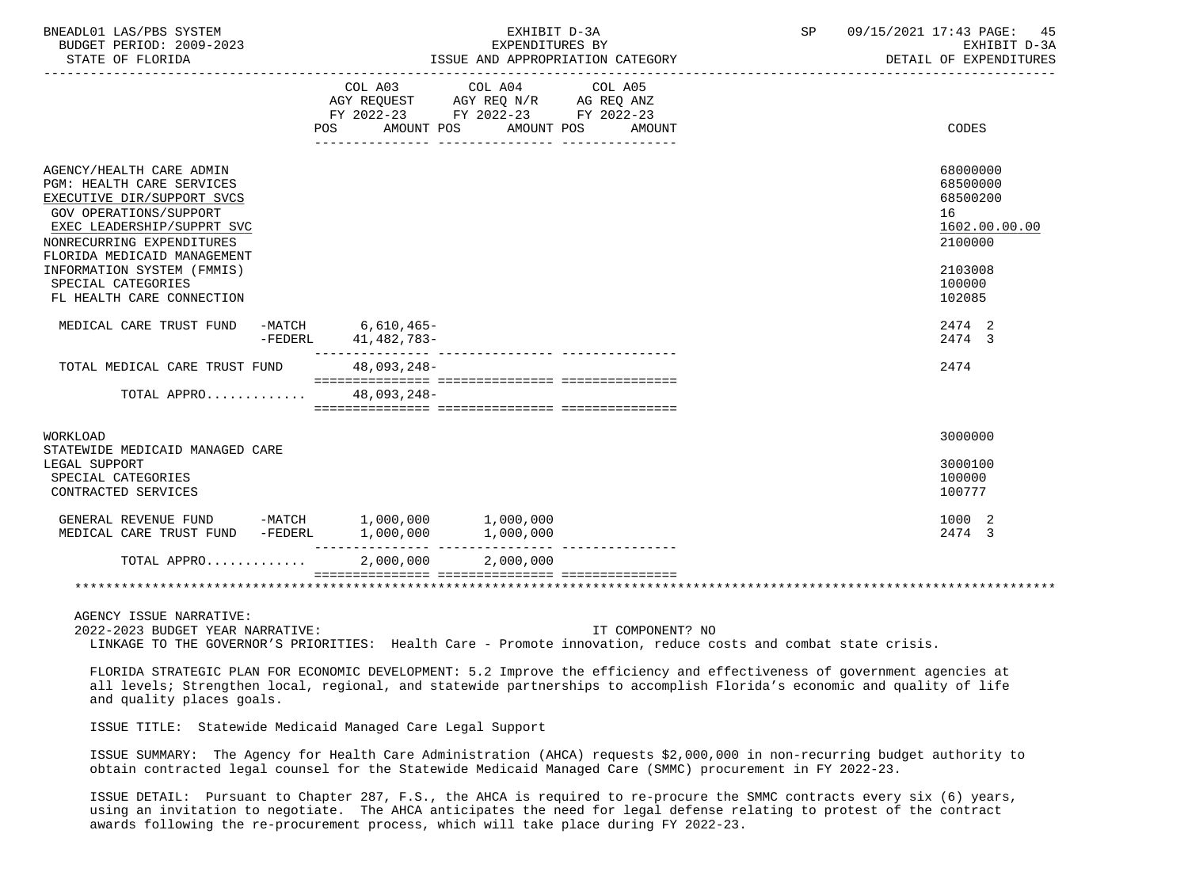| BNEADL01 LAS/PBS SYSTEM<br>BUDGET PERIOD: 2009-2023                                                                                                                                                                                                |                     | EXHIBIT D-3A<br>EXPENDITURES BY                                                                                                |                  | SP 09/15/2021 17:43 PAGE: 45<br>EXHIBIT D-3A<br>DETAIL OF EXPENDITURES        |
|----------------------------------------------------------------------------------------------------------------------------------------------------------------------------------------------------------------------------------------------------|---------------------|--------------------------------------------------------------------------------------------------------------------------------|------------------|-------------------------------------------------------------------------------|
|                                                                                                                                                                                                                                                    |                     | COL A03 COL A04 COL A05<br>AGY REQUEST AGY REQ N/R AG REQ ANZ<br>FY 2022-23 FY 2022-23 FY 2022-23<br>POS AMOUNT POS AMOUNT POS | AMOUNT           | CODES                                                                         |
| AGENCY/HEALTH CARE ADMIN<br>PGM: HEALTH CARE SERVICES<br>EXECUTIVE DIR/SUPPORT SVCS<br>GOV OPERATIONS/SUPPORT<br>EXEC LEADERSHIP/SUPPRT SVC<br>NONRECURRING EXPENDITURES<br>FLORIDA MEDICAID MANAGEMENT<br>INFORMATION SYSTEM (FMMIS)              |                     |                                                                                                                                |                  | 68000000<br>68500000<br>68500200<br>16<br>1602.00.00.00<br>2100000<br>2103008 |
| SPECIAL CATEGORIES<br>FL HEALTH CARE CONNECTION                                                                                                                                                                                                    |                     |                                                                                                                                |                  | 100000<br>102085                                                              |
| MEDICAL CARE TRUST FUND -MATCH 6,610,465-                                                                                                                                                                                                          | -FEDERL 41,482,783- |                                                                                                                                |                  | 2474 2<br>2474 3                                                              |
| TOTAL MEDICAL CARE TRUST FUND 48,093,248-                                                                                                                                                                                                          |                     |                                                                                                                                |                  | 2474                                                                          |
| TOTAL APPRO 48,093,248-                                                                                                                                                                                                                            |                     |                                                                                                                                |                  |                                                                               |
| WORKLOAD                                                                                                                                                                                                                                           |                     |                                                                                                                                |                  | 3000000                                                                       |
| STATEWIDE MEDICAID MANAGED CARE<br>LEGAL SUPPORT<br>SPECIAL CATEGORIES<br>CONTRACTED SERVICES                                                                                                                                                      |                     |                                                                                                                                |                  | 3000100<br>100000<br>100777                                                   |
| GENERAL REVENUE FUND -MATCH 1,000,000 1,000,000                                                                                                                                                                                                    |                     |                                                                                                                                |                  | 1000 2<br>2474 3                                                              |
| TOTAL APPRO                                                                                                                                                                                                                                        | 2,000,000 2,000,000 |                                                                                                                                |                  |                                                                               |
|                                                                                                                                                                                                                                                    |                     |                                                                                                                                |                  |                                                                               |
| AGENCY ISSUE NARRATIVE:<br>2022-2023 BUDGET YEAR NARRATIVE:<br>LINKAGE TO THE GOVERNOR'S PRIORITIES: Health Care - Promote innovation, reduce costs and combat state crisis.                                                                       |                     |                                                                                                                                | IT COMPONENT? NO |                                                                               |
| FLORIDA STRATEGIC PLAN FOR ECONOMIC DEVELOPMENT: 5.2 Improve the efficiency and effectiveness of government agencies at<br>all levels; Strengthen local, regional, and statewide partnerships to accomplish Florida's economic and quality of life |                     |                                                                                                                                |                  |                                                                               |

 all levels; Strengthen local, regional, and statewide partnerships to accomplish Florida's economic and quality of life and quality places goals.

ISSUE TITLE: Statewide Medicaid Managed Care Legal Support

 ISSUE SUMMARY: The Agency for Health Care Administration (AHCA) requests \$2,000,000 in non-recurring budget authority to obtain contracted legal counsel for the Statewide Medicaid Managed Care (SMMC) procurement in FY 2022-23.

 ISSUE DETAIL: Pursuant to Chapter 287, F.S., the AHCA is required to re-procure the SMMC contracts every six (6) years, using an invitation to negotiate. The AHCA anticipates the need for legal defense relating to protest of the contract awards following the re-procurement process, which will take place during FY 2022-23.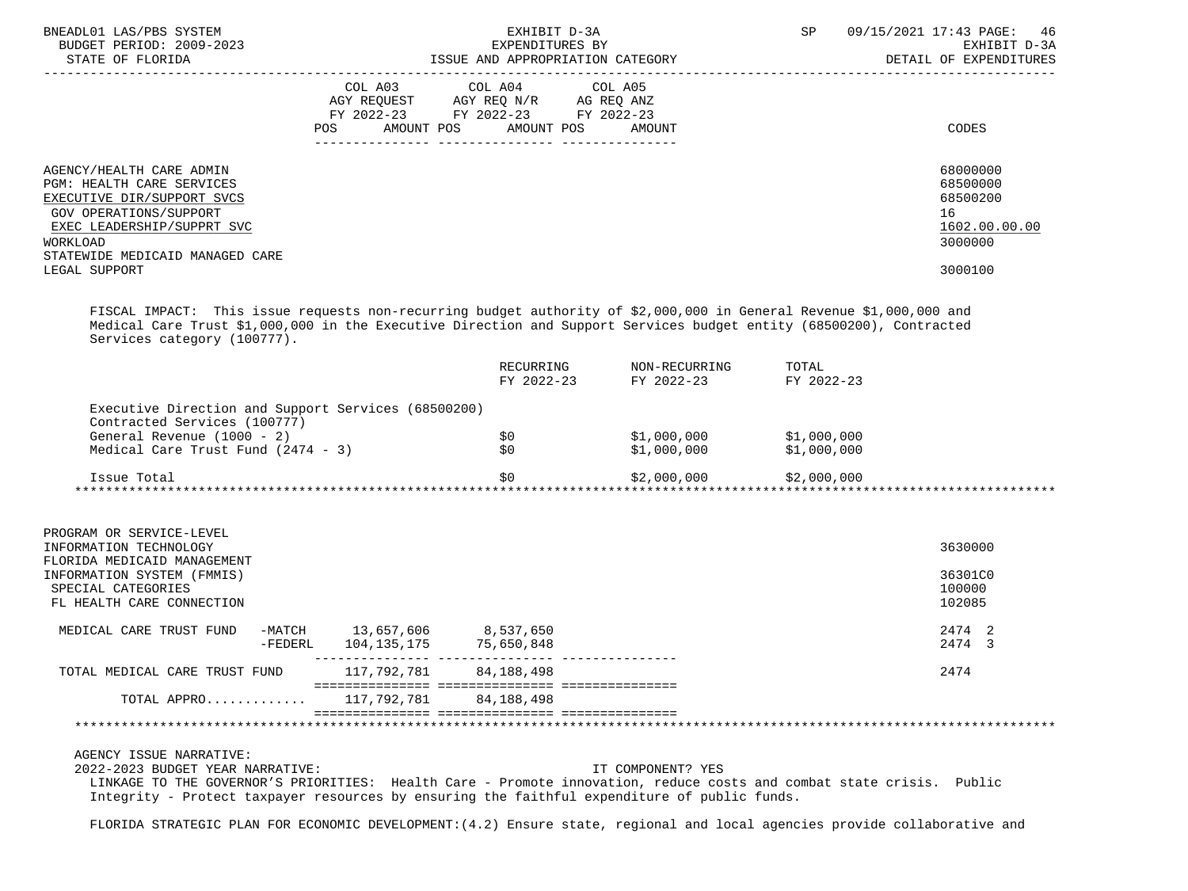| BNEADL01 LAS/PBS SYSTEM<br>BUDGET PERIOD: 2009-2023                                                                                                                                                                                                                                 |                                            | EXHIBIT D-3A<br>EXPENDITURES BY                                                                                            |                                                      | SP | 09/15/2021 17:43 PAGE: 46<br>EXHIBIT D-3A                          |
|-------------------------------------------------------------------------------------------------------------------------------------------------------------------------------------------------------------------------------------------------------------------------------------|--------------------------------------------|----------------------------------------------------------------------------------------------------------------------------|------------------------------------------------------|----|--------------------------------------------------------------------|
|                                                                                                                                                                                                                                                                                     |                                            |                                                                                                                            |                                                      |    | DETAIL OF EXPENDITURES                                             |
|                                                                                                                                                                                                                                                                                     | POS                                        | COL A03 COL A04 COL A05<br>AGY REQUEST AGY REQ N/R AG REQ ANZ<br>FY 2022-23 FY 2022-23 FY 2022-23<br>AMOUNT POS AMOUNT POS | AMOUNT                                               |    | CODES                                                              |
|                                                                                                                                                                                                                                                                                     |                                            |                                                                                                                            |                                                      |    |                                                                    |
| AGENCY/HEALTH CARE ADMIN<br>PGM: HEALTH CARE SERVICES<br>EXECUTIVE DIR/SUPPORT SVCS<br>GOV OPERATIONS/SUPPORT<br>EXEC LEADERSHIP/SUPPRT SVC<br>WORKLOAD<br>STATEWIDE MEDICAID MANAGED CARE                                                                                          |                                            |                                                                                                                            |                                                      |    | 68000000<br>68500000<br>68500200<br>16<br>1602.00.00.00<br>3000000 |
| LEGAL SUPPORT                                                                                                                                                                                                                                                                       |                                            |                                                                                                                            |                                                      |    | 3000100                                                            |
| FISCAL IMPACT: This issue requests non-recurring budget authority of \$2,000,000 in General Revenue \$1,000,000 and<br>Medical Care Trust \$1,000,000 in the Executive Direction and Support Services budget entity (68500200), Contracted<br>Services category (100777).           |                                            |                                                                                                                            |                                                      |    |                                                                    |
|                                                                                                                                                                                                                                                                                     |                                            |                                                                                                                            |                                                      |    |                                                                    |
| Executive Direction and Support Services (68500200)<br>Contracted Services (100777)                                                                                                                                                                                                 |                                            |                                                                                                                            |                                                      |    |                                                                    |
| General Revenue (1000 - 2)<br>Medical Care Trust Fund (2474 - 3)                                                                                                                                                                                                                    |                                            | \$0 1<br>\$0                                                                                                               | \$1,000,000 \$1,000,000<br>$$1,000,000$ $$1,000,000$ |    |                                                                    |
| Issue Total                                                                                                                                                                                                                                                                         |                                            |                                                                                                                            | $$2,000,000$ $$2,000$                                |    |                                                                    |
|                                                                                                                                                                                                                                                                                     |                                            |                                                                                                                            |                                                      |    |                                                                    |
| PROGRAM OR SERVICE-LEVEL<br>INFORMATION TECHNOLOGY<br>FLORIDA MEDICAID MANAGEMENT                                                                                                                                                                                                   |                                            |                                                                                                                            |                                                      |    | 3630000                                                            |
| INFORMATION SYSTEM (FMMIS)<br>SPECIAL CATEGORIES<br>FL HEALTH CARE CONNECTION                                                                                                                                                                                                       |                                            |                                                                                                                            |                                                      |    | 36301C0<br>100000<br>102085                                        |
| MEDICAL CARE TRUST FUND<br>$-FEDERL$                                                                                                                                                                                                                                                | -MATCH 13,657,606 8,537,650<br>104,135,175 | 75,650,848                                                                                                                 |                                                      |    | 2474 2<br>2474 3                                                   |
| TOTAL MEDICAL CARE TRUST FUND                                                                                                                                                                                                                                                       | 117,792,781                                | 84, 188, 498                                                                                                               |                                                      |    | 2474                                                               |
| TOTAL APPRO                                                                                                                                                                                                                                                                         | 117,792,781                                | 84, 188, 498                                                                                                               |                                                      |    |                                                                    |
|                                                                                                                                                                                                                                                                                     |                                            |                                                                                                                            |                                                      |    |                                                                    |
| AGENCY ISSUE NARRATIVE:<br>2022-2023 BUDGET YEAR NARRATIVE:<br>LINKAGE TO THE GOVERNOR'S PRIORITIES: Health Care - Promote innovation, reduce costs and combat state crisis. Public<br>Integrity - Protect taxpayer resources by ensuring the faithful expenditure of public funds. |                                            |                                                                                                                            | IT COMPONENT? YES                                    |    |                                                                    |

FLORIDA STRATEGIC PLAN FOR ECONOMIC DEVELOPMENT:(4.2) Ensure state, regional and local agencies provide collaborative and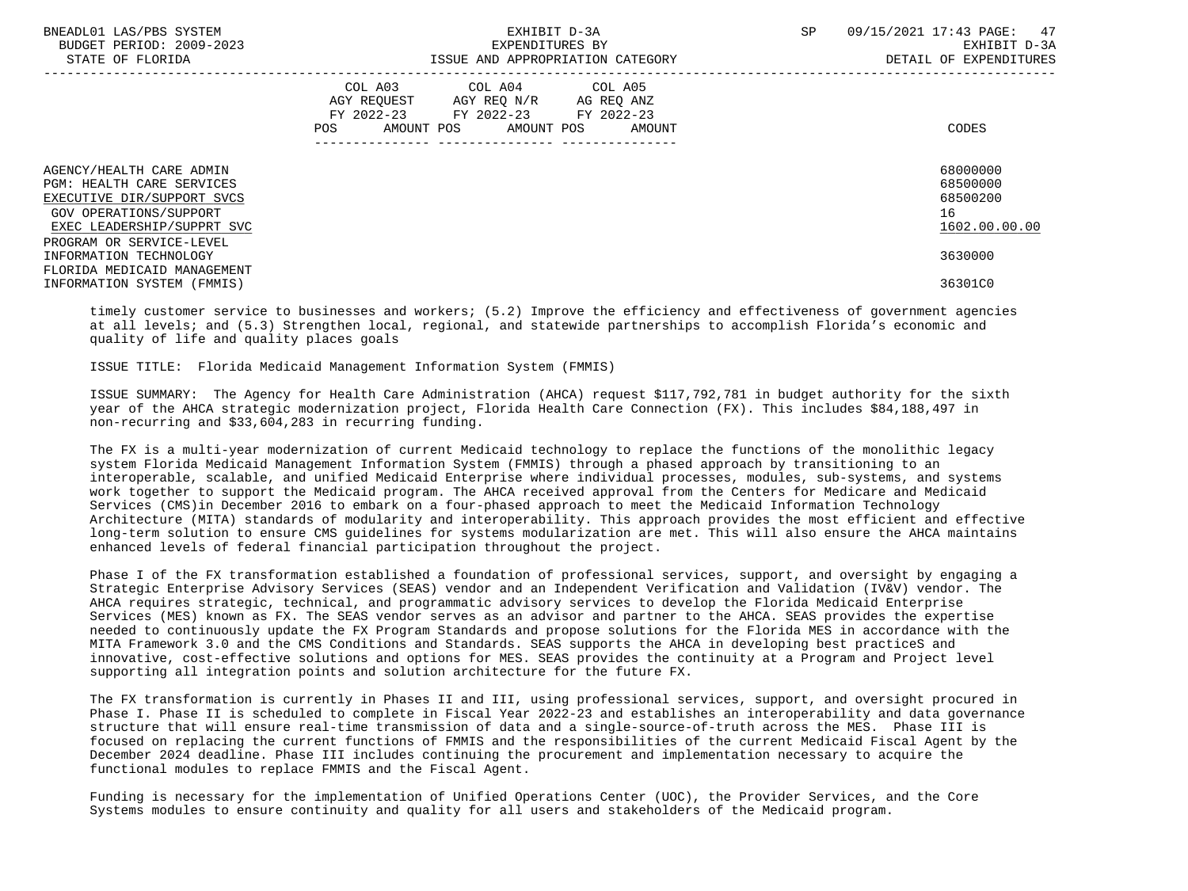| BNEADL01 LAS/PBS SYSTEM<br>BUDGET PERIOD: 2009-2023<br>STATE OF FLORIDA                                                                                                 | EXHIBIT D-3A<br>EXPENDITURES BY<br>ISSUE AND APPROPRIATION CATEGORY                                                                         | 47<br>SP.<br>09/15/2021 17:43 PAGE:<br>EXHIBIT D-3A<br>DETAIL OF EXPENDITURES |
|-------------------------------------------------------------------------------------------------------------------------------------------------------------------------|---------------------------------------------------------------------------------------------------------------------------------------------|-------------------------------------------------------------------------------|
|                                                                                                                                                                         | COL A03 COL A04 COL A05<br>AGY REOUEST AGY REO N/R AG REO ANZ<br>FY 2022-23 FY 2022-23 FY 2022-23<br>AMOUNT POS AMOUNT POS<br>POS<br>AMOUNT | CODES                                                                         |
| AGENCY/HEALTH CARE ADMIN<br>PGM: HEALTH CARE SERVICES<br>EXECUTIVE DIR/SUPPORT SVCS<br>GOV OPERATIONS/SUPPORT<br>EXEC LEADERSHIP/SUPPRT SVC<br>PROGRAM OR SERVICE-LEVEL |                                                                                                                                             | 68000000<br>68500000<br>68500200<br>16<br>1602.00.00.00                       |
| INFORMATION TECHNOLOGY<br>FLORIDA MEDICAID MANAGEMENT<br>INFORMATION SYSTEM (FMMIS)                                                                                     |                                                                                                                                             | 3630000<br>36301C0                                                            |

 timely customer service to businesses and workers; (5.2) Improve the efficiency and effectiveness of government agencies at all levels; and (5.3) Strengthen local, regional, and statewide partnerships to accomplish Florida's economic and quality of life and quality places goals

ISSUE TITLE: Florida Medicaid Management Information System (FMMIS)

 ISSUE SUMMARY: The Agency for Health Care Administration (AHCA) request \$117,792,781 in budget authority for the sixth year of the AHCA strategic modernization project, Florida Health Care Connection (FX). This includes \$84,188,497 in non-recurring and \$33,604,283 in recurring funding.

 The FX is a multi-year modernization of current Medicaid technology to replace the functions of the monolithic legacy system Florida Medicaid Management Information System (FMMIS) through a phased approach by transitioning to an interoperable, scalable, and unified Medicaid Enterprise where individual processes, modules, sub-systems, and systems work together to support the Medicaid program. The AHCA received approval from the Centers for Medicare and Medicaid Services (CMS)in December 2016 to embark on a four-phased approach to meet the Medicaid Information Technology Architecture (MITA) standards of modularity and interoperability. This approach provides the most efficient and effective long-term solution to ensure CMS guidelines for systems modularization are met. This will also ensure the AHCA maintains enhanced levels of federal financial participation throughout the project.

 Phase I of the FX transformation established a foundation of professional services, support, and oversight by engaging a Strategic Enterprise Advisory Services (SEAS) vendor and an Independent Verification and Validation (IV&V) vendor. The AHCA requires strategic, technical, and programmatic advisory services to develop the Florida Medicaid Enterprise Services (MES) known as FX. The SEAS vendor serves as an advisor and partner to the AHCA. SEAS provides the expertise needed to continuously update the FX Program Standards and propose solutions for the Florida MES in accordance with the MITA Framework 3.0 and the CMS Conditions and Standards. SEAS supports the AHCA in developing best practiceS and innovative, cost-effective solutions and options for MES. SEAS provides the continuity at a Program and Project level supporting all integration points and solution architecture for the future FX.

 The FX transformation is currently in Phases II and III, using professional services, support, and oversight procured in Phase I. Phase II is scheduled to complete in Fiscal Year 2022-23 and establishes an interoperability and data governance structure that will ensure real-time transmission of data and a single-source-of-truth across the MES. Phase III is focused on replacing the current functions of FMMIS and the responsibilities of the current Medicaid Fiscal Agent by the December 2024 deadline. Phase III includes continuing the procurement and implementation necessary to acquire the functional modules to replace FMMIS and the Fiscal Agent.

 Funding is necessary for the implementation of Unified Operations Center (UOC), the Provider Services, and the Core Systems modules to ensure continuity and quality for all users and stakeholders of the Medicaid program.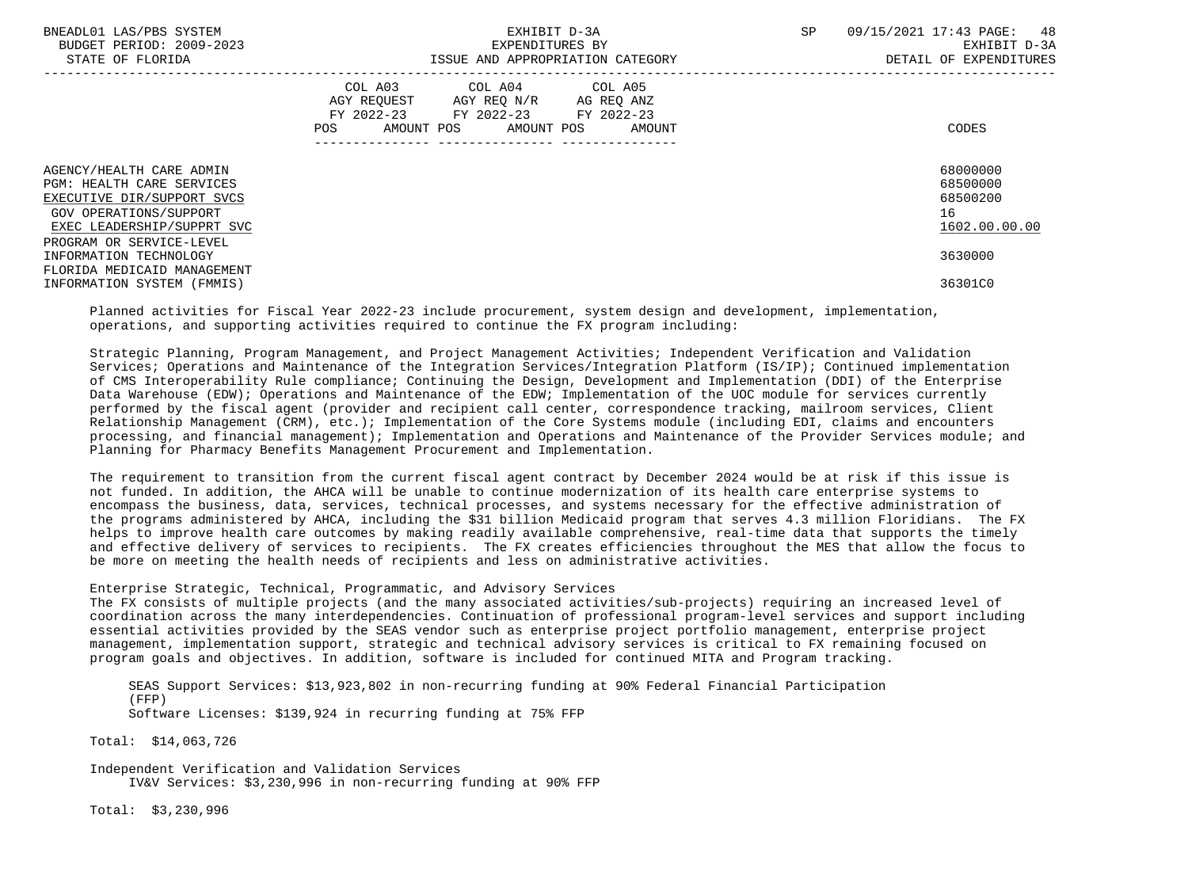| BNEADL01 LAS/PBS SYSTEM<br>BUDGET PERIOD: 2009-2023<br>STATE OF FLORIDA                                                                                                        | EXHIBIT D-3A<br>EXPENDITURES BY<br>ISSUE AND APPROPRIATION CATEGORY                                                                   | 48<br>SP<br>09/15/2021 17:43 PAGE:<br>EXHIBIT D-3A<br>DETAIL OF EXPENDITURES |
|--------------------------------------------------------------------------------------------------------------------------------------------------------------------------------|---------------------------------------------------------------------------------------------------------------------------------------|------------------------------------------------------------------------------|
|                                                                                                                                                                                | COL A03 COL A04 COL A05<br>AGY REOUEST AGY REO N/R AG REO ANZ<br>FY 2022-23 FY 2022-23 FY 2022-23<br>POS AMOUNT POS AMOUNT POS AMOUNT | CODES                                                                        |
| AGENCY/HEALTH CARE ADMIN<br><b>PGM: HEALTH CARE SERVICES</b><br>EXECUTIVE DIR/SUPPORT SVCS<br>GOV OPERATIONS/SUPPORT<br>EXEC LEADERSHIP/SUPPRT SVC<br>PROGRAM OR SERVICE-LEVEL |                                                                                                                                       | 68000000<br>68500000<br>68500200<br>16<br>1602.00.00.00                      |
| INFORMATION TECHNOLOGY<br>FLORIDA MEDICAID MANAGEMENT<br>INFORMATION SYSTEM (FMMIS)                                                                                            |                                                                                                                                       | 3630000<br>36301C0                                                           |

 Planned activities for Fiscal Year 2022-23 include procurement, system design and development, implementation, operations, and supporting activities required to continue the FX program including:

 Strategic Planning, Program Management, and Project Management Activities; Independent Verification and Validation Services; Operations and Maintenance of the Integration Services/Integration Platform (IS/IP); Continued implementation of CMS Interoperability Rule compliance; Continuing the Design, Development and Implementation (DDI) of the Enterprise Data Warehouse (EDW); Operations and Maintenance of the EDW; Implementation of the UOC module for services currently performed by the fiscal agent (provider and recipient call center, correspondence tracking, mailroom services, Client Relationship Management (CRM), etc.); Implementation of the Core Systems module (including EDI, claims and encounters processing, and financial management); Implementation and Operations and Maintenance of the Provider Services module; and Planning for Pharmacy Benefits Management Procurement and Implementation.

 The requirement to transition from the current fiscal agent contract by December 2024 would be at risk if this issue is not funded. In addition, the AHCA will be unable to continue modernization of its health care enterprise systems to encompass the business, data, services, technical processes, and systems necessary for the effective administration of the programs administered by AHCA, including the \$31 billion Medicaid program that serves 4.3 million Floridians. The FX helps to improve health care outcomes by making readily available comprehensive, real-time data that supports the timely and effective delivery of services to recipients. The FX creates efficiencies throughout the MES that allow the focus to be more on meeting the health needs of recipients and less on administrative activities.

## Enterprise Strategic, Technical, Programmatic, and Advisory Services

 The FX consists of multiple projects (and the many associated activities/sub-projects) requiring an increased level of coordination across the many interdependencies. Continuation of professional program-level services and support including essential activities provided by the SEAS vendor such as enterprise project portfolio management, enterprise project management, implementation support, strategic and technical advisory services is critical to FX remaining focused on program goals and objectives. In addition, software is included for continued MITA and Program tracking.

 SEAS Support Services: \$13,923,802 in non-recurring funding at 90% Federal Financial Participation (FFP) Software Licenses: \$139,924 in recurring funding at 75% FFP

Total: \$14,063,726

 Independent Verification and Validation Services IV&V Services: \$3,230,996 in non-recurring funding at 90% FFP

Total: \$3,230,996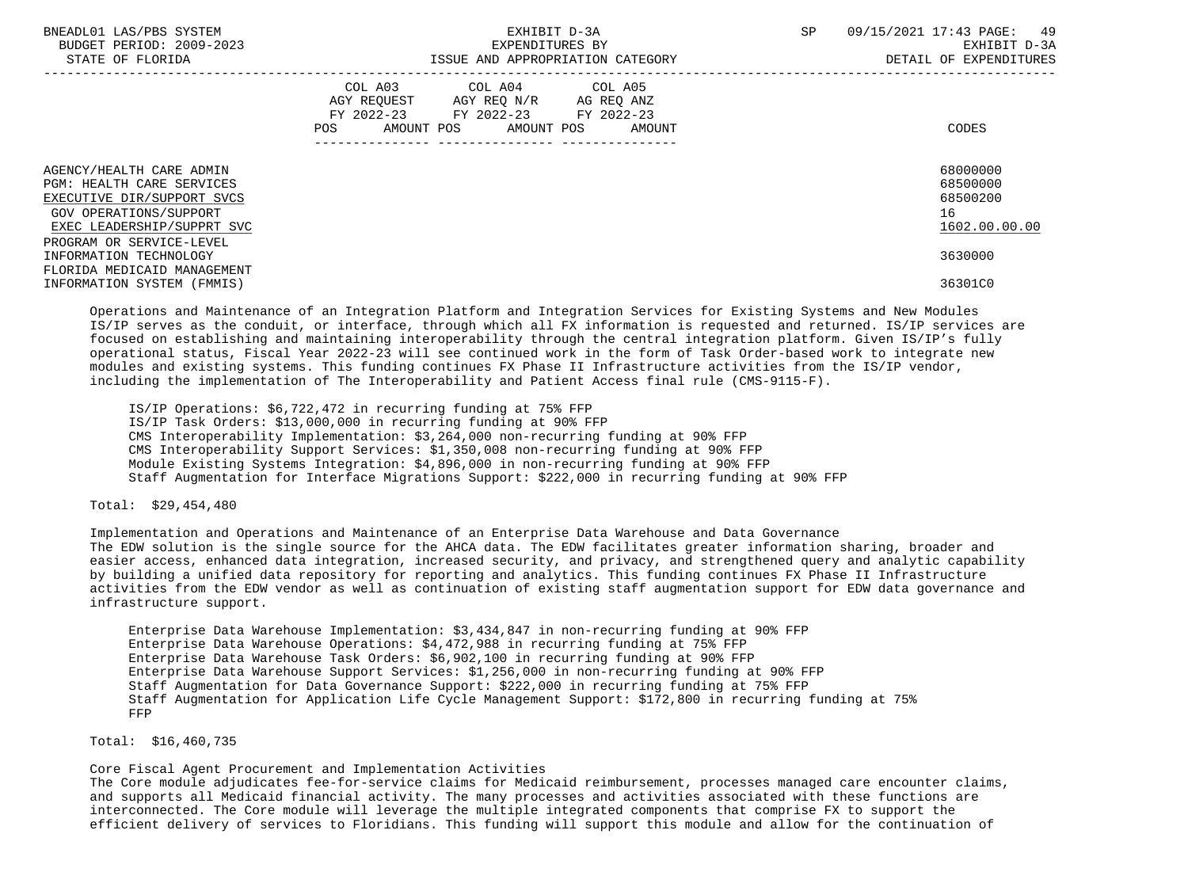| BNEADL01 LAS/PBS SYSTEM<br>BUDGET PERIOD: 2009-2023<br>STATE OF FLORIDA                                                                            | EXHIBIT D-3A<br>EXPENDITURES BY<br>ISSUE AND APPROPRIATION CATEGORY                                                                      | SP<br>09/15/2021 17:43 PAGE:<br>49<br>EXHIBIT D-3A<br>DETAIL OF EXPENDITURES |
|----------------------------------------------------------------------------------------------------------------------------------------------------|------------------------------------------------------------------------------------------------------------------------------------------|------------------------------------------------------------------------------|
|                                                                                                                                                    | COL A03 COL A04 COL A05<br>AGY REOUEST AGY REO N/R AG REO ANZ<br>FY 2022-23 FY 2022-23 FY 2022-23<br>AMOUNT POS AMOUNT POS AMOUNT<br>POS | CODES                                                                        |
| AGENCY/HEALTH CARE ADMIN<br><b>PGM: HEALTH CARE SERVICES</b><br>EXECUTIVE DIR/SUPPORT SVCS<br>GOV OPERATIONS/SUPPORT<br>EXEC LEADERSHIP/SUPPRT SVC |                                                                                                                                          | 68000000<br>68500000<br>68500200<br>16<br>1602.00.00.00                      |
| PROGRAM OR SERVICE-LEVEL<br>INFORMATION TECHNOLOGY<br>FLORIDA MEDICAID MANAGEMENT<br>INFORMATION SYSTEM (FMMIS)                                    |                                                                                                                                          | 3630000<br>36301C0                                                           |

 Operations and Maintenance of an Integration Platform and Integration Services for Existing Systems and New Modules IS/IP serves as the conduit, or interface, through which all FX information is requested and returned. IS/IP services are focused on establishing and maintaining interoperability through the central integration platform. Given IS/IP's fully operational status, Fiscal Year 2022-23 will see continued work in the form of Task Order-based work to integrate new modules and existing systems. This funding continues FX Phase II Infrastructure activities from the IS/IP vendor, including the implementation of The Interoperability and Patient Access final rule (CMS-9115-F).

 IS/IP Operations: \$6,722,472 in recurring funding at 75% FFP IS/IP Task Orders: \$13,000,000 in recurring funding at 90% FFP CMS Interoperability Implementation: \$3,264,000 non-recurring funding at 90% FFP CMS Interoperability Support Services: \$1,350,008 non-recurring funding at 90% FFP Module Existing Systems Integration: \$4,896,000 in non-recurring funding at 90% FFP Staff Augmentation for Interface Migrations Support: \$222,000 in recurring funding at 90% FFP

## Total: \$29,454,480

 Implementation and Operations and Maintenance of an Enterprise Data Warehouse and Data Governance The EDW solution is the single source for the AHCA data. The EDW facilitates greater information sharing, broader and easier access, enhanced data integration, increased security, and privacy, and strengthened query and analytic capability by building a unified data repository for reporting and analytics. This funding continues FX Phase II Infrastructure activities from the EDW vendor as well as continuation of existing staff augmentation support for EDW data governance and infrastructure support.

 Enterprise Data Warehouse Implementation: \$3,434,847 in non-recurring funding at 90% FFP Enterprise Data Warehouse Operations: \$4,472,988 in recurring funding at 75% FFP Enterprise Data Warehouse Task Orders: \$6,902,100 in recurring funding at 90% FFP Enterprise Data Warehouse Support Services: \$1,256,000 in non-recurring funding at 90% FFP Staff Augmentation for Data Governance Support: \$222,000 in recurring funding at 75% FFP Staff Augmentation for Application Life Cycle Management Support: \$172,800 in recurring funding at 75% FFP

Total: \$16,460,735

Core Fiscal Agent Procurement and Implementation Activities

 The Core module adjudicates fee-for-service claims for Medicaid reimbursement, processes managed care encounter claims, and supports all Medicaid financial activity. The many processes and activities associated with these functions are interconnected. The Core module will leverage the multiple integrated components that comprise FX to support the efficient delivery of services to Floridians. This funding will support this module and allow for the continuation of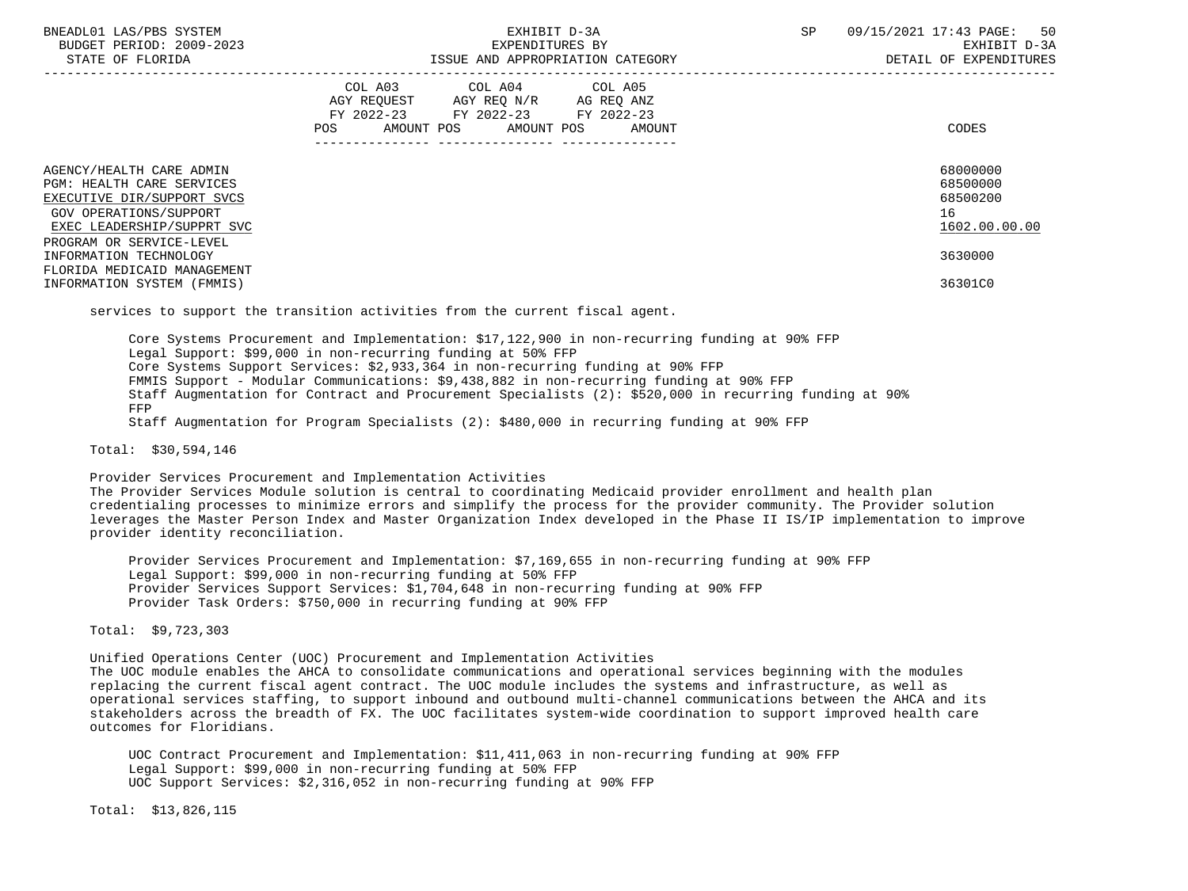| BNEADL01 LAS/PBS SYSTEM<br>BUDGET PERIOD: 2009-2023<br>STATE OF FLORIDA                                                                                                 | EXHIBIT D-3A<br>EXPENDITURES BY<br>ISSUE AND APPROPRIATION CATEGORY                                                                                                 | SP<br>09/15/2021 17:43 PAGE: 50<br>EXHIBIT D-3A<br>DETAIL OF EXPENDITURES |
|-------------------------------------------------------------------------------------------------------------------------------------------------------------------------|---------------------------------------------------------------------------------------------------------------------------------------------------------------------|---------------------------------------------------------------------------|
|                                                                                                                                                                         | COL A03 COL A04 COL A05<br>AGY REQUEST AGY REQ N/R AG REQ ANZ<br>FY 2022-23 FY 2022-23 FY 2022-23<br>AMOUNT POS AMOUNT POS AMOUNT<br>POS FOR THE POST OF THE STREET | <b>CODES</b>                                                              |
| AGENCY/HEALTH CARE ADMIN<br>PGM: HEALTH CARE SERVICES<br>EXECUTIVE DIR/SUPPORT SVCS<br>GOV OPERATIONS/SUPPORT<br>EXEC LEADERSHIP/SUPPRT SVC<br>PROGRAM OR SERVICE-LEVEL |                                                                                                                                                                     | 68000000<br>68500000<br>68500200<br>16<br>1602.00.00.00                   |
| INFORMATION TECHNOLOGY<br>FLORIDA MEDICAID MANAGEMENT<br>INFORMATION SYSTEM (FMMIS)                                                                                     |                                                                                                                                                                     | 3630000<br>36301C0                                                        |
|                                                                                                                                                                         | services to support the transition activities from the current fiscal agent.                                                                                        |                                                                           |

services to support the transition activities from the current fiscal agent.

 Core Systems Procurement and Implementation: \$17,122,900 in non-recurring funding at 90% FFP Legal Support: \$99,000 in non-recurring funding at 50% FFP Core Systems Support Services: \$2,933,364 in non-recurring funding at 90% FFP FMMIS Support - Modular Communications: \$9,438,882 in non-recurring funding at 90% FFP Staff Augmentation for Contract and Procurement Specialists (2): \$520,000 in recurring funding at 90% FFP Staff Augmentation for Program Specialists (2): \$480,000 in recurring funding at 90% FFP

Total: \$30,594,146

Provider Services Procurement and Implementation Activities

 The Provider Services Module solution is central to coordinating Medicaid provider enrollment and health plan credentialing processes to minimize errors and simplify the process for the provider community. The Provider solution leverages the Master Person Index and Master Organization Index developed in the Phase II IS/IP implementation to improve provider identity reconciliation.

 Provider Services Procurement and Implementation: \$7,169,655 in non-recurring funding at 90% FFP Legal Support: \$99,000 in non-recurring funding at 50% FFP Provider Services Support Services: \$1,704,648 in non-recurring funding at 90% FFP Provider Task Orders: \$750,000 in recurring funding at 90% FFP

Total: \$9,723,303

 Unified Operations Center (UOC) Procurement and Implementation Activities The UOC module enables the AHCA to consolidate communications and operational services beginning with the modules replacing the current fiscal agent contract. The UOC module includes the systems and infrastructure, as well as operational services staffing, to support inbound and outbound multi-channel communications between the AHCA and its stakeholders across the breadth of FX. The UOC facilitates system-wide coordination to support improved health care outcomes for Floridians.

 UOC Contract Procurement and Implementation: \$11,411,063 in non-recurring funding at 90% FFP Legal Support: \$99,000 in non-recurring funding at 50% FFP UOC Support Services: \$2,316,052 in non-recurring funding at 90% FFP

Total: \$13,826,115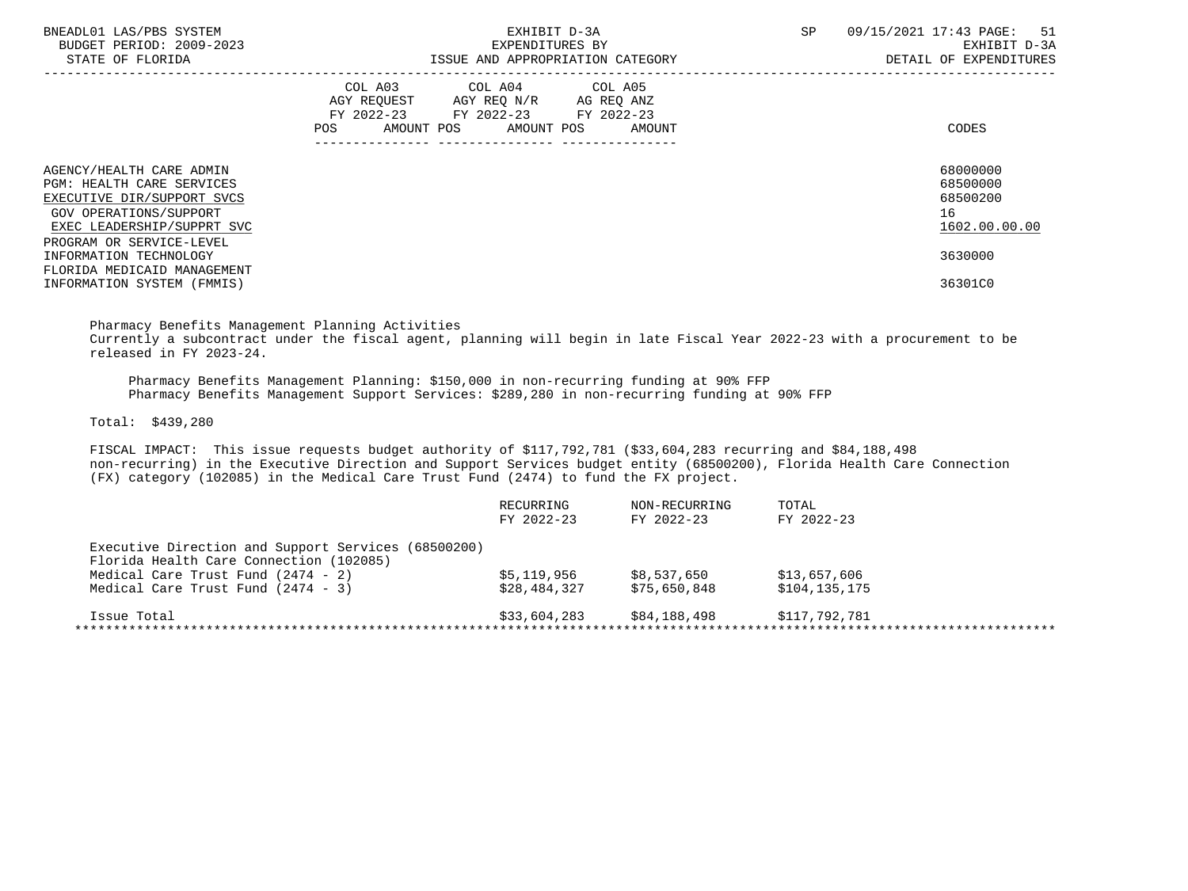| BNEADL01 LAS/PBS SYSTEM<br>BUDGET PERIOD: 2009-2023<br>STATE OF FLORIDA                                                                            | EXHIBIT D-3A<br>EXPENDITURES BY<br>ISSUE AND APPROPRIATION CATEGORY                                                                      | SP<br>09/15/2021 17:43 PAGE:<br>51<br>EXHIBIT D-3A<br>DETAIL OF EXPENDITURES |
|----------------------------------------------------------------------------------------------------------------------------------------------------|------------------------------------------------------------------------------------------------------------------------------------------|------------------------------------------------------------------------------|
|                                                                                                                                                    | COL A03 COL A04 COL A05<br>AGY REOUEST AGY REO N/R AG REO ANZ<br>FY 2022-23 FY 2022-23 FY 2022-23<br>AMOUNT POS AMOUNT POS AMOUNT<br>POS | CODES                                                                        |
| AGENCY/HEALTH CARE ADMIN<br><b>PGM: HEALTH CARE SERVICES</b><br>EXECUTIVE DIR/SUPPORT SVCS<br>GOV OPERATIONS/SUPPORT<br>EXEC LEADERSHIP/SUPPRT SVC |                                                                                                                                          | 68000000<br>68500000<br>68500200<br>16<br>1602.00.00.00                      |
| PROGRAM OR SERVICE-LEVEL<br>INFORMATION TECHNOLOGY<br>FLORIDA MEDICAID MANAGEMENT<br>INFORMATION SYSTEM (FMMIS)                                    |                                                                                                                                          | 3630000<br>36301C0                                                           |

 Pharmacy Benefits Management Planning Activities Currently a subcontract under the fiscal agent, planning will begin in late Fiscal Year 2022-23 with a procurement to be released in FY 2023-24.

 Pharmacy Benefits Management Planning: \$150,000 in non-recurring funding at 90% FFP Pharmacy Benefits Management Support Services: \$289,280 in non-recurring funding at 90% FFP

Total: \$439,280

 FISCAL IMPACT: This issue requests budget authority of \$117,792,781 (\$33,604,283 recurring and \$84,188,498 non-recurring) in the Executive Direction and Support Services budget entity (68500200), Florida Health Care Connection (FX) category (102085) in the Medical Care Trust Fund (2474) to fund the FX project.

|                                                     | RECURRING<br>FY 2022-23 | NON-RECURRING<br>FY 2022-23 | TOTAL<br>FY 2022-23 |
|-----------------------------------------------------|-------------------------|-----------------------------|---------------------|
| Executive Direction and Support Services (68500200) |                         |                             |                     |
| Florida Health Care Connection (102085)             |                         |                             |                     |
| Medical Care Trust Fund $(2474 - 2)$                | \$5,119,956             | \$8,537,650                 | \$13,657,606        |
| Medical Care Trust Fund $(2474 - 3)$                | \$28,484,327            | \$75,650,848                | \$104,135,175       |
| Issue Total                                         | \$33,604,283            | \$84,188,498                | \$117,792,781       |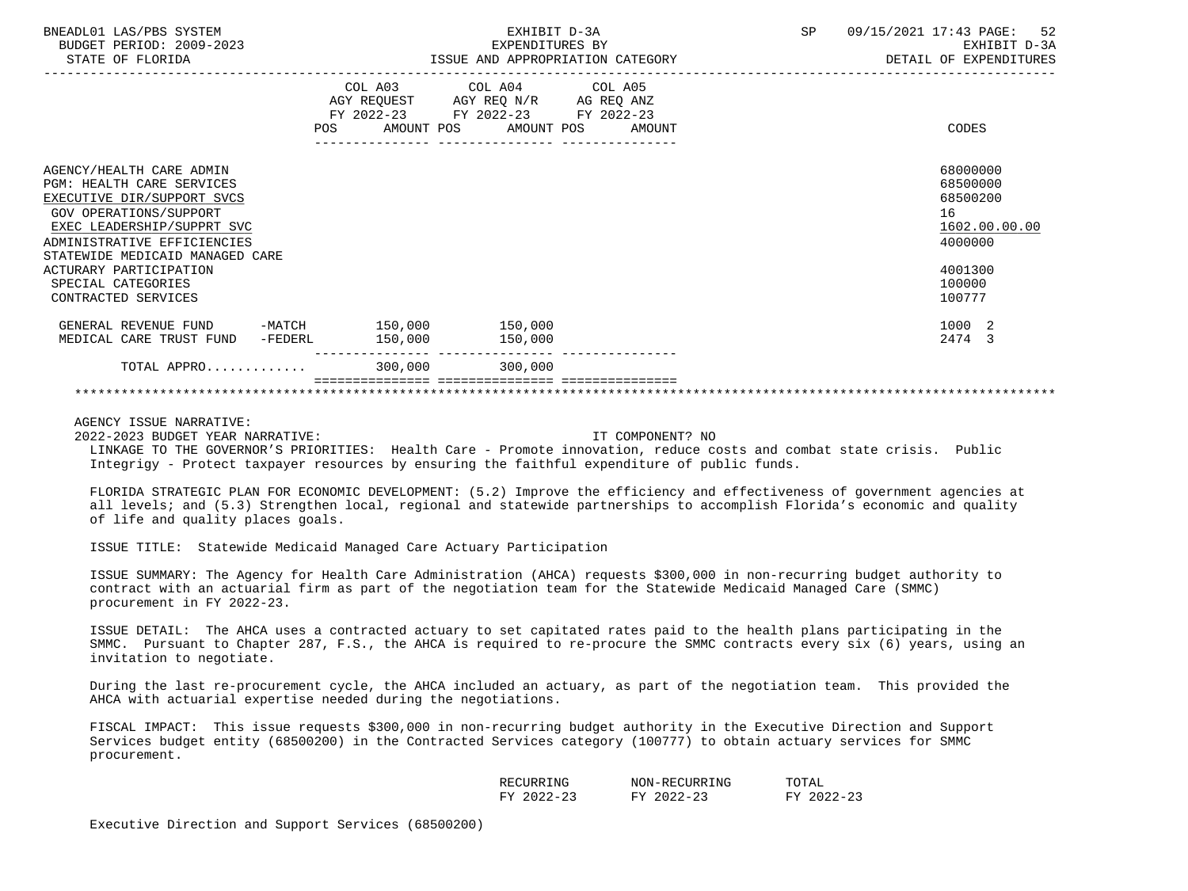| BNEADL01 LAS/PBS SYSTEM<br>BUDGET PERIOD: 2009-2023<br>STATE OF FLORIDA                                                                                                                                                                               |                 | EXHIBIT D-3A<br>EXPENDITURES BY<br>ISSUE AND APPROPRIATION CATEGORY                                                               | SP<br>09/15/2021 17:43 PAGE: 52<br>EXHIBIT D-3A<br>DETAIL OF EXPENDITURES     |
|-------------------------------------------------------------------------------------------------------------------------------------------------------------------------------------------------------------------------------------------------------|-----------------|-----------------------------------------------------------------------------------------------------------------------------------|-------------------------------------------------------------------------------|
|                                                                                                                                                                                                                                                       |                 | COL A03 COL A04 COL A05<br>AGY REQUEST AGY REQ N/R AG REQ ANZ<br>FY 2022-23 FY 2022-23 FY 2022-23<br>AMOUNT POS AMOUNT POS AMOUNT | CODES                                                                         |
| AGENCY/HEALTH CARE ADMIN<br><b>PGM: HEALTH CARE SERVICES</b><br>EXECUTIVE DIR/SUPPORT SVCS<br><b>GOV OPERATIONS/SUPPORT</b><br>EXEC LEADERSHIP/SUPPRT SVC<br>ADMINISTRATIVE EFFICIENCIES<br>STATEWIDE MEDICAID MANAGED CARE<br>ACTURARY PARTICIPATION |                 |                                                                                                                                   | 68000000<br>68500000<br>68500200<br>16<br>1602.00.00.00<br>4000000<br>4001300 |
| SPECIAL CATEGORIES<br>CONTRACTED SERVICES                                                                                                                                                                                                             |                 |                                                                                                                                   | 100000<br>100777                                                              |
| GENERAL REVENUE FUND -MATCH 150,000 150,000<br>MEDICAL CARE TRUST FUND -FEDERL                                                                                                                                                                        | 150,000 150,000 |                                                                                                                                   | 1000 2<br>2474 3                                                              |
| TOTAL APPRO                                                                                                                                                                                                                                           | 300,000         | 300,000                                                                                                                           |                                                                               |
|                                                                                                                                                                                                                                                       |                 |                                                                                                                                   |                                                                               |

2022-2023 BUDGET YEAR NARRATIVE: IT COMPONENT? NO

 LINKAGE TO THE GOVERNOR'S PRIORITIES: Health Care - Promote innovation, reduce costs and combat state crisis. Public Integrigy - Protect taxpayer resources by ensuring the faithful expenditure of public funds.

 FLORIDA STRATEGIC PLAN FOR ECONOMIC DEVELOPMENT: (5.2) Improve the efficiency and effectiveness of government agencies at all levels; and (5.3) Strengthen local, regional and statewide partnerships to accomplish Florida's economic and quality of life and quality places goals.

ISSUE TITLE: Statewide Medicaid Managed Care Actuary Participation

 ISSUE SUMMARY: The Agency for Health Care Administration (AHCA) requests \$300,000 in non-recurring budget authority to contract with an actuarial firm as part of the negotiation team for the Statewide Medicaid Managed Care (SMMC) procurement in FY 2022-23.

 ISSUE DETAIL: The AHCA uses a contracted actuary to set capitated rates paid to the health plans participating in the SMMC. Pursuant to Chapter 287, F.S., the AHCA is required to re-procure the SMMC contracts every six (6) years, using an invitation to negotiate.

 During the last re-procurement cycle, the AHCA included an actuary, as part of the negotiation team. This provided the AHCA with actuarial expertise needed during the negotiations.

 FISCAL IMPACT: This issue requests \$300,000 in non-recurring budget authority in the Executive Direction and Support Services budget entity (68500200) in the Contracted Services category (100777) to obtain actuary services for SMMC procurement.

| RECURRING                                                                         | ECURRING!<br>NON-REC                                 | TOTAL                                                            |
|-----------------------------------------------------------------------------------|------------------------------------------------------|------------------------------------------------------------------|
| $\cap$<br>$\sim$<br>πv<br>$\prime$ $-$<br>$\overline{\phantom{a}}$<br>رے ۔<br>. . | າດາ≏<br>$\sim$<br>ᅲᅐᅎ<br>$\prime$ $-$<br><b>س سے</b> | $\sim$ $\sim$<br>つのつつ<br>$\pi\pi\pi$<br>$\sqrt{2}$<br><u> 4.</u> |

Executive Direction and Support Services (68500200)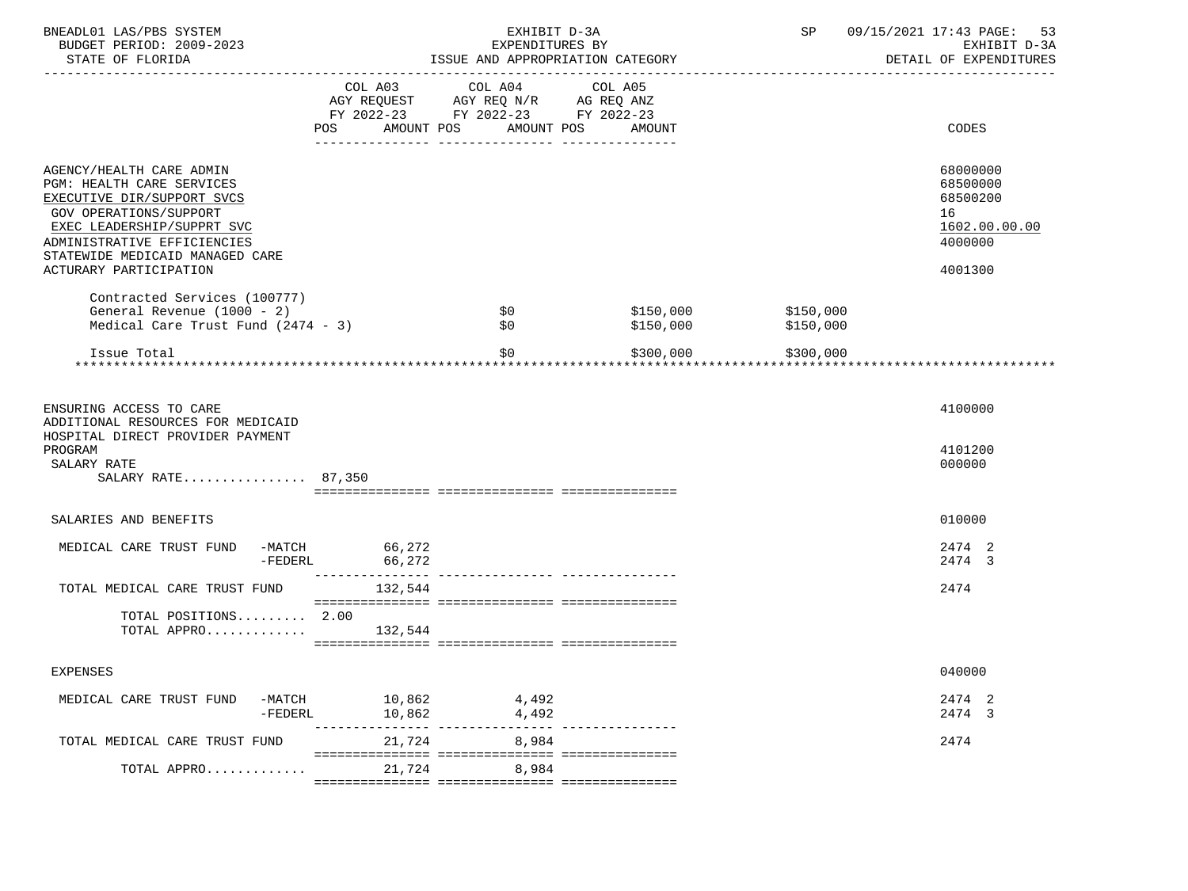| BNEADL01 LAS/PBS SYSTEM<br>BUDGET PERIOD: 2009-2023<br>STATE OF FLORIDA                                                                                                    |                  | EXHIBIT D-3A<br>EXPENDITURES BY                                                                                                   | ISSUE AND APPROPRIATION CATEGORY |                        | SP 09/15/2021 17:43 PAGE: 53<br>EXHIBIT D-3A<br>DETAIL OF EXPENDITURES |
|----------------------------------------------------------------------------------------------------------------------------------------------------------------------------|------------------|-----------------------------------------------------------------------------------------------------------------------------------|----------------------------------|------------------------|------------------------------------------------------------------------|
|                                                                                                                                                                            | POS              | COL A03 COL A04 COL A05<br>AGY REQUEST AGY REO N/R AG REO ANZ<br>FY 2022-23 FY 2022-23 FY 2022-23<br>AMOUNT POS AMOUNT POS AMOUNT |                                  |                        | CODES                                                                  |
|                                                                                                                                                                            |                  |                                                                                                                                   |                                  |                        |                                                                        |
| AGENCY/HEALTH CARE ADMIN<br>PGM: HEALTH CARE SERVICES<br>EXECUTIVE DIR/SUPPORT SVCS<br>GOV OPERATIONS/SUPPORT<br>EXEC LEADERSHIP/SUPPRT SVC<br>ADMINISTRATIVE EFFICIENCIES |                  |                                                                                                                                   |                                  |                        | 68000000<br>68500000<br>68500200<br>16<br>1602.00.00.00<br>4000000     |
| STATEWIDE MEDICAID MANAGED CARE<br>ACTURARY PARTICIPATION                                                                                                                  |                  |                                                                                                                                   |                                  |                        | 4001300                                                                |
| Contracted Services (100777)<br>General Revenue (1000 - 2)<br>Medical Care Trust Fund $(2474 - 3)$                                                                         |                  | \$0<br>\$0                                                                                                                        | \$150,000<br>\$150,000           | \$150,000<br>\$150,000 |                                                                        |
| Issue Total                                                                                                                                                                |                  | SO.                                                                                                                               | \$300,000                        | \$300,000              |                                                                        |
| ENSURING ACCESS TO CARE<br>ADDITIONAL RESOURCES FOR MEDICAID<br>HOSPITAL DIRECT PROVIDER PAYMENT<br>PROGRAM<br>SALARY RATE<br>SALARY RATE 87,350                           |                  |                                                                                                                                   |                                  |                        | 4100000<br>4101200<br>000000                                           |
| SALARIES AND BENEFITS                                                                                                                                                      |                  |                                                                                                                                   |                                  |                        | 010000                                                                 |
| MEDICAL CARE TRUST FUND -MATCH 66,272<br>-FEDERL                                                                                                                           | 66,272           |                                                                                                                                   |                                  |                        | 2474 2<br>2474 3                                                       |
| TOTAL MEDICAL CARE TRUST FUND                                                                                                                                              | 132,544          |                                                                                                                                   |                                  |                        | 2474                                                                   |
| TOTAL POSITIONS 2.00<br>TOTAL APPRO                                                                                                                                        | 132,544          |                                                                                                                                   |                                  |                        |                                                                        |
| EXPENSES                                                                                                                                                                   |                  |                                                                                                                                   |                                  |                        | 040000                                                                 |
| MEDICAL CARE TRUST FUND<br>-MATCH<br>$-FEDERL$                                                                                                                             | 10,862<br>10,862 | 4,492<br>4,492                                                                                                                    |                                  |                        | 2474 2<br>2474 3                                                       |
| TOTAL MEDICAL CARE TRUST FUND                                                                                                                                              | 21,724           | 8,984                                                                                                                             |                                  |                        | 2474                                                                   |
| TOTAL APPRO                                                                                                                                                                | 21,724           | 8,984                                                                                                                             |                                  |                        |                                                                        |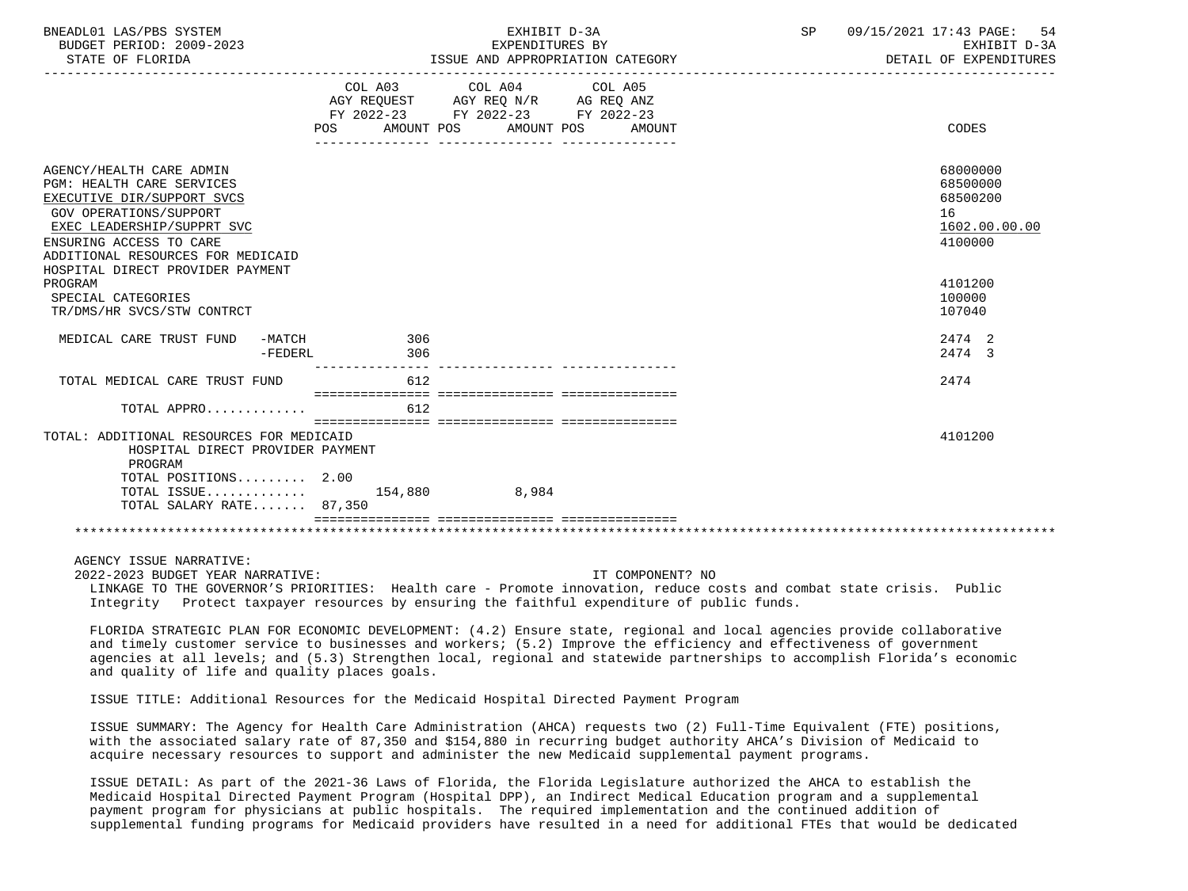| BNEADL01 LAS/PBS SYSTEM<br>BUDGET PERIOD: 2009-2023<br>STATE OF FLORIDA                                                                                                                                            |            | EXHIBIT D-3A<br>EXPENDITURES BY<br>ISSUE AND APPROPRIATION CATEGORY                                                                  | 09/15/2021 17:43 PAGE: 54<br>SP<br>DETAIL OF EXPENDITURES          | EXHIBIT D-3A |
|--------------------------------------------------------------------------------------------------------------------------------------------------------------------------------------------------------------------|------------|--------------------------------------------------------------------------------------------------------------------------------------|--------------------------------------------------------------------|--------------|
|                                                                                                                                                                                                                    | <b>POS</b> | COL A03 COL A04 COL A05<br>AGY REQUEST AGY REQ N/R AG REQ ANZ<br>FY 2022-23 FY 2022-23 FY 2022-23<br>AMOUNT POS AMOUNT POS<br>AMOUNT | CODES                                                              |              |
| AGENCY/HEALTH CARE ADMIN<br>PGM: HEALTH CARE SERVICES<br>EXECUTIVE DIR/SUPPORT SVCS<br><b>GOV OPERATIONS/SUPPORT</b><br>EXEC LEADERSHIP/SUPPRT SVC<br>ENSURING ACCESS TO CARE<br>ADDITIONAL RESOURCES FOR MEDICAID |            |                                                                                                                                      | 68000000<br>68500000<br>68500200<br>16<br>1602.00.00.00<br>4100000 |              |
| HOSPITAL DIRECT PROVIDER PAYMENT<br>PROGRAM<br>SPECIAL CATEGORIES<br>TR/DMS/HR SVCS/STW CONTRCT                                                                                                                    |            |                                                                                                                                      | 4101200<br>100000<br>107040                                        |              |
| MEDICAL CARE TRUST FUND -MATCH<br>-FEDERL                                                                                                                                                                          | 306<br>306 |                                                                                                                                      | 2474 2<br>2474 3                                                   |              |
| TOTAL MEDICAL CARE TRUST FUND<br>TOTAL APPRO                                                                                                                                                                       | 612<br>612 |                                                                                                                                      | 2474                                                               |              |
| TOTAL: ADDITIONAL RESOURCES FOR MEDICAID<br>HOSPITAL DIRECT PROVIDER PAYMENT<br>PROGRAM                                                                                                                            |            |                                                                                                                                      | 4101200                                                            |              |
| TOTAL POSITIONS $2.00$<br>TOTAL ISSUE 154,880 8,984<br>TOTAL SALARY RATE 87,350                                                                                                                                    |            |                                                                                                                                      |                                                                    |              |
|                                                                                                                                                                                                                    |            |                                                                                                                                      |                                                                    |              |
|                                                                                                                                                                                                                    |            |                                                                                                                                      |                                                                    |              |

2022-2023 BUDGET YEAR NARRATIVE: IT COMPONENT? NO

 LINKAGE TO THE GOVERNOR'S PRIORITIES: Health care - Promote innovation, reduce costs and combat state crisis. Public Integrity Protect taxpayer resources by ensuring the faithful expenditure of public funds.

 FLORIDA STRATEGIC PLAN FOR ECONOMIC DEVELOPMENT: (4.2) Ensure state, regional and local agencies provide collaborative and timely customer service to businesses and workers; (5.2) Improve the efficiency and effectiveness of government agencies at all levels; and (5.3) Strengthen local, regional and statewide partnerships to accomplish Florida's economic and quality of life and quality places goals.

ISSUE TITLE: Additional Resources for the Medicaid Hospital Directed Payment Program

 ISSUE SUMMARY: The Agency for Health Care Administration (AHCA) requests two (2) Full-Time Equivalent (FTE) positions, with the associated salary rate of 87,350 and \$154,880 in recurring budget authority AHCA's Division of Medicaid to acquire necessary resources to support and administer the new Medicaid supplemental payment programs.

 ISSUE DETAIL: As part of the 2021-36 Laws of Florida, the Florida Legislature authorized the AHCA to establish the Medicaid Hospital Directed Payment Program (Hospital DPP), an Indirect Medical Education program and a supplemental payment program for physicians at public hospitals. The required implementation and the continued addition of supplemental funding programs for Medicaid providers have resulted in a need for additional FTEs that would be dedicated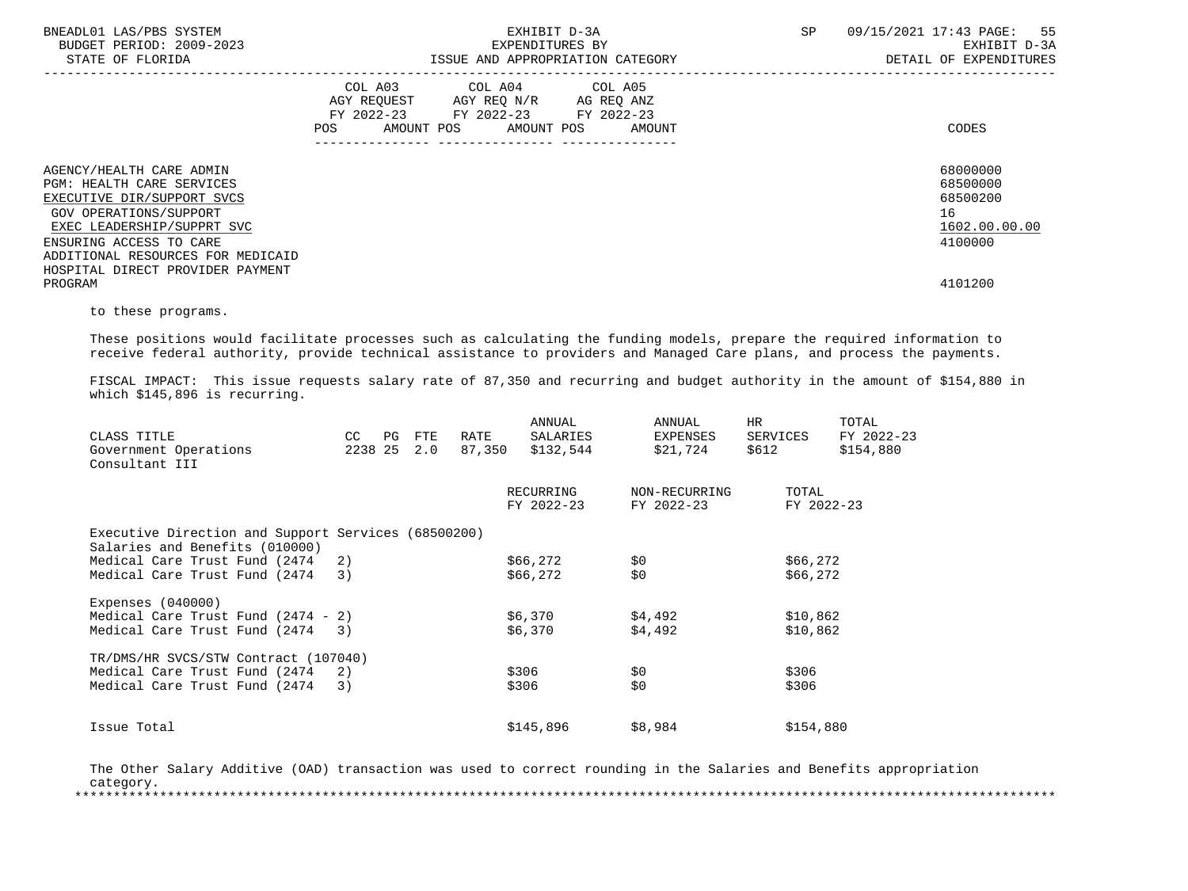| BNEADL01 LAS/PBS SYSTEM<br>BUDGET PERIOD: 2009-2023<br>STATE OF FLORIDA                                                                                                                                                                                           | EXHIBIT D-3A<br>EXPENDITURES BY<br>ISSUE AND APPROPRIATION CATEGORY                                                                             | SP<br>09/15/2021 17:43 PAGE: 55<br>EXHIBIT D-3A<br>DETAIL OF EXPENDITURES     |
|-------------------------------------------------------------------------------------------------------------------------------------------------------------------------------------------------------------------------------------------------------------------|-------------------------------------------------------------------------------------------------------------------------------------------------|-------------------------------------------------------------------------------|
|                                                                                                                                                                                                                                                                   | COL A03 COL A04 COL A05<br>AGY REQUEST AGY REQ N/R AG REQ ANZ<br>FY 2022-23 FY 2022-23 FY 2022-23<br><b>POS</b><br>AMOUNT POS AMOUNT POS AMOUNT | CODES                                                                         |
| AGENCY/HEALTH CARE ADMIN<br><b>PGM: HEALTH CARE SERVICES</b><br>EXECUTIVE DIR/SUPPORT SVCS<br>GOV OPERATIONS/SUPPORT<br>EXEC LEADERSHIP/SUPPRT SVC<br>ENSURING ACCESS TO CARE<br>ADDITIONAL RESOURCES FOR MEDICAID<br>HOSPITAL DIRECT PROVIDER PAYMENT<br>PROGRAM |                                                                                                                                                 | 68000000<br>68500000<br>68500200<br>16<br>1602.00.00.00<br>4100000<br>4101200 |

to these programs.

 These positions would facilitate processes such as calculating the funding models, prepare the required information to receive federal authority, provide technical assistance to providers and Managed Care plans, and process the payments.

 FISCAL IMPACT: This issue requests salary rate of 87,350 and recurring and budget authority in the amount of \$154,880 in which \$145,896 is recurring.

| CC |                                                                                    |               |     | ANNUAL                                                      | ANNUAL                                                                                                                     | <b>HR</b><br>SERVICES                               | TOTAL<br>FY 2022-23                                                     |
|----|------------------------------------------------------------------------------------|---------------|-----|-------------------------------------------------------------|----------------------------------------------------------------------------------------------------------------------------|-----------------------------------------------------|-------------------------------------------------------------------------|
|    |                                                                                    | 2.0           |     | \$132,544                                                   | \$21,724                                                                                                                   | \$612                                               | \$154,880                                                               |
|    |                                                                                    |               |     |                                                             |                                                                                                                            |                                                     |                                                                         |
|    |                                                                                    |               |     |                                                             | NON-RECURRING                                                                                                              | TOTAL                                               |                                                                         |
|    |                                                                                    |               |     |                                                             | FY 2022-23                                                                                                                 |                                                     |                                                                         |
|    |                                                                                    |               |     |                                                             |                                                                                                                            |                                                     |                                                                         |
|    |                                                                                    |               |     |                                                             |                                                                                                                            |                                                     |                                                                         |
|    |                                                                                    |               |     |                                                             |                                                                                                                            |                                                     |                                                                         |
| 3) |                                                                                    |               |     |                                                             |                                                                                                                            |                                                     |                                                                         |
|    |                                                                                    |               |     |                                                             |                                                                                                                            |                                                     |                                                                         |
|    |                                                                                    |               |     |                                                             |                                                                                                                            |                                                     |                                                                         |
| 3) |                                                                                    |               |     |                                                             | \$4,492                                                                                                                    |                                                     |                                                                         |
|    |                                                                                    |               |     |                                                             |                                                                                                                            |                                                     |                                                                         |
| 2) |                                                                                    |               |     |                                                             |                                                                                                                            | \$306                                               |                                                                         |
| 3) |                                                                                    |               |     |                                                             | \$0                                                                                                                        | \$306                                               |                                                                         |
|    |                                                                                    |               |     |                                                             |                                                                                                                            |                                                     |                                                                         |
|    | 2)<br>Medical Care Trust Fund $(2474 - 2)$<br>TR/DMS/HR SVCS/STW Contract (107040) | PG<br>2238 25 | FTE | RATE<br>Executive Direction and Support Services (68500200) | SALARIES<br>87,350<br>RECURRING<br>FY 2022-23<br>\$66,272<br>\$66,272<br>\$6,370<br>\$6,370<br>\$306<br>\$306<br>\$145,896 | EXPENSES<br>\$0<br>\$0<br>\$4,492<br>\$0<br>\$8,984 | FY 2022-23<br>\$66,272<br>\$66,272<br>\$10,862<br>\$10,862<br>\$154,880 |

 The Other Salary Additive (OAD) transaction was used to correct rounding in the Salaries and Benefits appropriation category. \*\*\*\*\*\*\*\*\*\*\*\*\*\*\*\*\*\*\*\*\*\*\*\*\*\*\*\*\*\*\*\*\*\*\*\*\*\*\*\*\*\*\*\*\*\*\*\*\*\*\*\*\*\*\*\*\*\*\*\*\*\*\*\*\*\*\*\*\*\*\*\*\*\*\*\*\*\*\*\*\*\*\*\*\*\*\*\*\*\*\*\*\*\*\*\*\*\*\*\*\*\*\*\*\*\*\*\*\*\*\*\*\*\*\*\*\*\*\*\*\*\*\*\*\*\*\*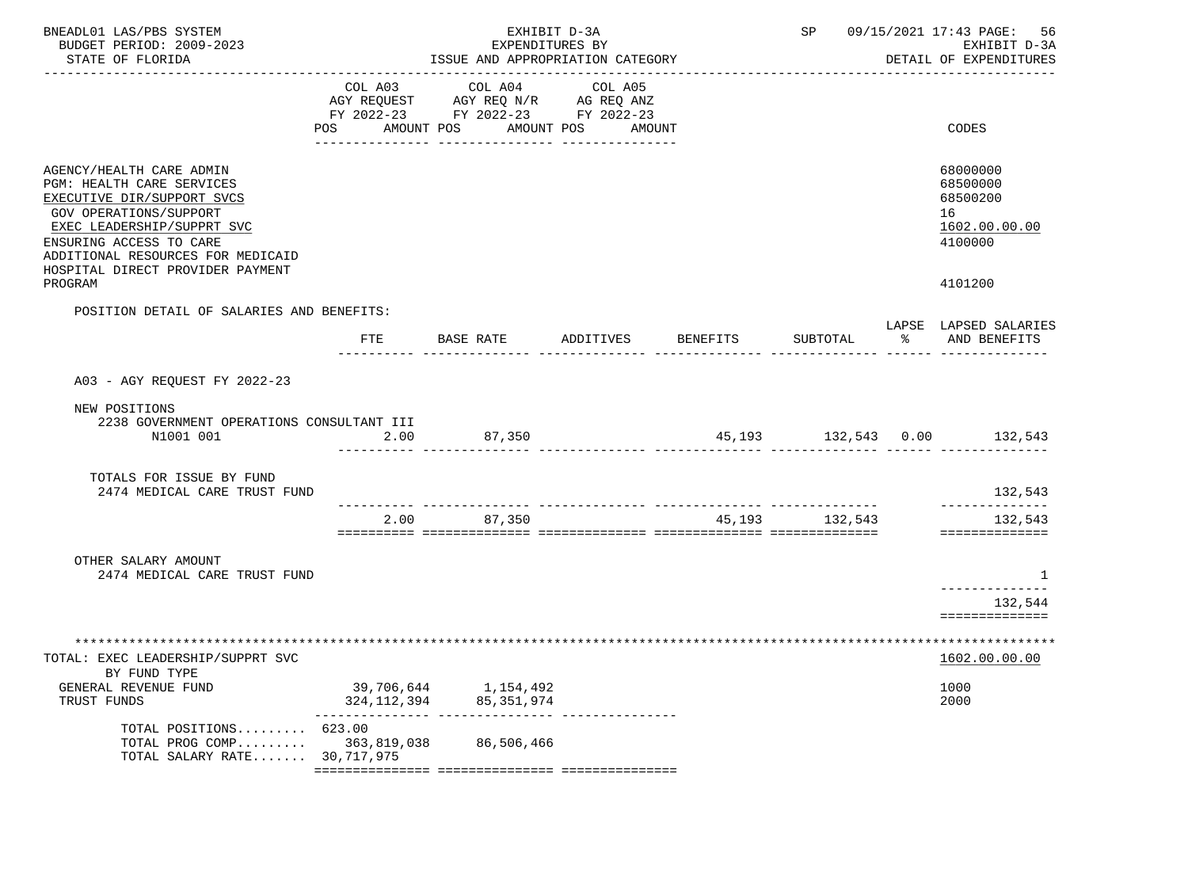| BNEADL01 LAS/PBS SYSTEM<br>BUDGET PERIOD: 2009-2023<br>STATE OF FLORIDA                                                                                                                                                                         | EXHIBIT D-3A<br>EXPENDITURES BY<br>ISSUE AND APPROPRIATION CATEGORY |                                                                                                 |                   |                 |                |    | SP 09/15/2021 17:43 PAGE: 56<br>EXHIBIT D-3A<br>DETAIL OF EXPENDITURES |
|-------------------------------------------------------------------------------------------------------------------------------------------------------------------------------------------------------------------------------------------------|---------------------------------------------------------------------|-------------------------------------------------------------------------------------------------|-------------------|-----------------|----------------|----|------------------------------------------------------------------------|
|                                                                                                                                                                                                                                                 | COL A03<br>POS<br>AMOUNT POS                                        | COL A04<br>AGY REQUEST AGY REQ N/R AG REQ ANZ<br>FY 2022-23 FY 2022-23 FY 2022-23<br>AMOUNT POS | COL A05<br>AMOUNT |                 |                |    | CODES                                                                  |
| AGENCY/HEALTH CARE ADMIN<br>PGM: HEALTH CARE SERVICES<br>EXECUTIVE DIR/SUPPORT SVCS<br>GOV OPERATIONS/SUPPORT<br>EXEC LEADERSHIP/SUPPRT SVC<br>ENSURING ACCESS TO CARE<br>ADDITIONAL RESOURCES FOR MEDICAID<br>HOSPITAL DIRECT PROVIDER PAYMENT |                                                                     |                                                                                                 |                   |                 |                |    | 68000000<br>68500000<br>68500200<br>16<br>1602.00.00.00<br>4100000     |
| PROGRAM                                                                                                                                                                                                                                         |                                                                     |                                                                                                 |                   |                 |                |    | 4101200                                                                |
| POSITION DETAIL OF SALARIES AND BENEFITS:                                                                                                                                                                                                       |                                                                     | FTE BASE RATE                                                                                   | ADDITIVES         | <b>BENEFITS</b> | SUBTOTAL       | ႜႂ | LAPSE LAPSED SALARIES<br>AND BENEFITS                                  |
| A03 - AGY REOUEST FY 2022-23                                                                                                                                                                                                                    |                                                                     |                                                                                                 |                   |                 |                |    |                                                                        |
| NEW POSITIONS<br>2238 GOVERNMENT OPERATIONS CONSULTANT III<br>N1001 001                                                                                                                                                                         | 2.00                                                                | 87,350                                                                                          |                   |                 |                |    | 45,193 132,543 0.00 132,543                                            |
| TOTALS FOR ISSUE BY FUND<br>2474 MEDICAL CARE TRUST FUND                                                                                                                                                                                        |                                                                     |                                                                                                 |                   |                 |                |    | 132,543<br>______________                                              |
|                                                                                                                                                                                                                                                 | 2.00                                                                | 87,350                                                                                          |                   |                 | 45,193 132,543 |    | 132,543<br>==============                                              |
| OTHER SALARY AMOUNT<br>2474 MEDICAL CARE TRUST FUND                                                                                                                                                                                             |                                                                     |                                                                                                 |                   |                 |                |    | -1<br>--------------<br>132,544                                        |
|                                                                                                                                                                                                                                                 |                                                                     |                                                                                                 |                   |                 |                |    |                                                                        |
| TOTAL: EXEC LEADERSHIP/SUPPRT SVC<br>BY FUND TYPE                                                                                                                                                                                               |                                                                     |                                                                                                 |                   |                 |                |    | 1602.00.00.00                                                          |
| GENERAL REVENUE FUND<br>TRUST FUNDS                                                                                                                                                                                                             | 39,706,644<br>324, 112, 394                                         | 1,154,492<br>85, 351, 974                                                                       |                   |                 |                |    | 1000<br>2000                                                           |
| TOTAL POSITIONS<br>TOTAL PROG COMP<br>TOTAL SALARY RATE                                                                                                                                                                                         | 623.00<br>363,819,038<br>30,717,975                                 | 86,506,466                                                                                      |                   |                 |                |    |                                                                        |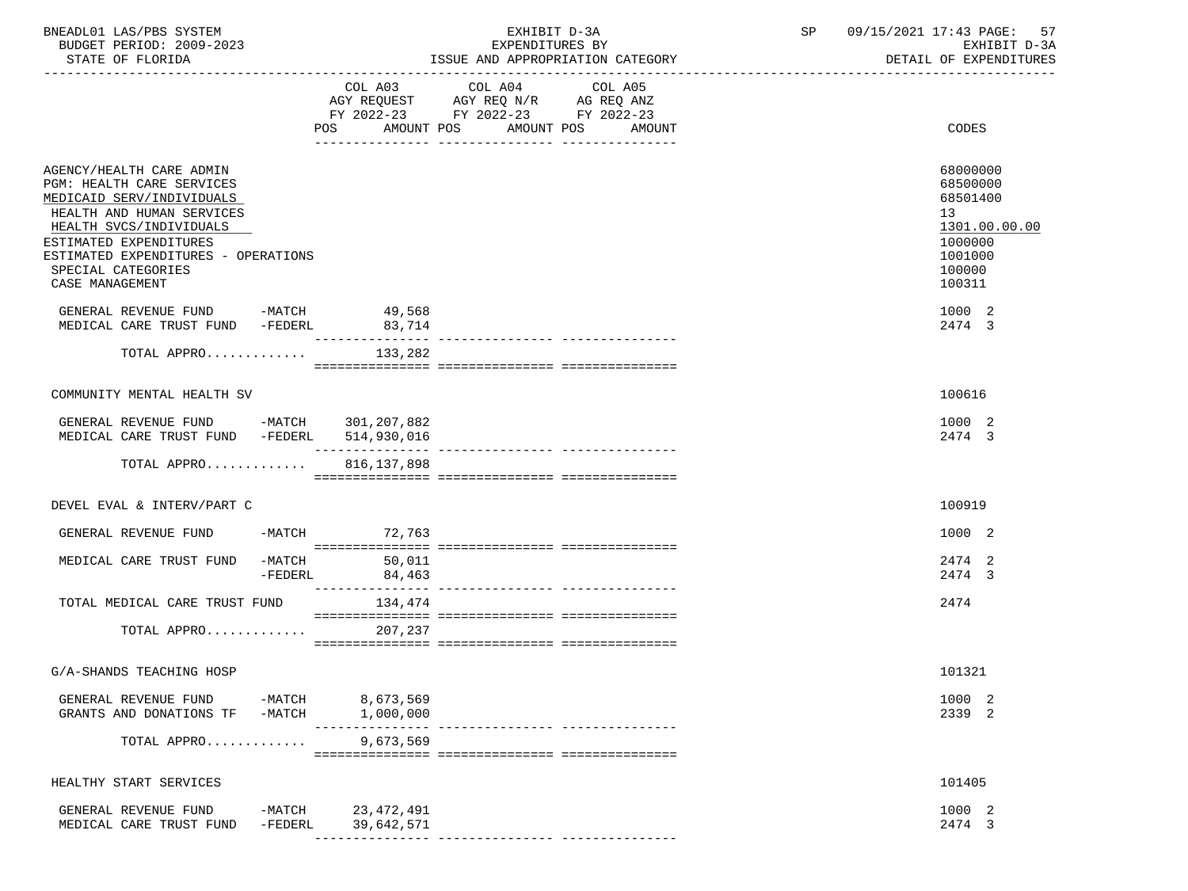| BNEADL01 LAS/PBS SYSTEM<br>BUDGET PERIOD: 2009-2023<br>STATE OF FLORIDA                                                                                                                                                                              |                    |                                                    | EXHIBIT D-3A<br>EXPENDITURES BY<br>ISSUE AND APPROPRIATION CATEGORY                                                       | SP <sub>2</sub> | 09/15/2021 17:43 PAGE:<br>57<br>EXHIBIT D-3A<br>DETAIL OF EXPENDITURES                            |
|------------------------------------------------------------------------------------------------------------------------------------------------------------------------------------------------------------------------------------------------------|--------------------|----------------------------------------------------|---------------------------------------------------------------------------------------------------------------------------|-----------------|---------------------------------------------------------------------------------------------------|
|                                                                                                                                                                                                                                                      |                    | AMOUNT POS<br>POS FOR THE POST OF THE STATE STATES | COL A03 COL A04 COL A05<br>AGY REQUEST AGY REQ N/R AG REQ ANZ<br>FY 2022-23 FY 2022-23 FY 2022-23<br>AMOUNT POS<br>AMOUNT |                 | CODES                                                                                             |
| AGENCY/HEALTH CARE ADMIN<br>PGM: HEALTH CARE SERVICES<br>MEDICAID SERV/INDIVIDUALS<br>HEALTH AND HUMAN SERVICES<br>HEALTH SVCS/INDIVIDUALS<br>ESTIMATED EXPENDITURES<br>ESTIMATED EXPENDITURES - OPERATIONS<br>SPECIAL CATEGORIES<br>CASE MANAGEMENT |                    |                                                    |                                                                                                                           |                 | 68000000<br>68500000<br>68501400<br>13<br>1301.00.00.00<br>1000000<br>1001000<br>100000<br>100311 |
| GENERAL REVENUE FUND -MATCH 49,568<br>MEDICAL CARE TRUST FUND -FEDERL 83,714                                                                                                                                                                         |                    |                                                    |                                                                                                                           |                 | 1000 2<br>2474 3                                                                                  |
| TOTAL APPRO $133,282$                                                                                                                                                                                                                                |                    | _______________                                    |                                                                                                                           |                 |                                                                                                   |
| COMMUNITY MENTAL HEALTH SV                                                                                                                                                                                                                           |                    |                                                    |                                                                                                                           |                 | 100616                                                                                            |
| GENERAL REVENUE FUND -MATCH 301,207,882<br>MEDICAL CARE TRUST FUND -FEDERL                                                                                                                                                                           |                    | 514,930,016                                        |                                                                                                                           |                 | 1000 2<br>2474 3                                                                                  |
| TOTAL APPRO                                                                                                                                                                                                                                          |                    | 816, 137, 898                                      |                                                                                                                           |                 |                                                                                                   |
| DEVEL EVAL & INTERV/PART C                                                                                                                                                                                                                           |                    |                                                    |                                                                                                                           |                 | 100919                                                                                            |
| GENERAL REVENUE FUND                                                                                                                                                                                                                                 |                    | -MATCH 72,763                                      |                                                                                                                           |                 | 1000 2                                                                                            |
| MEDICAL CARE TRUST FUND -MATCH                                                                                                                                                                                                                       | -FEDERL            | 50,011<br>84,463                                   |                                                                                                                           |                 | 2474 2<br>2474 3                                                                                  |
| TOTAL MEDICAL CARE TRUST FUND                                                                                                                                                                                                                        |                    | 134,474                                            |                                                                                                                           |                 | 2474                                                                                              |
| TOTAL APPRO                                                                                                                                                                                                                                          |                    | 207,237                                            |                                                                                                                           |                 |                                                                                                   |
| G/A-SHANDS TEACHING HOSP                                                                                                                                                                                                                             |                    |                                                    |                                                                                                                           |                 | 101321                                                                                            |
| GENERAL REVENUE FUND<br>GRANTS AND DONATIONS TF                                                                                                                                                                                                      | -MATCH<br>$-MATCH$ | 8,673,569<br>1,000,000                             |                                                                                                                           |                 | 1000 2<br>2339 2                                                                                  |
| TOTAL APPRO                                                                                                                                                                                                                                          |                    | $\frac{1}{2}$<br>9,673,569                         | ------------- -----------------                                                                                           |                 |                                                                                                   |
| HEALTHY START SERVICES                                                                                                                                                                                                                               |                    |                                                    |                                                                                                                           |                 | 101405                                                                                            |
| GENERAL REVENUE FUND<br>MEDICAL CARE TRUST FUND                                                                                                                                                                                                      | -MATCH<br>-FEDERL  | 23,472,491<br>39,642,571                           |                                                                                                                           |                 | 1000 2<br>2474 3                                                                                  |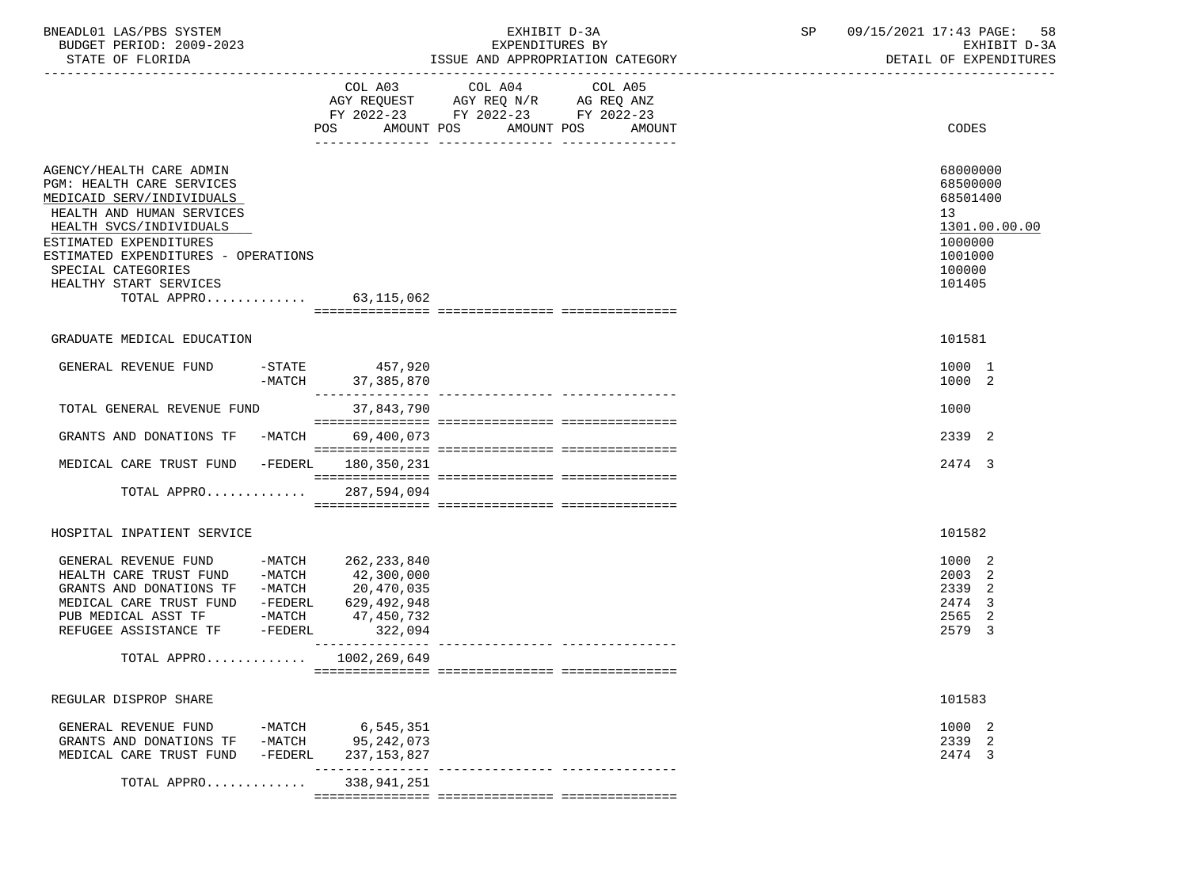| BNEADL01 LAS/PBS SYSTEM  | EXHIBIT                          | 09/15/2021 17:43 PAGE:<br>58 |
|--------------------------|----------------------------------|------------------------------|
| BUDGET PERIOD: 2009-2023 | EXPENDITURES BY                  | コーマム<br>EXHIBIT              |
|                          | TOOUT AND ADDDODDTATTOM OATDOODY | pomati on puppuptouppo       |

STATE OF FLORIDA **ISSUE AND APPROPRIATION CATEGORY ISSUE AND APPROPRIATION** CATEGORY

|                                                                                                                                                                                                                                                                                         | COL A03                                  | COL A04                                                                | COL A05           |                                                                                                   |
|-----------------------------------------------------------------------------------------------------------------------------------------------------------------------------------------------------------------------------------------------------------------------------------------|------------------------------------------|------------------------------------------------------------------------|-------------------|---------------------------------------------------------------------------------------------------|
|                                                                                                                                                                                                                                                                                         |                                          | AGY REQUEST AGY REQ N/R AG REQ ANZ<br>FY 2022-23 FY 2022-23 FY 2022-23 |                   |                                                                                                   |
|                                                                                                                                                                                                                                                                                         |                                          |                                                                        |                   |                                                                                                   |
|                                                                                                                                                                                                                                                                                         | AMOUNT POS<br>POS                        |                                                                        | AMOUNT POS AMOUNT | CODES                                                                                             |
| AGENCY/HEALTH CARE ADMIN<br>PGM: HEALTH CARE SERVICES<br>MEDICAID SERV/INDIVIDUALS<br>HEALTH AND HUMAN SERVICES<br>HEALTH SVCS/INDIVIDUALS<br>ESTIMATED EXPENDITURES<br>ESTIMATED EXPENDITURES - OPERATIONS<br>SPECIAL CATEGORIES<br>HEALTHY START SERVICES<br>TOTAL APPRO 63, 115, 062 |                                          |                                                                        |                   | 68000000<br>68500000<br>68501400<br>13<br>1301.00.00.00<br>1000000<br>1001000<br>100000<br>101405 |
|                                                                                                                                                                                                                                                                                         |                                          |                                                                        |                   |                                                                                                   |
| GRADUATE MEDICAL EDUCATION                                                                                                                                                                                                                                                              |                                          |                                                                        |                   | 101581                                                                                            |
| GENERAL REVENUE FUND                                                                                                                                                                                                                                                                    | $-STATE$ 457,920                         |                                                                        |                   | 1000 1                                                                                            |
|                                                                                                                                                                                                                                                                                         | -MATCH 37, 385, 870<br>_________________ |                                                                        |                   | 1000 2                                                                                            |
| TOTAL GENERAL REVENUE FUND                                                                                                                                                                                                                                                              | 37,843,790                               |                                                                        |                   | 1000                                                                                              |
|                                                                                                                                                                                                                                                                                         |                                          |                                                                        |                   |                                                                                                   |
| GRANTS AND DONATIONS TF -MATCH                                                                                                                                                                                                                                                          | 69,400,073                               |                                                                        |                   | 2339 2                                                                                            |
| MEDICAL CARE TRUST FUND                                                                                                                                                                                                                                                                 | -FEDERL 180,350,231                      |                                                                        |                   | 2474 3                                                                                            |
| TOTAL APPRO                                                                                                                                                                                                                                                                             | 287,594,094                              |                                                                        |                   |                                                                                                   |
|                                                                                                                                                                                                                                                                                         |                                          |                                                                        |                   |                                                                                                   |
| HOSPITAL INPATIENT SERVICE                                                                                                                                                                                                                                                              |                                          |                                                                        |                   | 101582                                                                                            |
| GENERAL REVENUE FUND -MATCH 262, 233, 840                                                                                                                                                                                                                                               |                                          |                                                                        |                   | 1000 2                                                                                            |
| HEALTH CARE TRUST FUND -MATCH 42,300,000                                                                                                                                                                                                                                                |                                          |                                                                        |                   | 2003 2                                                                                            |
| GRANTS AND DONATIONS TF -MATCH 20,470,035<br>MEDICAL CARE TRUST FUND -FEDERL 629,492,948                                                                                                                                                                                                |                                          |                                                                        |                   | 2339 2                                                                                            |
| PUB MEDICAL ASST TF -MATCH                                                                                                                                                                                                                                                              | 47,450,732                               |                                                                        |                   | 2474 3<br>2565 2                                                                                  |
| REFUGEE ASSISTANCE TF -FEDERL                                                                                                                                                                                                                                                           | 322,094                                  |                                                                        |                   | 2579 3                                                                                            |
|                                                                                                                                                                                                                                                                                         |                                          |                                                                        |                   |                                                                                                   |
| TOTAL APPRO $1002, 269, 649$                                                                                                                                                                                                                                                            |                                          |                                                                        |                   |                                                                                                   |
|                                                                                                                                                                                                                                                                                         |                                          |                                                                        |                   |                                                                                                   |
| REGULAR DISPROP SHARE                                                                                                                                                                                                                                                                   |                                          |                                                                        |                   | 101583                                                                                            |
| GENERAL REVENUE FUND                                                                                                                                                                                                                                                                    | -MATCH 6,545,351                         |                                                                        |                   | 1000 2                                                                                            |
| GRANTS AND DONATIONS TF -MATCH 95,242,073                                                                                                                                                                                                                                               |                                          |                                                                        |                   | 2339 2                                                                                            |
| MEDICAL CARE TRUST FUND                                                                                                                                                                                                                                                                 | -FEDERL 237,153,827                      |                                                                        |                   | 2474 3                                                                                            |
| TOTAL APPRO                                                                                                                                                                                                                                                                             | 338,941,251                              |                                                                        |                   |                                                                                                   |
|                                                                                                                                                                                                                                                                                         |                                          |                                                                        |                   |                                                                                                   |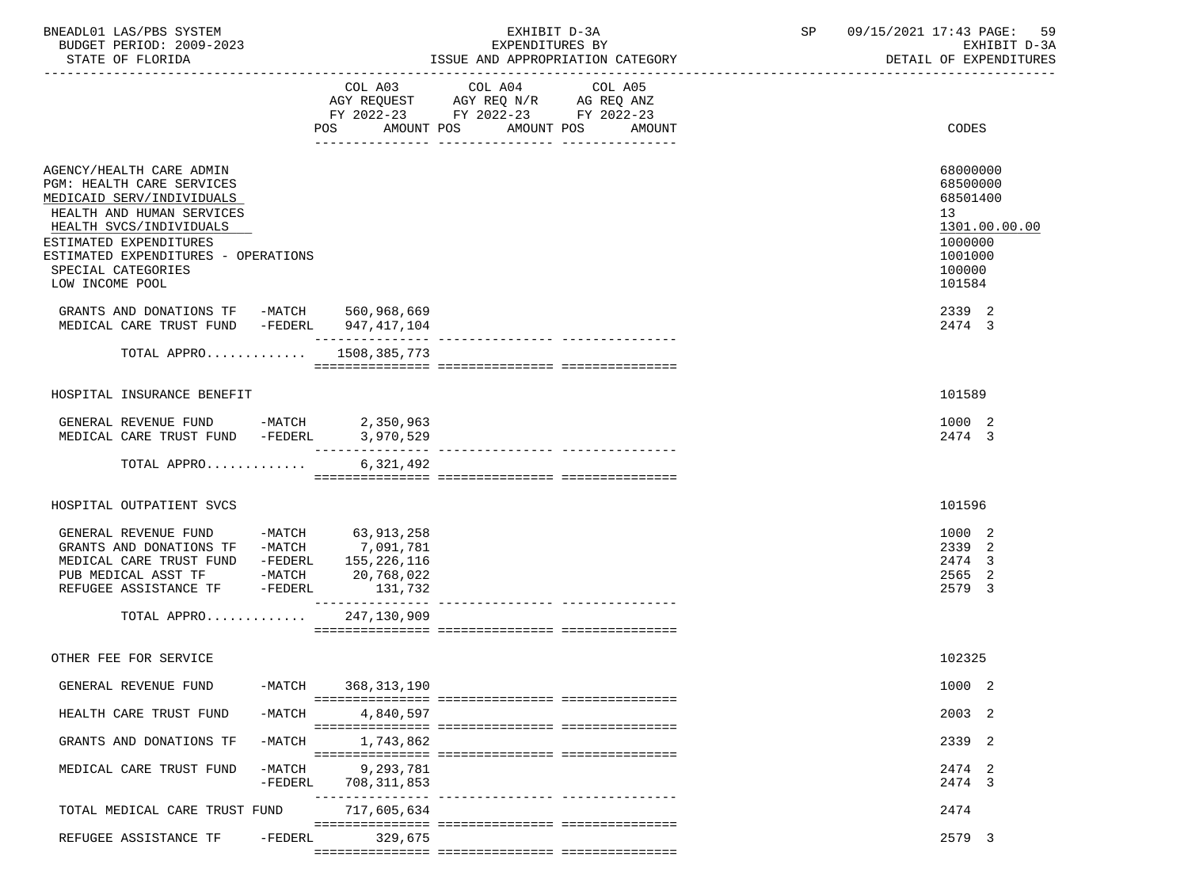| BNEADL01 LAS/PBS SYSTEM  | EXHIBIT D-3A                     | 09/15/2021 17:43 PAGE: 59 |
|--------------------------|----------------------------------|---------------------------|
| BUDGET PERIOD: 2009-2023 | EXPENDITURES BY                  | EXHIBIT D-3A              |
| STATE OF FLORIDA         | ISSUE AND APPROPRIATION CATEGORY | DETAIL OF EXPENDITURES    |

|                                                                                                                                                                                                                                                      |                       | AMOUNT POS<br>POS FOR THE POST OF THE POST OF THE POST OF THE POST OF THE POST OF THE POST OF THE POST OF THE POST OF THE PO | COL A03 COL A04 COL A05<br>AGY REQUEST AGY REQ N/R AG REQ ANZ<br>FY 2022-23 FY 2022-23 FY 2022-23 | AMOUNT POS<br>AMOUNT             | CODES                                                                                             |
|------------------------------------------------------------------------------------------------------------------------------------------------------------------------------------------------------------------------------------------------------|-----------------------|------------------------------------------------------------------------------------------------------------------------------|---------------------------------------------------------------------------------------------------|----------------------------------|---------------------------------------------------------------------------------------------------|
| AGENCY/HEALTH CARE ADMIN<br>PGM: HEALTH CARE SERVICES<br>MEDICAID SERV/INDIVIDUALS<br>HEALTH AND HUMAN SERVICES<br>HEALTH SVCS/INDIVIDUALS<br>ESTIMATED EXPENDITURES<br>ESTIMATED EXPENDITURES - OPERATIONS<br>SPECIAL CATEGORIES<br>LOW INCOME POOL |                       |                                                                                                                              |                                                                                                   |                                  | 68000000<br>68500000<br>68501400<br>13<br>1301.00.00.00<br>1000000<br>1001000<br>100000<br>101584 |
| GRANTS AND DONATIONS TF -MATCH 560,968,669<br>MEDICAL CARE TRUST FUND -FEDERL                                                                                                                                                                        |                       | 947,417,104                                                                                                                  |                                                                                                   |                                  | 2339 2<br>2474 3                                                                                  |
| TOTAL APPRO                                                                                                                                                                                                                                          |                       | 1508,385,773                                                                                                                 |                                                                                                   |                                  |                                                                                                   |
|                                                                                                                                                                                                                                                      |                       |                                                                                                                              |                                                                                                   |                                  |                                                                                                   |
| HOSPITAL INSURANCE BENEFIT                                                                                                                                                                                                                           |                       |                                                                                                                              |                                                                                                   |                                  | 101589                                                                                            |
| GENERAL REVENUE FUND -MATCH                                                                                                                                                                                                                          |                       | 2,350,963                                                                                                                    |                                                                                                   |                                  | 1000 2                                                                                            |
| MEDICAL CARE TRUST FUND -FEDERL                                                                                                                                                                                                                      |                       | 3,970,529                                                                                                                    |                                                                                                   |                                  | 2474 3                                                                                            |
| TOTAL APPRO                                                                                                                                                                                                                                          |                       | 6,321,492                                                                                                                    |                                                                                                   |                                  |                                                                                                   |
|                                                                                                                                                                                                                                                      |                       |                                                                                                                              |                                                                                                   |                                  |                                                                                                   |
| HOSPITAL OUTPATIENT SVCS                                                                                                                                                                                                                             |                       |                                                                                                                              |                                                                                                   |                                  | 101596                                                                                            |
| GENERAL REVENUE FUND -MATCH 63,913,258<br>GRANTS AND DONATIONS TF -MATCH 7,091,781<br>MEDICAL CARE TRUST FUND -FEDERL 155,226,116<br>PUB MEDICAL ASST TF -MATCH<br>REFUGEE ASSISTANCE TF -FEDERL                                                     |                       | 20,768,022<br>131,732                                                                                                        |                                                                                                   |                                  | 1000 2<br>2339 2<br>2474 3<br>2565<br>2<br>2579 3                                                 |
| TOTAL APPRO                                                                                                                                                                                                                                          |                       | 247,130,909                                                                                                                  |                                                                                                   |                                  |                                                                                                   |
| OTHER FEE FOR SERVICE                                                                                                                                                                                                                                |                       |                                                                                                                              |                                                                                                   |                                  | 102325                                                                                            |
| GENERAL REVENUE FUND                                                                                                                                                                                                                                 |                       | -MATCH 368,313,190                                                                                                           |                                                                                                   |                                  | 1000 2                                                                                            |
| HEALTH CARE TRUST FUND                                                                                                                                                                                                                               | $-MATCH$              | 4,840,597                                                                                                                    |                                                                                                   |                                  | 2003 2                                                                                            |
| GRANTS AND DONATIONS TF                                                                                                                                                                                                                              | $-MATCH$              | 1,743,862                                                                                                                    |                                                                                                   |                                  | 2339 2                                                                                            |
| MEDICAL CARE TRUST FUND                                                                                                                                                                                                                              | $-MATCH$<br>$-FEDERL$ | 9,293,781<br>708,311,853                                                                                                     |                                                                                                   | --------------- ---------------- | 2474 2<br>2474 3                                                                                  |
| TOTAL MEDICAL CARE TRUST FUND                                                                                                                                                                                                                        |                       | 717,605,634                                                                                                                  |                                                                                                   |                                  | 2474                                                                                              |
| REFUGEE ASSISTANCE TF                                                                                                                                                                                                                                | -FEDERL               | 329,675                                                                                                                      |                                                                                                   |                                  | 2579 3                                                                                            |
|                                                                                                                                                                                                                                                      |                       |                                                                                                                              |                                                                                                   |                                  |                                                                                                   |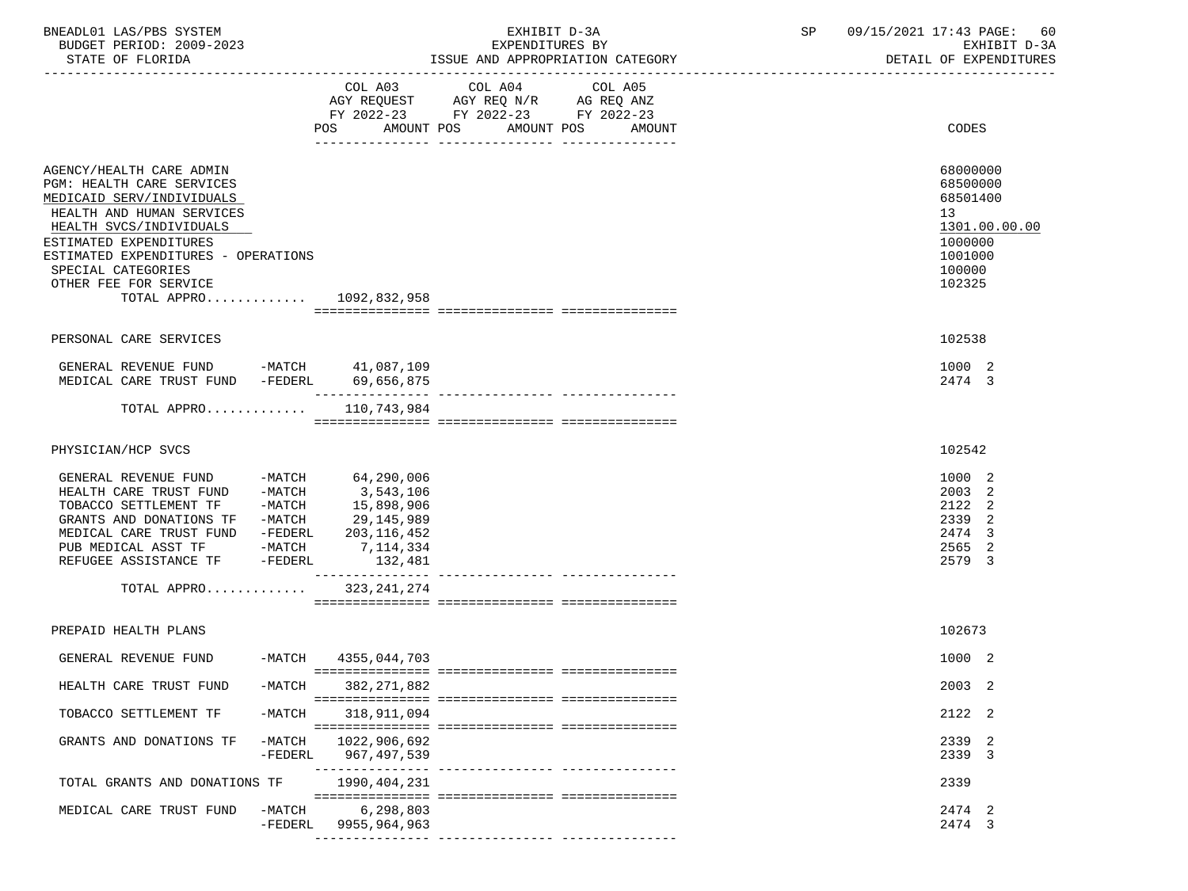| BNEADL01 LAS/PBS SYSTEM  | EXHIBIT D-3A                     | 09/15/2021 17:43 PAGE: 60 |
|--------------------------|----------------------------------|---------------------------|
| BUDGET PERIOD: 2009-2023 | EXPENDITURES BY                  | RXHIRIT D-3A              |
| STATE OF FLORIDA         | ISSUE AND APPROPRIATION CATEGORY | DETAIL OF EXPENDITURES    |

|                                                                                                                                                                                                                                                                                        |                       | AGY REQUEST AGY REQ N/R AG REQ ANZ<br>FY 2022-23 FY 2022-23 FY 2022-23<br>AMOUNT POS<br>POS FOR THE POST OF THE STATE STATE STATE STATE STATE STATE STATE STATE STATE STATE STATE STATE STATE STATE ST | COL A03 COL A04<br>AMOUNT POS | COL A05<br>AMOUNT | CODES                                                                                             |
|----------------------------------------------------------------------------------------------------------------------------------------------------------------------------------------------------------------------------------------------------------------------------------------|-----------------------|--------------------------------------------------------------------------------------------------------------------------------------------------------------------------------------------------------|-------------------------------|-------------------|---------------------------------------------------------------------------------------------------|
| AGENCY/HEALTH CARE ADMIN<br>PGM: HEALTH CARE SERVICES<br>MEDICAID SERV/INDIVIDUALS<br>HEALTH AND HUMAN SERVICES<br>HEALTH SVCS/INDIVIDUALS<br>ESTIMATED EXPENDITURES<br>ESTIMATED EXPENDITURES - OPERATIONS<br>SPECIAL CATEGORIES<br>OTHER FEE FOR SERVICE<br>TOTAL APPRO 1092,832,958 |                       |                                                                                                                                                                                                        |                               |                   | 68000000<br>68500000<br>68501400<br>13<br>1301.00.00.00<br>1000000<br>1001000<br>100000<br>102325 |
|                                                                                                                                                                                                                                                                                        |                       |                                                                                                                                                                                                        |                               |                   |                                                                                                   |
| PERSONAL CARE SERVICES                                                                                                                                                                                                                                                                 |                       |                                                                                                                                                                                                        |                               |                   | 102538                                                                                            |
| GENERAL REVENUE FUND -MATCH 41,087,109<br>MEDICAL CARE TRUST FUND -FEDERL                                                                                                                                                                                                              |                       | 69,656,875                                                                                                                                                                                             |                               |                   | 1000 2<br>2474 3                                                                                  |
| TOTAL APPRO                                                                                                                                                                                                                                                                            |                       | 110,743,984                                                                                                                                                                                            |                               |                   |                                                                                                   |
|                                                                                                                                                                                                                                                                                        |                       |                                                                                                                                                                                                        |                               |                   |                                                                                                   |
| PHYSICIAN/HCP SVCS                                                                                                                                                                                                                                                                     |                       |                                                                                                                                                                                                        |                               |                   | 102542                                                                                            |
| GENERAL REVENUE FUND -MATCH 64,290,006<br>HEALTH CARE TRUST FUND -MATCH<br>TOBACCO SETTLEMENT TF -MATCH<br>GRANTS AND DONATIONS TF -MATCH<br>MEDICAL CARE TRUST FUND -FEDERL<br>PUB MEDICAL ASST TF<br>REFUGEE ASSISTANCE TF                                                           | -MATCH<br>-FEDERL     | 3,543,106<br>15,898,906<br>29,145,989<br>203,116,452<br>7,114,334<br>132,481<br>_______________                                                                                                        |                               |                   | 1000 2<br>2003<br>2<br>2122<br>-2<br>2339 2<br>2474<br>3<br>2565 2<br>2579 3                      |
| TOTAL APPRO                                                                                                                                                                                                                                                                            |                       | 323, 241, 274                                                                                                                                                                                          |                               |                   |                                                                                                   |
|                                                                                                                                                                                                                                                                                        |                       |                                                                                                                                                                                                        |                               |                   |                                                                                                   |
| PREPAID HEALTH PLANS                                                                                                                                                                                                                                                                   |                       |                                                                                                                                                                                                        |                               |                   | 102673                                                                                            |
| GENERAL REVENUE FUND                                                                                                                                                                                                                                                                   |                       | -MATCH 4355,044,703                                                                                                                                                                                    |                               |                   | 1000 2                                                                                            |
| HEALTH CARE TRUST FUND                                                                                                                                                                                                                                                                 | $-MATCH$              | 382,271,882                                                                                                                                                                                            |                               |                   | 2003 2                                                                                            |
| TOBACCO SETTLEMENT TF                                                                                                                                                                                                                                                                  | $-MATCH$              | 318,911,094                                                                                                                                                                                            |                               |                   | 2122 2                                                                                            |
| GRANTS AND DONATIONS TF                                                                                                                                                                                                                                                                | $-MATCH$<br>$-FEDERL$ | 1022,906,692<br>967, 497, 539                                                                                                                                                                          |                               |                   | 2339 2<br>2339 3                                                                                  |
| TOTAL GRANTS AND DONATIONS TF                                                                                                                                                                                                                                                          |                       | 1990,404,231                                                                                                                                                                                           |                               |                   | 2339                                                                                              |
| MEDICAL CARE TRUST FUND                                                                                                                                                                                                                                                                | $-MATCH$<br>$-FEDERL$ | 6,298,803<br>9955,964,963                                                                                                                                                                              |                               |                   | 2474 2<br>2474 3                                                                                  |

--------------- --------------- ---------------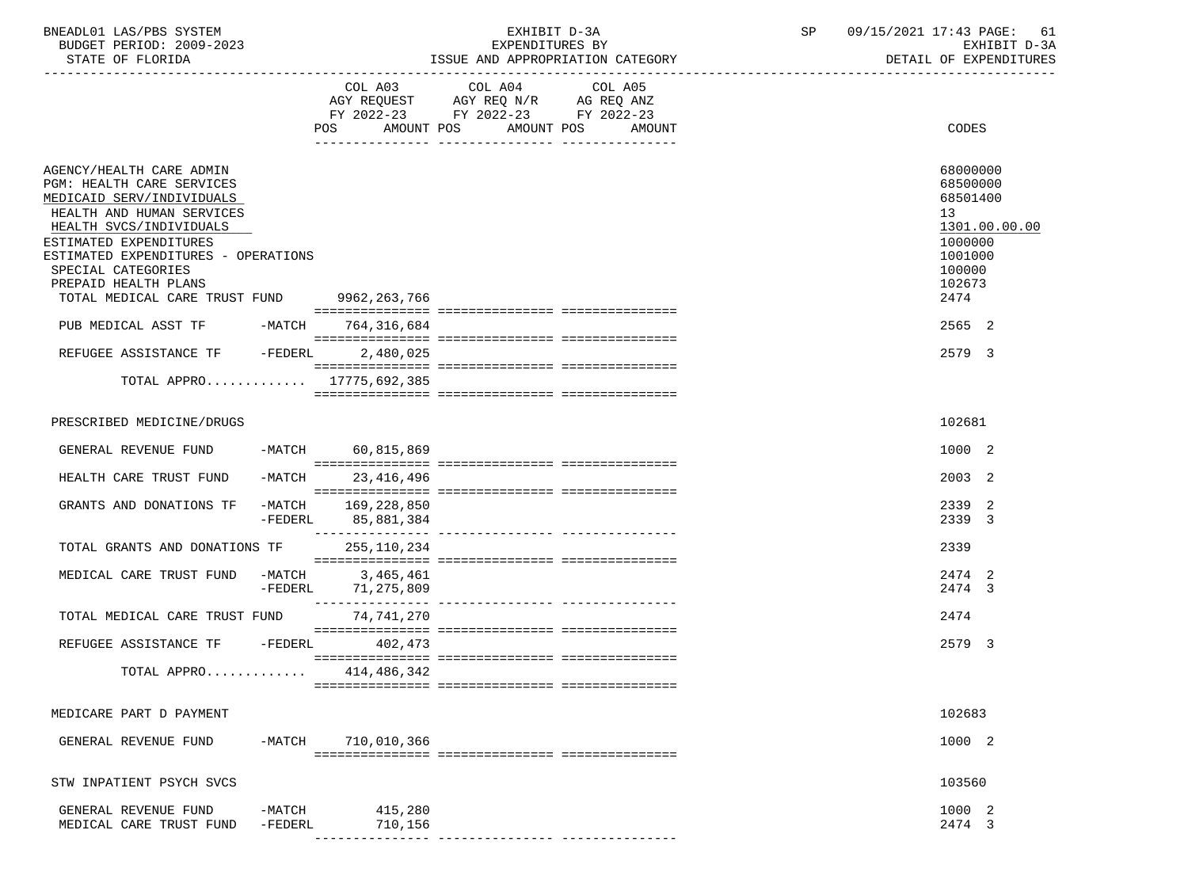| BNEADL01<br>LAS/PBS SYSTEM  | н.<br>EXHIBI.<br>$1 - 5P$ | 09/15/2021<br>17:43 PAGE: | $6+$     |
|-----------------------------|---------------------------|---------------------------|----------|
| 2009-2023<br>BUDGET PERIOD: | EXPENDITURES BY           | EXHIBIT                   | $D - 3D$ |
|                             |                           | ----------------------    |          |

STATE OF FLORIDA **ISSUE AND APPROPRIATION CATEGORY ISSUE AND APPROPRIATION** CATEGORY

|                                                                                                                                                                                                                                   |                             |                                          | COL A03 COL A04 COL A05<br>AGY REQUEST AGY REQ N/R AG REQ ANZ<br>FY 2022-23 FY 2022-23 FY 2022-23 |  |                                                                                         |
|-----------------------------------------------------------------------------------------------------------------------------------------------------------------------------------------------------------------------------------|-----------------------------|------------------------------------------|---------------------------------------------------------------------------------------------------|--|-----------------------------------------------------------------------------------------|
|                                                                                                                                                                                                                                   |                             | POS AMOUNT POS AMOUNT POS AMOUNT         |                                                                                                   |  | CODES                                                                                   |
| AGENCY/HEALTH CARE ADMIN<br>PGM: HEALTH CARE SERVICES<br>MEDICAID SERV/INDIVIDUALS<br>HEALTH AND HUMAN SERVICES<br>HEALTH SVCS/INDIVIDUALS<br>ESTIMATED EXPENDITURES<br>ESTIMATED EXPENDITURES - OPERATIONS<br>SPECIAL CATEGORIES |                             |                                          |                                                                                                   |  | 68000000<br>68500000<br>68501400<br>13<br>1301.00.00.00<br>1000000<br>1001000<br>100000 |
| PREPAID HEALTH PLANS<br>TOTAL MEDICAL CARE TRUST FUND 9962,263,766                                                                                                                                                                |                             |                                          |                                                                                                   |  | 102673<br>2474                                                                          |
| PUB MEDICAL ASST TF                                                                                                                                                                                                               |                             | -MATCH 764,316,684                       |                                                                                                   |  | 2565 2                                                                                  |
| REFUGEE ASSISTANCE TF                                                                                                                                                                                                             | $-FEDERL$                   | 2,480,025                                |                                                                                                   |  | 2579 3                                                                                  |
| TOTAL APPRO 17775.692.385                                                                                                                                                                                                         |                             |                                          |                                                                                                   |  |                                                                                         |
| PRESCRIBED MEDICINE/DRUGS                                                                                                                                                                                                         |                             |                                          |                                                                                                   |  | 102681                                                                                  |
| GENERAL REVENUE FUND                                                                                                                                                                                                              |                             | -MATCH 60,815,869                        |                                                                                                   |  | 1000 2                                                                                  |
| HEALTH CARE TRUST FUND                                                                                                                                                                                                            | $-MATCH$                    | 23,416,496                               |                                                                                                   |  | 2003 2                                                                                  |
| GRANTS AND DONATIONS TF                                                                                                                                                                                                           |                             | -MATCH 169,228,850<br>-FEDERL 85,881,384 |                                                                                                   |  | 2339 2<br>2339 3                                                                        |
| TOTAL GRANTS AND DONATIONS TF                                                                                                                                                                                                     |                             | 255,110,234                              |                                                                                                   |  | 2339                                                                                    |
| MEDICAL CARE TRUST FUND                                                                                                                                                                                                           | $-MATCH$<br>$-{\tt FEDERL}$ | 3,465,461<br>71,275,809                  |                                                                                                   |  | 2474 2<br>2474 3                                                                        |
| TOTAL MEDICAL CARE TRUST FUND                                                                                                                                                                                                     |                             | 74,741,270                               |                                                                                                   |  | 2474                                                                                    |
| REFUGEE ASSISTANCE TF -FEDERL                                                                                                                                                                                                     |                             | 402,473                                  |                                                                                                   |  | 2579 3                                                                                  |
| TOTAL APPRO                                                                                                                                                                                                                       |                             | 414,486,342                              |                                                                                                   |  |                                                                                         |
| MEDICARE PART D PAYMENT                                                                                                                                                                                                           |                             |                                          |                                                                                                   |  | 102683                                                                                  |
| GENERAL REVENUE FUND                                                                                                                                                                                                              | -MATCH                      | 710,010,366                              |                                                                                                   |  | 1000 2                                                                                  |
| STW INPATIENT PSYCH SVCS                                                                                                                                                                                                          |                             |                                          |                                                                                                   |  | 103560                                                                                  |
| GENERAL REVENUE FUND<br>MEDICAL CARE TRUST FUND                                                                                                                                                                                   | $-MATCH$<br>$-FEDERL$       | 415,280<br>710,156                       |                                                                                                   |  | 1000 2<br>2474 3                                                                        |
|                                                                                                                                                                                                                                   |                             |                                          |                                                                                                   |  |                                                                                         |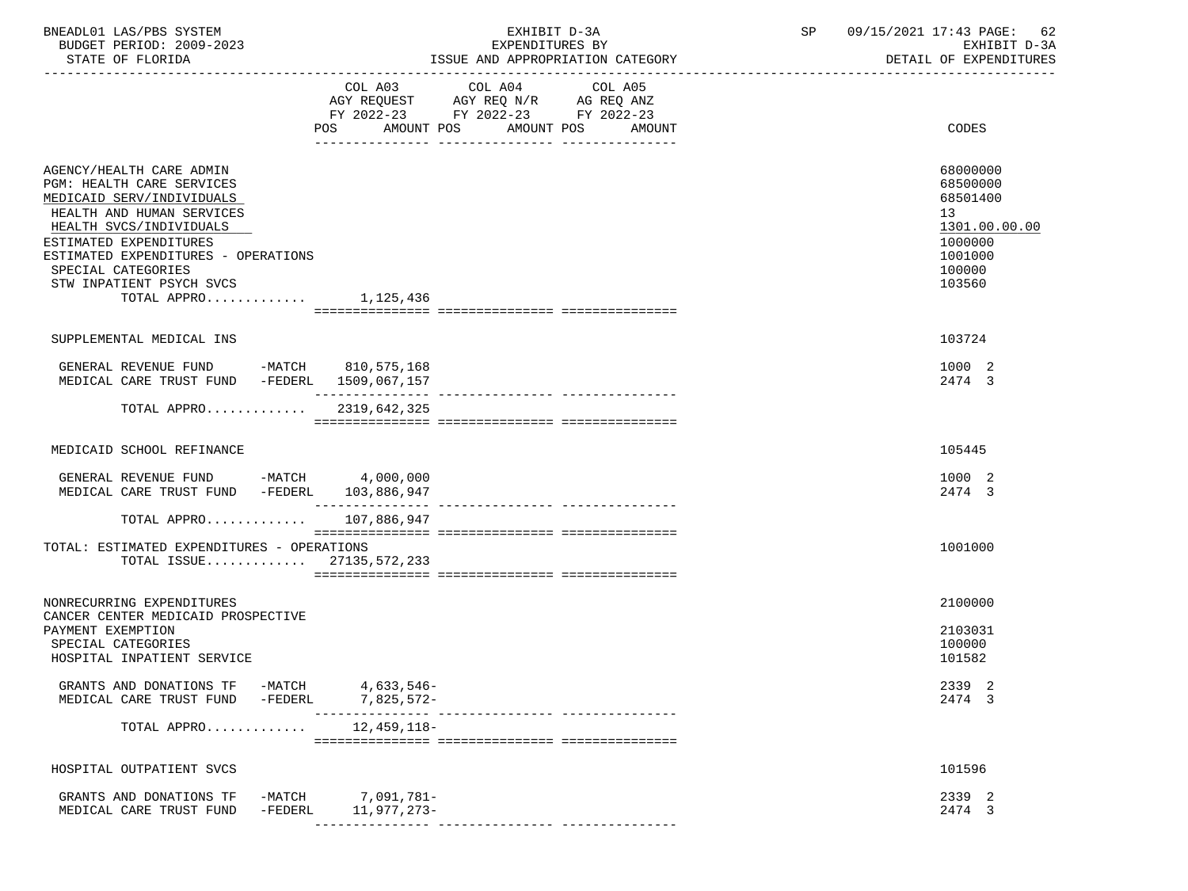| BNEADL01 LAS/PBS SYSTEM<br>BUDGET PERIOD: 2009-2023<br>STATE OF FLORIDA                                                                                                                                                                                                                  |                                  | EXHIBIT D-3A<br>EXPENDITURES BY<br>ISSUE AND APPROPRIATION CATEGORY                                                             | 09/15/2021 17:43 PAGE:<br>SP<br>62<br>EXHIBIT D-3A<br>DETAIL OF EXPENDITURES                      |
|------------------------------------------------------------------------------------------------------------------------------------------------------------------------------------------------------------------------------------------------------------------------------------------|----------------------------------|---------------------------------------------------------------------------------------------------------------------------------|---------------------------------------------------------------------------------------------------|
|                                                                                                                                                                                                                                                                                          | COL A03<br>POS                   | COL A04<br>COL A05<br>AGY REQUEST AGY REQ N/R AG REQ ANZ<br>FY 2022-23 FY 2022-23 FY 2022-23<br>AMOUNT POS AMOUNT POS<br>AMOUNT | CODES                                                                                             |
| AGENCY/HEALTH CARE ADMIN<br>PGM: HEALTH CARE SERVICES<br>MEDICAID SERV/INDIVIDUALS<br>HEALTH AND HUMAN SERVICES<br>HEALTH SVCS/INDIVIDUALS<br>ESTIMATED EXPENDITURES<br>ESTIMATED EXPENDITURES - OPERATIONS<br>SPECIAL CATEGORIES<br>STW INPATIENT PSYCH SVCS<br>TOTAL APPRO $1,125,436$ |                                  |                                                                                                                                 | 68000000<br>68500000<br>68501400<br>13<br>1301.00.00.00<br>1000000<br>1001000<br>100000<br>103560 |
| SUPPLEMENTAL MEDICAL INS                                                                                                                                                                                                                                                                 |                                  |                                                                                                                                 | 103724                                                                                            |
| GENERAL REVENUE FUND -MATCH 810,575,168<br>MEDICAL CARE TRUST FUND -FEDERL 1509,067,157                                                                                                                                                                                                  |                                  |                                                                                                                                 | 1000 2<br>2474 3                                                                                  |
| TOTAL APPRO 2319,642,325                                                                                                                                                                                                                                                                 |                                  |                                                                                                                                 |                                                                                                   |
| MEDICAID SCHOOL REFINANCE                                                                                                                                                                                                                                                                |                                  |                                                                                                                                 | 105445                                                                                            |
| GENERAL REVENUE FUND -MATCH 4,000,000<br>MEDICAL CARE TRUST FUND -FEDERL 103,886,947                                                                                                                                                                                                     |                                  |                                                                                                                                 | 1000 2<br>2474 3                                                                                  |
| TOTAL APPRO 107,886,947                                                                                                                                                                                                                                                                  |                                  |                                                                                                                                 |                                                                                                   |
| TOTAL: ESTIMATED EXPENDITURES - OPERATIONS<br>TOTAL ISSUE $27135,572,233$                                                                                                                                                                                                                |                                  |                                                                                                                                 | 1001000                                                                                           |
| NONRECURRING EXPENDITURES                                                                                                                                                                                                                                                                |                                  |                                                                                                                                 | 2100000                                                                                           |
| CANCER CENTER MEDICAID PROSPECTIVE<br>PAYMENT EXEMPTION<br>SPECIAL CATEGORIES<br>HOSPITAL INPATIENT SERVICE                                                                                                                                                                              |                                  |                                                                                                                                 | 2103031<br>100000<br>101582                                                                       |
| GRANTS AND DONATIONS TF -MATCH<br>MEDICAL CARE TRUST FUND<br>-FEDERL                                                                                                                                                                                                                     | 4,633,546-<br>7,825,572-         |                                                                                                                                 | 2339 2<br>2474 3                                                                                  |
| TOTAL APPRO                                                                                                                                                                                                                                                                              | 12,459,118-                      |                                                                                                                                 |                                                                                                   |
| HOSPITAL OUTPATIENT SVCS                                                                                                                                                                                                                                                                 |                                  |                                                                                                                                 | 101596                                                                                            |
| GRANTS AND DONATIONS TF<br>MEDICAL CARE TRUST FUND<br>-FEDERL                                                                                                                                                                                                                            | -MATCH 7,091,781-<br>11,977,273- |                                                                                                                                 | 2339 2<br>2474 3                                                                                  |
|                                                                                                                                                                                                                                                                                          |                                  |                                                                                                                                 |                                                                                                   |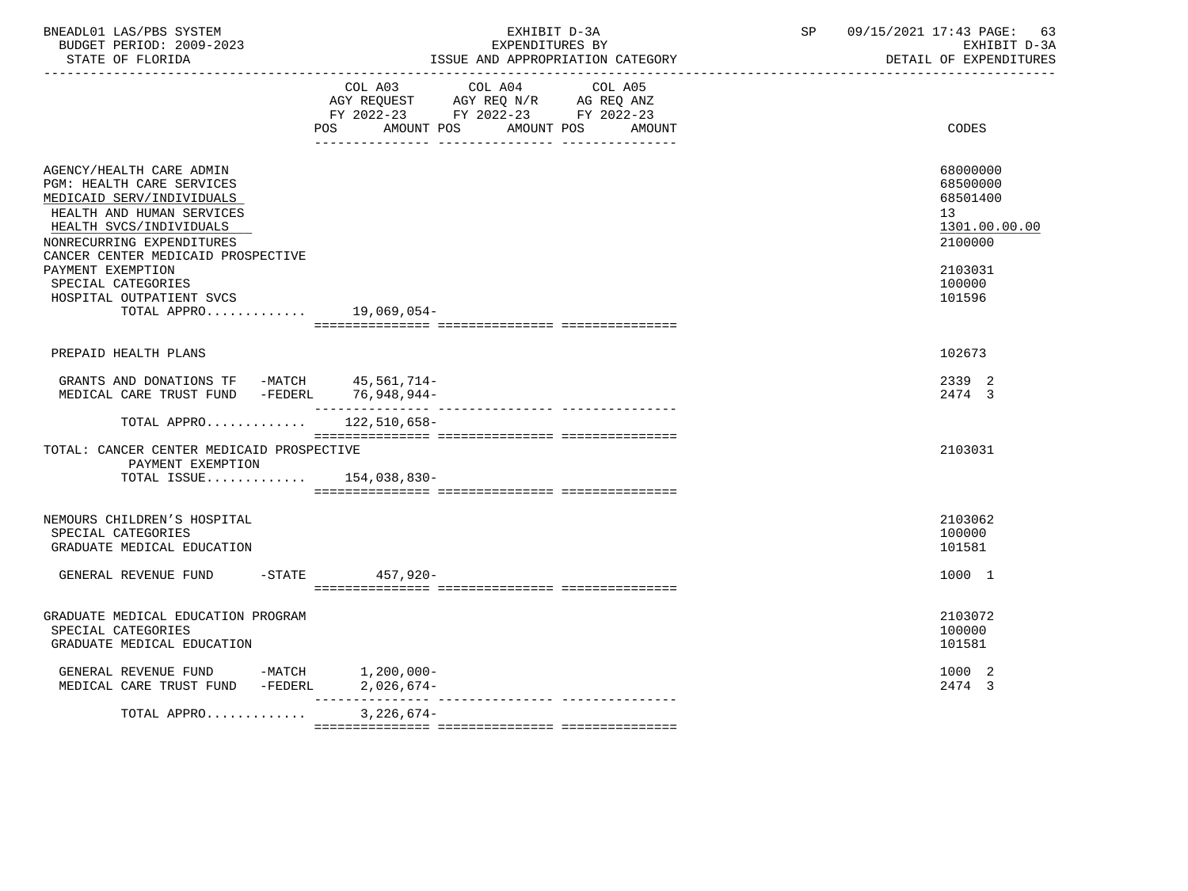| BNEADL01 LAS/PBS SYSTEM<br>BUDGET PERIOD: 2009-2023<br>STATE OF FLORIDA<br>-----------------                                                                                                                         | EXHIBIT D-3A<br>EXPENDITURES BY<br>ISSUE AND APPROPRIATION CATEGORY                                                                      | 09/15/2021 17:43 PAGE:<br>SP<br>63<br>EXHIBIT D-3A<br>DETAIL OF EXPENDITURES |
|----------------------------------------------------------------------------------------------------------------------------------------------------------------------------------------------------------------------|------------------------------------------------------------------------------------------------------------------------------------------|------------------------------------------------------------------------------|
|                                                                                                                                                                                                                      | COL A03 COL A04<br>COL A05<br>AGY REQUEST AGY REQ N/R AG REQ ANZ<br>FY 2022-23 FY 2022-23 FY 2022-23<br>POS AMOUNT POS AMOUNT POS AMOUNT | CODES                                                                        |
| AGENCY/HEALTH CARE ADMIN<br><b>PGM: HEALTH CARE SERVICES</b><br>MEDICAID SERV/INDIVIDUALS<br>HEALTH AND HUMAN SERVICES<br>HEALTH SVCS/INDIVIDUALS<br>NONRECURRING EXPENDITURES<br>CANCER CENTER MEDICAID PROSPECTIVE |                                                                                                                                          | 68000000<br>68500000<br>68501400<br>13<br>1301.00.00.00<br>2100000           |
| PAYMENT EXEMPTION<br>SPECIAL CATEGORIES<br>HOSPITAL OUTPATIENT SVCS<br>TOTAL APPRO                                                                                                                                   | 19,069,054-                                                                                                                              | 2103031<br>100000<br>101596                                                  |
| PREPAID HEALTH PLANS                                                                                                                                                                                                 |                                                                                                                                          | 102673                                                                       |
| GRANTS AND DONATIONS TF -MATCH 45,561,714-<br>MEDICAL CARE TRUST FUND -FEDERL                                                                                                                                        | 76,948,944-                                                                                                                              | 2339 2<br>2474 3                                                             |
| TOTAL APPRO $122,510,658-$                                                                                                                                                                                           |                                                                                                                                          |                                                                              |
| TOTAL: CANCER CENTER MEDICAID PROSPECTIVE<br>PAYMENT EXEMPTION<br>TOTAL ISSUE $154,038,830-$                                                                                                                         |                                                                                                                                          | 2103031                                                                      |
| NEMOURS CHILDREN'S HOSPITAL<br>SPECIAL CATEGORIES<br>GRADUATE MEDICAL EDUCATION                                                                                                                                      |                                                                                                                                          | 2103062<br>100000<br>101581                                                  |
| GENERAL REVENUE FUND -STATE 457,920-                                                                                                                                                                                 |                                                                                                                                          | 1000 1                                                                       |
| GRADUATE MEDICAL EDUCATION PROGRAM<br>SPECIAL CATEGORIES<br>GRADUATE MEDICAL EDUCATION                                                                                                                               |                                                                                                                                          | 2103072<br>100000<br>101581                                                  |
| GENERAL REVENUE FUND -MATCH $1,200,000-$ MEDICAL CARE TRUST FUND -FEDERL $2,026,674-$                                                                                                                                |                                                                                                                                          | 1000 2<br>2474 3                                                             |
| TOTAL APPRO                                                                                                                                                                                                          | $3,226,674-$                                                                                                                             |                                                                              |
|                                                                                                                                                                                                                      |                                                                                                                                          |                                                                              |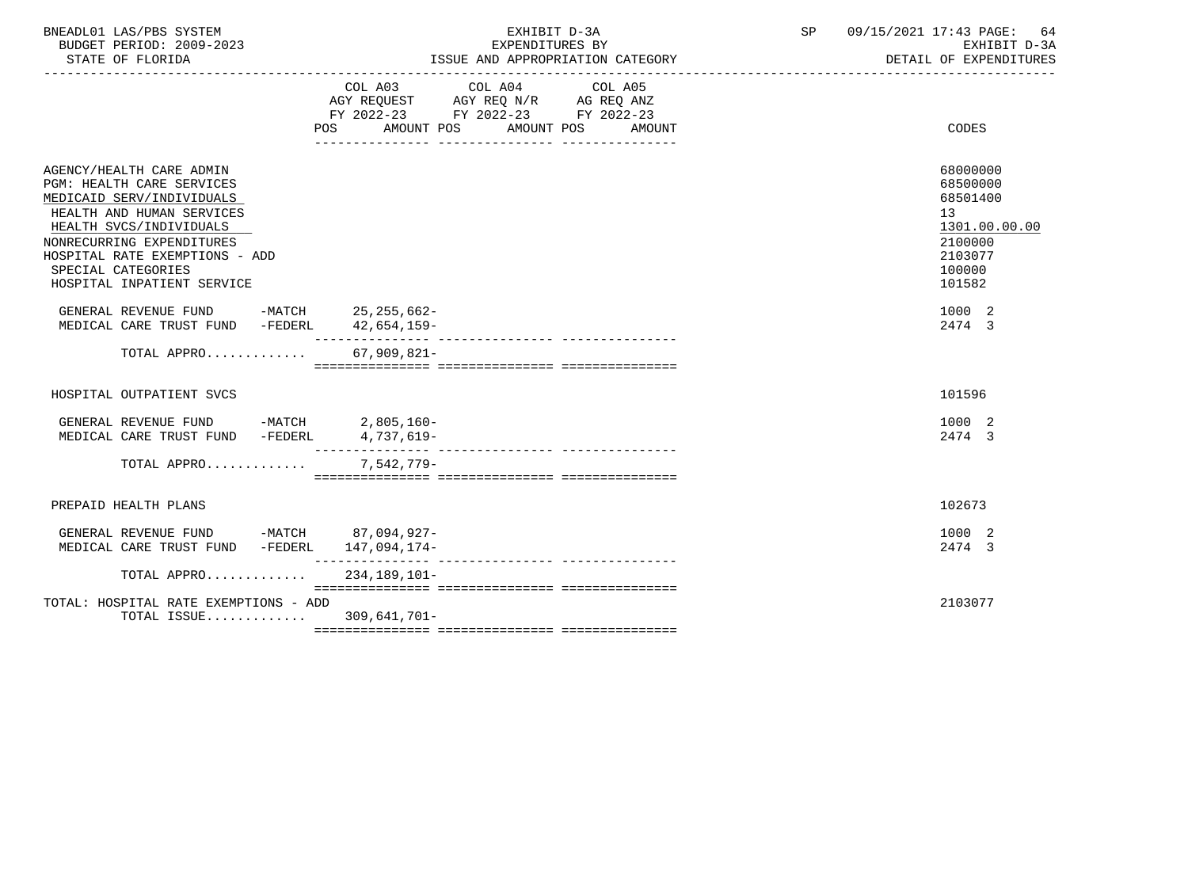| BNEADL01 LAS/PBS SYSTEM<br>BUDGET PERIOD: 2009-2023<br>STATE OF FLORIDA                                                                                                                                                                                       | EXHIBIT D-3A<br>EXPENDITURES BY<br>ISSUE AND APPROPRIATION CATEGORY                                                                                   | 09/15/2021 17:43 PAGE: 64<br>SP<br>EXHIBIT D-3A<br>DETAIL OF EXPENDITURES                         |
|---------------------------------------------------------------------------------------------------------------------------------------------------------------------------------------------------------------------------------------------------------------|-------------------------------------------------------------------------------------------------------------------------------------------------------|---------------------------------------------------------------------------------------------------|
|                                                                                                                                                                                                                                                               | COL A03 COL A04 COL A05<br>AGY REQUEST AGY REQ N/R AG REQ ANZ<br>FY 2022-23 FY 2022-23 FY 2022-23<br>AMOUNT POS<br>AMOUNT POS<br>POS<br><b>AMOUNT</b> | <b>CODES</b>                                                                                      |
| AGENCY/HEALTH CARE ADMIN<br>PGM: HEALTH CARE SERVICES<br>MEDICAID SERV/INDIVIDUALS<br>HEALTH AND HUMAN SERVICES<br>HEALTH SVCS/INDIVIDUALS<br>NONRECURRING EXPENDITURES<br>HOSPITAL RATE EXEMPTIONS - ADD<br>SPECIAL CATEGORIES<br>HOSPITAL INPATIENT SERVICE |                                                                                                                                                       | 68000000<br>68500000<br>68501400<br>13<br>1301.00.00.00<br>2100000<br>2103077<br>100000<br>101582 |
| GENERAL REVENUE FUND -MATCH 25, 255, 662-<br>MEDICAL CARE TRUST FUND -FEDERL                                                                                                                                                                                  | 42,654,159-                                                                                                                                           | 1000 2<br>2474 3                                                                                  |
| TOTAL APPRO                                                                                                                                                                                                                                                   | $67,909,821-$                                                                                                                                         |                                                                                                   |
| HOSPITAL OUTPATIENT SVCS                                                                                                                                                                                                                                      |                                                                                                                                                       | 101596                                                                                            |
| GENERAL REVENUE FUND -MATCH 2,805,160-<br>MEDICAL CARE TRUST FUND -FEDERL                                                                                                                                                                                     | 4,737,619-                                                                                                                                            | 1000 2<br>2474 3                                                                                  |
| TOTAL APPRO                                                                                                                                                                                                                                                   | 7,542,779-                                                                                                                                            |                                                                                                   |
| PREPAID HEALTH PLANS                                                                                                                                                                                                                                          |                                                                                                                                                       | 102673                                                                                            |
| GENERAL REVENUE FUND -MATCH 87,094,927-<br>MEDICAL CARE TRUST FUND -FEDERL 147,094,174-                                                                                                                                                                       |                                                                                                                                                       | 1000 2<br>2474 3                                                                                  |
| TOTAL APPRO                                                                                                                                                                                                                                                   | 234,189,101-                                                                                                                                          |                                                                                                   |
| TOTAL: HOSPITAL RATE EXEMPTIONS - ADD<br>TOTAL ISSUE 309,641,701-                                                                                                                                                                                             |                                                                                                                                                       | 2103077                                                                                           |
|                                                                                                                                                                                                                                                               |                                                                                                                                                       |                                                                                                   |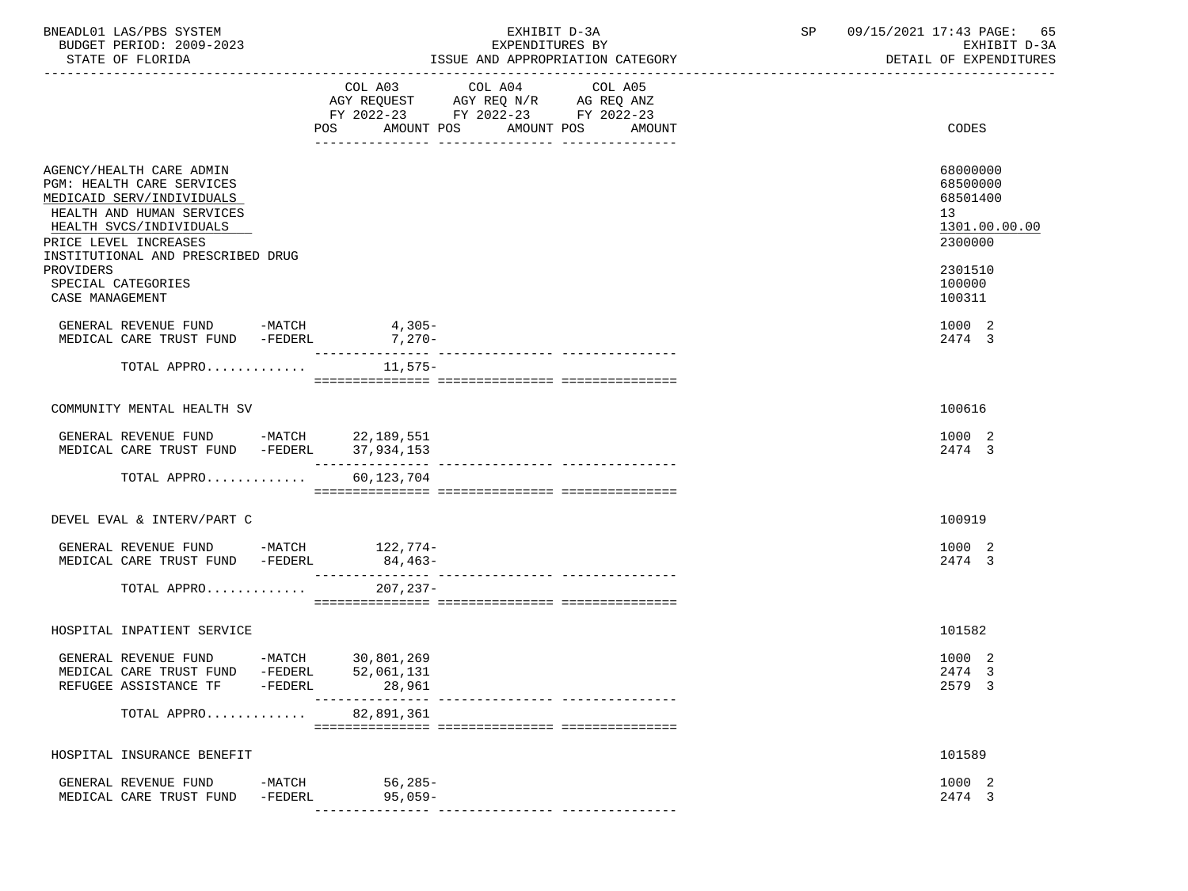| BNEADL01 LAS/PBS SYSTEM<br>BUDGET PERIOD: 2009-2023<br>STATE OF FLORIDA                                                                                                                                                                     |                     |                                                                                             | EXHIBIT D-3A<br>EXPENDITURES BY | ISSUE AND APPROPRIATION CATEGORY |  | SP 09/15/2021 17:43 PAGE: 65<br>EXHIBIT D-3A<br>DETAIL OF EXPENDITURES                  |
|---------------------------------------------------------------------------------------------------------------------------------------------------------------------------------------------------------------------------------------------|---------------------|---------------------------------------------------------------------------------------------|---------------------------------|----------------------------------|--|-----------------------------------------------------------------------------------------|
|                                                                                                                                                                                                                                             |                     | AGY REQUEST AGY REQ N/R AG REQ ANZ<br>FY 2022-23 FY 2022-23 FY 2022-23<br>POS<br>AMOUNT POS | COL A03 COL A04<br>AMOUNT POS   | COL A05<br>AMOUNT                |  | CODES                                                                                   |
| AGENCY/HEALTH CARE ADMIN<br>PGM: HEALTH CARE SERVICES<br>MEDICAID SERV/INDIVIDUALS<br>HEALTH AND HUMAN SERVICES<br>HEALTH SVCS/INDIVIDUALS<br>PRICE LEVEL INCREASES<br>INSTITUTIONAL AND PRESCRIBED DRUG<br>PROVIDERS<br>SPECIAL CATEGORIES |                     |                                                                                             | ---------------                 | ---------------                  |  | 68000000<br>68500000<br>68501400<br>13<br>1301.00.00.00<br>2300000<br>2301510<br>100000 |
| CASE MANAGEMENT<br>GENERAL REVENUE FUND -MATCH 4,305-<br>MEDICAL CARE TRUST FUND -FEDERL 7,270-                                                                                                                                             |                     |                                                                                             |                                 |                                  |  | 100311<br>1000 2<br>2474 3                                                              |
| TOTAL APPRO                                                                                                                                                                                                                                 |                     | 11,575–                                                                                     |                                 |                                  |  |                                                                                         |
| COMMUNITY MENTAL HEALTH SV                                                                                                                                                                                                                  |                     |                                                                                             |                                 |                                  |  | 100616                                                                                  |
| GENERAL REVENUE FUND -MATCH 22,189,551<br>MEDICAL CARE TRUST FUND -FEDERL 37,934,153                                                                                                                                                        |                     | ---------------                                                                             |                                 |                                  |  | 1000 2<br>2474 3                                                                        |
| TOTAL APPRO                                                                                                                                                                                                                                 |                     | 60,123,704                                                                                  |                                 |                                  |  |                                                                                         |
| DEVEL EVAL & INTERV/PART C                                                                                                                                                                                                                  |                     |                                                                                             |                                 |                                  |  | 100919                                                                                  |
| GENERAL REVENUE FUND -MATCH 122,774-<br>MEDICAL CARE TRUST FUND -FEDERL                                                                                                                                                                     |                     | $84,463-$                                                                                   |                                 |                                  |  | 1000 2<br>2474 3                                                                        |
| TOTAL APPRO                                                                                                                                                                                                                                 |                     | $207.237-$                                                                                  |                                 |                                  |  |                                                                                         |
| HOSPITAL INPATIENT SERVICE                                                                                                                                                                                                                  |                     |                                                                                             |                                 |                                  |  | 101582                                                                                  |
| GENERAL REVENUE FUND -MATCH 30,801,269<br>MEDICAL CARE TRUST FUND<br>REFUGEE ASSISTANCE TF                                                                                                                                                  | -FEDERL<br>-FEDERL  | 52,061,131<br>28,961                                                                        |                                 |                                  |  | 1000 2<br>2474 3<br>2579 3                                                              |
| TOTAL APPRO                                                                                                                                                                                                                                 |                     | 82,891,361                                                                                  |                                 |                                  |  |                                                                                         |
| HOSPITAL INSURANCE BENEFIT                                                                                                                                                                                                                  |                     |                                                                                             |                                 |                                  |  | 101589                                                                                  |
| GENERAL REVENUE FUND<br>MEDICAL CARE TRUST FUND                                                                                                                                                                                             | -MATCH<br>$-FEDERL$ | 56,285-<br>$95,059-$                                                                        |                                 |                                  |  | 1000 2<br>2474 3                                                                        |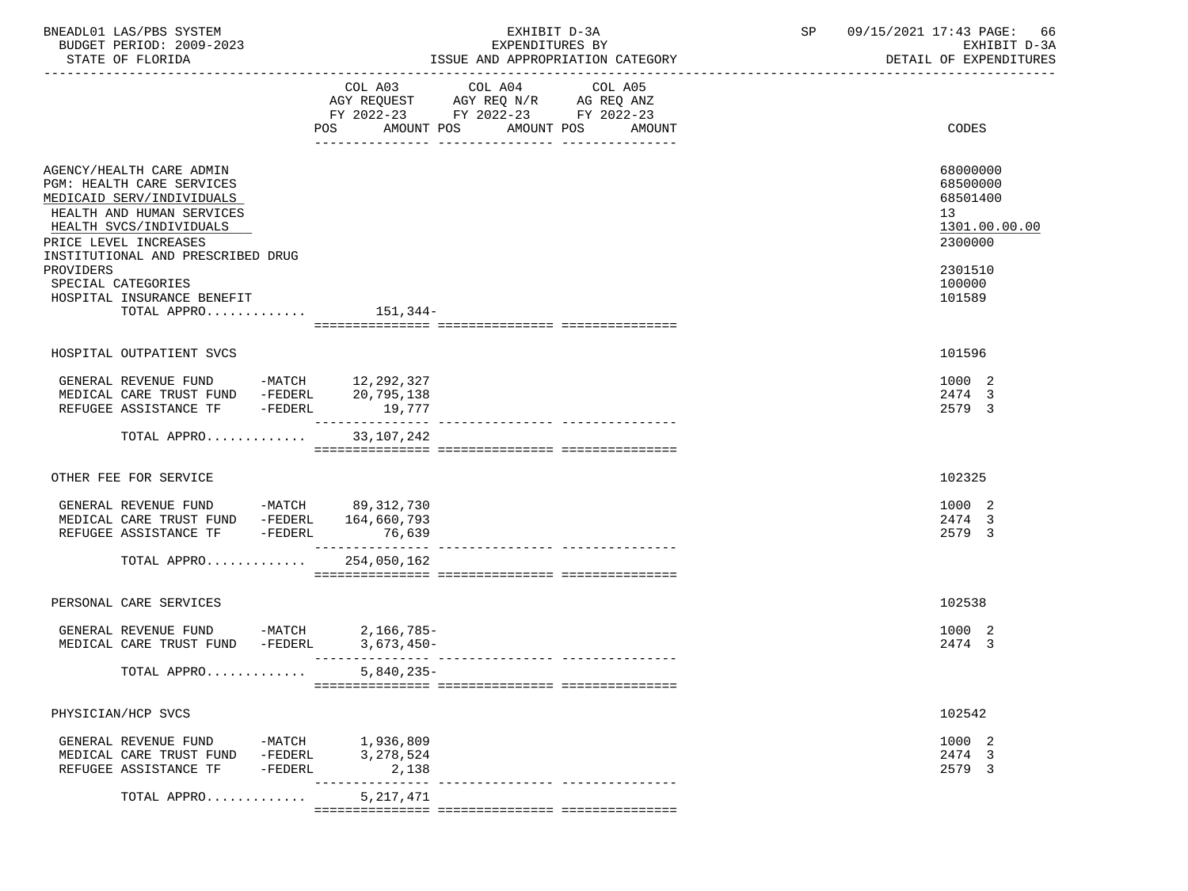| STATE OF FLORIDA<br>COL A03 COL A04                                                                                                                                                                      | ISSUE AND APPROPRIATION CATEGORY<br>COL A05<br>AGY REQUEST AGY REQ N/R AG REQ ANZ<br>FY 2022-23 FY 2022-23 FY 2022-23 | DETAIL OF EXPENDITURES                                             |
|----------------------------------------------------------------------------------------------------------------------------------------------------------------------------------------------------------|-----------------------------------------------------------------------------------------------------------------------|--------------------------------------------------------------------|
|                                                                                                                                                                                                          |                                                                                                                       |                                                                    |
|                                                                                                                                                                                                          | POS AMOUNT POS AMOUNT POS AMOUNT                                                                                      | CODES                                                              |
| AGENCY/HEALTH CARE ADMIN<br>PGM: HEALTH CARE SERVICES<br>MEDICAID SERV/INDIVIDUALS<br>HEALTH AND HUMAN SERVICES<br>HEALTH SVCS/INDIVIDUALS<br>PRICE LEVEL INCREASES<br>INSTITUTIONAL AND PRESCRIBED DRUG |                                                                                                                       | 68000000<br>68500000<br>68501400<br>13<br>1301.00.00.00<br>2300000 |
| PROVIDERS<br>SPECIAL CATEGORIES<br>HOSPITAL INSURANCE BENEFIT<br>TOTAL APPRO $151,344-$                                                                                                                  |                                                                                                                       | 2301510<br>100000<br>101589                                        |
|                                                                                                                                                                                                          |                                                                                                                       |                                                                    |
| HOSPITAL OUTPATIENT SVCS                                                                                                                                                                                 |                                                                                                                       | 101596                                                             |
| REFUGEE ASSISTANCE TF -FEDERL<br>19,777                                                                                                                                                                  |                                                                                                                       | 1000 2<br>2474 3<br>2579 3                                         |
| TOTAL APPRO 33,107,242                                                                                                                                                                                   |                                                                                                                       |                                                                    |
| OTHER FEE FOR SERVICE                                                                                                                                                                                    |                                                                                                                       | 102325                                                             |
| GENERAL REVENUE FUND -MATCH 89,312,730<br>MEDICAL CARE TRUST FUND -FEDERL 164,660,793<br>REFUGEE ASSISTANCE TF -FEDERL<br>76,639<br>TOTAL APPRO 254,050,162                                              |                                                                                                                       | 1000 2<br>2474 3<br>2579 3                                         |
|                                                                                                                                                                                                          |                                                                                                                       |                                                                    |
| PERSONAL CARE SERVICES                                                                                                                                                                                   |                                                                                                                       | 102538                                                             |
| GENERAL REVENUE FUND -MATCH 2,166,785-<br>MEDICAL CARE TRUST FUND -FEDERL<br>3,673,450-                                                                                                                  |                                                                                                                       | 1000 2<br>2474 3                                                   |
| TOTAL APPRO<br>$5,840,235-$                                                                                                                                                                              |                                                                                                                       |                                                                    |
| PHYSICIAN/HCP SVCS                                                                                                                                                                                       |                                                                                                                       | 102542                                                             |
| -MATCH 1,936,809<br>-FEDERL 3,278.524<br>GENERAL REVENUE FUND<br>MEDICAL CARE TRUST FUND -FEDERL<br>3,278,524<br>REFUGEE ASSISTANCE TF<br>-FEDERL<br>2,138                                               |                                                                                                                       | 1000 2<br>2474 3<br>2579 3                                         |
| 5, 217, 471<br>TOTAL APPRO                                                                                                                                                                               | ------------- ----------------                                                                                        |                                                                    |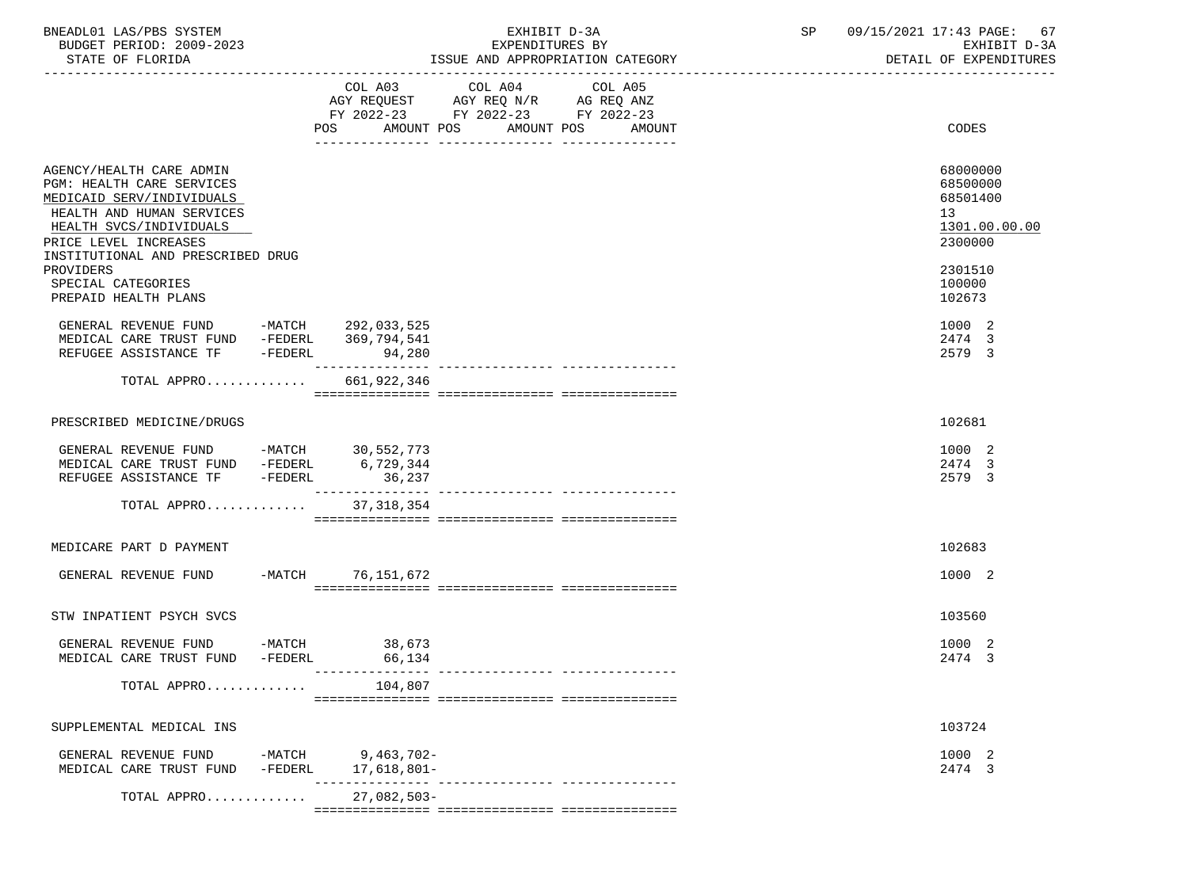| BNEADL01 LAS/PBS SYSTEM<br>BUDGET PERIOD: 2009-2023<br>STATE OF FLORIDA                                                                                                                                                                     |                                                    | EXHIBIT D-3A<br>EXPENDITURES BY<br>ISSUE AND APPROPRIATION CATEGORY                                                                      | 09/15/2021 17:43 PAGE:<br>SP | 67<br>EXHIBIT D-3A<br>DETAIL OF EXPENDITURES                            |
|---------------------------------------------------------------------------------------------------------------------------------------------------------------------------------------------------------------------------------------------|----------------------------------------------------|------------------------------------------------------------------------------------------------------------------------------------------|------------------------------|-------------------------------------------------------------------------|
|                                                                                                                                                                                                                                             |                                                    | COL A03 COL A04 COL A05<br>AGY REQUEST AGY REQ N/R AG REQ ANZ<br>FY 2022-23 FY 2022-23 FY 2022-23<br>POS AMOUNT POS AMOUNT POS<br>AMOUNT |                              | <b>CODES</b>                                                            |
| AGENCY/HEALTH CARE ADMIN<br>PGM: HEALTH CARE SERVICES<br>MEDICAID SERV/INDIVIDUALS<br>HEALTH AND HUMAN SERVICES<br>HEALTH SVCS/INDIVIDUALS<br>PRICE LEVEL INCREASES<br>INSTITUTIONAL AND PRESCRIBED DRUG<br>PROVIDERS<br>SPECIAL CATEGORIES |                                                    |                                                                                                                                          | 13<br>100000                 | 68000000<br>68500000<br>68501400<br>1301.00.00.00<br>2300000<br>2301510 |
| PREPAID HEALTH PLANS<br>GENERAL REVENUE FUND -MATCH 292,033,525                                                                                                                                                                             |                                                    |                                                                                                                                          | 102673                       | 1000 2                                                                  |
| MEDICAL CARE TRUST FUND -FEDERL 369,794,541<br>REFUGEE ASSISTANCE TF -FEDERL 94,280                                                                                                                                                         |                                                    |                                                                                                                                          |                              | 2474 3<br>2579 3                                                        |
| TOTAL APPRO 661,922,346                                                                                                                                                                                                                     |                                                    |                                                                                                                                          |                              |                                                                         |
| PRESCRIBED MEDICINE/DRUGS                                                                                                                                                                                                                   |                                                    |                                                                                                                                          | 102681                       |                                                                         |
| GENERAL REVENUE FUND -MATCH $30,552,773$<br>MEDICAL CARE TRUST FUND -FEDERL $6,729,344$<br>REFUGEE ASSISTANCE TF -FEDERL 36,237                                                                                                             |                                                    |                                                                                                                                          |                              | 1000 2<br>2474 3<br>2579 3                                              |
| TOTAL APPRO 37,318,354                                                                                                                                                                                                                      |                                                    |                                                                                                                                          |                              |                                                                         |
| MEDICARE PART D PAYMENT                                                                                                                                                                                                                     |                                                    |                                                                                                                                          | 102683                       |                                                                         |
| GENERAL REVENUE FUND -MATCH 76,151,672                                                                                                                                                                                                      |                                                    |                                                                                                                                          |                              | 1000 2                                                                  |
| STW INPATIENT PSYCH SVCS                                                                                                                                                                                                                    |                                                    |                                                                                                                                          | 103560                       |                                                                         |
| GENERAL REVENUE FUND -MATCH 38,673<br>MEDICAL CARE TRUST FUND -FEDERL 66,134                                                                                                                                                                |                                                    |                                                                                                                                          |                              | 1000 2<br>2474 3                                                        |
| TOTAL APPRO                                                                                                                                                                                                                                 | 104,807                                            |                                                                                                                                          |                              |                                                                         |
| SUPPLEMENTAL MEDICAL INS                                                                                                                                                                                                                    |                                                    |                                                                                                                                          |                              | 103724                                                                  |
| GENERAL REVENUE FUND<br>MEDICAL CARE TRUST FUND                                                                                                                                                                                             | $-MATCH$<br>9,463,702-<br>17,618,801-<br>$-FEDERL$ | ---------------------------------                                                                                                        |                              | 1000 2<br>2474 3                                                        |
| TOTAL APPRO                                                                                                                                                                                                                                 | 27,082,503-                                        |                                                                                                                                          |                              |                                                                         |

=============== =============== ===============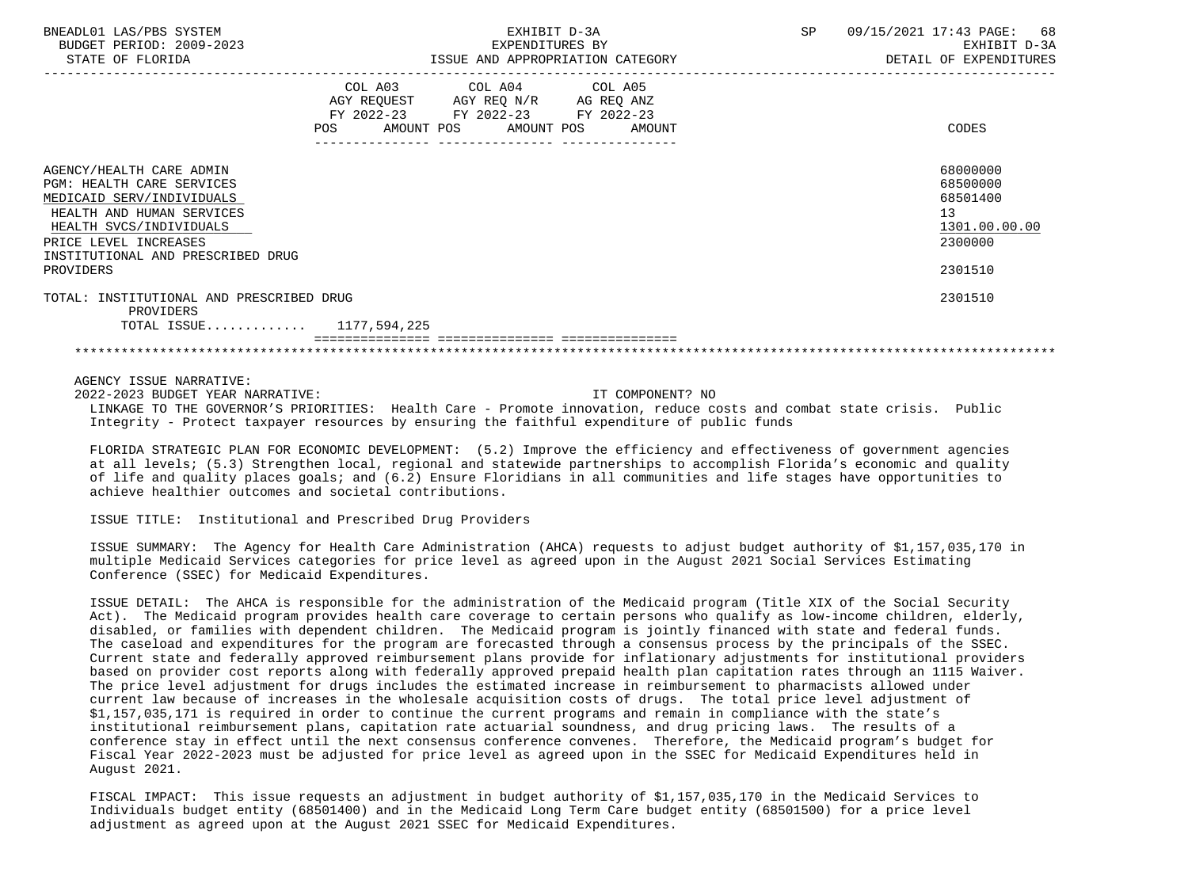| BNEADL01 LAS/PBS SYSTEM<br>BUDGET PERIOD: 2009-2023<br>STATE OF FLORIDA                                                                                                                                                      | EXHIBIT D-3A<br>EXPENDITURES BY<br>ISSUE AND APPROPRIATION CATEGORY                                                                         | SP<br>09/15/2021 17:43 PAGE:<br>68<br>EXHIBIT D-3A<br>DETAIL OF EXPENDITURES  |
|------------------------------------------------------------------------------------------------------------------------------------------------------------------------------------------------------------------------------|---------------------------------------------------------------------------------------------------------------------------------------------|-------------------------------------------------------------------------------|
|                                                                                                                                                                                                                              | COL A03 COL A04 COL A05<br>AGY REQUEST AGY REQ N/R AG REQ ANZ<br>FY 2022-23 FY 2022-23 FY 2022-23<br>POS<br>AMOUNT POS AMOUNT POS<br>AMOUNT | CODES                                                                         |
| AGENCY/HEALTH CARE ADMIN<br><b>PGM: HEALTH CARE SERVICES</b><br>MEDICAID SERV/INDIVIDUALS<br>HEALTH AND HUMAN SERVICES<br>HEALTH SVCS/INDIVIDUALS<br>PRICE LEVEL INCREASES<br>INSTITUTIONAL AND PRESCRIBED DRUG<br>PROVIDERS |                                                                                                                                             | 68000000<br>68500000<br>68501400<br>13<br>1301.00.00.00<br>2300000<br>2301510 |
| TOTAL: INSTITUTIONAL AND PRESCRIBED DRUG<br>PROVIDERS<br>TOTAL ISSUE $1177,594,225$                                                                                                                                          |                                                                                                                                             | 2301510                                                                       |
|                                                                                                                                                                                                                              |                                                                                                                                             |                                                                               |

 2022-2023 BUDGET YEAR NARRATIVE: IT COMPONENT? NO LINKAGE TO THE GOVERNOR'S PRIORITIES: Health Care - Promote innovation, reduce costs and combat state crisis. Public Integrity - Protect taxpayer resources by ensuring the faithful expenditure of public funds

 FLORIDA STRATEGIC PLAN FOR ECONOMIC DEVELOPMENT: (5.2) Improve the efficiency and effectiveness of government agencies at all levels; (5.3) Strengthen local, regional and statewide partnerships to accomplish Florida's economic and quality of life and quality places goals; and (6.2) Ensure Floridians in all communities and life stages have opportunities to achieve healthier outcomes and societal contributions.

ISSUE TITLE: Institutional and Prescribed Drug Providers

 ISSUE SUMMARY: The Agency for Health Care Administration (AHCA) requests to adjust budget authority of \$1,157,035,170 in multiple Medicaid Services categories for price level as agreed upon in the August 2021 Social Services Estimating Conference (SSEC) for Medicaid Expenditures.

 ISSUE DETAIL: The AHCA is responsible for the administration of the Medicaid program (Title XIX of the Social Security Act). The Medicaid program provides health care coverage to certain persons who qualify as low-income children, elderly, disabled, or families with dependent children. The Medicaid program is jointly financed with state and federal funds. The caseload and expenditures for the program are forecasted through a consensus process by the principals of the SSEC. Current state and federally approved reimbursement plans provide for inflationary adjustments for institutional providers based on provider cost reports along with federally approved prepaid health plan capitation rates through an 1115 Waiver. The price level adjustment for drugs includes the estimated increase in reimbursement to pharmacists allowed under current law because of increases in the wholesale acquisition costs of drugs. The total price level adjustment of \$1,157,035,171 is required in order to continue the current programs and remain in compliance with the state's institutional reimbursement plans, capitation rate actuarial soundness, and drug pricing laws. The results of a conference stay in effect until the next consensus conference convenes. Therefore, the Medicaid program's budget for Fiscal Year 2022-2023 must be adjusted for price level as agreed upon in the SSEC for Medicaid Expenditures held in August 2021.

 FISCAL IMPACT: This issue requests an adjustment in budget authority of \$1,157,035,170 in the Medicaid Services to Individuals budget entity (68501400) and in the Medicaid Long Term Care budget entity (68501500) for a price level adjustment as agreed upon at the August 2021 SSEC for Medicaid Expenditures.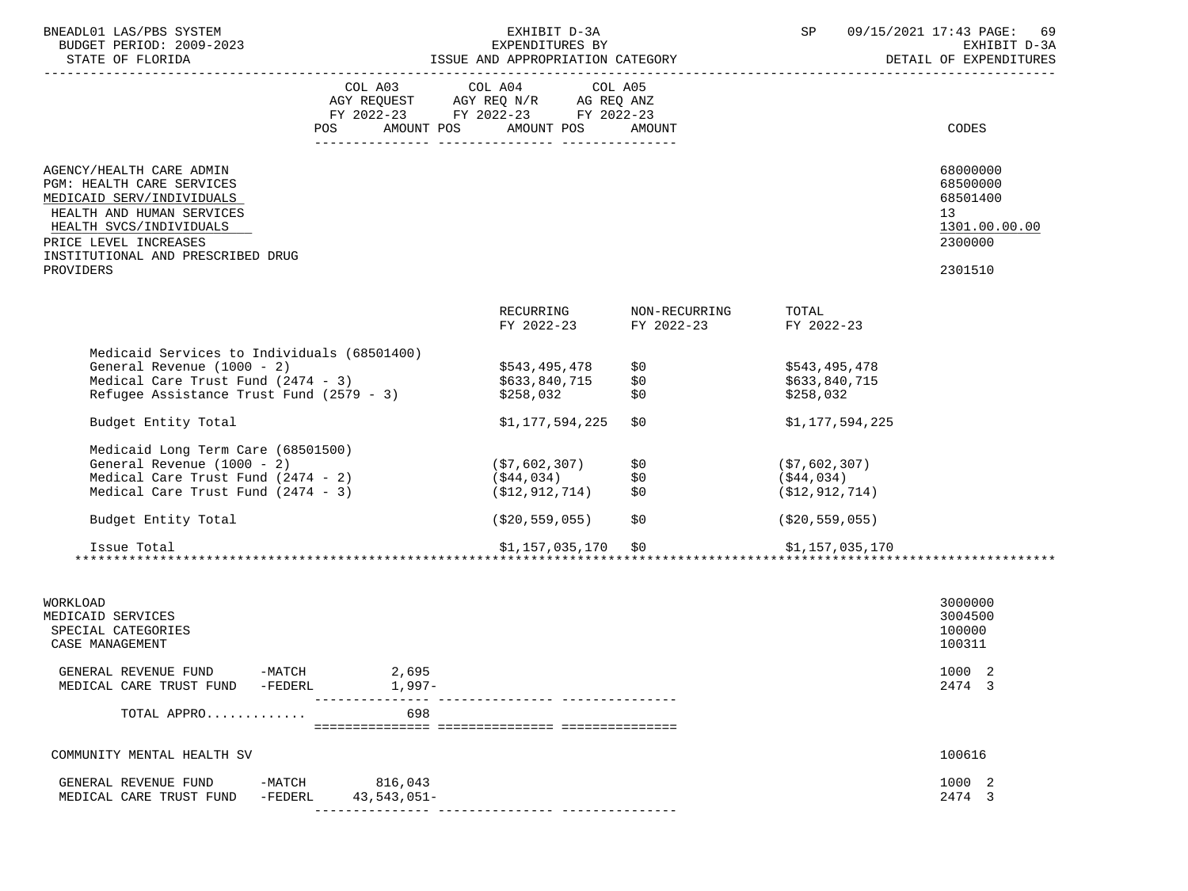| BNEADL01 LAS/PBS SYSTEM<br>BUDGET PERIOD: 2009-2023<br>STATE OF FLORIDA                                                                                                                                         |                                                                                                                                                                                                                                                                     | EXHIBIT D-3A<br>EXPENDITURES BY<br>ISSUE AND APPROPRIATION CATEGORY     |                                                  | SP                                              | 09/15/2021 17:43 PAGE: 69<br>EXHIBIT D-3A<br>DETAIL OF EXPENDITURES |
|-----------------------------------------------------------------------------------------------------------------------------------------------------------------------------------------------------------------|---------------------------------------------------------------------------------------------------------------------------------------------------------------------------------------------------------------------------------------------------------------------|-------------------------------------------------------------------------|--------------------------------------------------|-------------------------------------------------|---------------------------------------------------------------------|
|                                                                                                                                                                                                                 | COL A03 COL A04 COL A05<br>$\begin{tabular}{lllllll} \bf AGY \;\; REQUEST \hspace{1cm} AGY \;\; REQ \;\; N/R \hspace{1cm} AG \;\; REQ \;\; ANZ \\ \bf FY \;\; 2022-23 \hspace{1cm} FY \;\; 2022-23 \hspace{1cm} FY \;\; 2022-23 \end{tabular}$<br>AMOUNT POS<br>POS | AMOUNT POS                                                              | AMOUNT                                           |                                                 | CODES                                                               |
|                                                                                                                                                                                                                 |                                                                                                                                                                                                                                                                     |                                                                         |                                                  |                                                 |                                                                     |
| AGENCY/HEALTH CARE ADMIN<br><b>PGM: HEALTH CARE SERVICES</b><br>MEDICAID SERV/INDIVIDUALS<br>HEALTH AND HUMAN SERVICES<br>HEALTH SVCS/INDIVIDUALS<br>PRICE LEVEL INCREASES<br>INSTITUTIONAL AND PRESCRIBED DRUG |                                                                                                                                                                                                                                                                     |                                                                         |                                                  |                                                 | 68000000<br>68500000<br>68501400<br>13<br>1301.00.00.00<br>2300000  |
| PROVIDERS                                                                                                                                                                                                       |                                                                                                                                                                                                                                                                     |                                                                         |                                                  |                                                 | 2301510                                                             |
|                                                                                                                                                                                                                 |                                                                                                                                                                                                                                                                     |                                                                         | RECURRING NON-RECURRING<br>FY 2022-23 FY 2022-23 | TOTAL<br>FY 2022-23                             |                                                                     |
| Medicaid Services to Individuals (68501400)<br>Sundial Revenue (1000 - 2)<br>Medical Care Trust Fund (2474 - 3)<br>Refugee Agricia<br>Refugee Assistance Trust Fund (2579 - 3)                                  |                                                                                                                                                                                                                                                                     | \$543,495,478<br>\$633,840,715<br>\$258,032                             | \$0<br>\$0<br>\$0                                | \$543,495,478<br>\$633,840,715<br>\$258,032     |                                                                     |
| Budget Entity Total                                                                                                                                                                                             |                                                                                                                                                                                                                                                                     | \$1,177,594,225                                                         | \$0                                              | \$1,177,594,225                                 |                                                                     |
| Medicaid Long Term Care (68501500)<br>General Revenue (1000 - 2)<br>Medical Care Trust Fund (2474 - 2)<br>Medical Care Trust Fund (2474 - 3)                                                                    |                                                                                                                                                                                                                                                                     | (\$7,602,307)<br>(\$7,602,307)<br>(\$44,034)<br>$( $12, 912, 714)$ $$0$ | \$0<br>\$0                                       | (57, 602, 307)<br>(\$44,034)<br>(S12, 912, 714) |                                                                     |
| Budget Entity Total                                                                                                                                                                                             |                                                                                                                                                                                                                                                                     | (\$20,559,055)                                                          | \$0                                              | ( \$20, 559, 055)                               |                                                                     |
| Issue Total                                                                                                                                                                                                     |                                                                                                                                                                                                                                                                     | \$1,157,035,170 \$0                                                     |                                                  | \$1,157,035,170                                 |                                                                     |
|                                                                                                                                                                                                                 |                                                                                                                                                                                                                                                                     |                                                                         |                                                  |                                                 |                                                                     |
| WORKLOAD<br>MEDICAID SERVICES<br>SPECIAL CATEGORIES<br>CASE MANAGEMENT                                                                                                                                          |                                                                                                                                                                                                                                                                     |                                                                         |                                                  |                                                 | 3000000<br>3004500<br>100000<br>100311                              |
| GENERAL REVENUE FUND -MATCH 2,695<br>MEDICAL CARE TRUST FUND -FEDERL 1,997-                                                                                                                                     |                                                                                                                                                                                                                                                                     |                                                                         |                                                  |                                                 | 1000 2<br>2474 3                                                    |
| TOTAL APPRO                                                                                                                                                                                                     | 698                                                                                                                                                                                                                                                                 |                                                                         |                                                  |                                                 |                                                                     |
|                                                                                                                                                                                                                 |                                                                                                                                                                                                                                                                     |                                                                         |                                                  |                                                 |                                                                     |
| COMMUNITY MENTAL HEALTH SV                                                                                                                                                                                      |                                                                                                                                                                                                                                                                     |                                                                         |                                                  |                                                 | 100616                                                              |

| GENERAL<br>FUND<br>REVENUE<br>TRUST<br>FUND<br>CARE<br>MED<br>"CAL | MATCH<br>-MAIC.<br>-FEDERL | .043<br>$051-$<br>43<br>$h \Delta$ | 1000 |
|--------------------------------------------------------------------|----------------------------|------------------------------------|------|
|                                                                    |                            |                                    | .    |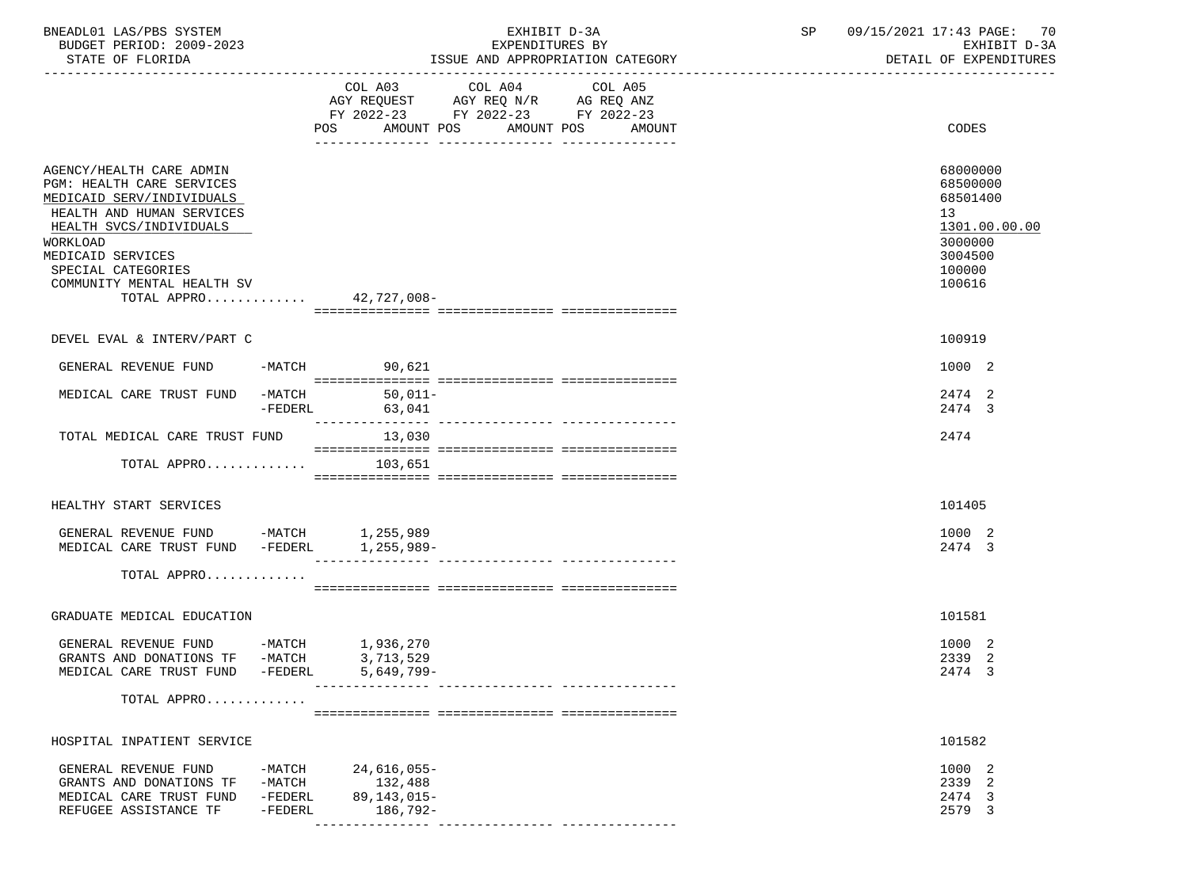| BNEADL01 LAS/PBS SYSTEM<br>BUDGET PERIOD: 2009-2023                                                                                                                                                                                                        |                                              |                                                      | EXHIBIT D-3A<br>EXPENDITURES BY                                                                   |                                  | SP | 09/15/2021 17:43 PAGE: 70<br>EXHIBIT D-3A                                                         |
|------------------------------------------------------------------------------------------------------------------------------------------------------------------------------------------------------------------------------------------------------------|----------------------------------------------|------------------------------------------------------|---------------------------------------------------------------------------------------------------|----------------------------------|----|---------------------------------------------------------------------------------------------------|
| STATE OF FLORIDA                                                                                                                                                                                                                                           |                                              |                                                      |                                                                                                   | ISSUE AND APPROPRIATION CATEGORY |    | DETAIL OF EXPENDITURES                                                                            |
|                                                                                                                                                                                                                                                            |                                              | POS AMOUNT POS AMOUNT POS                            | COL A03 COL A04 COL A05<br>AGY REQUEST AGY REQ N/R AG REQ ANZ<br>FY 2022-23 FY 2022-23 FY 2022-23 | AMOUNT                           |    | CODES                                                                                             |
| AGENCY/HEALTH CARE ADMIN<br>PGM: HEALTH CARE SERVICES<br>MEDICAID SERV/INDIVIDUALS<br>HEALTH AND HUMAN SERVICES<br>HEALTH SVCS/INDIVIDUALS<br>WORKLOAD<br>MEDICAID SERVICES<br>SPECIAL CATEGORIES<br>COMMUNITY MENTAL HEALTH SV<br>TOTAL APPRO 42,727,008- |                                              |                                                      |                                                                                                   |                                  |    | 68000000<br>68500000<br>68501400<br>13<br>1301.00.00.00<br>3000000<br>3004500<br>100000<br>100616 |
| DEVEL EVAL & INTERV/PART C                                                                                                                                                                                                                                 |                                              |                                                      |                                                                                                   |                                  |    | 100919                                                                                            |
| GENERAL REVENUE FUND                                                                                                                                                                                                                                       |                                              | -MATCH 90,621                                        |                                                                                                   |                                  |    | 1000 2                                                                                            |
| MEDICAL CARE TRUST FUND -MATCH 50,011-                                                                                                                                                                                                                     | -FEDERL                                      | 63,041                                               |                                                                                                   |                                  |    | 2474 2<br>2474 3                                                                                  |
| TOTAL MEDICAL CARE TRUST FUND<br>TOTAL APPRO $103,651$                                                                                                                                                                                                     |                                              | 13,030                                               |                                                                                                   |                                  |    | 2474                                                                                              |
|                                                                                                                                                                                                                                                            |                                              |                                                      |                                                                                                   |                                  |    |                                                                                                   |
| HEALTHY START SERVICES                                                                                                                                                                                                                                     |                                              |                                                      |                                                                                                   |                                  |    | 101405                                                                                            |
| GENERAL REVENUE FUND -MATCH 1,255,989<br>MEDICAL CARE TRUST FUND -FEDERL                                                                                                                                                                                   |                                              | 1,255,989-                                           |                                                                                                   |                                  |    | 1000 2<br>2474 3                                                                                  |
| TOTAL APPRO                                                                                                                                                                                                                                                |                                              |                                                      |                                                                                                   |                                  |    |                                                                                                   |
| GRADUATE MEDICAL EDUCATION                                                                                                                                                                                                                                 |                                              |                                                      |                                                                                                   |                                  |    | 101581                                                                                            |
| GENERAL REVENUE FUND -MATCH 1,936,270<br>GRANTS AND DONATIONS TF -MATCH<br>MEDICAL CARE TRUST FUND -FEDERL                                                                                                                                                 |                                              | 3,713,529<br>5,649,799-                              |                                                                                                   |                                  |    | 1000 2<br>2339 2<br>2474 3                                                                        |
| TOTAL APPRO                                                                                                                                                                                                                                                |                                              |                                                      |                                                                                                   |                                  |    |                                                                                                   |
| HOSPITAL INPATIENT SERVICE                                                                                                                                                                                                                                 |                                              |                                                      |                                                                                                   |                                  |    | 101582                                                                                            |
| GENERAL REVENUE FUND<br>GRANTS AND DONATIONS TF<br>MEDICAL CARE TRUST FUND<br>REFUGEE ASSISTANCE TF                                                                                                                                                        | -MATCH<br>$-MATCH$<br>$-FEDERL$<br>$-FEDERL$ | 24,616,055-<br>132,488<br>89,143,015-<br>$186.792 -$ |                                                                                                   |                                  |    | 1000 2<br>2339 2<br>2474 3<br>2579 3                                                              |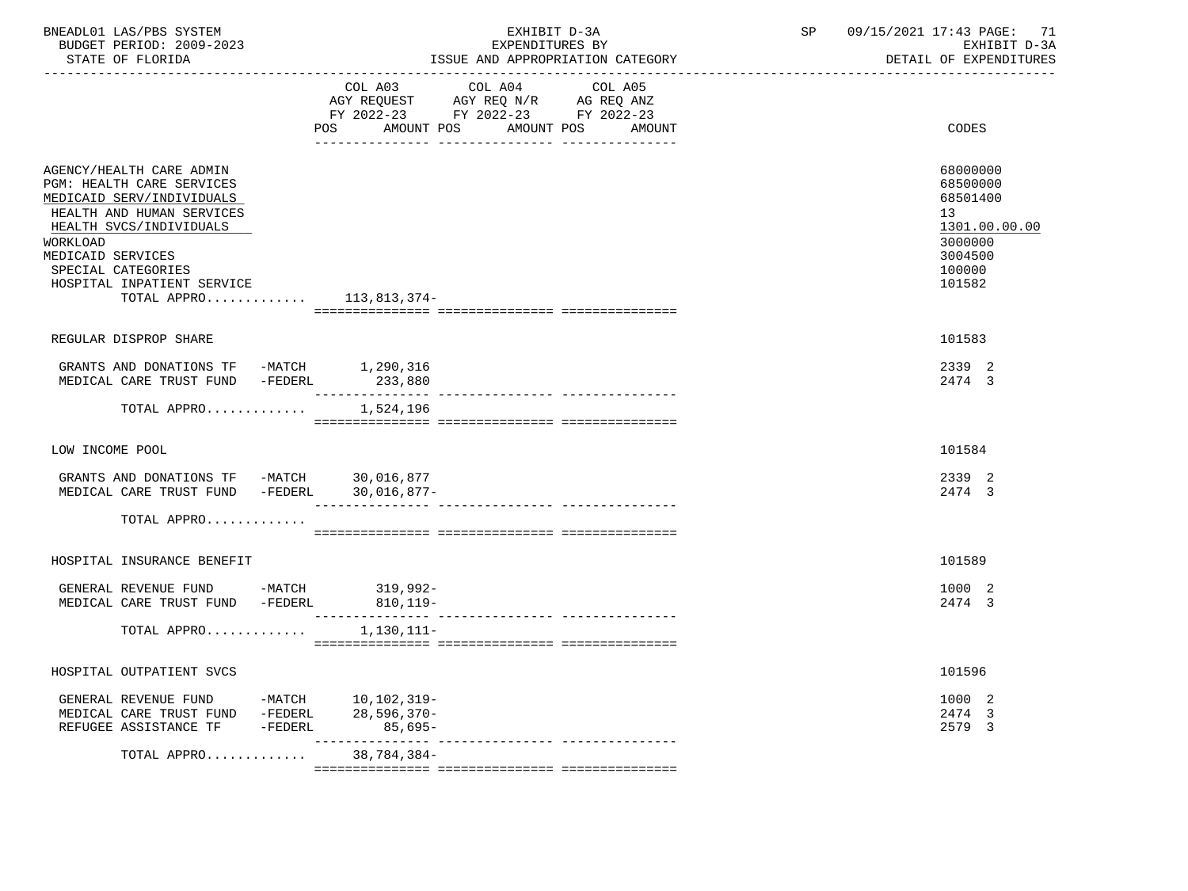| BNEADL01 LAS/PBS SYSTEM<br>BUDGET PERIOD: 2009-2023<br>STATE OF FLORIDA                                                                                                                                                                                              | EXHIBIT D-3A<br>EXPENDITURES BY<br>ISSUE AND APPROPRIATION CATEGORY                                      | 09/15/2021 17:43 PAGE: 71<br>SP<br>EXHIBIT D-3A<br>DETAIL OF EXPENDITURES                                      |
|----------------------------------------------------------------------------------------------------------------------------------------------------------------------------------------------------------------------------------------------------------------------|----------------------------------------------------------------------------------------------------------|----------------------------------------------------------------------------------------------------------------|
|                                                                                                                                                                                                                                                                      | COL A03<br>COL A04<br>COL A05<br>FY 2022-23 FY 2022-23 FY 2022-23<br>AMOUNT POS AMOUNT POS AMOUNT<br>POS | CODES                                                                                                          |
| AGENCY/HEALTH CARE ADMIN<br><b>PGM: HEALTH CARE SERVICES</b><br>MEDICAID SERV/INDIVIDUALS<br>HEALTH AND HUMAN SERVICES<br>HEALTH SVCS/INDIVIDUALS<br>WORKLOAD<br>MEDICAID SERVICES<br>SPECIAL CATEGORIES<br>HOSPITAL INPATIENT SERVICE<br>TOTAL APPRO $113,813,374-$ |                                                                                                          | 68000000<br>68500000<br>68501400<br>13 <sup>°</sup><br>1301.00.00.00<br>3000000<br>3004500<br>100000<br>101582 |
| REGULAR DISPROP SHARE                                                                                                                                                                                                                                                |                                                                                                          | 101583                                                                                                         |
| GRANTS AND DONATIONS TF -MATCH 1,290,316<br>MEDICAL CARE TRUST FUND -FEDERL 233,880                                                                                                                                                                                  |                                                                                                          | 2339 2<br>2474 3                                                                                               |
| TOTAL APPRO                                                                                                                                                                                                                                                          | 1,524,196                                                                                                |                                                                                                                |
| LOW INCOME POOL                                                                                                                                                                                                                                                      |                                                                                                          | 101584                                                                                                         |
| GRANTS AND DONATIONS TF -MATCH 30,016,877<br>MEDICAL CARE TRUST FUND -FEDERL 30,016,877-                                                                                                                                                                             |                                                                                                          | 2339 2<br>2474 3                                                                                               |
| TOTAL APPRO                                                                                                                                                                                                                                                          |                                                                                                          |                                                                                                                |
| HOSPITAL INSURANCE BENEFIT                                                                                                                                                                                                                                           |                                                                                                          | 101589                                                                                                         |
| GENERAL REVENUE FUND -MATCH 319,992-<br>MEDICAL CARE TRUST FUND -FEDERL                                                                                                                                                                                              | $810, 119 -$                                                                                             | 1000 2<br>2474 3                                                                                               |
| TOTAL APPRO $1,130,111-$                                                                                                                                                                                                                                             |                                                                                                          |                                                                                                                |
| HOSPITAL OUTPATIENT SVCS                                                                                                                                                                                                                                             |                                                                                                          | 101596                                                                                                         |
| GENERAL REVENUE FUND -MATCH 10,102,319-<br>MEDICAL CARE TRUST FUND -FEDERL 28,596,370-<br>REFUGEE ASSISTANCE TF -FEDERL                                                                                                                                              | $85,695-$                                                                                                | 1000 2<br>2474 3<br>2579 3                                                                                     |
| TOTAL APPRO                                                                                                                                                                                                                                                          | 38,784,384-                                                                                              |                                                                                                                |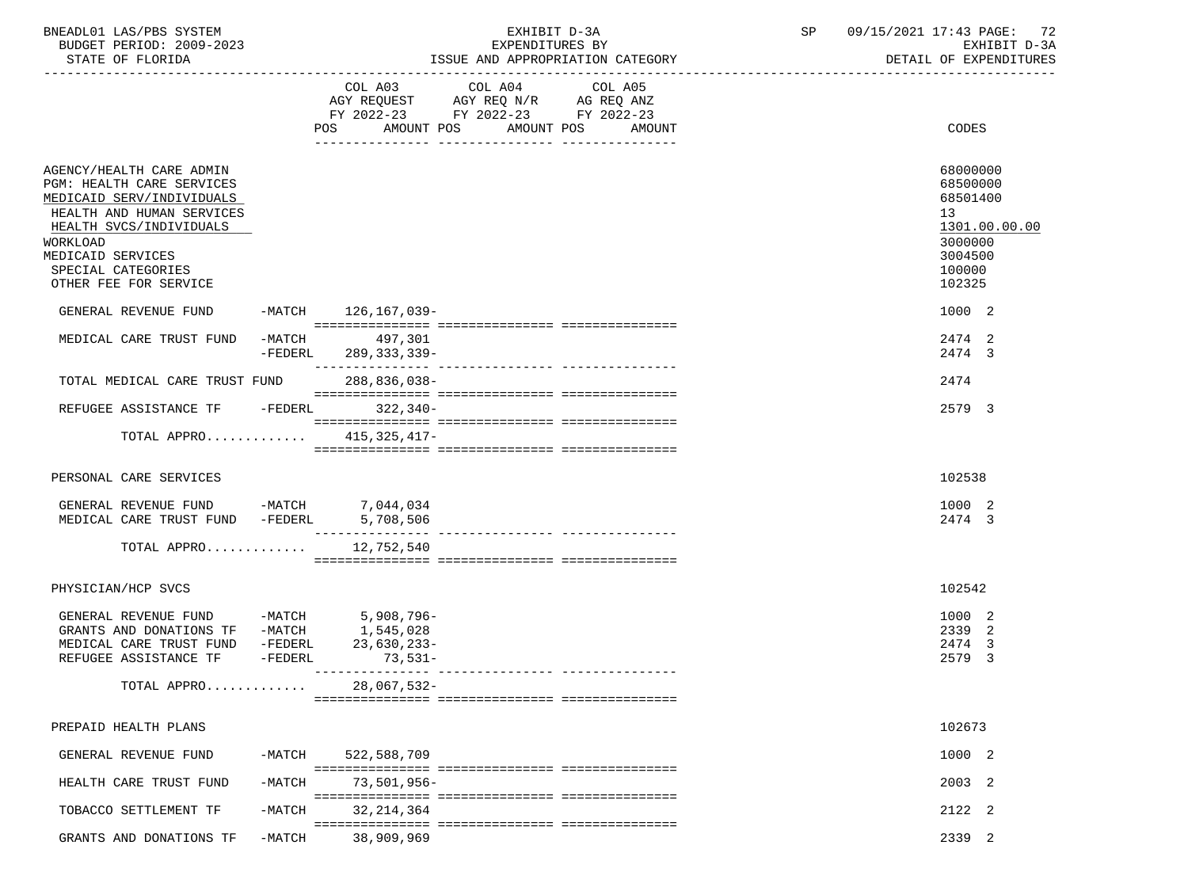| BNEADL01 LAS/PBS SYSTEM<br>BUDGET PERIOD: 2009-2023<br>STATE OF FLORIDA                                                                                                                                                    |                       |                           | EXHIBIT D-3A<br>EXPENDITURES BY                                                                   | ISSUE AND APPROPRIATION CATEGORY | SP and the set of the set of the set of the set of the set of the set of the set of the set of the set of the set of the set of the set of the set of the set of the set of the set of the set of the set of the set of the se | 09/15/2021 17:43 PAGE: 72<br>EXHIBIT D-3A<br>DETAIL OF EXPENDITURES                               |
|----------------------------------------------------------------------------------------------------------------------------------------------------------------------------------------------------------------------------|-----------------------|---------------------------|---------------------------------------------------------------------------------------------------|----------------------------------|--------------------------------------------------------------------------------------------------------------------------------------------------------------------------------------------------------------------------------|---------------------------------------------------------------------------------------------------|
|                                                                                                                                                                                                                            |                       | <b>POS</b><br>AMOUNT POS  | COL A03 COL A04 COL A05<br>AGY REQUEST AGY REQ N/R AG REQ ANZ<br>FY 2022-23 FY 2022-23 FY 2022-23 | AMOUNT POS<br>AMOUNT             |                                                                                                                                                                                                                                | CODES                                                                                             |
| AGENCY/HEALTH CARE ADMIN<br>PGM: HEALTH CARE SERVICES<br>MEDICAID SERV/INDIVIDUALS<br>HEALTH AND HUMAN SERVICES<br>HEALTH SVCS/INDIVIDUALS<br>WORKLOAD<br>MEDICAID SERVICES<br>SPECIAL CATEGORIES<br>OTHER FEE FOR SERVICE |                       |                           |                                                                                                   |                                  |                                                                                                                                                                                                                                | 68000000<br>68500000<br>68501400<br>13<br>1301.00.00.00<br>3000000<br>3004500<br>100000<br>102325 |
| GENERAL REVENUE FUND                                                                                                                                                                                                       |                       | -MATCH 126, 167, 039-     |                                                                                                   |                                  |                                                                                                                                                                                                                                | 1000 2                                                                                            |
| MEDICAL CARE TRUST FUND                                                                                                                                                                                                    | $-MATCH$<br>$-FEDERL$ | 497,301<br>289, 333, 339- |                                                                                                   |                                  |                                                                                                                                                                                                                                | 2474 2<br>2474 3                                                                                  |
| TOTAL MEDICAL CARE TRUST FUND                                                                                                                                                                                              |                       | 288,836,038-              |                                                                                                   |                                  |                                                                                                                                                                                                                                | 2474                                                                                              |
| REFUGEE ASSISTANCE TF -FEDERL 322,340-                                                                                                                                                                                     |                       |                           |                                                                                                   |                                  |                                                                                                                                                                                                                                | 2579 3                                                                                            |
| TOTAL APPRO 415,325,417-                                                                                                                                                                                                   |                       |                           |                                                                                                   |                                  |                                                                                                                                                                                                                                |                                                                                                   |
| PERSONAL CARE SERVICES                                                                                                                                                                                                     |                       |                           |                                                                                                   |                                  |                                                                                                                                                                                                                                | 102538                                                                                            |
| GENERAL REVENUE FUND -MATCH 7,044,034<br>MEDICAL CARE TRUST FUND -FEDERL 5,708,506                                                                                                                                         |                       |                           |                                                                                                   |                                  |                                                                                                                                                                                                                                | 1000 2<br>2474 3                                                                                  |
| TOTAL APPRO                                                                                                                                                                                                                |                       | 12,752,540                |                                                                                                   |                                  |                                                                                                                                                                                                                                |                                                                                                   |
| PHYSICIAN/HCP SVCS                                                                                                                                                                                                         |                       |                           |                                                                                                   |                                  |                                                                                                                                                                                                                                | 102542                                                                                            |
| GENERAL REVENUE FUND -MATCH 5,908,796-<br>GRANTS AND DONATIONS TF $-MATCH$ 1,545,028<br>MEDICAL CARE TRUST FUND -FEDERL 23,630,233<br>REFUGEE ASSISTANCE TF                                                                | -FEDERL               | 23,630,233-<br>$73,531-$  |                                                                                                   |                                  |                                                                                                                                                                                                                                | 1000 2<br>2339 2<br>2474 3<br>2579 3                                                              |
| TOTAL APPRO                                                                                                                                                                                                                |                       | $28,067,532-$             |                                                                                                   |                                  |                                                                                                                                                                                                                                |                                                                                                   |
| PREPAID HEALTH PLANS                                                                                                                                                                                                       |                       |                           |                                                                                                   |                                  |                                                                                                                                                                                                                                | 102673                                                                                            |
| GENERAL REVENUE FUND                                                                                                                                                                                                       | -MATCH                | 522,588,709               |                                                                                                   |                                  |                                                                                                                                                                                                                                | 1000 2                                                                                            |
| HEALTH CARE TRUST FUND                                                                                                                                                                                                     | $-MATCH$              | $73,501,956 -$            |                                                                                                   |                                  |                                                                                                                                                                                                                                | 2003 2                                                                                            |
| TOBACCO SETTLEMENT TF                                                                                                                                                                                                      | $-MATCH$              | 32, 214, 364              |                                                                                                   |                                  |                                                                                                                                                                                                                                | 2122 2                                                                                            |
| GRANTS AND DONATIONS TF                                                                                                                                                                                                    | $-MATCH$              | 38,909,969                |                                                                                                   |                                  |                                                                                                                                                                                                                                | 2339 2                                                                                            |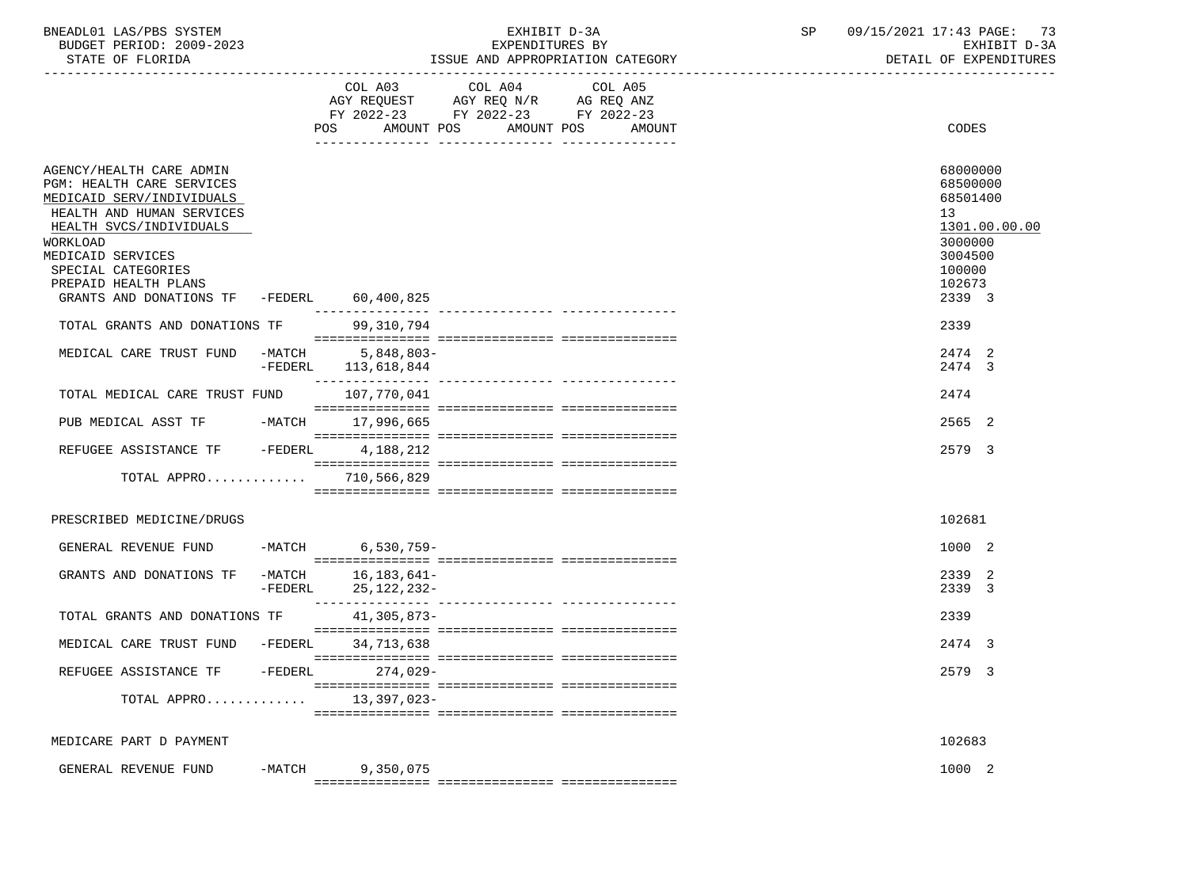| BNEADL01 LAS/PBS SYSTEM  | EXHIBIT D-3A                     | 09/15/2021 17:43 PAGE: |
|--------------------------|----------------------------------|------------------------|
| BUDGET PERIOD: 2009-2023 | EXPENDITURES BY                  | EXHIBIT D-3A           |
| STATE OF FLORIDA         | ISSUE AND APPROPRIATION CATEGORY | DETAIL OF EXPENDITURES |

|                                                                                                                                                                                                                           |                     | COL A03<br>AMOUNT POS<br>POS      | COL A04<br>AGY REQUEST AGY REQ N/R AG REQ ANZ<br>FY 2022-23 FY 2022-23 FY 2022-23<br>AMOUNT POS | COL A05<br>AMOUNT | CODES                                                                                             |
|---------------------------------------------------------------------------------------------------------------------------------------------------------------------------------------------------------------------------|---------------------|-----------------------------------|-------------------------------------------------------------------------------------------------|-------------------|---------------------------------------------------------------------------------------------------|
| AGENCY/HEALTH CARE ADMIN<br>PGM: HEALTH CARE SERVICES<br>MEDICAID SERV/INDIVIDUALS<br>HEALTH AND HUMAN SERVICES<br>HEALTH SVCS/INDIVIDUALS<br>WORKLOAD<br>MEDICAID SERVICES<br>SPECIAL CATEGORIES<br>PREPAID HEALTH PLANS |                     |                                   |                                                                                                 |                   | 68000000<br>68500000<br>68501400<br>13<br>1301.00.00.00<br>3000000<br>3004500<br>100000<br>102673 |
| GRANTS AND DONATIONS TF -FEDERL                                                                                                                                                                                           |                     | 60,400,825                        |                                                                                                 |                   | 2339 3                                                                                            |
| TOTAL GRANTS AND DONATIONS TF                                                                                                                                                                                             |                     | 99,310,794                        |                                                                                                 |                   | 2339                                                                                              |
| MEDICAL CARE TRUST FUND                                                                                                                                                                                                   | $-MATCH$<br>-FEDERL | $5,848,803-$<br>113,618,844       |                                                                                                 |                   | 2474 2<br>2474 3                                                                                  |
| TOTAL MEDICAL CARE TRUST FUND                                                                                                                                                                                             |                     | 107,770,041                       |                                                                                                 |                   | 2474                                                                                              |
| PUB MEDICAL ASST TF                                                                                                                                                                                                       |                     | -MATCH 17,996,665                 |                                                                                                 |                   | 2565 2                                                                                            |
| REFUGEE ASSISTANCE TF                                                                                                                                                                                                     | -FEDERL             | 4,188,212                         |                                                                                                 |                   | 2579 3                                                                                            |
| TOTAL APPRO                                                                                                                                                                                                               |                     | 710,566,829                       |                                                                                                 |                   |                                                                                                   |
|                                                                                                                                                                                                                           |                     |                                   |                                                                                                 |                   |                                                                                                   |
| PRESCRIBED MEDICINE/DRUGS                                                                                                                                                                                                 |                     |                                   |                                                                                                 |                   | 102681                                                                                            |
| GENERAL REVENUE FUND                                                                                                                                                                                                      | $-MATCH$            | $6,530,759-$                      |                                                                                                 |                   | 1000 2                                                                                            |
| GRANTS AND DONATIONS TF                                                                                                                                                                                                   | -FEDERL             | -MATCH 16,183,641-<br>25,122,232- |                                                                                                 |                   | 2339 2<br>2339 3                                                                                  |
| TOTAL GRANTS AND DONATIONS TF                                                                                                                                                                                             |                     | $41.305.873-$                     |                                                                                                 |                   | 2339                                                                                              |
| MEDICAL CARE TRUST FUND                                                                                                                                                                                                   | -FEDERL             | 34,713,638                        |                                                                                                 |                   | 2474 3                                                                                            |
| REFUGEE ASSISTANCE TF                                                                                                                                                                                                     | -FEDERL             | $274.029-$                        |                                                                                                 |                   | 2579 3                                                                                            |
| TOTAL APPRO                                                                                                                                                                                                               |                     | 13,397,023-                       |                                                                                                 |                   |                                                                                                   |
|                                                                                                                                                                                                                           |                     |                                   |                                                                                                 |                   |                                                                                                   |
| MEDICARE PART D PAYMENT                                                                                                                                                                                                   |                     |                                   |                                                                                                 |                   | 102683                                                                                            |
| GENERAL REVENUE FUND                                                                                                                                                                                                      |                     | -MATCH 9,350,075                  |                                                                                                 |                   | 1000 2                                                                                            |
|                                                                                                                                                                                                                           |                     |                                   |                                                                                                 |                   |                                                                                                   |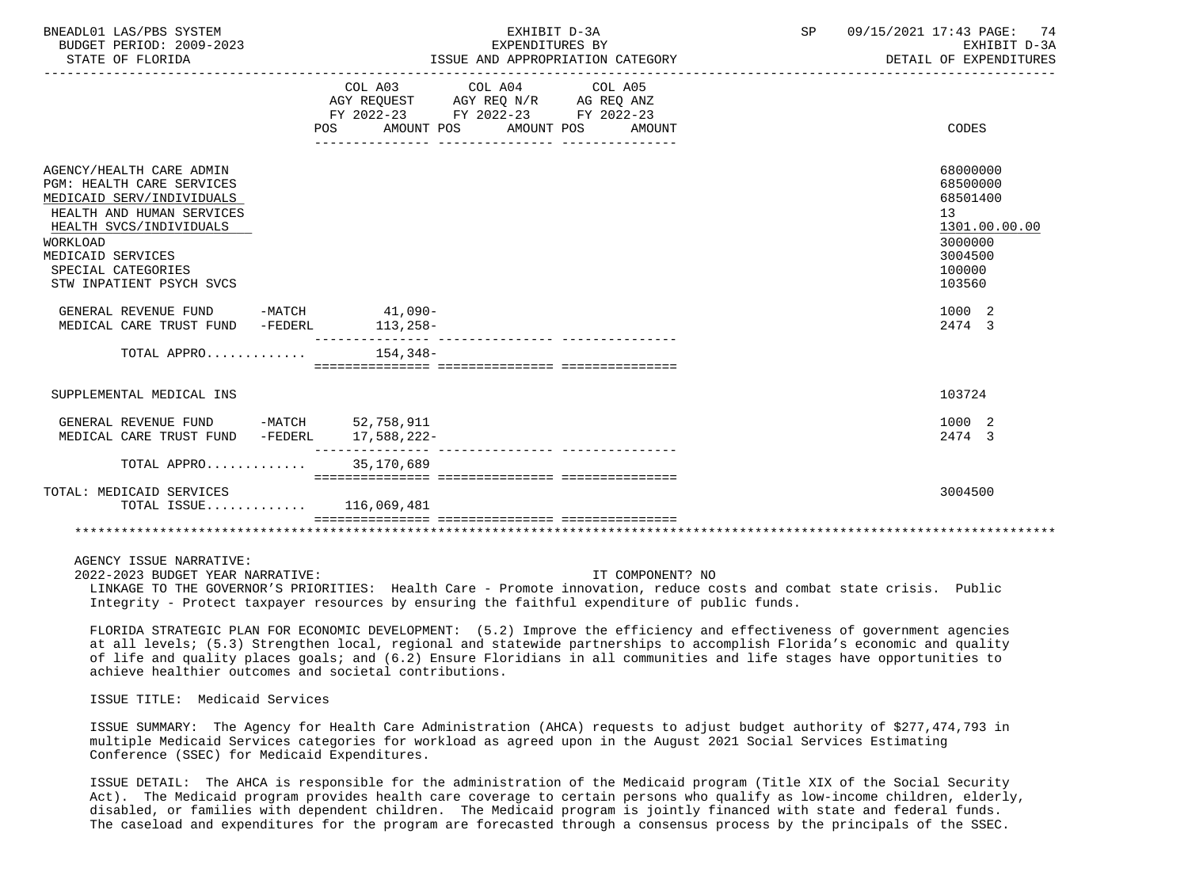| BNEADL01 LAS/PBS SYSTEM<br>BUDGET PERIOD: 2009-2023<br>STATE OF FLORIDA                                                                                                                                                              | EXHIBIT D-3A<br>EXPENDITURES BY<br>ISSUE AND APPROPRIATION CATEGORY                                                                                | 09/15/2021 17:43 PAGE: 74<br>SP<br>EXHIBIT D-3A<br>DETAIL OF EXPENDITURES                         |
|--------------------------------------------------------------------------------------------------------------------------------------------------------------------------------------------------------------------------------------|----------------------------------------------------------------------------------------------------------------------------------------------------|---------------------------------------------------------------------------------------------------|
|                                                                                                                                                                                                                                      | COL A03 COL A04 COL A05<br>AGY REQUEST AGY REQ N/R AG REQ ANZ<br>FY 2022-23 FY 2022-23 FY 2022-23<br>AMOUNT POS AMOUNT POS<br>AMOUNT<br><b>POS</b> | CODES                                                                                             |
| AGENCY/HEALTH CARE ADMIN<br><b>PGM: HEALTH CARE SERVICES</b><br>MEDICAID SERV/INDIVIDUALS<br>HEALTH AND HUMAN SERVICES<br>HEALTH SVCS/INDIVIDUALS<br>WORKLOAD<br>MEDICAID SERVICES<br>SPECIAL CATEGORIES<br>STW INPATIENT PSYCH SVCS |                                                                                                                                                    | 68000000<br>68500000<br>68501400<br>13<br>1301.00.00.00<br>3000000<br>3004500<br>100000<br>103560 |
| GENERAL REVENUE FUND<br>MEDICAL CARE TRUST FUND -FEDERL                                                                                                                                                                              | -MATCH 41,090-<br>$113,258-$                                                                                                                       | 1000 2<br>2474 3                                                                                  |
| TOTAL APPRO $154,348-$                                                                                                                                                                                                               |                                                                                                                                                    |                                                                                                   |
| SUPPLEMENTAL MEDICAL INS                                                                                                                                                                                                             |                                                                                                                                                    | 103724                                                                                            |
| GENERAL REVENUE FUND -MATCH 52,758,911<br>MEDICAL CARE TRUST FUND -FEDERL                                                                                                                                                            | 17,588,222-                                                                                                                                        | 1000 2<br>2474 3                                                                                  |
| TOTAL APPRO                                                                                                                                                                                                                          | 35,170,689                                                                                                                                         |                                                                                                   |
| TOTAL: MEDICAID SERVICES<br>TOTAL ISSUE 116,069,481                                                                                                                                                                                  |                                                                                                                                                    | 3004500                                                                                           |
|                                                                                                                                                                                                                                      | ============================                                                                                                                       |                                                                                                   |

 2022-2023 BUDGET YEAR NARRATIVE: IT COMPONENT? NO LINKAGE TO THE GOVERNOR'S PRIORITIES: Health Care - Promote innovation, reduce costs and combat state crisis. Public Integrity - Protect taxpayer resources by ensuring the faithful expenditure of public funds.

 FLORIDA STRATEGIC PLAN FOR ECONOMIC DEVELOPMENT: (5.2) Improve the efficiency and effectiveness of government agencies at all levels; (5.3) Strengthen local, regional and statewide partnerships to accomplish Florida's economic and quality of life and quality places goals; and (6.2) Ensure Floridians in all communities and life stages have opportunities to achieve healthier outcomes and societal contributions.

## ISSUE TITLE: Medicaid Services

 ISSUE SUMMARY: The Agency for Health Care Administration (AHCA) requests to adjust budget authority of \$277,474,793 in multiple Medicaid Services categories for workload as agreed upon in the August 2021 Social Services Estimating Conference (SSEC) for Medicaid Expenditures.

 ISSUE DETAIL: The AHCA is responsible for the administration of the Medicaid program (Title XIX of the Social Security Act). The Medicaid program provides health care coverage to certain persons who qualify as low-income children, elderly, disabled, or families with dependent children. The Medicaid program is jointly financed with state and federal funds. The caseload and expenditures for the program are forecasted through a consensus process by the principals of the SSEC.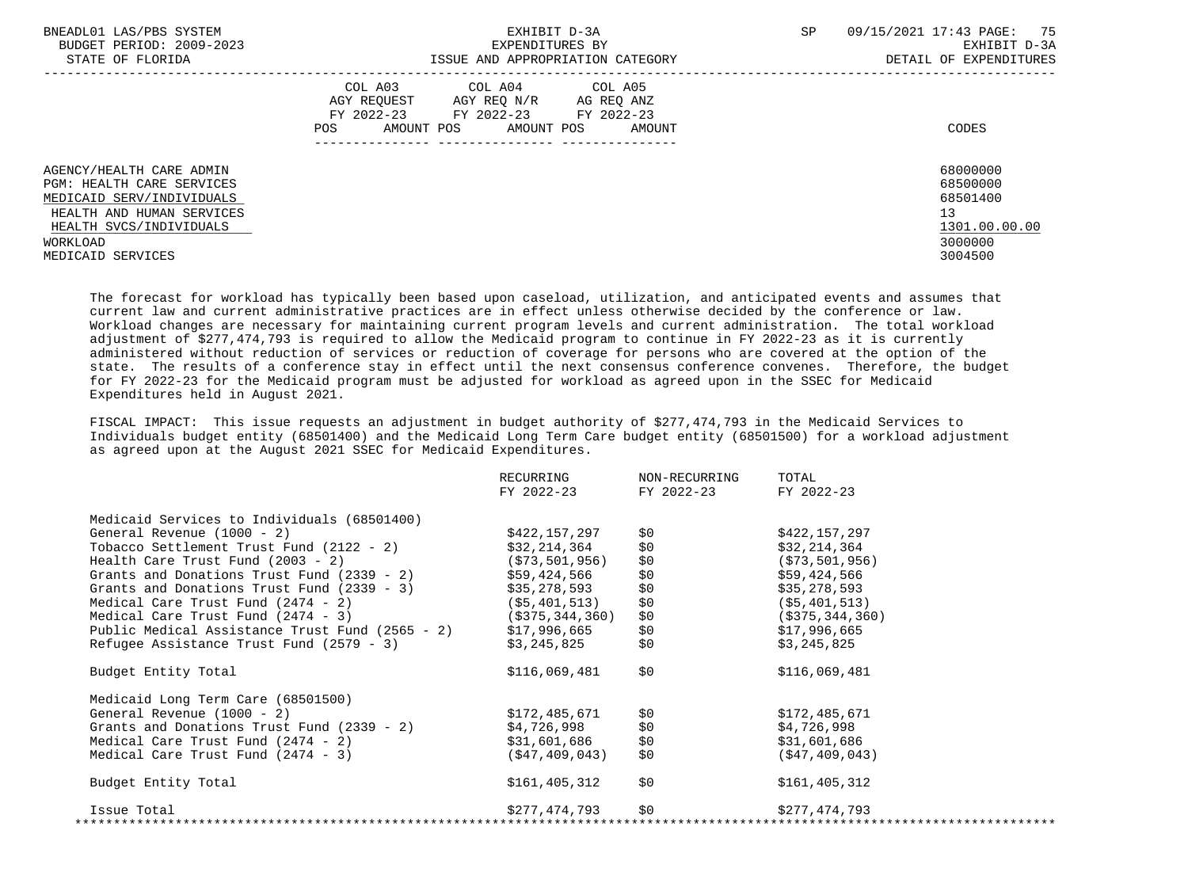| BNEADL01 LAS/PBS SYSTEM<br>BUDGET PERIOD: 2009-2023<br>STATE OF FLORIDA                                                                           | EXHIBIT D-3A<br>EXPENDITURES BY<br>ISSUE AND APPROPRIATION CATEGORY                                                                         | SP<br>09/15/2021 17:43 PAGE: 75<br>EXHIBIT D-3A<br>DETAIL OF EXPENDITURES |
|---------------------------------------------------------------------------------------------------------------------------------------------------|---------------------------------------------------------------------------------------------------------------------------------------------|---------------------------------------------------------------------------|
|                                                                                                                                                   | COL A03 COL A04 COL A05<br>AGY REQUEST AGY REQ N/R AG REQ ANZ<br>FY 2022-23 FY 2022-23 FY 2022-23<br>POS<br>AMOUNT POS AMOUNT POS<br>AMOUNT | CODES                                                                     |
| AGENCY/HEALTH CARE ADMIN<br><b>PGM: HEALTH CARE SERVICES</b><br>MEDICAID SERV/INDIVIDUALS<br>HEALTH AND HUMAN SERVICES<br>HEALTH SVCS/INDIVIDUALS |                                                                                                                                             | 68000000<br>68500000<br>68501400<br>13<br>1301.00.00.00                   |
| WORKLOAD<br>MEDICAID SERVICES                                                                                                                     |                                                                                                                                             | 3000000<br>3004500                                                        |

 The forecast for workload has typically been based upon caseload, utilization, and anticipated events and assumes that current law and current administrative practices are in effect unless otherwise decided by the conference or law. Workload changes are necessary for maintaining current program levels and current administration. The total workload adjustment of \$277,474,793 is required to allow the Medicaid program to continue in FY 2022-23 as it is currently administered without reduction of services or reduction of coverage for persons who are covered at the option of the state. The results of a conference stay in effect until the next consensus conference convenes. Therefore, the budget for FY 2022-23 for the Medicaid program must be adjusted for workload as agreed upon in the SSEC for Medicaid Expenditures held in August 2021.

 FISCAL IMPACT: This issue requests an adjustment in budget authority of \$277,474,793 in the Medicaid Services to Individuals budget entity (68501400) and the Medicaid Long Term Care budget entity (68501500) for a workload adjustment as agreed upon at the August 2021 SSEC for Medicaid Expenditures.

|                                                              | RECURRING<br>FY 2022-23 | NON-RECURRING<br>FY 2022-23 | TOTAL<br>FY 2022-23 |
|--------------------------------------------------------------|-------------------------|-----------------------------|---------------------|
| Medicaid Services to Individuals (68501400)                  |                         |                             |                     |
| General Revenue $(1000 - 2)$                                 | \$422,157,297           | \$0                         | \$422,157,297       |
| Tobacco Settlement Trust Fund (2122 - 2)                     | \$32,214,364            | \$0                         | \$32,214,364        |
| Health Care Trust Fund $(2003 - 2)$                          | (\$73,501,956)          | \$0                         | (\$73,501,956)      |
| Grants and Donations Trust Fund (2339 - 2)                   | \$59,424,566            | \$0                         | \$59,424,566        |
| Grants and Donations Trust Fund (2339 - 3)                   | \$35,278,593            | \$0                         | \$35,278,593        |
| Medical Care Trust Fund (2474 - 2)                           | ( \$5,401,513)          | \$0                         | (\$5,401,513)       |
| Medical Care Trust Fund (2474 - 3)                           | (\$375,344,360)         | \$0                         | $($ \$375,344,360)  |
| Public Medical Assistance Trust Fund (2565 - 2) \$17,996,665 |                         | \$0\$                       | \$17,996,665        |
| Refugee Assistance Trust Fund (2579 - 3)                     | \$3,245,825             | \$0                         | \$3,245,825         |
| Budget Entity Total                                          | \$116,069,481           | \$0                         | \$116,069,481       |
| Medicaid Long Term Care (68501500)                           |                         |                             |                     |
| General Revenue $(1000 - 2)$                                 | \$172,485,671           | \$0                         | \$172,485,671       |
| Grants and Donations Trust Fund (2339 - 2)                   | \$4,726,998             | \$0                         | \$4,726,998         |
| Medical Care Trust Fund (2474 - 2)                           | \$31,601,686            | \$0                         | \$31,601,686        |
| Medical Care Trust Fund (2474 - 3)                           | (\$47,409,043)          | \$0                         | (S47, 409, 043)     |
| Budget Entity Total                                          | \$161,405,312           | \$0                         | \$161, 405, 312     |
| Issue Total                                                  | \$277,474,793           | \$0                         | \$277,474,793       |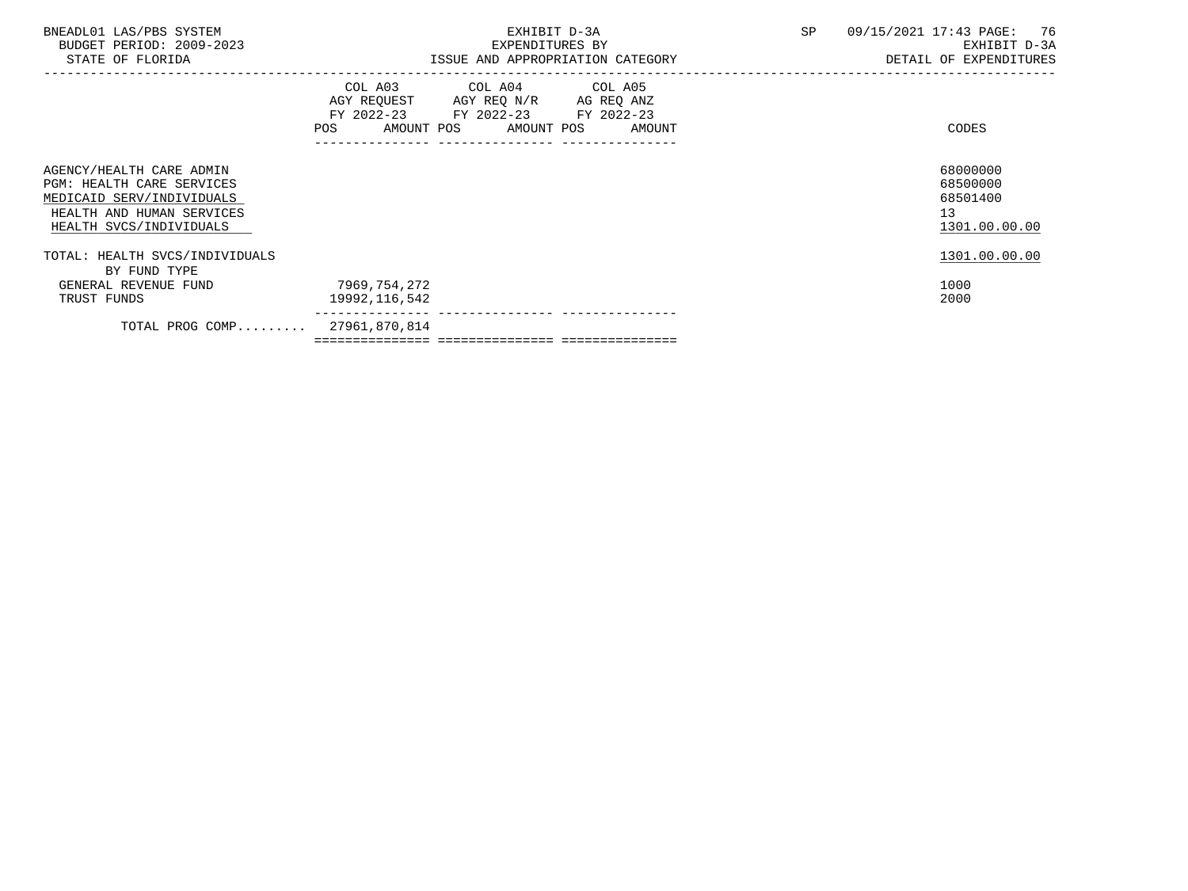| BNEADL01 LAS/PBS SYSTEM<br>BUDGET PERIOD: 2009-2023<br>STATE OF FLORIDA                                                                           | EXHIBIT D-3A<br>EXPENDITURES BY<br>ISSUE AND APPROPRIATION CATEGORY                                                                      | 09/15/2021 17:43 PAGE: 76<br>SP<br>EXHIBIT D-3A<br>DETAIL OF EXPENDITURES |
|---------------------------------------------------------------------------------------------------------------------------------------------------|------------------------------------------------------------------------------------------------------------------------------------------|---------------------------------------------------------------------------|
|                                                                                                                                                   | COL A03 COL A04 COL A05<br>AGY REQUEST AGY REQ N/R AG REQ ANZ<br>FY 2022-23 FY 2022-23 FY 2022-23<br>AMOUNT POS AMOUNT POS<br><b>POS</b> | CODES<br>AMOUNT                                                           |
| AGENCY/HEALTH CARE ADMIN<br><b>PGM: HEALTH CARE SERVICES</b><br>MEDICAID SERV/INDIVIDUALS<br>HEALTH AND HUMAN SERVICES<br>HEALTH SVCS/INDIVIDUALS |                                                                                                                                          | 68000000<br>68500000<br>68501400<br>13<br>1301.00.00.00                   |
| TOTAL: HEALTH SVCS/INDIVIDUALS<br>BY FUND TYPE                                                                                                    |                                                                                                                                          | 1301.00.00.00                                                             |
| GENERAL REVENUE FUND<br>TRUST FUNDS                                                                                                               | 7969,754,272<br>19992,116,542                                                                                                            | 1000<br>2000                                                              |
| TOTAL PROG COMP                                                                                                                                   | 27961,870,814                                                                                                                            |                                                                           |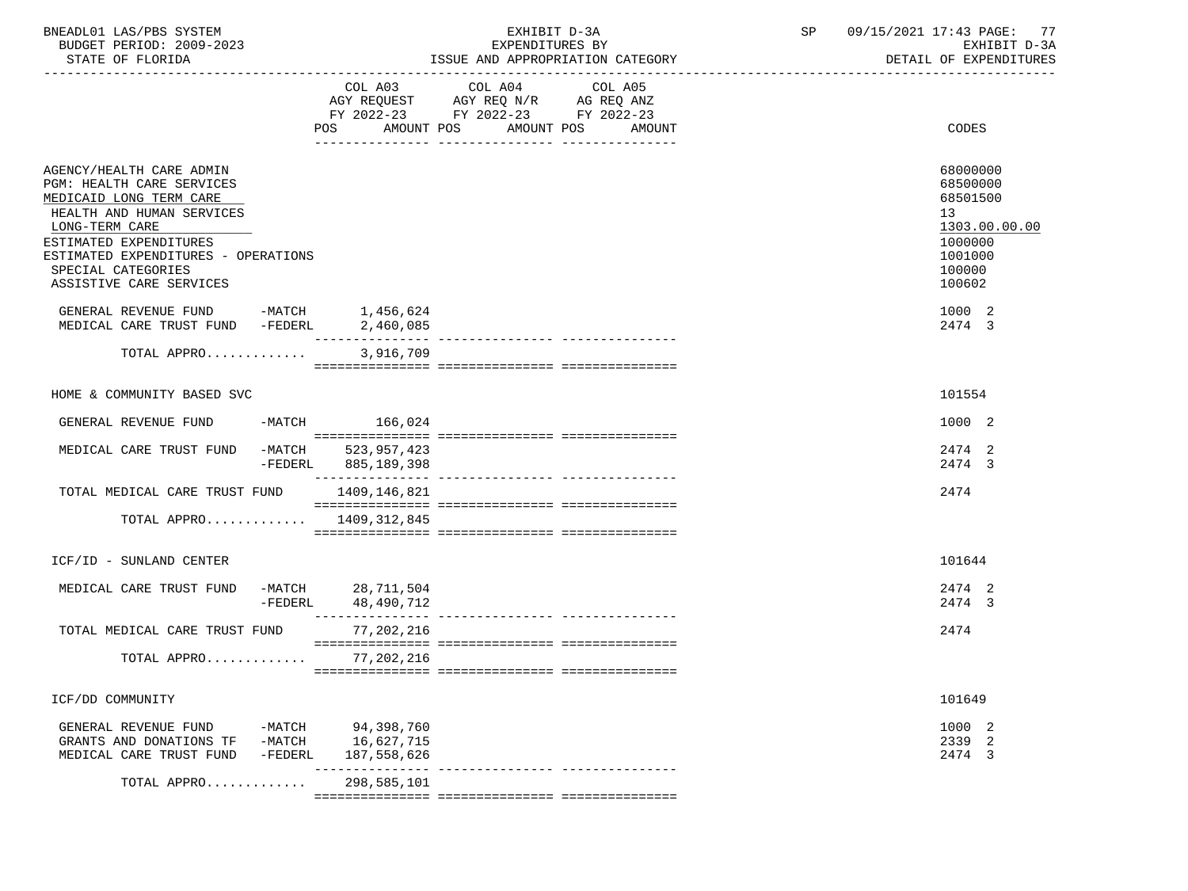| SYSTEM<br>/mn<br>BNEADL0.<br><b>DRS</b><br>ى AL        |                         | --<br>$\sim$ $\sim$ $\sim$ $\sim$<br>ם ר<br>,,,<br>PAGL .<br>. |
|--------------------------------------------------------|-------------------------|----------------------------------------------------------------|
| $2009 - 2023$<br>חמד סתח<br><b>BUDGET</b><br>,,,<br>ᄔᅜ | ъv<br>EXPENDITURES<br>∸ | ∼                                                              |
|                                                        |                         | ----------------------                                         |

SUBSITATION CONSULTERING AND INSULTERING OF THE STATE OF THE MOST AND APPROPRIATION CATEGORY DETAIL OF EXPENDITURES

|                                                                                                                                                                                                                                                   |                                 | COL A03 COL A04 COL A05<br>AGY REQUEST AGY REQ N/R AG REQ ANZ<br>FY 2022-23 FY 2022-23 FY 2022-23 |        |                                                                                                   |
|---------------------------------------------------------------------------------------------------------------------------------------------------------------------------------------------------------------------------------------------------|---------------------------------|---------------------------------------------------------------------------------------------------|--------|---------------------------------------------------------------------------------------------------|
|                                                                                                                                                                                                                                                   | AMOUNT POS<br>POS               | AMOUNT POS                                                                                        | AMOUNT | CODES                                                                                             |
|                                                                                                                                                                                                                                                   |                                 |                                                                                                   |        |                                                                                                   |
| AGENCY/HEALTH CARE ADMIN<br>PGM: HEALTH CARE SERVICES<br>MEDICAID LONG TERM CARE<br>HEALTH AND HUMAN SERVICES<br>LONG-TERM CARE<br>ESTIMATED EXPENDITURES<br>ESTIMATED EXPENDITURES - OPERATIONS<br>SPECIAL CATEGORIES<br>ASSISTIVE CARE SERVICES |                                 |                                                                                                   |        | 68000000<br>68500000<br>68501500<br>13<br>1303.00.00.00<br>1000000<br>1001000<br>100000<br>100602 |
| GENERAL REVENUE FUND -MATCH 1,456,624                                                                                                                                                                                                             |                                 |                                                                                                   |        | 1000 2                                                                                            |
| MEDICAL CARE TRUST FUND -FEDERL                                                                                                                                                                                                                   | 2,460,085                       |                                                                                                   |        | 2474 3                                                                                            |
| TOTAL APPRO                                                                                                                                                                                                                                       | 3,916,709                       |                                                                                                   |        |                                                                                                   |
|                                                                                                                                                                                                                                                   |                                 |                                                                                                   |        |                                                                                                   |
| HOME & COMMUNITY BASED SVC                                                                                                                                                                                                                        |                                 |                                                                                                   |        | 101554                                                                                            |
| GENERAL REVENUE FUND                                                                                                                                                                                                                              | -MATCH 166,024                  |                                                                                                   |        | 1000 2                                                                                            |
| MEDICAL CARE TRUST FUND -MATCH 523,957,423                                                                                                                                                                                                        | -FEDERL 885,189,398             |                                                                                                   |        | 2474 2<br>2474 3                                                                                  |
| TOTAL MEDICAL CARE TRUST FUND 1409,146,821                                                                                                                                                                                                        |                                 |                                                                                                   |        | 2474                                                                                              |
| TOTAL APPRO $1409,312,845$                                                                                                                                                                                                                        |                                 |                                                                                                   |        |                                                                                                   |
|                                                                                                                                                                                                                                                   |                                 |                                                                                                   |        |                                                                                                   |
| ICF/ID - SUNLAND CENTER                                                                                                                                                                                                                           |                                 |                                                                                                   |        | 101644                                                                                            |
|                                                                                                                                                                                                                                                   |                                 |                                                                                                   |        | 2474 2                                                                                            |
| MEDICAL CARE TRUST FUND<br>-FEDERL                                                                                                                                                                                                                | -MATCH 28,711,504<br>48,490,712 |                                                                                                   |        | 2474 3                                                                                            |
|                                                                                                                                                                                                                                                   |                                 |                                                                                                   |        |                                                                                                   |
| TOTAL MEDICAL CARE TRUST FUND                                                                                                                                                                                                                     | 77,202,216                      |                                                                                                   |        | 2474                                                                                              |
| TOTAL APPRO 77, 202, 216                                                                                                                                                                                                                          |                                 |                                                                                                   |        |                                                                                                   |
|                                                                                                                                                                                                                                                   |                                 |                                                                                                   |        |                                                                                                   |
| ICF/DD COMMUNITY                                                                                                                                                                                                                                  |                                 |                                                                                                   |        | 101649                                                                                            |
|                                                                                                                                                                                                                                                   |                                 |                                                                                                   |        | 1000 2                                                                                            |
| GENERAL REVENUE FUND $-MATCH$ 94,398,760<br>GRANTS AND DONATIONS TF -MATCH 16,627,715                                                                                                                                                             |                                 |                                                                                                   |        | 2339 2                                                                                            |
| MEDICAL CARE TRUST FUND<br>-FEDERL                                                                                                                                                                                                                | 187,558,626                     |                                                                                                   |        | 2474 3                                                                                            |
| TOTAL APPRO                                                                                                                                                                                                                                       | 298,585,101                     |                                                                                                   |        |                                                                                                   |
|                                                                                                                                                                                                                                                   |                                 |                                                                                                   |        |                                                                                                   |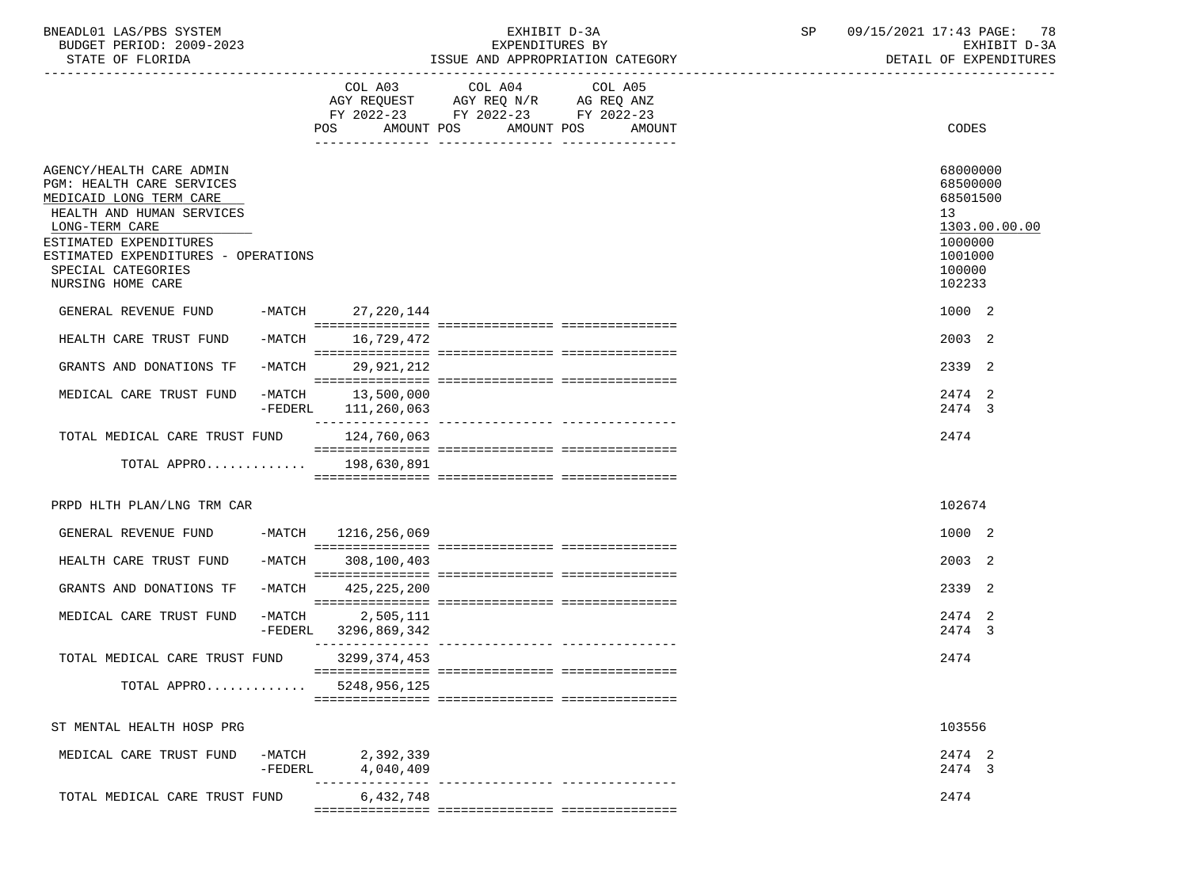| BNEADL01 LAS/PBS SYSTEM  | TRTT<br>CXH.               | SΡ | 09/15/2021<br>17:43 PAGE:<br>78 |
|--------------------------|----------------------------|----|---------------------------------|
| BUDGET PERIOD: 2009-2023 | EXPENDITURES BY            |    | EXHIBIT D-3A                    |
| STATE OF FLORIDA         | AND APPROPRIATION CATEGORY |    | DETAIL OF EXPENDITURES          |

## EXHIBIT D-3A SP  $09/15/2021$  17:43 PAGE: 78<br>EXPENDITURES BY SEXEMBLE D-3A ISSUE AND APPROPRIATION CATEGORY

|                                                                                                                                                                                                                                             |                   | POS AMOUNT POS                   | COL A03 COL A04 COL A05<br>AGY REQUEST AGY REQ N/R AG REQ ANZ<br>FY 2022-23 FY 2022-23 FY 2022-23 | AMOUNT POS<br>AMOUNT              |    | CODES                                                                                       |
|---------------------------------------------------------------------------------------------------------------------------------------------------------------------------------------------------------------------------------------------|-------------------|----------------------------------|---------------------------------------------------------------------------------------------------|-----------------------------------|----|---------------------------------------------------------------------------------------------|
|                                                                                                                                                                                                                                             |                   |                                  |                                                                                                   |                                   |    |                                                                                             |
| AGENCY/HEALTH CARE ADMIN<br>PGM: HEALTH CARE SERVICES<br>MEDICAID LONG TERM CARE<br>HEALTH AND HUMAN SERVICES<br>LONG-TERM CARE<br>ESTIMATED EXPENDITURES<br>ESTIMATED EXPENDITURES - OPERATIONS<br>SPECIAL CATEGORIES<br>NURSING HOME CARE |                   |                                  |                                                                                                   |                                   | 13 | 68000000<br>68500000<br>68501500<br>1303.00.00.00<br>1000000<br>1001000<br>100000<br>102233 |
| GENERAL REVENUE FUND -MATCH 27, 220, 144                                                                                                                                                                                                    |                   |                                  |                                                                                                   |                                   |    | 1000 2                                                                                      |
| HEALTH CARE TRUST FUND                                                                                                                                                                                                                      | $-MATCH$          | 16,729,472                       |                                                                                                   |                                   |    | 2003 2                                                                                      |
| GRANTS AND DONATIONS TF                                                                                                                                                                                                                     | -MATCH            | 29,921,212                       |                                                                                                   |                                   |    | 2339 2                                                                                      |
| MEDICAL CARE TRUST FUND                                                                                                                                                                                                                     | $-FEDERL$         | -MATCH 13,500,000<br>111,260,063 |                                                                                                   |                                   |    | 2474 2<br>2474 3                                                                            |
| TOTAL MEDICAL CARE TRUST FUND                                                                                                                                                                                                               |                   | 124,760,063                      |                                                                                                   |                                   |    | 2474                                                                                        |
| TOTAL APPRO 198,630,891                                                                                                                                                                                                                     |                   |                                  |                                                                                                   |                                   |    |                                                                                             |
| PRPD HLTH PLAN/LNG TRM CAR                                                                                                                                                                                                                  |                   |                                  |                                                                                                   |                                   |    | 102674                                                                                      |
|                                                                                                                                                                                                                                             |                   |                                  |                                                                                                   |                                   |    |                                                                                             |
| GENERAL REVENUE FUND                                                                                                                                                                                                                        |                   | -MATCH 1216, 256, 069            |                                                                                                   |                                   |    | 1000 2                                                                                      |
| HEALTH CARE TRUST FUND                                                                                                                                                                                                                      | -MATCH            | 308,100,403                      |                                                                                                   |                                   |    | 2003 2                                                                                      |
| GRANTS AND DONATIONS TF                                                                                                                                                                                                                     | -MATCH            | 425,225,200                      |                                                                                                   |                                   |    | 2339 2                                                                                      |
| MEDICAL CARE TRUST FUND                                                                                                                                                                                                                     | -MATCH<br>-FEDERL | 2,505,111<br>3296,869,342        |                                                                                                   |                                   |    | 2474 2<br>2474 3                                                                            |
| TOTAL MEDICAL CARE TRUST FUND                                                                                                                                                                                                               |                   | 3299,374,453                     |                                                                                                   | ---------------- ---------------- |    | 2474                                                                                        |
| TOTAL APPRO                                                                                                                                                                                                                                 |                   | 5248,956,125                     |                                                                                                   |                                   |    |                                                                                             |
|                                                                                                                                                                                                                                             |                   |                                  |                                                                                                   |                                   |    |                                                                                             |
| ST MENTAL HEALTH HOSP PRG                                                                                                                                                                                                                   |                   |                                  |                                                                                                   |                                   |    | 103556                                                                                      |
| MEDICAL CARE TRUST FUND                                                                                                                                                                                                                     | -MATCH            | 2,392,339                        |                                                                                                   |                                   |    | 2474 2                                                                                      |
|                                                                                                                                                                                                                                             | $-FEDERL$         | 4,040,409                        |                                                                                                   |                                   |    | 2474 3                                                                                      |
| TOTAL MEDICAL CARE TRUST FUND                                                                                                                                                                                                               |                   | 6,432,748                        |                                                                                                   |                                   |    | 2474                                                                                        |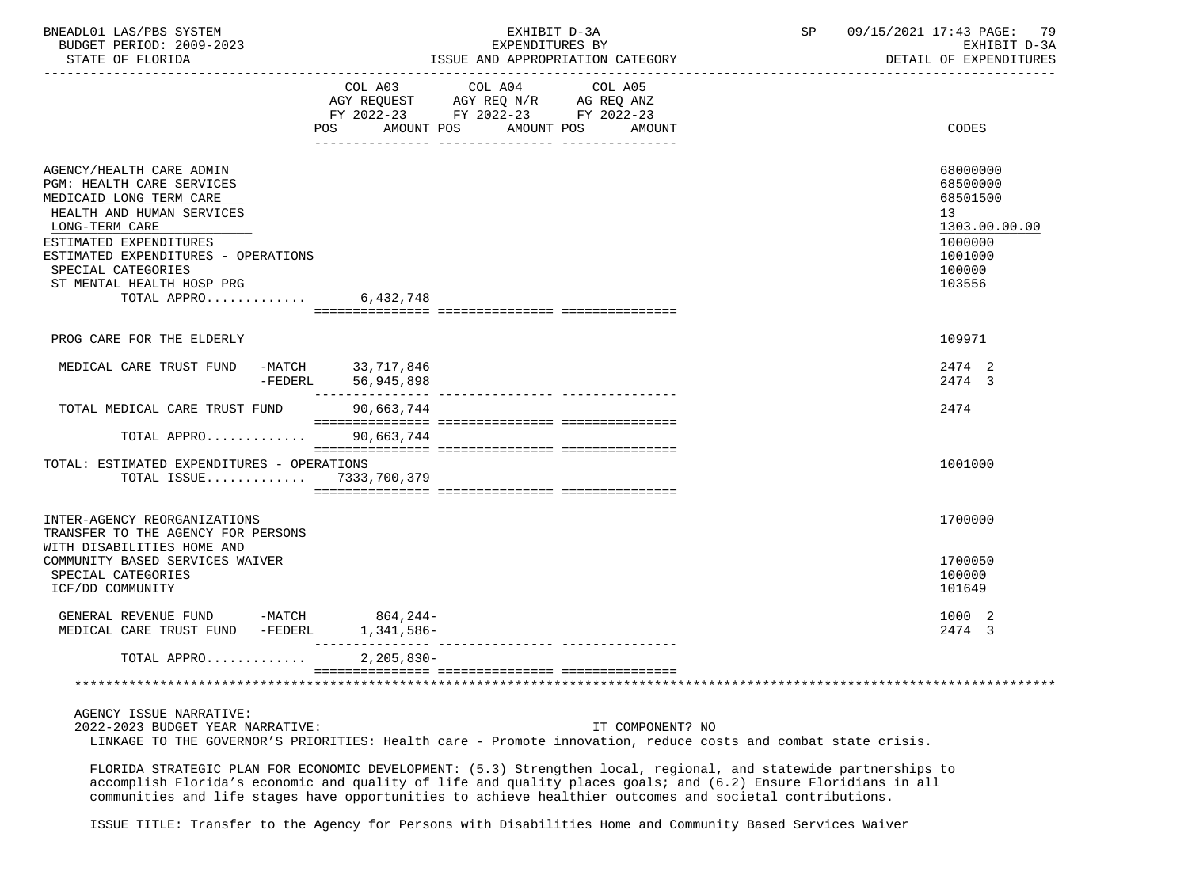| BNEADL01<br>SYSTEM<br>AS/DRS<br>AS       |                                                                                                                                                                                                                                                                                                                                                                                               | . .<br>$\sqrt{2}$<br>ם ר<br>70 L<br>PAGL .<br>. |
|------------------------------------------|-----------------------------------------------------------------------------------------------------------------------------------------------------------------------------------------------------------------------------------------------------------------------------------------------------------------------------------------------------------------------------------------------|-------------------------------------------------|
| 2009-2023<br>: חמד סתם<br>BUDGET<br>,,,, | <b>RV</b>                                                                                                                                                                                                                                                                                                                                                                                     | rvu<br>$m \tau$<br>- ⊷                          |
| $27.777$ $27.777$ $27.777$               | $ \alpha$ $\alpha$ $\alpha$ $\alpha$ $\alpha$<br>$\ldots$ $\ldots$ $\ldots$ $\ldots$ $\ldots$ $\ldots$ $\ldots$ $\ldots$ $\ldots$ $\ldots$ $\ldots$ $\ldots$ $\ldots$ $\ldots$ $\ldots$ $\ldots$ $\ldots$ $\ldots$ $\ldots$ $\ldots$ $\ldots$ $\ldots$ $\ldots$ $\ldots$ $\ldots$ $\ldots$ $\ldots$ $\ldots$ $\ldots$ $\ldots$ $\ldots$ $\ldots$ $\ldots$ $\ldots$ $\ldots$ $\ldots$ $\ldots$ | -------<br>$\sim$ $\sim$                        |

|                                                                                                                                                                                                                                                                    |              | COL A03 COL A04 COL A05<br>AGY REQUEST AGY REQ N/R AG REQ ANZ<br>FY 2022-23 FY 2022-23 FY 2022-23 |  |                                                                                                   |
|--------------------------------------------------------------------------------------------------------------------------------------------------------------------------------------------------------------------------------------------------------------------|--------------|---------------------------------------------------------------------------------------------------|--|---------------------------------------------------------------------------------------------------|
|                                                                                                                                                                                                                                                                    |              | POS AMOUNT POS AMOUNT POS AMOUNT                                                                  |  | CODES                                                                                             |
| AGENCY/HEALTH CARE ADMIN<br>PGM: HEALTH CARE SERVICES<br>MEDICAID LONG TERM CARE<br>HEALTH AND HUMAN SERVICES<br>LONG-TERM CARE<br>ESTIMATED EXPENDITURES<br>ESTIMATED EXPENDITURES - OPERATIONS<br>SPECIAL CATEGORIES<br>ST MENTAL HEALTH HOSP PRG<br>TOTAL APPRO | 6,432,748    |                                                                                                   |  | 68000000<br>68500000<br>68501500<br>13<br>1303.00.00.00<br>1000000<br>1001000<br>100000<br>103556 |
|                                                                                                                                                                                                                                                                    |              |                                                                                                   |  |                                                                                                   |
| PROG CARE FOR THE ELDERLY                                                                                                                                                                                                                                          |              |                                                                                                   |  | 109971                                                                                            |
| MEDICAL CARE TRUST FUND -MATCH 33,717,846<br>-FEDERL                                                                                                                                                                                                               | 56,945,898   |                                                                                                   |  | 2474 2<br>2474 3                                                                                  |
| TOTAL MEDICAL CARE TRUST FUND                                                                                                                                                                                                                                      | 90,663,744   |                                                                                                   |  | 2474                                                                                              |
| TOTAL APPRO 90,663,744                                                                                                                                                                                                                                             |              |                                                                                                   |  |                                                                                                   |
| TOTAL: ESTIMATED EXPENDITURES - OPERATIONS<br>TOTAL ISSUE 7333,700,379                                                                                                                                                                                             |              |                                                                                                   |  | 1001000                                                                                           |
| INTER-AGENCY REORGANIZATIONS<br>TRANSFER TO THE AGENCY FOR PERSONS<br>WITH DISABILITIES HOME AND                                                                                                                                                                   |              |                                                                                                   |  | 1700000                                                                                           |
| COMMUNITY BASED SERVICES WAIVER<br>SPECIAL CATEGORIES<br>ICF/DD COMMUNITY                                                                                                                                                                                          |              |                                                                                                   |  | 1700050<br>100000<br>101649                                                                       |
| GENERAL REVENUE FUND -MATCH<br>MEDICAL CARE TRUST FUND -FEDERL 1,341,586-                                                                                                                                                                                          | 864,244-     |                                                                                                   |  | 1000 2<br>2474 3                                                                                  |
| TOTAL APPRO                                                                                                                                                                                                                                                        | $2,205,830-$ |                                                                                                   |  |                                                                                                   |
|                                                                                                                                                                                                                                                                    |              |                                                                                                   |  |                                                                                                   |
| AGENCY ISSUE NARRATIVE:                                                                                                                                                                                                                                            |              |                                                                                                   |  |                                                                                                   |

 2022-2023 BUDGET YEAR NARRATIVE: IT COMPONENT? NO LINKAGE TO THE GOVERNOR'S PRIORITIES: Health care - Promote innovation, reduce costs and combat state crisis.

 FLORIDA STRATEGIC PLAN FOR ECONOMIC DEVELOPMENT: (5.3) Strengthen local, regional, and statewide partnerships to accomplish Florida's economic and quality of life and quality places goals; and (6.2) Ensure Floridians in all communities and life stages have opportunities to achieve healthier outcomes and societal contributions.

ISSUE TITLE: Transfer to the Agency for Persons with Disabilities Home and Community Based Services Waiver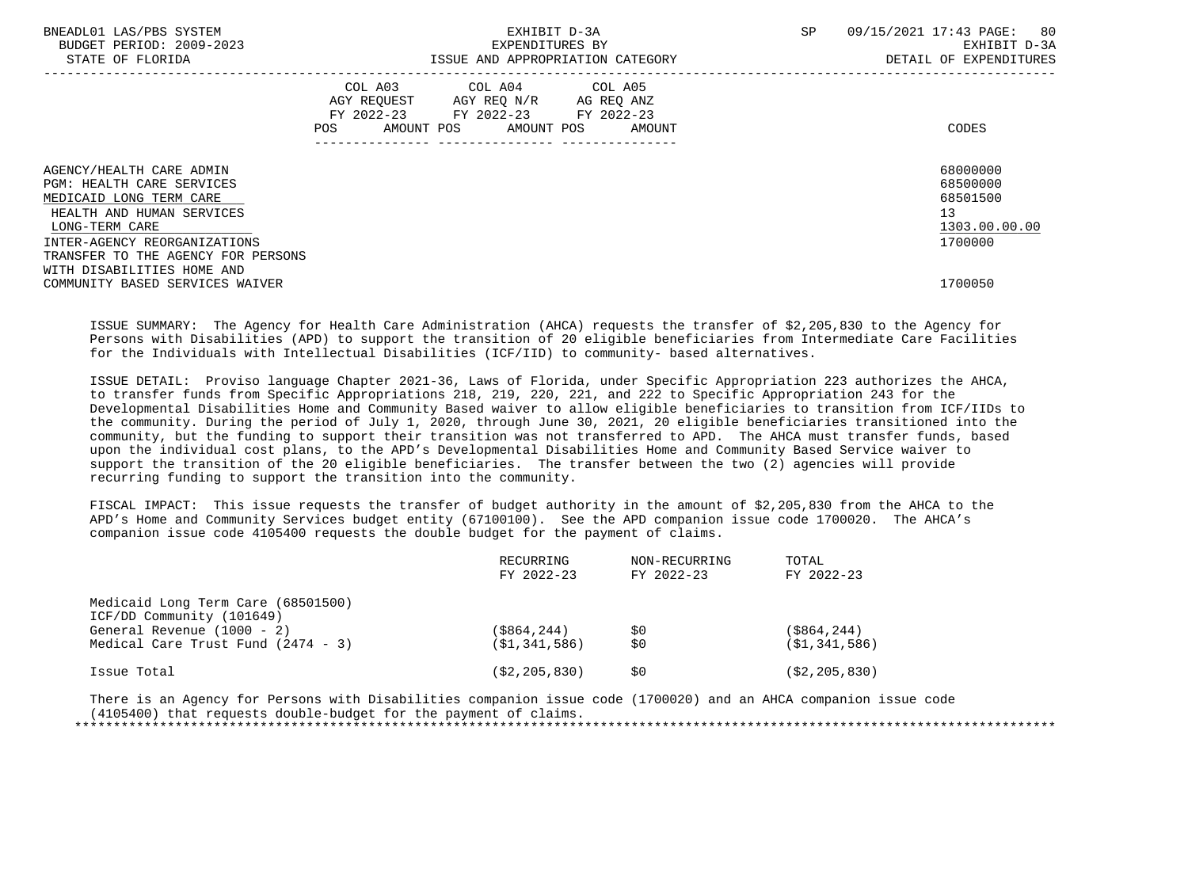| BNEADL01 LAS/PBS SYSTEM<br>BUDGET PERIOD: 2009-2023<br>STATE OF FLORIDA                                                                                                                                                                    |     | SP<br>EXHIBIT D-3A<br>EXPENDITURES BY<br>ISSUE AND APPROPRIATION CATEGORY                         |                              |  | 80<br>09/15/2021 17:43 PAGE:<br>EXHIBIT D-3A<br>DETAIL OF EXPENDITURES |  |
|--------------------------------------------------------------------------------------------------------------------------------------------------------------------------------------------------------------------------------------------|-----|---------------------------------------------------------------------------------------------------|------------------------------|--|------------------------------------------------------------------------|--|
|                                                                                                                                                                                                                                            | POS | COL A03 COL A04 COL A05<br>AGY REOUEST AGY REO N/R AG REO ANZ<br>FY 2022-23 FY 2022-23 FY 2022-23 | AMOUNT POS AMOUNT POS AMOUNT |  | CODES                                                                  |  |
| AGENCY/HEALTH CARE ADMIN<br><b>PGM: HEALTH CARE SERVICES</b><br>MEDICAID LONG TERM CARE<br>HEALTH AND HUMAN SERVICES<br>LONG-TERM CARE<br>INTER-AGENCY REORGANIZATIONS<br>TRANSFER TO THE AGENCY FOR PERSONS<br>WITH DISABILITIES HOME AND |     |                                                                                                   |                              |  | 68000000<br>68500000<br>68501500<br>13<br>1303.00.00.00<br>1700000     |  |
| COMMUNITY BASED SERVICES WAIVER                                                                                                                                                                                                            |     |                                                                                                   |                              |  | 1700050                                                                |  |

 ISSUE SUMMARY: The Agency for Health Care Administration (AHCA) requests the transfer of \$2,205,830 to the Agency for Persons with Disabilities (APD) to support the transition of 20 eligible beneficiaries from Intermediate Care Facilities for the Individuals with Intellectual Disabilities (ICF/IID) to community- based alternatives.

 ISSUE DETAIL: Proviso language Chapter 2021-36, Laws of Florida, under Specific Appropriation 223 authorizes the AHCA, to transfer funds from Specific Appropriations 218, 219, 220, 221, and 222 to Specific Appropriation 243 for the Developmental Disabilities Home and Community Based waiver to allow eligible beneficiaries to transition from ICF/IIDs to the community. During the period of July 1, 2020, through June 30, 2021, 20 eligible beneficiaries transitioned into the community, but the funding to support their transition was not transferred to APD. The AHCA must transfer funds, based upon the individual cost plans, to the APD's Developmental Disabilities Home and Community Based Service waiver to support the transition of the 20 eligible beneficiaries. The transfer between the two (2) agencies will provide recurring funding to support the transition into the community.

 FISCAL IMPACT: This issue requests the transfer of budget authority in the amount of \$2,205,830 from the AHCA to the APD's Home and Community Services budget entity (67100100). See the APD companion issue code 1700020. The AHCA's companion issue code 4105400 requests the double budget for the payment of claims.

|                                                                 | RECURRING<br>FY 2022-23 | NON-RECURRING<br>FY 2022-23 | TOTAL<br>FY 2022-23 |
|-----------------------------------------------------------------|-------------------------|-----------------------------|---------------------|
| Medicaid Long Term Care (68501500)<br>ICF/DD Community (101649) |                         |                             |                     |
| General Revenue $(1000 - 2)$                                    | $($ \$864,244)          | \$0                         | (\$864,244)         |
| Medical Care Trust Fund $(2474 - 3)$                            | (S1, 341, 586)          | \$0                         | (S1, 341, 586)      |
| Issue Total                                                     | ( \$2, 205, 830)        | S0                          | ( \$2, 205, 830)    |

 There is an Agency for Persons with Disabilities companion issue code (1700020) and an AHCA companion issue code (4105400) that requests double-budget for the payment of claims. \*\*\*\*\*\*\*\*\*\*\*\*\*\*\*\*\*\*\*\*\*\*\*\*\*\*\*\*\*\*\*\*\*\*\*\*\*\*\*\*\*\*\*\*\*\*\*\*\*\*\*\*\*\*\*\*\*\*\*\*\*\*\*\*\*\*\*\*\*\*\*\*\*\*\*\*\*\*\*\*\*\*\*\*\*\*\*\*\*\*\*\*\*\*\*\*\*\*\*\*\*\*\*\*\*\*\*\*\*\*\*\*\*\*\*\*\*\*\*\*\*\*\*\*\*\*\*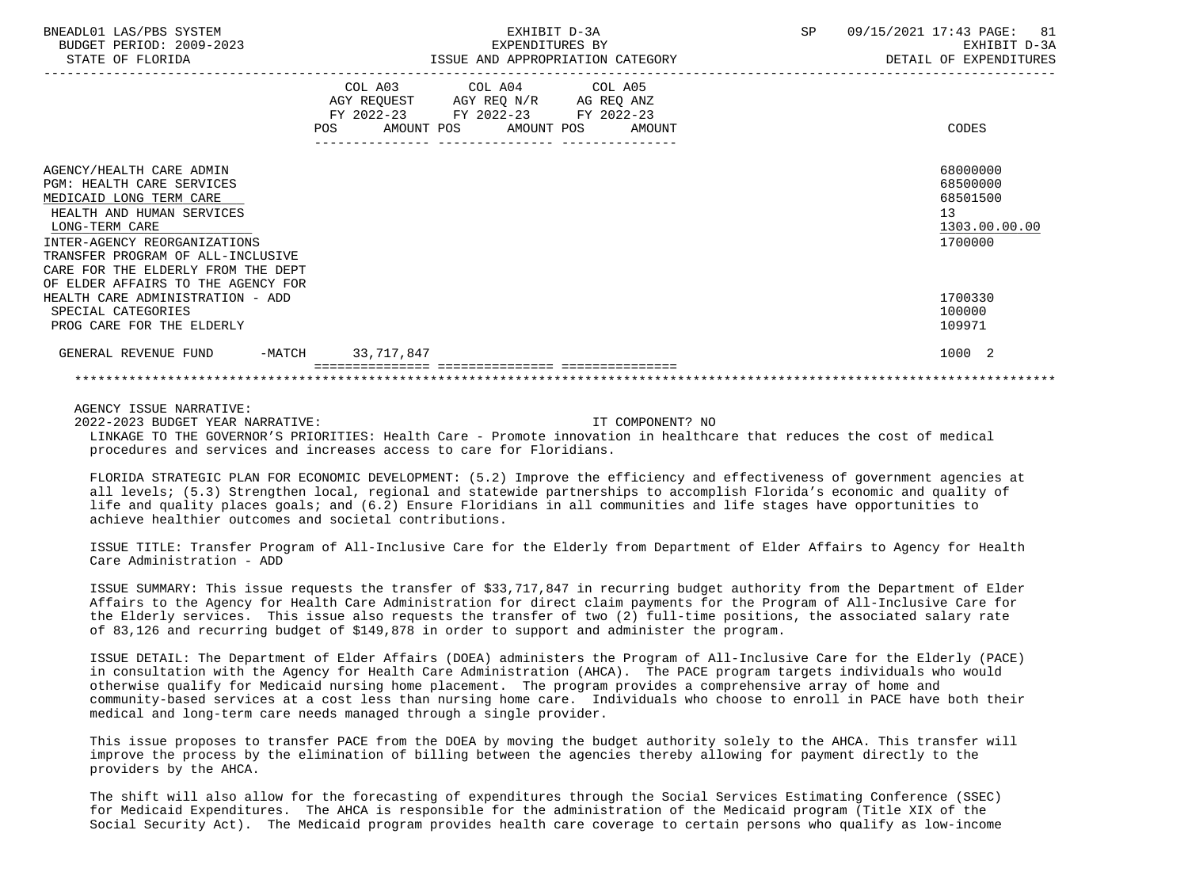| BNEADL01 LAS/PBS SYSTEM<br>BUDGET PERIOD: 2009-2023<br>STATE OF FLORIDA                                                                                                                                                                                                                 | EXHIBIT D-3A<br>EXPENDITURES BY<br>ISSUE AND APPROPRIATION CATEGORY                                                                         | 09/15/2021 17:43 PAGE: 81<br>SP<br>EXHIBIT D-3A<br>DETAIL OF EXPENDITURES |
|-----------------------------------------------------------------------------------------------------------------------------------------------------------------------------------------------------------------------------------------------------------------------------------------|---------------------------------------------------------------------------------------------------------------------------------------------|---------------------------------------------------------------------------|
|                                                                                                                                                                                                                                                                                         | COL A03 COL A04 COL A05<br>AGY REQUEST AGY REQ N/R AG REQ ANZ<br>FY 2022-23 FY 2022-23 FY 2022-23<br>AMOUNT POS AMOUNT POS<br>POS<br>AMOUNT | CODES                                                                     |
| AGENCY/HEALTH CARE ADMIN<br><b>PGM: HEALTH CARE SERVICES</b><br>MEDICAID LONG TERM CARE<br>HEALTH AND HUMAN SERVICES<br>LONG-TERM CARE<br>INTER-AGENCY REORGANIZATIONS<br>TRANSFER PROGRAM OF ALL-INCLUSIVE<br>CARE FOR THE ELDERLY FROM THE DEPT<br>OF ELDER AFFAIRS TO THE AGENCY FOR |                                                                                                                                             | 68000000<br>68500000<br>68501500<br>13<br>1303.00.00.00<br>1700000        |
| HEALTH CARE ADMINISTRATION - ADD<br>SPECIAL CATEGORIES<br>PROG CARE FOR THE ELDERLY                                                                                                                                                                                                     |                                                                                                                                             | 1700330<br>100000<br>109971                                               |
| $-MATCH$<br>GENERAL REVENUE FUND                                                                                                                                                                                                                                                        | 33,717,847                                                                                                                                  | 1000 2                                                                    |
|                                                                                                                                                                                                                                                                                         |                                                                                                                                             |                                                                           |

 2022-2023 BUDGET YEAR NARRATIVE: IT COMPONENT? NO LINKAGE TO THE GOVERNOR'S PRIORITIES: Health Care - Promote innovation in healthcare that reduces the cost of medical procedures and services and increases access to care for Floridians.

 FLORIDA STRATEGIC PLAN FOR ECONOMIC DEVELOPMENT: (5.2) Improve the efficiency and effectiveness of government agencies at all levels; (5.3) Strengthen local, regional and statewide partnerships to accomplish Florida's economic and quality of life and quality places goals; and (6.2) Ensure Floridians in all communities and life stages have opportunities to achieve healthier outcomes and societal contributions.

 ISSUE TITLE: Transfer Program of All-Inclusive Care for the Elderly from Department of Elder Affairs to Agency for Health Care Administration - ADD

 ISSUE SUMMARY: This issue requests the transfer of \$33,717,847 in recurring budget authority from the Department of Elder Affairs to the Agency for Health Care Administration for direct claim payments for the Program of All-Inclusive Care for the Elderly services. This issue also requests the transfer of two (2) full-time positions, the associated salary rate of 83,126 and recurring budget of \$149,878 in order to support and administer the program.

 ISSUE DETAIL: The Department of Elder Affairs (DOEA) administers the Program of All-Inclusive Care for the Elderly (PACE) in consultation with the Agency for Health Care Administration (AHCA). The PACE program targets individuals who would otherwise qualify for Medicaid nursing home placement. The program provides a comprehensive array of home and community-based services at a cost less than nursing home care. Individuals who choose to enroll in PACE have both their medical and long-term care needs managed through a single provider.

 This issue proposes to transfer PACE from the DOEA by moving the budget authority solely to the AHCA. This transfer will improve the process by the elimination of billing between the agencies thereby allowing for payment directly to the providers by the AHCA.

 The shift will also allow for the forecasting of expenditures through the Social Services Estimating Conference (SSEC) for Medicaid Expenditures. The AHCA is responsible for the administration of the Medicaid program (Title XIX of the Social Security Act). The Medicaid program provides health care coverage to certain persons who qualify as low-income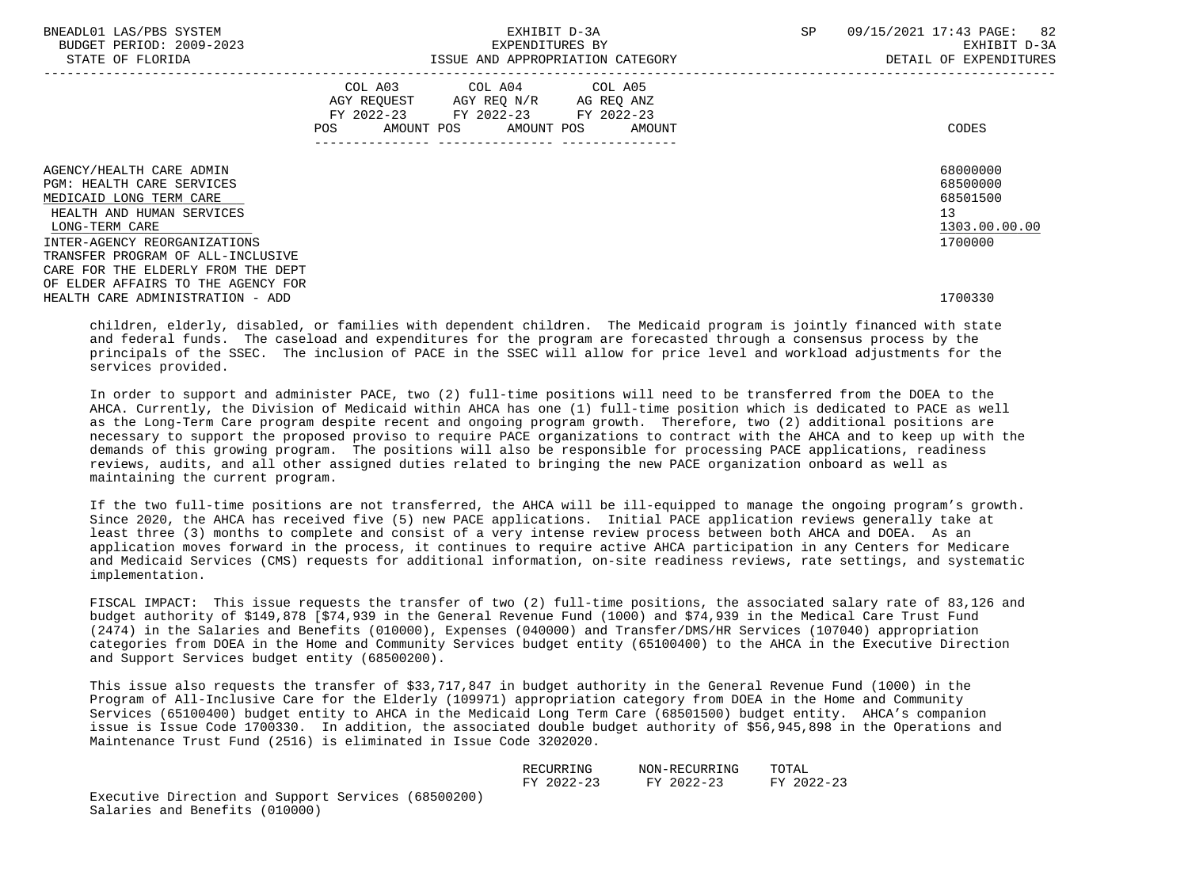| BNEADL01 LAS/PBS SYSTEM<br>BUDGET PERIOD: 2009-2023<br>STATE OF FLORIDA                                                                           |                                | EXHIBIT D-3A<br>EXPENDITURES BY                                                                                            | ISSUE AND APPROPRIATION CATEGORY | SP | -82<br>09/15/2021 17:43 PAGE:<br>EXHIBIT D-3A<br>DETAIL OF EXPENDITURES |
|---------------------------------------------------------------------------------------------------------------------------------------------------|--------------------------------|----------------------------------------------------------------------------------------------------------------------------|----------------------------------|----|-------------------------------------------------------------------------|
|                                                                                                                                                   | POS FOR THE POST OF THE STREET | COL A03 COL A04 COL A05<br>AGY REQUEST AGY REQ N/R AG REQ ANZ<br>FY 2022-23 FY 2022-23 FY 2022-23<br>AMOUNT POS AMOUNT POS | AMOUNT                           |    | CODES                                                                   |
| AGENCY/HEALTH CARE ADMIN<br><b>PGM: HEALTH CARE SERVICES</b><br>MEDICAID LONG TERM CARE                                                           |                                |                                                                                                                            |                                  |    | 68000000<br>68500000<br>68501500                                        |
| HEALTH AND HUMAN SERVICES<br>LONG-TERM CARE<br>INTER-AGENCY REORGANIZATIONS                                                                       |                                |                                                                                                                            |                                  |    | 13<br>1303.00.00.00<br>1700000                                          |
| TRANSFER PROGRAM OF ALL-INCLUSIVE<br>CARE FOR THE ELDERLY FROM THE DEPT<br>OF ELDER AFFAIRS TO THE AGENCY FOR<br>HEALTH CARE ADMINISTRATION - ADD |                                |                                                                                                                            |                                  |    | 1700330                                                                 |

 children, elderly, disabled, or families with dependent children. The Medicaid program is jointly financed with state and federal funds. The caseload and expenditures for the program are forecasted through a consensus process by the principals of the SSEC. The inclusion of PACE in the SSEC will allow for price level and workload adjustments for the services provided.

 In order to support and administer PACE, two (2) full-time positions will need to be transferred from the DOEA to the AHCA. Currently, the Division of Medicaid within AHCA has one (1) full-time position which is dedicated to PACE as well as the Long-Term Care program despite recent and ongoing program growth. Therefore, two (2) additional positions are necessary to support the proposed proviso to require PACE organizations to contract with the AHCA and to keep up with the demands of this growing program. The positions will also be responsible for processing PACE applications, readiness reviews, audits, and all other assigned duties related to bringing the new PACE organization onboard as well as maintaining the current program.

 If the two full-time positions are not transferred, the AHCA will be ill-equipped to manage the ongoing program's growth. Since 2020, the AHCA has received five (5) new PACE applications. Initial PACE application reviews generally take at least three (3) months to complete and consist of a very intense review process between both AHCA and DOEA. As an application moves forward in the process, it continues to require active AHCA participation in any Centers for Medicare and Medicaid Services (CMS) requests for additional information, on-site readiness reviews, rate settings, and systematic implementation.

 FISCAL IMPACT: This issue requests the transfer of two (2) full-time positions, the associated salary rate of 83,126 and budget authority of \$149,878 [\$74,939 in the General Revenue Fund (1000) and \$74,939 in the Medical Care Trust Fund (2474) in the Salaries and Benefits (010000), Expenses (040000) and Transfer/DMS/HR Services (107040) appropriation categories from DOEA in the Home and Community Services budget entity (65100400) to the AHCA in the Executive Direction and Support Services budget entity (68500200).

 This issue also requests the transfer of \$33,717,847 in budget authority in the General Revenue Fund (1000) in the Program of All-Inclusive Care for the Elderly (109971) appropriation category from DOEA in the Home and Community Services (65100400) budget entity to AHCA in the Medicaid Long Term Care (68501500) budget entity. AHCA's companion issue is Issue Code 1700330. In addition, the associated double budget authority of \$56,945,898 in the Operations and Maintenance Trust Fund (2516) is eliminated in Issue Code 3202020.

| RECURRING          | NON-RECURRING                                                                                                                         | TOTAL |
|--------------------|---------------------------------------------------------------------------------------------------------------------------------------|-------|
|                    |                                                                                                                                       |       |
| $2022 - 23$<br>FV. | $2022 - 23$<br>FV.<br>the contract of the contract of the contract of the contract of the contract of the contract of the contract of |       |

 Executive Direction and Support Services (68500200) Salaries and Benefits (010000)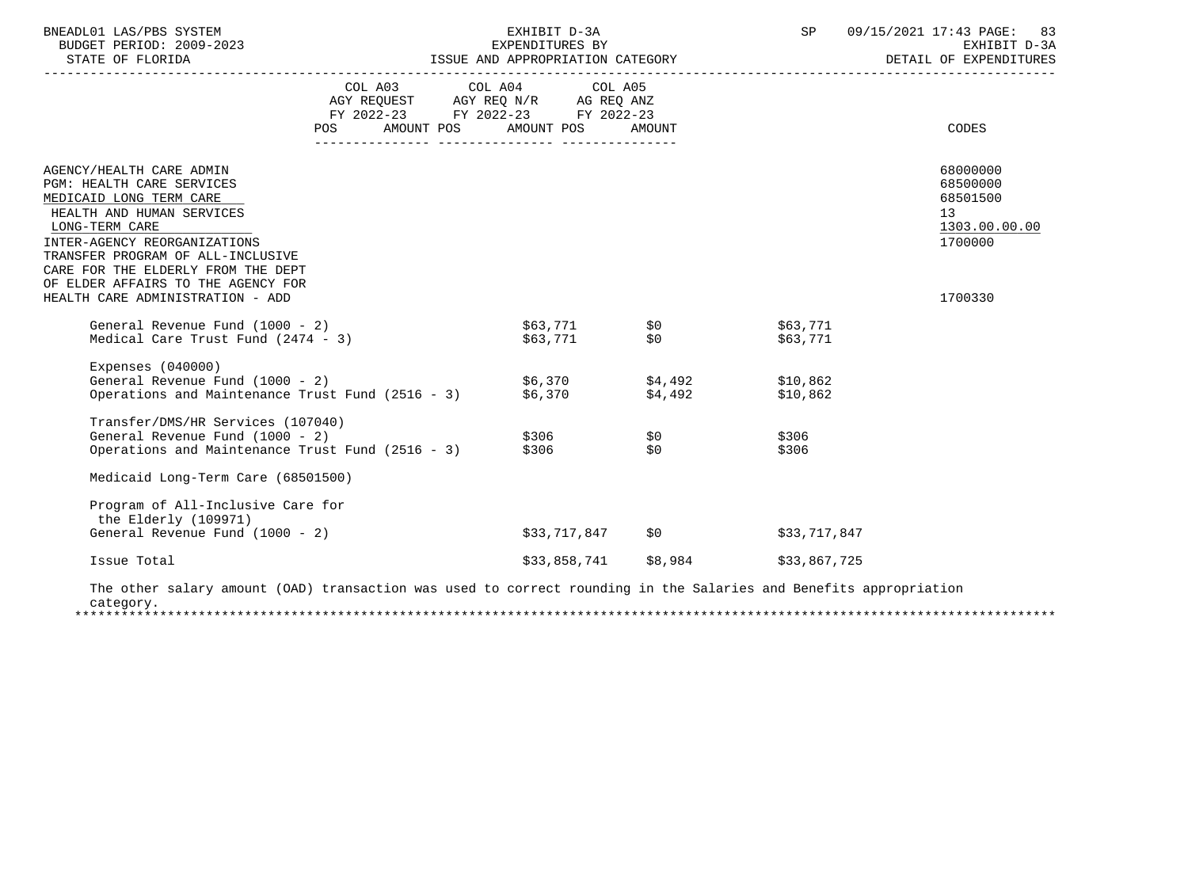| BNEADL01 LAS/PBS SYSTEM<br>BUDGET PERIOD: 2009-2023                                                                                                                                                                                                                                                                  |                                      | EXHIBIT D-3A<br>EXPENDITURES BY                                                                                            |                        | SP                   | 09/15/2021 17:43 PAGE: 83<br>EXHIBIT D-3A<br>DETAIL OF EXPENDITURES                        |
|----------------------------------------------------------------------------------------------------------------------------------------------------------------------------------------------------------------------------------------------------------------------------------------------------------------------|--------------------------------------|----------------------------------------------------------------------------------------------------------------------------|------------------------|----------------------|--------------------------------------------------------------------------------------------|
|                                                                                                                                                                                                                                                                                                                      | POS FOR THE POST OF THE STATE STATES | COL A03 COL A04 COL A05<br>AGY REQUEST AGY REQ N/R AG REQ ANZ<br>FY 2022-23 FY 2022-23 FY 2022-23<br>AMOUNT POS AMOUNT POS | AMOUNT                 |                      | CODES                                                                                      |
| AGENCY/HEALTH CARE ADMIN<br>PGM: HEALTH CARE SERVICES<br>MEDICAID LONG TERM CARE<br>HEALTH AND HUMAN SERVICES<br>LONG-TERM CARE<br>INTER-AGENCY REORGANIZATIONS<br>TRANSFER PROGRAM OF ALL-INCLUSIVE<br>CARE FOR THE ELDERLY FROM THE DEPT<br>OF ELDER AFFAIRS TO THE AGENCY FOR<br>HEALTH CARE ADMINISTRATION - ADD |                                      |                                                                                                                            |                        |                      | 68000000<br>68500000<br>68501500<br>13 <sup>7</sup><br>1303.00.00.00<br>1700000<br>1700330 |
| General Revenue Fund (1000 - 2)<br>Medical Care Trust Fund (2474 - 3)                                                                                                                                                                                                                                                |                                      | \$63,771 \$0<br>\$63,771 \$0                                                                                               |                        | \$63,771<br>\$63,771 |                                                                                            |
| Expenses $(040000)$<br>General Revenue Fund (1000 - 2)<br>Operations and Maintenance Trust Fund (2516 - 3) $$6,370$ $$4,492$                                                                                                                                                                                         |                                      | $$6,370$ $$4,492$ $$10,862$                                                                                                |                        | \$10,862             |                                                                                            |
| Transfer/DMS/HR Services (107040)<br>General Revenue Fund (1000 - 2)<br>Operations and Maintenance Trust Fund (2516 - 3)                                                                                                                                                                                             |                                      | $$306$ $$0$<br>\$306                                                                                                       | \$0                    | \$306<br>\$306       |                                                                                            |
| Medicaid Long-Term Care (68501500)                                                                                                                                                                                                                                                                                   |                                      |                                                                                                                            |                        |                      |                                                                                            |
| Program of All-Inclusive Care for<br>the Elderly (109971)                                                                                                                                                                                                                                                            |                                      |                                                                                                                            |                        |                      |                                                                                            |
| General Revenue Fund (1000 - 2)                                                                                                                                                                                                                                                                                      |                                      |                                                                                                                            | \$33,717,847 \$0       | \$33,717,847         |                                                                                            |
| Issue Total                                                                                                                                                                                                                                                                                                          |                                      |                                                                                                                            | $$33,858,741$ $$8,984$ | \$33,867,725         |                                                                                            |
| The other salary amount (OAD) transaction was used to correct rounding in the Salaries and Benefits appropriation<br>category.                                                                                                                                                                                       |                                      |                                                                                                                            |                        |                      |                                                                                            |

\*\*\*\*\*\*\*\*\*\*\*\*\*\*\*\*\*\*\*\*\*\*\*\*\*\*\*\*\*\*\*\*\*\*\*\*\*\*\*\*\*\*\*\*\*\*\*\*\*\*\*\*\*\*\*\*\*\*\*\*\*\*\*\*\*\*\*\*\*\*\*\*\*\*\*\*\*\*\*\*\*\*\*\*\*\*\*\*\*\*\*\*\*\*\*\*\*\*\*\*\*\*\*\*\*\*\*\*\*\*\*\*\*\*\*\*\*\*\*\*\*\*\*\*\*\*\*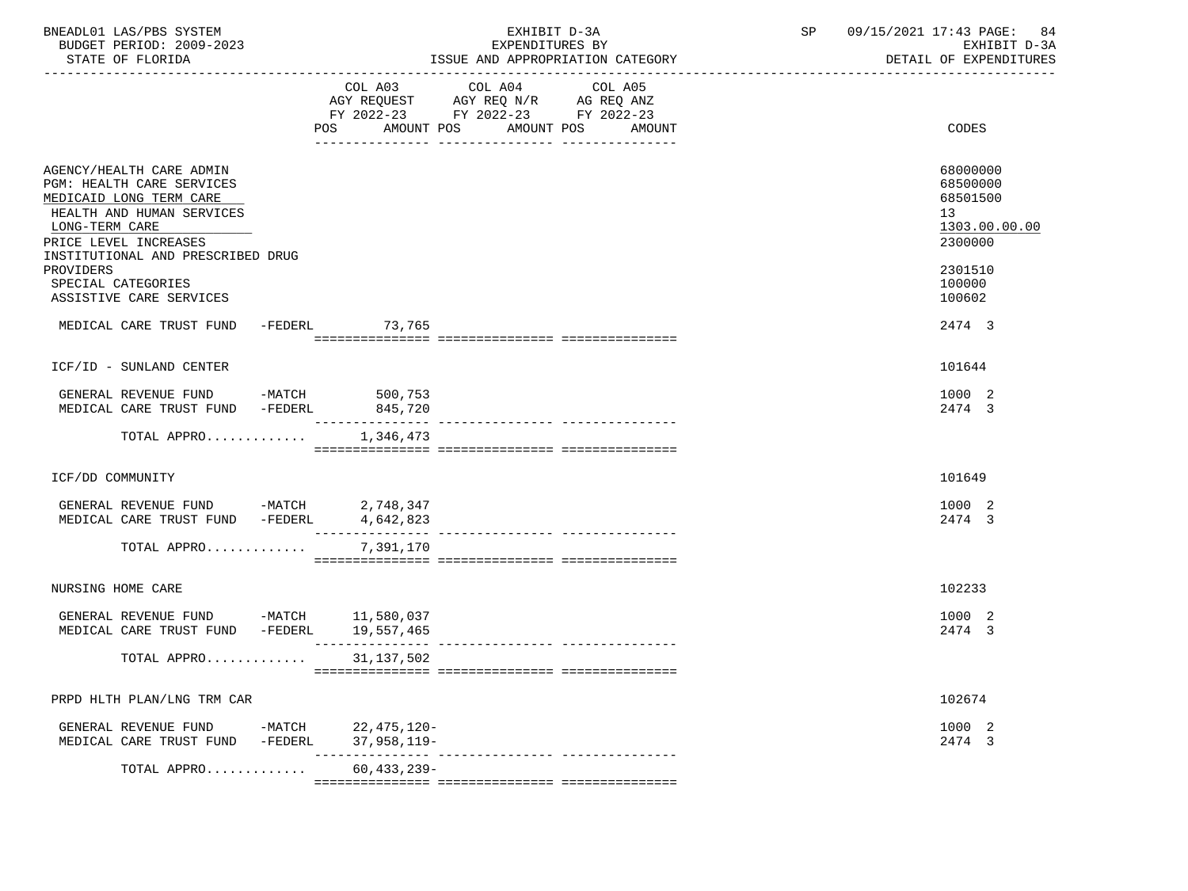| BNEADL01 LAS/PBS SYSTEM<br>BUDGET PERIOD: 2009-2023<br>STATE OF FLORIDA                                                                                                                                                                                                                                      |                                   | EXHIBIT D-3A<br>EXPENDITURES BY<br>ISSUE AND APPROPRIATION CATEGORY                                                                      | 09/15/2021 17:43 PAGE: 84<br>SP<br>EXHIBIT D-3A<br>DETAIL OF EXPENDITURES                                   |
|--------------------------------------------------------------------------------------------------------------------------------------------------------------------------------------------------------------------------------------------------------------------------------------------------------------|-----------------------------------|------------------------------------------------------------------------------------------------------------------------------------------|-------------------------------------------------------------------------------------------------------------|
|                                                                                                                                                                                                                                                                                                              |                                   | COL A03 COL A04<br>COL A05<br>AGY REQUEST AGY REQ N/R AG REQ ANZ<br>FY 2022-23 FY 2022-23 FY 2022-23<br>POS AMOUNT POS AMOUNT POS AMOUNT | CODES                                                                                                       |
| AGENCY/HEALTH CARE ADMIN<br><b>PGM: HEALTH CARE SERVICES</b><br>MEDICAID LONG TERM CARE<br>HEALTH AND HUMAN SERVICES<br>LONG-TERM CARE<br>PRICE LEVEL INCREASES<br>INSTITUTIONAL AND PRESCRIBED DRUG<br>PROVIDERS<br>SPECIAL CATEGORIES<br>ASSISTIVE CARE SERVICES<br>MEDICAL CARE TRUST FUND -FEDERL 73,765 |                                   |                                                                                                                                          | 68000000<br>68500000<br>68501500<br>13<br>1303.00.00.00<br>2300000<br>2301510<br>100000<br>100602<br>2474 3 |
|                                                                                                                                                                                                                                                                                                              |                                   |                                                                                                                                          |                                                                                                             |
| ICF/ID - SUNLAND CENTER                                                                                                                                                                                                                                                                                      |                                   |                                                                                                                                          | 101644                                                                                                      |
| GENERAL REVENUE FUND -MATCH 500,753<br>MEDICAL CARE TRUST FUND -FEDERL                                                                                                                                                                                                                                       | 845,720                           |                                                                                                                                          | 1000 2<br>2474 3                                                                                            |
| TOTAL APPRO $1,346,473$                                                                                                                                                                                                                                                                                      |                                   |                                                                                                                                          |                                                                                                             |
| ICF/DD COMMUNITY                                                                                                                                                                                                                                                                                             |                                   |                                                                                                                                          | 101649                                                                                                      |
|                                                                                                                                                                                                                                                                                                              |                                   |                                                                                                                                          |                                                                                                             |
| GENERAL REVENUE FUND -MATCH 2,748,347<br>MEDICAL CARE TRUST FUND -FEDERL 4,642,823                                                                                                                                                                                                                           |                                   |                                                                                                                                          | 1000 2<br>2474 3                                                                                            |
| TOTAL APPRO                                                                                                                                                                                                                                                                                                  | 7,391,170                         |                                                                                                                                          |                                                                                                             |
| NURSING HOME CARE                                                                                                                                                                                                                                                                                            |                                   |                                                                                                                                          | 102233                                                                                                      |
| GENERAL REVENUE FUND -MATCH 11,580,037<br>MEDICAL CARE TRUST FUND -FEDERL 19,557,465                                                                                                                                                                                                                         |                                   |                                                                                                                                          | 1000 2<br>2474 3                                                                                            |
| TOTAL APPRO 31,137,502                                                                                                                                                                                                                                                                                       |                                   |                                                                                                                                          |                                                                                                             |
|                                                                                                                                                                                                                                                                                                              |                                   |                                                                                                                                          |                                                                                                             |
| PRPD HLTH PLAN/LNG TRM CAR                                                                                                                                                                                                                                                                                   |                                   |                                                                                                                                          | 102674                                                                                                      |
| GENERAL REVENUE FUND<br>MEDICAL CARE TRUST FUND<br>-FEDERL                                                                                                                                                                                                                                                   | -MATCH 22,475,120-<br>37,958,119- |                                                                                                                                          | 1000 2<br>2474 3                                                                                            |
| TOTAL APPRO                                                                                                                                                                                                                                                                                                  | $60,433,239-$                     |                                                                                                                                          |                                                                                                             |
|                                                                                                                                                                                                                                                                                                              |                                   |                                                                                                                                          |                                                                                                             |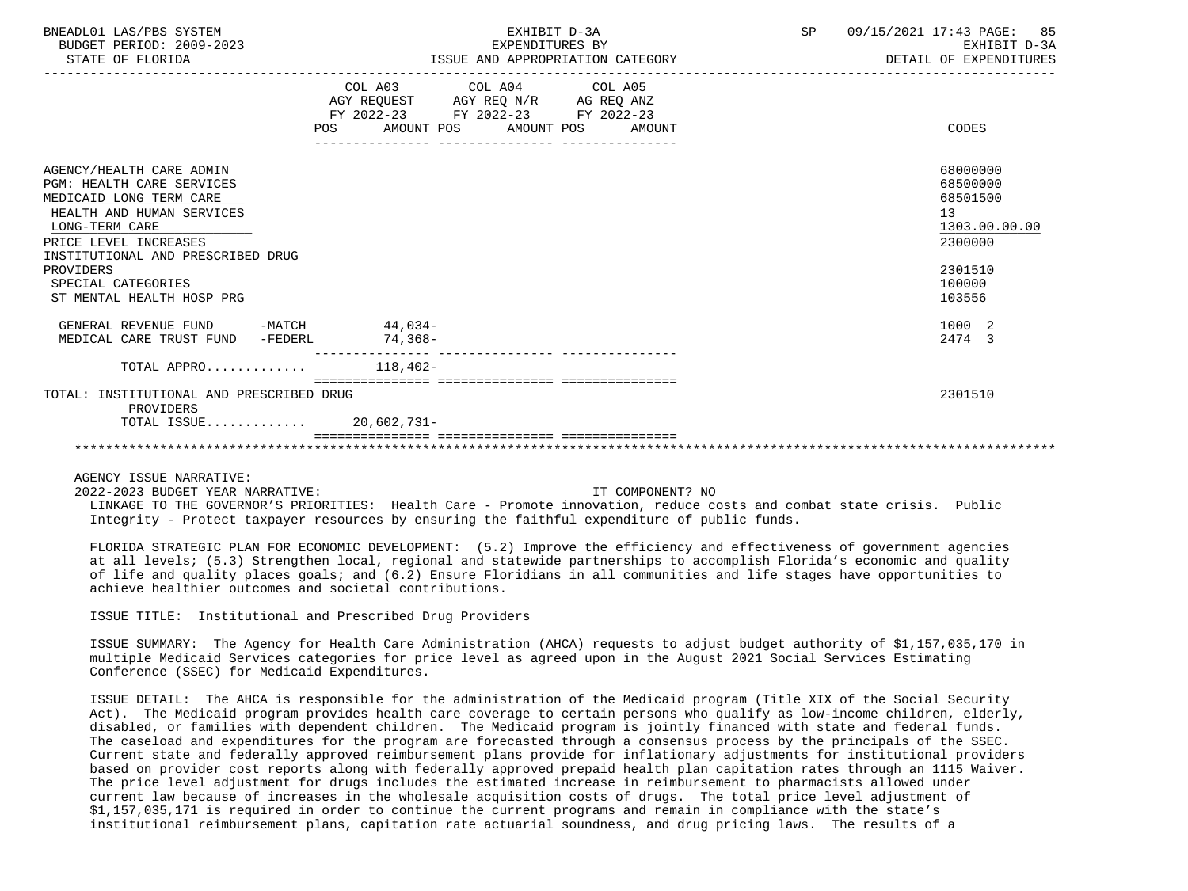| BNEADL01 LAS/PBS SYSTEM<br>BUDGET PERIOD: 2009-2023<br>STATE OF FLORIDA                                                                                                                              | EXHIBIT D-3A<br>EXPENDITURES BY<br>ISSUE AND APPROPRIATION CATEGORY                                                                                | 09/15/2021 17:43 PAGE: 85<br>SP<br>EXHIBIT D-3A<br>DETAIL OF EXPENDITURES |
|------------------------------------------------------------------------------------------------------------------------------------------------------------------------------------------------------|----------------------------------------------------------------------------------------------------------------------------------------------------|---------------------------------------------------------------------------|
|                                                                                                                                                                                                      | COL A03 COL A04 COL A05<br>AGY REQUEST AGY REQ N/R AG REQ ANZ<br>FY 2022-23 FY 2022-23 FY 2022-23<br>AMOUNT POS AMOUNT POS<br><b>POS</b><br>AMOUNT | CODES                                                                     |
| AGENCY/HEALTH CARE ADMIN<br><b>PGM: HEALTH CARE SERVICES</b><br>MEDICAID LONG TERM CARE<br>HEALTH AND HUMAN SERVICES<br>LONG-TERM CARE<br>PRICE LEVEL INCREASES<br>INSTITUTIONAL AND PRESCRIBED DRUG |                                                                                                                                                    | 68000000<br>68500000<br>68501500<br>13<br>1303.00.00.00<br>2300000        |
| PROVIDERS<br>SPECIAL CATEGORIES<br>ST MENTAL HEALTH HOSP PRG                                                                                                                                         |                                                                                                                                                    | 2301510<br>100000<br>103556                                               |
| GENERAL REVENUE FUND -MATCH 44,034-<br>MEDICAL CARE TRUST FUND -FEDERL                                                                                                                               | 74.368-                                                                                                                                            | 1000 2<br>2474 3                                                          |
| TOTAL APPRO $118,402-$                                                                                                                                                                               |                                                                                                                                                    |                                                                           |
| TOTAL: INSTITUTIONAL AND PRESCRIBED DRUG<br>PROVIDERS<br>TOTAL ISSUE 20,602,731-                                                                                                                     |                                                                                                                                                    | 2301510                                                                   |
|                                                                                                                                                                                                      |                                                                                                                                                    |                                                                           |

 2022-2023 BUDGET YEAR NARRATIVE: IT COMPONENT? NO LINKAGE TO THE GOVERNOR'S PRIORITIES: Health Care - Promote innovation, reduce costs and combat state crisis. Public Integrity - Protect taxpayer resources by ensuring the faithful expenditure of public funds.

 FLORIDA STRATEGIC PLAN FOR ECONOMIC DEVELOPMENT: (5.2) Improve the efficiency and effectiveness of government agencies at all levels; (5.3) Strengthen local, regional and statewide partnerships to accomplish Florida's economic and quality of life and quality places goals; and (6.2) Ensure Floridians in all communities and life stages have opportunities to achieve healthier outcomes and societal contributions.

ISSUE TITLE: Institutional and Prescribed Drug Providers

 ISSUE SUMMARY: The Agency for Health Care Administration (AHCA) requests to adjust budget authority of \$1,157,035,170 in multiple Medicaid Services categories for price level as agreed upon in the August 2021 Social Services Estimating Conference (SSEC) for Medicaid Expenditures.

 ISSUE DETAIL: The AHCA is responsible for the administration of the Medicaid program (Title XIX of the Social Security Act). The Medicaid program provides health care coverage to certain persons who qualify as low-income children, elderly, disabled, or families with dependent children. The Medicaid program is jointly financed with state and federal funds. The caseload and expenditures for the program are forecasted through a consensus process by the principals of the SSEC. Current state and federally approved reimbursement plans provide for inflationary adjustments for institutional providers based on provider cost reports along with federally approved prepaid health plan capitation rates through an 1115 Waiver. The price level adjustment for drugs includes the estimated increase in reimbursement to pharmacists allowed under current law because of increases in the wholesale acquisition costs of drugs. The total price level adjustment of \$1,157,035,171 is required in order to continue the current programs and remain in compliance with the state's institutional reimbursement plans, capitation rate actuarial soundness, and drug pricing laws. The results of a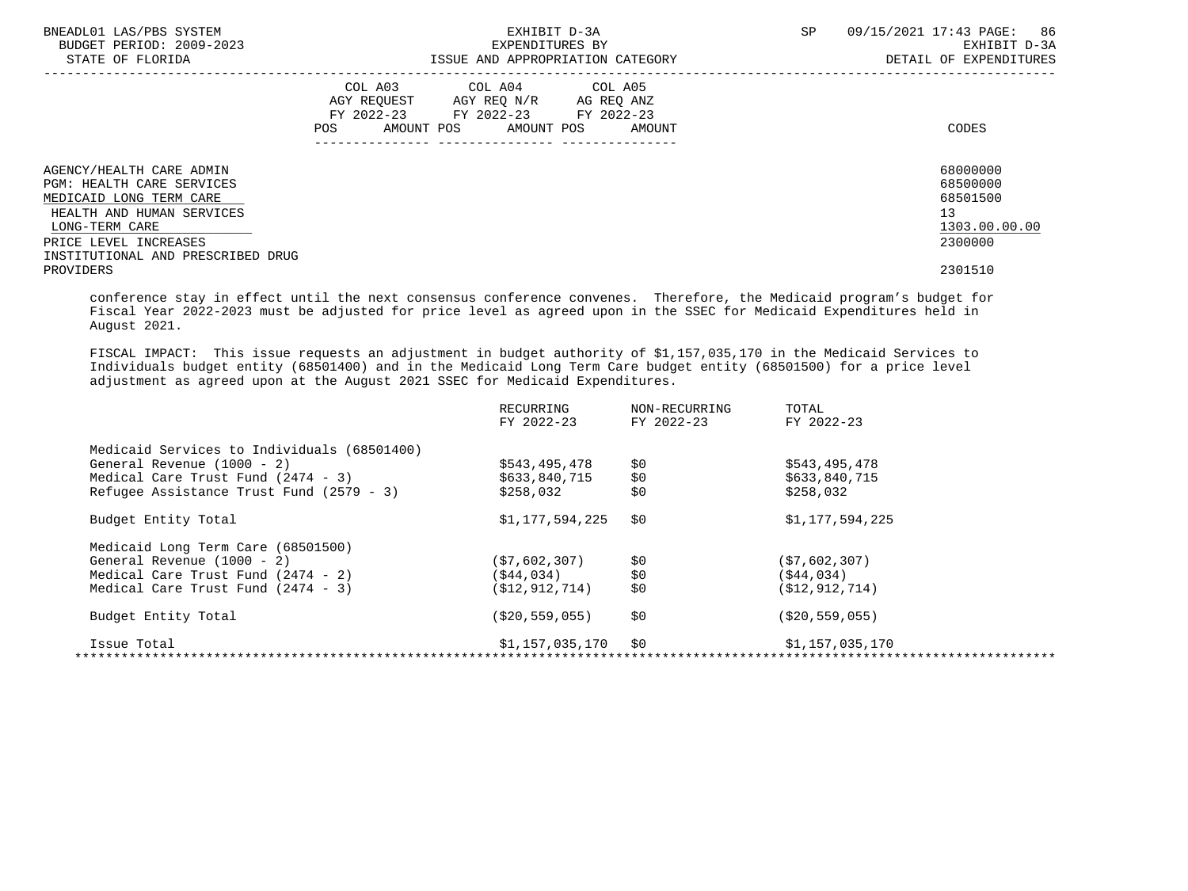| BNEADL01 LAS/PBS SYSTEM<br>BUDGET PERIOD: 2009-2023<br>STATE OF FLORIDA                                                                                                                              | EXHIBIT D-3A<br>EXPENDITURES BY<br>ISSUE AND APPROPRIATION CATEGORY                                                                      | 09/15/2021 17:43 PAGE: 86<br><b>SP</b><br>EXHIBIT D-3A<br>DETAIL OF EXPENDITURES |
|------------------------------------------------------------------------------------------------------------------------------------------------------------------------------------------------------|------------------------------------------------------------------------------------------------------------------------------------------|----------------------------------------------------------------------------------|
|                                                                                                                                                                                                      | COL A03 COL A04 COL A05<br>AGY REQUEST AGY REQ N/R AG REQ ANZ<br>FY 2022-23 FY 2022-23 FY 2022-23<br>AMOUNT POS AMOUNT POS AMOUNT<br>POS | CODES                                                                            |
| AGENCY/HEALTH CARE ADMIN<br><b>PGM: HEALTH CARE SERVICES</b><br>MEDICAID LONG TERM CARE<br>HEALTH AND HUMAN SERVICES<br>LONG-TERM CARE<br>PRICE LEVEL INCREASES<br>INSTITUTIONAL AND PRESCRIBED DRUG |                                                                                                                                          | 68000000<br>68500000<br>68501500<br>13<br>1303.00.00.00<br>2300000               |
| PROVIDERS                                                                                                                                                                                            |                                                                                                                                          | 2301510                                                                          |

 conference stay in effect until the next consensus conference convenes. Therefore, the Medicaid program's budget for Fiscal Year 2022-2023 must be adjusted for price level as agreed upon in the SSEC for Medicaid Expenditures held in August 2021.

 FISCAL IMPACT: This issue requests an adjustment in budget authority of \$1,157,035,170 in the Medicaid Services to Individuals budget entity (68501400) and in the Medicaid Long Term Care budget entity (68501500) for a price level adjustment as agreed upon at the August 2021 SSEC for Medicaid Expenditures.

| RECURRING          | NON-RECURRING | TOTAL              |
|--------------------|---------------|--------------------|
| FY 2022-23         | FY 2022-23    | FY 2022-23         |
|                    |               |                    |
| \$543,495,478      | \$0           | \$543,495,478      |
| \$633,840,715      | \$0           | \$633,840,715      |
| \$258,032          | \$0           | \$258,032          |
| \$1,177,594,225    | \$0           | \$1,177,594,225    |
|                    |               |                    |
| (S7, 602, 307)     | \$0           | (57, 602, 307)     |
| (S44, 034)         | \$0           | (\$44,034)         |
| (S12, 912, 714)    | \$0           | (S12, 912, 714)    |
| ( \$20, 559, 055 ) | \$0           | ( \$20, 559, 055 ) |
| \$1,157,035,170    | \$0           | \$1,157,035,170    |
|                    |               |                    |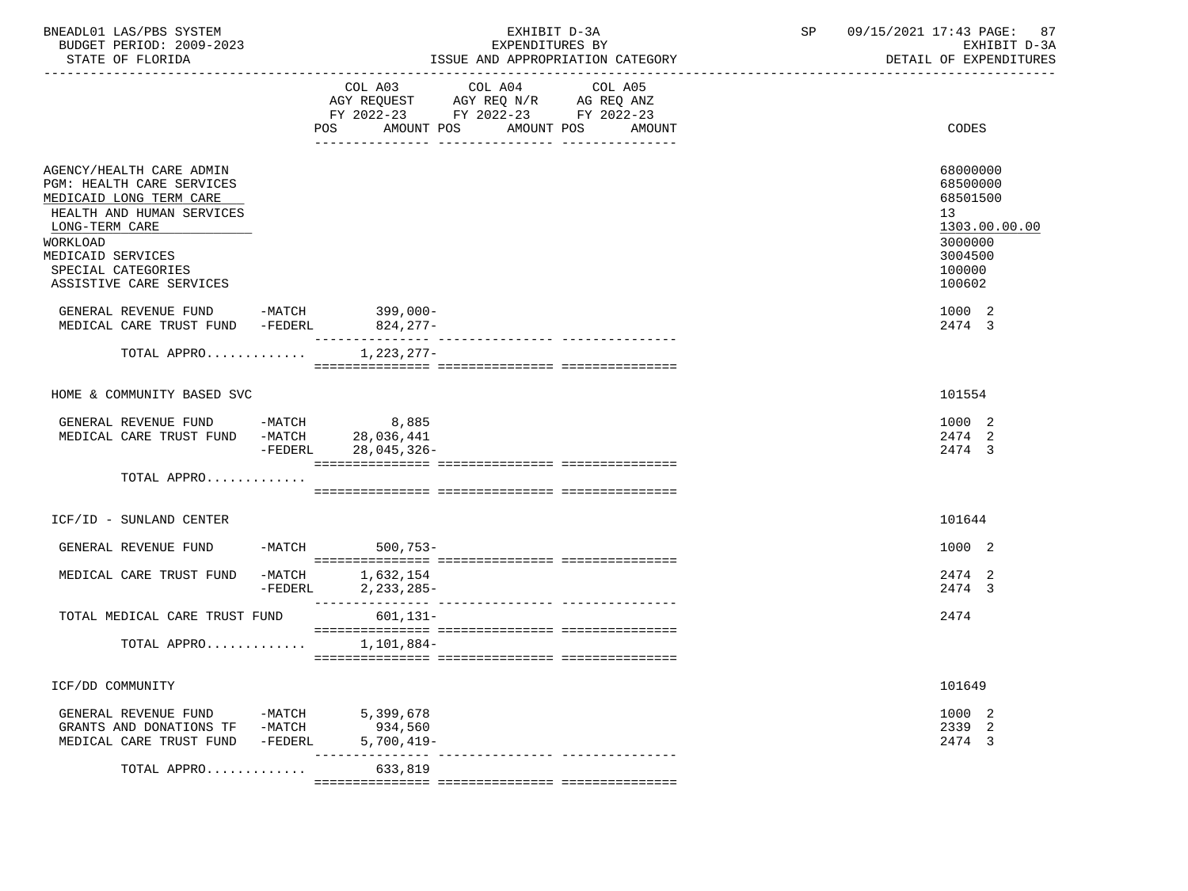| BNEADL01 LAS/PBS SYSTEM<br>BUDGET PERIOD: 2009-2023<br>STATE OF FLORIDA                                                                                          |                   |                                      | EXHIBIT D-3A<br>EXPENDITURES BY<br>ISSUE AND APPROPRIATION CATEGORY                                                                      | SP | 09/15/2021 17:43 PAGE: 87<br>EXHIBIT D-3A<br>DETAIL OF EXPENDITURES           |
|------------------------------------------------------------------------------------------------------------------------------------------------------------------|-------------------|--------------------------------------|------------------------------------------------------------------------------------------------------------------------------------------|----|-------------------------------------------------------------------------------|
|                                                                                                                                                                  |                   |                                      | COL A03 COL A04<br>COL A05<br>AGY REQUEST AGY REQ N/R AG REQ ANZ<br>FY 2022-23 FY 2022-23 FY 2022-23<br>POS AMOUNT POS AMOUNT POS AMOUNT |    | CODES                                                                         |
| AGENCY/HEALTH CARE ADMIN<br>PGM: HEALTH CARE SERVICES<br>MEDICAID LONG TERM CARE<br>HEALTH AND HUMAN SERVICES<br>LONG-TERM CARE<br>WORKLOAD<br>MEDICAID SERVICES |                   |                                      |                                                                                                                                          |    | 68000000<br>68500000<br>68501500<br>13<br>1303.00.00.00<br>3000000<br>3004500 |
| SPECIAL CATEGORIES<br>ASSISTIVE CARE SERVICES                                                                                                                    |                   |                                      |                                                                                                                                          |    | 100000<br>100602                                                              |
| GENERAL REVENUE FUND $-MATCH$ 399,000-<br>MEDICAL CARE TRUST FUND -FEDERL                                                                                        |                   | 824,277-                             |                                                                                                                                          |    | 1000 2<br>2474 3                                                              |
| TOTAL APPRO                                                                                                                                                      |                   | 1,223,277-                           |                                                                                                                                          |    |                                                                               |
| HOME & COMMUNITY BASED SVC                                                                                                                                       |                   |                                      |                                                                                                                                          |    | 101554                                                                        |
| GENERAL REVENUE FUND -MATCH 8,885<br>MEDICAL CARE TRUST FUND -MATCH 28,036,441                                                                                   |                   | -FEDERL 28,045,326-                  |                                                                                                                                          |    | 1000 2<br>2474 2<br>2474 3                                                    |
| TOTAL APPRO                                                                                                                                                      |                   |                                      |                                                                                                                                          |    |                                                                               |
| ICF/ID - SUNLAND CENTER                                                                                                                                          |                   |                                      |                                                                                                                                          |    | 101644                                                                        |
| GENERAL REVENUE FUND -MATCH 500,753-                                                                                                                             |                   |                                      |                                                                                                                                          |    | 1000 2                                                                        |
| MEDICAL CARE TRUST FUND -MATCH 1,632,154                                                                                                                         |                   | -FEDERL 2, 233, 285-                 |                                                                                                                                          |    | 2474 2<br>2474 3                                                              |
| TOTAL MEDICAL CARE TRUST FUND                                                                                                                                    |                   | 601,131-                             |                                                                                                                                          |    | 2474                                                                          |
| TOTAL APPRO $1,101,884-$                                                                                                                                         |                   |                                      |                                                                                                                                          |    |                                                                               |
| ICF/DD COMMUNITY                                                                                                                                                 |                   |                                      |                                                                                                                                          |    | 101649                                                                        |
| GENERAL REVENUE FUND<br>GRANTS AND DONATIONS TF -MATCH<br>MEDICAL CARE TRUST FUND                                                                                | -MATCH<br>-FEDERL | 5,399,678<br>934,560<br>$5,700,419-$ |                                                                                                                                          |    | 1000 2<br>2339 2<br>2474 3                                                    |
| TOTAL APPRO                                                                                                                                                      |                   | 633,819                              | -------------- -----------------                                                                                                         |    |                                                                               |
|                                                                                                                                                                  |                   |                                      |                                                                                                                                          |    |                                                                               |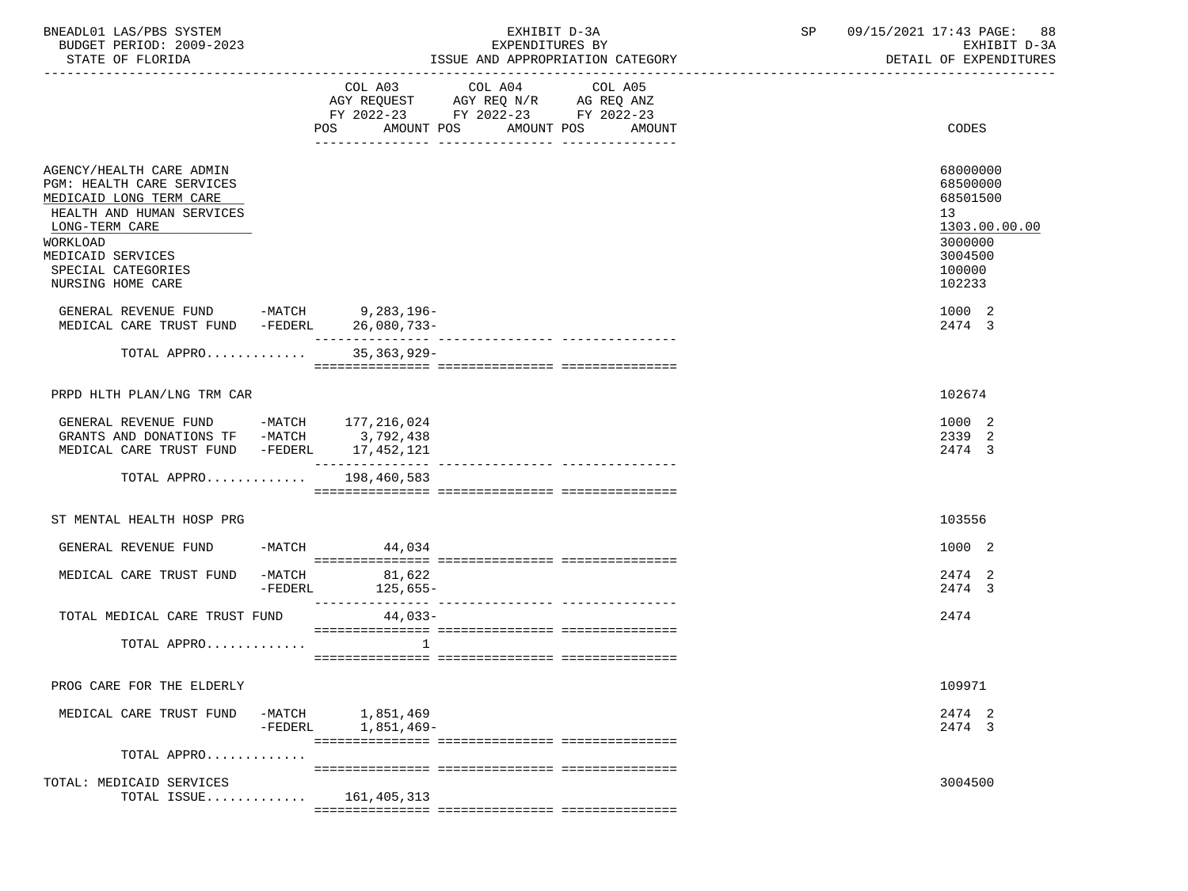| BNEADL01 LAS/PBS SYSTEM<br>BUDGET PERIOD: 2009-2023<br>STATE OF FLORIDA                                                                                                                                                                                                                              | EXHIBIT D-3A<br>EXPENDITURES BY<br>ISSUE AND APPROPRIATION CATEGORY |                                      |                                             | SP                | 09/15/2021 17:43 PAGE: 88<br>EXHIBIT D-3A<br>DETAIL OF EXPENDITURES |                                                                                                                       |
|------------------------------------------------------------------------------------------------------------------------------------------------------------------------------------------------------------------------------------------------------------------------------------------------------|---------------------------------------------------------------------|--------------------------------------|---------------------------------------------|-------------------|---------------------------------------------------------------------|-----------------------------------------------------------------------------------------------------------------------|
|                                                                                                                                                                                                                                                                                                      |                                                                     | COL A03<br>POS AMOUNT POS AMOUNT POS | COL A04<br>FY 2022-23 FY 2022-23 FY 2022-23 | COL A05<br>AMOUNT |                                                                     | CODES                                                                                                                 |
| AGENCY/HEALTH CARE ADMIN<br>PGM: HEALTH CARE SERVICES<br>MEDICAID LONG TERM CARE<br>HEALTH AND HUMAN SERVICES<br>LONG-TERM CARE<br>WORKLOAD<br>MEDICAID SERVICES<br>SPECIAL CATEGORIES<br>NURSING HOME CARE<br>GENERAL REVENUE FUND -MATCH 9,283,196-<br>MEDICAL CARE TRUST FUND -FEDERL 26,080,733- |                                                                     |                                      |                                             |                   |                                                                     | 68000000<br>68500000<br>68501500<br>13<br>1303.00.00.00<br>3000000<br>3004500<br>100000<br>102233<br>1000 2<br>2474 3 |
| TOTAL APPRO                                                                                                                                                                                                                                                                                          |                                                                     | $35, 363, 929 -$                     |                                             |                   |                                                                     |                                                                                                                       |
|                                                                                                                                                                                                                                                                                                      |                                                                     |                                      |                                             |                   |                                                                     |                                                                                                                       |
| PRPD HLTH PLAN/LNG TRM CAR                                                                                                                                                                                                                                                                           |                                                                     |                                      |                                             |                   |                                                                     | 102674                                                                                                                |
| GENERAL REVENUE FUND -MATCH 177, 216, 024<br>GRANTS AND DONATIONS TF -MATCH 3,792,438<br>MEDICAL CARE TRUST FUND -FEDERL 17,452,121<br>TOTAL APPRO 198,460,583                                                                                                                                       |                                                                     |                                      |                                             |                   |                                                                     | 1000 2<br>2339 2<br>2474 3                                                                                            |
| ST MENTAL HEALTH HOSP PRG                                                                                                                                                                                                                                                                            |                                                                     |                                      |                                             |                   |                                                                     | 103556                                                                                                                |
| GENERAL REVENUE FUND -MATCH 44,034                                                                                                                                                                                                                                                                   |                                                                     |                                      |                                             |                   |                                                                     | 1000 2                                                                                                                |
| MEDICAL CARE TRUST FUND -MATCH 81,622                                                                                                                                                                                                                                                                |                                                                     | -FEDERL 125,655-                     |                                             |                   |                                                                     | 2474 2<br>2474 3                                                                                                      |
| TOTAL MEDICAL CARE TRUST FUND 44,033-                                                                                                                                                                                                                                                                |                                                                     |                                      |                                             |                   |                                                                     | 2474                                                                                                                  |
| TOTAL APPRO                                                                                                                                                                                                                                                                                          |                                                                     | $\mathbf{1}$                         |                                             |                   |                                                                     |                                                                                                                       |
| PROG CARE FOR THE ELDERLY                                                                                                                                                                                                                                                                            |                                                                     |                                      |                                             |                   |                                                                     | 109971                                                                                                                |
| MEDICAL CARE TRUST FUND -MATCH 1,851,469                                                                                                                                                                                                                                                             | -FEDERL                                                             | 1,851,469-                           |                                             |                   |                                                                     | 2474 2<br>2474 3                                                                                                      |
| TOTAL APPRO                                                                                                                                                                                                                                                                                          |                                                                     |                                      |                                             |                   |                                                                     |                                                                                                                       |
| TOTAL: MEDICAID SERVICES<br>TOTAL ISSUE                                                                                                                                                                                                                                                              |                                                                     | 161, 405, 313                        |                                             |                   |                                                                     | 3004500                                                                                                               |
|                                                                                                                                                                                                                                                                                                      |                                                                     |                                      |                                             |                   |                                                                     |                                                                                                                       |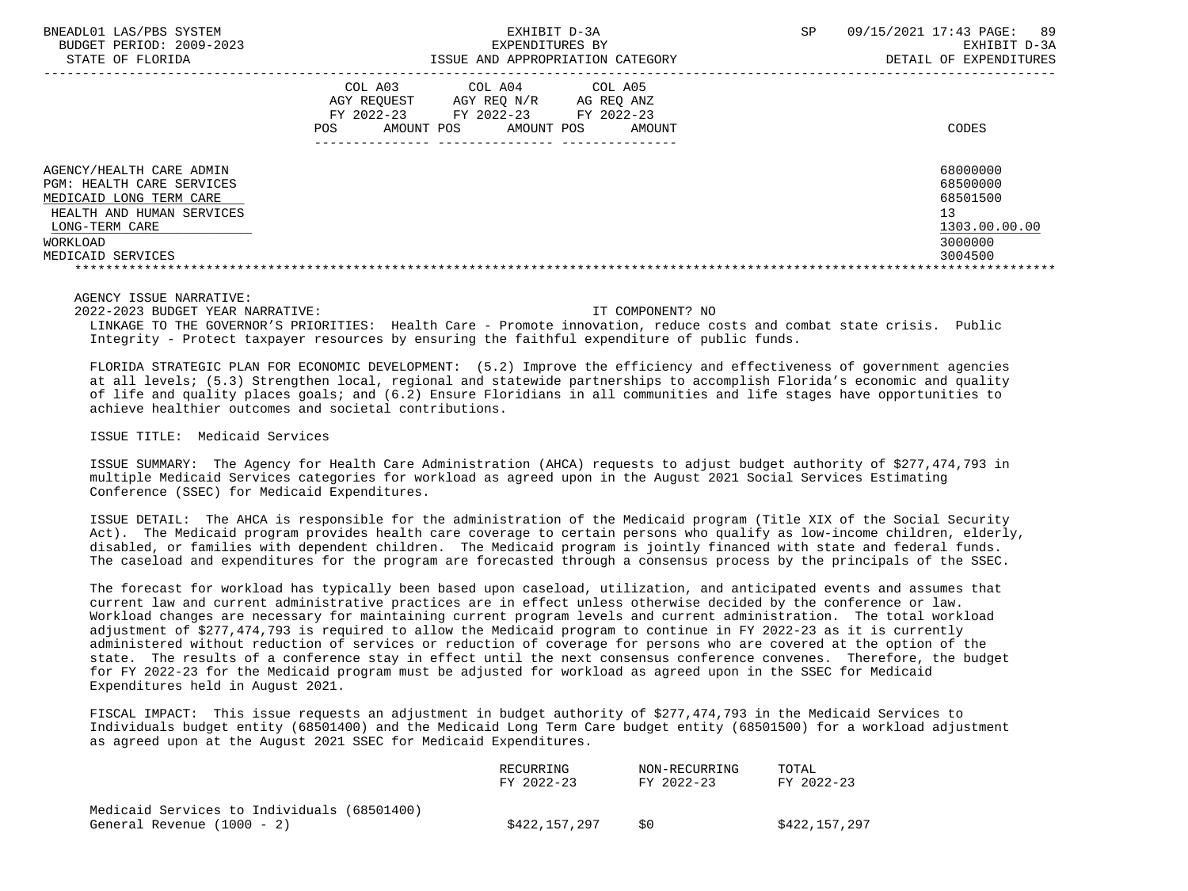| BNEADL01 LAS/PBS SYSTEM<br>BUDGET PERIOD: 2009-2023<br>STATE OF FLORIDA                                                                                                 | EXHIBIT D-3A<br>EXPENDITURES BY<br>ISSUE AND APPROPRIATION CATEGORY                                                                                              | 09/15/2021 17:43 PAGE: 89<br>SP<br>EXHIBIT D-3A<br>DETAIL OF EXPENDITURES     |
|-------------------------------------------------------------------------------------------------------------------------------------------------------------------------|------------------------------------------------------------------------------------------------------------------------------------------------------------------|-------------------------------------------------------------------------------|
|                                                                                                                                                                         | COL A03<br>COL A04<br>COL A05<br>AGY REOUEST<br>AGY REO N/R<br>AG REO ANZ<br>FY 2022-23<br>FY 2022-23<br>FY 2022-23<br>AMOUNT POS<br>POS<br>AMOUNT POS<br>AMOUNT | CODES                                                                         |
| AGENCY/HEALTH CARE ADMIN<br><b>PGM: HEALTH CARE SERVICES</b><br>MEDICAID LONG TERM CARE<br>HEALTH AND HUMAN SERVICES<br>LONG-TERM CARE<br>WORKLOAD<br>MEDICAID SERVICES |                                                                                                                                                                  | 68000000<br>68500000<br>68501500<br>13<br>1303.00.00.00<br>3000000<br>3004500 |

 2022-2023 BUDGET YEAR NARRATIVE: IT COMPONENT? NO LINKAGE TO THE GOVERNOR'S PRIORITIES: Health Care - Promote innovation, reduce costs and combat state crisis. Public Integrity - Protect taxpayer resources by ensuring the faithful expenditure of public funds.

 FLORIDA STRATEGIC PLAN FOR ECONOMIC DEVELOPMENT: (5.2) Improve the efficiency and effectiveness of government agencies at all levels; (5.3) Strengthen local, regional and statewide partnerships to accomplish Florida's economic and quality of life and quality places goals; and (6.2) Ensure Floridians in all communities and life stages have opportunities to achieve healthier outcomes and societal contributions.

ISSUE TITLE: Medicaid Services

 ISSUE SUMMARY: The Agency for Health Care Administration (AHCA) requests to adjust budget authority of \$277,474,793 in multiple Medicaid Services categories for workload as agreed upon in the August 2021 Social Services Estimating Conference (SSEC) for Medicaid Expenditures.

 ISSUE DETAIL: The AHCA is responsible for the administration of the Medicaid program (Title XIX of the Social Security Act). The Medicaid program provides health care coverage to certain persons who qualify as low-income children, elderly, disabled, or families with dependent children. The Medicaid program is jointly financed with state and federal funds. The caseload and expenditures for the program are forecasted through a consensus process by the principals of the SSEC.

 The forecast for workload has typically been based upon caseload, utilization, and anticipated events and assumes that current law and current administrative practices are in effect unless otherwise decided by the conference or law. Workload changes are necessary for maintaining current program levels and current administration. The total workload adjustment of \$277,474,793 is required to allow the Medicaid program to continue in FY 2022-23 as it is currently administered without reduction of services or reduction of coverage for persons who are covered at the option of the state. The results of a conference stay in effect until the next consensus conference convenes. Therefore, the budget for FY 2022-23 for the Medicaid program must be adjusted for workload as agreed upon in the SSEC for Medicaid Expenditures held in August 2021.

 FISCAL IMPACT: This issue requests an adjustment in budget authority of \$277,474,793 in the Medicaid Services to Individuals budget entity (68501400) and the Medicaid Long Term Care budget entity (68501500) for a workload adjustment as agreed upon at the August 2021 SSEC for Medicaid Expenditures.

|                                             | RECURRING<br>FY 2022-23 | NON-RECURRING<br>FY 2022-23 | TOTAL<br>FY 2022-23 |
|---------------------------------------------|-------------------------|-----------------------------|---------------------|
| Medicaid Services to Individuals (68501400) |                         | S0                          |                     |
| General Revenue (1000 - 2)                  | \$422,157,297           |                             | \$422,157,297       |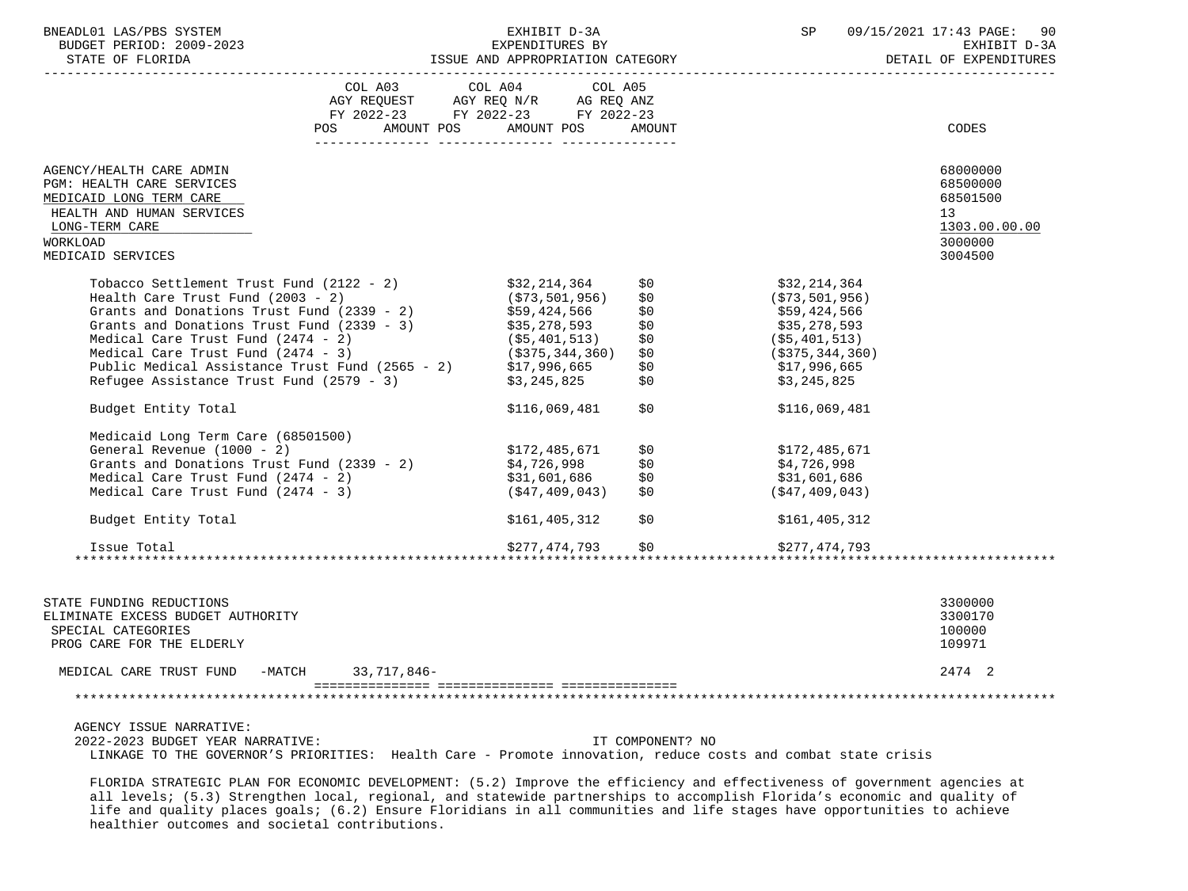| BNEADL01 LAS/PBS SYSTEM<br>EXHIBIT D-3A                                                                                                                                         |                                  |                                |                | SP 09/15/2021 17:43 PAGE: 90 |                    |                 |
|---------------------------------------------------------------------------------------------------------------------------------------------------------------------------------|----------------------------------|--------------------------------|----------------|------------------------------|--------------------|-----------------|
|                                                                                                                                                                                 |                                  |                                |                |                              |                    |                 |
|                                                                                                                                                                                 |                                  |                                |                |                              |                    |                 |
|                                                                                                                                                                                 |                                  |                                |                |                              |                    |                 |
|                                                                                                                                                                                 |                                  |                                |                |                              |                    |                 |
|                                                                                                                                                                                 | FY 2022-23 FY 2022-23 FY 2022-23 |                                |                |                              |                    |                 |
|                                                                                                                                                                                 | POS AMOUNT POS AMOUNT POS AMOUNT |                                |                |                              |                    | CODES           |
| AGENCY/HEALTH CARE ADMIN                                                                                                                                                        |                                  |                                |                |                              |                    | 68000000        |
| PGM: HEALTH CARE SERVICES                                                                                                                                                       |                                  |                                |                |                              |                    | 68500000        |
| MEDICAID LONG TERM CARE                                                                                                                                                         |                                  |                                |                |                              |                    | 68501500        |
| HEALTH AND HUMAN SERVICES                                                                                                                                                       |                                  |                                |                |                              |                    | 13 <sup>1</sup> |
| LONG-TERM CARE                                                                                                                                                                  |                                  |                                |                |                              |                    | 1303.00.00.00   |
| WORKLOAD                                                                                                                                                                        |                                  |                                |                |                              |                    | 3000000         |
| MEDICAID SERVICES                                                                                                                                                               |                                  |                                |                |                              |                    | 3004500         |
| Tobacco Settlement Trust Fund $(2122 - 2)$ \$32,214,364                                                                                                                         |                                  |                                |                | \$0                          | \$32,214,364       |                 |
| Health Care Trust Fund $(2003 - 2)$ $(573,501,956)$<br>Grants and Donations Trust Fund $(2339 - 2)$ $559,424,566$<br>Grants and Donations Trust Fund $(2339 - 3)$ $535,278,593$ |                                  | (\$73,501,956)<br>\$59,424,566 |                | \$0                          | (S73, 501, 956)    |                 |
|                                                                                                                                                                                 |                                  |                                |                | \$0                          | \$59,424,566       |                 |
|                                                                                                                                                                                 |                                  |                                |                | \$0                          | \$35,278,593       |                 |
| Medical Care Trust Fund $(2474 - 2)$ (\$5,401,513)<br>Medical Care Trust Fund $(2474 - 3)$ (\$375,344,360)                                                                      |                                  |                                |                | \$0                          | ( \$5,401,513)     |                 |
|                                                                                                                                                                                 |                                  |                                |                | \$0                          | ( \$375, 344, 360) |                 |
| Public Medical Assistance Trust Fund (2565 - 2) \$17,996,665                                                                                                                    |                                  |                                |                | \$0                          | \$17,996,665       |                 |
| Refugee Assistance Trust Fund (2579 - 3)                                                                                                                                        |                                  | \$3,245,825                    |                | \$0                          | \$3,245,825        |                 |
| Budget Entity Total                                                                                                                                                             |                                  |                                | \$116,069,481  | \$0                          | \$116,069,481      |                 |
| Medicaid Long Term Care (68501500)                                                                                                                                              |                                  |                                |                |                              |                    |                 |
| General Revenue $(1000 - 2)$                                                                                                                                                    |                                  | \$172,485,671                  |                | \$0                          | \$172,485,671      |                 |
| General Revenue (1000 - 2)<br>Grants and Donations Trust Fund (2339 - 2)<br>Medical Care Trust Fund (2474 - 2)<br>Medical Care Trust Fund (2474 - 3)<br>(\$47,409,043)          |                                  |                                |                |                              | \$4,726,998        |                 |
|                                                                                                                                                                                 |                                  |                                |                | \$0 D                        | \$31,601,686       |                 |
| Medical Care Trust Fund $(2474 - 3)$                                                                                                                                            |                                  |                                | (\$47,409,043) | \$0                          | (S47, 409, 043)    |                 |
| Budget Entity Total                                                                                                                                                             |                                  |                                | \$161,405,312  | \$0                          | \$161,405,312      |                 |
| Issue Total                                                                                                                                                                     |                                  |                                | \$277,474,793  | \$0                          | \$277,474,793      |                 |
|                                                                                                                                                                                 |                                  |                                |                |                              |                    |                 |
| STATE FUNDING REDUCTIONS                                                                                                                                                        |                                  |                                |                |                              |                    | 3300000         |
| ELIMINATE EXCESS BUDGET AUTHORITY                                                                                                                                               |                                  |                                |                |                              |                    | 3300170         |
| SPECIAL CATEGORIES                                                                                                                                                              |                                  |                                |                |                              |                    | 100000          |
| PROG CARE FOR THE ELDERLY                                                                                                                                                       |                                  |                                |                |                              |                    | 109971          |
| MEDICAL CARE TRUST FUND -MATCH                                                                                                                                                  | 33,717,846-                      |                                |                |                              |                    | 2474 2          |

 2022-2023 BUDGET YEAR NARRATIVE: IT COMPONENT? NO LINKAGE TO THE GOVERNOR'S PRIORITIES: Health Care - Promote innovation, reduce costs and combat state crisis

=============== =============== ===============

 FLORIDA STRATEGIC PLAN FOR ECONOMIC DEVELOPMENT: (5.2) Improve the efficiency and effectiveness of government agencies at all levels; (5.3) Strengthen local, regional, and statewide partnerships to accomplish Florida's economic and quality of life and quality places goals; (6.2) Ensure Floridians in all communities and life stages have opportunities to achieve healthier outcomes and societal contributions.

\*\*\*\*\*\*\*\*\*\*\*\*\*\*\*\*\*\*\*\*\*\*\*\*\*\*\*\*\*\*\*\*\*\*\*\*\*\*\*\*\*\*\*\*\*\*\*\*\*\*\*\*\*\*\*\*\*\*\*\*\*\*\*\*\*\*\*\*\*\*\*\*\*\*\*\*\*\*\*\*\*\*\*\*\*\*\*\*\*\*\*\*\*\*\*\*\*\*\*\*\*\*\*\*\*\*\*\*\*\*\*\*\*\*\*\*\*\*\*\*\*\*\*\*\*\*\*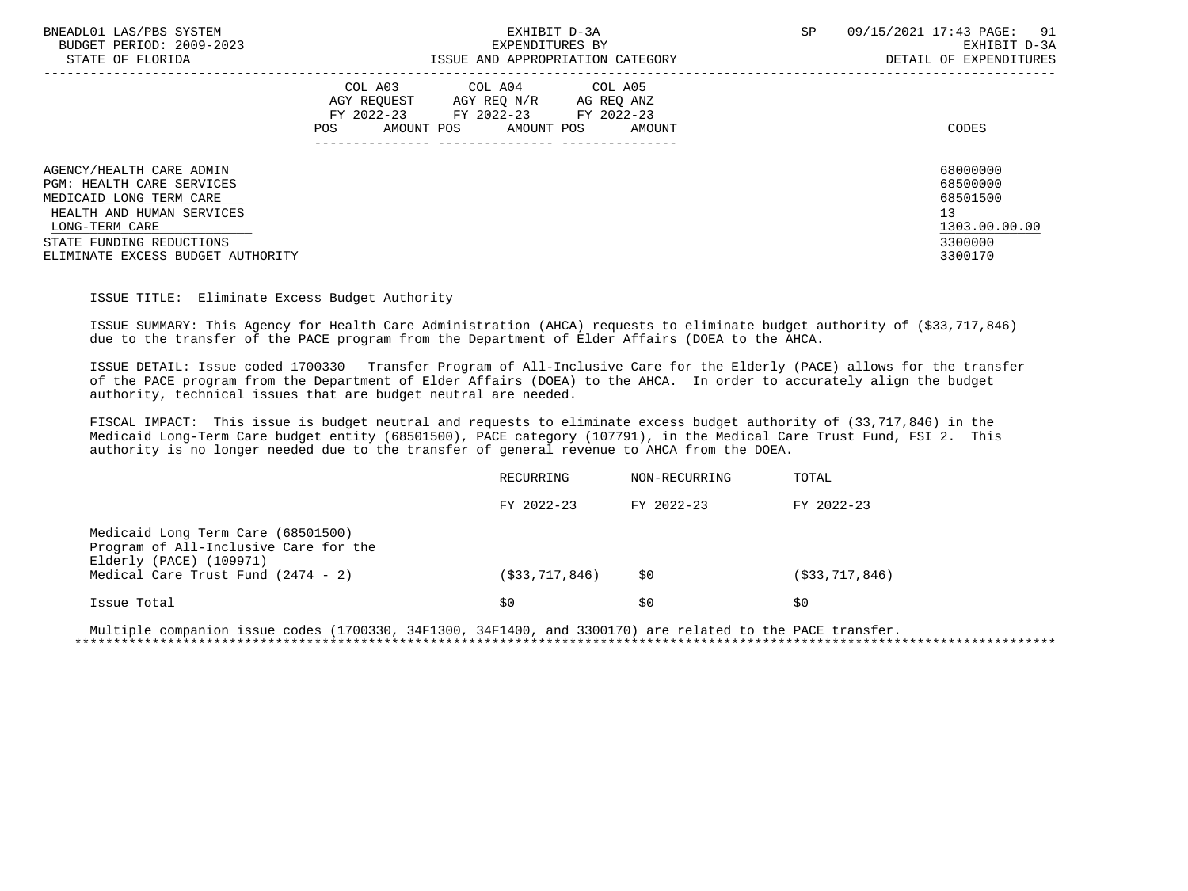| BNEADL01 LAS/PBS SYSTEM                              | EXHIBIT D-3A                                                                                                                                         | SP | 09/15/2021 17:43 PAGE:<br>91<br>EXHIBIT D-3A |
|------------------------------------------------------|------------------------------------------------------------------------------------------------------------------------------------------------------|----|----------------------------------------------|
| BUDGET PERIOD: 2009-2023<br>STATE OF FLORIDA         | EXPENDITURES BY<br>ISSUE AND APPROPRIATION CATEGORY                                                                                                  |    | DETAIL OF EXPENDITURES                       |
|                                                      | COL A03 COL A04 COL A05<br>AGY REOUEST<br>AGY REQ N/R<br>AG REQ ANZ<br>FY 2022-23 FY 2022-23 FY 2022-23<br>AMOUNT POS<br>AMOUNT POS<br>POS<br>AMOUNT |    | CODES                                        |
| AGENCY/HEALTH CARE ADMIN                             |                                                                                                                                                      |    | 68000000                                     |
| PGM: HEALTH CARE SERVICES<br>MEDICAID LONG TERM CARE |                                                                                                                                                      |    | 68500000<br>68501500                         |
| HEALTH AND HUMAN SERVICES                            |                                                                                                                                                      |    | 13                                           |
| LONG-TERM CARE                                       |                                                                                                                                                      |    | 1303.00.00.00                                |
| STATE FUNDING REDUCTIONS                             |                                                                                                                                                      |    | 3300000                                      |
| ELIMINATE EXCESS BUDGET AUTHORITY                    |                                                                                                                                                      |    | 3300170                                      |

ISSUE TITLE: Eliminate Excess Budget Authority

 ISSUE SUMMARY: This Agency for Health Care Administration (AHCA) requests to eliminate budget authority of (\$33,717,846) due to the transfer of the PACE program from the Department of Elder Affairs (DOEA to the AHCA.

 ISSUE DETAIL: Issue coded 1700330 Transfer Program of All-Inclusive Care for the Elderly (PACE) allows for the transfer of the PACE program from the Department of Elder Affairs (DOEA) to the AHCA. In order to accurately align the budget authority, technical issues that are budget neutral are needed.

 FISCAL IMPACT: This issue is budget neutral and requests to eliminate excess budget authority of (33,717,846) in the Medicaid Long-Term Care budget entity (68501500), PACE category (107791), in the Medical Care Trust Fund, FSI 2. This authority is no longer needed due to the transfer of general revenue to AHCA from the DOEA.

|                                                                                                                                              | RECURRING      | NON-RECURRING | TOTAL             |  |
|----------------------------------------------------------------------------------------------------------------------------------------------|----------------|---------------|-------------------|--|
|                                                                                                                                              | FY 2022-23     | FY 2022-23    | FY 2022-23        |  |
| Medicaid Long Term Care (68501500)<br>Program of All-Inclusive Care for the<br>Elderly (PACE) (109971)<br>Medical Care Trust Fund (2474 - 2) | (\$33,717,846) | \$0           | ( \$33, 717, 846) |  |
|                                                                                                                                              |                |               |                   |  |
| Issue Total                                                                                                                                  | S0             | S0            | S0                |  |

 Multiple companion issue codes (1700330, 34F1300, 34F1400, and 3300170) are related to the PACE transfer. \*\*\*\*\*\*\*\*\*\*\*\*\*\*\*\*\*\*\*\*\*\*\*\*\*\*\*\*\*\*\*\*\*\*\*\*\*\*\*\*\*\*\*\*\*\*\*\*\*\*\*\*\*\*\*\*\*\*\*\*\*\*\*\*\*\*\*\*\*\*\*\*\*\*\*\*\*\*\*\*\*\*\*\*\*\*\*\*\*\*\*\*\*\*\*\*\*\*\*\*\*\*\*\*\*\*\*\*\*\*\*\*\*\*\*\*\*\*\*\*\*\*\*\*\*\*\*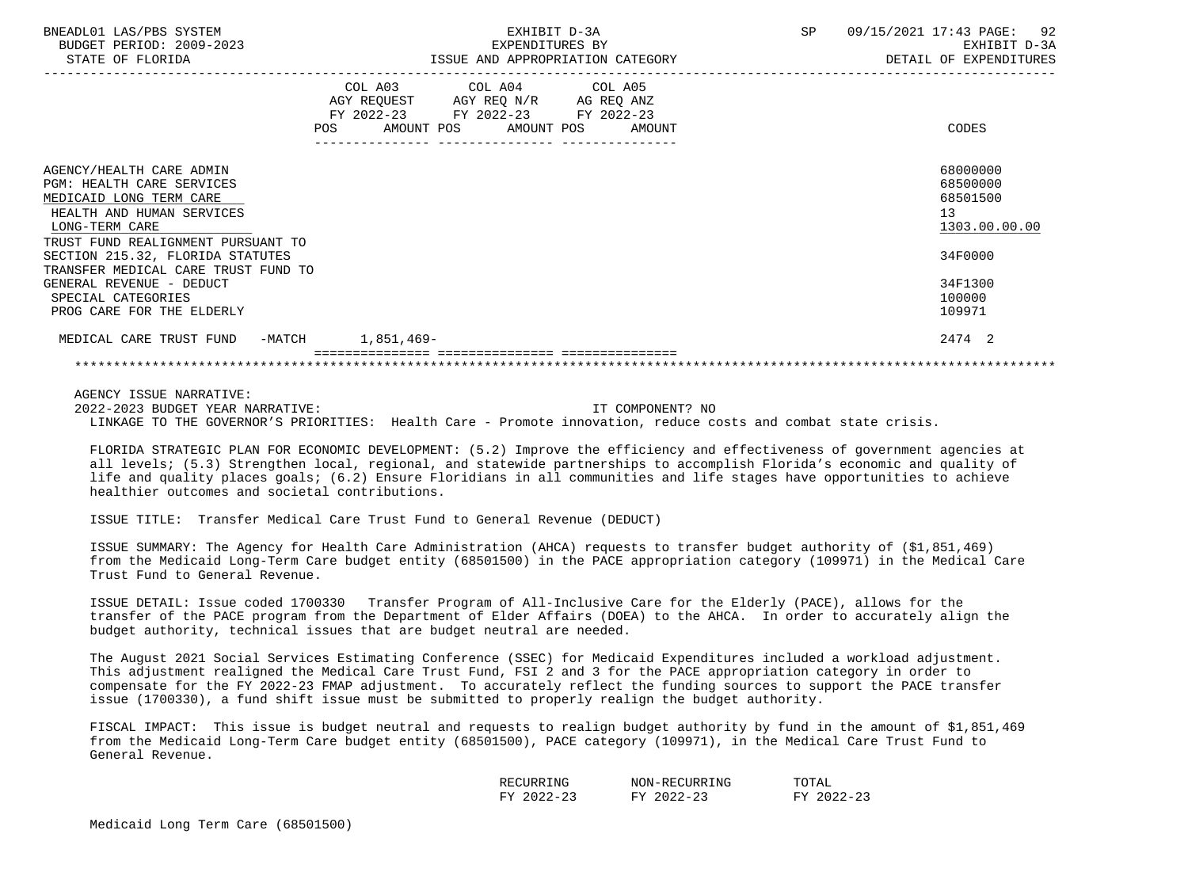| BNEADL01 LAS/PBS SYSTEM<br>BUDGET PERIOD: 2009-2023<br>STATE OF FLORIDA                                                         | EXHIBIT D-3A<br>EXPENDITURES BY EXHIBIT D-3A<br>ISSUE AND APPROPRIATION CATEGORY FOR THE SECTAIL OF EXPENDITURES                      | SP 09/15/2021 17:43 PAGE: 92                            |
|---------------------------------------------------------------------------------------------------------------------------------|---------------------------------------------------------------------------------------------------------------------------------------|---------------------------------------------------------|
|                                                                                                                                 | COL A03 COL A04 COL A05<br>AGY REQUEST AGY REQ N/R AG REQ ANZ<br>FY 2022-23 FY 2022-23 FY 2022-23<br>POS AMOUNT POS AMOUNT POS AMOUNT | CODES                                                   |
| AGENCY/HEALTH CARE ADMIN<br>PGM: HEALTH CARE SERVICES<br>MEDICAID LONG TERM CARE<br>HEALTH AND HUMAN SERVICES<br>LONG-TERM CARE |                                                                                                                                       | 68000000<br>68500000<br>68501500<br>13<br>1303.00.00.00 |
| TRUST FUND REALIGNMENT PURSUANT TO<br>SECTION 215.32, FLORIDA STATUTES<br>TRANSFER MEDICAL CARE TRUST FUND TO                   |                                                                                                                                       | 34F0000                                                 |
| GENERAL REVENUE - DEDUCT<br>SPECIAL CATEGORIES<br>PROG CARE FOR THE ELDERLY                                                     |                                                                                                                                       | 34F1300<br>100000<br>109971                             |
| MEDICAL CARE TRUST FUND -MATCH 1,851,469-                                                                                       |                                                                                                                                       | 2474 2                                                  |
|                                                                                                                                 |                                                                                                                                       |                                                         |

 AGENCY ISSUE NARRATIVE: 2022-2023 BUDGET YEAR NARRATIVE: IT COMPONENT? NO LINKAGE TO THE GOVERNOR'S PRIORITIES: Health Care - Promote innovation, reduce costs and combat state crisis.

 FLORIDA STRATEGIC PLAN FOR ECONOMIC DEVELOPMENT: (5.2) Improve the efficiency and effectiveness of government agencies at all levels; (5.3) Strengthen local, regional, and statewide partnerships to accomplish Florida's economic and quality of life and quality places goals; (6.2) Ensure Floridians in all communities and life stages have opportunities to achieve healthier outcomes and societal contributions.

ISSUE TITLE: Transfer Medical Care Trust Fund to General Revenue (DEDUCT)

 ISSUE SUMMARY: The Agency for Health Care Administration (AHCA) requests to transfer budget authority of (\$1,851,469) from the Medicaid Long-Term Care budget entity (68501500) in the PACE appropriation category (109971) in the Medical Care Trust Fund to General Revenue.

 ISSUE DETAIL: Issue coded 1700330 Transfer Program of All-Inclusive Care for the Elderly (PACE), allows for the transfer of the PACE program from the Department of Elder Affairs (DOEA) to the AHCA. In order to accurately align the budget authority, technical issues that are budget neutral are needed.

 The August 2021 Social Services Estimating Conference (SSEC) for Medicaid Expenditures included a workload adjustment. This adjustment realigned the Medical Care Trust Fund, FSI 2 and 3 for the PACE appropriation category in order to compensate for the FY 2022-23 FMAP adjustment. To accurately reflect the funding sources to support the PACE transfer issue (1700330), a fund shift issue must be submitted to properly realign the budget authority.

 FISCAL IMPACT: This issue is budget neutral and requests to realign budget authority by fund in the amount of \$1,851,469 from the Medicaid Long-Term Care budget entity (68501500), PACE category (109971), in the Medical Care Trust Fund to General Revenue.

| NIC-<br>וים עי                                               | lING<br>$\sim$ UN $-$<br>' 1 H H | ™ሰጥ∆*<br>ີ ⊂ ⊥ <i>⊥</i> ⊥⊥        |
|--------------------------------------------------------------|----------------------------------|-----------------------------------|
| $\hat{z}$<br><b>TRAZ</b><br>$\overline{\phantom{0}}$<br>ر بے | 1000<br>$\sim$<br>rv.<br>- - -   | $\sim$ $\sim$<br>T/TZ<br><u>.</u> |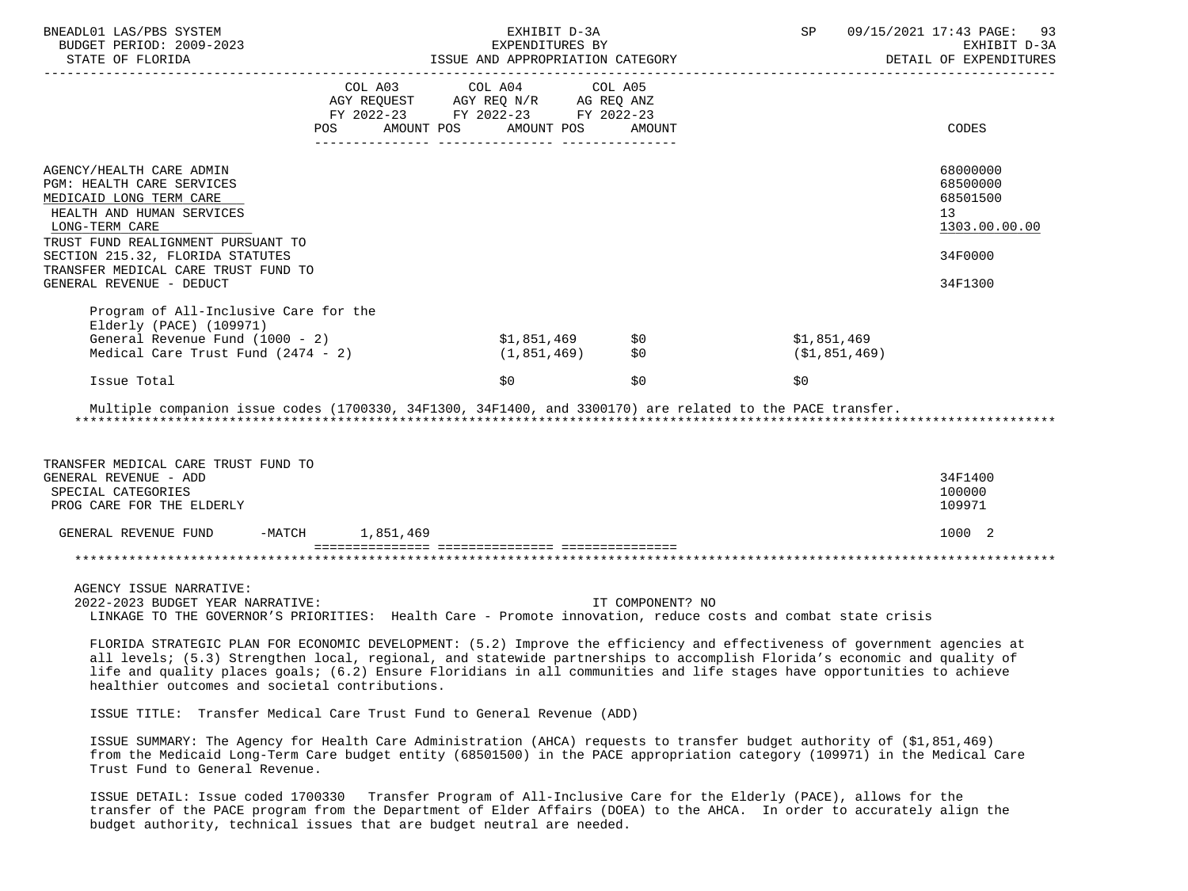| BNEADL01 LAS/PBS SYSTEM<br>BUDGET PERIOD: 2009-2023<br>STATE OF FLORIDA                                                                                                                                                                                                                                                                                                                                                                                                                                            |                                                                                                                        | EXHIBIT D-3A<br>EXPENDITURES BY<br>ISSUE AND APPROPRIATION CATEGORY |                  | SP and the set of the set of the set of the set of the set of the set of the set of the set of the set of the set of the set of the set of the set of the set of the set of the set of the set of the set of the set of the se | 09/15/2021 17:43 PAGE: 93<br>EXHIBIT D-3A<br>DETAIL OF EXPENDITURES |
|--------------------------------------------------------------------------------------------------------------------------------------------------------------------------------------------------------------------------------------------------------------------------------------------------------------------------------------------------------------------------------------------------------------------------------------------------------------------------------------------------------------------|------------------------------------------------------------------------------------------------------------------------|---------------------------------------------------------------------|------------------|--------------------------------------------------------------------------------------------------------------------------------------------------------------------------------------------------------------------------------|---------------------------------------------------------------------|
|                                                                                                                                                                                                                                                                                                                                                                                                                                                                                                                    | COL A03 COL A04 COL A05<br>AGY REQUEST AGY REQ N/R AG REQ ANZ<br>FY 2022-23 FY 2022-23 FY 2022-23<br>AMOUNT POS<br>POS | AMOUNT POS                                                          | AMOUNT           |                                                                                                                                                                                                                                | CODES                                                               |
|                                                                                                                                                                                                                                                                                                                                                                                                                                                                                                                    |                                                                                                                        |                                                                     |                  |                                                                                                                                                                                                                                |                                                                     |
| AGENCY/HEALTH CARE ADMIN<br>PGM: HEALTH CARE SERVICES<br>MEDICAID LONG TERM CARE<br>HEALTH AND HUMAN SERVICES<br>LONG-TERM CARE<br>TRUST FUND REALIGNMENT PURSUANT TO                                                                                                                                                                                                                                                                                                                                              |                                                                                                                        |                                                                     |                  |                                                                                                                                                                                                                                | 68000000<br>68500000<br>68501500<br>13<br>1303.00.00.00             |
| SECTION 215.32, FLORIDA STATUTES                                                                                                                                                                                                                                                                                                                                                                                                                                                                                   |                                                                                                                        |                                                                     |                  |                                                                                                                                                                                                                                | 34F0000                                                             |
| TRANSFER MEDICAL CARE TRUST FUND TO<br>GENERAL REVENUE - DEDUCT                                                                                                                                                                                                                                                                                                                                                                                                                                                    |                                                                                                                        |                                                                     |                  |                                                                                                                                                                                                                                | 34F1300                                                             |
| Program of All-Inclusive Care for the<br>Elderly (PACE) (109971)<br>General Revenue Fund (1000 - 2)                                                                                                                                                                                                                                                                                                                                                                                                                |                                                                                                                        | \$1,851,469                                                         | \$0              | \$1,851,469                                                                                                                                                                                                                    |                                                                     |
| Medical Care Trust Fund $(2474 - 2)$                                                                                                                                                                                                                                                                                                                                                                                                                                                                               |                                                                                                                        | (1,851,469)                                                         | \$0              | (\$1,851,469)                                                                                                                                                                                                                  |                                                                     |
| Issue Total                                                                                                                                                                                                                                                                                                                                                                                                                                                                                                        |                                                                                                                        | \$0                                                                 | \$0              | \$0                                                                                                                                                                                                                            |                                                                     |
| Multiple companion issue codes (1700330, 34F1300, 34F1400, and 3300170) are related to the PACE transfer.                                                                                                                                                                                                                                                                                                                                                                                                          |                                                                                                                        |                                                                     |                  |                                                                                                                                                                                                                                |                                                                     |
| TRANSFER MEDICAL CARE TRUST FUND TO<br>GENERAL REVENUE - ADD                                                                                                                                                                                                                                                                                                                                                                                                                                                       |                                                                                                                        |                                                                     |                  |                                                                                                                                                                                                                                | 34F1400                                                             |
| SPECIAL CATEGORIES<br>PROG CARE FOR THE ELDERLY                                                                                                                                                                                                                                                                                                                                                                                                                                                                    |                                                                                                                        |                                                                     |                  |                                                                                                                                                                                                                                | 100000<br>109971                                                    |
| GENERAL REVENUE FUND                                                                                                                                                                                                                                                                                                                                                                                                                                                                                               | -MATCH 1,851,469                                                                                                       |                                                                     |                  |                                                                                                                                                                                                                                | 1000 2                                                              |
|                                                                                                                                                                                                                                                                                                                                                                                                                                                                                                                    |                                                                                                                        |                                                                     |                  |                                                                                                                                                                                                                                |                                                                     |
| AGENCY ISSUE NARRATIVE:<br>2022-2023 BUDGET YEAR NARRATIVE:<br>LINKAGE TO THE GOVERNOR'S PRIORITIES: Health Care - Promote innovation, reduce costs and combat state crisis                                                                                                                                                                                                                                                                                                                                        |                                                                                                                        |                                                                     | IT COMPONENT? NO |                                                                                                                                                                                                                                |                                                                     |
| FLORIDA STRATEGIC PLAN FOR ECONOMIC DEVELOPMENT: (5.2) Improve the efficiency and effectiveness of government agencies at<br>all levels; (5.3) Strengthen local, regional, and statewide partnerships to accomplish Florida's economic and quality of<br>$\mathbf{a} \cdot \mathbf{b} = \mathbf{b} \cdot \mathbf{c}$ , and the set of the set of the set of the set of the set of the set of the set of the set of the set of the set of the set of the set of the set of the set of the set of the set of the set |                                                                                                                        |                                                                     |                  |                                                                                                                                                                                                                                |                                                                     |

 life and quality places goals; (6.2) Ensure Floridians in all communities and life stages have opportunities to achieve healthier outcomes and societal contributions.

ISSUE TITLE: Transfer Medical Care Trust Fund to General Revenue (ADD)

 ISSUE SUMMARY: The Agency for Health Care Administration (AHCA) requests to transfer budget authority of (\$1,851,469) from the Medicaid Long-Term Care budget entity (68501500) in the PACE appropriation category (109971) in the Medical Care Trust Fund to General Revenue.

 ISSUE DETAIL: Issue coded 1700330 Transfer Program of All-Inclusive Care for the Elderly (PACE), allows for the transfer of the PACE program from the Department of Elder Affairs (DOEA) to the AHCA. In order to accurately align the budget authority, technical issues that are budget neutral are needed.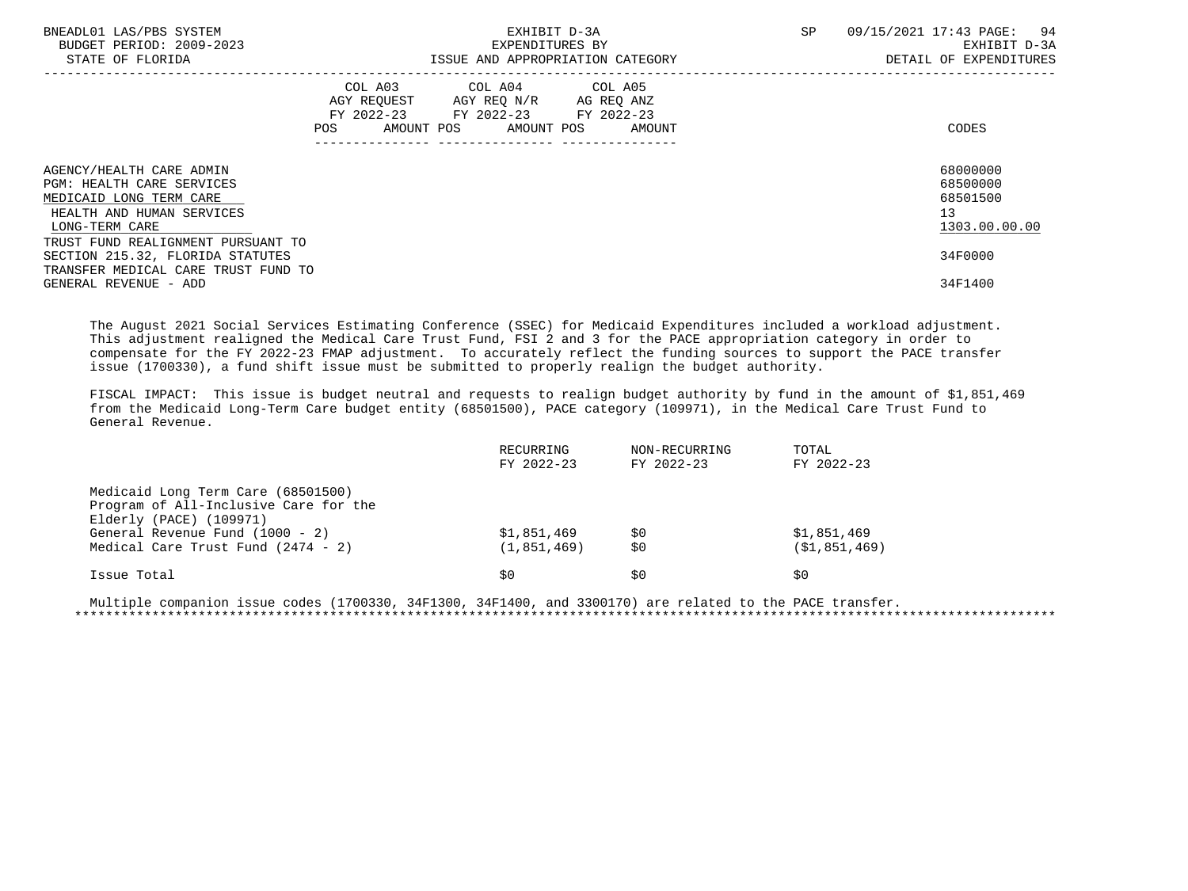| BNEADL01 LAS/PBS SYSTEM<br>BUDGET PERIOD: 2009-2023<br>STATE OF FLORIDA                                                                | EXHIBIT D-3A<br>EXPENDITURES BY<br>ISSUE AND APPROPRIATION CATEGORY                                                                   | SP<br>09/15/2021 17:43 PAGE: 94<br>EXHIBIT D-3A<br>DETAIL OF EXPENDITURES |
|----------------------------------------------------------------------------------------------------------------------------------------|---------------------------------------------------------------------------------------------------------------------------------------|---------------------------------------------------------------------------|
|                                                                                                                                        | COL A03 COL A04 COL A05<br>AGY REQUEST AGY REQ N/R AG REQ ANZ<br>FY 2022-23 FY 2022-23 FY 2022-23<br>POS AMOUNT POS AMOUNT POS AMOUNT | CODES                                                                     |
| AGENCY/HEALTH CARE ADMIN<br><b>PGM: HEALTH CARE SERVICES</b><br>MEDICAID LONG TERM CARE<br>HEALTH AND HUMAN SERVICES<br>LONG-TERM CARE |                                                                                                                                       | 68000000<br>68500000<br>68501500<br>13<br>1303.00.00.00                   |
| TRUST FUND REALIGNMENT PURSUANT TO<br>SECTION 215.32, FLORIDA STATUTES<br>TRANSFER MEDICAL CARE TRUST FUND TO<br>GENERAL REVENUE - ADD |                                                                                                                                       | 34F0000<br>34F1400                                                        |

 The August 2021 Social Services Estimating Conference (SSEC) for Medicaid Expenditures included a workload adjustment. This adjustment realigned the Medical Care Trust Fund, FSI 2 and 3 for the PACE appropriation category in order to compensate for the FY 2022-23 FMAP adjustment. To accurately reflect the funding sources to support the PACE transfer issue (1700330), a fund shift issue must be submitted to properly realign the budget authority.

 FISCAL IMPACT: This issue is budget neutral and requests to realign budget authority by fund in the amount of \$1,851,469 from the Medicaid Long-Term Care budget entity (68501500), PACE category (109971), in the Medical Care Trust Fund to General Revenue.

| RECURRING<br>FY 2022-23      | NON-RECURRING<br>FY 2022-23 | TOTAL<br>FY 2022-23             |  |
|------------------------------|-----------------------------|---------------------------------|--|
|                              |                             |                                 |  |
|                              |                             |                                 |  |
| \$1,851,469<br>(1, 851, 469) | \$0<br>\$0                  | \$1,851,469<br>( \$1, 851, 469) |  |
| \$0                          | \$0                         | S0                              |  |
|                              |                             |                                 |  |

 Multiple companion issue codes (1700330, 34F1300, 34F1400, and 3300170) are related to the PACE transfer. \*\*\*\*\*\*\*\*\*\*\*\*\*\*\*\*\*\*\*\*\*\*\*\*\*\*\*\*\*\*\*\*\*\*\*\*\*\*\*\*\*\*\*\*\*\*\*\*\*\*\*\*\*\*\*\*\*\*\*\*\*\*\*\*\*\*\*\*\*\*\*\*\*\*\*\*\*\*\*\*\*\*\*\*\*\*\*\*\*\*\*\*\*\*\*\*\*\*\*\*\*\*\*\*\*\*\*\*\*\*\*\*\*\*\*\*\*\*\*\*\*\*\*\*\*\*\*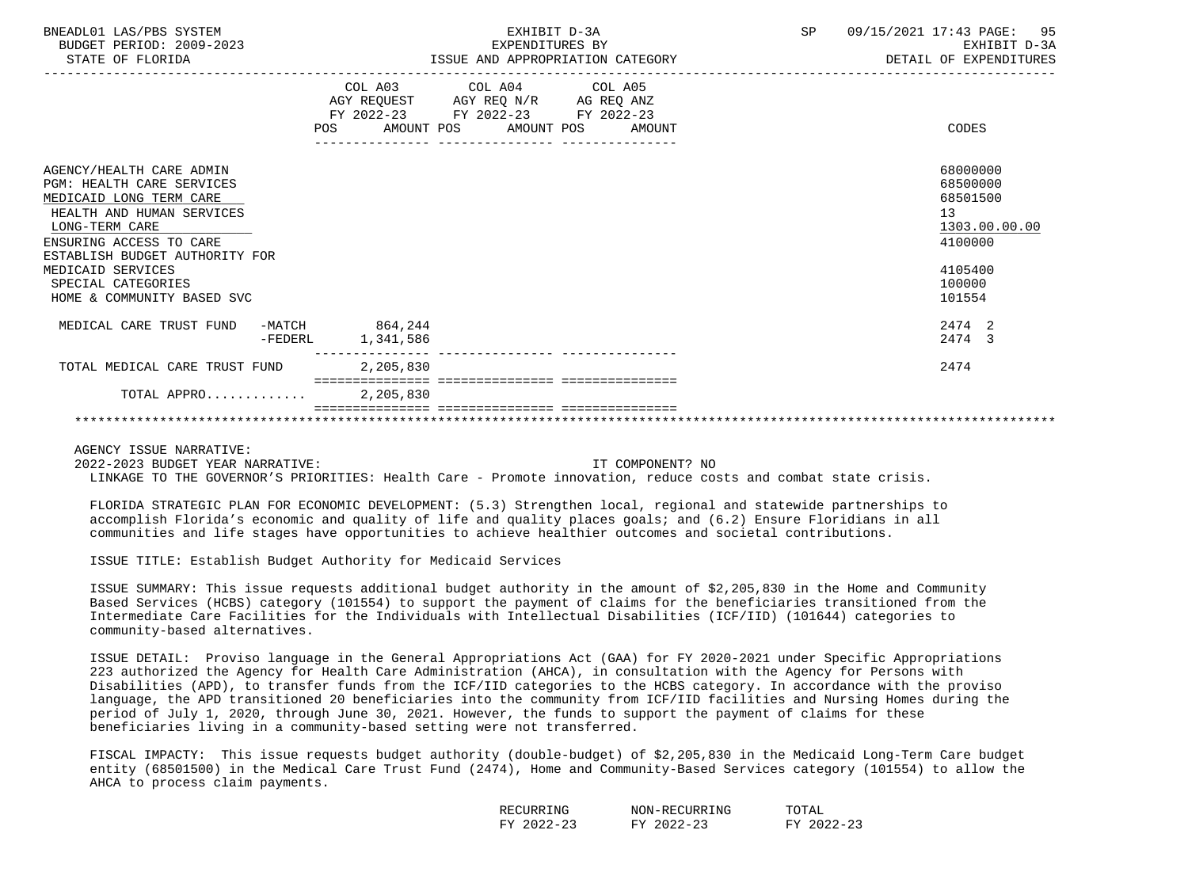| BNEADL01 LAS/PBS SYSTEM<br>BUDGET PERIOD: 2009-2023<br>STATE OF FLORIDA                                                                                                                                                                                                      |         | EXHIBIT D-3A<br>EXPENDITURES BY<br>ISSUE AND APPROPRIATION CATEGORY                                         |                         |                                  | SP | 09/15/2021 17:43 PAGE: 95<br>EXHIBIT D-3A<br>DETAIL OF EXPENDITURES                               |
|------------------------------------------------------------------------------------------------------------------------------------------------------------------------------------------------------------------------------------------------------------------------------|---------|-------------------------------------------------------------------------------------------------------------|-------------------------|----------------------------------|----|---------------------------------------------------------------------------------------------------|
|                                                                                                                                                                                                                                                                              |         | AGY REQUEST AGY REQ N/R AG REQ ANZ<br>FY 2022-23 FY 2022-23 FY 2022-23<br>---------------- ---------------- | COL A03 COL A04 COL A05 | POS AMOUNT POS AMOUNT POS AMOUNT |    | CODES                                                                                             |
| AGENCY/HEALTH CARE ADMIN<br><b>PGM: HEALTH CARE SERVICES</b><br>MEDICAID LONG TERM CARE<br>HEALTH AND HUMAN SERVICES<br>LONG-TERM CARE<br>ENSURING ACCESS TO CARE<br>ESTABLISH BUDGET AUTHORITY FOR<br>MEDICAID SERVICES<br>SPECIAL CATEGORIES<br>HOME & COMMUNITY BASED SVC |         |                                                                                                             |                         |                                  |    | 68000000<br>68500000<br>68501500<br>13<br>1303.00.00.00<br>4100000<br>4105400<br>100000<br>101554 |
| MEDICAL CARE TRUST FUND                                                                                                                                                                                                                                                      | -FEDERL | $-MATCH$ 864, 244<br>1,341,586                                                                              |                         |                                  |    | 2474 2<br>2474 3                                                                                  |
| TOTAL MEDICAL CARE TRUST FUND                                                                                                                                                                                                                                                |         | 2,205,830                                                                                                   |                         |                                  |    | 2474                                                                                              |
| TOTAL APPRO 2, 205, 830                                                                                                                                                                                                                                                      |         |                                                                                                             |                         |                                  |    |                                                                                                   |
|                                                                                                                                                                                                                                                                              |         |                                                                                                             |                         |                                  |    |                                                                                                   |

 2022-2023 BUDGET YEAR NARRATIVE: IT COMPONENT? NO LINKAGE TO THE GOVERNOR'S PRIORITIES: Health Care - Promote innovation, reduce costs and combat state crisis.

 FLORIDA STRATEGIC PLAN FOR ECONOMIC DEVELOPMENT: (5.3) Strengthen local, regional and statewide partnerships to accomplish Florida's economic and quality of life and quality places goals; and (6.2) Ensure Floridians in all communities and life stages have opportunities to achieve healthier outcomes and societal contributions.

ISSUE TITLE: Establish Budget Authority for Medicaid Services

 ISSUE SUMMARY: This issue requests additional budget authority in the amount of \$2,205,830 in the Home and Community Based Services (HCBS) category (101554) to support the payment of claims for the beneficiaries transitioned from the Intermediate Care Facilities for the Individuals with Intellectual Disabilities (ICF/IID) (101644) categories to community-based alternatives.

 ISSUE DETAIL: Proviso language in the General Appropriations Act (GAA) for FY 2020-2021 under Specific Appropriations 223 authorized the Agency for Health Care Administration (AHCA), in consultation with the Agency for Persons with Disabilities (APD), to transfer funds from the ICF/IID categories to the HCBS category. In accordance with the proviso language, the APD transitioned 20 beneficiaries into the community from ICF/IID facilities and Nursing Homes during the period of July 1, 2020, through June 30, 2021. However, the funds to support the payment of claims for these beneficiaries living in a community-based setting were not transferred.

 FISCAL IMPACTY: This issue requests budget authority (double-budget) of \$2,205,830 in the Medicaid Long-Term Care budget entity (68501500) in the Medical Care Trust Fund (2474), Home and Community-Based Services category (101554) to allow the AHCA to process claim payments.

| RECURRING                                  | NON-RECURRING                          | TOTAL                                           |
|--------------------------------------------|----------------------------------------|-------------------------------------------------|
| 2022<br><b>FV</b><br>$\prime$ $-$<br>ت ہے۔ | フハフフーン<br>$\sim$<br>FV.<br>UZ<br>ت ہے۔ | $2022 - 2$<br>$\sim$ $\sim$<br><b>FV</b><br>ر ے |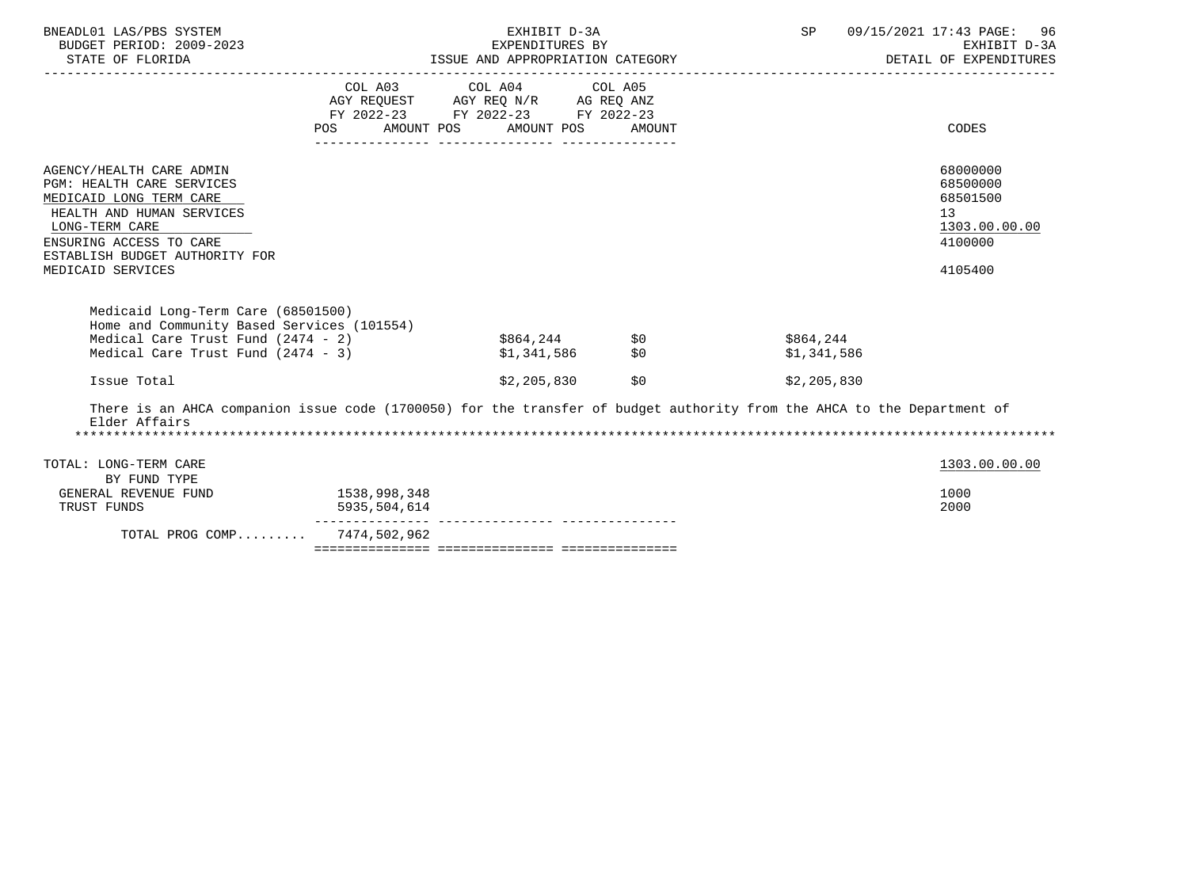| BNEADL01 LAS/PBS SYSTEM<br>BUDGET PERIOD: 2009-2023<br>STATE OF FLORIDA                                                                                                                                           |                              | EXHIBIT D-3A<br>EXPENDITURES BY<br>ISSUE AND APPROPRIATION CATEGORY                                             | SP         | 09/15/2021 17:43 PAGE: 96<br>EXHIBIT D-3A<br>DETAIL OF EXPENDITURES |                                                                               |
|-------------------------------------------------------------------------------------------------------------------------------------------------------------------------------------------------------------------|------------------------------|-----------------------------------------------------------------------------------------------------------------|------------|---------------------------------------------------------------------|-------------------------------------------------------------------------------|
|                                                                                                                                                                                                                   | AMOUNT POS<br>POS            | COL A03 COL A04 COL A05<br>AGY REQUEST AGY REQ N/R AG REQ ANZ<br>FY 2022-23 FY 2022-23 FY 2022-23<br>AMOUNT POS | AMOUNT     |                                                                     | CODES                                                                         |
| AGENCY/HEALTH CARE ADMIN<br>PGM: HEALTH CARE SERVICES<br>MEDICAID LONG TERM CARE<br>HEALTH AND HUMAN SERVICES<br>LONG-TERM CARE<br>ENSURING ACCESS TO CARE<br>ESTABLISH BUDGET AUTHORITY FOR<br>MEDICAID SERVICES |                              |                                                                                                                 |            |                                                                     | 68000000<br>68500000<br>68501500<br>13<br>1303.00.00.00<br>4100000<br>4105400 |
| Medicaid Long-Term Care (68501500)<br>Home and Community Based Services (101554)<br>Medical Care Trust Fund $(2474 - 2)$<br>Medical Care Trust Fund (2474 - 3)                                                    |                              | \$864,244<br>\$1,341,586                                                                                        | \$0<br>\$0 | \$864,244<br>\$1,341,586                                            |                                                                               |
| Issue Total                                                                                                                                                                                                       |                              | \$2,205,830                                                                                                     | \$0        | \$2,205,830                                                         |                                                                               |
| There is an AHCA companion issue code (1700050) for the transfer of budget authority from the AHCA to the Department of<br>Elder Affairs                                                                          |                              |                                                                                                                 |            |                                                                     |                                                                               |
| TOTAL: LONG-TERM CARE<br>BY FUND TYPE                                                                                                                                                                             |                              |                                                                                                                 |            |                                                                     | 1303.00.00.00                                                                 |
| GENERAL REVENUE FUND<br>TRUST FUNDS                                                                                                                                                                               | 1538,998,348<br>5935,504,614 |                                                                                                                 |            |                                                                     | 1000<br>2000                                                                  |
| TOTAL PROG COMP 7474,502,962                                                                                                                                                                                      |                              |                                                                                                                 |            |                                                                     |                                                                               |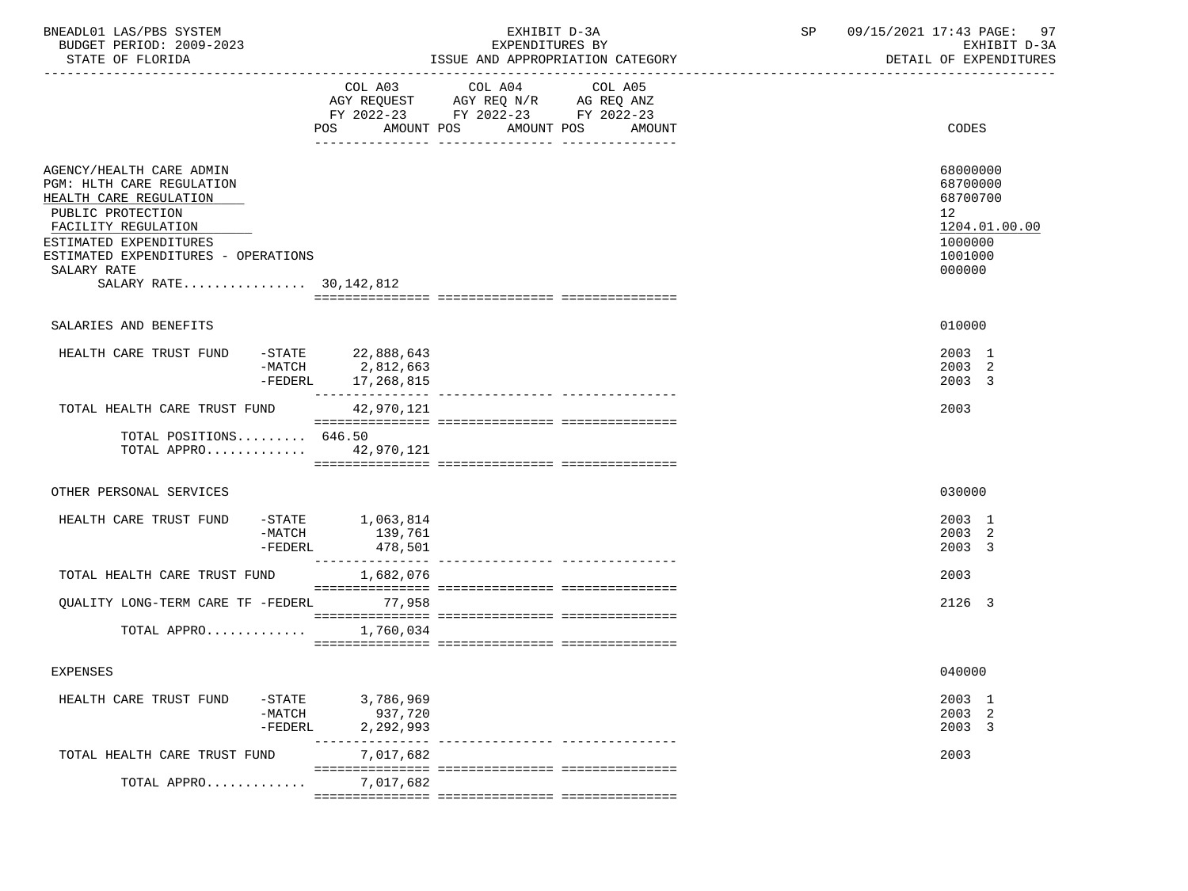| BNEADL01 LAS/PBS SYSTEM<br>BUDGET PERIOD: 2009-2023<br>STATE OF FLORIDA                                                                                                                                                                 |                                                                       | EXHIBIT D-3A<br>EXPENDITURES BY<br>ISSUE AND APPROPRIATION CATEGORY                                                                      | 09/15/2021 17:43 PAGE:<br>SP<br>97<br>EXHIBIT D-3A<br>DETAIL OF EXPENDITURES                         |
|-----------------------------------------------------------------------------------------------------------------------------------------------------------------------------------------------------------------------------------------|-----------------------------------------------------------------------|------------------------------------------------------------------------------------------------------------------------------------------|------------------------------------------------------------------------------------------------------|
|                                                                                                                                                                                                                                         |                                                                       | COL A03 COL A04<br>COL A05<br>AGY REQUEST AGY REQ N/R AG REQ ANZ<br>FY 2022-23 FY 2022-23 FY 2022-23<br>POS AMOUNT POS AMOUNT POS AMOUNT | CODES                                                                                                |
| AGENCY/HEALTH CARE ADMIN<br>PGM: HLTH CARE REGULATION<br>HEALTH CARE REGULATION<br>PUBLIC PROTECTION<br>FACILITY REGULATION<br>ESTIMATED EXPENDITURES<br>ESTIMATED EXPENDITURES - OPERATIONS<br>SALARY RATE<br>SALARY RATE 30, 142, 812 |                                                                       |                                                                                                                                          | 68000000<br>68700000<br>68700700<br>12 <sup>°</sup><br>1204.01.00.00<br>1000000<br>1001000<br>000000 |
| SALARIES AND BENEFITS                                                                                                                                                                                                                   |                                                                       |                                                                                                                                          | 010000                                                                                               |
| HEALTH CARE TRUST FUND                                                                                                                                                                                                                  | -STATE 22,888,643<br>$-MATCH$ 2,812,663<br>-FEDERL 17,268,815         |                                                                                                                                          | 2003 1<br>2003 2<br>2003 3                                                                           |
| TOTAL HEALTH CARE TRUST FUND 42,970,121                                                                                                                                                                                                 |                                                                       |                                                                                                                                          | 2003                                                                                                 |
| TOTAL POSITIONS 646.50<br>TOTAL APPRO 42,970,121                                                                                                                                                                                        |                                                                       |                                                                                                                                          |                                                                                                      |
| OTHER PERSONAL SERVICES                                                                                                                                                                                                                 |                                                                       |                                                                                                                                          | 030000                                                                                               |
| HEALTH CARE TRUST FUND                                                                                                                                                                                                                  | $-$ STATE $1,063,814$<br>139,761<br>-MATCH<br>478,501<br>-FEDERL      |                                                                                                                                          | 2003 1<br>2003 2<br>2003 3                                                                           |
| TOTAL HEALTH CARE TRUST FUND                                                                                                                                                                                                            | 1,682,076                                                             |                                                                                                                                          | 2003                                                                                                 |
| QUALITY LONG-TERM CARE TF -FEDERL 77,958                                                                                                                                                                                                |                                                                       |                                                                                                                                          | 2126 3                                                                                               |
| TOTAL APPRO                                                                                                                                                                                                                             | 1,760,034                                                             |                                                                                                                                          |                                                                                                      |
| <b>EXPENSES</b>                                                                                                                                                                                                                         |                                                                       |                                                                                                                                          | 040000                                                                                               |
| HEALTH CARE TRUST FUND                                                                                                                                                                                                                  | 3,786,969<br>$-$ STATE<br>$-MATCH$<br>937,720<br>2,292,993<br>-FEDERL |                                                                                                                                          | 2003 1<br>2003 2<br>2003 3                                                                           |
| TOTAL HEALTH CARE TRUST FUND                                                                                                                                                                                                            | 7,017,682                                                             |                                                                                                                                          | 2003                                                                                                 |
| TOTAL APPRO                                                                                                                                                                                                                             | 7,017,682                                                             |                                                                                                                                          |                                                                                                      |
|                                                                                                                                                                                                                                         |                                                                       |                                                                                                                                          |                                                                                                      |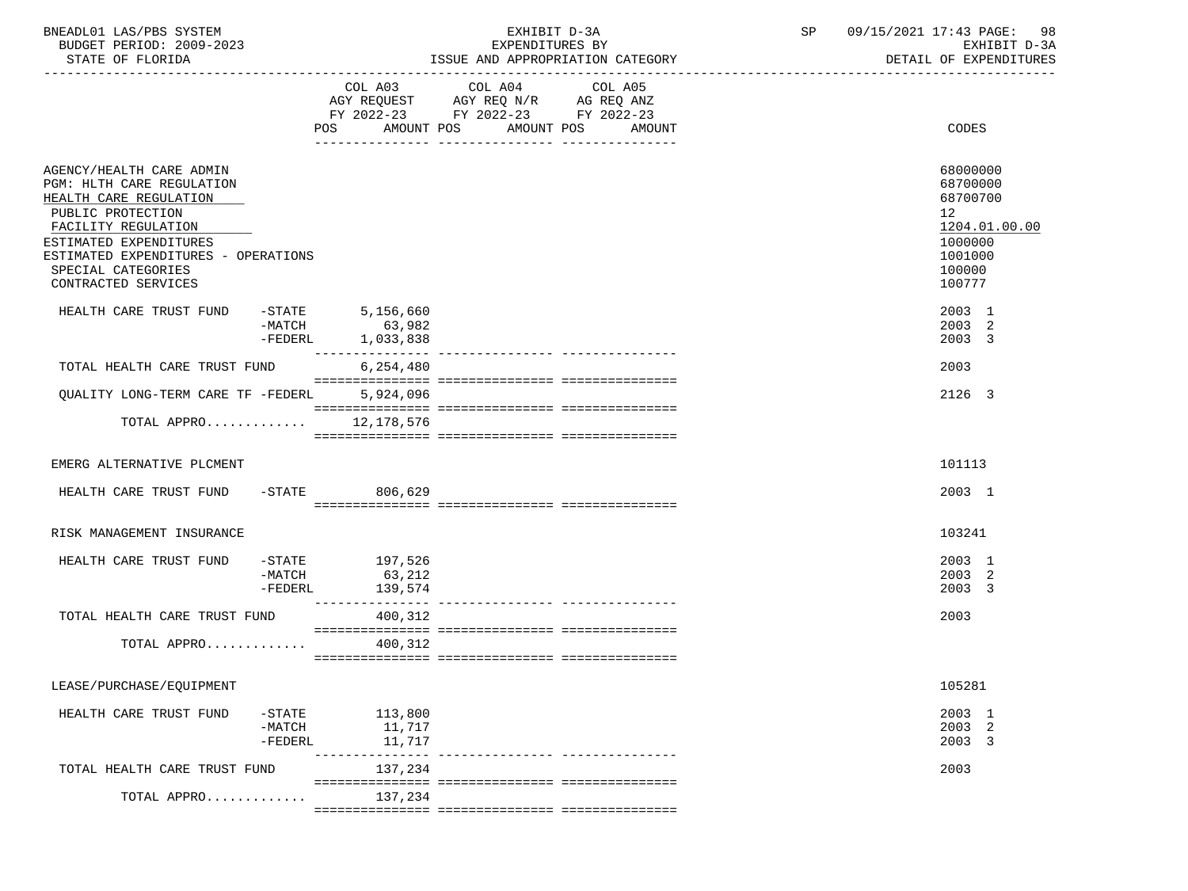| BNEADL01 LAS/PBS SYSTEM<br>BUDGET PERIOD: 2009-2023<br>STATE OF FLORIDA                                                                                                                                                                   |                                   |                                                     | EXHIBIT D-3A<br>EXPENDITURES BY                                                                         | ISSUE AND APPROPRIATION CATEGORY | SP | 09/15/2021 17:43 PAGE: 98<br>EXHIBIT D-3A<br>DETAIL OF EXPENDITURES                                            |
|-------------------------------------------------------------------------------------------------------------------------------------------------------------------------------------------------------------------------------------------|-----------------------------------|-----------------------------------------------------|---------------------------------------------------------------------------------------------------------|----------------------------------|----|----------------------------------------------------------------------------------------------------------------|
|                                                                                                                                                                                                                                           |                                   | POS<br>AMOUNT POS                                   | COL A03 COL A04<br>AGY REQUEST AGY REQ N/R AG REQ ANZ<br>FY 2022-23 FY 2022-23 FY 2022-23<br>AMOUNT POS | COL A05<br>AMOUNT                |    | CODES                                                                                                          |
| AGENCY/HEALTH CARE ADMIN<br>PGM: HLTH CARE REGULATION<br>HEALTH CARE REGULATION<br>PUBLIC PROTECTION<br>FACILITY REGULATION<br>ESTIMATED EXPENDITURES<br>ESTIMATED EXPENDITURES - OPERATIONS<br>SPECIAL CATEGORIES<br>CONTRACTED SERVICES |                                   |                                                     |                                                                                                         |                                  |    | 68000000<br>68700000<br>68700700<br>12 <sup>°</sup><br>1204.01.00.00<br>1000000<br>1001000<br>100000<br>100777 |
| HEALTH CARE TRUST FUND -STATE<br>-MATCH                                                                                                                                                                                                   | $-MATCH$<br>$-FEDERL$             | 5,156,660<br>63,982<br>1,033,838<br>--------------- |                                                                                                         |                                  |    | 2003 1<br>2003 2<br>2003 3                                                                                     |
| TOTAL HEALTH CARE TRUST FUND                                                                                                                                                                                                              |                                   | 6,254,480                                           |                                                                                                         |                                  |    | 2003                                                                                                           |
| QUALITY LONG-TERM CARE TF -FEDERL                                                                                                                                                                                                         |                                   | 5,924,096                                           |                                                                                                         |                                  |    | 2126 3                                                                                                         |
| TOTAL APPRO                                                                                                                                                                                                                               |                                   | 12,178,576                                          |                                                                                                         |                                  |    |                                                                                                                |
| EMERG ALTERNATIVE PLCMENT                                                                                                                                                                                                                 |                                   |                                                     |                                                                                                         |                                  |    | 101113                                                                                                         |
| HEALTH CARE TRUST FUND                                                                                                                                                                                                                    | $-$ STATE                         | 806,629                                             |                                                                                                         |                                  |    | 2003 1                                                                                                         |
| RISK MANAGEMENT INSURANCE                                                                                                                                                                                                                 |                                   |                                                     |                                                                                                         |                                  |    | 103241                                                                                                         |
| HEALTH CARE TRUST FUND                                                                                                                                                                                                                    | $-MATCH$<br>$-FEDERL$             | $-STATE$ 197,526<br>63,212<br>139,574               |                                                                                                         |                                  |    | 2003 1<br>2003 2<br>2003 3                                                                                     |
| TOTAL HEALTH CARE TRUST FUND                                                                                                                                                                                                              |                                   | 400,312                                             |                                                                                                         |                                  |    | 2003                                                                                                           |
| TOTAL APPRO                                                                                                                                                                                                                               |                                   | 400,312                                             |                                                                                                         |                                  |    |                                                                                                                |
| LEASE/PURCHASE/EQUIPMENT                                                                                                                                                                                                                  |                                   |                                                     |                                                                                                         |                                  |    | 105281                                                                                                         |
| HEALTH CARE TRUST FUND                                                                                                                                                                                                                    | $ STATE$<br>$-MATCH$<br>$-FEDERL$ | 113,800<br>11,717<br>11,717                         |                                                                                                         |                                  |    | 2003 1<br>2003 2<br>2003 3                                                                                     |
| TOTAL HEALTH CARE TRUST FUND                                                                                                                                                                                                              |                                   | 137,234                                             |                                                                                                         |                                  |    | 2003                                                                                                           |
| TOTAL APPRO                                                                                                                                                                                                                               |                                   | 137,234                                             |                                                                                                         |                                  |    |                                                                                                                |

 $=$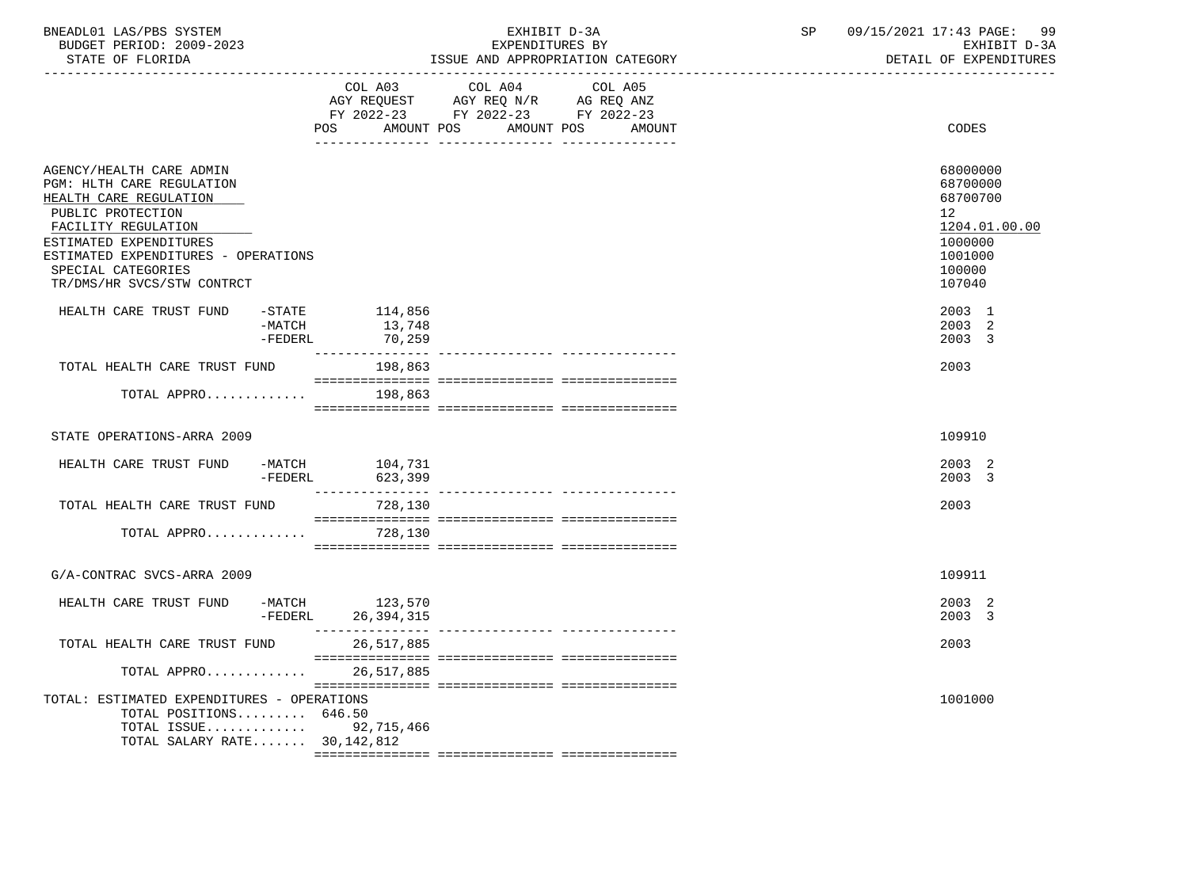| : ת∩דפקם<br><b>BUDGET</b><br>-UD -                      | 2009-2023 | <b>RV</b><br>:TURES<br>EXPENDI |     | TVU.<br>$  -$<br>- ⊢                                |     |
|---------------------------------------------------------|-----------|--------------------------------|-----|-----------------------------------------------------|-----|
| BNEADL01<br>$\Delta$ $\zeta$ / $\Delta$ $\zeta$<br>LAS. | SYSTEM    |                                | ם ר | . .<br>$\sqrt{2}$<br>$\sim$<br>. 711<br>PAGE -<br>. | a a |

-----------------------------------------------------------------------------------------------------------------------------------

COL A03 COL A04 COL A05

STATE OF FLORIDA **ISSUE AND APPROPRIATION CATEGORY ISSUE AND APPROPRIATION** CATEGORY

|                                                                                                                                                                                                                                                  | POS FOR                                                  | AGY REQUEST AGY REQ N/R AG REQ ANZ<br>FY 2022-23 FY 2022-23 FY 2022-23<br>AMOUNT POS | AMOUNT POS<br>AMOUNT | CODES                                                                                             |
|--------------------------------------------------------------------------------------------------------------------------------------------------------------------------------------------------------------------------------------------------|----------------------------------------------------------|--------------------------------------------------------------------------------------|----------------------|---------------------------------------------------------------------------------------------------|
| AGENCY/HEALTH CARE ADMIN<br>PGM: HLTH CARE REGULATION<br>HEALTH CARE REGULATION<br>PUBLIC PROTECTION<br>FACILITY REGULATION<br>ESTIMATED EXPENDITURES<br>ESTIMATED EXPENDITURES - OPERATIONS<br>SPECIAL CATEGORIES<br>TR/DMS/HR SVCS/STW CONTRCT |                                                          |                                                                                      |                      | 68000000<br>68700000<br>68700700<br>12<br>1204.01.00.00<br>1000000<br>1001000<br>100000<br>107040 |
| HEALTH CARE TRUST FUND                                                                                                                                                                                                                           | -STATE 114,856<br>$-MATCH$ 13,748<br>$-FEDERL$<br>70,259 |                                                                                      |                      | 2003 1<br>2003 2<br>2003 3                                                                        |
| TOTAL HEALTH CARE TRUST FUND                                                                                                                                                                                                                     | 198,863                                                  |                                                                                      |                      | 2003                                                                                              |
| TOTAL APPRO 198,863                                                                                                                                                                                                                              |                                                          |                                                                                      |                      |                                                                                                   |
| STATE OPERATIONS-ARRA 2009                                                                                                                                                                                                                       |                                                          |                                                                                      |                      | 109910                                                                                            |
| HEALTH CARE TRUST FUND -MATCH 104,731                                                                                                                                                                                                            | -FEDERL 623,399                                          |                                                                                      |                      | 2003 2<br>2003 3                                                                                  |
| TOTAL HEALTH CARE TRUST FUND                                                                                                                                                                                                                     | 728,130                                                  |                                                                                      |                      | 2003                                                                                              |
| TOTAL APPRO                                                                                                                                                                                                                                      | 728,130                                                  |                                                                                      |                      |                                                                                                   |
| G/A-CONTRAC SVCS-ARRA 2009                                                                                                                                                                                                                       |                                                          |                                                                                      |                      | 109911                                                                                            |
| HEALTH CARE TRUST FUND $-MATCH$ 123,570<br>-FEDERL 26,394,315                                                                                                                                                                                    | 26, 394, 315<br>________________                         |                                                                                      |                      | 2003 2<br>2003 3                                                                                  |
| TOTAL HEALTH CARE TRUST FUND                                                                                                                                                                                                                     | 26,517,885                                               |                                                                                      |                      | 2003                                                                                              |
| TOTAL APPRO                                                                                                                                                                                                                                      | 26,517,885                                               |                                                                                      |                      |                                                                                                   |
| TOTAL: ESTIMATED EXPENDITURES - OPERATIONS<br>TOTAL POSITIONS 646.50<br>TOTAL ISSUE 92,715,466<br>TOTAL SALARY RATE 30,142,812                                                                                                                   |                                                          |                                                                                      |                      | 1001000                                                                                           |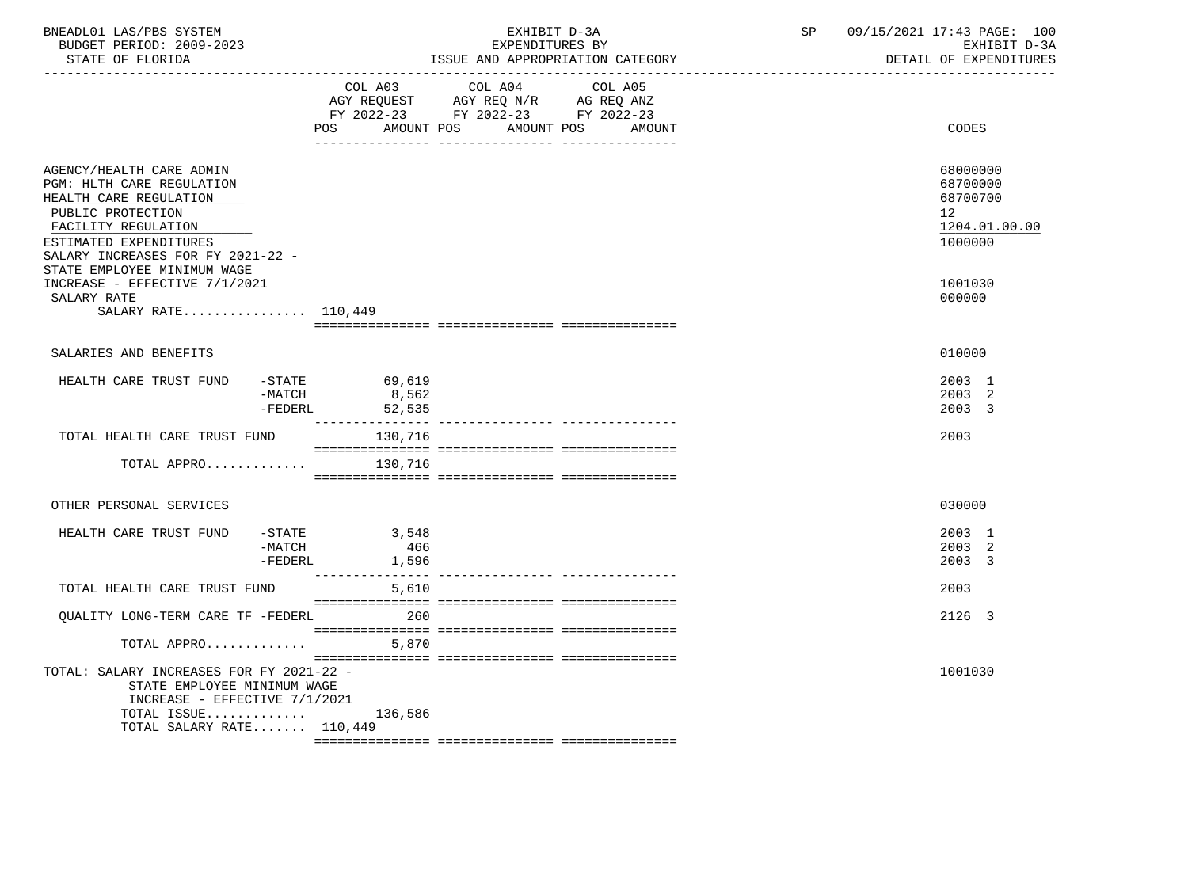|                                                                                                                                                      | EXHIBIT D-3A<br>EXPENDITURES BY | SP                                                                                                                                                                                                                                                                          | 09/15/2021 17:43 PAGE: 100<br>EXHIBIT D-3A<br>DETAIL OF EXPENDITURES |
|------------------------------------------------------------------------------------------------------------------------------------------------------|---------------------------------|-----------------------------------------------------------------------------------------------------------------------------------------------------------------------------------------------------------------------------------------------------------------------------|----------------------------------------------------------------------|
| <b>POS</b>                                                                                                                                           | COL A05<br>AMOUNT POS<br>AMOUNT |                                                                                                                                                                                                                                                                             | CODES                                                                |
| SALARY INCREASES FOR FY 2021-22 -                                                                                                                    |                                 |                                                                                                                                                                                                                                                                             | 68000000<br>68700000<br>68700700<br>12<br>1204.01.00.00<br>1000000   |
| INCREASE - EFFECTIVE 7/1/2021<br>SALARY RATE 110,449                                                                                                 |                                 |                                                                                                                                                                                                                                                                             | 1001030<br>000000                                                    |
|                                                                                                                                                      |                                 |                                                                                                                                                                                                                                                                             | 010000                                                               |
| $-MATCH$<br>-FEDERL                                                                                                                                  |                                 |                                                                                                                                                                                                                                                                             | 2003 1<br>2003 2<br>2003 3                                           |
| TOTAL HEALTH CARE TRUST FUND                                                                                                                         |                                 |                                                                                                                                                                                                                                                                             | 2003                                                                 |
| TOTAL APPRO                                                                                                                                          |                                 |                                                                                                                                                                                                                                                                             |                                                                      |
|                                                                                                                                                      |                                 |                                                                                                                                                                                                                                                                             | 030000                                                               |
| -MATCH<br>$-FEDERL$                                                                                                                                  |                                 |                                                                                                                                                                                                                                                                             | 2003 1<br>2003 2<br>2003 3                                           |
| TOTAL HEALTH CARE TRUST FUND                                                                                                                         |                                 |                                                                                                                                                                                                                                                                             | 2003                                                                 |
| OUALITY LONG-TERM CARE TF -FEDERL                                                                                                                    |                                 |                                                                                                                                                                                                                                                                             | 2126 3                                                               |
| TOTAL APPRO                                                                                                                                          |                                 |                                                                                                                                                                                                                                                                             |                                                                      |
| TOTAL: SALARY INCREASES FOR FY 2021-22 -<br>STATE EMPLOYEE MINIMUM WAGE<br>INCREASE - EFFECTIVE 7/1/2021<br>TOTAL ISSUE<br>TOTAL SALARY RATE 110,449 |                                 |                                                                                                                                                                                                                                                                             | 1001030                                                              |
|                                                                                                                                                      |                                 | ISSUE AND APPROPRIATION CATEGORY<br>COL A03 COL A04<br>AGY REQUEST AGY REQ N/R AG REQ ANZ<br>FY 2022-23 FY 2022-23 FY 2022-23<br>AMOUNT POS<br>-STATE 69,619<br>8,562<br>52,535<br>130,716<br>130,716<br>$-STATE$ 3,548<br>466<br>1,596<br>5,610<br>260<br>5,870<br>136,586 |                                                                      |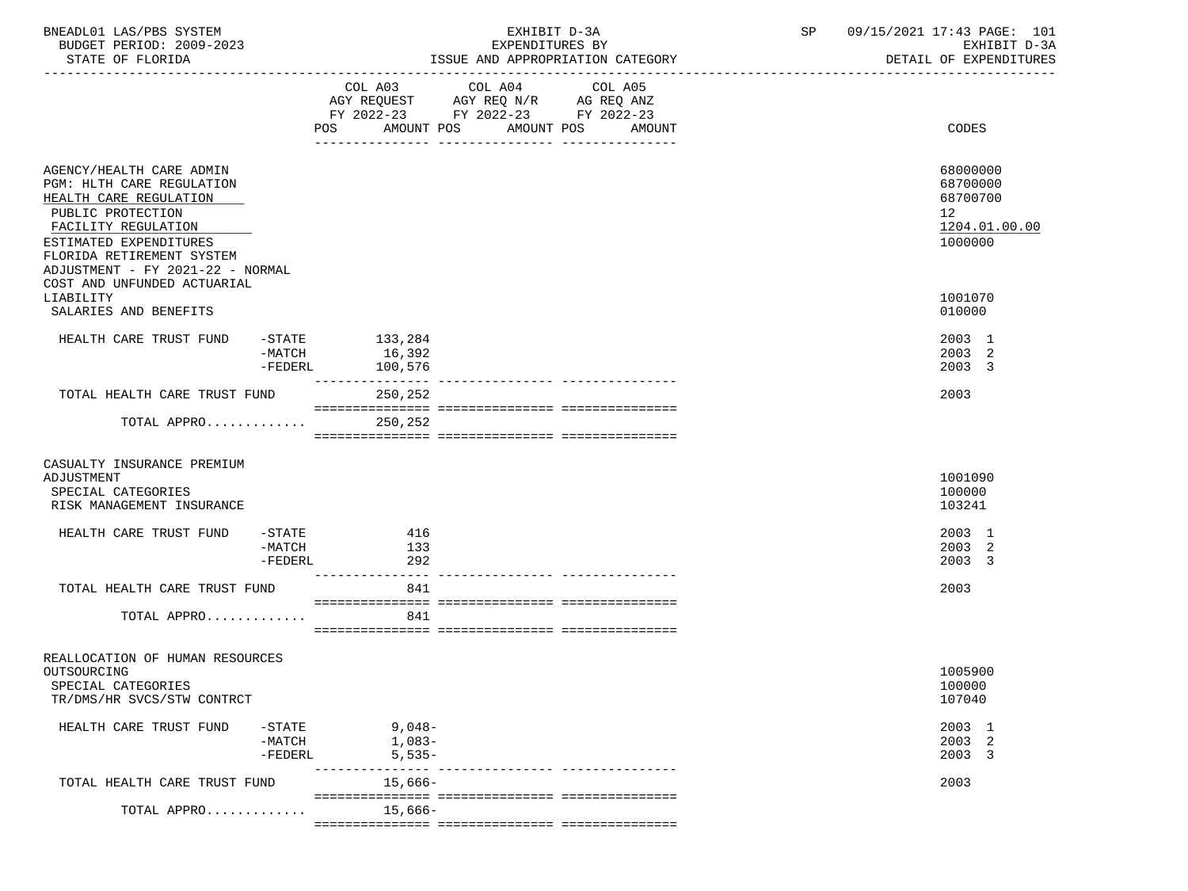| BNEADL01 LAS/PBS SYSTEM<br>BUDGET PERIOD: 2009-2023<br>STATE OF FLORIDA                                                                                                                                                |                                    | EXHIBIT D-3A<br>EXPENDITURES BY<br>ISSUE AND APPROPRIATION CATEGORY |                                                                                           |                                 |         |  | 09/15/2021 17:43 PAGE: 101<br>SP<br>EXHIBIT D-3A<br>DETAIL OF EXPENDITURES |                                                                    |  |
|------------------------------------------------------------------------------------------------------------------------------------------------------------------------------------------------------------------------|------------------------------------|---------------------------------------------------------------------|-------------------------------------------------------------------------------------------|---------------------------------|---------|--|----------------------------------------------------------------------------|--------------------------------------------------------------------|--|
|                                                                                                                                                                                                                        |                                    | POS AMOUNT POS AMOUNT POS AMOUNT                                    | COL A03 COL A04<br>AGY REQUEST AGY REQ N/R AG REQ ANZ<br>FY 2022-23 FY 2022-23 FY 2022-23 |                                 | COL A05 |  |                                                                            | CODES                                                              |  |
|                                                                                                                                                                                                                        |                                    |                                                                     |                                                                                           |                                 |         |  |                                                                            |                                                                    |  |
| AGENCY/HEALTH CARE ADMIN<br>PGM: HLTH CARE REGULATION<br>HEALTH CARE REGULATION<br>PUBLIC PROTECTION<br>FACILITY REGULATION<br>ESTIMATED EXPENDITURES<br>FLORIDA RETIREMENT SYSTEM<br>ADJUSTMENT - FY 2021-22 - NORMAL |                                    |                                                                     |                                                                                           |                                 |         |  |                                                                            | 68000000<br>68700000<br>68700700<br>12<br>1204.01.00.00<br>1000000 |  |
| COST AND UNFUNDED ACTUARIAL<br>LIABILITY<br>SALARIES AND BENEFITS                                                                                                                                                      |                                    |                                                                     |                                                                                           |                                 |         |  |                                                                            | 1001070<br>010000                                                  |  |
| HEALTH CARE TRUST FUND -STATE 133,284                                                                                                                                                                                  | $-MATCH$                           | 16,392<br>-FEDERL 100,576<br>---------------                        |                                                                                           |                                 |         |  |                                                                            | 2003 1<br>2003 2<br>2003 3                                         |  |
| TOTAL HEALTH CARE TRUST FUND                                                                                                                                                                                           |                                    | 250,252                                                             |                                                                                           |                                 |         |  |                                                                            | 2003                                                               |  |
| TOTAL APPRO 250,252                                                                                                                                                                                                    |                                    |                                                                     |                                                                                           |                                 |         |  |                                                                            |                                                                    |  |
| CASUALTY INSURANCE PREMIUM<br>ADJUSTMENT<br>SPECIAL CATEGORIES<br>RISK MANAGEMENT INSURANCE                                                                                                                            |                                    |                                                                     |                                                                                           |                                 |         |  |                                                                            | 1001090<br>100000<br>103241                                        |  |
| HEALTH CARE TRUST FUND                                                                                                                                                                                                 | $-$ STATE<br>$-FEDERL$             | $-MATCH$ 133<br>292                                                 | 416                                                                                       |                                 |         |  |                                                                            | 2003 1<br>2003 2<br>2003 3                                         |  |
| TOTAL HEALTH CARE TRUST FUND                                                                                                                                                                                           |                                    |                                                                     | 841                                                                                       |                                 |         |  |                                                                            | 2003                                                               |  |
| TOTAL APPRO                                                                                                                                                                                                            |                                    |                                                                     | 841                                                                                       |                                 |         |  |                                                                            |                                                                    |  |
| REALLOCATION OF HUMAN RESOURCES<br>OUTSOURCING<br>SPECIAL CATEGORIES<br>TR/DMS/HR SVCS/STW CONTRCT                                                                                                                     |                                    |                                                                     |                                                                                           |                                 |         |  |                                                                            | 1005900<br>100000<br>107040                                        |  |
| HEALTH CARE TRUST FUND                                                                                                                                                                                                 | $-$ STATE<br>$-MATCH$<br>$-FEDERL$ |                                                                     | $9,048-$<br>$1,083-$<br>$5,535-$                                                          |                                 |         |  |                                                                            | 2003 1<br>2003 2<br>2003 3                                         |  |
| TOTAL HEALTH CARE TRUST FUND                                                                                                                                                                                           |                                    | --------------                                                      | 15,666-                                                                                   | ------------- ----------------- |         |  |                                                                            | 2003                                                               |  |
| TOTAL APPRO                                                                                                                                                                                                            |                                    |                                                                     | $15,666-$                                                                                 |                                 |         |  |                                                                            |                                                                    |  |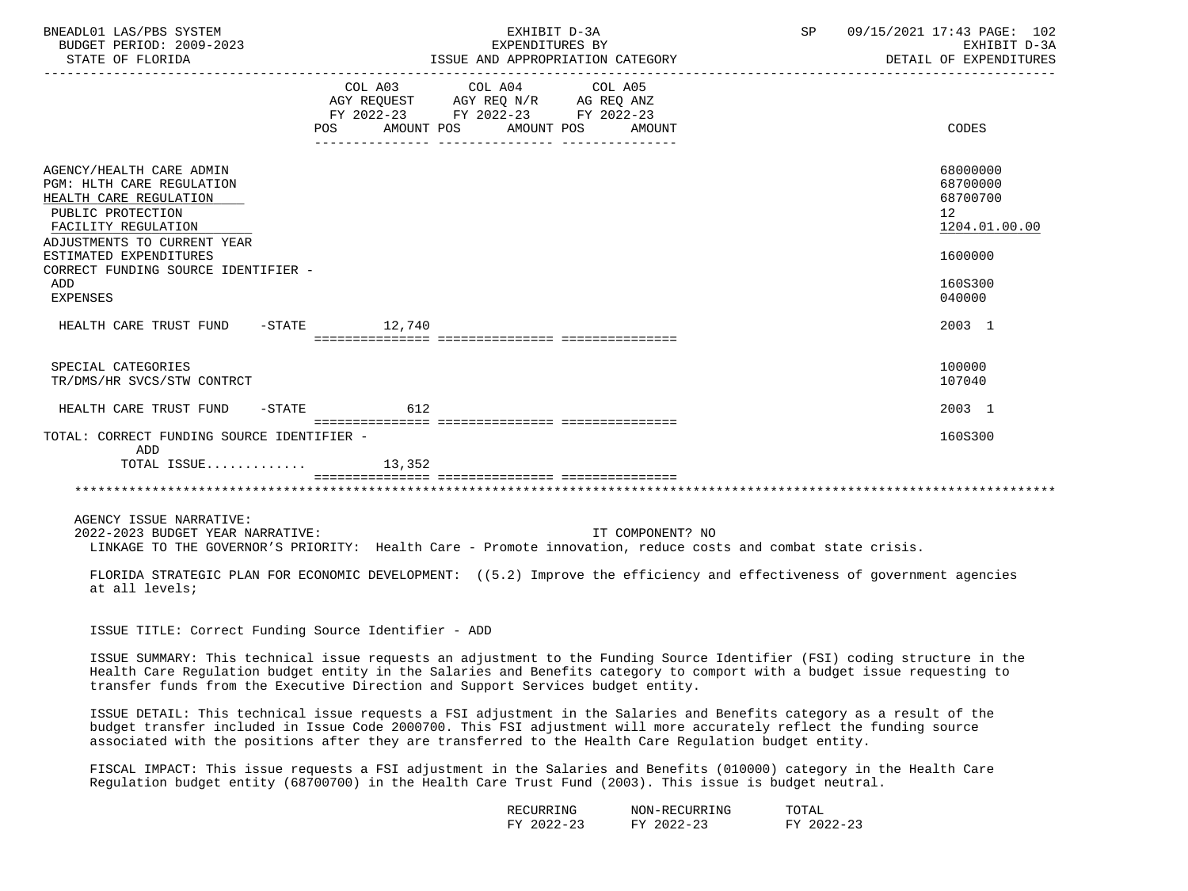| BNEADL01 LAS/PBS SYSTEM<br>BUDGET PERIOD: 2009-2023<br>STATE OF FLORIDA                                                                                    | EXHIBIT D-3A<br>EXPENDITURES BY<br>ISSUE AND APPROPRIATION CATEGORY                                                                                                                                                                                                                                                                                   | SP 09/15/2021 17:43 PAGE: 102<br>EXHIBIT D-3A<br>DETAIL OF EXPENDITURES |
|------------------------------------------------------------------------------------------------------------------------------------------------------------|-------------------------------------------------------------------------------------------------------------------------------------------------------------------------------------------------------------------------------------------------------------------------------------------------------------------------------------------------------|-------------------------------------------------------------------------|
|                                                                                                                                                            | COL A03 COL A04<br>COL A05<br>AGY REQUEST AGY REQ N/R AG REQ ANZ<br>FY 2022-23 FY 2022-23 FY 2022-23<br>AMOUNT POS<br>AMOUNT POS AMOUNT<br>POS                                                                                                                                                                                                        | CODES                                                                   |
| AGENCY/HEALTH CARE ADMIN<br>PGM: HLTH CARE REGULATION<br>HEALTH CARE REGULATION<br>PUBLIC PROTECTION<br>FACILITY REGULATION<br>ADJUSTMENTS TO CURRENT YEAR |                                                                                                                                                                                                                                                                                                                                                       | 68000000<br>68700000<br>68700700<br>12<br>1204.01.00.00                 |
| ESTIMATED EXPENDITURES<br>CORRECT FUNDING SOURCE IDENTIFIER -<br>ADD<br><b>EXPENSES</b>                                                                    |                                                                                                                                                                                                                                                                                                                                                       | 1600000<br>160S300<br>040000                                            |
| HEALTH CARE TRUST FUND -STATE 12,740                                                                                                                       |                                                                                                                                                                                                                                                                                                                                                       | 2003 1                                                                  |
| SPECIAL CATEGORIES<br>TR/DMS/HR SVCS/STW CONTRCT                                                                                                           |                                                                                                                                                                                                                                                                                                                                                       | 100000<br>107040                                                        |
| HEALTH CARE TRUST FUND -STATE 612                                                                                                                          |                                                                                                                                                                                                                                                                                                                                                       | 2003 1                                                                  |
| TOTAL: CORRECT FUNDING SOURCE IDENTIFIER -<br>ADD<br>TOTAL ISSUE                                                                                           | 13,352                                                                                                                                                                                                                                                                                                                                                | 160S300                                                                 |
| AGENCY ISSUE NARRATIVE:<br>2022-2023 BUDGET YEAR NARRATIVE:<br>at all levels;                                                                              | IT COMPONENT? NO<br>LINKAGE TO THE GOVERNOR'S PRIORITY: Health Care - Promote innovation, reduce costs and combat state crisis.<br>FLORIDA STRATEGIC PLAN FOR ECONOMIC DEVELOPMENT: ((5.2) Improve the efficiency and effectiveness of government agencies                                                                                            |                                                                         |
| ISSUE TITLE: Correct Funding Source Identifier - ADD                                                                                                       |                                                                                                                                                                                                                                                                                                                                                       |                                                                         |
|                                                                                                                                                            | ISSUE SUMMARY: This technical issue requests an adjustment to the Funding Source Identifier (FSI) coding structure in the<br>Health Care Regulation budget entity in the Salaries and Benefits category to comport with a budget issue requesting to<br>transfer funds from the Executive Direction and Support Services budget entity.               |                                                                         |
|                                                                                                                                                            | ISSUE DETAIL: This technical issue requests a FSI adjustment in the Salaries and Benefits category as a result of the<br>budget transfer included in Issue Code 2000700. This FSI adjustment will more accurately reflect the funding source<br>associated with the positions after they are transferred to the Health Care Regulation budget entity. |                                                                         |
|                                                                                                                                                            | FISCAL IMPACT: This issue requests a FSI adjustment in the Salaries and Benefits (010000) category in the Health Care<br>Regulation budget entity (68700700) in the Health Care Trust Fund (2003). This issue is budget neutral.                                                                                                                      |                                                                         |
|                                                                                                                                                            | RECURRING<br>NON-RECURRING<br>TOTAL                                                                                                                                                                                                                                                                                                                   |                                                                         |

| RECURRING                      | NON-RECURRING                   | TOTAL                      |
|--------------------------------|---------------------------------|----------------------------|
| $2022 - 23$<br>гv<br><u> പ</u> | ່າງງາ<br>πv<br>144-43<br>$\sim$ | $2022 - 23$<br>ᅜ<br>122-23 |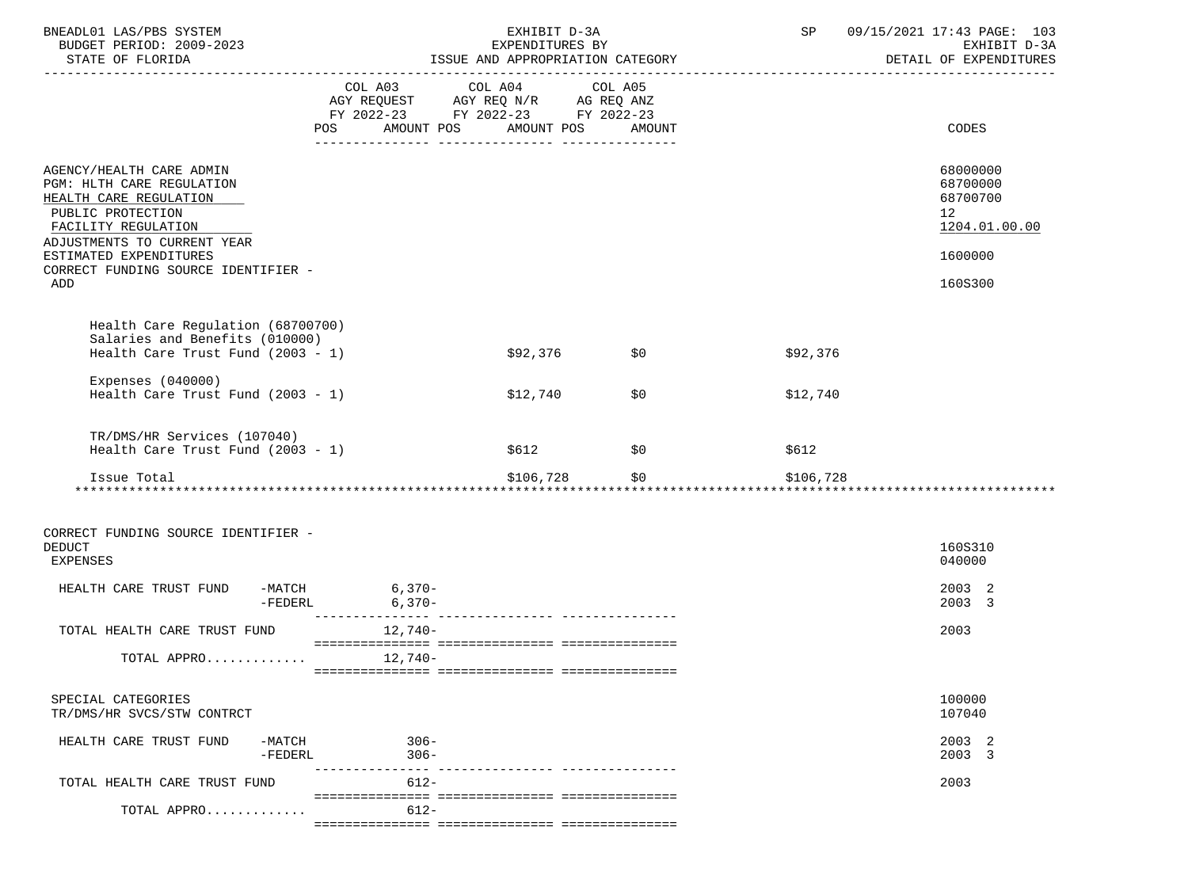| BNEADL01 LAS/PBS SYSTEM                                                                                                                                                                                                            |                    | EXHIBIT D-3A<br>EXPENDITURES BY                                                                                                |            | SP        | 09/15/2021 17:43 PAGE: 103<br>EXHIBIT D-3A<br>DETAIL OF EXPENDITURES                       |
|------------------------------------------------------------------------------------------------------------------------------------------------------------------------------------------------------------------------------------|--------------------|--------------------------------------------------------------------------------------------------------------------------------|------------|-----------|--------------------------------------------------------------------------------------------|
|                                                                                                                                                                                                                                    |                    | COL A03 COL A04 COL A05<br>AGY REQUEST AGY REQ N/R AG REQ ANZ<br>FY 2022-23 FY 2022-23 FY 2022-23<br>POS AMOUNT POS AMOUNT POS | AMOUNT     |           | CODES                                                                                      |
| AGENCY/HEALTH CARE ADMIN<br>PGM: HLTH CARE REGULATION<br>HEALTH CARE REGULATION<br>PUBLIC PROTECTION<br>FACILITY REGULATION<br>ADJUSTMENTS TO CURRENT YEAR<br>ESTIMATED EXPENDITURES<br>CORRECT FUNDING SOURCE IDENTIFIER -<br>ADD |                    |                                                                                                                                |            |           | 68000000<br>68700000<br>68700700<br>12 <sup>°</sup><br>1204.01.00.00<br>1600000<br>160S300 |
| Health Care Regulation (68700700)<br>Salaries and Benefits (010000)<br>Health Care Trust Fund $(2003 - 1)$                                                                                                                         |                    | \$92,376 \$0                                                                                                                   |            | \$92,376  |                                                                                            |
| Expenses $(040000)$<br>Health Care Trust Fund $(2003 - 1)$                                                                                                                                                                         |                    | \$12,740                                                                                                                       | \$0        | \$12,740  |                                                                                            |
| TR/DMS/HR Services (107040)<br>Health Care Trust Fund $(2003 - 1)$                                                                                                                                                                 |                    | \$612                                                                                                                          | $\sim$ \$0 | \$612     |                                                                                            |
| Issue Total                                                                                                                                                                                                                        |                    | \$106,728 \$0<br>********************************                                                                              |            | \$106,728 |                                                                                            |
| CORRECT FUNDING SOURCE IDENTIFIER -<br><b>DEDUCT</b><br><b>EXPENSES</b><br>HEALTH CARE TRUST FUND -MATCH 6,370-                                                                                                                    | $-FEDERL$ 6,370-   |                                                                                                                                |            |           | 160S310<br>040000<br>2003 2<br>2003 3                                                      |
| TOTAL HEALTH CARE TRUST FUND 12,740-                                                                                                                                                                                               |                    |                                                                                                                                |            |           | 2003                                                                                       |
| TOTAL APPRO $12,740-$                                                                                                                                                                                                              |                    |                                                                                                                                |            |           |                                                                                            |
| SPECIAL CATEGORIES<br>TR/DMS/HR SVCS/STW CONTRCT                                                                                                                                                                                   |                    |                                                                                                                                |            |           | 100000<br>107040                                                                           |
| HEALTH CARE TRUST FUND<br>$-MATCH$<br>-FEDERL                                                                                                                                                                                      | $306 -$<br>$306 -$ |                                                                                                                                |            |           | 2003 2<br>2003 3                                                                           |
| TOTAL HEALTH CARE TRUST FUND                                                                                                                                                                                                       | $612 -$            |                                                                                                                                |            |           | 2003                                                                                       |
| TOTAL APPRO                                                                                                                                                                                                                        | $612 -$            |                                                                                                                                |            |           |                                                                                            |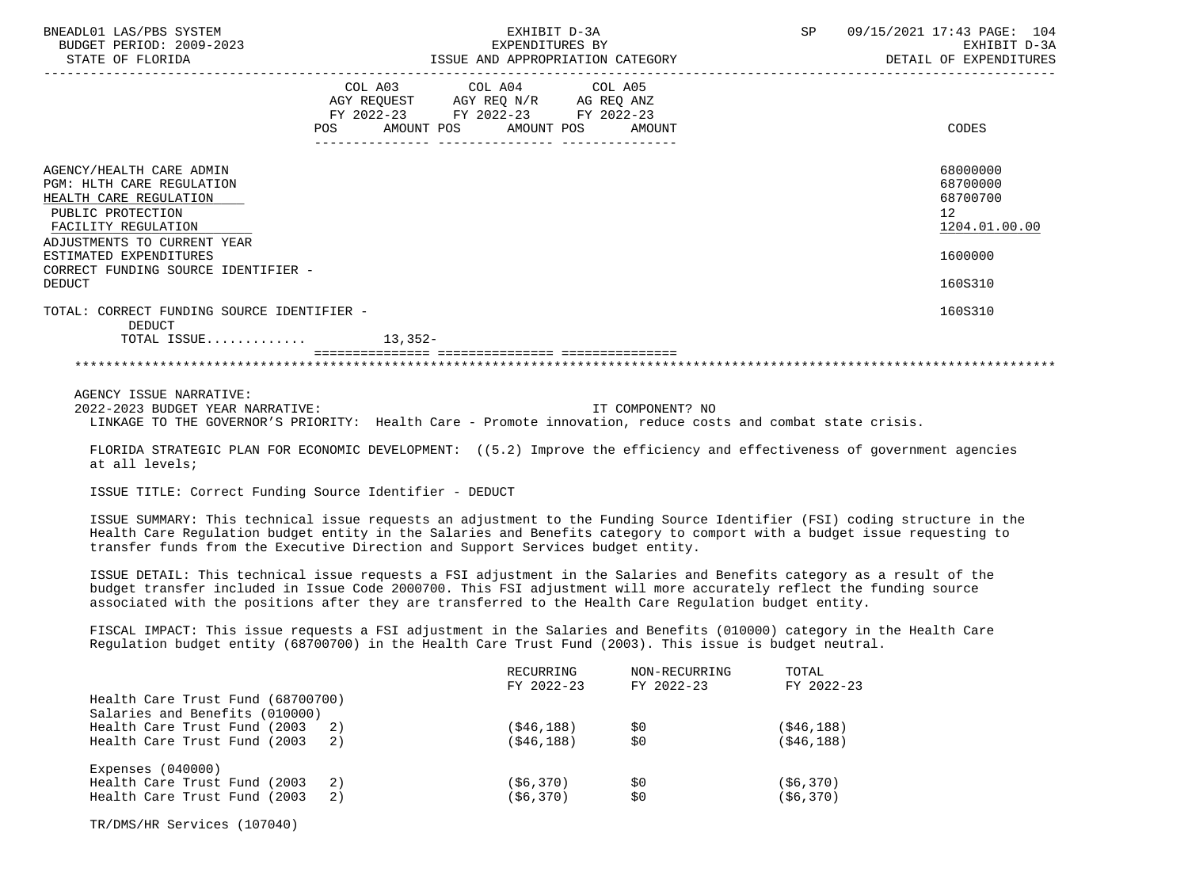| BNEADL01 LAS/PBS SYSTEM<br>BUDGET PERIOD: 2009-2023<br>STATE OF FLORIDA                                                                                                                                                                                                                                                                               |                                                                                                                                | EXHIBIT D-3A<br>EXPENDITURES BY<br>ISSUE AND APPROPRIATION CATEGORY | SP | 09/15/2021 17:43 PAGE: 104<br>EXHIBIT D-3A<br>DETAIL OF EXPENDITURES                       |
|-------------------------------------------------------------------------------------------------------------------------------------------------------------------------------------------------------------------------------------------------------------------------------------------------------------------------------------------------------|--------------------------------------------------------------------------------------------------------------------------------|---------------------------------------------------------------------|----|--------------------------------------------------------------------------------------------|
|                                                                                                                                                                                                                                                                                                                                                       | COL A03 COL A04 COL A05<br>AGY REQUEST AGY REQ N/R AG REQ ANZ<br>FY 2022-23 FY 2022-23 FY 2022-23<br>POS AMOUNT POS AMOUNT POS | AMOUNT                                                              |    | <b>CODES</b>                                                                               |
| AGENCY/HEALTH CARE ADMIN<br>PGM: HLTH CARE REGULATION<br>HEALTH CARE REGULATION<br>PUBLIC PROTECTION<br>FACILITY REGULATION<br>ADJUSTMENTS TO CURRENT YEAR<br>ESTIMATED EXPENDITURES<br>CORRECT FUNDING SOURCE IDENTIFIER -<br><b>DEDUCT</b>                                                                                                          |                                                                                                                                |                                                                     |    | 68000000<br>68700000<br>68700700<br>12 <sup>°</sup><br>1204.01.00.00<br>1600000<br>160S310 |
| TOTAL: CORRECT FUNDING SOURCE IDENTIFIER -<br><b>DEDUCT</b><br>TOTAL ISSUE $13,352-$                                                                                                                                                                                                                                                                  |                                                                                                                                |                                                                     |    | 160S310                                                                                    |
|                                                                                                                                                                                                                                                                                                                                                       |                                                                                                                                |                                                                     |    |                                                                                            |
| AGENCY ISSUE NARRATIVE:<br>2022-2023 BUDGET YEAR NARRATIVE:<br>LINKAGE TO THE GOVERNOR'S PRIORITY: Health Care - Promote innovation, reduce costs and combat state crisis.                                                                                                                                                                            |                                                                                                                                | IT COMPONENT? NO                                                    |    |                                                                                            |
| FLORIDA STRATEGIC PLAN FOR ECONOMIC DEVELOPMENT: ((5.2) Improve the efficiency and effectiveness of government agencies<br>at all levels;                                                                                                                                                                                                             |                                                                                                                                |                                                                     |    |                                                                                            |
| ISSUE TITLE: Correct Funding Source Identifier - DEDUCT                                                                                                                                                                                                                                                                                               |                                                                                                                                |                                                                     |    |                                                                                            |
| ISSUE SUMMARY: This technical issue requests an adjustment to the Funding Source Identifier (FSI) coding structure in the<br>Health Care Regulation budget entity in the Salaries and Benefits category to comport with a budget issue requesting to<br>transfer funds from the Executive Direction and Support Services budget entity.               |                                                                                                                                |                                                                     |    |                                                                                            |
| ISSUE DETAIL: This technical issue requests a FSI adjustment in the Salaries and Benefits category as a result of the<br>budget transfer included in Issue Code 2000700. This FSI adjustment will more accurately reflect the funding source<br>associated with the positions after they are transferred to the Health Care Requlation budget entity. |                                                                                                                                |                                                                     |    |                                                                                            |

 FISCAL IMPACT: This issue requests a FSI adjustment in the Salaries and Benefits (010000) category in the Health Care Regulation budget entity (68700700) in the Health Care Trust Fund (2003). This issue is budget neutral.

|                                     | RECURRING  | NON-RECURRING | TOTAL        |
|-------------------------------------|------------|---------------|--------------|
|                                     | FY 2022-23 | FY 2022-23    | FY 2022-23   |
| Health Care Trust Fund (68700700)   |            |               |              |
| Salaries and Benefits (010000)      |            |               |              |
| Health Care Trust Fund (2003)<br>2) | (\$46,188) | S0            | ( \$46, 188) |
| Health Care Trust Fund (2003)<br>2) | (\$46,188) | S0            | ( \$46, 188) |
| Expenses $(040000)$                 |            |               |              |
| Health Care Trust Fund (2003)<br>2) | (\$6,370)  | S0            | ( \$6, 370)  |
| Health Care Trust Fund (2003)<br>2) | (\$6,370)  | \$0           | ( \$6, 370)  |

TR/DMS/HR Services (107040)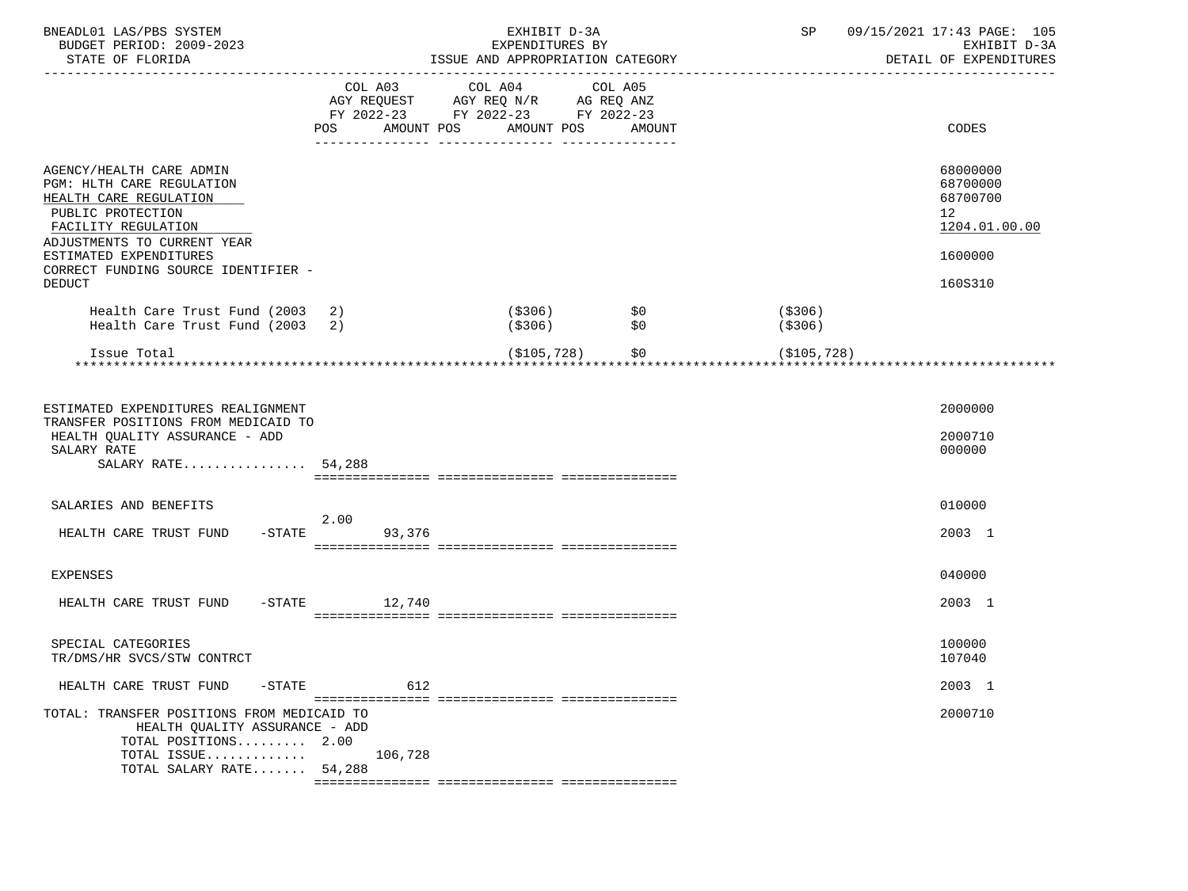| BNEADL01 LAS/PBS SYSTEM<br>BUDGET PERIOD: 2009-2023<br>STATE OF FLORIDA                                                                                                                                                                      |                 | EXHIBIT D-3A<br>EXPENDITURES BY<br>ISSUE AND APPROPRIATION CATEGORY                                                           |                    | SP                  | 09/15/2021 17:43 PAGE: 105<br>EXHIBIT D-3A<br>DETAIL OF EXPENDITURES          |
|----------------------------------------------------------------------------------------------------------------------------------------------------------------------------------------------------------------------------------------------|-----------------|-------------------------------------------------------------------------------------------------------------------------------|--------------------|---------------------|-------------------------------------------------------------------------------|
|                                                                                                                                                                                                                                              | POS             | COL A03 COL A04 COL A05<br>AGY REQUEST AGY REQ N/R AG REQ ANZ<br>FY 2022-23 FY 2022-23 FY 2022-23<br>AMOUNT POS<br>AMOUNT POS | AMOUNT             |                     | CODES                                                                         |
| AGENCY/HEALTH CARE ADMIN<br>PGM: HLTH CARE REGULATION<br>HEALTH CARE REGULATION<br>PUBLIC PROTECTION<br>FACILITY REGULATION<br>ADJUSTMENTS TO CURRENT YEAR<br>ESTIMATED EXPENDITURES<br>CORRECT FUNDING SOURCE IDENTIFIER -<br><b>DEDUCT</b> |                 |                                                                                                                               |                    |                     | 68000000<br>68700000<br>68700700<br>12<br>1204.01.00.00<br>1600000<br>160S310 |
| Health Care Trust Fund (2003 2)<br>Health Care Trust Fund (2003 2)                                                                                                                                                                           |                 | ( \$306)<br>(\$306)                                                                                                           | \$0<br>\$0         | (\$306)<br>( \$306) |                                                                               |
| Issue Total                                                                                                                                                                                                                                  |                 |                                                                                                                               | (\$105,728)<br>\$0 | (\$105,728)         |                                                                               |
| ESTIMATED EXPENDITURES REALIGNMENT<br>TRANSFER POSITIONS FROM MEDICAID TO<br>HEALTH QUALITY ASSURANCE - ADD<br>SALARY RATE<br>SALARY RATE 54,288                                                                                             |                 |                                                                                                                               |                    |                     | 2000000<br>2000710<br>000000                                                  |
| SALARIES AND BENEFITS                                                                                                                                                                                                                        | 2.00            |                                                                                                                               |                    |                     | 010000                                                                        |
| HEALTH CARE TRUST FUND                                                                                                                                                                                                                       | $-STATE$ 93,376 |                                                                                                                               |                    |                     | 2003 1                                                                        |
| <b>EXPENSES</b>                                                                                                                                                                                                                              |                 |                                                                                                                               |                    |                     | 040000                                                                        |
| HEALTH CARE TRUST FUND                                                                                                                                                                                                                       | $-STATE$ 12,740 |                                                                                                                               |                    |                     | 2003 1                                                                        |
| SPECIAL CATEGORIES<br>TR/DMS/HR SVCS/STW CONTRCT                                                                                                                                                                                             |                 |                                                                                                                               |                    |                     | 100000<br>107040                                                              |
| HEALTH CARE TRUST FUND<br>$-STATE$                                                                                                                                                                                                           | 612             |                                                                                                                               |                    |                     | 2003 1                                                                        |
| TOTAL: TRANSFER POSITIONS FROM MEDICAID TO<br>HEALTH QUALITY ASSURANCE - ADD<br>TOTAL POSITIONS 2.00<br>TOTAL ISSUE<br>TOTAL SALARY RATE 54,288                                                                                              | 106,728         |                                                                                                                               |                    |                     | 2000710                                                                       |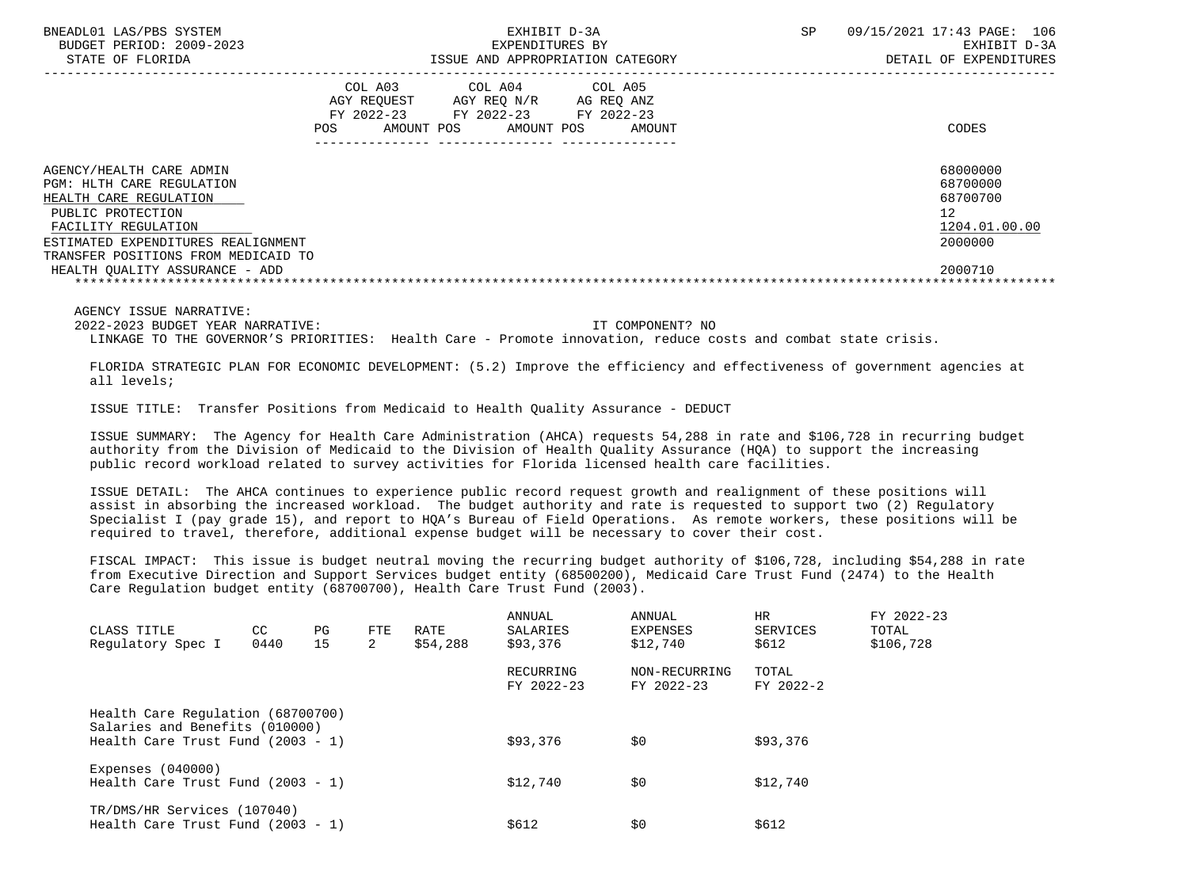| BNEADL01 LAS/PBS SYSTEM<br>BUDGET PERIOD: 2009-2023<br>STATE OF FLORIDA                                                                                                                                                                    |                                                           | EXHIBIT D-3A<br>EXPENDITURES BY<br>ISSUE AND APPROPRIATION CATEGORY | SP                                            | 09/15/2021 17:43 PAGE:<br>106<br>EXHIBIT D-3A<br>DETAIL OF EXPENDITURES |                                                                               |
|--------------------------------------------------------------------------------------------------------------------------------------------------------------------------------------------------------------------------------------------|-----------------------------------------------------------|---------------------------------------------------------------------|-----------------------------------------------|-------------------------------------------------------------------------|-------------------------------------------------------------------------------|
|                                                                                                                                                                                                                                            | COL A03<br>AGY REOUEST<br>FY 2022-23<br>POS<br>AMOUNT POS | COL A04<br>AGY REO N/R<br>FY 2022-23<br>AMOUNT POS                  | COL A05<br>AG REO ANZ<br>FY 2022-23<br>AMOUNT |                                                                         | CODES                                                                         |
| AGENCY/HEALTH CARE ADMIN<br>PGM: HLTH CARE REGULATION<br>HEALTH CARE REGULATION<br>PUBLIC PROTECTION<br>FACILITY REGULATION<br>ESTIMATED EXPENDITURES REALIGNMENT<br>TRANSFER POSITIONS FROM MEDICAID TO<br>HEALTH OUALITY ASSURANCE - ADD |                                                           |                                                                     |                                               |                                                                         | 68000000<br>68700000<br>68700700<br>12<br>1204.01.00.00<br>2000000<br>2000710 |
|                                                                                                                                                                                                                                            |                                                           |                                                                     |                                               |                                                                         |                                                                               |

2022-2023 BUDGET YEAR NARRATIVE: IT COMPONENT? NO

LINKAGE TO THE GOVERNOR'S PRIORITIES: Health Care - Promote innovation, reduce costs and combat state crisis.

 FLORIDA STRATEGIC PLAN FOR ECONOMIC DEVELOPMENT: (5.2) Improve the efficiency and effectiveness of government agencies at all levels;

ISSUE TITLE: Transfer Positions from Medicaid to Health Quality Assurance - DEDUCT

 ISSUE SUMMARY: The Agency for Health Care Administration (AHCA) requests 54,288 in rate and \$106,728 in recurring budget authority from the Division of Medicaid to the Division of Health Quality Assurance (HQA) to support the increasing public record workload related to survey activities for Florida licensed health care facilities.

 ISSUE DETAIL: The AHCA continues to experience public record request growth and realignment of these positions will assist in absorbing the increased workload. The budget authority and rate is requested to support two (2) Regulatory Specialist I (pay grade 15), and report to HQA's Bureau of Field Operations. As remote workers, these positions will be required to travel, therefore, additional expense budget will be necessary to cover their cost.

 FISCAL IMPACT: This issue is budget neutral moving the recurring budget authority of \$106,728, including \$54,288 in rate from Executive Direction and Support Services budget entity (68500200), Medicaid Care Trust Fund (2474) to the Health Care Regulation budget entity (68700700), Health Care Trust Fund (2003).

| CLASS TITLE<br>Regulatory Spec I                                    | CC.<br>0440 | PG<br>15 | FTE<br>2 | RATE<br>\$54,288 | ANNUAL<br>SALARIES<br>\$93,376 | ANNUAL<br>EXPENSES<br>\$12,740 | <b>HR</b><br>SERVICES<br>\$612 | FY 2022-23<br>TOTAL<br>\$106,728 |
|---------------------------------------------------------------------|-------------|----------|----------|------------------|--------------------------------|--------------------------------|--------------------------------|----------------------------------|
|                                                                     |             |          |          |                  |                                |                                |                                |                                  |
|                                                                     |             |          |          |                  | RECURRING<br>FY 2022-23        | NON-RECURRING<br>FY 2022-23    | TOTAL<br>FY 2022-2             |                                  |
| Health Care Regulation (68700700)<br>Salaries and Benefits (010000) |             |          |          |                  |                                |                                |                                |                                  |
| Health Care Trust Fund $(2003 - 1)$                                 |             |          |          |                  | \$93,376                       | \$0                            | \$93,376                       |                                  |
| Expenses $(040000)$<br>Health Care Trust Fund $(2003 - 1)$          |             |          |          |                  | \$12,740                       | \$0                            | \$12,740                       |                                  |
| TR/DMS/HR Services (107040)<br>Health Care Trust Fund $(2003 - 1)$  |             |          |          |                  | \$612                          | \$0                            | \$612                          |                                  |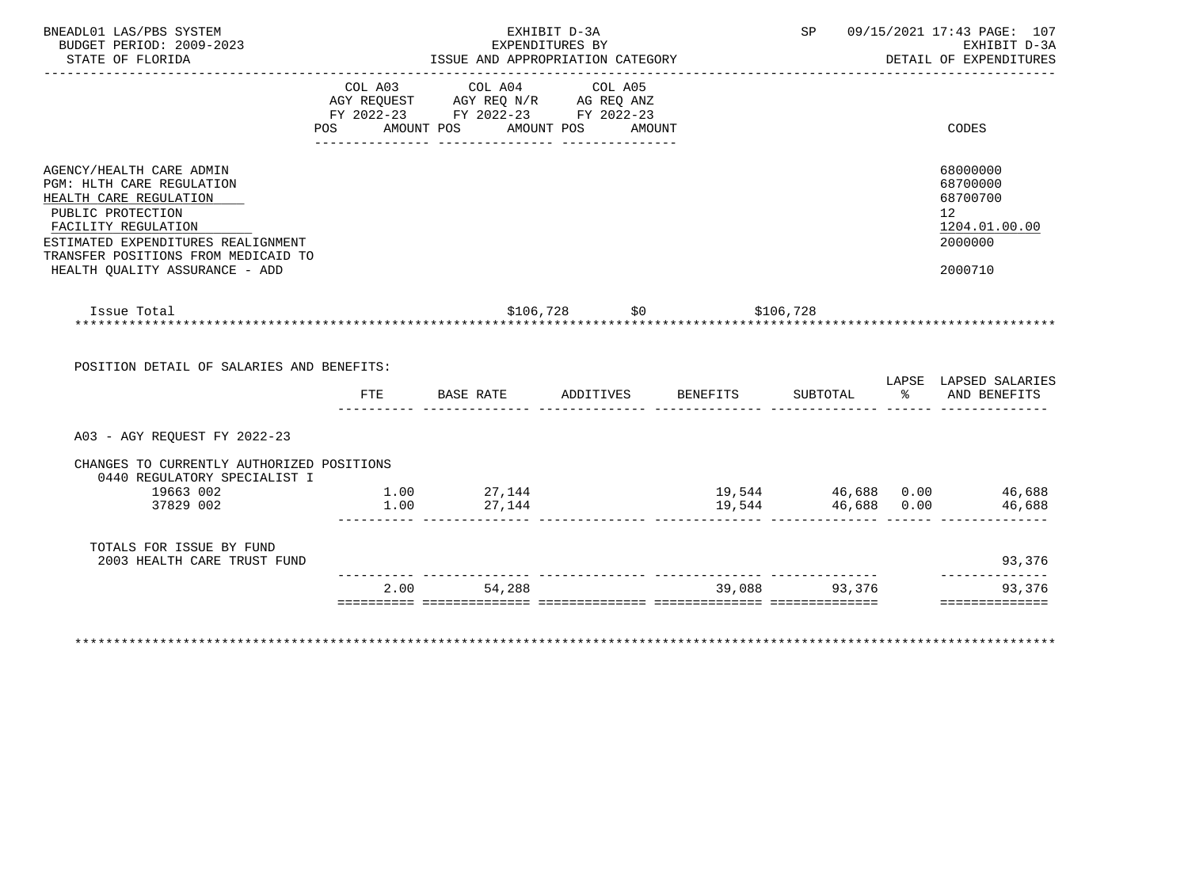| BUDGET PERIOD: 2009-2023<br>STATE OF FLORIDA                                                                                                                                                             |      | ISSUE AND APPROPRIATION CATEGORY                                                                                | EXHIBIT D-3A<br>EXPENDITURES BY |                          |                    | SP 09/15/2021 17:43 PAGE: 107<br>EXHIBIT D-3A<br>DETAIL OF EXPENDITURES                    |
|----------------------------------------------------------------------------------------------------------------------------------------------------------------------------------------------------------|------|-----------------------------------------------------------------------------------------------------------------|---------------------------------|--------------------------|--------------------|--------------------------------------------------------------------------------------------|
|                                                                                                                                                                                                          | POS  | COL A03 COL A04 COL A05<br>AGY REQUEST AGY REQ N/R AG REQ ANZ<br>FY 2022-23 FY 2022-23 FY 2022-23<br>AMOUNT POS | AMOUNT POS AMOUNT               |                          |                    | CODES                                                                                      |
| AGENCY/HEALTH CARE ADMIN<br>PGM: HLTH CARE REGULATION<br>HEALTH CARE REGULATION<br>PUBLIC PROTECTION<br>FACILITY REGULATION<br>ESTIMATED EXPENDITURES REALIGNMENT<br>TRANSFER POSITIONS FROM MEDICAID TO |      |                                                                                                                 |                                 |                          |                    | 68000000<br>68700000<br>68700700<br>12 <sup>°</sup><br>1204.01.00.00<br>2000000<br>2000710 |
| HEALTH OUALITY ASSURANCE - ADD                                                                                                                                                                           |      |                                                                                                                 |                                 |                          |                    |                                                                                            |
| Issue Total<br>POSITION DETAIL OF SALARIES AND BENEFITS:                                                                                                                                                 | FTE  | BASE RATE                                                                                                       | ADDITIVES                       | $$106,728$ \$0 \$106,728 |                    | BENEFITS SUBTOTAL $\frac{1}{2}$ and BENEFITS                                               |
| A03 - AGY REQUEST FY 2022-23                                                                                                                                                                             |      |                                                                                                                 |                                 |                          |                    |                                                                                            |
| CHANGES TO CURRENTLY AUTHORIZED POSITIONS<br>0440 REGULATORY SPECIALIST I                                                                                                                                |      |                                                                                                                 |                                 |                          |                    | LAPSE LAPSED SALARIES                                                                      |
| 19663 002<br>37829 002                                                                                                                                                                                   | 1.00 | $1.00$ $27,144$<br>27,144                                                                                       |                                 |                          | 19,544 46,688 0.00 |                                                                                            |
| TOTALS FOR ISSUE BY FUND<br>2003 HEALTH CARE TRUST FUND                                                                                                                                                  |      |                                                                                                                 |                                 |                          |                    | 19,544 46,688 0.00 46,688<br>46,688<br>93,376<br>--------------                            |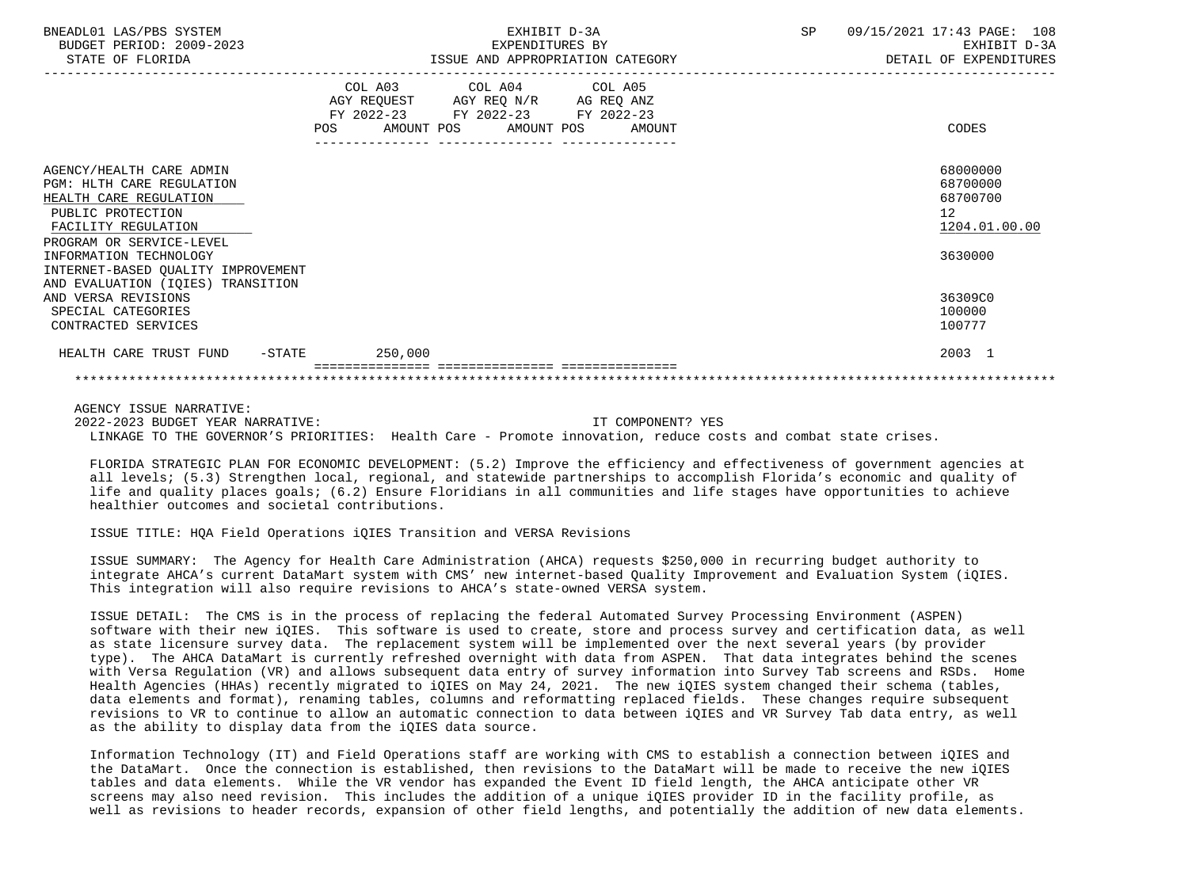| BNEADL01 LAS/PBS SYSTEM<br>BUDGET PERIOD: 2009-2023<br>STATE OF FLORIDA                                                                                 | EXHIBIT D-3A<br>EXPENDITURES BY<br>ISSUE AND APPROPRIATION CATEGORY                                                                             | SP | 09/15/2021 17:43 PAGE: 108<br>EXHIBIT D-3A<br>DETAIL OF EXPENDITURES |
|---------------------------------------------------------------------------------------------------------------------------------------------------------|-------------------------------------------------------------------------------------------------------------------------------------------------|----|----------------------------------------------------------------------|
|                                                                                                                                                         | COL A03 COL A04 COL A05<br>AGY REQUEST AGY REQ N/R AG REQ ANZ<br>FY 2022-23 FY 2022-23 FY 2022-23<br>AMOUNT POS AMOUNT POS AMOUNT<br><b>POS</b> |    | CODES                                                                |
| AGENCY/HEALTH CARE ADMIN<br>PGM: HLTH CARE REGULATION<br>HEALTH CARE REGULATION<br>PUBLIC PROTECTION<br>FACILITY REGULATION<br>PROGRAM OR SERVICE-LEVEL |                                                                                                                                                 |    | 68000000<br>68700000<br>68700700<br>12 <sup>°</sup><br>1204.01.00.00 |
| INFORMATION TECHNOLOGY<br>INTERNET-BASED OUALITY IMPROVEMENT<br>AND EVALUATION (IOIES) TRANSITION                                                       |                                                                                                                                                 |    | 3630000                                                              |
| AND VERSA REVISIONS<br>SPECIAL CATEGORIES<br>CONTRACTED SERVICES                                                                                        |                                                                                                                                                 |    | 36309C0<br>100000<br>100777                                          |
| HEALTH CARE TRUST FUND -STATE                                                                                                                           | 250,000                                                                                                                                         |    | 2003 1                                                               |
|                                                                                                                                                         |                                                                                                                                                 |    |                                                                      |

AGENCY ISSUE NARRATIVE:

 2022-2023 BUDGET YEAR NARRATIVE: IT COMPONENT? YES LINKAGE TO THE GOVERNOR'S PRIORITIES: Health Care - Promote innovation, reduce costs and combat state crises.

 FLORIDA STRATEGIC PLAN FOR ECONOMIC DEVELOPMENT: (5.2) Improve the efficiency and effectiveness of government agencies at all levels; (5.3) Strengthen local, regional, and statewide partnerships to accomplish Florida's economic and quality of life and quality places goals; (6.2) Ensure Floridians in all communities and life stages have opportunities to achieve healthier outcomes and societal contributions.

## ISSUE TITLE: HQA Field Operations iQIES Transition and VERSA Revisions

 ISSUE SUMMARY: The Agency for Health Care Administration (AHCA) requests \$250,000 in recurring budget authority to integrate AHCA's current DataMart system with CMS' new internet-based Quality Improvement and Evaluation System (iQIES. This integration will also require revisions to AHCA's state-owned VERSA system.

 ISSUE DETAIL: The CMS is in the process of replacing the federal Automated Survey Processing Environment (ASPEN) software with their new iQIES. This software is used to create, store and process survey and certification data, as well as state licensure survey data. The replacement system will be implemented over the next several years (by provider type). The AHCA DataMart is currently refreshed overnight with data from ASPEN. That data integrates behind the scenes with Versa Regulation (VR) and allows subsequent data entry of survey information into Survey Tab screens and RSDs. Home Health Agencies (HHAs) recently migrated to iQIES on May 24, 2021. The new iQIES system changed their schema (tables, data elements and format), renaming tables, columns and reformatting replaced fields. These changes require subsequent revisions to VR to continue to allow an automatic connection to data between iQIES and VR Survey Tab data entry, as well as the ability to display data from the iQIES data source.

 Information Technology (IT) and Field Operations staff are working with CMS to establish a connection between iQIES and the DataMart. Once the connection is established, then revisions to the DataMart will be made to receive the new iQIES tables and data elements. While the VR vendor has expanded the Event ID field length, the AHCA anticipate other VR screens may also need revision. This includes the addition of a unique iQIES provider ID in the facility profile, as well as revisions to header records, expansion of other field lengths, and potentially the addition of new data elements.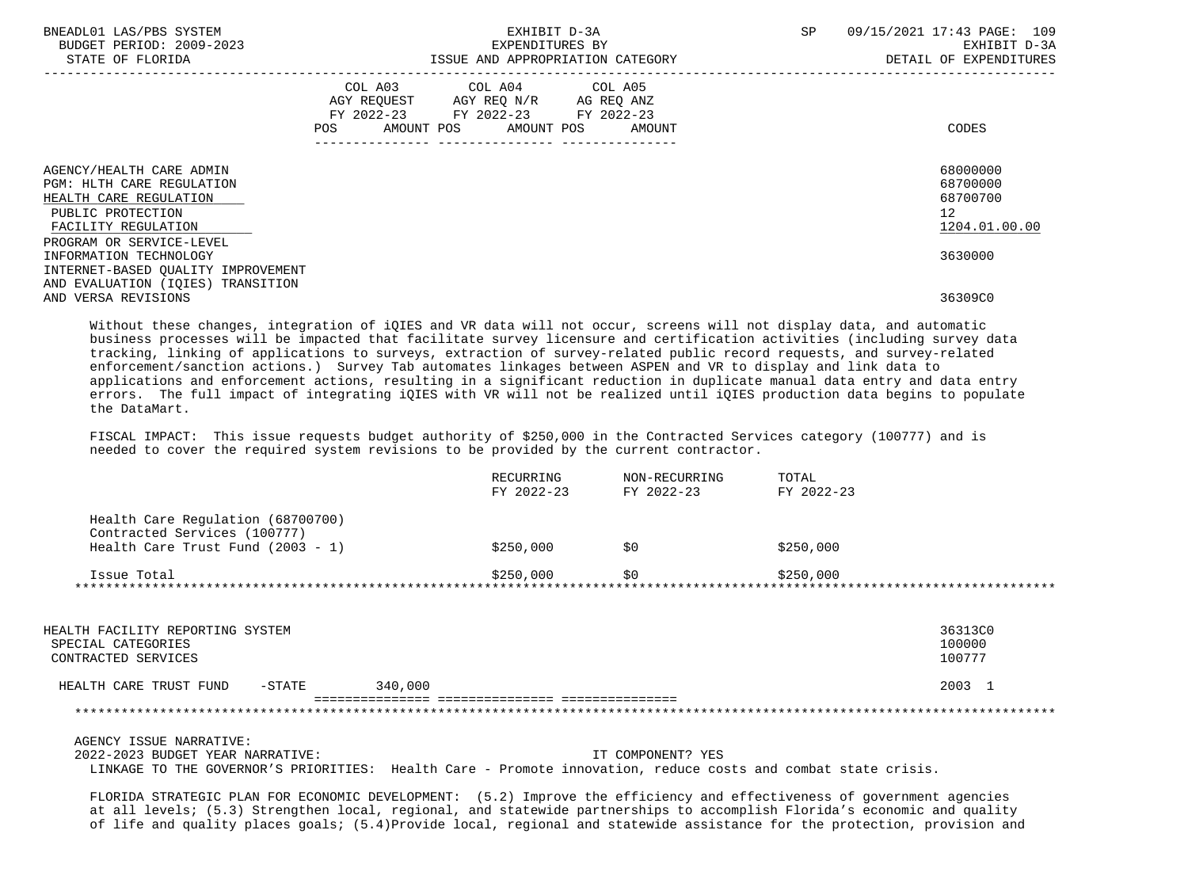| BNEADL01 LAS/PBS SYSTEM<br>BUDGET PERIOD: 2009-2023<br>STATE OF FLORIDA                                                                                        | EXHIBIT D-3A<br>EXPENDITURES BY<br>ISSUE AND APPROPRIATION CATEGORY                                                                             | 09/15/2021 17:43 PAGE: 109<br>SP<br>EXHIBIT D-3A<br>DETAIL OF EXPENDITURES |
|----------------------------------------------------------------------------------------------------------------------------------------------------------------|-------------------------------------------------------------------------------------------------------------------------------------------------|----------------------------------------------------------------------------|
|                                                                                                                                                                | COL A03 COL A04 COL A05<br>AGY REQUEST AGY REQ N/R AG REQ ANZ<br>FY 2022-23 FY 2022-23 FY 2022-23<br>AMOUNT POS AMOUNT POS AMOUNT<br><b>POS</b> | CODES                                                                      |
| AGENCY/HEALTH CARE ADMIN<br><b>PGM: HLTH CARE REGULATION</b><br>HEALTH CARE REGULATION<br>PUBLIC PROTECTION<br>FACILITY REGULATION<br>PROGRAM OR SERVICE-LEVEL |                                                                                                                                                 | 68000000<br>68700000<br>68700700<br>12 <sup>°</sup><br>1204.01.00.00       |
| INFORMATION TECHNOLOGY<br>INTERNET-BASED OUALITY IMPROVEMENT                                                                                                   |                                                                                                                                                 | 3630000                                                                    |
| AND EVALUATION (IOIES) TRANSITION<br>AND VERSA REVISIONS                                                                                                       |                                                                                                                                                 | 36309C0                                                                    |

 Without these changes, integration of iQIES and VR data will not occur, screens will not display data, and automatic business processes will be impacted that facilitate survey licensure and certification activities (including survey data tracking, linking of applications to surveys, extraction of survey-related public record requests, and survey-related enforcement/sanction actions.) Survey Tab automates linkages between ASPEN and VR to display and link data to applications and enforcement actions, resulting in a significant reduction in duplicate manual data entry and data entry errors. The full impact of integrating iQIES with VR will not be realized until iQIES production data begins to populate the DataMart.

 FISCAL IMPACT: This issue requests budget authority of \$250,000 in the Contracted Services category (100777) and is needed to cover the required system revisions to be provided by the current contractor.

|                                                                   | RECURRING<br>FY 2022-23 | NON-RECURRING<br>FY 2022-23 | TOTAL<br>FY 2022-23 |
|-------------------------------------------------------------------|-------------------------|-----------------------------|---------------------|
| Health Care Regulation (68700700)                                 |                         |                             |                     |
| Contracted Services (100777)<br>Health Care Trust Fund (2003 - 1) | \$250,000               | \$0                         | \$250,000           |
| Issue Total                                                       | \$250,000               | \$0                         | \$250,000           |

| HEALTH FACILITY REPORTING SYSTEM<br>SPECIAL CATEGORIES<br>CONTRACTED SERVICES |        |         | 36313C0<br>100000<br>100777 |
|-------------------------------------------------------------------------------|--------|---------|-----------------------------|
| HEALTH CARE TRUST FUND                                                        | -STATE | 340,000 | 2003 1                      |
|                                                                               |        |         |                             |

 AGENCY ISSUE NARRATIVE: 2022-2023 BUDGET YEAR NARRATIVE: IT COMPONENT? YES LINKAGE TO THE GOVERNOR'S PRIORITIES: Health Care - Promote innovation, reduce costs and combat state crisis.

 FLORIDA STRATEGIC PLAN FOR ECONOMIC DEVELOPMENT: (5.2) Improve the efficiency and effectiveness of government agencies at all levels; (5.3) Strengthen local, regional, and statewide partnerships to accomplish Florida's economic and quality of life and quality places goals; (5.4)Provide local, regional and statewide assistance for the protection, provision and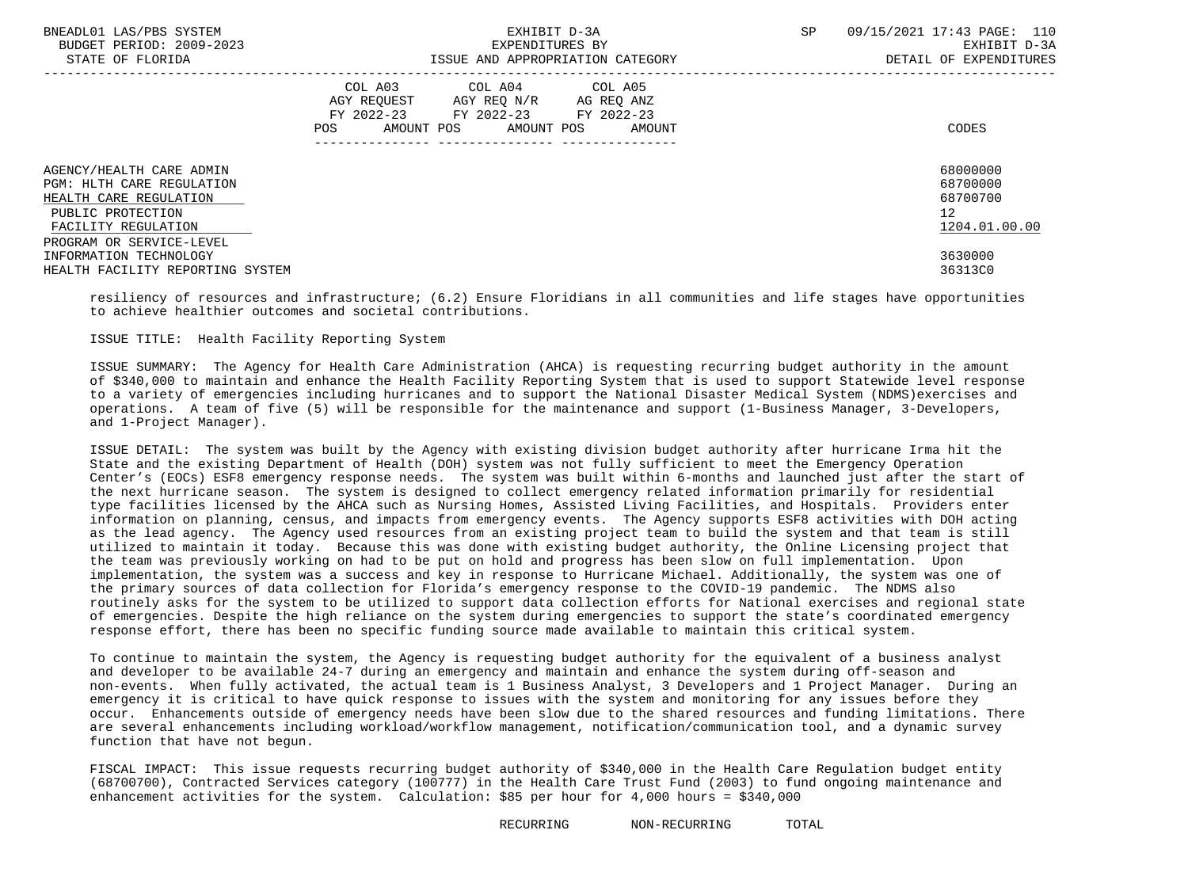| BNEADL01 LAS/PBS SYSTEM<br>BUDGET PERIOD: 2009-2023<br>STATE OF FLORIDA                                                                                        | EXHIBIT D-3A<br>EXPENDITURES BY<br>ISSUE AND APPROPRIATION CATEGORY                                                                         | SP<br>09/15/2021 17:43 PAGE: 110<br>EXHIBIT D-3A<br>DETAIL OF EXPENDITURES |  |  |
|----------------------------------------------------------------------------------------------------------------------------------------------------------------|---------------------------------------------------------------------------------------------------------------------------------------------|----------------------------------------------------------------------------|--|--|
|                                                                                                                                                                | COL A03 COL A04 COL A05<br>AGY REQUEST AGY REQ N/R AG REQ ANZ<br>FY 2022-23 FY 2022-23 FY 2022-23<br>AMOUNT POS AMOUNT POS<br>POS<br>AMOUNT | CODES                                                                      |  |  |
| AGENCY/HEALTH CARE ADMIN<br><b>PGM: HLTH CARE REGULATION</b><br>HEALTH CARE REGULATION<br>PUBLIC PROTECTION<br>FACILITY REGULATION<br>PROGRAM OR SERVICE-LEVEL |                                                                                                                                             | 68000000<br>68700000<br>68700700<br>12 <sup>°</sup><br>1204.01.00.00       |  |  |
| INFORMATION TECHNOLOGY<br>HEALTH FACILITY REPORTING SYSTEM                                                                                                     |                                                                                                                                             | 3630000<br>36313C0                                                         |  |  |

 resiliency of resources and infrastructure; (6.2) Ensure Floridians in all communities and life stages have opportunities to achieve healthier outcomes and societal contributions.

## ISSUE TITLE: Health Facility Reporting System

 ISSUE SUMMARY: The Agency for Health Care Administration (AHCA) is requesting recurring budget authority in the amount of \$340,000 to maintain and enhance the Health Facility Reporting System that is used to support Statewide level response to a variety of emergencies including hurricanes and to support the National Disaster Medical System (NDMS)exercises and operations. A team of five (5) will be responsible for the maintenance and support (1-Business Manager, 3-Developers, and 1-Project Manager).

 ISSUE DETAIL: The system was built by the Agency with existing division budget authority after hurricane Irma hit the State and the existing Department of Health (DOH) system was not fully sufficient to meet the Emergency Operation Center's (EOCs) ESF8 emergency response needs. The system was built within 6-months and launched just after the start of the next hurricane season. The system is designed to collect emergency related information primarily for residential type facilities licensed by the AHCA such as Nursing Homes, Assisted Living Facilities, and Hospitals. Providers enter information on planning, census, and impacts from emergency events. The Agency supports ESF8 activities with DOH acting as the lead agency. The Agency used resources from an existing project team to build the system and that team is still utilized to maintain it today. Because this was done with existing budget authority, the Online Licensing project that the team was previously working on had to be put on hold and progress has been slow on full implementation. Upon implementation, the system was a success and key in response to Hurricane Michael. Additionally, the system was one of the primary sources of data collection for Florida's emergency response to the COVID-19 pandemic. The NDMS also routinely asks for the system to be utilized to support data collection efforts for National exercises and regional state of emergencies. Despite the high reliance on the system during emergencies to support the state's coordinated emergency response effort, there has been no specific funding source made available to maintain this critical system.

 To continue to maintain the system, the Agency is requesting budget authority for the equivalent of a business analyst and developer to be available 24-7 during an emergency and maintain and enhance the system during off-season and non-events. When fully activated, the actual team is 1 Business Analyst, 3 Developers and 1 Project Manager. During an emergency it is critical to have quick response to issues with the system and monitoring for any issues before they occur. Enhancements outside of emergency needs have been slow due to the shared resources and funding limitations. There are several enhancements including workload/workflow management, notification/communication tool, and a dynamic survey function that have not begun.

 FISCAL IMPACT: This issue requests recurring budget authority of \$340,000 in the Health Care Regulation budget entity (68700700), Contracted Services category (100777) in the Health Care Trust Fund (2003) to fund ongoing maintenance and enhancement activities for the system. Calculation: \$85 per hour for 4,000 hours = \$340,000

RECURRING NON-RECURRING TOTAL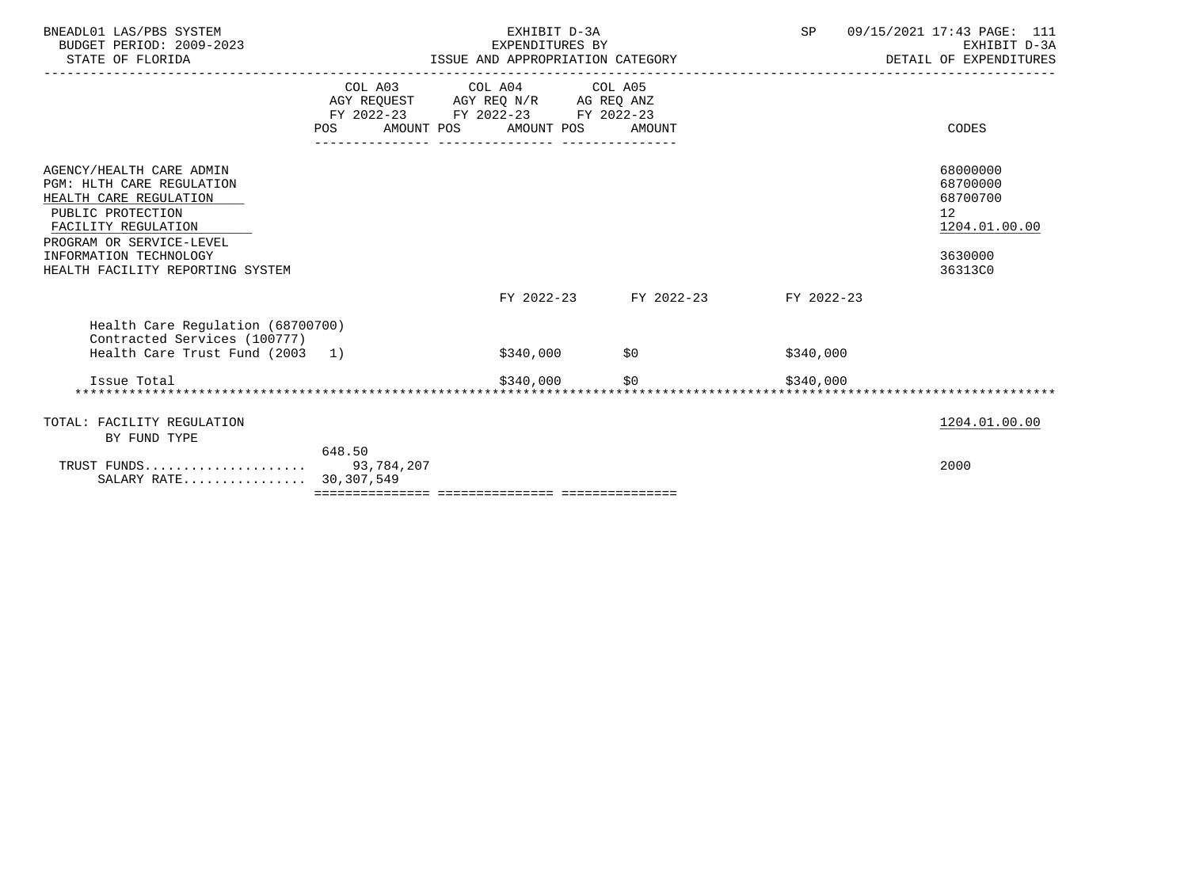|                                  | EXHIBIT D-3A                                                                                                                                             |        | SP                                                                                                                                                                                                  | 09/15/2021 17:43 PAGE: 111<br>EXHIBIT D-3A<br>DETAIL OF EXPENDITURES          |
|----------------------------------|----------------------------------------------------------------------------------------------------------------------------------------------------------|--------|-----------------------------------------------------------------------------------------------------------------------------------------------------------------------------------------------------|-------------------------------------------------------------------------------|
| POS                              |                                                                                                                                                          | AMOUNT |                                                                                                                                                                                                     | CODES                                                                         |
|                                  |                                                                                                                                                          |        |                                                                                                                                                                                                     | 68000000<br>68700000<br>68700700<br>12<br>1204.01.00.00<br>3630000<br>36313C0 |
|                                  |                                                                                                                                                          |        |                                                                                                                                                                                                     |                                                                               |
|                                  |                                                                                                                                                          |        | \$340,000                                                                                                                                                                                           |                                                                               |
|                                  | \$340,000                                                                                                                                                | SO     |                                                                                                                                                                                                     |                                                                               |
|                                  |                                                                                                                                                          |        |                                                                                                                                                                                                     | 1204.01.00.00                                                                 |
| 648.50                           |                                                                                                                                                          |        |                                                                                                                                                                                                     | 2000                                                                          |
| HEALTH FACILITY REPORTING SYSTEM | Health Care Regulation (68700700)<br>Contracted Services (100777)<br>Health Care Trust Fund (2003 1)<br>TRUST FUNDS 93,784,207<br>SALARY RATE 30,307,549 |        | EXPENDITURES BY<br>ISSUE AND APPROPRIATION CATEGORY<br>COL A03 COL A04 COL A05<br>AGY REQUEST AGY REQ N/R AG REQ ANZ<br>FY 2022-23 FY 2022-23 FY 2022-23<br>AMOUNT POS AMOUNT POS<br>$$340,000$ \$0 | -------------------------<br>FY 2022-23 FY 2022-23 FY 2022-23<br>\$340.000    |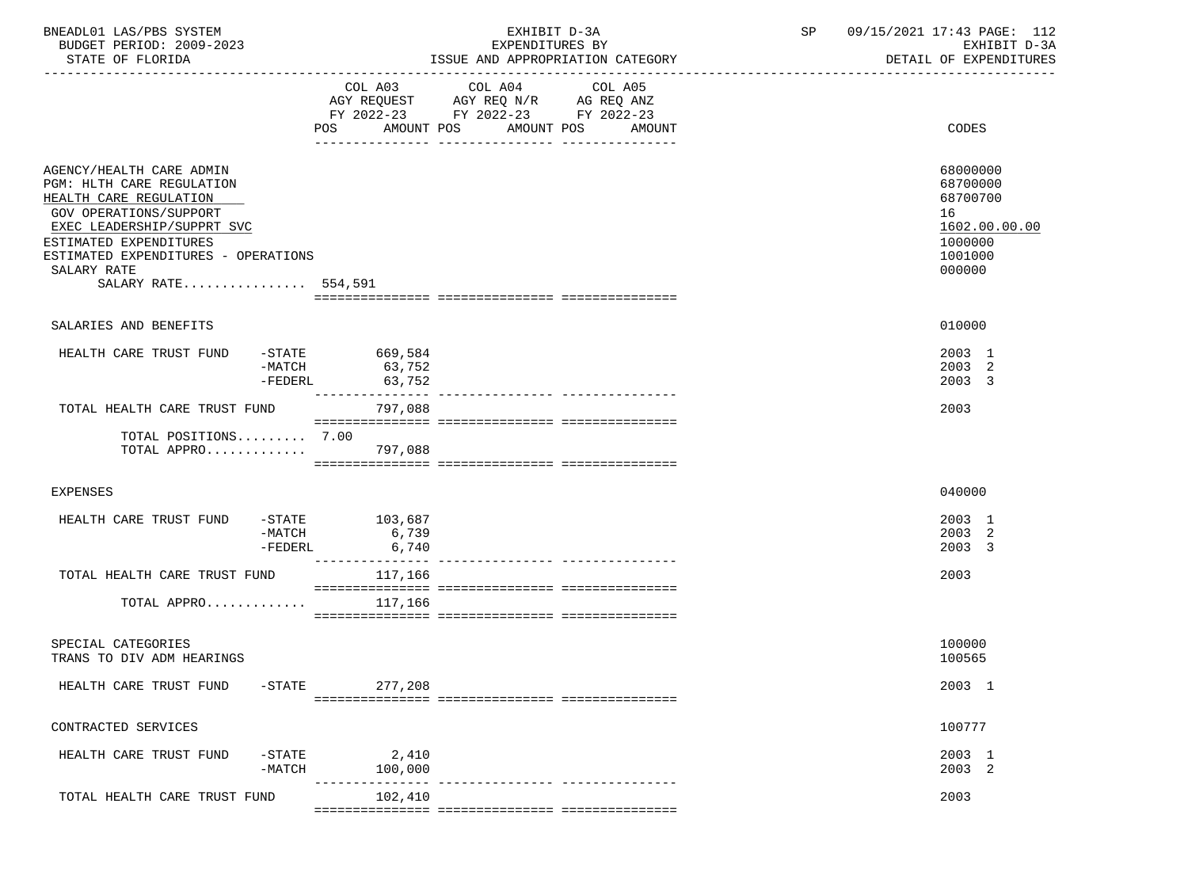| BNEADL01 LAS/PBS SYSTEM<br>BUDGET PERIOD: 2009-2023<br>STATE OF FLORIDA                                                                                                                                                                               |                                             | EXHIBIT D-3A<br>EXPENDITURES BY<br>ISSUE AND APPROPRIATION CATEGORY                                                                         | SP | 09/15/2021 17:43 PAGE: 112<br>EXHIBIT D-3A<br>DETAIL OF EXPENDITURES                    |
|-------------------------------------------------------------------------------------------------------------------------------------------------------------------------------------------------------------------------------------------------------|---------------------------------------------|---------------------------------------------------------------------------------------------------------------------------------------------|----|-----------------------------------------------------------------------------------------|
|                                                                                                                                                                                                                                                       | AMOUNT POS<br>POS                           | COL A03 COL A04 COL A05<br>AGY REQUEST AGY REQ N/R AG REQ ANZ<br>FY 2022-23 FY 2022-23 FY 2022-23<br>AMOUNT POS AMOUNT<br>-- -------------- |    | CODES                                                                                   |
| AGENCY/HEALTH CARE ADMIN<br>PGM: HLTH CARE REGULATION<br>HEALTH CARE REGULATION<br><b>GOV OPERATIONS/SUPPORT</b><br>EXEC LEADERSHIP/SUPPRT SVC<br>ESTIMATED EXPENDITURES<br>ESTIMATED EXPENDITURES - OPERATIONS<br>SALARY RATE<br>SALARY RATE 554,591 |                                             |                                                                                                                                             |    | 68000000<br>68700000<br>68700700<br>16<br>1602.00.00.00<br>1000000<br>1001000<br>000000 |
| SALARIES AND BENEFITS                                                                                                                                                                                                                                 |                                             |                                                                                                                                             |    | 010000                                                                                  |
| HEALTH CARE TRUST FUND<br>$-MATCH$<br>$-FEDERL$                                                                                                                                                                                                       | $-$ STATE 669,584<br>63,752<br>63,752       |                                                                                                                                             |    | 2003 1<br>2003 2<br>2003 3                                                              |
| TOTAL HEALTH CARE TRUST FUND                                                                                                                                                                                                                          | 797,088                                     |                                                                                                                                             |    | 2003                                                                                    |
| TOTAL POSITIONS 7.00<br>TOTAL APPRO                                                                                                                                                                                                                   | 797,088                                     |                                                                                                                                             |    |                                                                                         |
| <b>EXPENSES</b>                                                                                                                                                                                                                                       |                                             |                                                                                                                                             |    | 040000                                                                                  |
| HEALTH CARE TRUST FUND<br>$-FEDERL$                                                                                                                                                                                                                   | $-STATE$ 103,687<br>$-MATCH$ 6,739<br>6,740 |                                                                                                                                             |    | 2003 1<br>2003 2<br>2003 3                                                              |
| TOTAL HEALTH CARE TRUST FUND                                                                                                                                                                                                                          | ________________<br>117,166                 |                                                                                                                                             |    | 2003                                                                                    |
| TOTAL APPRO                                                                                                                                                                                                                                           | 117,166                                     |                                                                                                                                             |    |                                                                                         |
| SPECIAL CATEGORIES<br>TRANS TO DIV ADM HEARINGS                                                                                                                                                                                                       |                                             |                                                                                                                                             |    | 100000<br>100565                                                                        |
| HEALTH CARE TRUST FUND<br>$-$ STATE                                                                                                                                                                                                                   | 277,208                                     |                                                                                                                                             |    | 2003 1                                                                                  |
| CONTRACTED SERVICES                                                                                                                                                                                                                                   |                                             |                                                                                                                                             |    | 100777                                                                                  |
| HEALTH CARE TRUST FUND<br>$-$ STATE<br>$-MATCH$                                                                                                                                                                                                       | 2,410<br>100,000                            |                                                                                                                                             |    | 2003 1<br>2003 2                                                                        |
| TOTAL HEALTH CARE TRUST FUND                                                                                                                                                                                                                          | 102,410                                     |                                                                                                                                             |    | 2003                                                                                    |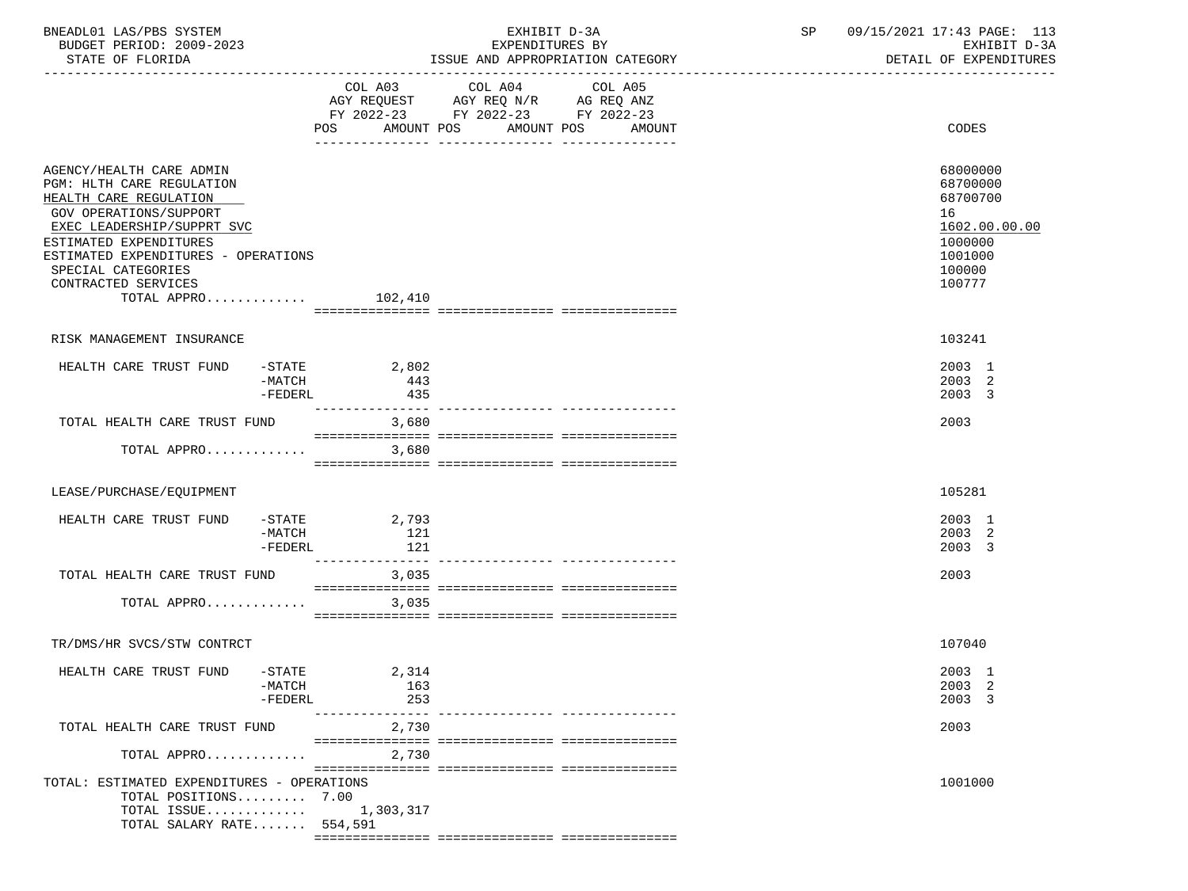| BNEADL01 LAS/PBS SYSTEM<br>BUDGET PERIOD: 2009-2023<br>STATE OF FLORIDA                                                                                                                                                                                                                      |                                  |                               | EXHIBIT D-3A<br>EXPENDITURES BY<br>ISSUE AND APPROPRIATION CATEGORY                                     |                   |  | SP 09/15/2021 17:43 PAGE: 113<br>EXHIBIT D-3A<br>DETAIL OF EXPENDITURES                           |
|----------------------------------------------------------------------------------------------------------------------------------------------------------------------------------------------------------------------------------------------------------------------------------------------|----------------------------------|-------------------------------|---------------------------------------------------------------------------------------------------------|-------------------|--|---------------------------------------------------------------------------------------------------|
|                                                                                                                                                                                                                                                                                              |                                  | AMOUNT POS<br>POS.            | COL A03 COL A04<br>AGY REQUEST AGY REQ N/R AG REQ ANZ<br>FY 2022-23 FY 2022-23 FY 2022-23<br>AMOUNT POS | COL A05<br>AMOUNT |  | CODES                                                                                             |
| AGENCY/HEALTH CARE ADMIN<br><b>PGM: HLTH CARE REGULATION</b><br>HEALTH CARE REGULATION<br><b>GOV OPERATIONS/SUPPORT</b><br>EXEC LEADERSHIP/SUPPRT SVC<br>ESTIMATED EXPENDITURES<br>ESTIMATED EXPENDITURES - OPERATIONS<br>SPECIAL CATEGORIES<br>CONTRACTED SERVICES<br>TOTAL APPRO $102,410$ |                                  |                               |                                                                                                         |                   |  | 68000000<br>68700000<br>68700700<br>16<br>1602.00.00.00<br>1000000<br>1001000<br>100000<br>100777 |
|                                                                                                                                                                                                                                                                                              |                                  |                               |                                                                                                         |                   |  |                                                                                                   |
| RISK MANAGEMENT INSURANCE                                                                                                                                                                                                                                                                    |                                  |                               |                                                                                                         |                   |  | 103241                                                                                            |
| HEALTH CARE TRUST FUND                                                                                                                                                                                                                                                                       | -MATCH<br>$-FEDERL$              | $-$ STATE 2,802<br>443<br>435 |                                                                                                         |                   |  | 2003 1<br>2003 2<br>2003 3                                                                        |
| TOTAL HEALTH CARE TRUST FUND                                                                                                                                                                                                                                                                 |                                  | ---------------<br>3,680      |                                                                                                         |                   |  | 2003                                                                                              |
| TOTAL APPRO                                                                                                                                                                                                                                                                                  |                                  | 3,680                         |                                                                                                         |                   |  |                                                                                                   |
|                                                                                                                                                                                                                                                                                              |                                  |                               |                                                                                                         |                   |  |                                                                                                   |
| LEASE/PURCHASE/EQUIPMENT                                                                                                                                                                                                                                                                     |                                  |                               |                                                                                                         |                   |  | 105281                                                                                            |
| HEALTH CARE TRUST FUND                                                                                                                                                                                                                                                                       | -STATE<br>$-MATCH$<br>$-FEDERL$  | 2,793<br>121<br>121           |                                                                                                         |                   |  | 2003 1<br>2003 2<br>2003 3                                                                        |
| TOTAL HEALTH CARE TRUST FUND                                                                                                                                                                                                                                                                 |                                  | ---------------<br>3,035      |                                                                                                         |                   |  | 2003                                                                                              |
| TOTAL APPRO                                                                                                                                                                                                                                                                                  |                                  | 3,035                         |                                                                                                         |                   |  |                                                                                                   |
|                                                                                                                                                                                                                                                                                              |                                  |                               |                                                                                                         |                   |  |                                                                                                   |
| TR/DMS/HR SVCS/STW CONTRCT                                                                                                                                                                                                                                                                   |                                  |                               |                                                                                                         |                   |  | 107040                                                                                            |
| HEALTH CARE TRUST FUND                                                                                                                                                                                                                                                                       | $-$ STATE<br>-MATCH<br>$-FEDERL$ | 2,314<br>163<br>253           |                                                                                                         |                   |  | 2003 1<br>2003 2<br>2003 3                                                                        |
| TOTAL HEALTH CARE TRUST FUND                                                                                                                                                                                                                                                                 |                                  | ---------------<br>2,730      |                                                                                                         |                   |  | 2003                                                                                              |
| TOTAL APPRO                                                                                                                                                                                                                                                                                  |                                  | 2,730                         |                                                                                                         |                   |  |                                                                                                   |
| TOTAL: ESTIMATED EXPENDITURES - OPERATIONS<br>TOTAL POSITIONS 7.00<br>TOTAL ISSUE $1,303,317$<br>TOTAL SALARY RATE 554,591                                                                                                                                                                   |                                  |                               |                                                                                                         |                   |  | 1001000                                                                                           |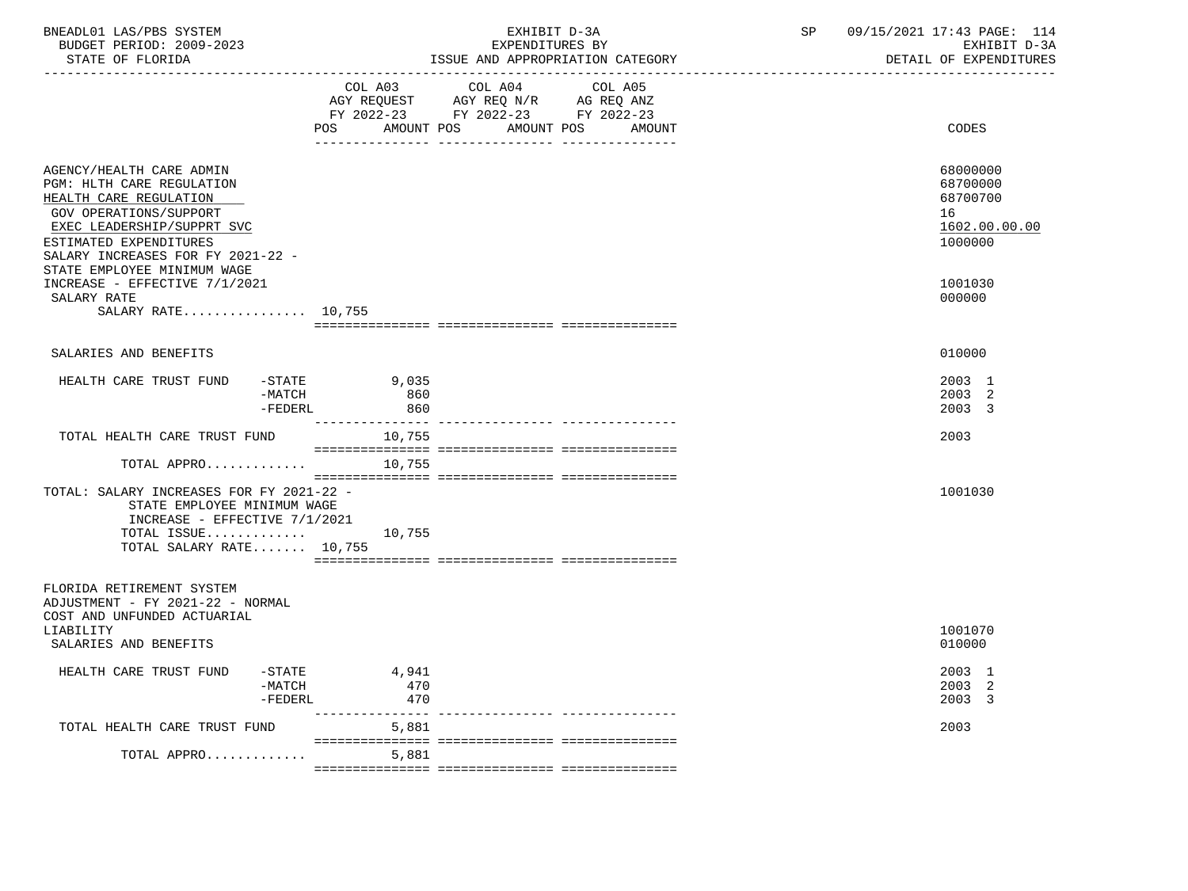| BNEADL01 LAS/PBS SYSTEM<br>BUDGET PERIOD: 2009-2023<br>STATE OF FLORIDA                                                                                                                                                                      |                               | EXHIBIT D-3A<br>EXPENDITURES BY<br>ISSUE AND APPROPRIATION CATEGORY                                                          | SP | 09/15/2021 17:43 PAGE: 114<br>EXHIBIT D-3A<br>DETAIL OF EXPENDITURES |
|----------------------------------------------------------------------------------------------------------------------------------------------------------------------------------------------------------------------------------------------|-------------------------------|------------------------------------------------------------------------------------------------------------------------------|----|----------------------------------------------------------------------|
|                                                                                                                                                                                                                                              | COL A03<br>POS                | COL A04<br>COL A05<br>AGY REQUEST AGY REQ N/R AG REQ ANZ<br>FY 2022-23 FY 2022-23 FY 2022-23<br>AMOUNT POS AMOUNT POS AMOUNT |    | <b>CODES</b>                                                         |
| AGENCY/HEALTH CARE ADMIN<br>PGM: HLTH CARE REGULATION<br>HEALTH CARE REGULATION<br><b>GOV OPERATIONS/SUPPORT</b><br>EXEC LEADERSHIP/SUPPRT SVC<br>ESTIMATED EXPENDITURES<br>SALARY INCREASES FOR FY 2021-22 -<br>STATE EMPLOYEE MINIMUM WAGE |                               |                                                                                                                              |    | 68000000<br>68700000<br>68700700<br>16<br>1602.00.00.00<br>1000000   |
| INCREASE - EFFECTIVE 7/1/2021<br>SALARY RATE<br>SALARY RATE 10,755                                                                                                                                                                           |                               |                                                                                                                              |    | 1001030<br>000000                                                    |
|                                                                                                                                                                                                                                              |                               |                                                                                                                              |    |                                                                      |
| SALARIES AND BENEFITS                                                                                                                                                                                                                        |                               |                                                                                                                              |    | 010000                                                               |
| HEALTH CARE TRUST FUND<br>-MATCH<br>$-FEDERL$                                                                                                                                                                                                | -STATE 9,035<br>860<br>860    |                                                                                                                              |    | 2003 1<br>2003 2<br>2003 3                                           |
| TOTAL HEALTH CARE TRUST FUND                                                                                                                                                                                                                 | 10,755                        |                                                                                                                              |    | 2003                                                                 |
| TOTAL APPRO<br>TOTAL: SALARY INCREASES FOR FY 2021-22 -<br>STATE EMPLOYEE MINIMUM WAGE<br>INCREASE - EFFECTIVE $7/1/2021$<br>TOTAL ISSUE $10,755$<br>TOTAL SALARY RATE 10,755                                                                | 10,755                        |                                                                                                                              |    | 1001030                                                              |
| FLORIDA RETIREMENT SYSTEM<br>ADJUSTMENT - FY 2021-22 - NORMAL<br>COST AND UNFUNDED ACTUARIAL<br>LIABILITY<br>SALARIES AND BENEFITS                                                                                                           |                               |                                                                                                                              |    | 1001070<br>010000                                                    |
| HEALTH CARE TRUST FUND<br>$-MATCH$<br>$-FEDERL$                                                                                                                                                                                              | $-$ STATE 4,941<br>470<br>470 |                                                                                                                              |    | 2003 1<br>2003 2<br>2003 3                                           |
| TOTAL HEALTH CARE TRUST FUND                                                                                                                                                                                                                 | 5,881                         |                                                                                                                              |    | 2003                                                                 |
| TOTAL APPRO                                                                                                                                                                                                                                  | 5,881                         |                                                                                                                              |    |                                                                      |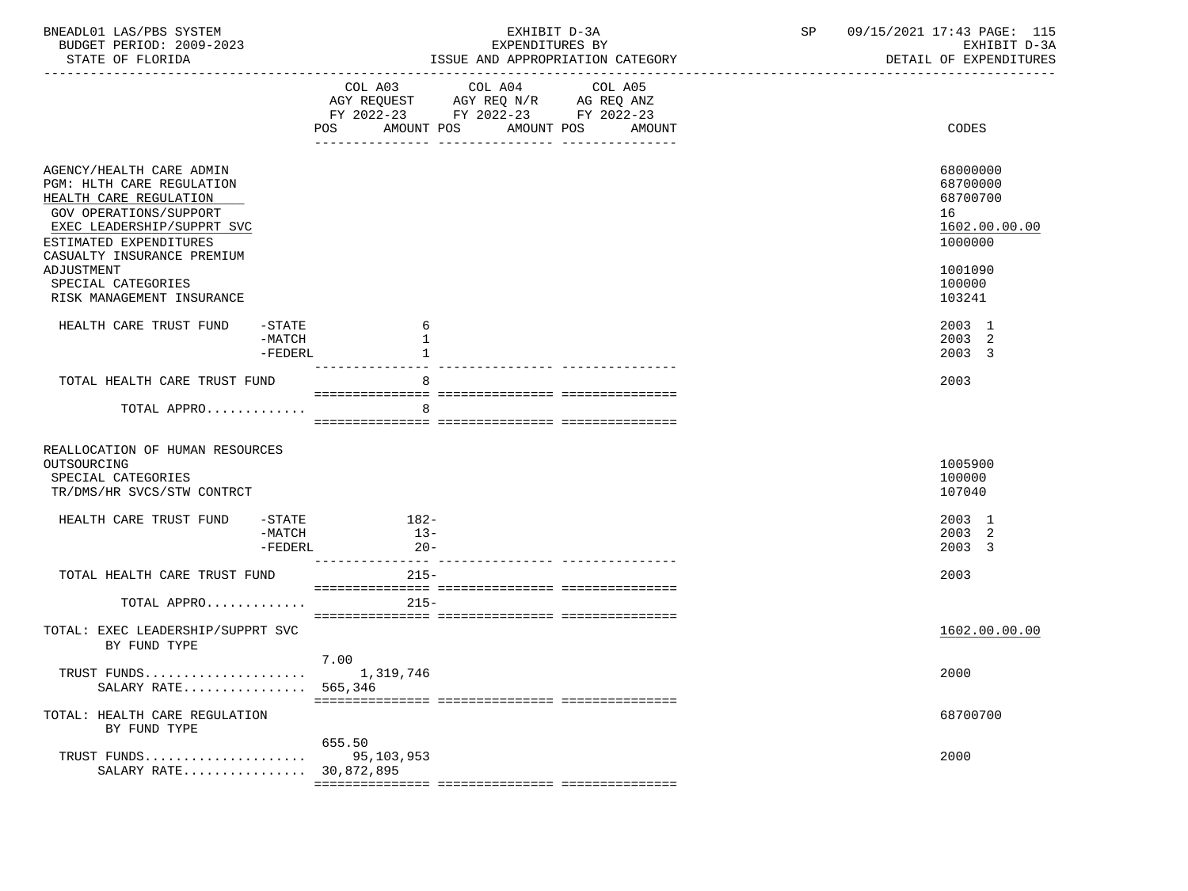| BNEADL01 LAS/PBS SYSTEM<br>BUDGET PERIOD: 2009-2023<br>STATE OF FLORIDA                                                                                                                                | EXHIBIT D-3A<br>EXPENDITURES BY<br>ISSUE AND APPROPRIATION CATEGORY                                                                   | SP<br>09/15/2021 17:43 PAGE: 115<br>EXHIBIT D-3A<br>DETAIL OF EXPENDITURES |
|--------------------------------------------------------------------------------------------------------------------------------------------------------------------------------------------------------|---------------------------------------------------------------------------------------------------------------------------------------|----------------------------------------------------------------------------|
|                                                                                                                                                                                                        | COL A03 COL A04 COL A05<br>AGY REQUEST AGY REQ N/R AG REQ ANZ<br>FY 2022-23 FY 2022-23 FY 2022-23<br>POS AMOUNT POS AMOUNT POS AMOUNT | CODES                                                                      |
| AGENCY/HEALTH CARE ADMIN<br>PGM: HLTH CARE REGULATION<br>HEALTH CARE REGULATION<br><b>GOV OPERATIONS/SUPPORT</b><br>EXEC LEADERSHIP/SUPPRT SVC<br>ESTIMATED EXPENDITURES<br>CASUALTY INSURANCE PREMIUM |                                                                                                                                       | 68000000<br>68700000<br>68700700<br>16<br>1602.00.00.00<br>1000000         |
| ADJUSTMENT<br>SPECIAL CATEGORIES<br>RISK MANAGEMENT INSURANCE                                                                                                                                          |                                                                                                                                       | 1001090<br>100000<br>103241                                                |
| HEALTH CARE TRUST FUND<br>-STATE<br>-MATCH<br>$-FEDERL$                                                                                                                                                | 6<br>1                                                                                                                                | 2003 1<br>2003 2<br>2003 3                                                 |
| TOTAL HEALTH CARE TRUST FUND                                                                                                                                                                           | 8                                                                                                                                     | 2003                                                                       |
| TOTAL APPRO                                                                                                                                                                                            | 8                                                                                                                                     |                                                                            |
| REALLOCATION OF HUMAN RESOURCES<br>OUTSOURCING<br>SPECIAL CATEGORIES<br>TR/DMS/HR SVCS/STW CONTRCT                                                                                                     |                                                                                                                                       | 1005900<br>100000<br>107040                                                |
| HEALTH CARE TRUST FUND<br>-MATCH<br>-FEDERL                                                                                                                                                            | $-STATE$ 182-<br>$13-$<br>$20 -$                                                                                                      | 2003 1<br>2003<br>-2<br>2003 3                                             |
| TOTAL HEALTH CARE TRUST FUND                                                                                                                                                                           | _________________<br>$215 -$                                                                                                          | 2003                                                                       |
| TOTAL APPRO                                                                                                                                                                                            | $215 -$                                                                                                                               |                                                                            |
| TOTAL: EXEC LEADERSHIP/SUPPRT SVC<br>BY FUND TYPE                                                                                                                                                      |                                                                                                                                       | 1602.00.00.00                                                              |
| TRUST FUNDS<br>SALARY RATE                                                                                                                                                                             | 7.00<br>1,319,746<br>565,346                                                                                                          | 2000                                                                       |
| TOTAL: HEALTH CARE REGULATION<br>BY FUND TYPE                                                                                                                                                          |                                                                                                                                       | 68700700                                                                   |
| TRUST FUNDS<br>SALARY RATE 30,872,895                                                                                                                                                                  | 655.50<br>95,103,953                                                                                                                  | 2000                                                                       |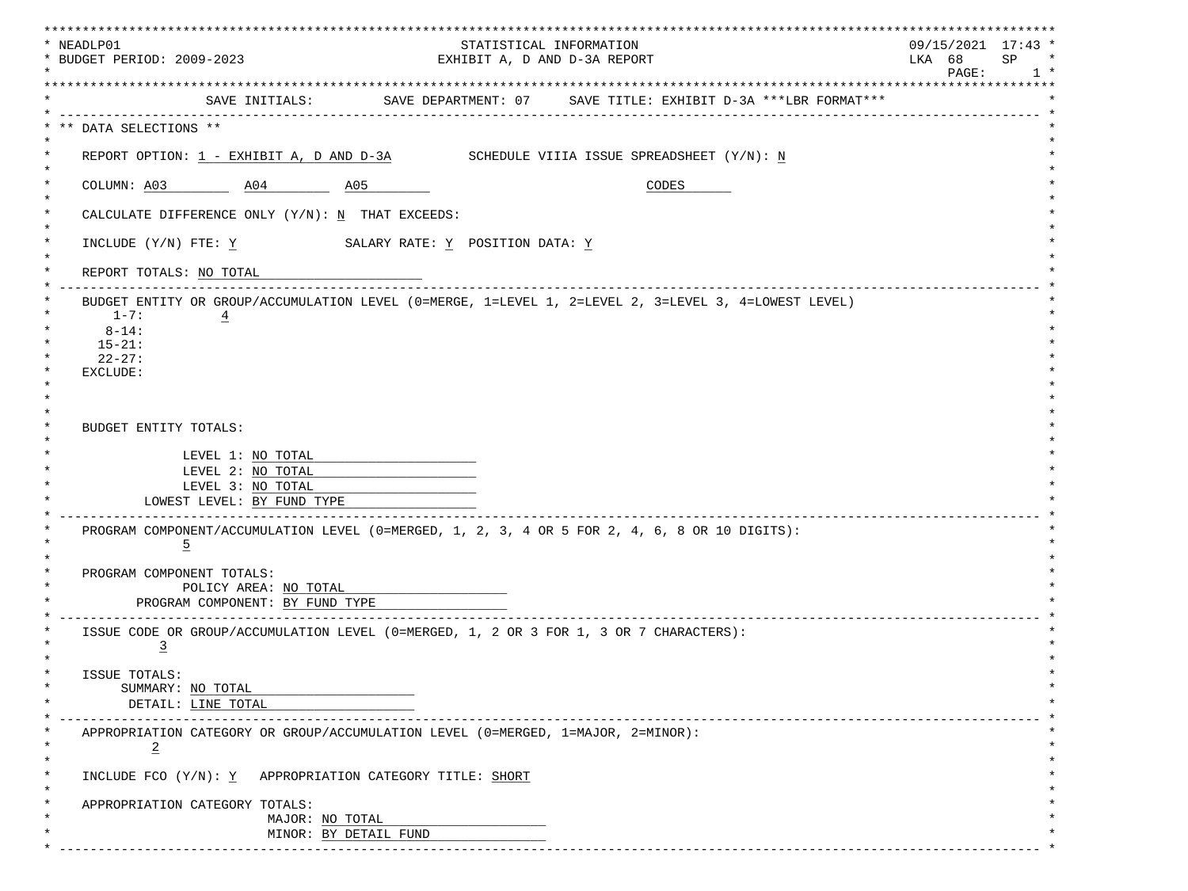| STATISTICAL INFORMATION<br>* BUDGET PERIOD: 2009-2023<br>LKA 68<br>SP<br>EXHIBIT A, D AND D-3A REPORT<br>$\mathtt{PAGE}$ :<br>SAVE INITIALS: SAVE DEPARTMENT: 07 SAVE TITLE: EXHIBIT D-3A ***LBR FORMAT***<br>---------------<br>** DATA SELECTIONS **<br>REPORT OPTION: $1$ - EXHIBIT A, D AND D-3A SCHEDULE VIIIA ISSUE SPREADSHEET $(Y/N): N$<br>COLUMN: A03 A04 A05<br>CODES<br>CALCULATE DIFFERENCE ONLY $(Y/N): N$ THAT EXCEEDS:<br>INCLUDE (Y/N) FTE: Y SALARY RATE: Y POSITION DATA: Y<br>REPORT TOTALS: NO TOTAL<br>BUDGET ENTITY OR GROUP/ACCUMULATION LEVEL (0=MERGE, 1=LEVEL 1, 2=LEVEL 2, 3=LEVEL 3, 4=LOWEST LEVEL)<br>$1 - 7:$<br>$\overline{4}$<br>$8 - 14$ :<br>$15 - 21:$<br>$22 - 27:$<br>EXCLUDE:<br><b>BUDGET ENTITY TOTALS:</b><br>LEVEL 1: NO TOTAL<br>LEVEL 2: NO TOTAL<br>LEVEL 3: NO TOTAL<br>LOWEST LEVEL: BY FUND TYPE<br>PROGRAM COMPONENT/ACCUMULATION LEVEL (0=MERGED, 1, 2, 3, 4 OR 5 FOR 2, 4, 6, 8 OR 10 DIGITS):<br>$\overline{5}$<br>PROGRAM COMPONENT TOTALS:<br>POLICY AREA: NO TOTAL<br>PROGRAM COMPONENT: BY FUND TYPE<br>ISSUE CODE OR GROUP/ACCUMULATION LEVEL (0=MERGED, 1, 2 OR 3 FOR 1, 3 OR 7 CHARACTERS):<br>$\overline{3}$<br>ISSUE TOTALS:<br>SUMMARY: NO TOTAL<br>DETAIL: LINE TOTAL<br>APPROPRIATION CATEGORY OR GROUP/ACCUMULATION LEVEL (0=MERGED, 1=MAJOR, 2=MINOR):<br>$\overline{2}$<br>INCLUDE FCO (Y/N): Y APPROPRIATION CATEGORY TITLE: SHORT<br>APPROPRIATION CATEGORY TOTALS:<br>MAJOR: NO TOTAL<br>MINOR: BY DETAIL FUND | * NEADLP01 |  |  | ******************<br>$09/15/2021$ 17:43 * |        |
|----------------------------------------------------------------------------------------------------------------------------------------------------------------------------------------------------------------------------------------------------------------------------------------------------------------------------------------------------------------------------------------------------------------------------------------------------------------------------------------------------------------------------------------------------------------------------------------------------------------------------------------------------------------------------------------------------------------------------------------------------------------------------------------------------------------------------------------------------------------------------------------------------------------------------------------------------------------------------------------------------------------------------------------------------------------------------------------------------------------------------------------------------------------------------------------------------------------------------------------------------------------------------------------------------------------------------------------------------------------------------------------------------------------------------------------------------------------------------------------|------------|--|--|--------------------------------------------|--------|
|                                                                                                                                                                                                                                                                                                                                                                                                                                                                                                                                                                                                                                                                                                                                                                                                                                                                                                                                                                                                                                                                                                                                                                                                                                                                                                                                                                                                                                                                                        |            |  |  |                                            | $\ast$ |
|                                                                                                                                                                                                                                                                                                                                                                                                                                                                                                                                                                                                                                                                                                                                                                                                                                                                                                                                                                                                                                                                                                                                                                                                                                                                                                                                                                                                                                                                                        |            |  |  |                                            | $1 *$  |
|                                                                                                                                                                                                                                                                                                                                                                                                                                                                                                                                                                                                                                                                                                                                                                                                                                                                                                                                                                                                                                                                                                                                                                                                                                                                                                                                                                                                                                                                                        |            |  |  |                                            |        |
|                                                                                                                                                                                                                                                                                                                                                                                                                                                                                                                                                                                                                                                                                                                                                                                                                                                                                                                                                                                                                                                                                                                                                                                                                                                                                                                                                                                                                                                                                        |            |  |  |                                            |        |
|                                                                                                                                                                                                                                                                                                                                                                                                                                                                                                                                                                                                                                                                                                                                                                                                                                                                                                                                                                                                                                                                                                                                                                                                                                                                                                                                                                                                                                                                                        |            |  |  |                                            |        |
|                                                                                                                                                                                                                                                                                                                                                                                                                                                                                                                                                                                                                                                                                                                                                                                                                                                                                                                                                                                                                                                                                                                                                                                                                                                                                                                                                                                                                                                                                        |            |  |  |                                            |        |
|                                                                                                                                                                                                                                                                                                                                                                                                                                                                                                                                                                                                                                                                                                                                                                                                                                                                                                                                                                                                                                                                                                                                                                                                                                                                                                                                                                                                                                                                                        |            |  |  |                                            |        |
|                                                                                                                                                                                                                                                                                                                                                                                                                                                                                                                                                                                                                                                                                                                                                                                                                                                                                                                                                                                                                                                                                                                                                                                                                                                                                                                                                                                                                                                                                        |            |  |  |                                            |        |
|                                                                                                                                                                                                                                                                                                                                                                                                                                                                                                                                                                                                                                                                                                                                                                                                                                                                                                                                                                                                                                                                                                                                                                                                                                                                                                                                                                                                                                                                                        |            |  |  |                                            |        |
|                                                                                                                                                                                                                                                                                                                                                                                                                                                                                                                                                                                                                                                                                                                                                                                                                                                                                                                                                                                                                                                                                                                                                                                                                                                                                                                                                                                                                                                                                        |            |  |  |                                            |        |
|                                                                                                                                                                                                                                                                                                                                                                                                                                                                                                                                                                                                                                                                                                                                                                                                                                                                                                                                                                                                                                                                                                                                                                                                                                                                                                                                                                                                                                                                                        |            |  |  |                                            |        |
|                                                                                                                                                                                                                                                                                                                                                                                                                                                                                                                                                                                                                                                                                                                                                                                                                                                                                                                                                                                                                                                                                                                                                                                                                                                                                                                                                                                                                                                                                        |            |  |  |                                            |        |
|                                                                                                                                                                                                                                                                                                                                                                                                                                                                                                                                                                                                                                                                                                                                                                                                                                                                                                                                                                                                                                                                                                                                                                                                                                                                                                                                                                                                                                                                                        |            |  |  |                                            |        |
|                                                                                                                                                                                                                                                                                                                                                                                                                                                                                                                                                                                                                                                                                                                                                                                                                                                                                                                                                                                                                                                                                                                                                                                                                                                                                                                                                                                                                                                                                        |            |  |  |                                            |        |
|                                                                                                                                                                                                                                                                                                                                                                                                                                                                                                                                                                                                                                                                                                                                                                                                                                                                                                                                                                                                                                                                                                                                                                                                                                                                                                                                                                                                                                                                                        |            |  |  |                                            |        |
|                                                                                                                                                                                                                                                                                                                                                                                                                                                                                                                                                                                                                                                                                                                                                                                                                                                                                                                                                                                                                                                                                                                                                                                                                                                                                                                                                                                                                                                                                        |            |  |  |                                            |        |
|                                                                                                                                                                                                                                                                                                                                                                                                                                                                                                                                                                                                                                                                                                                                                                                                                                                                                                                                                                                                                                                                                                                                                                                                                                                                                                                                                                                                                                                                                        |            |  |  |                                            |        |
|                                                                                                                                                                                                                                                                                                                                                                                                                                                                                                                                                                                                                                                                                                                                                                                                                                                                                                                                                                                                                                                                                                                                                                                                                                                                                                                                                                                                                                                                                        |            |  |  |                                            |        |
|                                                                                                                                                                                                                                                                                                                                                                                                                                                                                                                                                                                                                                                                                                                                                                                                                                                                                                                                                                                                                                                                                                                                                                                                                                                                                                                                                                                                                                                                                        |            |  |  |                                            |        |
|                                                                                                                                                                                                                                                                                                                                                                                                                                                                                                                                                                                                                                                                                                                                                                                                                                                                                                                                                                                                                                                                                                                                                                                                                                                                                                                                                                                                                                                                                        |            |  |  |                                            |        |
|                                                                                                                                                                                                                                                                                                                                                                                                                                                                                                                                                                                                                                                                                                                                                                                                                                                                                                                                                                                                                                                                                                                                                                                                                                                                                                                                                                                                                                                                                        |            |  |  |                                            |        |
|                                                                                                                                                                                                                                                                                                                                                                                                                                                                                                                                                                                                                                                                                                                                                                                                                                                                                                                                                                                                                                                                                                                                                                                                                                                                                                                                                                                                                                                                                        |            |  |  |                                            |        |
|                                                                                                                                                                                                                                                                                                                                                                                                                                                                                                                                                                                                                                                                                                                                                                                                                                                                                                                                                                                                                                                                                                                                                                                                                                                                                                                                                                                                                                                                                        |            |  |  |                                            |        |
|                                                                                                                                                                                                                                                                                                                                                                                                                                                                                                                                                                                                                                                                                                                                                                                                                                                                                                                                                                                                                                                                                                                                                                                                                                                                                                                                                                                                                                                                                        |            |  |  |                                            |        |
|                                                                                                                                                                                                                                                                                                                                                                                                                                                                                                                                                                                                                                                                                                                                                                                                                                                                                                                                                                                                                                                                                                                                                                                                                                                                                                                                                                                                                                                                                        |            |  |  |                                            |        |
|                                                                                                                                                                                                                                                                                                                                                                                                                                                                                                                                                                                                                                                                                                                                                                                                                                                                                                                                                                                                                                                                                                                                                                                                                                                                                                                                                                                                                                                                                        |            |  |  |                                            |        |
|                                                                                                                                                                                                                                                                                                                                                                                                                                                                                                                                                                                                                                                                                                                                                                                                                                                                                                                                                                                                                                                                                                                                                                                                                                                                                                                                                                                                                                                                                        |            |  |  |                                            |        |
|                                                                                                                                                                                                                                                                                                                                                                                                                                                                                                                                                                                                                                                                                                                                                                                                                                                                                                                                                                                                                                                                                                                                                                                                                                                                                                                                                                                                                                                                                        |            |  |  |                                            |        |
|                                                                                                                                                                                                                                                                                                                                                                                                                                                                                                                                                                                                                                                                                                                                                                                                                                                                                                                                                                                                                                                                                                                                                                                                                                                                                                                                                                                                                                                                                        |            |  |  |                                            |        |
|                                                                                                                                                                                                                                                                                                                                                                                                                                                                                                                                                                                                                                                                                                                                                                                                                                                                                                                                                                                                                                                                                                                                                                                                                                                                                                                                                                                                                                                                                        |            |  |  |                                            |        |
|                                                                                                                                                                                                                                                                                                                                                                                                                                                                                                                                                                                                                                                                                                                                                                                                                                                                                                                                                                                                                                                                                                                                                                                                                                                                                                                                                                                                                                                                                        |            |  |  |                                            |        |
|                                                                                                                                                                                                                                                                                                                                                                                                                                                                                                                                                                                                                                                                                                                                                                                                                                                                                                                                                                                                                                                                                                                                                                                                                                                                                                                                                                                                                                                                                        |            |  |  |                                            |        |
|                                                                                                                                                                                                                                                                                                                                                                                                                                                                                                                                                                                                                                                                                                                                                                                                                                                                                                                                                                                                                                                                                                                                                                                                                                                                                                                                                                                                                                                                                        |            |  |  |                                            |        |
|                                                                                                                                                                                                                                                                                                                                                                                                                                                                                                                                                                                                                                                                                                                                                                                                                                                                                                                                                                                                                                                                                                                                                                                                                                                                                                                                                                                                                                                                                        |            |  |  |                                            |        |
|                                                                                                                                                                                                                                                                                                                                                                                                                                                                                                                                                                                                                                                                                                                                                                                                                                                                                                                                                                                                                                                                                                                                                                                                                                                                                                                                                                                                                                                                                        |            |  |  |                                            |        |
|                                                                                                                                                                                                                                                                                                                                                                                                                                                                                                                                                                                                                                                                                                                                                                                                                                                                                                                                                                                                                                                                                                                                                                                                                                                                                                                                                                                                                                                                                        |            |  |  |                                            |        |
|                                                                                                                                                                                                                                                                                                                                                                                                                                                                                                                                                                                                                                                                                                                                                                                                                                                                                                                                                                                                                                                                                                                                                                                                                                                                                                                                                                                                                                                                                        | $\ast$     |  |  |                                            |        |
|                                                                                                                                                                                                                                                                                                                                                                                                                                                                                                                                                                                                                                                                                                                                                                                                                                                                                                                                                                                                                                                                                                                                                                                                                                                                                                                                                                                                                                                                                        |            |  |  |                                            |        |
|                                                                                                                                                                                                                                                                                                                                                                                                                                                                                                                                                                                                                                                                                                                                                                                                                                                                                                                                                                                                                                                                                                                                                                                                                                                                                                                                                                                                                                                                                        |            |  |  |                                            |        |
|                                                                                                                                                                                                                                                                                                                                                                                                                                                                                                                                                                                                                                                                                                                                                                                                                                                                                                                                                                                                                                                                                                                                                                                                                                                                                                                                                                                                                                                                                        | $\star$    |  |  |                                            |        |
|                                                                                                                                                                                                                                                                                                                                                                                                                                                                                                                                                                                                                                                                                                                                                                                                                                                                                                                                                                                                                                                                                                                                                                                                                                                                                                                                                                                                                                                                                        |            |  |  |                                            |        |
|                                                                                                                                                                                                                                                                                                                                                                                                                                                                                                                                                                                                                                                                                                                                                                                                                                                                                                                                                                                                                                                                                                                                                                                                                                                                                                                                                                                                                                                                                        |            |  |  |                                            |        |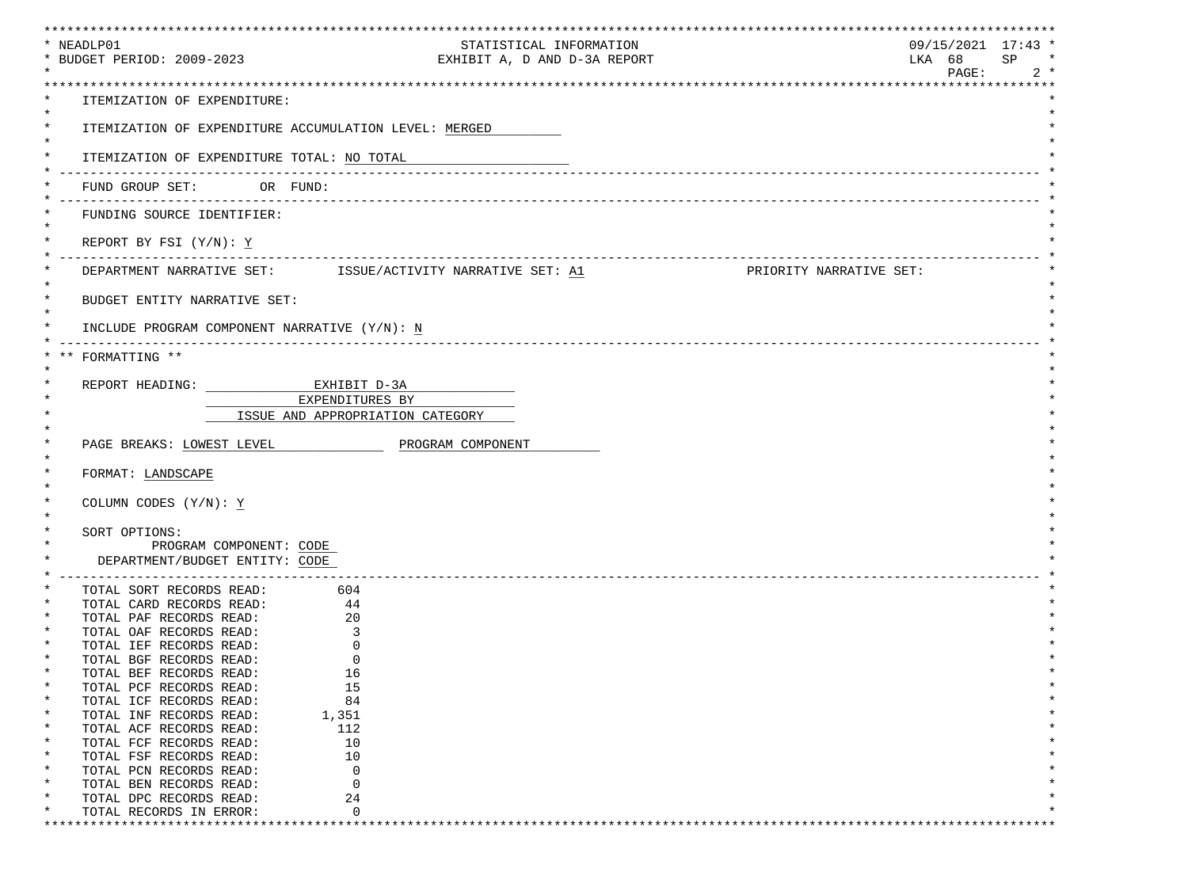| * NEADLP01                                                     | STATISTICAL INFORMATION                                                                        | *****************************<br>$09/15/2021$ 17:43 * |
|----------------------------------------------------------------|------------------------------------------------------------------------------------------------|-------------------------------------------------------|
| * BUDGET PERIOD: 2009-2023                                     | EXHIBIT A, D AND D-3A REPORT                                                                   | LKA 68<br>SP<br>$\star$                               |
|                                                                |                                                                                                | PAGE:<br>$2 *$                                        |
| ITEMIZATION OF EXPENDITURE:                                    |                                                                                                |                                                       |
| $^\star$                                                       | ITEMIZATION OF EXPENDITURE ACCUMULATION LEVEL: MERGED                                          |                                                       |
| $\ast$<br>ITEMIZATION OF EXPENDITURE TOTAL: NO TOTAL           |                                                                                                |                                                       |
| FUND GROUP SET: OR FUND:                                       |                                                                                                |                                                       |
| FUNDING SOURCE IDENTIFIER:                                     |                                                                                                |                                                       |
| REPORT BY FSI $(Y/N): Y$                                       |                                                                                                |                                                       |
|                                                                | DEPARTMENT NARRATIVE SET: $\qquad$ ISSUE/ACTIVITY NARRATIVE SET: A1<br>PRIORITY NARRATIVE SET: |                                                       |
| $^\star$<br>BUDGET ENTITY NARRATIVE SET:                       |                                                                                                |                                                       |
| INCLUDE PROGRAM COMPONENT NARRATIVE (Y/N): N                   |                                                                                                |                                                       |
|                                                                |                                                                                                |                                                       |
| FORMATTING **                                                  |                                                                                                |                                                       |
| REPORT HEADING: EXHIBIT D-3A                                   |                                                                                                |                                                       |
|                                                                | EXPENDITURES BY                                                                                |                                                       |
|                                                                | ISSUE AND APPROPRIATION CATEGORY                                                               |                                                       |
| PAGE BREAKS: LOWEST LEVEL                                      | PROGRAM COMPONENT                                                                              |                                                       |
|                                                                |                                                                                                |                                                       |
| FORMAT: LANDSCAPE                                              |                                                                                                |                                                       |
| COLUMN CODES (Y/N): Y                                          |                                                                                                |                                                       |
|                                                                |                                                                                                |                                                       |
| SORT OPTIONS:                                                  |                                                                                                |                                                       |
| PROGRAM COMPONENT: CODE                                        |                                                                                                |                                                       |
| DEPARTMENT/BUDGET ENTITY: CODE<br>____________________________ |                                                                                                |                                                       |
| TOTAL SORT RECORDS READ: 604                                   |                                                                                                |                                                       |
| TOTAL CARD RECORDS READ: 44                                    |                                                                                                |                                                       |
| TOTAL PAF RECORDS READ:                                        | 20                                                                                             |                                                       |
| TOTAL OAF RECORDS READ:                                        | 3                                                                                              |                                                       |
| TOTAL IEF RECORDS READ:                                        | $\mathbf 0$                                                                                    |                                                       |
| TOTAL BGF RECORDS READ:                                        | $\Omega$                                                                                       |                                                       |
| TOTAL BEF RECORDS READ:<br>$^\star$<br>TOTAL PCF RECORDS READ: | 16<br>15                                                                                       |                                                       |
| $\ast$<br>TOTAL ICF RECORDS READ:                              | 84                                                                                             |                                                       |
| $^\star$<br>TOTAL INF RECORDS READ:                            | 1,351                                                                                          |                                                       |
| TOTAL ACF RECORDS READ:<br>$\ast$                              | 112                                                                                            |                                                       |
| $^\star$<br>TOTAL FCF RECORDS READ:                            | 10                                                                                             |                                                       |
| $^\star$<br>TOTAL FSF RECORDS READ:                            | 10                                                                                             |                                                       |
| $\ast$<br>TOTAL PCN RECORDS READ:                              | $\Omega$                                                                                       |                                                       |
| $\ast$<br>TOTAL BEN RECORDS READ:<br>$^\star$                  | $\Omega$                                                                                       |                                                       |
| TOTAL DPC RECORDS READ:<br>TOTAL RECORDS IN ERROR:             | 24<br>$\Omega$                                                                                 |                                                       |
|                                                                |                                                                                                |                                                       |